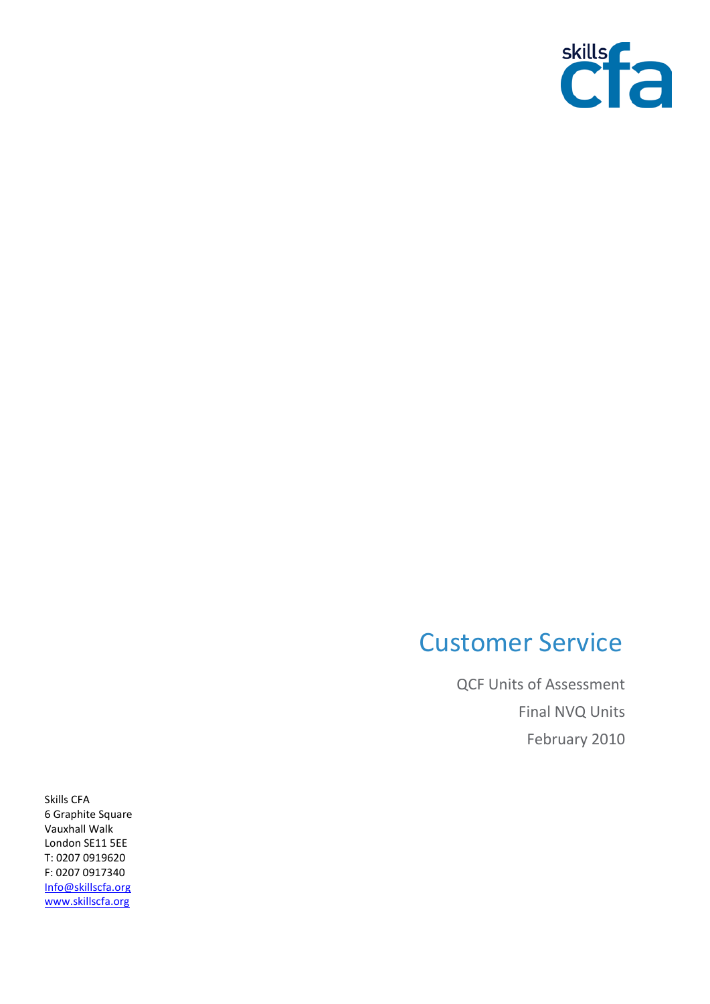

## Customer Service

QCF Units of Assessment Final NVQ Units February 2010

Skills CFA 6 Graphite Square Vauxhall Walk London SE11 5EE T: 0207 0919620 F: 0207 0917340 [Info@skillscfa.org](mailto:Info@skillscfa.org) [www.skillscfa.org](http://www.skillscfa.org/)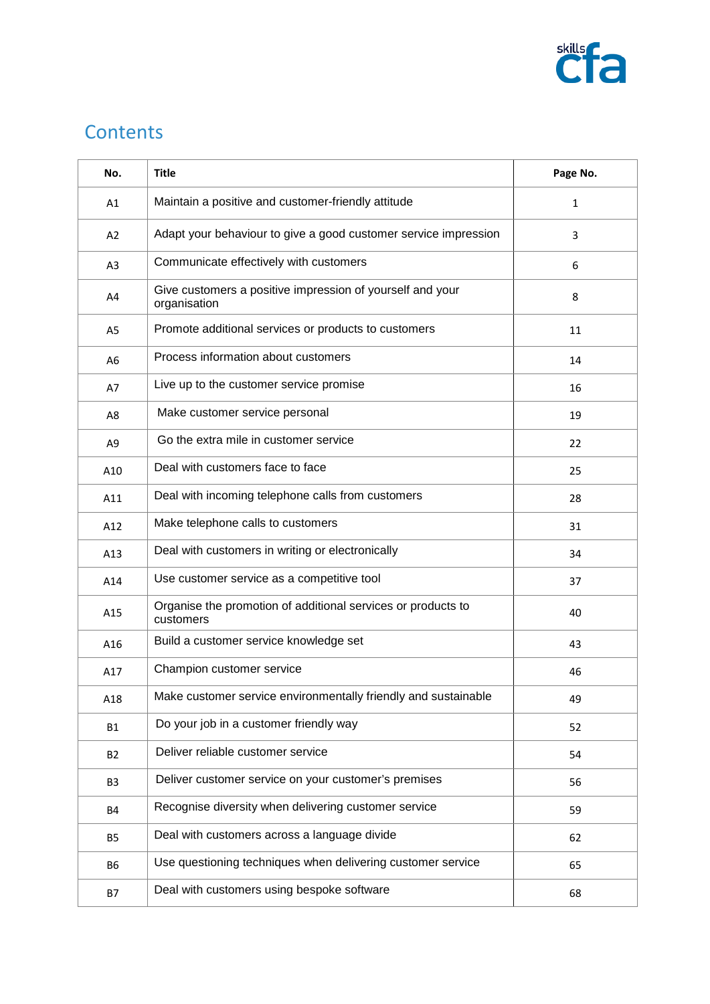

## **Contents**

| No.            | <b>Title</b>                                                              | Page No.     |
|----------------|---------------------------------------------------------------------------|--------------|
| A1             | Maintain a positive and customer-friendly attitude                        | $\mathbf{1}$ |
| A2             | Adapt your behaviour to give a good customer service impression           | 3            |
| A <sub>3</sub> | Communicate effectively with customers                                    | 6            |
| A4             | Give customers a positive impression of yourself and your<br>organisation | 8            |
| A <sub>5</sub> | Promote additional services or products to customers                      | 11           |
| A <sub>6</sub> | Process information about customers                                       | 14           |
| A7             | Live up to the customer service promise                                   | 16           |
| A8             | Make customer service personal                                            | 19           |
| A <sub>9</sub> | Go the extra mile in customer service                                     | 22           |
| A10            | Deal with customers face to face                                          | 25           |
| A11            | Deal with incoming telephone calls from customers                         | 28           |
| A12            | Make telephone calls to customers                                         | 31           |
| A13            | Deal with customers in writing or electronically                          | 34           |
| A14            | Use customer service as a competitive tool                                | 37           |
| A15            | Organise the promotion of additional services or products to<br>customers | 40           |
| A16            | Build a customer service knowledge set                                    | 43           |
| A17            | Champion customer service                                                 | 46           |
| A18            | Make customer service environmentally friendly and sustainable            | 49           |
| <b>B1</b>      | Do your job in a customer friendly way                                    | 52           |
| <b>B2</b>      | Deliver reliable customer service                                         | 54           |
| B <sub>3</sub> | Deliver customer service on your customer's premises                      | 56           |
| <b>B4</b>      | Recognise diversity when delivering customer service                      | 59           |
| B <sub>5</sub> | Deal with customers across a language divide                              | 62           |
| <b>B6</b>      | Use questioning techniques when delivering customer service               | 65           |
| <b>B7</b>      | Deal with customers using bespoke software                                | 68           |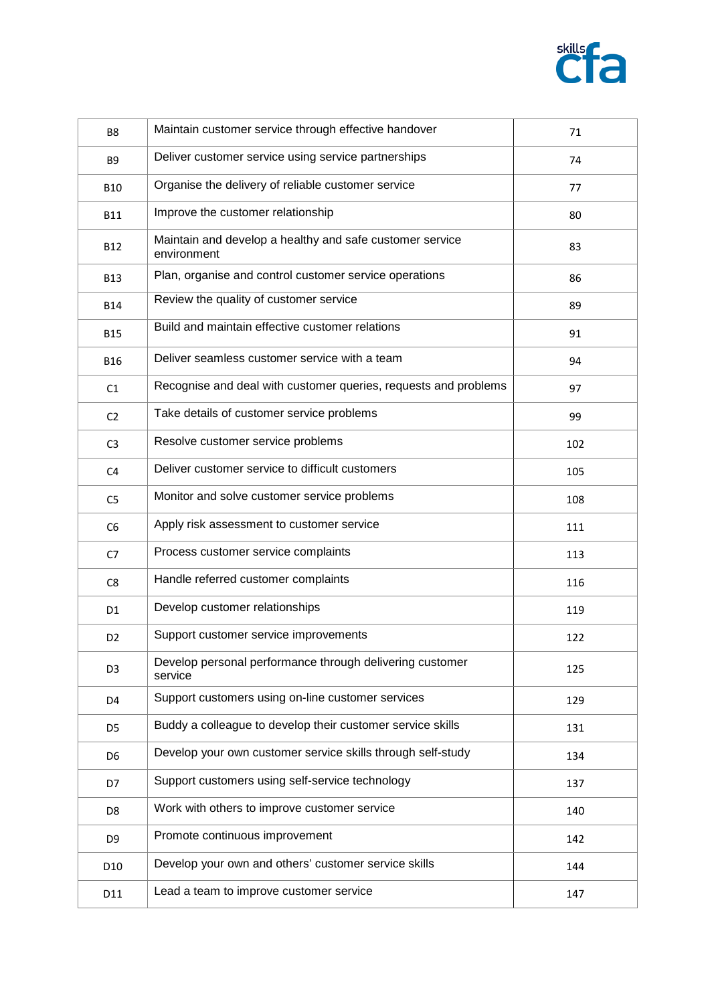

| B <sub>8</sub>  | Maintain customer service through effective handover                    | 71  |
|-----------------|-------------------------------------------------------------------------|-----|
| <b>B9</b>       | Deliver customer service using service partnerships                     | 74  |
| <b>B10</b>      | Organise the delivery of reliable customer service                      | 77  |
| <b>B11</b>      | Improve the customer relationship                                       | 80  |
| <b>B12</b>      | Maintain and develop a healthy and safe customer service<br>environment | 83  |
| <b>B13</b>      | Plan, organise and control customer service operations                  | 86  |
| <b>B14</b>      | Review the quality of customer service                                  | 89  |
| <b>B15</b>      | Build and maintain effective customer relations                         | 91  |
| <b>B16</b>      | Deliver seamless customer service with a team                           | 94  |
| C1              | Recognise and deal with customer queries, requests and problems         | 97  |
| C <sub>2</sub>  | Take details of customer service problems                               | 99  |
| C <sub>3</sub>  | Resolve customer service problems                                       | 102 |
| C <sub>4</sub>  | Deliver customer service to difficult customers                         | 105 |
| C <sub>5</sub>  | Monitor and solve customer service problems                             | 108 |
| C <sub>6</sub>  | Apply risk assessment to customer service                               | 111 |
| C <sub>7</sub>  | Process customer service complaints                                     | 113 |
| C <sub>8</sub>  | Handle referred customer complaints                                     | 116 |
| D <sub>1</sub>  | Develop customer relationships                                          | 119 |
| D <sub>2</sub>  | Support customer service improvements                                   | 122 |
| D <sub>3</sub>  | Develop personal performance through delivering customer<br>service     | 125 |
| D4              | Support customers using on-line customer services                       | 129 |
| D <sub>5</sub>  | Buddy a colleague to develop their customer service skills              | 131 |
| D <sub>6</sub>  | Develop your own customer service skills through self-study             | 134 |
| D7              | Support customers using self-service technology                         | 137 |
| D <sub>8</sub>  | Work with others to improve customer service                            | 140 |
| D <sub>9</sub>  | Promote continuous improvement                                          | 142 |
| D <sub>10</sub> | Develop your own and others' customer service skills                    | 144 |
| D11             | Lead a team to improve customer service                                 | 147 |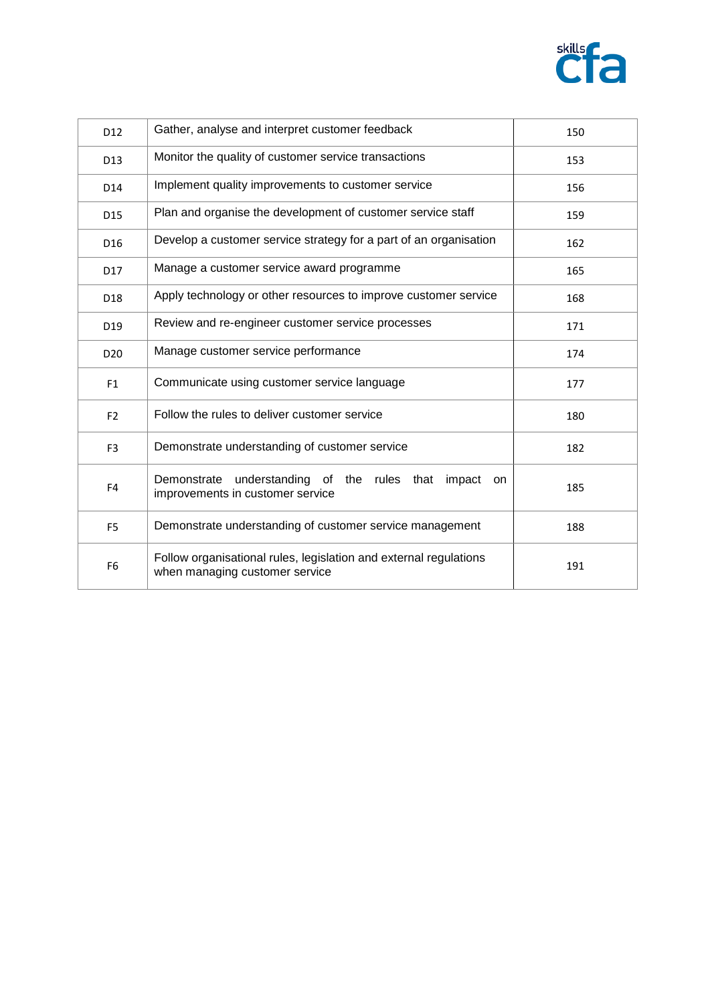

| D <sub>12</sub> | Gather, analyse and interpret customer feedback                                                     | 150 |
|-----------------|-----------------------------------------------------------------------------------------------------|-----|
| D13             | Monitor the quality of customer service transactions                                                | 153 |
| D14             | Implement quality improvements to customer service                                                  | 156 |
| D15             | Plan and organise the development of customer service staff                                         | 159 |
| D <sub>16</sub> | Develop a customer service strategy for a part of an organisation                                   | 162 |
| D17             | Manage a customer service award programme                                                           | 165 |
| D <sub>18</sub> | Apply technology or other resources to improve customer service                                     | 168 |
| D <sub>19</sub> | Review and re-engineer customer service processes                                                   | 171 |
| D <sub>20</sub> | Manage customer service performance                                                                 | 174 |
| F <sub>1</sub>  | Communicate using customer service language                                                         | 177 |
| F <sub>2</sub>  | Follow the rules to deliver customer service                                                        | 180 |
| F <sub>3</sub>  | Demonstrate understanding of customer service                                                       | 182 |
| F <sub>4</sub>  | Demonstrate understanding of the rules that<br>impact<br>on.<br>improvements in customer service    | 185 |
| F <sub>5</sub>  | Demonstrate understanding of customer service management                                            | 188 |
| F <sub>6</sub>  | Follow organisational rules, legislation and external regulations<br>when managing customer service | 191 |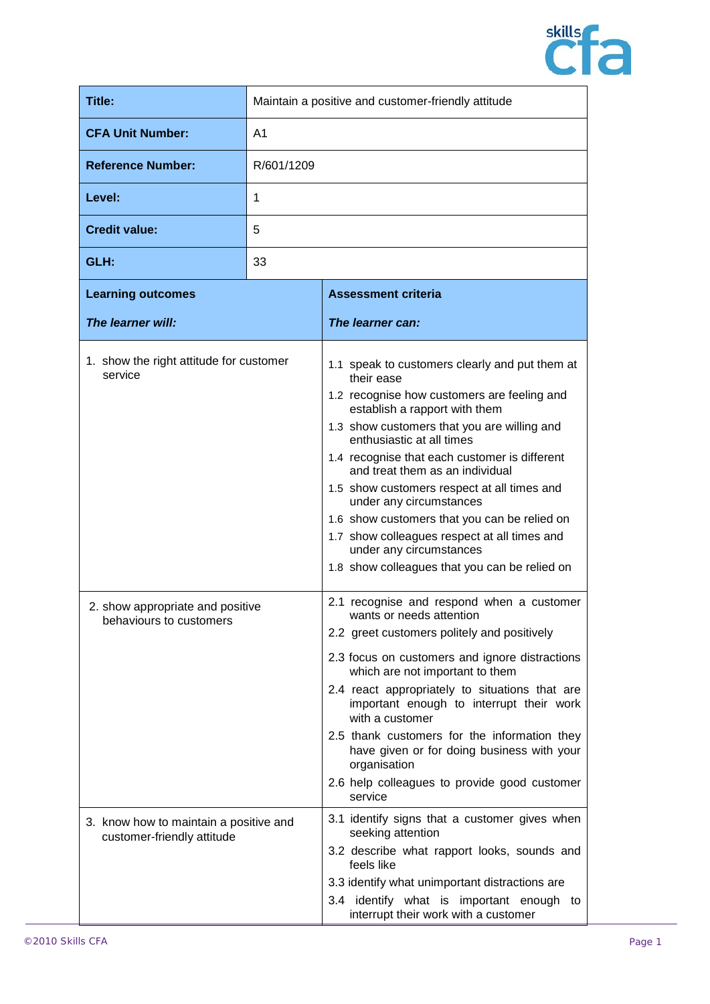

| <b>Title:</b>                                                                                         |            | Maintain a positive and customer-friendly attitude                                                                                                                                                                                                                                                                                                                                                                                                                                                                                                                 |  |
|-------------------------------------------------------------------------------------------------------|------------|--------------------------------------------------------------------------------------------------------------------------------------------------------------------------------------------------------------------------------------------------------------------------------------------------------------------------------------------------------------------------------------------------------------------------------------------------------------------------------------------------------------------------------------------------------------------|--|
| <b>CFA Unit Number:</b><br>A1                                                                         |            |                                                                                                                                                                                                                                                                                                                                                                                                                                                                                                                                                                    |  |
| <b>Reference Number:</b>                                                                              | R/601/1209 |                                                                                                                                                                                                                                                                                                                                                                                                                                                                                                                                                                    |  |
| Level:                                                                                                | 1          |                                                                                                                                                                                                                                                                                                                                                                                                                                                                                                                                                                    |  |
| <b>Credit value:</b>                                                                                  | 5          |                                                                                                                                                                                                                                                                                                                                                                                                                                                                                                                                                                    |  |
| GLH:                                                                                                  | 33         |                                                                                                                                                                                                                                                                                                                                                                                                                                                                                                                                                                    |  |
| <b>Learning outcomes</b>                                                                              |            | <b>Assessment criteria</b>                                                                                                                                                                                                                                                                                                                                                                                                                                                                                                                                         |  |
| The learner will:                                                                                     |            | The learner can:                                                                                                                                                                                                                                                                                                                                                                                                                                                                                                                                                   |  |
| 1. show the right attitude for customer<br>service                                                    |            | 1.1 speak to customers clearly and put them at<br>their ease<br>1.2 recognise how customers are feeling and<br>establish a rapport with them<br>1.3 show customers that you are willing and<br>enthusiastic at all times<br>1.4 recognise that each customer is different<br>and treat them as an individual<br>1.5 show customers respect at all times and<br>under any circumstances<br>1.6 show customers that you can be relied on<br>1.7 show colleagues respect at all times and<br>under any circumstances<br>1.8 show colleagues that you can be relied on |  |
| 2. show appropriate and positive<br>behaviours to customers<br>3. know how to maintain a positive and |            | 2.1 recognise and respond when a customer<br>wants or needs attention<br>2.2 greet customers politely and positively<br>2.3 focus on customers and ignore distractions<br>which are not important to them<br>2.4 react appropriately to situations that are<br>important enough to interrupt their work<br>with a customer<br>2.5 thank customers for the information they<br>have given or for doing business with your<br>organisation<br>2.6 help colleagues to provide good customer<br>service<br>3.1 identify signs that a customer gives when               |  |
| customer-friendly attitude                                                                            |            | seeking attention<br>3.2 describe what rapport looks, sounds and<br>feels like<br>3.3 identify what unimportant distractions are<br>3.4 identify what is important enough to<br>interrupt their work with a customer                                                                                                                                                                                                                                                                                                                                               |  |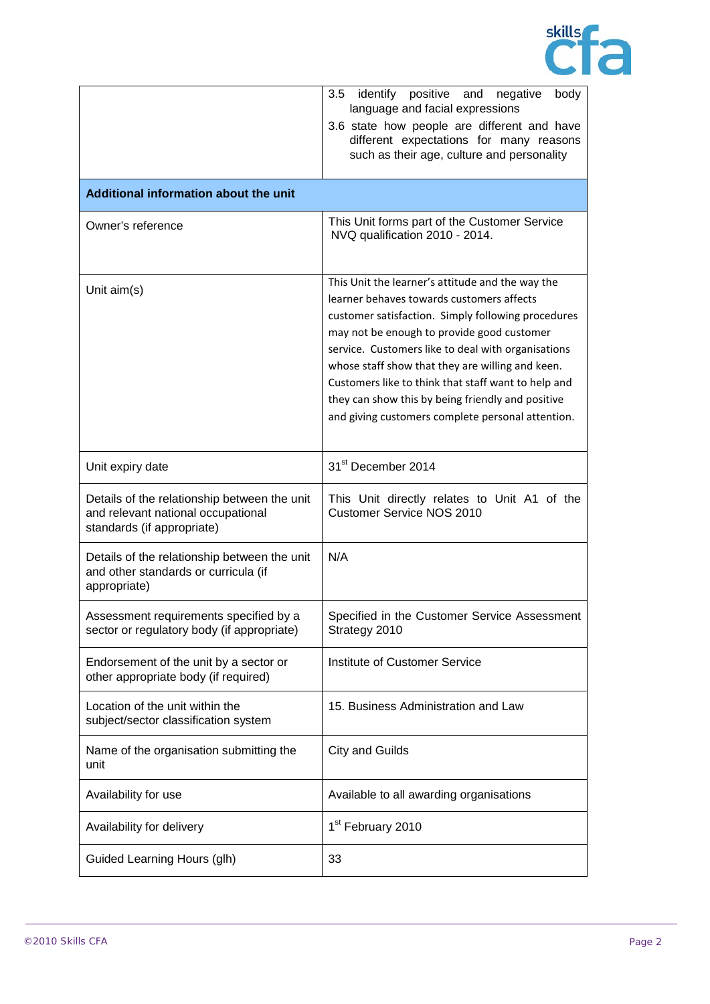

|                                                                                                                  | 3.5<br>identify<br>positive<br>and<br>negative<br>body<br>language and facial expressions<br>3.6 state how people are different and have<br>different expectations for many reasons<br>such as their age, culture and personality                                                                                                                                                                                                                                            |
|------------------------------------------------------------------------------------------------------------------|------------------------------------------------------------------------------------------------------------------------------------------------------------------------------------------------------------------------------------------------------------------------------------------------------------------------------------------------------------------------------------------------------------------------------------------------------------------------------|
| Additional information about the unit                                                                            |                                                                                                                                                                                                                                                                                                                                                                                                                                                                              |
| Owner's reference                                                                                                | This Unit forms part of the Customer Service<br>NVQ qualification 2010 - 2014.                                                                                                                                                                                                                                                                                                                                                                                               |
| Unit aim(s)                                                                                                      | This Unit the learner's attitude and the way the<br>learner behaves towards customers affects<br>customer satisfaction. Simply following procedures<br>may not be enough to provide good customer<br>service. Customers like to deal with organisations<br>whose staff show that they are willing and keen.<br>Customers like to think that staff want to help and<br>they can show this by being friendly and positive<br>and giving customers complete personal attention. |
| Unit expiry date                                                                                                 | 31 <sup>st</sup> December 2014                                                                                                                                                                                                                                                                                                                                                                                                                                               |
| Details of the relationship between the unit<br>and relevant national occupational<br>standards (if appropriate) | This Unit directly relates to Unit A1 of the<br><b>Customer Service NOS 2010</b>                                                                                                                                                                                                                                                                                                                                                                                             |
| Details of the relationship between the unit<br>and other standards or curricula (if<br>appropriate)             | N/A                                                                                                                                                                                                                                                                                                                                                                                                                                                                          |
| Assessment requirements specified by a<br>sector or regulatory body (if appropriate)                             | Specified in the Customer Service Assessment<br>Strategy 2010                                                                                                                                                                                                                                                                                                                                                                                                                |
| Endorsement of the unit by a sector or<br>other appropriate body (if required)                                   | Institute of Customer Service                                                                                                                                                                                                                                                                                                                                                                                                                                                |
| Location of the unit within the<br>subject/sector classification system                                          | 15. Business Administration and Law                                                                                                                                                                                                                                                                                                                                                                                                                                          |
| Name of the organisation submitting the<br>unit                                                                  | <b>City and Guilds</b>                                                                                                                                                                                                                                                                                                                                                                                                                                                       |
| Availability for use                                                                                             | Available to all awarding organisations                                                                                                                                                                                                                                                                                                                                                                                                                                      |
| Availability for delivery                                                                                        | 1 <sup>st</sup> February 2010                                                                                                                                                                                                                                                                                                                                                                                                                                                |
| Guided Learning Hours (glh)                                                                                      | 33                                                                                                                                                                                                                                                                                                                                                                                                                                                                           |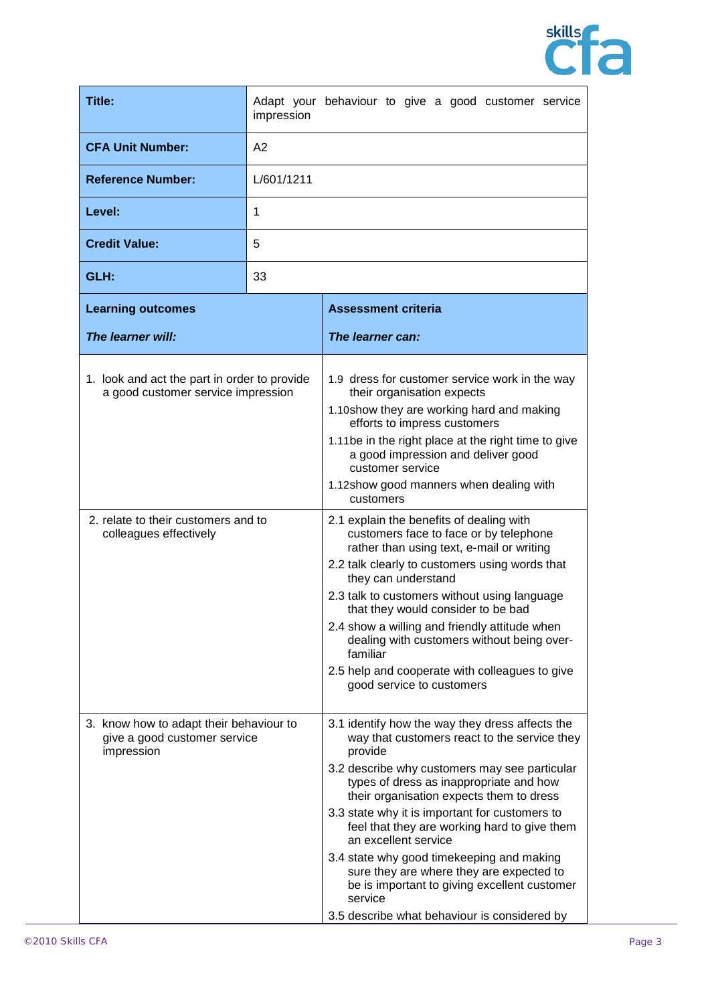

| Title:                                                                                                                                              | Adapt your behaviour to give a good customer service<br>impression |                                                                                                                                                                                                                                                                                                                                                                                                                                                                                                                                                                                                                                                                                                                                                                                                                                |
|-----------------------------------------------------------------------------------------------------------------------------------------------------|--------------------------------------------------------------------|--------------------------------------------------------------------------------------------------------------------------------------------------------------------------------------------------------------------------------------------------------------------------------------------------------------------------------------------------------------------------------------------------------------------------------------------------------------------------------------------------------------------------------------------------------------------------------------------------------------------------------------------------------------------------------------------------------------------------------------------------------------------------------------------------------------------------------|
| <b>CFA Unit Number:</b>                                                                                                                             | A2                                                                 |                                                                                                                                                                                                                                                                                                                                                                                                                                                                                                                                                                                                                                                                                                                                                                                                                                |
| <b>Reference Number:</b><br>L/601/1211                                                                                                              |                                                                    |                                                                                                                                                                                                                                                                                                                                                                                                                                                                                                                                                                                                                                                                                                                                                                                                                                |
| Level:                                                                                                                                              | 1                                                                  |                                                                                                                                                                                                                                                                                                                                                                                                                                                                                                                                                                                                                                                                                                                                                                                                                                |
| <b>Credit Value:</b>                                                                                                                                | 5                                                                  |                                                                                                                                                                                                                                                                                                                                                                                                                                                                                                                                                                                                                                                                                                                                                                                                                                |
| GLH:                                                                                                                                                | 33                                                                 |                                                                                                                                                                                                                                                                                                                                                                                                                                                                                                                                                                                                                                                                                                                                                                                                                                |
| <b>Learning outcomes</b>                                                                                                                            |                                                                    | <b>Assessment criteria</b>                                                                                                                                                                                                                                                                                                                                                                                                                                                                                                                                                                                                                                                                                                                                                                                                     |
| The learner will:                                                                                                                                   |                                                                    | The learner can:                                                                                                                                                                                                                                                                                                                                                                                                                                                                                                                                                                                                                                                                                                                                                                                                               |
| 1. look and act the part in order to provide<br>a good customer service impression<br>2. relate to their customers and to<br>colleagues effectively |                                                                    | 1.9 dress for customer service work in the way<br>their organisation expects<br>1.10show they are working hard and making<br>efforts to impress customers<br>1.11be in the right place at the right time to give<br>a good impression and deliver good<br>customer service<br>1.12show good manners when dealing with<br>customers<br>2.1 explain the benefits of dealing with<br>customers face to face or by telephone<br>rather than using text, e-mail or writing<br>2.2 talk clearly to customers using words that<br>they can understand<br>2.3 talk to customers without using language<br>that they would consider to be bad<br>2.4 show a willing and friendly attitude when<br>dealing with customers without being over-<br>familiar<br>2.5 help and cooperate with colleagues to give<br>good service to customers |
| 3. know how to adapt their behaviour to<br>give a good customer service<br>impression                                                               |                                                                    | 3.1 identify how the way they dress affects the<br>way that customers react to the service they<br>provide<br>3.2 describe why customers may see particular<br>types of dress as inappropriate and how<br>their organisation expects them to dress<br>3.3 state why it is important for customers to<br>feel that they are working hard to give them<br>an excellent service<br>3.4 state why good timekeeping and making<br>sure they are where they are expected to<br>be is important to giving excellent customer<br>service<br>3.5 describe what behaviour is considered by                                                                                                                                                                                                                                               |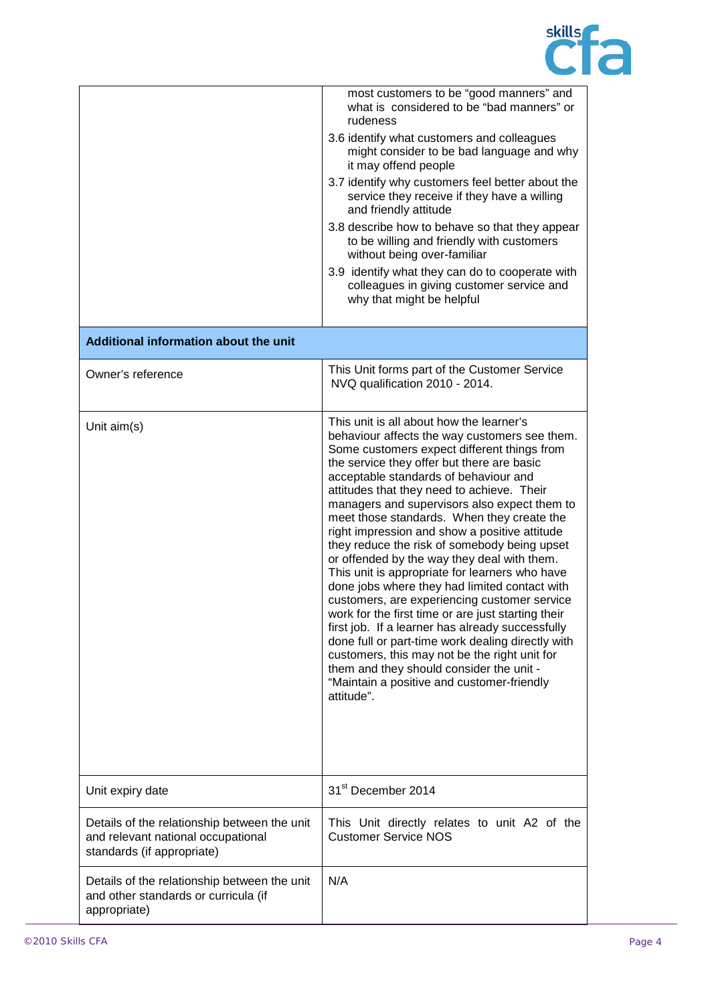

|                                                                                                                  | most customers to be "good manners" and<br>what is considered to be "bad manners" or<br>rudeness<br>3.6 identify what customers and colleagues<br>might consider to be bad language and why<br>it may offend people<br>3.7 identify why customers feel better about the<br>service they receive if they have a willing<br>and friendly attitude<br>3.8 describe how to behave so that they appear<br>to be willing and friendly with customers<br>without being over-familiar<br>3.9 identify what they can do to cooperate with<br>colleagues in giving customer service and<br>why that might be helpful                                                                                                                                                                                                                                                                                                                                                                                             |
|------------------------------------------------------------------------------------------------------------------|--------------------------------------------------------------------------------------------------------------------------------------------------------------------------------------------------------------------------------------------------------------------------------------------------------------------------------------------------------------------------------------------------------------------------------------------------------------------------------------------------------------------------------------------------------------------------------------------------------------------------------------------------------------------------------------------------------------------------------------------------------------------------------------------------------------------------------------------------------------------------------------------------------------------------------------------------------------------------------------------------------|
| Additional information about the unit                                                                            |                                                                                                                                                                                                                                                                                                                                                                                                                                                                                                                                                                                                                                                                                                                                                                                                                                                                                                                                                                                                        |
| Owner's reference                                                                                                | This Unit forms part of the Customer Service<br>NVQ qualification 2010 - 2014.                                                                                                                                                                                                                                                                                                                                                                                                                                                                                                                                                                                                                                                                                                                                                                                                                                                                                                                         |
| Unit aim(s)                                                                                                      | This unit is all about how the learner's<br>behaviour affects the way customers see them.<br>Some customers expect different things from<br>the service they offer but there are basic<br>acceptable standards of behaviour and<br>attitudes that they need to achieve. Their<br>managers and supervisors also expect them to<br>meet those standards. When they create the<br>right impression and show a positive attitude<br>they reduce the risk of somebody being upset<br>or offended by the way they deal with them.<br>This unit is appropriate for learners who have<br>done jobs where they had limited contact with<br>customers, are experiencing customer service<br>work for the first time or are just starting their<br>first job. If a learner has already successfully<br>done full or part-time work dealing directly with<br>customers, this may not be the right unit for<br>them and they should consider the unit -<br>"Maintain a positive and customer-friendly<br>attitude". |
| Unit expiry date                                                                                                 | 31 <sup>st</sup> December 2014                                                                                                                                                                                                                                                                                                                                                                                                                                                                                                                                                                                                                                                                                                                                                                                                                                                                                                                                                                         |
| Details of the relationship between the unit<br>and relevant national occupational<br>standards (if appropriate) | This Unit directly relates to unit A2 of the<br><b>Customer Service NOS</b>                                                                                                                                                                                                                                                                                                                                                                                                                                                                                                                                                                                                                                                                                                                                                                                                                                                                                                                            |
| Details of the relationship between the unit<br>and other standards or curricula (if<br>appropriate)             | N/A                                                                                                                                                                                                                                                                                                                                                                                                                                                                                                                                                                                                                                                                                                                                                                                                                                                                                                                                                                                                    |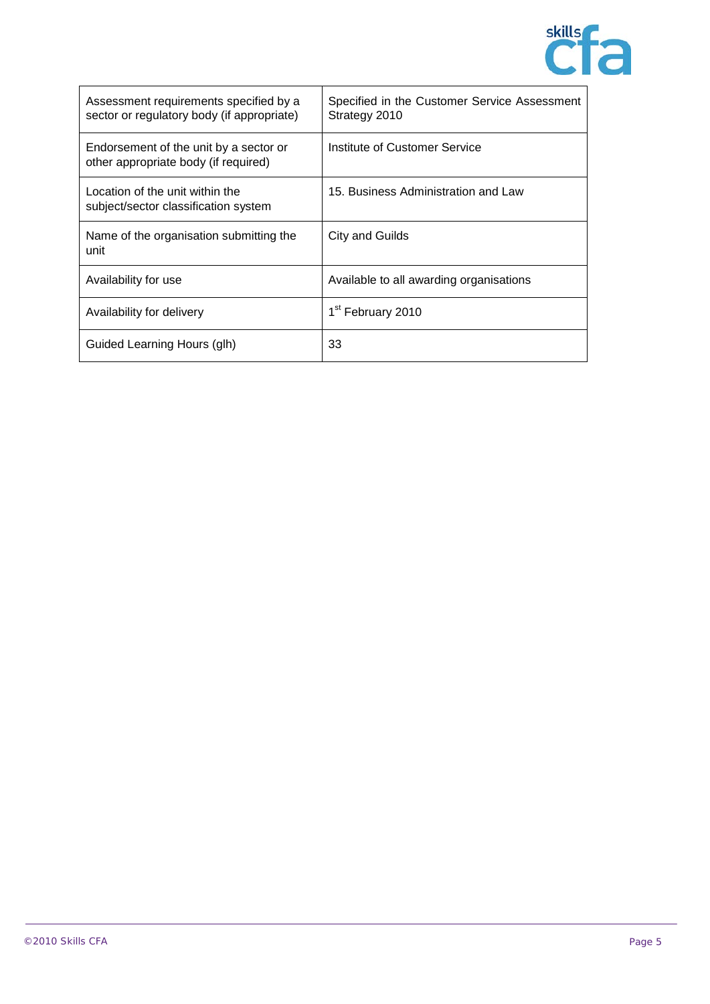

| Assessment requirements specified by a<br>sector or regulatory body (if appropriate) | Specified in the Customer Service Assessment<br>Strategy 2010 |
|--------------------------------------------------------------------------------------|---------------------------------------------------------------|
| Endorsement of the unit by a sector or<br>other appropriate body (if required)       | Institute of Customer Service                                 |
| Location of the unit within the<br>subject/sector classification system              | 15. Business Administration and Law                           |
| Name of the organisation submitting the<br>unit                                      | City and Guilds                                               |
| Availability for use                                                                 | Available to all awarding organisations                       |
| Availability for delivery                                                            | 1 <sup>st</sup> February 2010                                 |
| Guided Learning Hours (glh)                                                          | 33                                                            |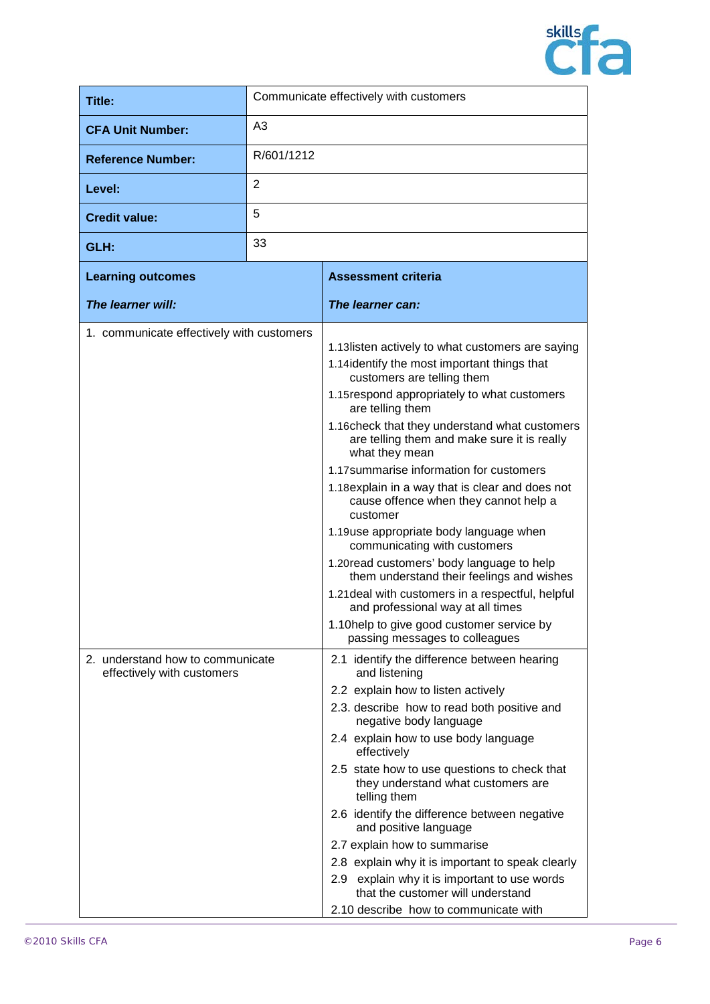

| Title:                                                                                                      |                | Communicate effectively with customers                                                                                                                                                                                                                                                                                                                                                                                                                                                                                                                                                                                                                                                                                                                                                                                                                                                                                                                                                                                                                                                                                                                                                                                                                                                                                                                                                                                                                           |
|-------------------------------------------------------------------------------------------------------------|----------------|------------------------------------------------------------------------------------------------------------------------------------------------------------------------------------------------------------------------------------------------------------------------------------------------------------------------------------------------------------------------------------------------------------------------------------------------------------------------------------------------------------------------------------------------------------------------------------------------------------------------------------------------------------------------------------------------------------------------------------------------------------------------------------------------------------------------------------------------------------------------------------------------------------------------------------------------------------------------------------------------------------------------------------------------------------------------------------------------------------------------------------------------------------------------------------------------------------------------------------------------------------------------------------------------------------------------------------------------------------------------------------------------------------------------------------------------------------------|
| <b>CFA Unit Number:</b>                                                                                     | A <sub>3</sub> |                                                                                                                                                                                                                                                                                                                                                                                                                                                                                                                                                                                                                                                                                                                                                                                                                                                                                                                                                                                                                                                                                                                                                                                                                                                                                                                                                                                                                                                                  |
| <b>Reference Number:</b>                                                                                    | R/601/1212     |                                                                                                                                                                                                                                                                                                                                                                                                                                                                                                                                                                                                                                                                                                                                                                                                                                                                                                                                                                                                                                                                                                                                                                                                                                                                                                                                                                                                                                                                  |
| Level:                                                                                                      | 2              |                                                                                                                                                                                                                                                                                                                                                                                                                                                                                                                                                                                                                                                                                                                                                                                                                                                                                                                                                                                                                                                                                                                                                                                                                                                                                                                                                                                                                                                                  |
| <b>Credit value:</b>                                                                                        | 5              |                                                                                                                                                                                                                                                                                                                                                                                                                                                                                                                                                                                                                                                                                                                                                                                                                                                                                                                                                                                                                                                                                                                                                                                                                                                                                                                                                                                                                                                                  |
| GLH:                                                                                                        | 33             |                                                                                                                                                                                                                                                                                                                                                                                                                                                                                                                                                                                                                                                                                                                                                                                                                                                                                                                                                                                                                                                                                                                                                                                                                                                                                                                                                                                                                                                                  |
| <b>Learning outcomes</b>                                                                                    |                | <b>Assessment criteria</b>                                                                                                                                                                                                                                                                                                                                                                                                                                                                                                                                                                                                                                                                                                                                                                                                                                                                                                                                                                                                                                                                                                                                                                                                                                                                                                                                                                                                                                       |
| The learner will:                                                                                           |                | The learner can:                                                                                                                                                                                                                                                                                                                                                                                                                                                                                                                                                                                                                                                                                                                                                                                                                                                                                                                                                                                                                                                                                                                                                                                                                                                                                                                                                                                                                                                 |
| 1. communicate effectively with customers<br>2. understand how to communicate<br>effectively with customers |                | 1.13 listen actively to what customers are saying<br>1.14 identify the most important things that<br>customers are telling them<br>1.15 respond appropriately to what customers<br>are telling them<br>1.16 check that they understand what customers<br>are telling them and make sure it is really<br>what they mean<br>1.17 summarise information for customers<br>1.18 explain in a way that is clear and does not<br>cause offence when they cannot help a<br>customer<br>1.19use appropriate body language when<br>communicating with customers<br>1.20 read customers' body language to help<br>them understand their feelings and wishes<br>1.21 deal with customers in a respectful, helpful<br>and professional way at all times<br>1.10help to give good customer service by<br>passing messages to colleagues<br>2.1 identify the difference between hearing<br>and listening<br>2.2 explain how to listen actively<br>2.3. describe how to read both positive and<br>negative body language<br>2.4 explain how to use body language<br>effectively<br>2.5 state how to use questions to check that<br>they understand what customers are<br>telling them<br>2.6 identify the difference between negative<br>and positive language<br>2.7 explain how to summarise<br>2.8 explain why it is important to speak clearly<br>2.9 explain why it is important to use words<br>that the customer will understand<br>2.10 describe how to communicate with |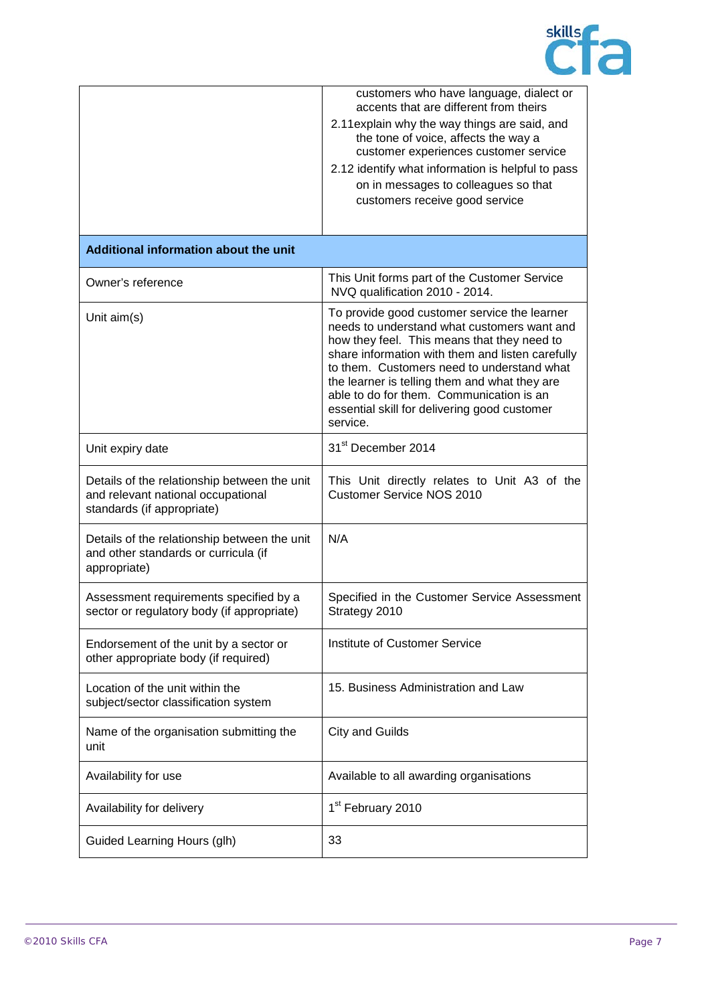

|                                                                                                                  | customers who have language, dialect or<br>accents that are different from theirs<br>2.11 explain why the way things are said, and<br>the tone of voice, affects the way a<br>customer experiences customer service<br>2.12 identify what information is helpful to pass<br>on in messages to colleagues so that<br>customers receive good service                                                    |
|------------------------------------------------------------------------------------------------------------------|-------------------------------------------------------------------------------------------------------------------------------------------------------------------------------------------------------------------------------------------------------------------------------------------------------------------------------------------------------------------------------------------------------|
| Additional information about the unit                                                                            |                                                                                                                                                                                                                                                                                                                                                                                                       |
| Owner's reference                                                                                                | This Unit forms part of the Customer Service<br>NVQ qualification 2010 - 2014.                                                                                                                                                                                                                                                                                                                        |
| Unit aim(s)                                                                                                      | To provide good customer service the learner<br>needs to understand what customers want and<br>how they feel. This means that they need to<br>share information with them and listen carefully<br>to them. Customers need to understand what<br>the learner is telling them and what they are<br>able to do for them. Communication is an<br>essential skill for delivering good customer<br>service. |
| Unit expiry date                                                                                                 | 31 <sup>st</sup> December 2014                                                                                                                                                                                                                                                                                                                                                                        |
| Details of the relationship between the unit<br>and relevant national occupational<br>standards (if appropriate) | This Unit directly relates to Unit A3 of the<br><b>Customer Service NOS 2010</b>                                                                                                                                                                                                                                                                                                                      |
| Details of the relationship between the unit<br>and other standards or curricula (if<br>appropriate)             | N/A                                                                                                                                                                                                                                                                                                                                                                                                   |
| Assessment requirements specified by a<br>sector or regulatory body (if appropriate)                             | Specified in the Customer Service Assessment<br>Strategy 2010                                                                                                                                                                                                                                                                                                                                         |
| Endorsement of the unit by a sector or<br>other appropriate body (if required)                                   | Institute of Customer Service                                                                                                                                                                                                                                                                                                                                                                         |
| Location of the unit within the<br>subject/sector classification system                                          | 15. Business Administration and Law                                                                                                                                                                                                                                                                                                                                                                   |
| Name of the organisation submitting the<br>unit                                                                  | City and Guilds                                                                                                                                                                                                                                                                                                                                                                                       |
| Availability for use                                                                                             | Available to all awarding organisations                                                                                                                                                                                                                                                                                                                                                               |
| Availability for delivery                                                                                        | 1 <sup>st</sup> February 2010                                                                                                                                                                                                                                                                                                                                                                         |
| Guided Learning Hours (glh)                                                                                      | 33                                                                                                                                                                                                                                                                                                                                                                                                    |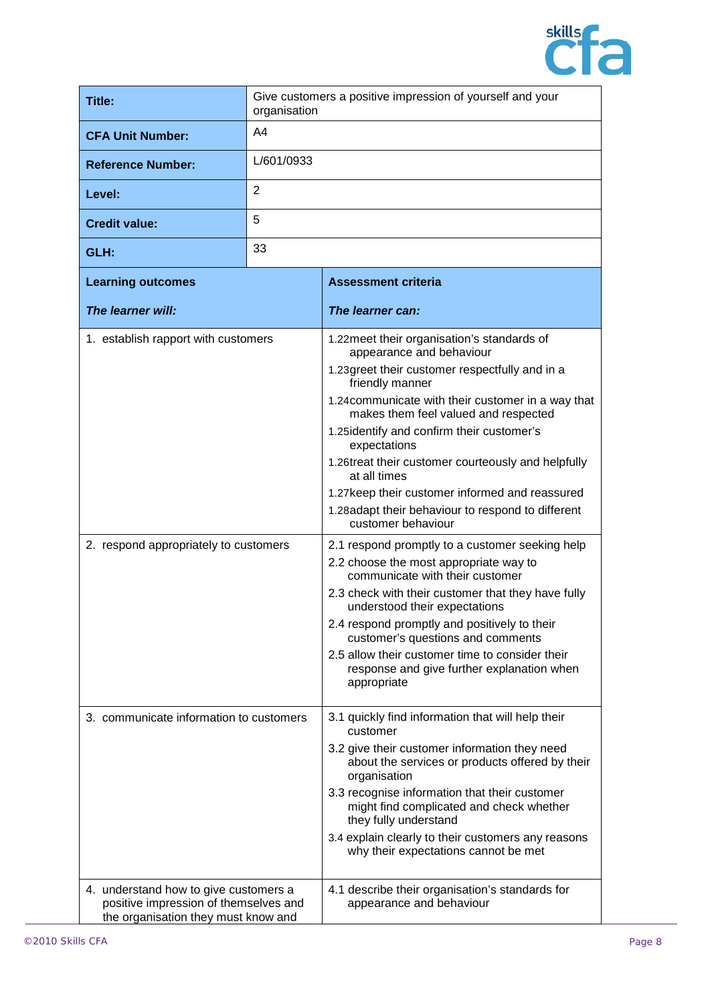

| Title:                                                                                                                | Give customers a positive impression of yourself and your<br>organisation |                                                                                                                                                                                                                                                                                                                                                                                                                                                                                                                                                                                                                                                                                                                                                                                                                                                                                                                                           |
|-----------------------------------------------------------------------------------------------------------------------|---------------------------------------------------------------------------|-------------------------------------------------------------------------------------------------------------------------------------------------------------------------------------------------------------------------------------------------------------------------------------------------------------------------------------------------------------------------------------------------------------------------------------------------------------------------------------------------------------------------------------------------------------------------------------------------------------------------------------------------------------------------------------------------------------------------------------------------------------------------------------------------------------------------------------------------------------------------------------------------------------------------------------------|
| <b>CFA Unit Number:</b>                                                                                               | A <sub>4</sub>                                                            |                                                                                                                                                                                                                                                                                                                                                                                                                                                                                                                                                                                                                                                                                                                                                                                                                                                                                                                                           |
| <b>Reference Number:</b>                                                                                              | L/601/0933                                                                |                                                                                                                                                                                                                                                                                                                                                                                                                                                                                                                                                                                                                                                                                                                                                                                                                                                                                                                                           |
| Level:                                                                                                                | $\overline{2}$                                                            |                                                                                                                                                                                                                                                                                                                                                                                                                                                                                                                                                                                                                                                                                                                                                                                                                                                                                                                                           |
| <b>Credit value:</b>                                                                                                  | 5                                                                         |                                                                                                                                                                                                                                                                                                                                                                                                                                                                                                                                                                                                                                                                                                                                                                                                                                                                                                                                           |
| GLH:                                                                                                                  | 33                                                                        |                                                                                                                                                                                                                                                                                                                                                                                                                                                                                                                                                                                                                                                                                                                                                                                                                                                                                                                                           |
| <b>Learning outcomes</b>                                                                                              |                                                                           | <b>Assessment criteria</b>                                                                                                                                                                                                                                                                                                                                                                                                                                                                                                                                                                                                                                                                                                                                                                                                                                                                                                                |
| The learner will:                                                                                                     |                                                                           | The learner can:                                                                                                                                                                                                                                                                                                                                                                                                                                                                                                                                                                                                                                                                                                                                                                                                                                                                                                                          |
| 1. establish rapport with customers<br>2. respond appropriately to customers                                          |                                                                           | 1.22 meet their organisation's standards of<br>appearance and behaviour<br>1.23 greet their customer respectfully and in a<br>friendly manner<br>1.24 communicate with their customer in a way that<br>makes them feel valued and respected<br>1.25 identify and confirm their customer's<br>expectations<br>1.26treat their customer courteously and helpfully<br>at all times<br>1.27 keep their customer informed and reassured<br>1.28adapt their behaviour to respond to different<br>customer behaviour<br>2.1 respond promptly to a customer seeking help<br>2.2 choose the most appropriate way to<br>communicate with their customer<br>2.3 check with their customer that they have fully<br>understood their expectations<br>2.4 respond promptly and positively to their<br>customer's questions and comments<br>2.5 allow their customer time to consider their<br>response and give further explanation when<br>appropriate |
| 3. communicate information to customers                                                                               |                                                                           | 3.1 quickly find information that will help their<br>customer<br>3.2 give their customer information they need<br>about the services or products offered by their<br>organisation<br>3.3 recognise information that their customer<br>might find complicated and check whether<br>they fully understand<br>3.4 explain clearly to their customers any reasons<br>why their expectations cannot be met                                                                                                                                                                                                                                                                                                                                                                                                                                                                                                                                     |
| 4. understand how to give customers a<br>positive impression of themselves and<br>the organisation they must know and |                                                                           | 4.1 describe their organisation's standards for<br>appearance and behaviour                                                                                                                                                                                                                                                                                                                                                                                                                                                                                                                                                                                                                                                                                                                                                                                                                                                               |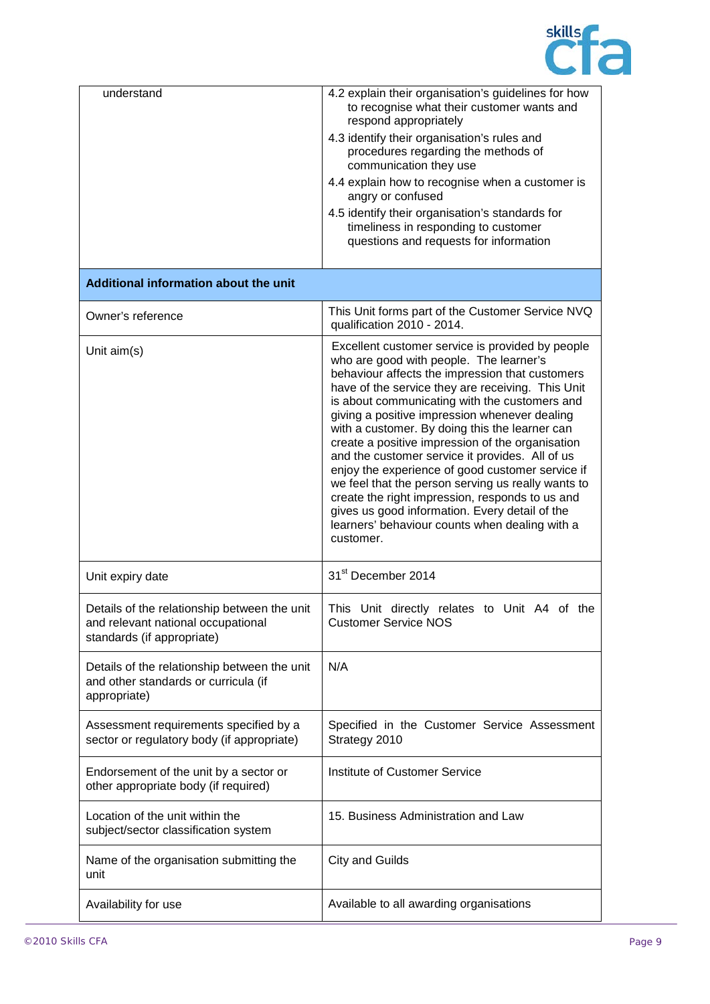

| understand                                                                                                       | 4.2 explain their organisation's guidelines for how<br>to recognise what their customer wants and<br>respond appropriately<br>4.3 identify their organisation's rules and<br>procedures regarding the methods of<br>communication they use<br>4.4 explain how to recognise when a customer is<br>angry or confused<br>4.5 identify their organisation's standards for<br>timeliness in responding to customer<br>questions and requests for information                                                                                                                                                                                                                                                                                      |
|------------------------------------------------------------------------------------------------------------------|----------------------------------------------------------------------------------------------------------------------------------------------------------------------------------------------------------------------------------------------------------------------------------------------------------------------------------------------------------------------------------------------------------------------------------------------------------------------------------------------------------------------------------------------------------------------------------------------------------------------------------------------------------------------------------------------------------------------------------------------|
| Additional information about the unit                                                                            |                                                                                                                                                                                                                                                                                                                                                                                                                                                                                                                                                                                                                                                                                                                                              |
| Owner's reference                                                                                                | This Unit forms part of the Customer Service NVQ<br>qualification 2010 - 2014.                                                                                                                                                                                                                                                                                                                                                                                                                                                                                                                                                                                                                                                               |
| Unit aim(s)                                                                                                      | Excellent customer service is provided by people<br>who are good with people. The learner's<br>behaviour affects the impression that customers<br>have of the service they are receiving. This Unit<br>is about communicating with the customers and<br>giving a positive impression whenever dealing<br>with a customer. By doing this the learner can<br>create a positive impression of the organisation<br>and the customer service it provides. All of us<br>enjoy the experience of good customer service if<br>we feel that the person serving us really wants to<br>create the right impression, responds to us and<br>gives us good information. Every detail of the<br>learners' behaviour counts when dealing with a<br>customer. |
| Unit expiry date                                                                                                 | 31 <sup>st</sup> December 2014                                                                                                                                                                                                                                                                                                                                                                                                                                                                                                                                                                                                                                                                                                               |
| Details of the relationship between the unit<br>and relevant national occupational<br>standards (if appropriate) | This Unit directly relates to Unit A4 of the<br><b>Customer Service NOS</b>                                                                                                                                                                                                                                                                                                                                                                                                                                                                                                                                                                                                                                                                  |
| Details of the relationship between the unit<br>and other standards or curricula (if<br>appropriate)             | N/A                                                                                                                                                                                                                                                                                                                                                                                                                                                                                                                                                                                                                                                                                                                                          |
| Assessment requirements specified by a<br>sector or regulatory body (if appropriate)                             | Specified in the Customer Service Assessment<br>Strategy 2010                                                                                                                                                                                                                                                                                                                                                                                                                                                                                                                                                                                                                                                                                |
| Endorsement of the unit by a sector or<br>other appropriate body (if required)                                   | <b>Institute of Customer Service</b>                                                                                                                                                                                                                                                                                                                                                                                                                                                                                                                                                                                                                                                                                                         |
| Location of the unit within the<br>subject/sector classification system                                          | 15. Business Administration and Law                                                                                                                                                                                                                                                                                                                                                                                                                                                                                                                                                                                                                                                                                                          |
| Name of the organisation submitting the<br>unit                                                                  | City and Guilds                                                                                                                                                                                                                                                                                                                                                                                                                                                                                                                                                                                                                                                                                                                              |
| Availability for use                                                                                             | Available to all awarding organisations                                                                                                                                                                                                                                                                                                                                                                                                                                                                                                                                                                                                                                                                                                      |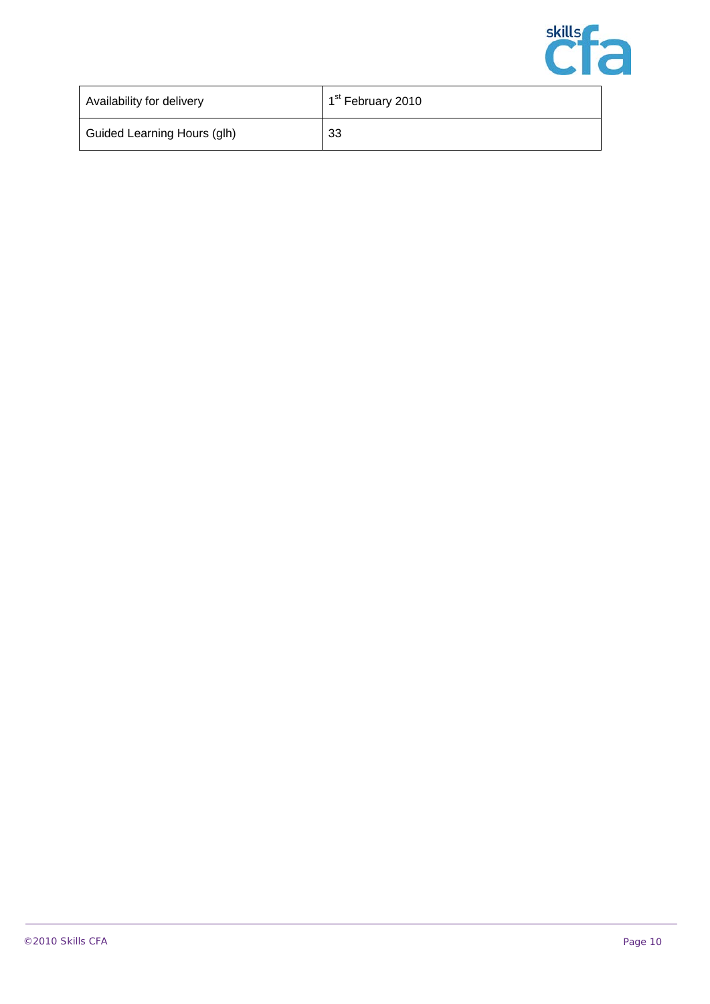

| Availability for delivery   | 1 <sup>st</sup> February 2010 |
|-----------------------------|-------------------------------|
| Guided Learning Hours (glh) | 33                            |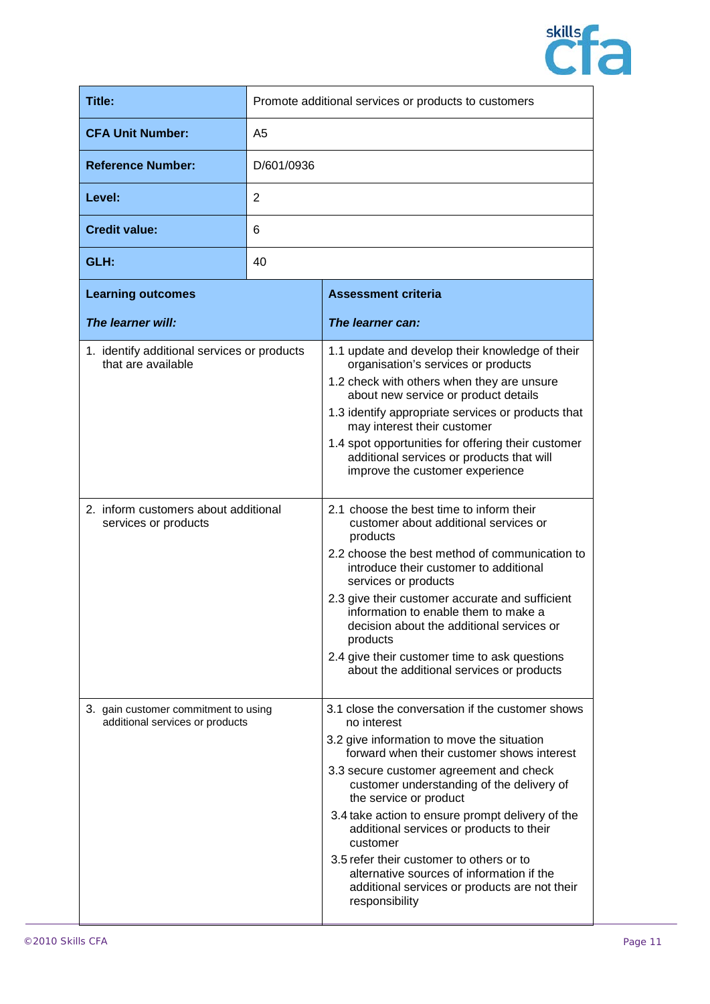

| <b>Title:</b>                                                           | Promote additional services or products to customers |                                                                                                                                                                                                                                                                                                                                                                                                                                                                                                                                                       |
|-------------------------------------------------------------------------|------------------------------------------------------|-------------------------------------------------------------------------------------------------------------------------------------------------------------------------------------------------------------------------------------------------------------------------------------------------------------------------------------------------------------------------------------------------------------------------------------------------------------------------------------------------------------------------------------------------------|
| <b>CFA Unit Number:</b>                                                 | A5                                                   |                                                                                                                                                                                                                                                                                                                                                                                                                                                                                                                                                       |
| <b>Reference Number:</b>                                                | D/601/0936                                           |                                                                                                                                                                                                                                                                                                                                                                                                                                                                                                                                                       |
| Level:                                                                  | 2                                                    |                                                                                                                                                                                                                                                                                                                                                                                                                                                                                                                                                       |
| <b>Credit value:</b>                                                    | 6                                                    |                                                                                                                                                                                                                                                                                                                                                                                                                                                                                                                                                       |
| GLH:                                                                    | 40                                                   |                                                                                                                                                                                                                                                                                                                                                                                                                                                                                                                                                       |
| <b>Learning outcomes</b>                                                |                                                      | <b>Assessment criteria</b>                                                                                                                                                                                                                                                                                                                                                                                                                                                                                                                            |
| The learner will:                                                       |                                                      | The learner can:                                                                                                                                                                                                                                                                                                                                                                                                                                                                                                                                      |
| 1. identify additional services or products<br>that are available       |                                                      | 1.1 update and develop their knowledge of their<br>organisation's services or products<br>1.2 check with others when they are unsure<br>about new service or product details<br>1.3 identify appropriate services or products that<br>may interest their customer<br>1.4 spot opportunities for offering their customer<br>additional services or products that will<br>improve the customer experience                                                                                                                                               |
| 2. inform customers about additional<br>services or products            |                                                      | 2.1 choose the best time to inform their<br>customer about additional services or<br>products<br>2.2 choose the best method of communication to<br>introduce their customer to additional<br>services or products<br>2.3 give their customer accurate and sufficient<br>information to enable them to make a<br>decision about the additional services or<br>products<br>2.4 give their customer time to ask questions<br>about the additional services or products                                                                                   |
| 3. gain customer commitment to using<br>additional services or products |                                                      | 3.1 close the conversation if the customer shows<br>no interest<br>3.2 give information to move the situation<br>forward when their customer shows interest<br>3.3 secure customer agreement and check<br>customer understanding of the delivery of<br>the service or product<br>3.4 take action to ensure prompt delivery of the<br>additional services or products to their<br>customer<br>3.5 refer their customer to others or to<br>alternative sources of information if the<br>additional services or products are not their<br>responsibility |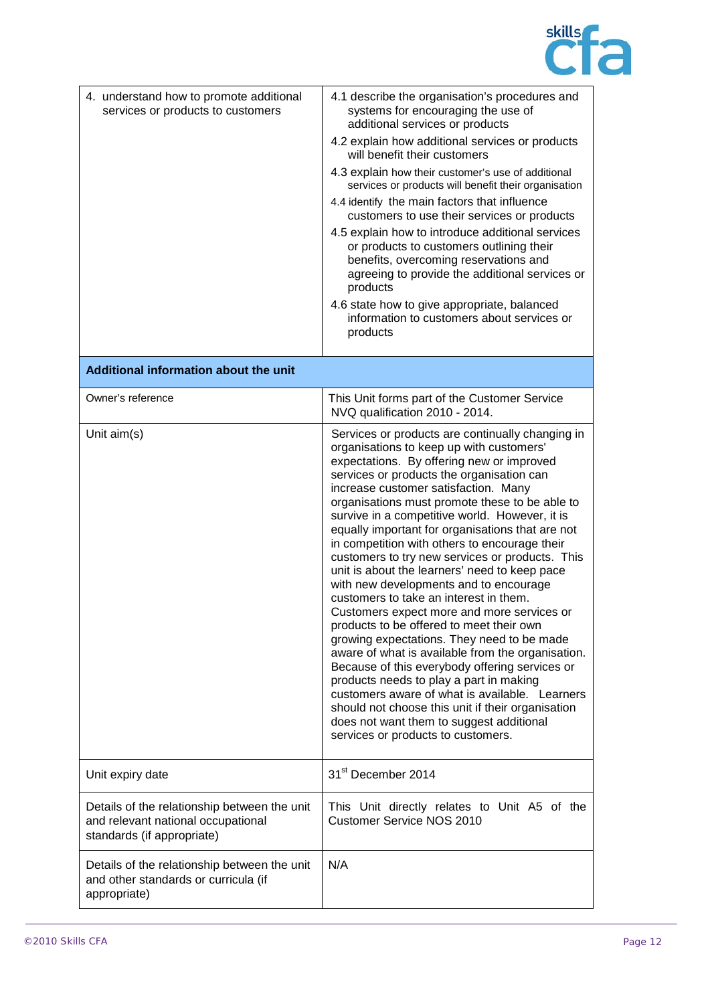

| 4. understand how to promote additional<br>services or products to customers                                     | 4.1 describe the organisation's procedures and<br>systems for encouraging the use of<br>additional services or products<br>4.2 explain how additional services or products<br>will benefit their customers<br>4.3 explain how their customer's use of additional<br>services or products will benefit their organisation<br>4.4 identify the main factors that influence<br>customers to use their services or products<br>4.5 explain how to introduce additional services<br>or products to customers outlining their<br>benefits, overcoming reservations and<br>agreeing to provide the additional services or<br>products<br>4.6 state how to give appropriate, balanced<br>information to customers about services or<br>products                                                                                                                                                                                                                                                                                                                                                                            |
|------------------------------------------------------------------------------------------------------------------|--------------------------------------------------------------------------------------------------------------------------------------------------------------------------------------------------------------------------------------------------------------------------------------------------------------------------------------------------------------------------------------------------------------------------------------------------------------------------------------------------------------------------------------------------------------------------------------------------------------------------------------------------------------------------------------------------------------------------------------------------------------------------------------------------------------------------------------------------------------------------------------------------------------------------------------------------------------------------------------------------------------------------------------------------------------------------------------------------------------------|
| <b>Additional information about the unit</b>                                                                     |                                                                                                                                                                                                                                                                                                                                                                                                                                                                                                                                                                                                                                                                                                                                                                                                                                                                                                                                                                                                                                                                                                                    |
| Owner's reference                                                                                                | This Unit forms part of the Customer Service<br>NVQ qualification 2010 - 2014.                                                                                                                                                                                                                                                                                                                                                                                                                                                                                                                                                                                                                                                                                                                                                                                                                                                                                                                                                                                                                                     |
| Unit aim(s)                                                                                                      | Services or products are continually changing in<br>organisations to keep up with customers'<br>expectations. By offering new or improved<br>services or products the organisation can<br>increase customer satisfaction. Many<br>organisations must promote these to be able to<br>survive in a competitive world. However, it is<br>equally important for organisations that are not<br>in competition with others to encourage their<br>customers to try new services or products. This<br>unit is about the learners' need to keep pace<br>with new developments and to encourage<br>customers to take an interest in them.<br>Customers expect more and more services or<br>products to be offered to meet their own<br>growing expectations. They need to be made<br>aware of what is available from the organisation.<br>Because of this everybody offering services or<br>products needs to play a part in making<br>customers aware of what is available. Learners<br>should not choose this unit if their organisation<br>does not want them to suggest additional<br>services or products to customers. |
| Unit expiry date                                                                                                 | 31 <sup>st</sup> December 2014                                                                                                                                                                                                                                                                                                                                                                                                                                                                                                                                                                                                                                                                                                                                                                                                                                                                                                                                                                                                                                                                                     |
| Details of the relationship between the unit<br>and relevant national occupational<br>standards (if appropriate) | This Unit directly relates to Unit A5 of the<br>Customer Service NOS 2010                                                                                                                                                                                                                                                                                                                                                                                                                                                                                                                                                                                                                                                                                                                                                                                                                                                                                                                                                                                                                                          |
| Details of the relationship between the unit<br>and other standards or curricula (if<br>appropriate)             | N/A                                                                                                                                                                                                                                                                                                                                                                                                                                                                                                                                                                                                                                                                                                                                                                                                                                                                                                                                                                                                                                                                                                                |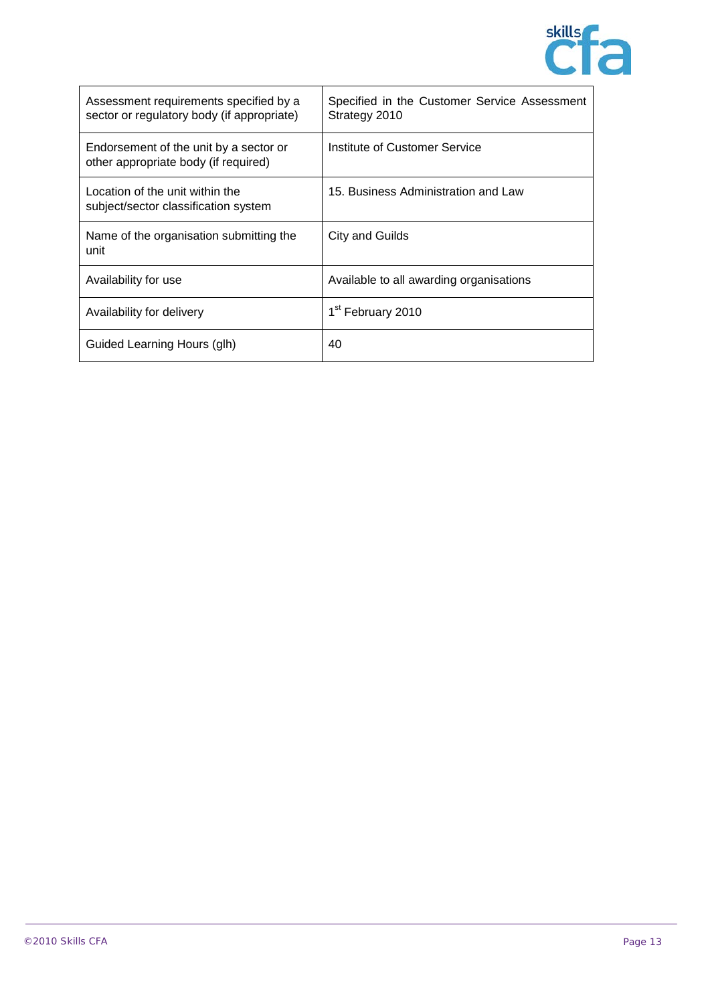

| Assessment requirements specified by a<br>sector or regulatory body (if appropriate) | Specified in the Customer Service Assessment<br>Strategy 2010 |
|--------------------------------------------------------------------------------------|---------------------------------------------------------------|
| Endorsement of the unit by a sector or<br>other appropriate body (if required)       | Institute of Customer Service                                 |
| Location of the unit within the<br>subject/sector classification system              | 15. Business Administration and Law                           |
| Name of the organisation submitting the<br>unit                                      | City and Guilds                                               |
| Availability for use                                                                 | Available to all awarding organisations                       |
| Availability for delivery                                                            | 1 <sup>st</sup> February 2010                                 |
| Guided Learning Hours (glh)                                                          | 40                                                            |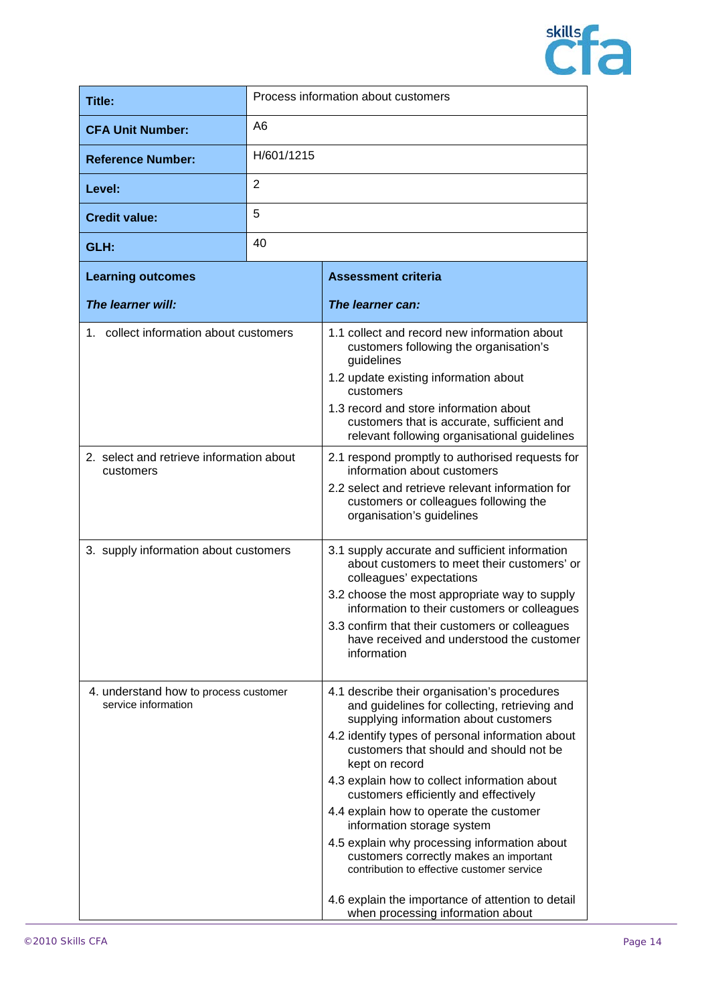

| Title:                                                       | Process information about customers |                                                                                                                                                                                                                                                                                                                                                                                                                                                                                                                                                                                                                                                             |
|--------------------------------------------------------------|-------------------------------------|-------------------------------------------------------------------------------------------------------------------------------------------------------------------------------------------------------------------------------------------------------------------------------------------------------------------------------------------------------------------------------------------------------------------------------------------------------------------------------------------------------------------------------------------------------------------------------------------------------------------------------------------------------------|
| <b>CFA Unit Number:</b>                                      | A6                                  |                                                                                                                                                                                                                                                                                                                                                                                                                                                                                                                                                                                                                                                             |
| <b>Reference Number:</b>                                     | H/601/1215                          |                                                                                                                                                                                                                                                                                                                                                                                                                                                                                                                                                                                                                                                             |
| Level:                                                       | $\overline{2}$                      |                                                                                                                                                                                                                                                                                                                                                                                                                                                                                                                                                                                                                                                             |
| <b>Credit value:</b>                                         | 5                                   |                                                                                                                                                                                                                                                                                                                                                                                                                                                                                                                                                                                                                                                             |
| GLH:                                                         | 40                                  |                                                                                                                                                                                                                                                                                                                                                                                                                                                                                                                                                                                                                                                             |
| <b>Learning outcomes</b>                                     |                                     | <b>Assessment criteria</b>                                                                                                                                                                                                                                                                                                                                                                                                                                                                                                                                                                                                                                  |
| The learner will:                                            |                                     | The learner can:                                                                                                                                                                                                                                                                                                                                                                                                                                                                                                                                                                                                                                            |
| 1. collect information about customers                       |                                     | 1.1 collect and record new information about<br>customers following the organisation's<br>guidelines<br>1.2 update existing information about<br>customers<br>1.3 record and store information about<br>customers that is accurate, sufficient and<br>relevant following organisational guidelines                                                                                                                                                                                                                                                                                                                                                          |
| 2. select and retrieve information about<br>customers        |                                     | 2.1 respond promptly to authorised requests for<br>information about customers<br>2.2 select and retrieve relevant information for<br>customers or colleagues following the<br>organisation's guidelines                                                                                                                                                                                                                                                                                                                                                                                                                                                    |
| 3. supply information about customers                        |                                     | 3.1 supply accurate and sufficient information<br>about customers to meet their customers' or<br>colleagues' expectations<br>3.2 choose the most appropriate way to supply<br>information to their customers or colleagues<br>3.3 confirm that their customers or colleagues<br>have received and understood the customer<br>information                                                                                                                                                                                                                                                                                                                    |
| 4. understand how to process customer<br>service information |                                     | 4.1 describe their organisation's procedures<br>and guidelines for collecting, retrieving and<br>supplying information about customers<br>4.2 identify types of personal information about<br>customers that should and should not be<br>kept on record<br>4.3 explain how to collect information about<br>customers efficiently and effectively<br>4.4 explain how to operate the customer<br>information storage system<br>4.5 explain why processing information about<br>customers correctly makes an important<br>contribution to effective customer service<br>4.6 explain the importance of attention to detail<br>when processing information about |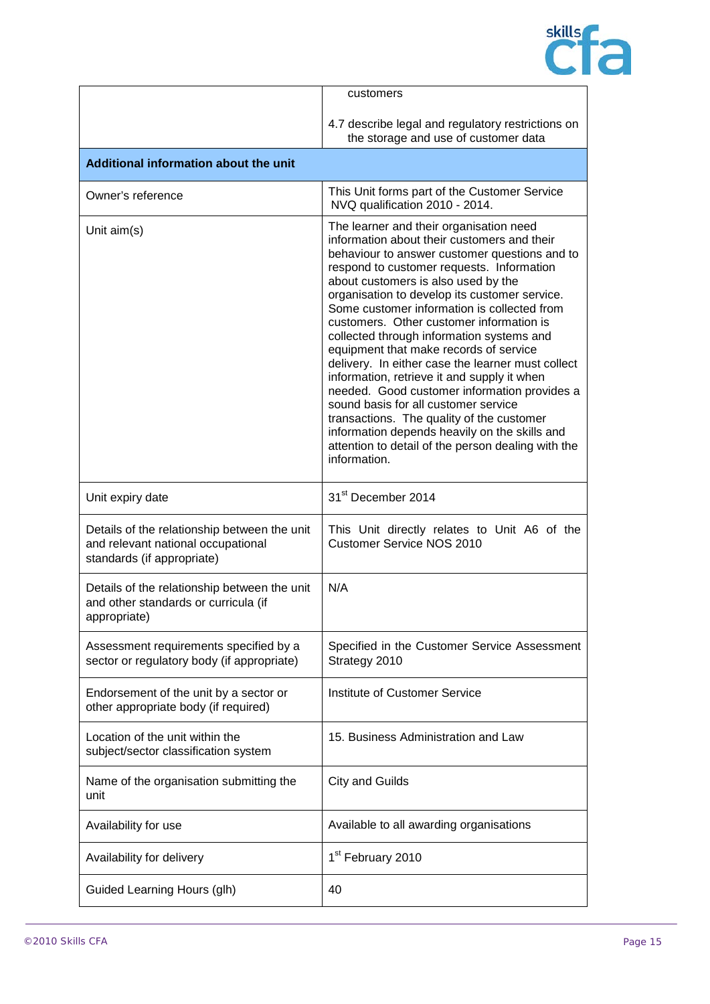

|                                                                                                                  | customers                                                                                                                                                                                                                                                                                                                                                                                                                                                                                                                                                                                                                                                                                                                                                                                                                      |
|------------------------------------------------------------------------------------------------------------------|--------------------------------------------------------------------------------------------------------------------------------------------------------------------------------------------------------------------------------------------------------------------------------------------------------------------------------------------------------------------------------------------------------------------------------------------------------------------------------------------------------------------------------------------------------------------------------------------------------------------------------------------------------------------------------------------------------------------------------------------------------------------------------------------------------------------------------|
|                                                                                                                  | 4.7 describe legal and regulatory restrictions on<br>the storage and use of customer data                                                                                                                                                                                                                                                                                                                                                                                                                                                                                                                                                                                                                                                                                                                                      |
| Additional information about the unit                                                                            |                                                                                                                                                                                                                                                                                                                                                                                                                                                                                                                                                                                                                                                                                                                                                                                                                                |
| Owner's reference                                                                                                | This Unit forms part of the Customer Service<br>NVQ qualification 2010 - 2014.                                                                                                                                                                                                                                                                                                                                                                                                                                                                                                                                                                                                                                                                                                                                                 |
| Unit aim(s)                                                                                                      | The learner and their organisation need<br>information about their customers and their<br>behaviour to answer customer questions and to<br>respond to customer requests. Information<br>about customers is also used by the<br>organisation to develop its customer service.<br>Some customer information is collected from<br>customers. Other customer information is<br>collected through information systems and<br>equipment that make records of service<br>delivery. In either case the learner must collect<br>information, retrieve it and supply it when<br>needed. Good customer information provides a<br>sound basis for all customer service<br>transactions. The quality of the customer<br>information depends heavily on the skills and<br>attention to detail of the person dealing with the<br>information. |
| Unit expiry date                                                                                                 | 31 <sup>st</sup> December 2014                                                                                                                                                                                                                                                                                                                                                                                                                                                                                                                                                                                                                                                                                                                                                                                                 |
| Details of the relationship between the unit<br>and relevant national occupational<br>standards (if appropriate) | This Unit directly relates to Unit A6 of the<br><b>Customer Service NOS 2010</b>                                                                                                                                                                                                                                                                                                                                                                                                                                                                                                                                                                                                                                                                                                                                               |
| Details of the relationship between the unit<br>and other standards or curricula (if<br>appropriate)             | N/A                                                                                                                                                                                                                                                                                                                                                                                                                                                                                                                                                                                                                                                                                                                                                                                                                            |
| Assessment requirements specified by a<br>sector or regulatory body (if appropriate)                             | Specified in the Customer Service Assessment<br>Strategy 2010                                                                                                                                                                                                                                                                                                                                                                                                                                                                                                                                                                                                                                                                                                                                                                  |
| Endorsement of the unit by a sector or<br>other appropriate body (if required)                                   | <b>Institute of Customer Service</b>                                                                                                                                                                                                                                                                                                                                                                                                                                                                                                                                                                                                                                                                                                                                                                                           |
| Location of the unit within the<br>subject/sector classification system                                          | 15. Business Administration and Law                                                                                                                                                                                                                                                                                                                                                                                                                                                                                                                                                                                                                                                                                                                                                                                            |
| Name of the organisation submitting the<br>unit                                                                  | <b>City and Guilds</b>                                                                                                                                                                                                                                                                                                                                                                                                                                                                                                                                                                                                                                                                                                                                                                                                         |
| Availability for use                                                                                             | Available to all awarding organisations                                                                                                                                                                                                                                                                                                                                                                                                                                                                                                                                                                                                                                                                                                                                                                                        |
| Availability for delivery                                                                                        | 1 <sup>st</sup> February 2010                                                                                                                                                                                                                                                                                                                                                                                                                                                                                                                                                                                                                                                                                                                                                                                                  |
| Guided Learning Hours (glh)                                                                                      | 40                                                                                                                                                                                                                                                                                                                                                                                                                                                                                                                                                                                                                                                                                                                                                                                                                             |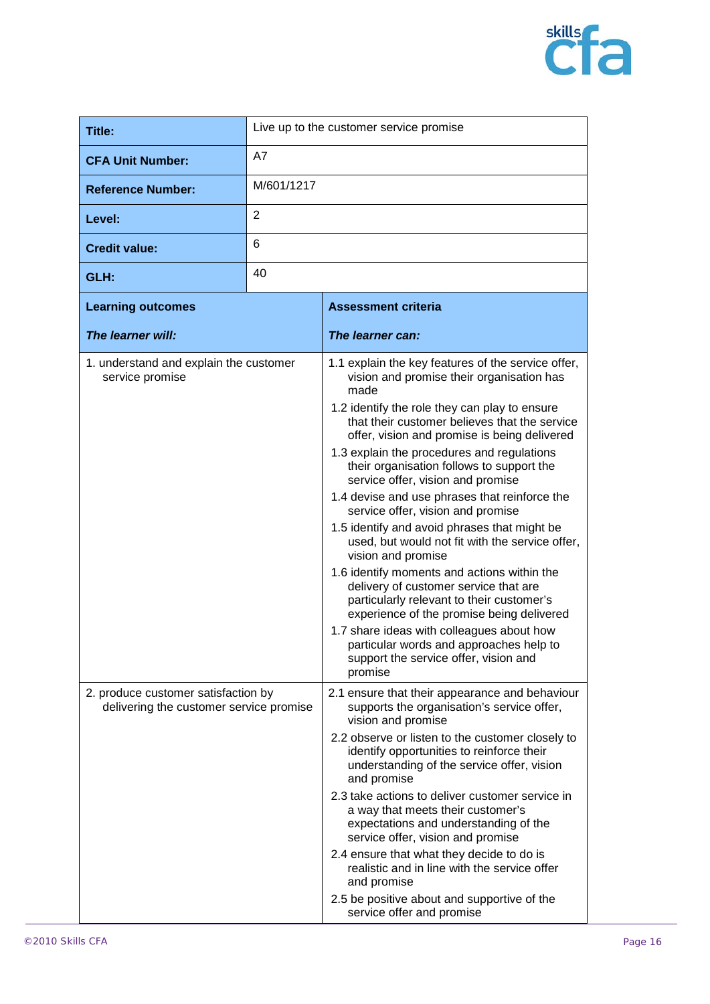

| Title:                                                                         |            | Live up to the customer service promise                                                                                                                                                                                                                                                                                                                                                                                                                                                                                                                                                                                                                                                                                                                                                                                                                                                                                                |
|--------------------------------------------------------------------------------|------------|----------------------------------------------------------------------------------------------------------------------------------------------------------------------------------------------------------------------------------------------------------------------------------------------------------------------------------------------------------------------------------------------------------------------------------------------------------------------------------------------------------------------------------------------------------------------------------------------------------------------------------------------------------------------------------------------------------------------------------------------------------------------------------------------------------------------------------------------------------------------------------------------------------------------------------------|
| <b>CFA Unit Number:</b>                                                        | A7         |                                                                                                                                                                                                                                                                                                                                                                                                                                                                                                                                                                                                                                                                                                                                                                                                                                                                                                                                        |
| <b>Reference Number:</b>                                                       | M/601/1217 |                                                                                                                                                                                                                                                                                                                                                                                                                                                                                                                                                                                                                                                                                                                                                                                                                                                                                                                                        |
| Level:                                                                         | 2          |                                                                                                                                                                                                                                                                                                                                                                                                                                                                                                                                                                                                                                                                                                                                                                                                                                                                                                                                        |
| <b>Credit value:</b>                                                           | 6          |                                                                                                                                                                                                                                                                                                                                                                                                                                                                                                                                                                                                                                                                                                                                                                                                                                                                                                                                        |
| GLH:                                                                           | 40         |                                                                                                                                                                                                                                                                                                                                                                                                                                                                                                                                                                                                                                                                                                                                                                                                                                                                                                                                        |
| <b>Learning outcomes</b>                                                       |            | <b>Assessment criteria</b>                                                                                                                                                                                                                                                                                                                                                                                                                                                                                                                                                                                                                                                                                                                                                                                                                                                                                                             |
| The learner will:                                                              |            | The learner can:                                                                                                                                                                                                                                                                                                                                                                                                                                                                                                                                                                                                                                                                                                                                                                                                                                                                                                                       |
| 1. understand and explain the customer<br>service promise                      |            | 1.1 explain the key features of the service offer,<br>vision and promise their organisation has<br>made<br>1.2 identify the role they can play to ensure<br>that their customer believes that the service<br>offer, vision and promise is being delivered<br>1.3 explain the procedures and regulations<br>their organisation follows to support the<br>service offer, vision and promise<br>1.4 devise and use phrases that reinforce the<br>service offer, vision and promise<br>1.5 identify and avoid phrases that might be<br>used, but would not fit with the service offer,<br>vision and promise<br>1.6 identify moments and actions within the<br>delivery of customer service that are<br>particularly relevant to their customer's<br>experience of the promise being delivered<br>1.7 share ideas with colleagues about how<br>particular words and approaches help to<br>support the service offer, vision and<br>promise |
| 2. produce customer satisfaction by<br>delivering the customer service promise |            | 2.1 ensure that their appearance and behaviour<br>supports the organisation's service offer,<br>vision and promise<br>2.2 observe or listen to the customer closely to<br>identify opportunities to reinforce their<br>understanding of the service offer, vision<br>and promise<br>2.3 take actions to deliver customer service in<br>a way that meets their customer's<br>expectations and understanding of the<br>service offer, vision and promise<br>2.4 ensure that what they decide to do is<br>realistic and in line with the service offer<br>and promise<br>2.5 be positive about and supportive of the<br>service offer and promise                                                                                                                                                                                                                                                                                         |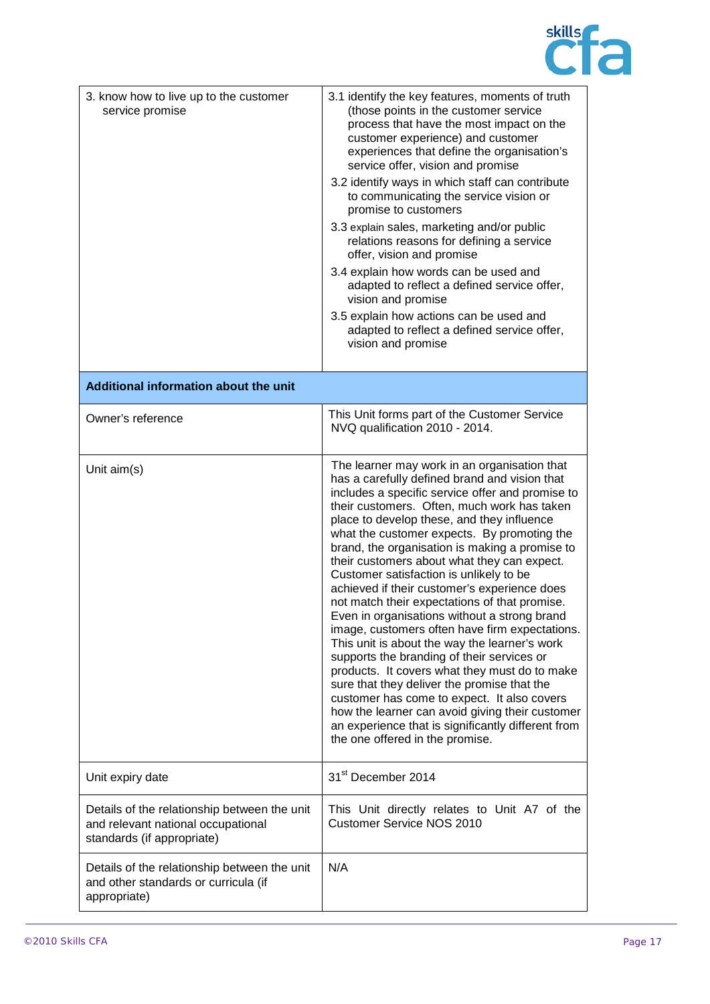

| 3. know how to live up to the customer<br>service promise                                                        | 3.1 identify the key features, moments of truth<br>(those points in the customer service<br>process that have the most impact on the<br>customer experience) and customer<br>experiences that define the organisation's<br>service offer, vision and promise<br>3.2 identify ways in which staff can contribute<br>to communicating the service vision or<br>promise to customers<br>3.3 explain sales, marketing and/or public<br>relations reasons for defining a service<br>offer, vision and promise<br>3.4 explain how words can be used and<br>adapted to reflect a defined service offer,<br>vision and promise<br>3.5 explain how actions can be used and<br>adapted to reflect a defined service offer,<br>vision and promise                                                                                                                                                                                                                                                                                                 |
|------------------------------------------------------------------------------------------------------------------|----------------------------------------------------------------------------------------------------------------------------------------------------------------------------------------------------------------------------------------------------------------------------------------------------------------------------------------------------------------------------------------------------------------------------------------------------------------------------------------------------------------------------------------------------------------------------------------------------------------------------------------------------------------------------------------------------------------------------------------------------------------------------------------------------------------------------------------------------------------------------------------------------------------------------------------------------------------------------------------------------------------------------------------|
| Additional information about the unit                                                                            |                                                                                                                                                                                                                                                                                                                                                                                                                                                                                                                                                                                                                                                                                                                                                                                                                                                                                                                                                                                                                                        |
| Owner's reference                                                                                                | This Unit forms part of the Customer Service<br>NVQ qualification 2010 - 2014.                                                                                                                                                                                                                                                                                                                                                                                                                                                                                                                                                                                                                                                                                                                                                                                                                                                                                                                                                         |
| Unit aim(s)                                                                                                      | The learner may work in an organisation that<br>has a carefully defined brand and vision that<br>includes a specific service offer and promise to<br>their customers. Often, much work has taken<br>place to develop these, and they influence<br>what the customer expects. By promoting the<br>brand, the organisation is making a promise to<br>their customers about what they can expect.<br>Customer satisfaction is unlikely to be<br>achieved if their customer's experience does<br>not match their expectations of that promise.<br>Even in organisations without a strong brand<br>image, customers often have firm expectations.<br>This unit is about the way the learner's work<br>supports the branding of their services or<br>products. It covers what they must do to make<br>sure that they deliver the promise that the<br>customer has come to expect. It also covers<br>how the learner can avoid giving their customer<br>an experience that is significantly different from<br>the one offered in the promise. |
| Unit expiry date                                                                                                 | 31 <sup>st</sup> December 2014                                                                                                                                                                                                                                                                                                                                                                                                                                                                                                                                                                                                                                                                                                                                                                                                                                                                                                                                                                                                         |
| Details of the relationship between the unit<br>and relevant national occupational<br>standards (if appropriate) | This Unit directly relates to Unit A7 of the<br><b>Customer Service NOS 2010</b>                                                                                                                                                                                                                                                                                                                                                                                                                                                                                                                                                                                                                                                                                                                                                                                                                                                                                                                                                       |
| Details of the relationship between the unit<br>and other standards or curricula (if<br>appropriate)             | N/A                                                                                                                                                                                                                                                                                                                                                                                                                                                                                                                                                                                                                                                                                                                                                                                                                                                                                                                                                                                                                                    |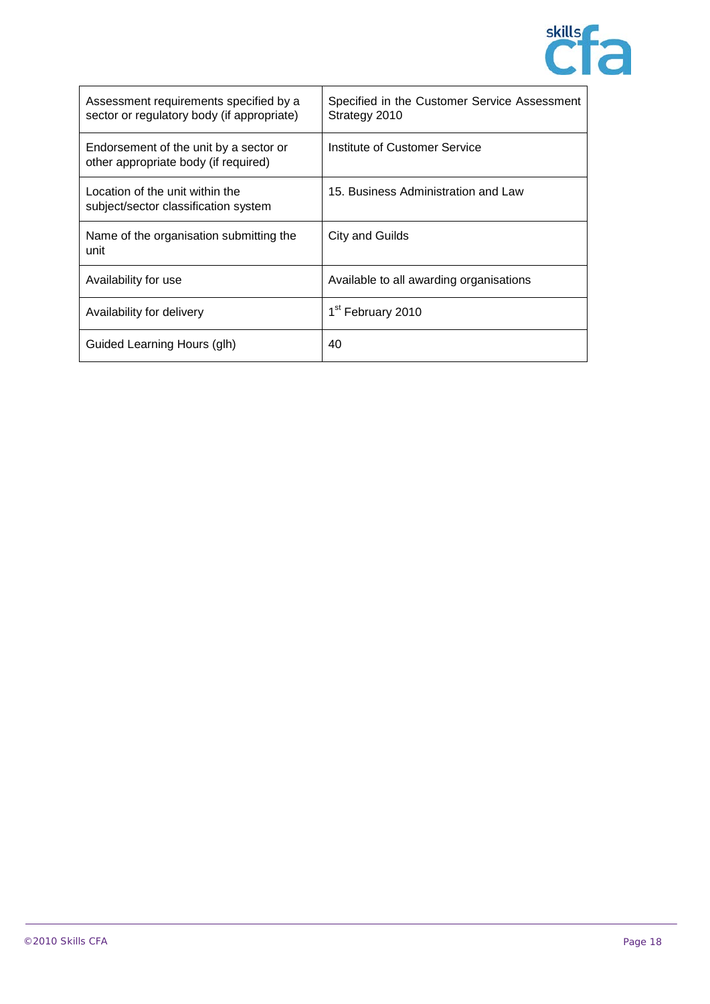

| Assessment requirements specified by a<br>sector or regulatory body (if appropriate) | Specified in the Customer Service Assessment<br>Strategy 2010 |
|--------------------------------------------------------------------------------------|---------------------------------------------------------------|
| Endorsement of the unit by a sector or<br>other appropriate body (if required)       | Institute of Customer Service                                 |
| Location of the unit within the<br>subject/sector classification system              | 15. Business Administration and Law                           |
| Name of the organisation submitting the<br>unit                                      | City and Guilds                                               |
| Availability for use                                                                 | Available to all awarding organisations                       |
| Availability for delivery                                                            | 1 <sup>st</sup> February 2010                                 |
| Guided Learning Hours (glh)                                                          | 40                                                            |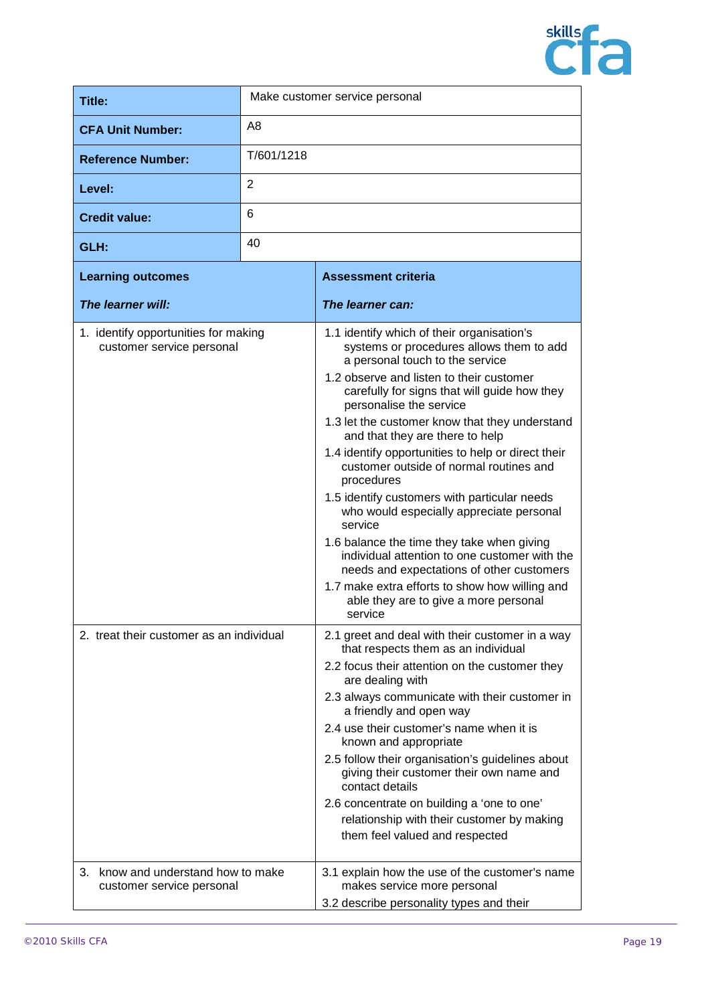

| Title:                                                                                                        |                | Make customer service personal                                                                                                                                                                                                                                                                                                                                                                                                                                                                                                                                                                                                                                                                                                                                                                                                                                                                                                                                                                                                                                                                                                                                                                                                                                                                                                                                                  |
|---------------------------------------------------------------------------------------------------------------|----------------|---------------------------------------------------------------------------------------------------------------------------------------------------------------------------------------------------------------------------------------------------------------------------------------------------------------------------------------------------------------------------------------------------------------------------------------------------------------------------------------------------------------------------------------------------------------------------------------------------------------------------------------------------------------------------------------------------------------------------------------------------------------------------------------------------------------------------------------------------------------------------------------------------------------------------------------------------------------------------------------------------------------------------------------------------------------------------------------------------------------------------------------------------------------------------------------------------------------------------------------------------------------------------------------------------------------------------------------------------------------------------------|
| <b>CFA Unit Number:</b>                                                                                       | A <sub>8</sub> |                                                                                                                                                                                                                                                                                                                                                                                                                                                                                                                                                                                                                                                                                                                                                                                                                                                                                                                                                                                                                                                                                                                                                                                                                                                                                                                                                                                 |
| <b>Reference Number:</b>                                                                                      | T/601/1218     |                                                                                                                                                                                                                                                                                                                                                                                                                                                                                                                                                                                                                                                                                                                                                                                                                                                                                                                                                                                                                                                                                                                                                                                                                                                                                                                                                                                 |
| Level:                                                                                                        | 2              |                                                                                                                                                                                                                                                                                                                                                                                                                                                                                                                                                                                                                                                                                                                                                                                                                                                                                                                                                                                                                                                                                                                                                                                                                                                                                                                                                                                 |
| <b>Credit value:</b>                                                                                          | 6              |                                                                                                                                                                                                                                                                                                                                                                                                                                                                                                                                                                                                                                                                                                                                                                                                                                                                                                                                                                                                                                                                                                                                                                                                                                                                                                                                                                                 |
| GLH:                                                                                                          | 40             |                                                                                                                                                                                                                                                                                                                                                                                                                                                                                                                                                                                                                                                                                                                                                                                                                                                                                                                                                                                                                                                                                                                                                                                                                                                                                                                                                                                 |
| <b>Learning outcomes</b>                                                                                      |                | <b>Assessment criteria</b>                                                                                                                                                                                                                                                                                                                                                                                                                                                                                                                                                                                                                                                                                                                                                                                                                                                                                                                                                                                                                                                                                                                                                                                                                                                                                                                                                      |
| The learner will:                                                                                             |                | The learner can:                                                                                                                                                                                                                                                                                                                                                                                                                                                                                                                                                                                                                                                                                                                                                                                                                                                                                                                                                                                                                                                                                                                                                                                                                                                                                                                                                                |
| 1. identify opportunities for making<br>customer service personal<br>2. treat their customer as an individual |                | 1.1 identify which of their organisation's<br>systems or procedures allows them to add<br>a personal touch to the service<br>1.2 observe and listen to their customer<br>carefully for signs that will guide how they<br>personalise the service<br>1.3 let the customer know that they understand<br>and that they are there to help<br>1.4 identify opportunities to help or direct their<br>customer outside of normal routines and<br>procedures<br>1.5 identify customers with particular needs<br>who would especially appreciate personal<br>service<br>1.6 balance the time they take when giving<br>individual attention to one customer with the<br>needs and expectations of other customers<br>1.7 make extra efforts to show how willing and<br>able they are to give a more personal<br>service<br>2.1 greet and deal with their customer in a way<br>that respects them as an individual<br>2.2 focus their attention on the customer they<br>are dealing with<br>2.3 always communicate with their customer in<br>a friendly and open way<br>2.4 use their customer's name when it is<br>known and appropriate<br>2.5 follow their organisation's guidelines about<br>giving their customer their own name and<br>contact details<br>2.6 concentrate on building a 'one to one'<br>relationship with their customer by making<br>them feel valued and respected |
| know and understand how to make<br>3.<br>customer service personal                                            |                | 3.1 explain how the use of the customer's name<br>makes service more personal<br>3.2 describe personality types and their                                                                                                                                                                                                                                                                                                                                                                                                                                                                                                                                                                                                                                                                                                                                                                                                                                                                                                                                                                                                                                                                                                                                                                                                                                                       |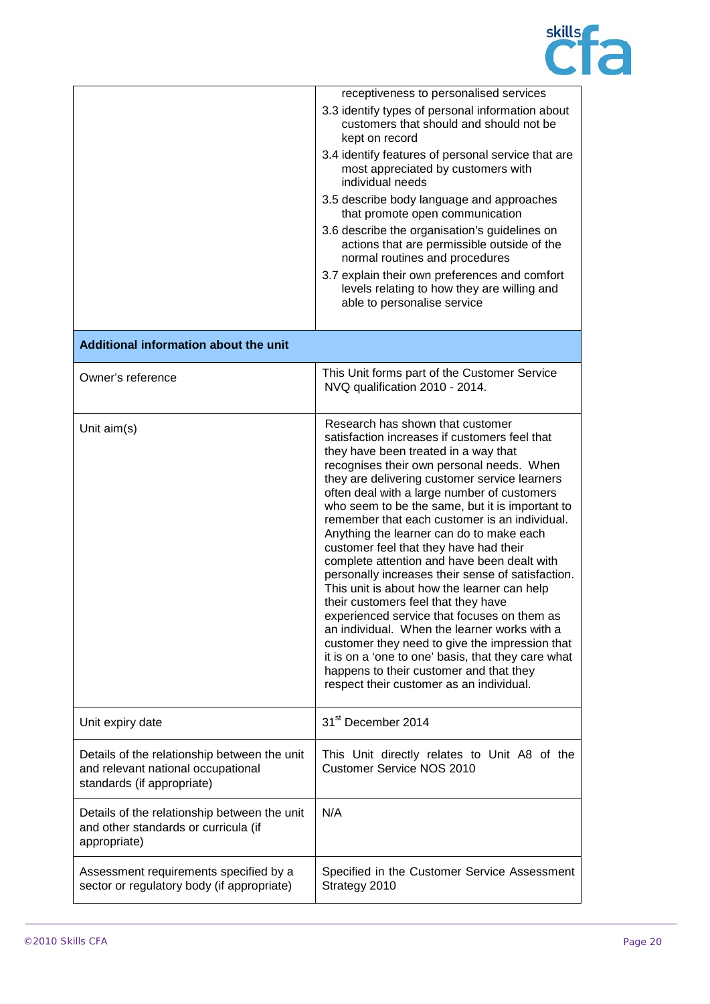

|                                                                                                                  | receptiveness to personalised services<br>3.3 identify types of personal information about<br>customers that should and should not be<br>kept on record<br>3.4 identify features of personal service that are<br>most appreciated by customers with<br>individual needs<br>3.5 describe body language and approaches<br>that promote open communication                                                                                                                                                                                                                                                                                                                                                                                                                                                                                                                                                                                                  |
|------------------------------------------------------------------------------------------------------------------|----------------------------------------------------------------------------------------------------------------------------------------------------------------------------------------------------------------------------------------------------------------------------------------------------------------------------------------------------------------------------------------------------------------------------------------------------------------------------------------------------------------------------------------------------------------------------------------------------------------------------------------------------------------------------------------------------------------------------------------------------------------------------------------------------------------------------------------------------------------------------------------------------------------------------------------------------------|
|                                                                                                                  | 3.6 describe the organisation's guidelines on<br>actions that are permissible outside of the<br>normal routines and procedures<br>3.7 explain their own preferences and comfort<br>levels relating to how they are willing and<br>able to personalise service                                                                                                                                                                                                                                                                                                                                                                                                                                                                                                                                                                                                                                                                                            |
| Additional information about the unit                                                                            |                                                                                                                                                                                                                                                                                                                                                                                                                                                                                                                                                                                                                                                                                                                                                                                                                                                                                                                                                          |
| Owner's reference                                                                                                | This Unit forms part of the Customer Service<br>NVQ qualification 2010 - 2014.                                                                                                                                                                                                                                                                                                                                                                                                                                                                                                                                                                                                                                                                                                                                                                                                                                                                           |
| Unit aim(s)                                                                                                      | Research has shown that customer<br>satisfaction increases if customers feel that<br>they have been treated in a way that<br>recognises their own personal needs. When<br>they are delivering customer service learners<br>often deal with a large number of customers<br>who seem to be the same, but it is important to<br>remember that each customer is an individual.<br>Anything the learner can do to make each<br>customer feel that they have had their<br>complete attention and have been dealt with<br>personally increases their sense of satisfaction.<br>This unit is about how the learner can help<br>their customers feel that they have<br>experienced service that focuses on them as<br>an individual. When the learner works with a<br>customer they need to give the impression that<br>it is on a 'one to one' basis, that they care what<br>happens to their customer and that they<br>respect their customer as an individual. |
| Unit expiry date                                                                                                 | 31 <sup>st</sup> December 2014                                                                                                                                                                                                                                                                                                                                                                                                                                                                                                                                                                                                                                                                                                                                                                                                                                                                                                                           |
| Details of the relationship between the unit<br>and relevant national occupational<br>standards (if appropriate) | This Unit directly relates to Unit A8 of the<br><b>Customer Service NOS 2010</b>                                                                                                                                                                                                                                                                                                                                                                                                                                                                                                                                                                                                                                                                                                                                                                                                                                                                         |
| Details of the relationship between the unit<br>and other standards or curricula (if<br>appropriate)             | N/A                                                                                                                                                                                                                                                                                                                                                                                                                                                                                                                                                                                                                                                                                                                                                                                                                                                                                                                                                      |
| Assessment requirements specified by a<br>sector or regulatory body (if appropriate)                             | Specified in the Customer Service Assessment<br>Strategy 2010                                                                                                                                                                                                                                                                                                                                                                                                                                                                                                                                                                                                                                                                                                                                                                                                                                                                                            |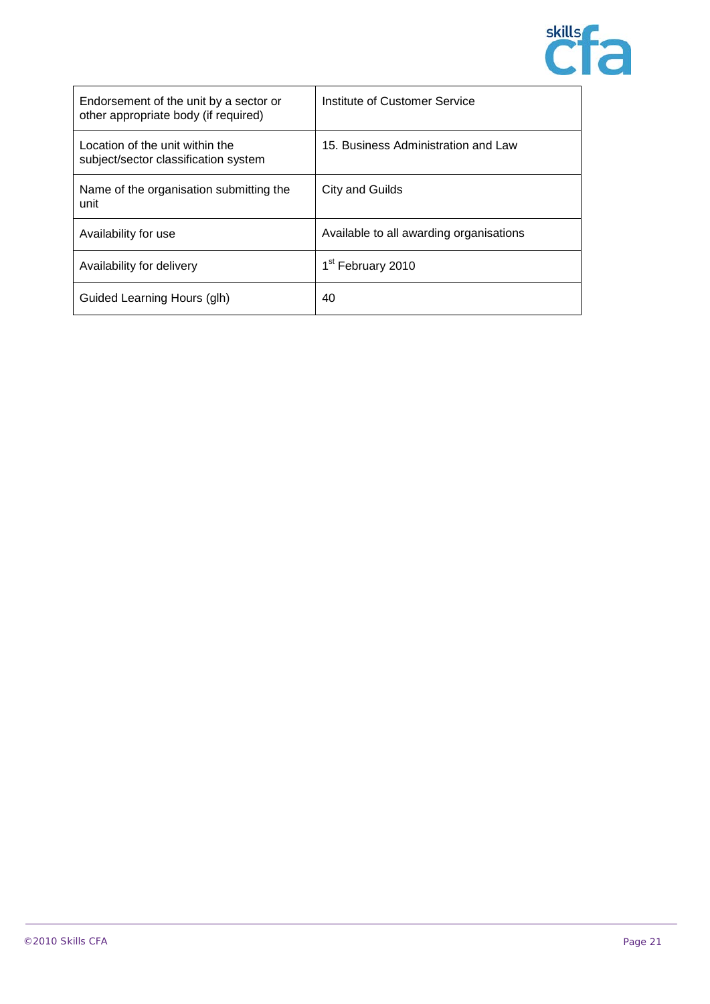

| Endorsement of the unit by a sector or<br>other appropriate body (if required) | Institute of Customer Service           |
|--------------------------------------------------------------------------------|-----------------------------------------|
| Location of the unit within the<br>subject/sector classification system        | 15. Business Administration and Law     |
| Name of the organisation submitting the<br>unit                                | City and Guilds                         |
| Availability for use                                                           | Available to all awarding organisations |
| Availability for delivery                                                      | 1 <sup>st</sup> February 2010           |
| Guided Learning Hours (glh)                                                    | 40                                      |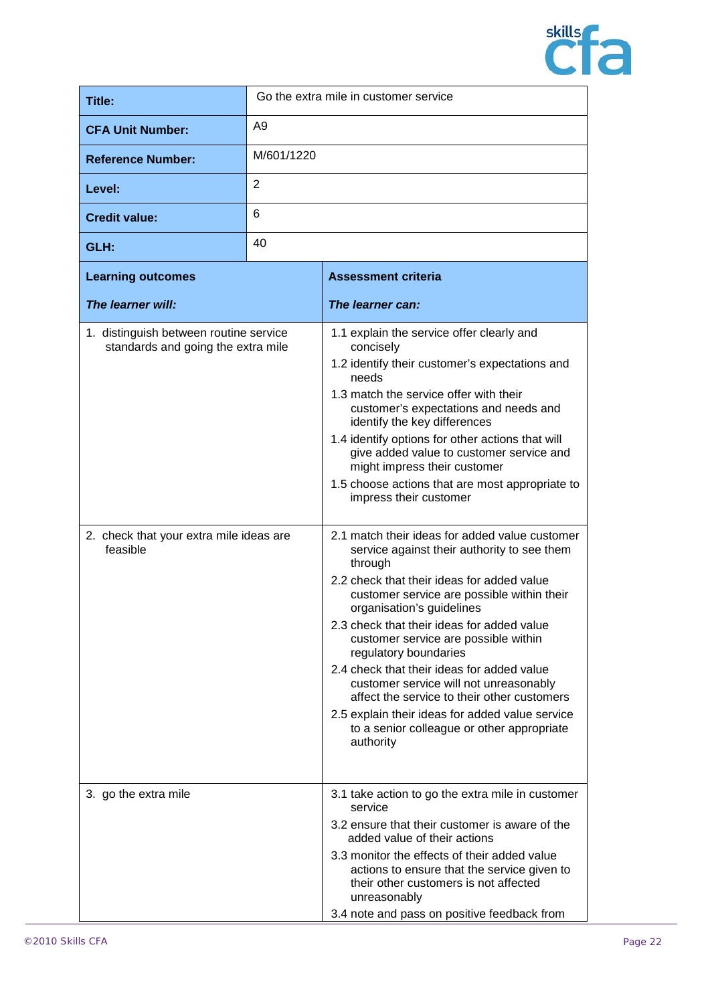

| Title:                                                                       |                | Go the extra mile in customer service                                                                                                                                                                                                                                                                                                                                                                                                                                                                                                                                                                 |
|------------------------------------------------------------------------------|----------------|-------------------------------------------------------------------------------------------------------------------------------------------------------------------------------------------------------------------------------------------------------------------------------------------------------------------------------------------------------------------------------------------------------------------------------------------------------------------------------------------------------------------------------------------------------------------------------------------------------|
| <b>CFA Unit Number:</b>                                                      | A <sub>9</sub> |                                                                                                                                                                                                                                                                                                                                                                                                                                                                                                                                                                                                       |
| <b>Reference Number:</b>                                                     | M/601/1220     |                                                                                                                                                                                                                                                                                                                                                                                                                                                                                                                                                                                                       |
| Level:                                                                       | 2              |                                                                                                                                                                                                                                                                                                                                                                                                                                                                                                                                                                                                       |
| <b>Credit value:</b>                                                         | 6              |                                                                                                                                                                                                                                                                                                                                                                                                                                                                                                                                                                                                       |
| GLH:                                                                         | 40             |                                                                                                                                                                                                                                                                                                                                                                                                                                                                                                                                                                                                       |
| <b>Learning outcomes</b>                                                     |                | <b>Assessment criteria</b>                                                                                                                                                                                                                                                                                                                                                                                                                                                                                                                                                                            |
| The learner will:                                                            |                | The learner can:                                                                                                                                                                                                                                                                                                                                                                                                                                                                                                                                                                                      |
| 1. distinguish between routine service<br>standards and going the extra mile |                | 1.1 explain the service offer clearly and<br>concisely<br>1.2 identify their customer's expectations and<br>needs<br>1.3 match the service offer with their<br>customer's expectations and needs and<br>identify the key differences<br>1.4 identify options for other actions that will<br>give added value to customer service and<br>might impress their customer<br>1.5 choose actions that are most appropriate to<br>impress their customer                                                                                                                                                     |
| 2. check that your extra mile ideas are<br>feasible                          |                | 2.1 match their ideas for added value customer<br>service against their authority to see them<br>through<br>2.2 check that their ideas for added value<br>customer service are possible within their<br>organisation's guidelines<br>2.3 check that their ideas for added value<br>customer service are possible within<br>regulatory boundaries<br>2.4 check that their ideas for added value<br>customer service will not unreasonably<br>affect the service to their other customers<br>2.5 explain their ideas for added value service<br>to a senior colleague or other appropriate<br>authority |
| 3. go the extra mile                                                         |                | 3.1 take action to go the extra mile in customer<br>service<br>3.2 ensure that their customer is aware of the<br>added value of their actions<br>3.3 monitor the effects of their added value<br>actions to ensure that the service given to<br>their other customers is not affected<br>unreasonably<br>3.4 note and pass on positive feedback from                                                                                                                                                                                                                                                  |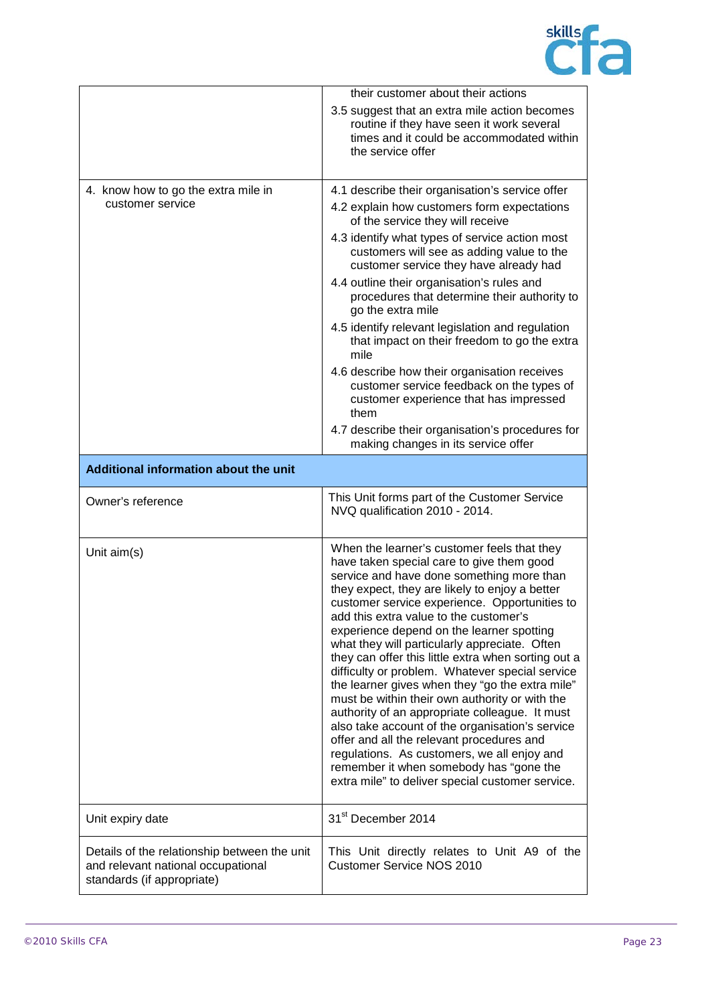

|                                       | their customer about their actions                                                                                                                                                                                                                                                                                                                                                                                                                                                                                                                                                                                                                                                                                                                                                                                                                                                              |
|---------------------------------------|-------------------------------------------------------------------------------------------------------------------------------------------------------------------------------------------------------------------------------------------------------------------------------------------------------------------------------------------------------------------------------------------------------------------------------------------------------------------------------------------------------------------------------------------------------------------------------------------------------------------------------------------------------------------------------------------------------------------------------------------------------------------------------------------------------------------------------------------------------------------------------------------------|
|                                       | 3.5 suggest that an extra mile action becomes<br>routine if they have seen it work several<br>times and it could be accommodated within<br>the service offer                                                                                                                                                                                                                                                                                                                                                                                                                                                                                                                                                                                                                                                                                                                                    |
| 4. know how to go the extra mile in   | 4.1 describe their organisation's service offer                                                                                                                                                                                                                                                                                                                                                                                                                                                                                                                                                                                                                                                                                                                                                                                                                                                 |
| customer service                      | 4.2 explain how customers form expectations<br>of the service they will receive                                                                                                                                                                                                                                                                                                                                                                                                                                                                                                                                                                                                                                                                                                                                                                                                                 |
|                                       | 4.3 identify what types of service action most<br>customers will see as adding value to the<br>customer service they have already had                                                                                                                                                                                                                                                                                                                                                                                                                                                                                                                                                                                                                                                                                                                                                           |
|                                       | 4.4 outline their organisation's rules and<br>procedures that determine their authority to<br>go the extra mile                                                                                                                                                                                                                                                                                                                                                                                                                                                                                                                                                                                                                                                                                                                                                                                 |
|                                       | 4.5 identify relevant legislation and regulation<br>that impact on their freedom to go the extra<br>mile                                                                                                                                                                                                                                                                                                                                                                                                                                                                                                                                                                                                                                                                                                                                                                                        |
|                                       | 4.6 describe how their organisation receives<br>customer service feedback on the types of<br>customer experience that has impressed<br>them                                                                                                                                                                                                                                                                                                                                                                                                                                                                                                                                                                                                                                                                                                                                                     |
|                                       | 4.7 describe their organisation's procedures for<br>making changes in its service offer                                                                                                                                                                                                                                                                                                                                                                                                                                                                                                                                                                                                                                                                                                                                                                                                         |
| Additional information about the unit |                                                                                                                                                                                                                                                                                                                                                                                                                                                                                                                                                                                                                                                                                                                                                                                                                                                                                                 |
|                                       |                                                                                                                                                                                                                                                                                                                                                                                                                                                                                                                                                                                                                                                                                                                                                                                                                                                                                                 |
| Owner's reference                     | This Unit forms part of the Customer Service<br>NVQ qualification 2010 - 2014.                                                                                                                                                                                                                                                                                                                                                                                                                                                                                                                                                                                                                                                                                                                                                                                                                  |
| Unit aim(s)                           | When the learner's customer feels that they<br>have taken special care to give them good<br>service and have done something more than<br>they expect, they are likely to enjoy a better<br>customer service experience. Opportunities to<br>add this extra value to the customer's<br>experience depend on the learner spotting<br>what they will particularly appreciate. Often<br>they can offer this little extra when sorting out a<br>difficulty or problem. Whatever special service<br>the learner gives when they "go the extra mile"<br>must be within their own authority or with the<br>authority of an appropriate colleague. It must<br>also take account of the organisation's service<br>offer and all the relevant procedures and<br>regulations. As customers, we all enjoy and<br>remember it when somebody has "gone the<br>extra mile" to deliver special customer service. |
| Unit expiry date                      | 31 <sup>st</sup> December 2014                                                                                                                                                                                                                                                                                                                                                                                                                                                                                                                                                                                                                                                                                                                                                                                                                                                                  |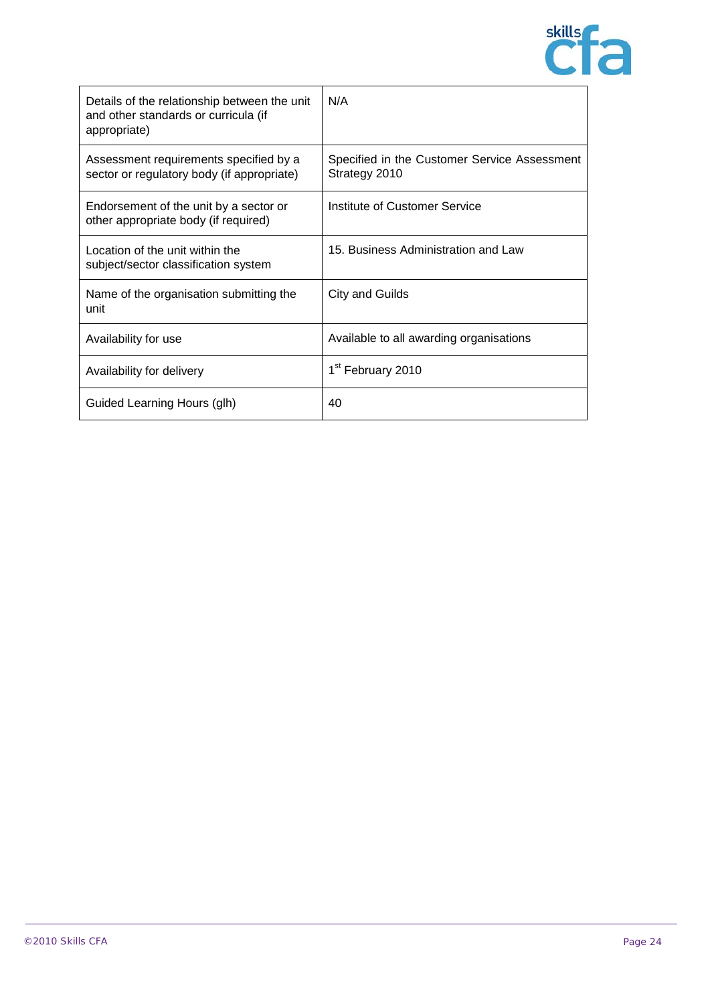

| Details of the relationship between the unit<br>and other standards or curricula (if<br>appropriate) | N/A                                                           |
|------------------------------------------------------------------------------------------------------|---------------------------------------------------------------|
| Assessment requirements specified by a<br>sector or regulatory body (if appropriate)                 | Specified in the Customer Service Assessment<br>Strategy 2010 |
| Endorsement of the unit by a sector or<br>other appropriate body (if required)                       | Institute of Customer Service                                 |
| Location of the unit within the<br>subject/sector classification system                              | 15. Business Administration and Law                           |
| Name of the organisation submitting the<br>unit                                                      | <b>City and Guilds</b>                                        |
| Availability for use                                                                                 | Available to all awarding organisations                       |
| Availability for delivery                                                                            | 1 <sup>st</sup> February 2010                                 |
| Guided Learning Hours (glh)                                                                          | 40                                                            |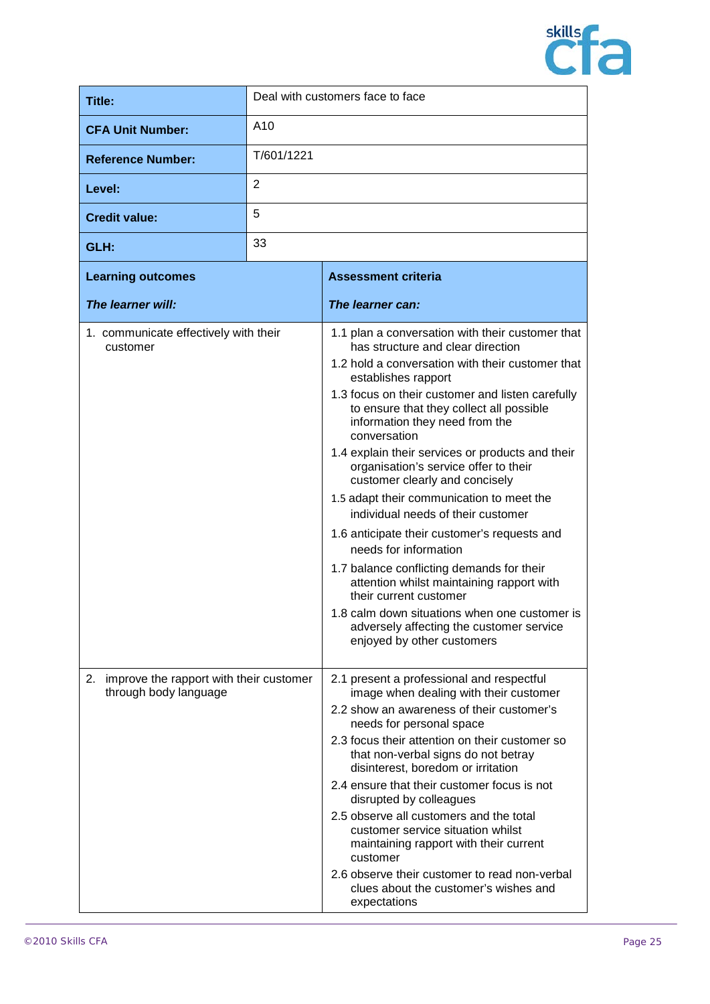

| <b>Title:</b>                                                          |                 | Deal with customers face to face                                                                                                                                                                                                                                                                                                                                                                                                                                                                                                                                                                                                                                                                                                                                                                                                                             |
|------------------------------------------------------------------------|-----------------|--------------------------------------------------------------------------------------------------------------------------------------------------------------------------------------------------------------------------------------------------------------------------------------------------------------------------------------------------------------------------------------------------------------------------------------------------------------------------------------------------------------------------------------------------------------------------------------------------------------------------------------------------------------------------------------------------------------------------------------------------------------------------------------------------------------------------------------------------------------|
| <b>CFA Unit Number:</b>                                                | A <sub>10</sub> |                                                                                                                                                                                                                                                                                                                                                                                                                                                                                                                                                                                                                                                                                                                                                                                                                                                              |
| <b>Reference Number:</b>                                               | T/601/1221      |                                                                                                                                                                                                                                                                                                                                                                                                                                                                                                                                                                                                                                                                                                                                                                                                                                                              |
| Level:                                                                 | 2               |                                                                                                                                                                                                                                                                                                                                                                                                                                                                                                                                                                                                                                                                                                                                                                                                                                                              |
| <b>Credit value:</b>                                                   | 5               |                                                                                                                                                                                                                                                                                                                                                                                                                                                                                                                                                                                                                                                                                                                                                                                                                                                              |
| GLH:                                                                   | 33              |                                                                                                                                                                                                                                                                                                                                                                                                                                                                                                                                                                                                                                                                                                                                                                                                                                                              |
| <b>Learning outcomes</b>                                               |                 | <b>Assessment criteria</b>                                                                                                                                                                                                                                                                                                                                                                                                                                                                                                                                                                                                                                                                                                                                                                                                                                   |
| The learner will:                                                      |                 | The learner can:                                                                                                                                                                                                                                                                                                                                                                                                                                                                                                                                                                                                                                                                                                                                                                                                                                             |
| 1. communicate effectively with their<br>customer                      |                 | 1.1 plan a conversation with their customer that<br>has structure and clear direction<br>1.2 hold a conversation with their customer that<br>establishes rapport<br>1.3 focus on their customer and listen carefully<br>to ensure that they collect all possible<br>information they need from the<br>conversation<br>1.4 explain their services or products and their<br>organisation's service offer to their<br>customer clearly and concisely<br>1.5 adapt their communication to meet the<br>individual needs of their customer<br>1.6 anticipate their customer's requests and<br>needs for information<br>1.7 balance conflicting demands for their<br>attention whilst maintaining rapport with<br>their current customer<br>1.8 calm down situations when one customer is<br>adversely affecting the customer service<br>enjoyed by other customers |
| improve the rapport with their customer<br>2.<br>through body language |                 | 2.1 present a professional and respectful<br>image when dealing with their customer<br>2.2 show an awareness of their customer's<br>needs for personal space<br>2.3 focus their attention on their customer so<br>that non-verbal signs do not betray<br>disinterest, boredom or irritation<br>2.4 ensure that their customer focus is not                                                                                                                                                                                                                                                                                                                                                                                                                                                                                                                   |
|                                                                        |                 | disrupted by colleagues<br>2.5 observe all customers and the total<br>customer service situation whilst<br>maintaining rapport with their current<br>customer<br>2.6 observe their customer to read non-verbal<br>clues about the customer's wishes and<br>expectations                                                                                                                                                                                                                                                                                                                                                                                                                                                                                                                                                                                      |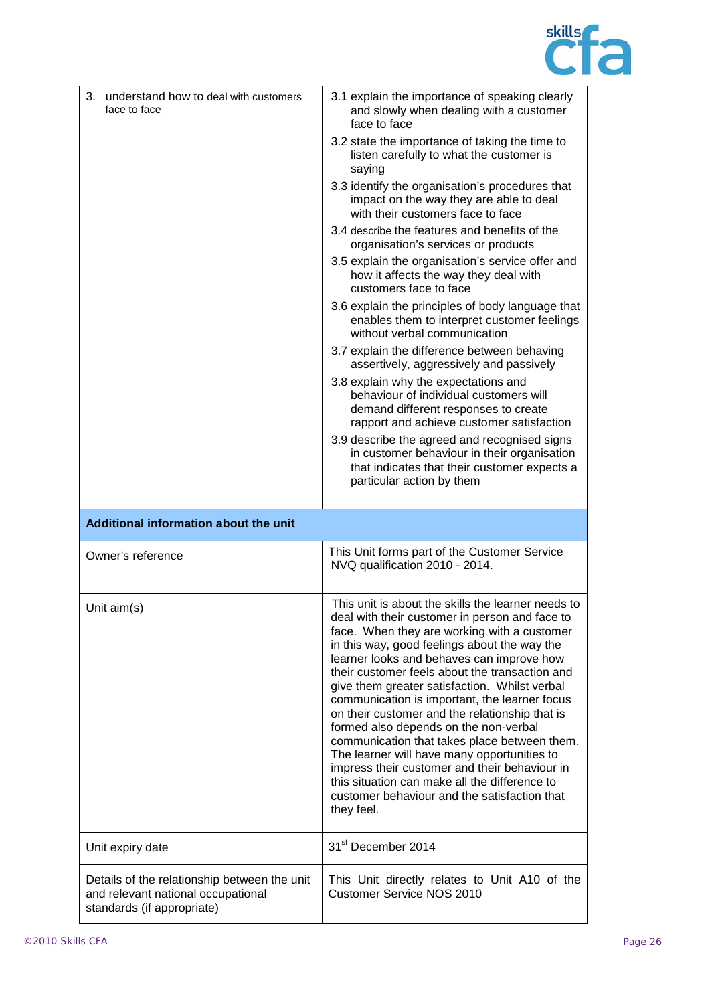

| 3. understand how to deal with customers<br>face to face | 3.1 explain the importance of speaking clearly<br>and slowly when dealing with a customer<br>face to face                                                                                                                                                                                                                                                                                                                                                                                                                                                                                                                                                                                                                                                      |
|----------------------------------------------------------|----------------------------------------------------------------------------------------------------------------------------------------------------------------------------------------------------------------------------------------------------------------------------------------------------------------------------------------------------------------------------------------------------------------------------------------------------------------------------------------------------------------------------------------------------------------------------------------------------------------------------------------------------------------------------------------------------------------------------------------------------------------|
|                                                          | 3.2 state the importance of taking the time to<br>listen carefully to what the customer is<br>saying                                                                                                                                                                                                                                                                                                                                                                                                                                                                                                                                                                                                                                                           |
|                                                          | 3.3 identify the organisation's procedures that<br>impact on the way they are able to deal<br>with their customers face to face                                                                                                                                                                                                                                                                                                                                                                                                                                                                                                                                                                                                                                |
|                                                          | 3.4 describe the features and benefits of the<br>organisation's services or products                                                                                                                                                                                                                                                                                                                                                                                                                                                                                                                                                                                                                                                                           |
|                                                          | 3.5 explain the organisation's service offer and<br>how it affects the way they deal with<br>customers face to face                                                                                                                                                                                                                                                                                                                                                                                                                                                                                                                                                                                                                                            |
|                                                          | 3.6 explain the principles of body language that<br>enables them to interpret customer feelings<br>without verbal communication                                                                                                                                                                                                                                                                                                                                                                                                                                                                                                                                                                                                                                |
|                                                          | 3.7 explain the difference between behaving<br>assertively, aggressively and passively                                                                                                                                                                                                                                                                                                                                                                                                                                                                                                                                                                                                                                                                         |
|                                                          | 3.8 explain why the expectations and<br>behaviour of individual customers will<br>demand different responses to create<br>rapport and achieve customer satisfaction<br>3.9 describe the agreed and recognised signs                                                                                                                                                                                                                                                                                                                                                                                                                                                                                                                                            |
|                                                          | in customer behaviour in their organisation<br>that indicates that their customer expects a<br>particular action by them                                                                                                                                                                                                                                                                                                                                                                                                                                                                                                                                                                                                                                       |
| Additional information about the unit                    |                                                                                                                                                                                                                                                                                                                                                                                                                                                                                                                                                                                                                                                                                                                                                                |
| Owner's reference                                        | This Unit forms part of the Customer Service<br>NVQ qualification 2010 - 2014.                                                                                                                                                                                                                                                                                                                                                                                                                                                                                                                                                                                                                                                                                 |
| Unit aim(s)                                              | This unit is about the skills the learner needs to<br>deal with their customer in person and face to<br>face. When they are working with a customer<br>in this way, good feelings about the way the<br>learner looks and behaves can improve how<br>their customer feels about the transaction and<br>give them greater satisfaction. Whilst verbal<br>communication is important, the learner focus<br>on their customer and the relationship that is<br>formed also depends on the non-verbal<br>communication that takes place between them.<br>The learner will have many opportunities to<br>impress their customer and their behaviour in<br>this situation can make all the difference to<br>customer behaviour and the satisfaction that<br>they feel. |
| Unit expiry date                                         |                                                                                                                                                                                                                                                                                                                                                                                                                                                                                                                                                                                                                                                                                                                                                                |
|                                                          | 31 <sup>st</sup> December 2014                                                                                                                                                                                                                                                                                                                                                                                                                                                                                                                                                                                                                                                                                                                                 |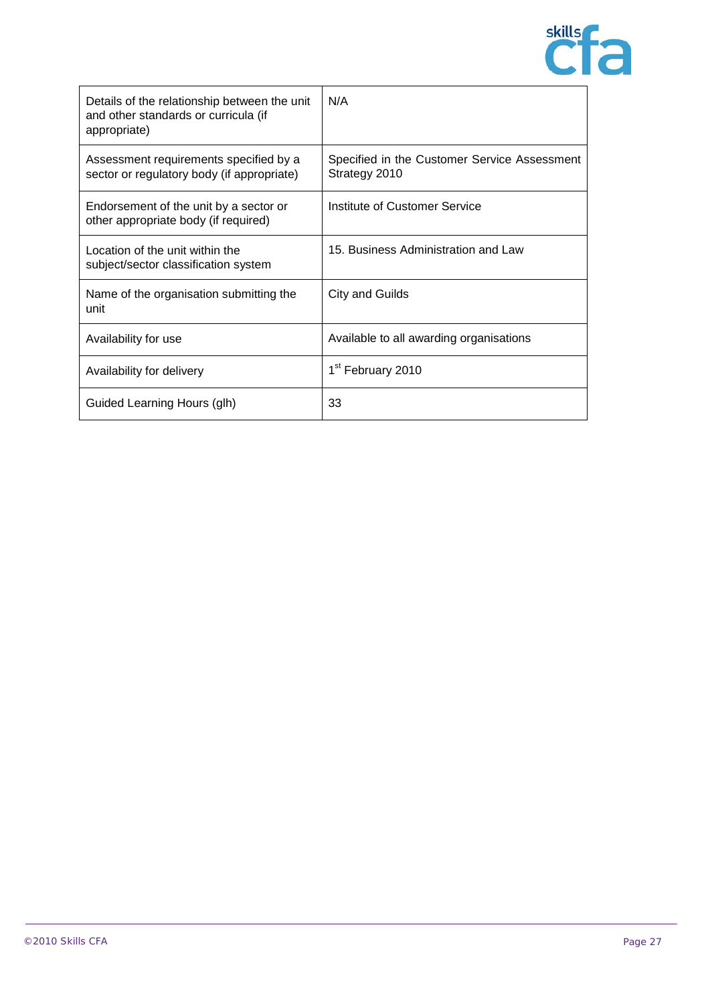

| Details of the relationship between the unit<br>and other standards or curricula (if<br>appropriate) | N/A                                                           |
|------------------------------------------------------------------------------------------------------|---------------------------------------------------------------|
| Assessment requirements specified by a<br>sector or regulatory body (if appropriate)                 | Specified in the Customer Service Assessment<br>Strategy 2010 |
| Endorsement of the unit by a sector or<br>other appropriate body (if required)                       | Institute of Customer Service                                 |
| Location of the unit within the<br>subject/sector classification system                              | 15. Business Administration and Law                           |
| Name of the organisation submitting the<br>unit                                                      | <b>City and Guilds</b>                                        |
| Availability for use                                                                                 | Available to all awarding organisations                       |
| Availability for delivery                                                                            | 1 <sup>st</sup> February 2010                                 |
| Guided Learning Hours (glh)                                                                          | 33                                                            |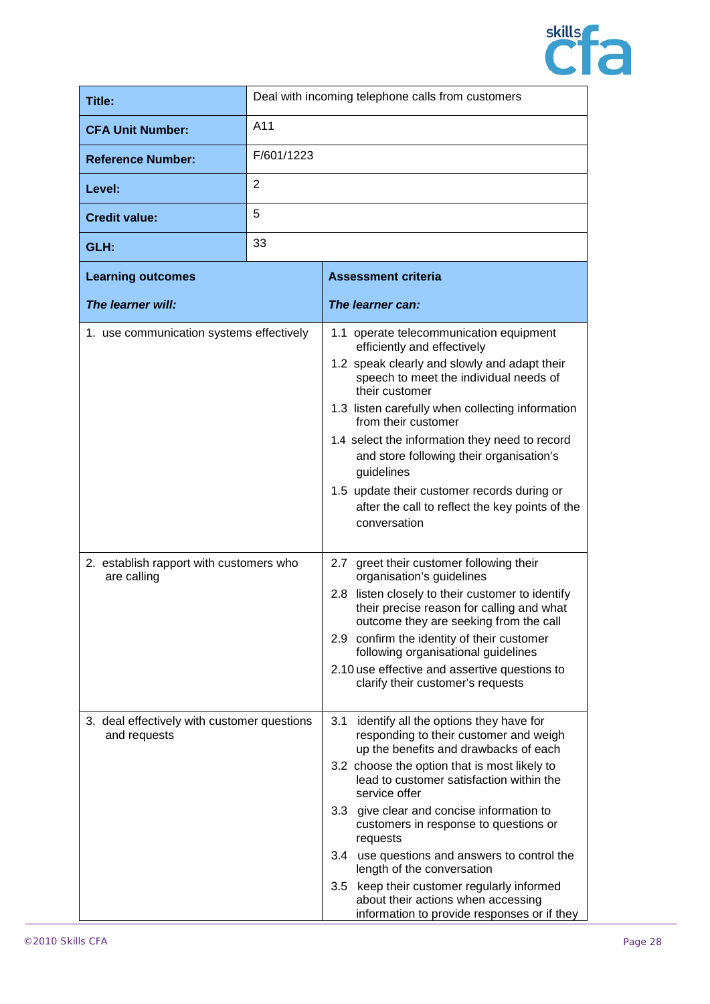

| Title:                                                      |            | Deal with incoming telephone calls from customers                                                                                                                                                                                                                                                                                                                                                                                                                                                                                                                |
|-------------------------------------------------------------|------------|------------------------------------------------------------------------------------------------------------------------------------------------------------------------------------------------------------------------------------------------------------------------------------------------------------------------------------------------------------------------------------------------------------------------------------------------------------------------------------------------------------------------------------------------------------------|
| <b>CFA Unit Number:</b>                                     | A11        |                                                                                                                                                                                                                                                                                                                                                                                                                                                                                                                                                                  |
| <b>Reference Number:</b>                                    | F/601/1223 |                                                                                                                                                                                                                                                                                                                                                                                                                                                                                                                                                                  |
| Level:                                                      | 2          |                                                                                                                                                                                                                                                                                                                                                                                                                                                                                                                                                                  |
| <b>Credit value:</b>                                        | 5          |                                                                                                                                                                                                                                                                                                                                                                                                                                                                                                                                                                  |
| GLH:                                                        | 33         |                                                                                                                                                                                                                                                                                                                                                                                                                                                                                                                                                                  |
| <b>Learning outcomes</b>                                    |            | <b>Assessment criteria</b>                                                                                                                                                                                                                                                                                                                                                                                                                                                                                                                                       |
| The learner will:                                           |            | The learner can:                                                                                                                                                                                                                                                                                                                                                                                                                                                                                                                                                 |
| 1. use communication systems effectively                    |            | 1.1 operate telecommunication equipment<br>efficiently and effectively<br>1.2 speak clearly and slowly and adapt their<br>speech to meet the individual needs of<br>their customer<br>1.3 listen carefully when collecting information<br>from their customer<br>1.4 select the information they need to record<br>and store following their organisation's<br>guidelines<br>1.5 update their customer records during or<br>after the call to reflect the key points of the<br>conversation                                                                      |
| 2. establish rapport with customers who<br>are calling      |            | greet their customer following their<br>2.7<br>organisation's guidelines<br>listen closely to their customer to identify<br>2.8 <sub>1</sub><br>their precise reason for calling and what<br>outcome they are seeking from the call<br>2.9 confirm the identity of their customer<br>following organisational guidelines<br>2.10 use effective and assertive questions to<br>clarify their customer's requests                                                                                                                                                   |
| 3. deal effectively with customer questions<br>and requests |            | 3.1<br>identify all the options they have for<br>responding to their customer and weigh<br>up the benefits and drawbacks of each<br>3.2 choose the option that is most likely to<br>lead to customer satisfaction within the<br>service offer<br>3.3 give clear and concise information to<br>customers in response to questions or<br>requests<br>3.4 use questions and answers to control the<br>length of the conversation<br>3.5 keep their customer regularly informed<br>about their actions when accessing<br>information to provide responses or if they |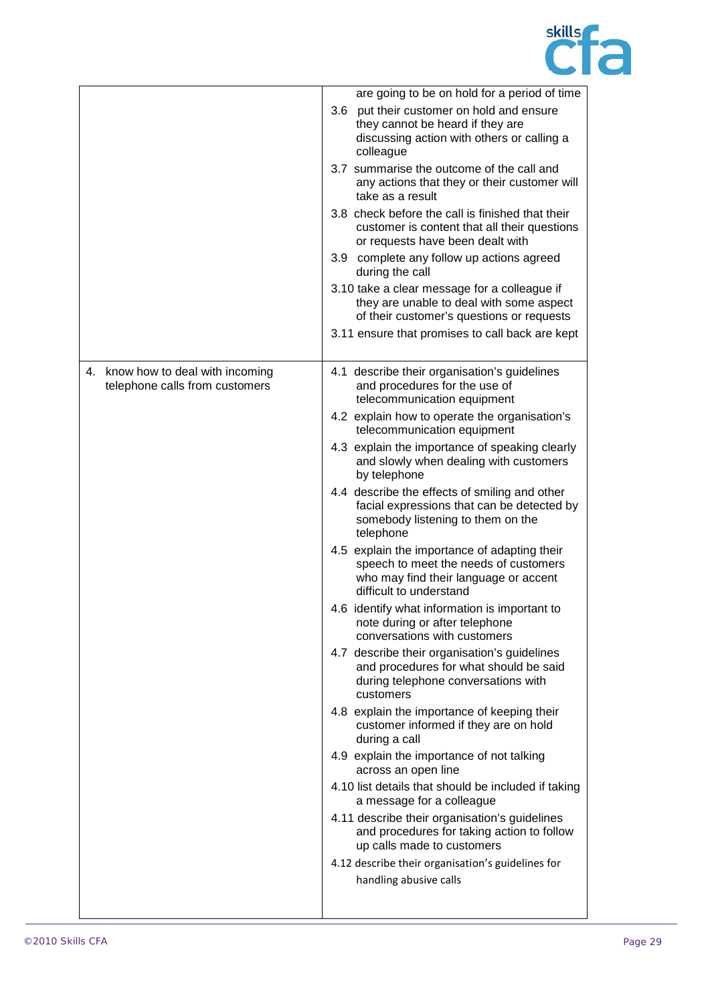

|                                                                     | are going to be on hold for a period of time                                                                                                              |
|---------------------------------------------------------------------|-----------------------------------------------------------------------------------------------------------------------------------------------------------|
|                                                                     | 3.6 put their customer on hold and ensure<br>they cannot be heard if they are<br>discussing action with others or calling a<br>colleague                  |
|                                                                     | 3.7 summarise the outcome of the call and<br>any actions that they or their customer will<br>take as a result                                             |
|                                                                     | 3.8 check before the call is finished that their<br>customer is content that all their questions<br>or requests have been dealt with                      |
|                                                                     | 3.9 complete any follow up actions agreed<br>during the call                                                                                              |
|                                                                     | 3.10 take a clear message for a colleague if<br>they are unable to deal with some aspect<br>of their customer's questions or requests                     |
|                                                                     | 3.11 ensure that promises to call back are kept                                                                                                           |
| 4. know how to deal with incoming<br>telephone calls from customers | 4.1 describe their organisation's guidelines<br>and procedures for the use of<br>telecommunication equipment                                              |
|                                                                     | 4.2 explain how to operate the organisation's<br>telecommunication equipment                                                                              |
|                                                                     | 4.3 explain the importance of speaking clearly<br>and slowly when dealing with customers<br>by telephone                                                  |
|                                                                     | 4.4 describe the effects of smiling and other<br>facial expressions that can be detected by<br>somebody listening to them on the<br>telephone             |
|                                                                     | 4.5 explain the importance of adapting their<br>speech to meet the needs of customers<br>who may find their language or accent<br>difficult to understand |
|                                                                     | 4.6 identify what information is important to<br>note during or after telephone<br>conversations with customers                                           |
|                                                                     | 4.7 describe their organisation's guidelines<br>and procedures for what should be said<br>during telephone conversations with<br>customers                |
|                                                                     | 4.8 explain the importance of keeping their<br>customer informed if they are on hold<br>during a call                                                     |
|                                                                     | 4.9 explain the importance of not talking<br>across an open line                                                                                          |
|                                                                     | 4.10 list details that should be included if taking<br>a message for a colleague                                                                          |
|                                                                     | 4.11 describe their organisation's guidelines<br>and procedures for taking action to follow<br>up calls made to customers                                 |
|                                                                     | 4.12 describe their organisation's guidelines for                                                                                                         |
|                                                                     | handling abusive calls                                                                                                                                    |
|                                                                     |                                                                                                                                                           |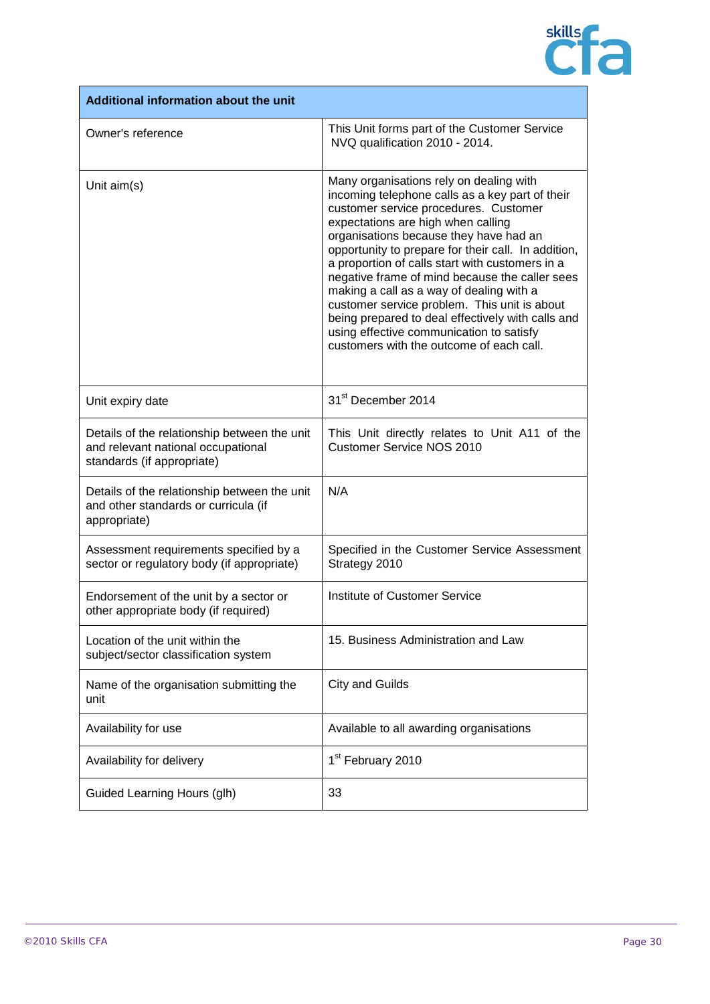

| Additional information about the unit                                                                            |                                                                                                                                                                                                                                                                                                                                                                                                                                                                                                                                                                                                                          |
|------------------------------------------------------------------------------------------------------------------|--------------------------------------------------------------------------------------------------------------------------------------------------------------------------------------------------------------------------------------------------------------------------------------------------------------------------------------------------------------------------------------------------------------------------------------------------------------------------------------------------------------------------------------------------------------------------------------------------------------------------|
| Owner's reference                                                                                                | This Unit forms part of the Customer Service<br>NVQ qualification 2010 - 2014.                                                                                                                                                                                                                                                                                                                                                                                                                                                                                                                                           |
| Unit aim(s)                                                                                                      | Many organisations rely on dealing with<br>incoming telephone calls as a key part of their<br>customer service procedures. Customer<br>expectations are high when calling<br>organisations because they have had an<br>opportunity to prepare for their call. In addition,<br>a proportion of calls start with customers in a<br>negative frame of mind because the caller sees<br>making a call as a way of dealing with a<br>customer service problem. This unit is about<br>being prepared to deal effectively with calls and<br>using effective communication to satisfy<br>customers with the outcome of each call. |
| Unit expiry date                                                                                                 | 31 <sup>st</sup> December 2014                                                                                                                                                                                                                                                                                                                                                                                                                                                                                                                                                                                           |
| Details of the relationship between the unit<br>and relevant national occupational<br>standards (if appropriate) | This Unit directly relates to Unit A11 of the<br><b>Customer Service NOS 2010</b>                                                                                                                                                                                                                                                                                                                                                                                                                                                                                                                                        |
| Details of the relationship between the unit<br>and other standards or curricula (if<br>appropriate)             | N/A                                                                                                                                                                                                                                                                                                                                                                                                                                                                                                                                                                                                                      |
| Assessment requirements specified by a<br>sector or regulatory body (if appropriate)                             | Specified in the Customer Service Assessment<br>Strategy 2010                                                                                                                                                                                                                                                                                                                                                                                                                                                                                                                                                            |
| Endorsement of the unit by a sector or<br>other appropriate body (if required)                                   | <b>Institute of Customer Service</b>                                                                                                                                                                                                                                                                                                                                                                                                                                                                                                                                                                                     |
| Location of the unit within the<br>subject/sector classification system                                          | 15. Business Administration and Law                                                                                                                                                                                                                                                                                                                                                                                                                                                                                                                                                                                      |
| Name of the organisation submitting the<br>unit                                                                  | <b>City and Guilds</b>                                                                                                                                                                                                                                                                                                                                                                                                                                                                                                                                                                                                   |
| Availability for use                                                                                             | Available to all awarding organisations                                                                                                                                                                                                                                                                                                                                                                                                                                                                                                                                                                                  |
| Availability for delivery                                                                                        | 1 <sup>st</sup> February 2010                                                                                                                                                                                                                                                                                                                                                                                                                                                                                                                                                                                            |
| Guided Learning Hours (glh)                                                                                      | 33                                                                                                                                                                                                                                                                                                                                                                                                                                                                                                                                                                                                                       |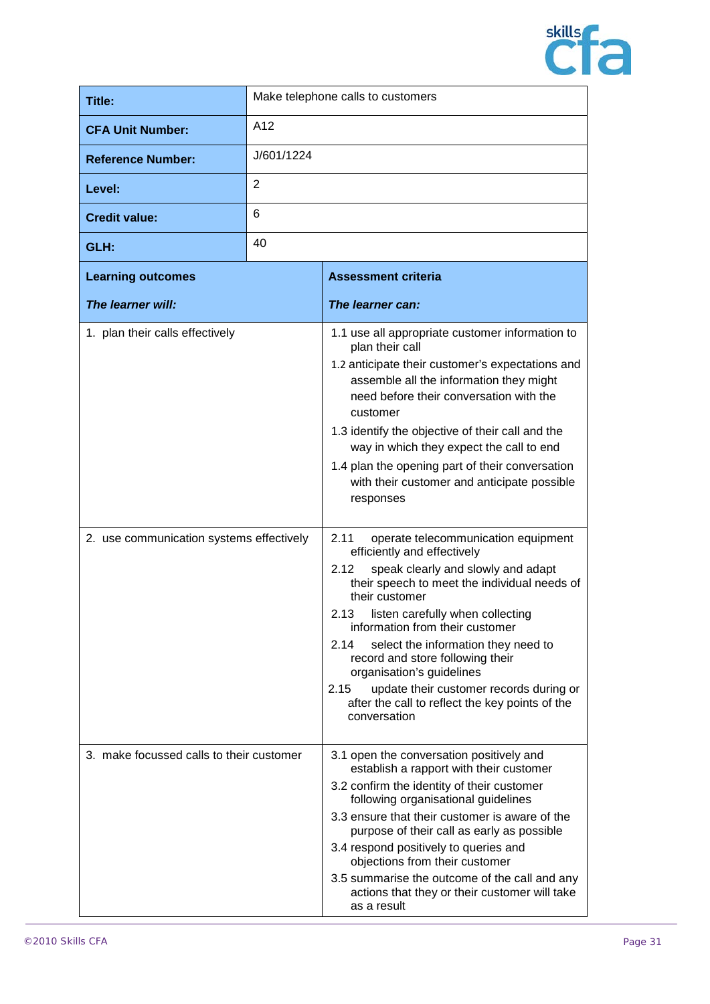

| Title:                                   |            | Make telephone calls to customers                                                                                                                                                                                                                                                                                                                                                                                                                                                                               |
|------------------------------------------|------------|-----------------------------------------------------------------------------------------------------------------------------------------------------------------------------------------------------------------------------------------------------------------------------------------------------------------------------------------------------------------------------------------------------------------------------------------------------------------------------------------------------------------|
| <b>CFA Unit Number:</b>                  | A12        |                                                                                                                                                                                                                                                                                                                                                                                                                                                                                                                 |
| <b>Reference Number:</b>                 | J/601/1224 |                                                                                                                                                                                                                                                                                                                                                                                                                                                                                                                 |
| Level:                                   | 2          |                                                                                                                                                                                                                                                                                                                                                                                                                                                                                                                 |
| <b>Credit value:</b>                     | 6          |                                                                                                                                                                                                                                                                                                                                                                                                                                                                                                                 |
| GLH:                                     | 40         |                                                                                                                                                                                                                                                                                                                                                                                                                                                                                                                 |
| <b>Learning outcomes</b>                 |            | <b>Assessment criteria</b>                                                                                                                                                                                                                                                                                                                                                                                                                                                                                      |
| The learner will:                        |            | The learner can:                                                                                                                                                                                                                                                                                                                                                                                                                                                                                                |
| 1. plan their calls effectively          |            | 1.1 use all appropriate customer information to<br>plan their call<br>1.2 anticipate their customer's expectations and<br>assemble all the information they might<br>need before their conversation with the<br>customer<br>1.3 identify the objective of their call and the<br>way in which they expect the call to end<br>1.4 plan the opening part of their conversation<br>with their customer and anticipate possible<br>responses                                                                         |
| 2. use communication systems effectively |            | 2.11<br>operate telecommunication equipment<br>efficiently and effectively<br>speak clearly and slowly and adapt<br>2.12<br>their speech to meet the individual needs of<br>their customer<br>2.13<br>listen carefully when collecting<br>information from their customer<br>2.14<br>select the information they need to<br>record and store following their<br>organisation's guidelines<br>2.15<br>update their customer records during or<br>after the call to reflect the key points of the<br>conversation |
| 3. make focussed calls to their customer |            | 3.1 open the conversation positively and<br>establish a rapport with their customer<br>3.2 confirm the identity of their customer<br>following organisational guidelines<br>3.3 ensure that their customer is aware of the<br>purpose of their call as early as possible<br>3.4 respond positively to queries and<br>objections from their customer<br>3.5 summarise the outcome of the call and any<br>actions that they or their customer will take<br>as a result                                            |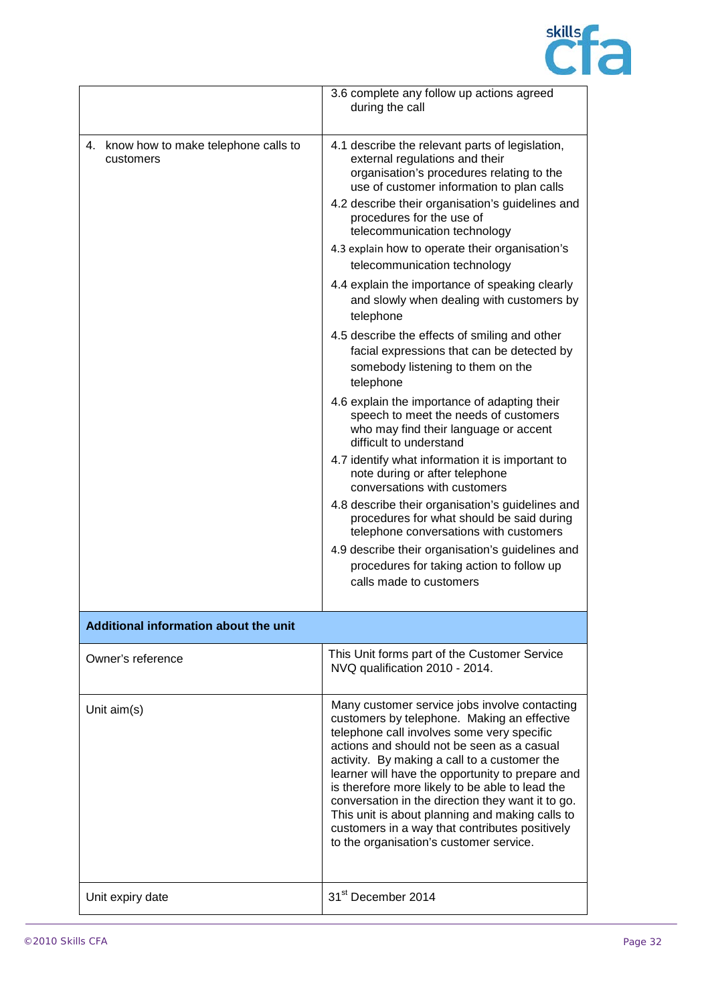

|                                                     | 3.6 complete any follow up actions agreed<br>during the call                                                                                                                                                                                                                                                                                                                                                                                                                                                                                                                                                                                                                                                                                                                                                                                                                                                                                                                                                                                                                                                                                                                                           |
|-----------------------------------------------------|--------------------------------------------------------------------------------------------------------------------------------------------------------------------------------------------------------------------------------------------------------------------------------------------------------------------------------------------------------------------------------------------------------------------------------------------------------------------------------------------------------------------------------------------------------------------------------------------------------------------------------------------------------------------------------------------------------------------------------------------------------------------------------------------------------------------------------------------------------------------------------------------------------------------------------------------------------------------------------------------------------------------------------------------------------------------------------------------------------------------------------------------------------------------------------------------------------|
| 4. know how to make telephone calls to<br>customers | 4.1 describe the relevant parts of legislation,<br>external regulations and their<br>organisation's procedures relating to the<br>use of customer information to plan calls<br>4.2 describe their organisation's guidelines and<br>procedures for the use of<br>telecommunication technology<br>4.3 explain how to operate their organisation's<br>telecommunication technology<br>4.4 explain the importance of speaking clearly<br>and slowly when dealing with customers by<br>telephone<br>4.5 describe the effects of smiling and other<br>facial expressions that can be detected by<br>somebody listening to them on the<br>telephone<br>4.6 explain the importance of adapting their<br>speech to meet the needs of customers<br>who may find their language or accent<br>difficult to understand<br>4.7 identify what information it is important to<br>note during or after telephone<br>conversations with customers<br>4.8 describe their organisation's guidelines and<br>procedures for what should be said during<br>telephone conversations with customers<br>4.9 describe their organisation's guidelines and<br>procedures for taking action to follow up<br>calls made to customers |
| Additional information about the unit               |                                                                                                                                                                                                                                                                                                                                                                                                                                                                                                                                                                                                                                                                                                                                                                                                                                                                                                                                                                                                                                                                                                                                                                                                        |
| Owner's reference                                   | This Unit forms part of the Customer Service<br>NVQ qualification 2010 - 2014.                                                                                                                                                                                                                                                                                                                                                                                                                                                                                                                                                                                                                                                                                                                                                                                                                                                                                                                                                                                                                                                                                                                         |
| Unit aim(s)                                         | Many customer service jobs involve contacting<br>customers by telephone. Making an effective<br>telephone call involves some very specific<br>actions and should not be seen as a casual<br>activity. By making a call to a customer the<br>learner will have the opportunity to prepare and<br>is therefore more likely to be able to lead the<br>conversation in the direction they want it to go.<br>This unit is about planning and making calls to<br>customers in a way that contributes positively<br>to the organisation's customer service.                                                                                                                                                                                                                                                                                                                                                                                                                                                                                                                                                                                                                                                   |
| Unit expiry date                                    | 31 <sup>st</sup> December 2014                                                                                                                                                                                                                                                                                                                                                                                                                                                                                                                                                                                                                                                                                                                                                                                                                                                                                                                                                                                                                                                                                                                                                                         |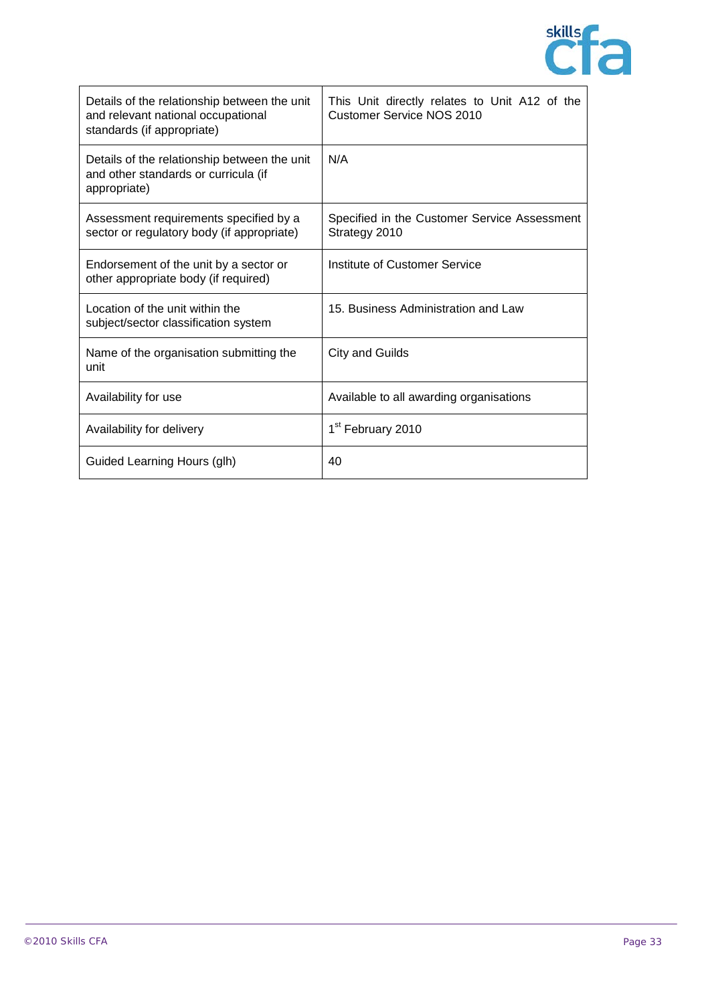

| Details of the relationship between the unit<br>and relevant national occupational<br>standards (if appropriate) | This Unit directly relates to Unit A12 of the<br><b>Customer Service NOS 2010</b> |
|------------------------------------------------------------------------------------------------------------------|-----------------------------------------------------------------------------------|
| Details of the relationship between the unit<br>and other standards or curricula (if<br>appropriate)             | N/A                                                                               |
| Assessment requirements specified by a<br>sector or regulatory body (if appropriate)                             | Specified in the Customer Service Assessment<br>Strategy 2010                     |
| Endorsement of the unit by a sector or<br>other appropriate body (if required)                                   | Institute of Customer Service                                                     |
| Location of the unit within the<br>subject/sector classification system                                          | 15. Business Administration and Law                                               |
| Name of the organisation submitting the<br>unit                                                                  | City and Guilds                                                                   |
| Availability for use                                                                                             | Available to all awarding organisations                                           |
| Availability for delivery                                                                                        | 1 <sup>st</sup> February 2010                                                     |
| Guided Learning Hours (glh)                                                                                      | 40                                                                                |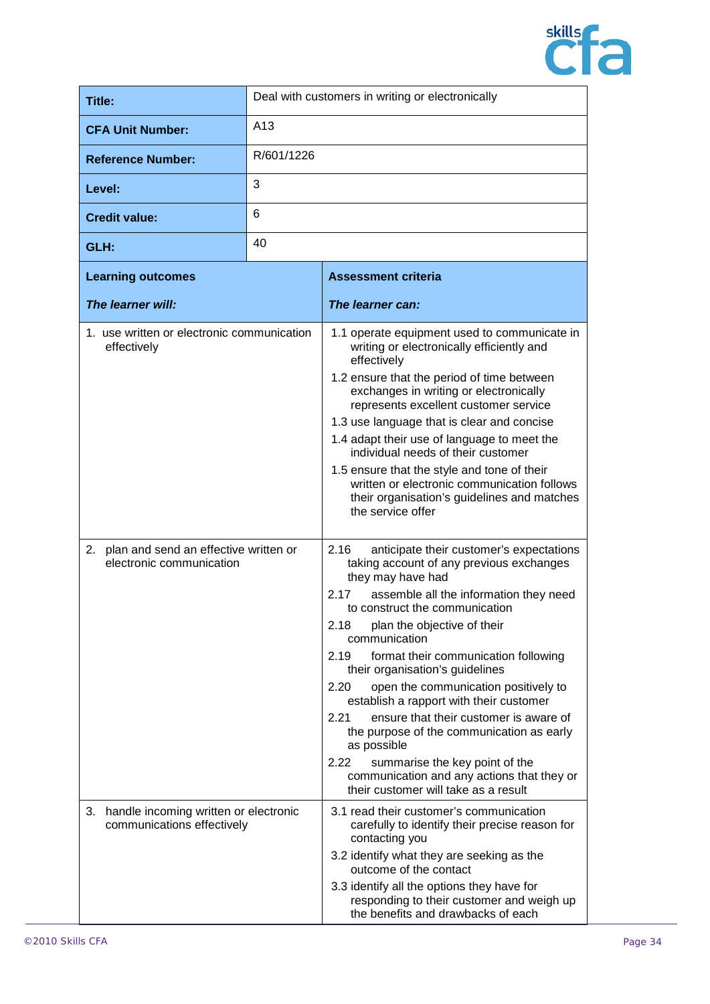

| Title:                                                                                                                            |            | Deal with customers in writing or electronically                                                                                                                                                                                                                                                                                                                                                                                                                                                                                                                                                                                                                                                                                                                                                                                                                                                                                                                                                                                                                                                            |
|-----------------------------------------------------------------------------------------------------------------------------------|------------|-------------------------------------------------------------------------------------------------------------------------------------------------------------------------------------------------------------------------------------------------------------------------------------------------------------------------------------------------------------------------------------------------------------------------------------------------------------------------------------------------------------------------------------------------------------------------------------------------------------------------------------------------------------------------------------------------------------------------------------------------------------------------------------------------------------------------------------------------------------------------------------------------------------------------------------------------------------------------------------------------------------------------------------------------------------------------------------------------------------|
| <b>CFA Unit Number:</b>                                                                                                           | A13        |                                                                                                                                                                                                                                                                                                                                                                                                                                                                                                                                                                                                                                                                                                                                                                                                                                                                                                                                                                                                                                                                                                             |
| <b>Reference Number:</b>                                                                                                          | R/601/1226 |                                                                                                                                                                                                                                                                                                                                                                                                                                                                                                                                                                                                                                                                                                                                                                                                                                                                                                                                                                                                                                                                                                             |
| Level:                                                                                                                            | 3          |                                                                                                                                                                                                                                                                                                                                                                                                                                                                                                                                                                                                                                                                                                                                                                                                                                                                                                                                                                                                                                                                                                             |
| <b>Credit value:</b>                                                                                                              | 6          |                                                                                                                                                                                                                                                                                                                                                                                                                                                                                                                                                                                                                                                                                                                                                                                                                                                                                                                                                                                                                                                                                                             |
| GLH:                                                                                                                              | 40         |                                                                                                                                                                                                                                                                                                                                                                                                                                                                                                                                                                                                                                                                                                                                                                                                                                                                                                                                                                                                                                                                                                             |
| <b>Learning outcomes</b>                                                                                                          |            | <b>Assessment criteria</b>                                                                                                                                                                                                                                                                                                                                                                                                                                                                                                                                                                                                                                                                                                                                                                                                                                                                                                                                                                                                                                                                                  |
| The learner will:                                                                                                                 |            | The learner can:                                                                                                                                                                                                                                                                                                                                                                                                                                                                                                                                                                                                                                                                                                                                                                                                                                                                                                                                                                                                                                                                                            |
| 1. use written or electronic communication<br>effectively<br>2. plan and send an effective written or<br>electronic communication |            | 1.1 operate equipment used to communicate in<br>writing or electronically efficiently and<br>effectively<br>1.2 ensure that the period of time between<br>exchanges in writing or electronically<br>represents excellent customer service<br>1.3 use language that is clear and concise<br>1.4 adapt their use of language to meet the<br>individual needs of their customer<br>1.5 ensure that the style and tone of their<br>written or electronic communication follows<br>their organisation's guidelines and matches<br>the service offer<br>2.16<br>anticipate their customer's expectations<br>taking account of any previous exchanges<br>they may have had<br>2.17<br>assemble all the information they need<br>to construct the communication<br>2.18<br>plan the objective of their<br>communication<br>2.19<br>format their communication following<br>their organisation's guidelines<br>2.20<br>open the communication positively to<br>establish a rapport with their customer<br>ensure that their customer is aware of<br>2.21<br>the purpose of the communication as early<br>as possible |
|                                                                                                                                   |            | 2.22<br>summarise the key point of the<br>communication and any actions that they or<br>their customer will take as a result                                                                                                                                                                                                                                                                                                                                                                                                                                                                                                                                                                                                                                                                                                                                                                                                                                                                                                                                                                                |
| handle incoming written or electronic<br>3.<br>communications effectively                                                         |            | 3.1 read their customer's communication<br>carefully to identify their precise reason for<br>contacting you<br>3.2 identify what they are seeking as the<br>outcome of the contact                                                                                                                                                                                                                                                                                                                                                                                                                                                                                                                                                                                                                                                                                                                                                                                                                                                                                                                          |
|                                                                                                                                   |            | 3.3 identify all the options they have for<br>responding to their customer and weigh up<br>the benefits and drawbacks of each                                                                                                                                                                                                                                                                                                                                                                                                                                                                                                                                                                                                                                                                                                                                                                                                                                                                                                                                                                               |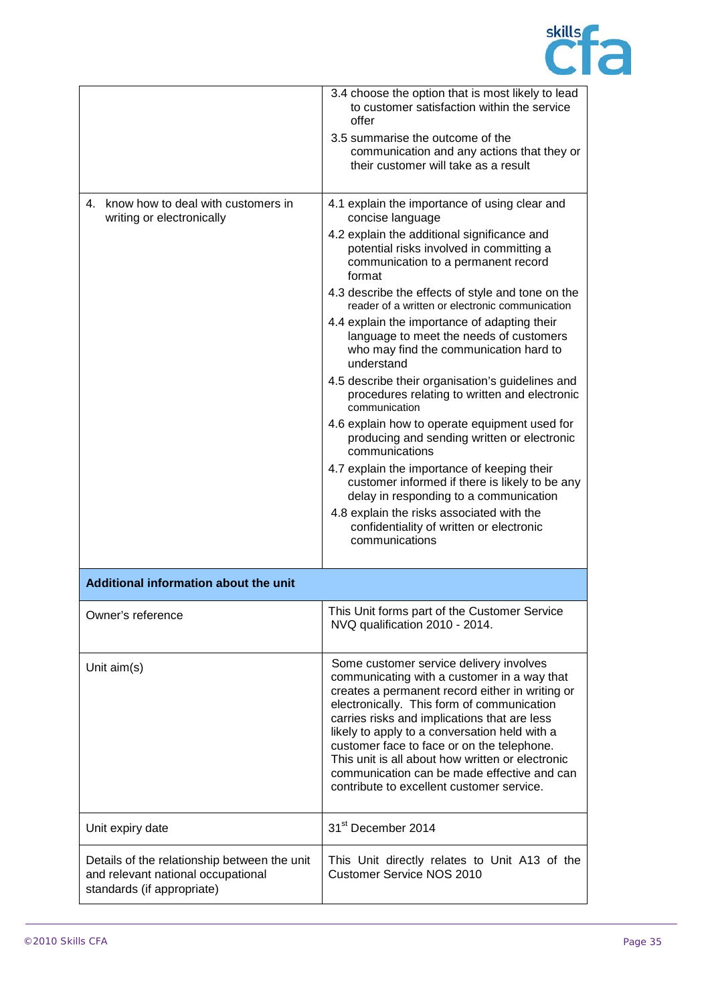

|                                                                                                                  | 3.4 choose the option that is most likely to lead<br>to customer satisfaction within the service<br>offer<br>3.5 summarise the outcome of the<br>communication and any actions that they or<br>their customer will take as a result                                                                                                                                                                                                                                                    |
|------------------------------------------------------------------------------------------------------------------|----------------------------------------------------------------------------------------------------------------------------------------------------------------------------------------------------------------------------------------------------------------------------------------------------------------------------------------------------------------------------------------------------------------------------------------------------------------------------------------|
| 4. know how to deal with customers in<br>writing or electronically                                               | 4.1 explain the importance of using clear and<br>concise language                                                                                                                                                                                                                                                                                                                                                                                                                      |
|                                                                                                                  | 4.2 explain the additional significance and<br>potential risks involved in committing a<br>communication to a permanent record<br>format                                                                                                                                                                                                                                                                                                                                               |
|                                                                                                                  | 4.3 describe the effects of style and tone on the<br>reader of a written or electronic communication                                                                                                                                                                                                                                                                                                                                                                                   |
|                                                                                                                  | 4.4 explain the importance of adapting their<br>language to meet the needs of customers<br>who may find the communication hard to<br>understand                                                                                                                                                                                                                                                                                                                                        |
|                                                                                                                  | 4.5 describe their organisation's guidelines and<br>procedures relating to written and electronic<br>communication                                                                                                                                                                                                                                                                                                                                                                     |
|                                                                                                                  | 4.6 explain how to operate equipment used for<br>producing and sending written or electronic<br>communications                                                                                                                                                                                                                                                                                                                                                                         |
|                                                                                                                  | 4.7 explain the importance of keeping their<br>customer informed if there is likely to be any<br>delay in responding to a communication                                                                                                                                                                                                                                                                                                                                                |
|                                                                                                                  | 4.8 explain the risks associated with the<br>confidentiality of written or electronic<br>communications                                                                                                                                                                                                                                                                                                                                                                                |
| Additional information about the unit                                                                            |                                                                                                                                                                                                                                                                                                                                                                                                                                                                                        |
| Owner's reference                                                                                                | This Unit forms part of the Customer Service<br>NVQ qualification 2010 - 2014.                                                                                                                                                                                                                                                                                                                                                                                                         |
| Unit aim(s)                                                                                                      | Some customer service delivery involves<br>communicating with a customer in a way that<br>creates a permanent record either in writing or<br>electronically. This form of communication<br>carries risks and implications that are less<br>likely to apply to a conversation held with a<br>customer face to face or on the telephone.<br>This unit is all about how written or electronic<br>communication can be made effective and can<br>contribute to excellent customer service. |
| Unit expiry date                                                                                                 | 31 <sup>st</sup> December 2014                                                                                                                                                                                                                                                                                                                                                                                                                                                         |
| Details of the relationship between the unit<br>and relevant national occupational<br>standards (if appropriate) | This Unit directly relates to Unit A13 of the<br><b>Customer Service NOS 2010</b>                                                                                                                                                                                                                                                                                                                                                                                                      |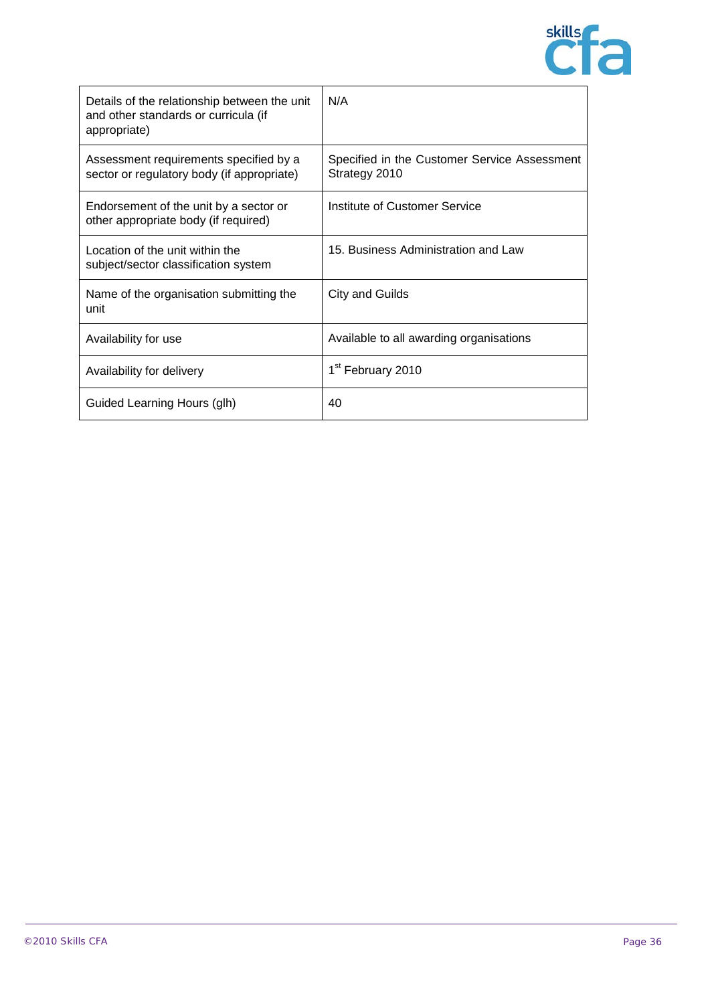

| Details of the relationship between the unit<br>and other standards or curricula (if<br>appropriate) | N/A                                                           |
|------------------------------------------------------------------------------------------------------|---------------------------------------------------------------|
| Assessment requirements specified by a<br>sector or regulatory body (if appropriate)                 | Specified in the Customer Service Assessment<br>Strategy 2010 |
| Endorsement of the unit by a sector or<br>other appropriate body (if required)                       | Institute of Customer Service                                 |
| Location of the unit within the<br>subject/sector classification system                              | 15. Business Administration and Law                           |
| Name of the organisation submitting the<br>unit                                                      | <b>City and Guilds</b>                                        |
| Availability for use                                                                                 | Available to all awarding organisations                       |
| Availability for delivery                                                                            | 1 <sup>st</sup> February 2010                                 |
| Guided Learning Hours (glh)                                                                          | 40                                                            |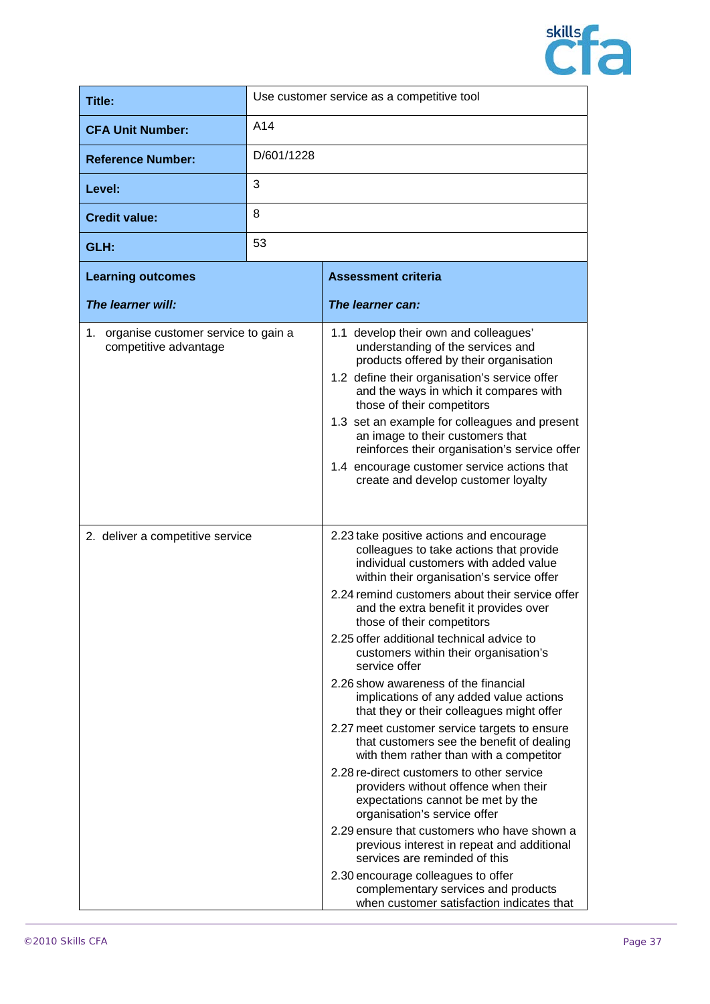

| Title:                                                          | Use customer service as a competitive tool |                                                                                                                                                                                                                                                                                                                                                                                                                                                                                                                                                                                                                                                                                                         |
|-----------------------------------------------------------------|--------------------------------------------|---------------------------------------------------------------------------------------------------------------------------------------------------------------------------------------------------------------------------------------------------------------------------------------------------------------------------------------------------------------------------------------------------------------------------------------------------------------------------------------------------------------------------------------------------------------------------------------------------------------------------------------------------------------------------------------------------------|
| <b>CFA Unit Number:</b>                                         | A14                                        |                                                                                                                                                                                                                                                                                                                                                                                                                                                                                                                                                                                                                                                                                                         |
| <b>Reference Number:</b>                                        | D/601/1228                                 |                                                                                                                                                                                                                                                                                                                                                                                                                                                                                                                                                                                                                                                                                                         |
| Level:                                                          | 3                                          |                                                                                                                                                                                                                                                                                                                                                                                                                                                                                                                                                                                                                                                                                                         |
| <b>Credit value:</b>                                            | 8                                          |                                                                                                                                                                                                                                                                                                                                                                                                                                                                                                                                                                                                                                                                                                         |
| GLH:                                                            | 53                                         |                                                                                                                                                                                                                                                                                                                                                                                                                                                                                                                                                                                                                                                                                                         |
| <b>Learning outcomes</b>                                        |                                            | <b>Assessment criteria</b>                                                                                                                                                                                                                                                                                                                                                                                                                                                                                                                                                                                                                                                                              |
| The learner will:                                               |                                            | The learner can:                                                                                                                                                                                                                                                                                                                                                                                                                                                                                                                                                                                                                                                                                        |
| 1. organise customer service to gain a<br>competitive advantage |                                            | 1.1 develop their own and colleagues'<br>understanding of the services and<br>products offered by their organisation<br>1.2 define their organisation's service offer<br>and the ways in which it compares with<br>those of their competitors<br>1.3 set an example for colleagues and present<br>an image to their customers that<br>reinforces their organisation's service offer<br>1.4 encourage customer service actions that<br>create and develop customer loyalty                                                                                                                                                                                                                               |
| 2. deliver a competitive service                                |                                            | 2.23 take positive actions and encourage<br>colleagues to take actions that provide<br>individual customers with added value<br>within their organisation's service offer<br>2.24 remind customers about their service offer<br>and the extra benefit it provides over<br>those of their competitors<br>2.25 offer additional technical advice to<br>customers within their organisation's                                                                                                                                                                                                                                                                                                              |
|                                                                 |                                            | service offer<br>2.26 show awareness of the financial<br>implications of any added value actions<br>that they or their colleagues might offer<br>2.27 meet customer service targets to ensure<br>that customers see the benefit of dealing<br>with them rather than with a competitor<br>2.28 re-direct customers to other service<br>providers without offence when their<br>expectations cannot be met by the<br>organisation's service offer<br>2.29 ensure that customers who have shown a<br>previous interest in repeat and additional<br>services are reminded of this<br>2.30 encourage colleagues to offer<br>complementary services and products<br>when customer satisfaction indicates that |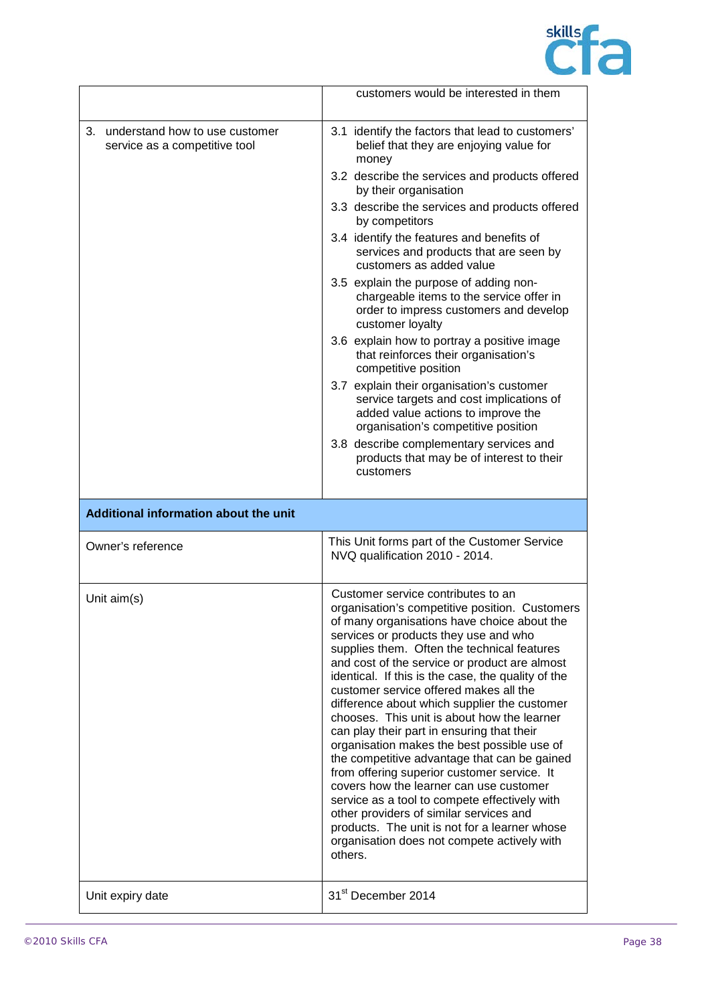

|                                                                       | customers would be interested in them                                                                                                                                                                                                                                                                                                                                                                                                                                                                                                                                                                                                                                                                                                                                                                                                                                                                                                                       |
|-----------------------------------------------------------------------|-------------------------------------------------------------------------------------------------------------------------------------------------------------------------------------------------------------------------------------------------------------------------------------------------------------------------------------------------------------------------------------------------------------------------------------------------------------------------------------------------------------------------------------------------------------------------------------------------------------------------------------------------------------------------------------------------------------------------------------------------------------------------------------------------------------------------------------------------------------------------------------------------------------------------------------------------------------|
| understand how to use customer<br>3.<br>service as a competitive tool | 3.1 identify the factors that lead to customers'<br>belief that they are enjoying value for<br>money<br>3.2 describe the services and products offered<br>by their organisation<br>3.3 describe the services and products offered<br>by competitors<br>3.4 identify the features and benefits of<br>services and products that are seen by<br>customers as added value<br>3.5 explain the purpose of adding non-<br>chargeable items to the service offer in<br>order to impress customers and develop<br>customer loyalty<br>3.6 explain how to portray a positive image<br>that reinforces their organisation's<br>competitive position<br>3.7 explain their organisation's customer<br>service targets and cost implications of<br>added value actions to improve the<br>organisation's competitive position<br>3.8 describe complementary services and<br>products that may be of interest to their<br>customers                                        |
|                                                                       |                                                                                                                                                                                                                                                                                                                                                                                                                                                                                                                                                                                                                                                                                                                                                                                                                                                                                                                                                             |
| Additional information about the unit                                 |                                                                                                                                                                                                                                                                                                                                                                                                                                                                                                                                                                                                                                                                                                                                                                                                                                                                                                                                                             |
| Owner's reference                                                     | This Unit forms part of the Customer Service<br>NVQ qualification 2010 - 2014.                                                                                                                                                                                                                                                                                                                                                                                                                                                                                                                                                                                                                                                                                                                                                                                                                                                                              |
| Unit $aim(s)$                                                         | Customer service contributes to an<br>organisation's competitive position. Customers<br>of many organisations have choice about the<br>services or products they use and who<br>supplies them. Often the technical features<br>and cost of the service or product are almost<br>identical. If this is the case, the quality of the<br>customer service offered makes all the<br>difference about which supplier the customer<br>chooses. This unit is about how the learner<br>can play their part in ensuring that their<br>organisation makes the best possible use of<br>the competitive advantage that can be gained<br>from offering superior customer service. It<br>covers how the learner can use customer<br>service as a tool to compete effectively with<br>other providers of similar services and<br>products. The unit is not for a learner whose<br>organisation does not compete actively with<br>others.<br>31 <sup>st</sup> December 2014 |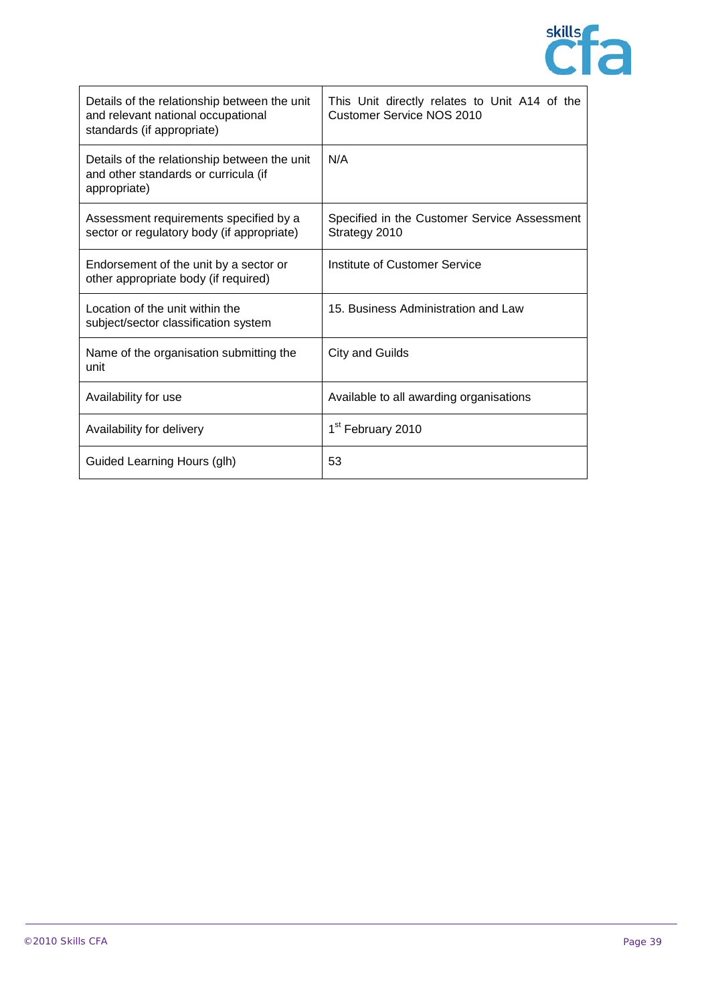

| Details of the relationship between the unit<br>and relevant national occupational<br>standards (if appropriate) | This Unit directly relates to Unit A14 of the<br><b>Customer Service NOS 2010</b> |
|------------------------------------------------------------------------------------------------------------------|-----------------------------------------------------------------------------------|
| Details of the relationship between the unit<br>and other standards or curricula (if<br>appropriate)             | N/A                                                                               |
| Assessment requirements specified by a<br>sector or regulatory body (if appropriate)                             | Specified in the Customer Service Assessment<br>Strategy 2010                     |
| Endorsement of the unit by a sector or<br>other appropriate body (if required)                                   | Institute of Customer Service                                                     |
| Location of the unit within the<br>subject/sector classification system                                          | 15. Business Administration and Law                                               |
| Name of the organisation submitting the<br>unit                                                                  | <b>City and Guilds</b>                                                            |
| Availability for use                                                                                             | Available to all awarding organisations                                           |
| Availability for delivery                                                                                        | 1 <sup>st</sup> February 2010                                                     |
| Guided Learning Hours (glh)                                                                                      | 53                                                                                |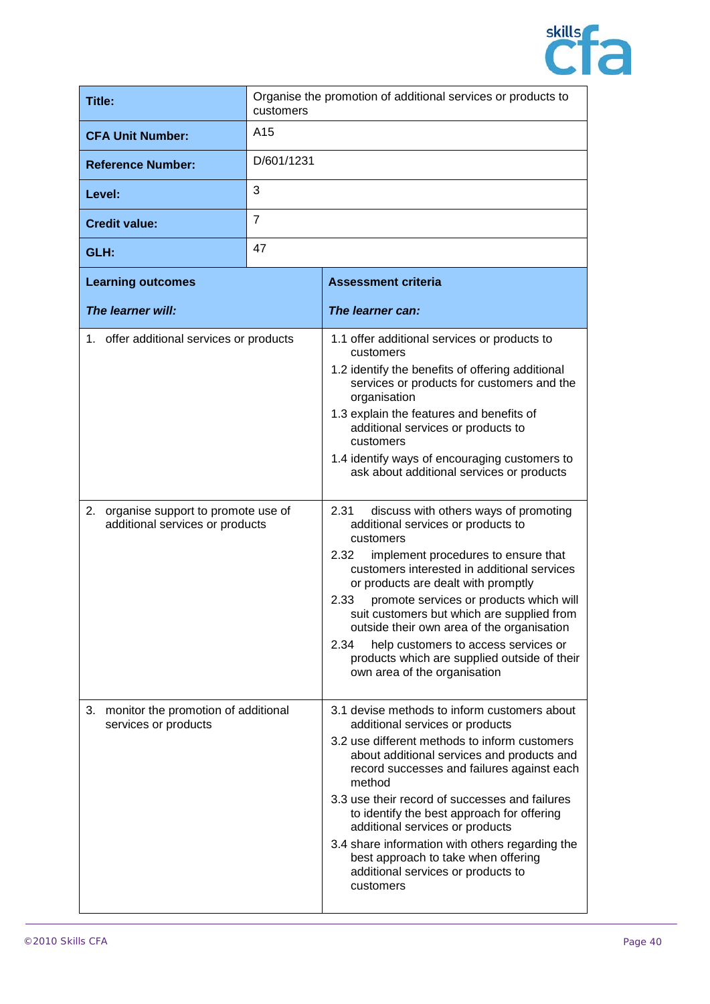

| <b>Title:</b>                                                            | Organise the promotion of additional services or products to<br>customers |                                                                                                                                                     |
|--------------------------------------------------------------------------|---------------------------------------------------------------------------|-----------------------------------------------------------------------------------------------------------------------------------------------------|
| <b>CFA Unit Number:</b>                                                  | A <sub>15</sub>                                                           |                                                                                                                                                     |
| <b>Reference Number:</b>                                                 | D/601/1231                                                                |                                                                                                                                                     |
| Level:                                                                   | 3                                                                         |                                                                                                                                                     |
| <b>Credit value:</b>                                                     | $\overline{7}$                                                            |                                                                                                                                                     |
| GLH:                                                                     | 47                                                                        |                                                                                                                                                     |
| <b>Learning outcomes</b>                                                 |                                                                           | <b>Assessment criteria</b>                                                                                                                          |
| The learner will:                                                        |                                                                           | The learner can:                                                                                                                                    |
| 1. offer additional services or products                                 |                                                                           | 1.1 offer additional services or products to<br>customers                                                                                           |
|                                                                          |                                                                           | 1.2 identify the benefits of offering additional<br>services or products for customers and the<br>organisation                                      |
|                                                                          |                                                                           | 1.3 explain the features and benefits of<br>additional services or products to<br>customers                                                         |
|                                                                          |                                                                           | 1.4 identify ways of encouraging customers to<br>ask about additional services or products                                                          |
| 2. organise support to promote use of<br>additional services or products |                                                                           | discuss with others ways of promoting<br>2.31<br>additional services or products to<br>customers                                                    |
|                                                                          |                                                                           | 2.32<br>implement procedures to ensure that<br>customers interested in additional services<br>or products are dealt with promptly                   |
|                                                                          |                                                                           | 2.33<br>promote services or products which will<br>suit customers but which are supplied from<br>outside their own area of the organisation         |
|                                                                          |                                                                           | 2.34<br>help customers to access services or<br>products which are supplied outside of their<br>own area of the organisation                        |
| monitor the promotion of additional<br>З.<br>services or products        |                                                                           | 3.1 devise methods to inform customers about<br>additional services or products                                                                     |
|                                                                          |                                                                           | 3.2 use different methods to inform customers<br>about additional services and products and<br>record successes and failures against each<br>method |
|                                                                          |                                                                           | 3.3 use their record of successes and failures<br>to identify the best approach for offering<br>additional services or products                     |
|                                                                          |                                                                           | 3.4 share information with others regarding the<br>best approach to take when offering<br>additional services or products to<br>customers           |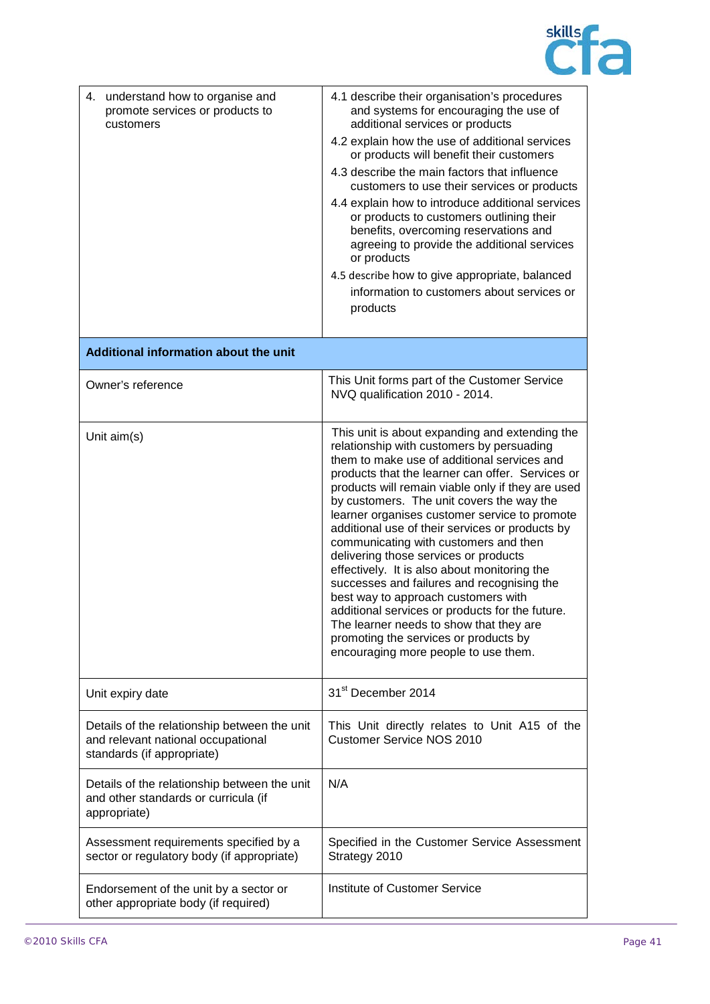

| 4. understand how to organise and<br>promote services or products to<br>customers                                | 4.1 describe their organisation's procedures<br>and systems for encouraging the use of<br>additional services or products<br>4.2 explain how the use of additional services<br>or products will benefit their customers<br>4.3 describe the main factors that influence<br>customers to use their services or products<br>4.4 explain how to introduce additional services<br>or products to customers outlining their<br>benefits, overcoming reservations and<br>agreeing to provide the additional services<br>or products<br>4.5 describe how to give appropriate, balanced<br>information to customers about services or<br>products                                                                                                                                                                  |
|------------------------------------------------------------------------------------------------------------------|------------------------------------------------------------------------------------------------------------------------------------------------------------------------------------------------------------------------------------------------------------------------------------------------------------------------------------------------------------------------------------------------------------------------------------------------------------------------------------------------------------------------------------------------------------------------------------------------------------------------------------------------------------------------------------------------------------------------------------------------------------------------------------------------------------|
| Additional information about the unit                                                                            |                                                                                                                                                                                                                                                                                                                                                                                                                                                                                                                                                                                                                                                                                                                                                                                                            |
| Owner's reference                                                                                                | This Unit forms part of the Customer Service<br>NVQ qualification 2010 - 2014.                                                                                                                                                                                                                                                                                                                                                                                                                                                                                                                                                                                                                                                                                                                             |
| Unit aim(s)                                                                                                      | This unit is about expanding and extending the<br>relationship with customers by persuading<br>them to make use of additional services and<br>products that the learner can offer. Services or<br>products will remain viable only if they are used<br>by customers. The unit covers the way the<br>learner organises customer service to promote<br>additional use of their services or products by<br>communicating with customers and then<br>delivering those services or products<br>effectively. It is also about monitoring the<br>successes and failures and recognising the<br>best way to approach customers with<br>additional services or products for the future.<br>The learner needs to show that they are<br>promoting the services or products by<br>encouraging more people to use them. |
| Unit expiry date                                                                                                 | 31 <sup>st</sup> December 2014                                                                                                                                                                                                                                                                                                                                                                                                                                                                                                                                                                                                                                                                                                                                                                             |
| Details of the relationship between the unit<br>and relevant national occupational<br>standards (if appropriate) | This Unit directly relates to Unit A15 of the<br><b>Customer Service NOS 2010</b>                                                                                                                                                                                                                                                                                                                                                                                                                                                                                                                                                                                                                                                                                                                          |
| Details of the relationship between the unit<br>and other standards or curricula (if<br>appropriate)             | N/A                                                                                                                                                                                                                                                                                                                                                                                                                                                                                                                                                                                                                                                                                                                                                                                                        |
| Assessment requirements specified by a<br>sector or regulatory body (if appropriate)                             | Specified in the Customer Service Assessment<br>Strategy 2010                                                                                                                                                                                                                                                                                                                                                                                                                                                                                                                                                                                                                                                                                                                                              |
| Endorsement of the unit by a sector or<br>other appropriate body (if required)                                   | Institute of Customer Service                                                                                                                                                                                                                                                                                                                                                                                                                                                                                                                                                                                                                                                                                                                                                                              |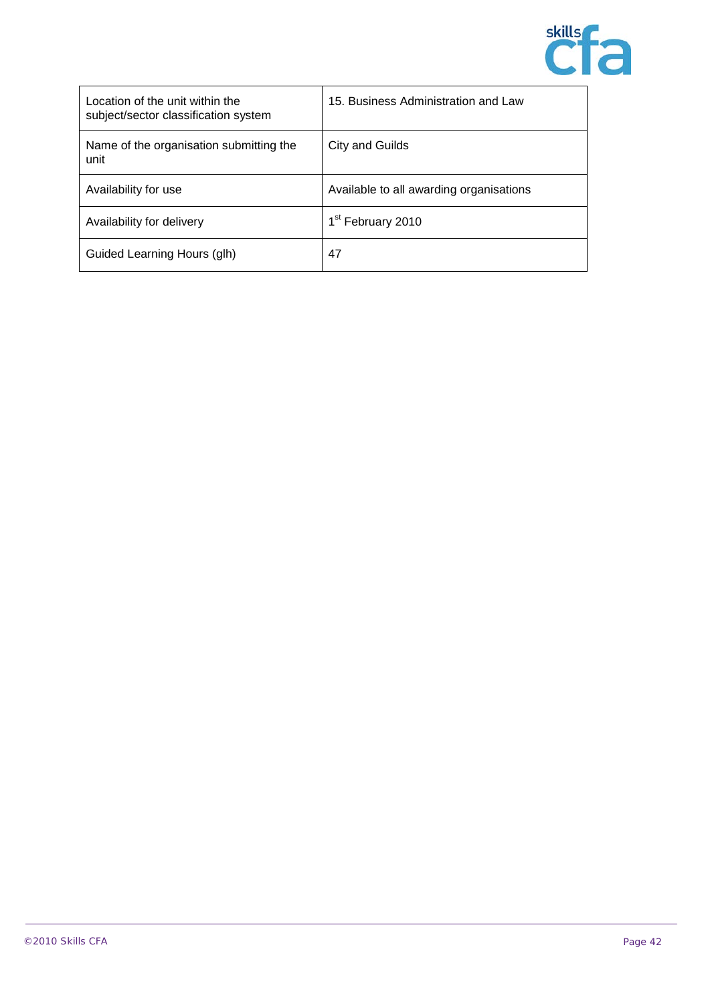

| Location of the unit within the<br>subject/sector classification system | 15. Business Administration and Law     |
|-------------------------------------------------------------------------|-----------------------------------------|
| Name of the organisation submitting the<br>unit                         | City and Guilds                         |
| Availability for use                                                    | Available to all awarding organisations |
| Availability for delivery                                               | 1 <sup>st</sup> February 2010           |
| Guided Learning Hours (glh)                                             | 47                                      |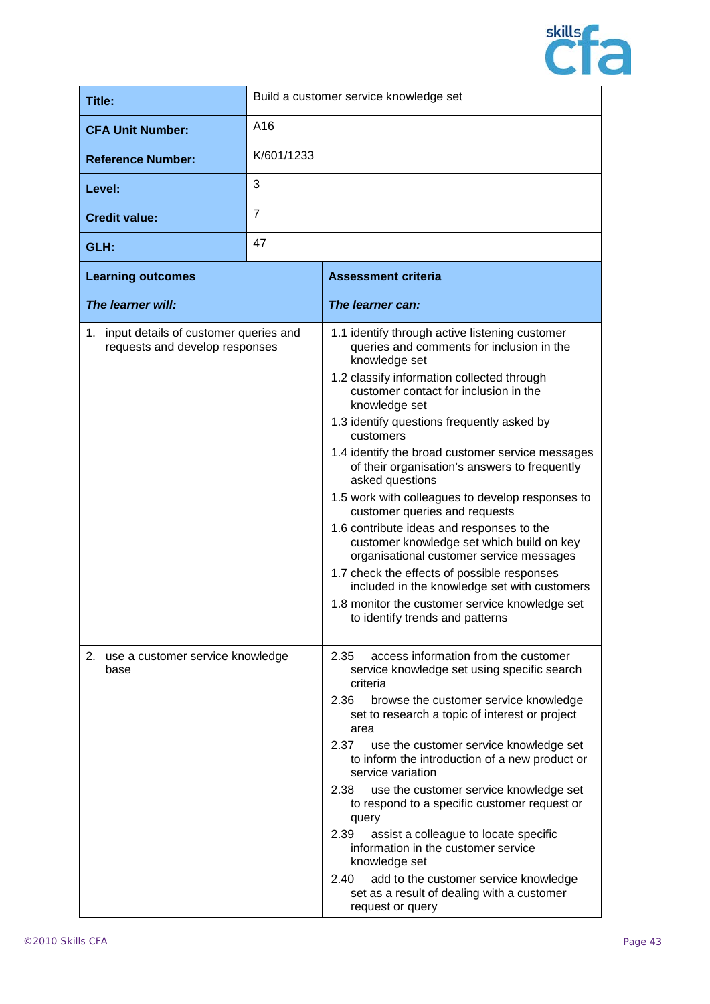

| Title:                                                                     | Build a customer service knowledge set |                                                                                                                                                                                                                                                                                                                                                                                                                                                                                                                                                                                                                                                                                                                                                                                                                        |
|----------------------------------------------------------------------------|----------------------------------------|------------------------------------------------------------------------------------------------------------------------------------------------------------------------------------------------------------------------------------------------------------------------------------------------------------------------------------------------------------------------------------------------------------------------------------------------------------------------------------------------------------------------------------------------------------------------------------------------------------------------------------------------------------------------------------------------------------------------------------------------------------------------------------------------------------------------|
| <b>CFA Unit Number:</b>                                                    | A16                                    |                                                                                                                                                                                                                                                                                                                                                                                                                                                                                                                                                                                                                                                                                                                                                                                                                        |
| <b>Reference Number:</b>                                                   | K/601/1233                             |                                                                                                                                                                                                                                                                                                                                                                                                                                                                                                                                                                                                                                                                                                                                                                                                                        |
| Level:                                                                     | 3                                      |                                                                                                                                                                                                                                                                                                                                                                                                                                                                                                                                                                                                                                                                                                                                                                                                                        |
| <b>Credit value:</b>                                                       | $\overline{7}$                         |                                                                                                                                                                                                                                                                                                                                                                                                                                                                                                                                                                                                                                                                                                                                                                                                                        |
| GLH:                                                                       | 47                                     |                                                                                                                                                                                                                                                                                                                                                                                                                                                                                                                                                                                                                                                                                                                                                                                                                        |
| <b>Learning outcomes</b>                                                   |                                        | <b>Assessment criteria</b>                                                                                                                                                                                                                                                                                                                                                                                                                                                                                                                                                                                                                                                                                                                                                                                             |
| The learner will:                                                          |                                        | The learner can:                                                                                                                                                                                                                                                                                                                                                                                                                                                                                                                                                                                                                                                                                                                                                                                                       |
| 1. input details of customer queries and<br>requests and develop responses |                                        | 1.1 identify through active listening customer<br>queries and comments for inclusion in the<br>knowledge set<br>1.2 classify information collected through<br>customer contact for inclusion in the<br>knowledge set<br>1.3 identify questions frequently asked by<br>customers<br>1.4 identify the broad customer service messages<br>of their organisation's answers to frequently<br>asked questions<br>1.5 work with colleagues to develop responses to<br>customer queries and requests<br>1.6 contribute ideas and responses to the<br>customer knowledge set which build on key<br>organisational customer service messages<br>1.7 check the effects of possible responses<br>included in the knowledge set with customers<br>1.8 monitor the customer service knowledge set<br>to identify trends and patterns |
| 2. use a customer service knowledge<br>base                                |                                        | 2.35<br>access information from the customer<br>service knowledge set using specific search<br>criteria<br>2.36<br>browse the customer service knowledge<br>set to research a topic of interest or project<br>area<br>2.37<br>use the customer service knowledge set<br>to inform the introduction of a new product or<br>service variation<br>2.38<br>use the customer service knowledge set<br>to respond to a specific customer request or<br>query<br>2.39<br>assist a colleague to locate specific<br>information in the customer service<br>knowledge set<br>add to the customer service knowledge<br>2.40<br>set as a result of dealing with a customer<br>request or query                                                                                                                                     |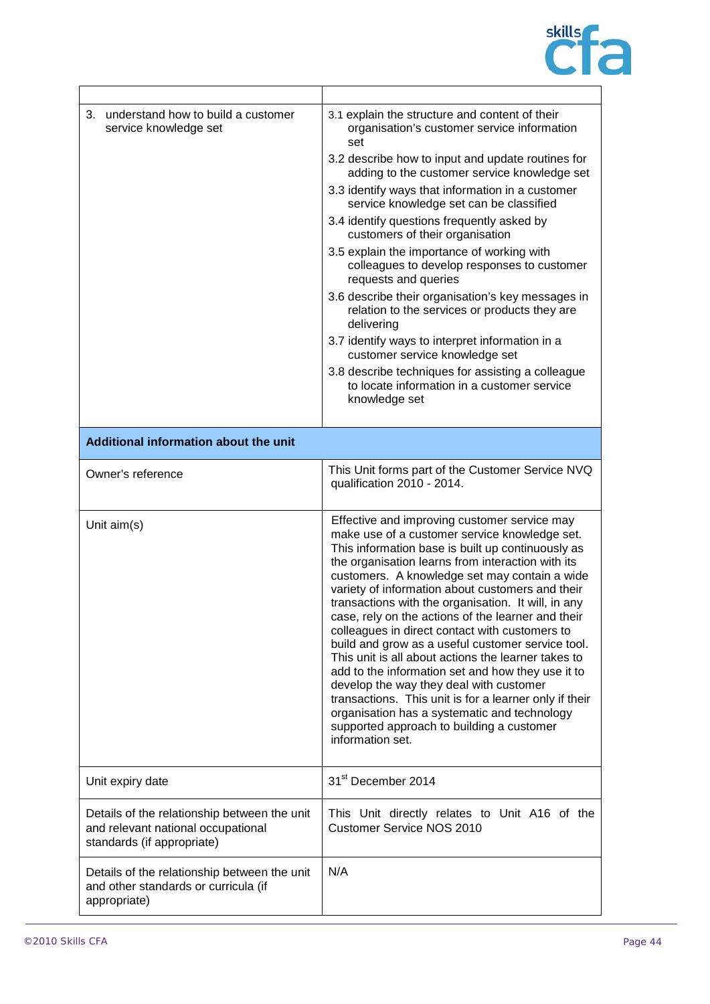

| understand how to build a customer<br>3.<br>service knowledge set                                                | 3.1 explain the structure and content of their<br>organisation's customer service information<br>set<br>3.2 describe how to input and update routines for<br>adding to the customer service knowledge set<br>3.3 identify ways that information in a customer<br>service knowledge set can be classified<br>3.4 identify questions frequently asked by<br>customers of their organisation<br>3.5 explain the importance of working with<br>colleagues to develop responses to customer<br>requests and queries<br>3.6 describe their organisation's key messages in<br>relation to the services or products they are<br>delivering<br>3.7 identify ways to interpret information in a<br>customer service knowledge set<br>3.8 describe techniques for assisting a colleague<br>to locate information in a customer service<br>knowledge set                       |
|------------------------------------------------------------------------------------------------------------------|--------------------------------------------------------------------------------------------------------------------------------------------------------------------------------------------------------------------------------------------------------------------------------------------------------------------------------------------------------------------------------------------------------------------------------------------------------------------------------------------------------------------------------------------------------------------------------------------------------------------------------------------------------------------------------------------------------------------------------------------------------------------------------------------------------------------------------------------------------------------|
| Additional information about the unit                                                                            |                                                                                                                                                                                                                                                                                                                                                                                                                                                                                                                                                                                                                                                                                                                                                                                                                                                                    |
|                                                                                                                  |                                                                                                                                                                                                                                                                                                                                                                                                                                                                                                                                                                                                                                                                                                                                                                                                                                                                    |
| Owner's reference                                                                                                | This Unit forms part of the Customer Service NVQ<br>qualification 2010 - 2014.                                                                                                                                                                                                                                                                                                                                                                                                                                                                                                                                                                                                                                                                                                                                                                                     |
| Unit aim(s)                                                                                                      | Effective and improving customer service may<br>make use of a customer service knowledge set.<br>This information base is built up continuously as<br>the organisation learns from interaction with its<br>customers. A knowledge set may contain a wide<br>variety of information about customers and their<br>transactions with the organisation. It will, in any<br>case, rely on the actions of the learner and their<br>colleagues in direct contact with customers to<br>build and grow as a useful customer service tool.<br>This unit is all about actions the learner takes to<br>add to the information set and how they use it to<br>develop the way they deal with customer<br>transactions. This unit is for a learner only if their<br>organisation has a systematic and technology<br>supported approach to building a customer<br>information set. |
| Unit expiry date                                                                                                 | 31 <sup>st</sup> December 2014                                                                                                                                                                                                                                                                                                                                                                                                                                                                                                                                                                                                                                                                                                                                                                                                                                     |
| Details of the relationship between the unit<br>and relevant national occupational<br>standards (if appropriate) | This Unit directly relates to Unit A16 of the<br><b>Customer Service NOS 2010</b>                                                                                                                                                                                                                                                                                                                                                                                                                                                                                                                                                                                                                                                                                                                                                                                  |
| Details of the relationship between the unit<br>and other standards or curricula (if<br>appropriate)             | N/A                                                                                                                                                                                                                                                                                                                                                                                                                                                                                                                                                                                                                                                                                                                                                                                                                                                                |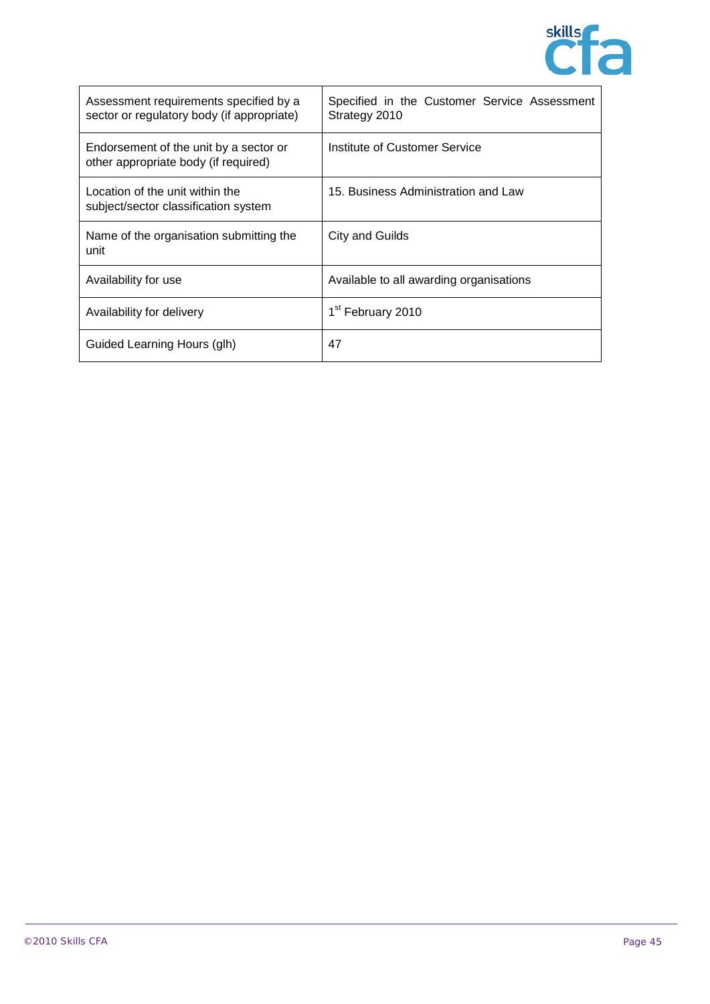

| Assessment requirements specified by a<br>sector or regulatory body (if appropriate) | Specified in the Customer Service Assessment<br>Strategy 2010 |
|--------------------------------------------------------------------------------------|---------------------------------------------------------------|
| Endorsement of the unit by a sector or<br>other appropriate body (if required)       | Institute of Customer Service                                 |
| Location of the unit within the<br>subject/sector classification system              | 15. Business Administration and Law                           |
| Name of the organisation submitting the<br>unit                                      | City and Guilds                                               |
| Availability for use                                                                 | Available to all awarding organisations                       |
| Availability for delivery                                                            | 1 <sup>st</sup> February 2010                                 |
| Guided Learning Hours (glh)                                                          | 47                                                            |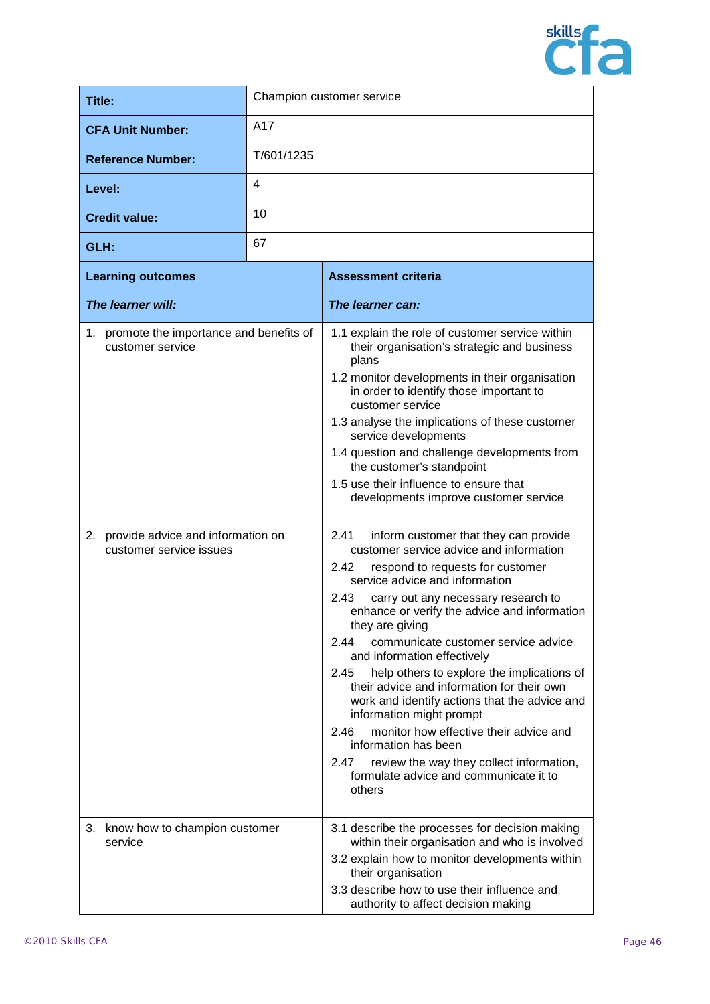

| Title:                                                                                                                           | Champion customer service |                                                                                                                                                                                                                                                                                                                                                                                                                                                                                                                                                                                                                                                                                                                                                                                                                                                                                                                                                                                                                                                                                                                                                                                                                 |
|----------------------------------------------------------------------------------------------------------------------------------|---------------------------|-----------------------------------------------------------------------------------------------------------------------------------------------------------------------------------------------------------------------------------------------------------------------------------------------------------------------------------------------------------------------------------------------------------------------------------------------------------------------------------------------------------------------------------------------------------------------------------------------------------------------------------------------------------------------------------------------------------------------------------------------------------------------------------------------------------------------------------------------------------------------------------------------------------------------------------------------------------------------------------------------------------------------------------------------------------------------------------------------------------------------------------------------------------------------------------------------------------------|
| <b>CFA Unit Number:</b>                                                                                                          | A17                       |                                                                                                                                                                                                                                                                                                                                                                                                                                                                                                                                                                                                                                                                                                                                                                                                                                                                                                                                                                                                                                                                                                                                                                                                                 |
| <b>Reference Number:</b>                                                                                                         | T/601/1235                |                                                                                                                                                                                                                                                                                                                                                                                                                                                                                                                                                                                                                                                                                                                                                                                                                                                                                                                                                                                                                                                                                                                                                                                                                 |
| Level:                                                                                                                           | 4                         |                                                                                                                                                                                                                                                                                                                                                                                                                                                                                                                                                                                                                                                                                                                                                                                                                                                                                                                                                                                                                                                                                                                                                                                                                 |
| <b>Credit value:</b>                                                                                                             | 10                        |                                                                                                                                                                                                                                                                                                                                                                                                                                                                                                                                                                                                                                                                                                                                                                                                                                                                                                                                                                                                                                                                                                                                                                                                                 |
| GLH:                                                                                                                             | 67                        |                                                                                                                                                                                                                                                                                                                                                                                                                                                                                                                                                                                                                                                                                                                                                                                                                                                                                                                                                                                                                                                                                                                                                                                                                 |
| <b>Learning outcomes</b>                                                                                                         |                           | <b>Assessment criteria</b>                                                                                                                                                                                                                                                                                                                                                                                                                                                                                                                                                                                                                                                                                                                                                                                                                                                                                                                                                                                                                                                                                                                                                                                      |
| The learner will:                                                                                                                |                           | The learner can:                                                                                                                                                                                                                                                                                                                                                                                                                                                                                                                                                                                                                                                                                                                                                                                                                                                                                                                                                                                                                                                                                                                                                                                                |
| 1. promote the importance and benefits of<br>customer service<br>2. provide advice and information on<br>customer service issues |                           | 1.1 explain the role of customer service within<br>their organisation's strategic and business<br>plans<br>1.2 monitor developments in their organisation<br>in order to identify those important to<br>customer service<br>1.3 analyse the implications of these customer<br>service developments<br>1.4 question and challenge developments from<br>the customer's standpoint<br>1.5 use their influence to ensure that<br>developments improve customer service<br>2.41<br>inform customer that they can provide<br>customer service advice and information<br>respond to requests for customer<br>2.42<br>service advice and information<br>2.43<br>carry out any necessary research to<br>enhance or verify the advice and information<br>they are giving<br>communicate customer service advice<br>2.44<br>and information effectively<br>help others to explore the implications of<br>2.45<br>their advice and information for their own<br>work and identify actions that the advice and<br>information might prompt<br>monitor how effective their advice and<br>2.46<br>information has been<br>2.47<br>review the way they collect information,<br>formulate advice and communicate it to<br>others |
| know how to champion customer<br>3.<br>service                                                                                   |                           | 3.1 describe the processes for decision making<br>within their organisation and who is involved<br>3.2 explain how to monitor developments within<br>their organisation<br>3.3 describe how to use their influence and<br>authority to affect decision making                                                                                                                                                                                                                                                                                                                                                                                                                                                                                                                                                                                                                                                                                                                                                                                                                                                                                                                                                   |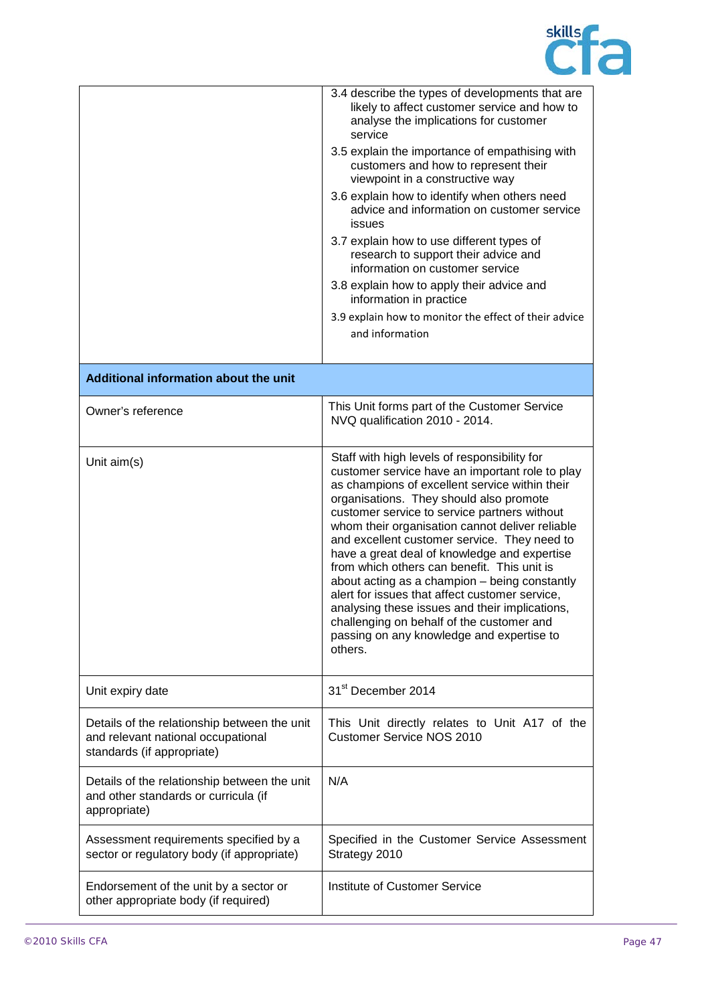

|                                                                                                                  | 3.4 describe the types of developments that are<br>likely to affect customer service and how to<br>analyse the implications for customer<br>service<br>3.5 explain the importance of empathising with<br>customers and how to represent their<br>viewpoint in a constructive way<br>3.6 explain how to identify when others need<br>advice and information on customer service<br><b>issues</b><br>3.7 explain how to use different types of<br>research to support their advice and<br>information on customer service<br>3.8 explain how to apply their advice and<br>information in practice                                                                                                          |
|------------------------------------------------------------------------------------------------------------------|----------------------------------------------------------------------------------------------------------------------------------------------------------------------------------------------------------------------------------------------------------------------------------------------------------------------------------------------------------------------------------------------------------------------------------------------------------------------------------------------------------------------------------------------------------------------------------------------------------------------------------------------------------------------------------------------------------|
|                                                                                                                  | 3.9 explain how to monitor the effect of their advice<br>and information                                                                                                                                                                                                                                                                                                                                                                                                                                                                                                                                                                                                                                 |
|                                                                                                                  |                                                                                                                                                                                                                                                                                                                                                                                                                                                                                                                                                                                                                                                                                                          |
| Additional information about the unit                                                                            |                                                                                                                                                                                                                                                                                                                                                                                                                                                                                                                                                                                                                                                                                                          |
| Owner's reference                                                                                                | This Unit forms part of the Customer Service<br>NVQ qualification 2010 - 2014.                                                                                                                                                                                                                                                                                                                                                                                                                                                                                                                                                                                                                           |
| Unit $aim(s)$                                                                                                    | Staff with high levels of responsibility for<br>customer service have an important role to play<br>as champions of excellent service within their<br>organisations. They should also promote<br>customer service to service partners without<br>whom their organisation cannot deliver reliable<br>and excellent customer service. They need to<br>have a great deal of knowledge and expertise<br>from which others can benefit. This unit is<br>about acting as a champion - being constantly<br>alert for issues that affect customer service,<br>analysing these issues and their implications,<br>challenging on behalf of the customer and<br>passing on any knowledge and expertise to<br>others. |
| Unit expiry date                                                                                                 | 31 <sup>st</sup> December 2014                                                                                                                                                                                                                                                                                                                                                                                                                                                                                                                                                                                                                                                                           |
| Details of the relationship between the unit<br>and relevant national occupational<br>standards (if appropriate) | This Unit directly relates to Unit A17 of the<br><b>Customer Service NOS 2010</b>                                                                                                                                                                                                                                                                                                                                                                                                                                                                                                                                                                                                                        |
| Details of the relationship between the unit<br>and other standards or curricula (if<br>appropriate)             | N/A                                                                                                                                                                                                                                                                                                                                                                                                                                                                                                                                                                                                                                                                                                      |
| Assessment requirements specified by a<br>sector or regulatory body (if appropriate)                             | Specified in the Customer Service Assessment<br>Strategy 2010                                                                                                                                                                                                                                                                                                                                                                                                                                                                                                                                                                                                                                            |
| Endorsement of the unit by a sector or<br>other appropriate body (if required)                                   | Institute of Customer Service                                                                                                                                                                                                                                                                                                                                                                                                                                                                                                                                                                                                                                                                            |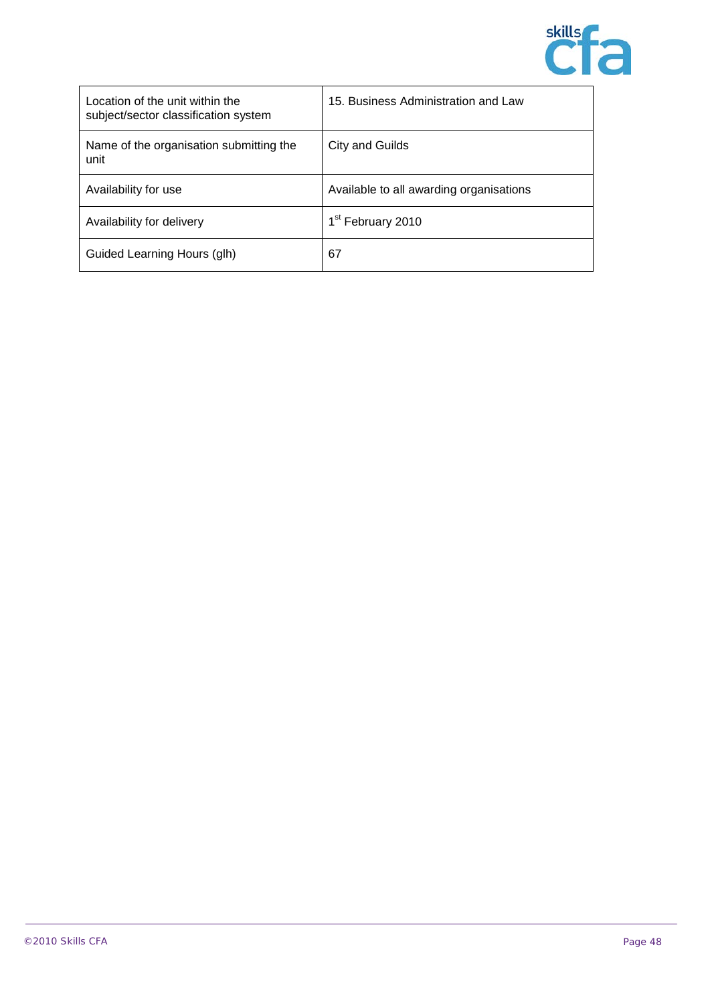

| Location of the unit within the<br>subject/sector classification system | 15. Business Administration and Law     |
|-------------------------------------------------------------------------|-----------------------------------------|
| Name of the organisation submitting the<br>unit                         | City and Guilds                         |
| Availability for use                                                    | Available to all awarding organisations |
| Availability for delivery                                               | 1 <sup>st</sup> February 2010           |
| Guided Learning Hours (glh)                                             | 67                                      |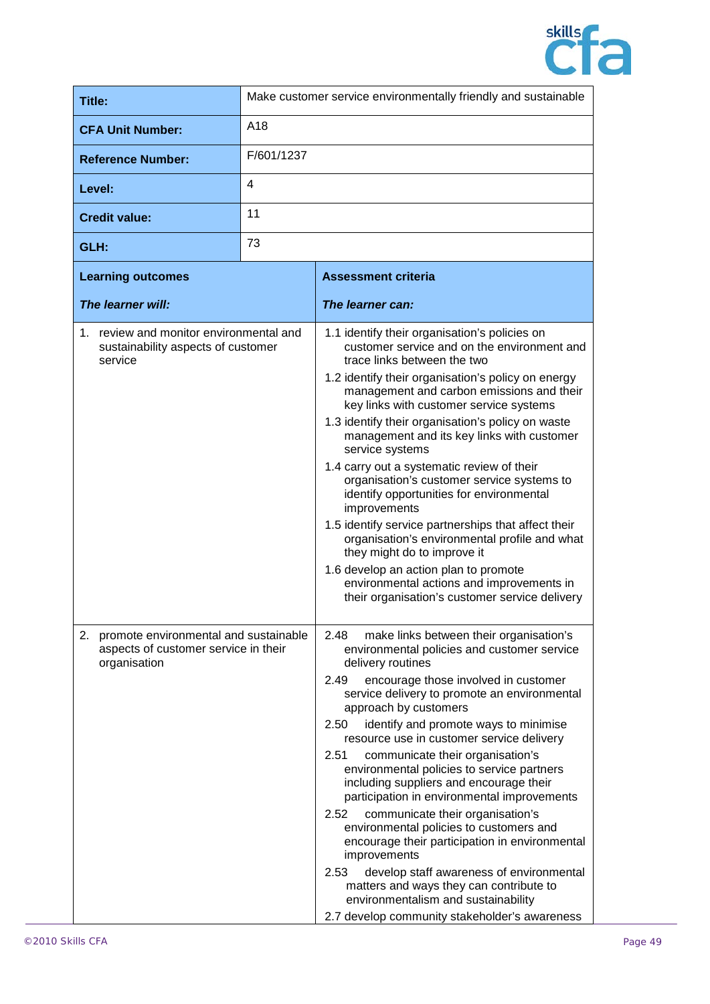

| Title:                                                                                           | Make customer service environmentally friendly and sustainable |                                                                                                                                                                                                                                                                                                                                                                                                                                                                                                                                                                                                                                                                                                                                                                                                                                                                                |
|--------------------------------------------------------------------------------------------------|----------------------------------------------------------------|--------------------------------------------------------------------------------------------------------------------------------------------------------------------------------------------------------------------------------------------------------------------------------------------------------------------------------------------------------------------------------------------------------------------------------------------------------------------------------------------------------------------------------------------------------------------------------------------------------------------------------------------------------------------------------------------------------------------------------------------------------------------------------------------------------------------------------------------------------------------------------|
| <b>CFA Unit Number:</b>                                                                          | A18                                                            |                                                                                                                                                                                                                                                                                                                                                                                                                                                                                                                                                                                                                                                                                                                                                                                                                                                                                |
| <b>Reference Number:</b>                                                                         | F/601/1237                                                     |                                                                                                                                                                                                                                                                                                                                                                                                                                                                                                                                                                                                                                                                                                                                                                                                                                                                                |
| Level:                                                                                           | 4                                                              |                                                                                                                                                                                                                                                                                                                                                                                                                                                                                                                                                                                                                                                                                                                                                                                                                                                                                |
| <b>Credit value:</b>                                                                             | 11                                                             |                                                                                                                                                                                                                                                                                                                                                                                                                                                                                                                                                                                                                                                                                                                                                                                                                                                                                |
| GLH:                                                                                             | 73                                                             |                                                                                                                                                                                                                                                                                                                                                                                                                                                                                                                                                                                                                                                                                                                                                                                                                                                                                |
| <b>Learning outcomes</b>                                                                         |                                                                | <b>Assessment criteria</b>                                                                                                                                                                                                                                                                                                                                                                                                                                                                                                                                                                                                                                                                                                                                                                                                                                                     |
| The learner will:                                                                                |                                                                | The learner can:                                                                                                                                                                                                                                                                                                                                                                                                                                                                                                                                                                                                                                                                                                                                                                                                                                                               |
| 1. review and monitor environmental and<br>sustainability aspects of customer<br>service         |                                                                | 1.1 identify their organisation's policies on<br>customer service and on the environment and<br>trace links between the two<br>1.2 identify their organisation's policy on energy<br>management and carbon emissions and their<br>key links with customer service systems<br>1.3 identify their organisation's policy on waste<br>management and its key links with customer<br>service systems<br>1.4 carry out a systematic review of their<br>organisation's customer service systems to<br>identify opportunities for environmental<br>improvements<br>1.5 identify service partnerships that affect their<br>organisation's environmental profile and what<br>they might do to improve it<br>1.6 develop an action plan to promote<br>environmental actions and improvements in<br>their organisation's customer service delivery                                         |
| 2. promote environmental and sustainable<br>aspects of customer service in their<br>organisation |                                                                | 2.48<br>make links between their organisation's<br>environmental policies and customer service<br>delivery routines<br>2.49<br>encourage those involved in customer<br>service delivery to promote an environmental<br>approach by customers<br>identify and promote ways to minimise<br>2.50<br>resource use in customer service delivery<br>2.51<br>communicate their organisation's<br>environmental policies to service partners<br>including suppliers and encourage their<br>participation in environmental improvements<br>2.52<br>communicate their organisation's<br>environmental policies to customers and<br>encourage their participation in environmental<br>improvements<br>develop staff awareness of environmental<br>2.53<br>matters and ways they can contribute to<br>environmentalism and sustainability<br>2.7 develop community stakeholder's awareness |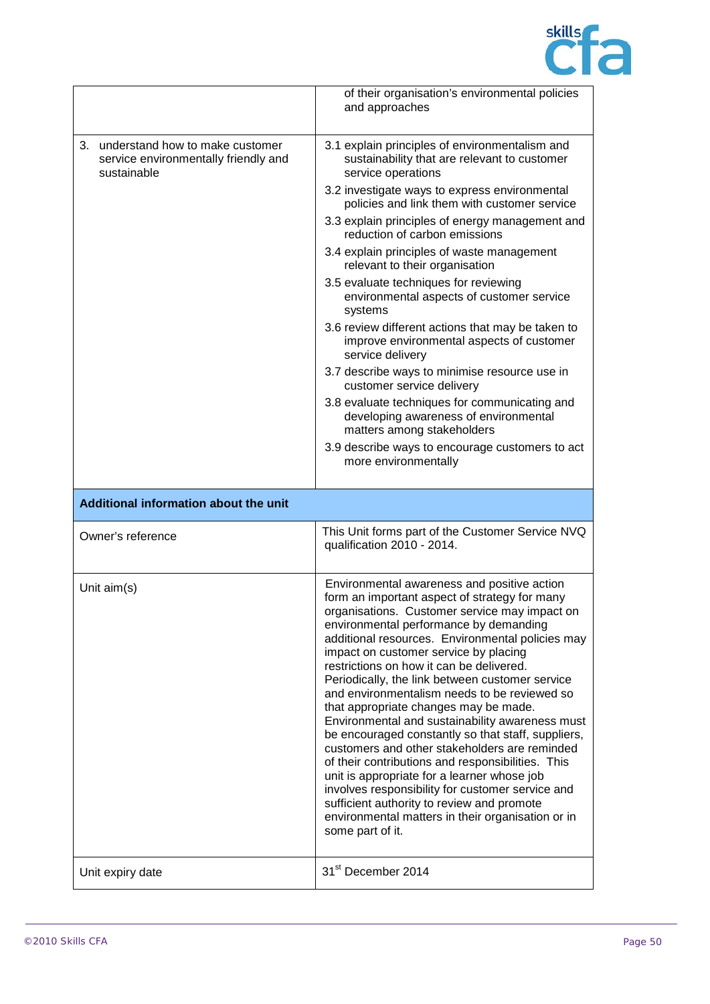

|                                                                                              | of their organisation's environmental policies<br>and approaches                                                                                                                                                                                                                                                                                                                                                                                                                                                                                                                                                                                                                                                                                                                                                                                                                                                      |
|----------------------------------------------------------------------------------------------|-----------------------------------------------------------------------------------------------------------------------------------------------------------------------------------------------------------------------------------------------------------------------------------------------------------------------------------------------------------------------------------------------------------------------------------------------------------------------------------------------------------------------------------------------------------------------------------------------------------------------------------------------------------------------------------------------------------------------------------------------------------------------------------------------------------------------------------------------------------------------------------------------------------------------|
| understand how to make customer<br>3.<br>service environmentally friendly and<br>sustainable | 3.1 explain principles of environmentalism and<br>sustainability that are relevant to customer<br>service operations                                                                                                                                                                                                                                                                                                                                                                                                                                                                                                                                                                                                                                                                                                                                                                                                  |
|                                                                                              | 3.2 investigate ways to express environmental<br>policies and link them with customer service                                                                                                                                                                                                                                                                                                                                                                                                                                                                                                                                                                                                                                                                                                                                                                                                                         |
|                                                                                              | 3.3 explain principles of energy management and<br>reduction of carbon emissions                                                                                                                                                                                                                                                                                                                                                                                                                                                                                                                                                                                                                                                                                                                                                                                                                                      |
|                                                                                              | 3.4 explain principles of waste management<br>relevant to their organisation                                                                                                                                                                                                                                                                                                                                                                                                                                                                                                                                                                                                                                                                                                                                                                                                                                          |
|                                                                                              | 3.5 evaluate techniques for reviewing<br>environmental aspects of customer service<br>systems                                                                                                                                                                                                                                                                                                                                                                                                                                                                                                                                                                                                                                                                                                                                                                                                                         |
|                                                                                              | 3.6 review different actions that may be taken to<br>improve environmental aspects of customer<br>service delivery                                                                                                                                                                                                                                                                                                                                                                                                                                                                                                                                                                                                                                                                                                                                                                                                    |
|                                                                                              | 3.7 describe ways to minimise resource use in<br>customer service delivery                                                                                                                                                                                                                                                                                                                                                                                                                                                                                                                                                                                                                                                                                                                                                                                                                                            |
|                                                                                              | 3.8 evaluate techniques for communicating and<br>developing awareness of environmental<br>matters among stakeholders                                                                                                                                                                                                                                                                                                                                                                                                                                                                                                                                                                                                                                                                                                                                                                                                  |
|                                                                                              | 3.9 describe ways to encourage customers to act<br>more environmentally                                                                                                                                                                                                                                                                                                                                                                                                                                                                                                                                                                                                                                                                                                                                                                                                                                               |
|                                                                                              |                                                                                                                                                                                                                                                                                                                                                                                                                                                                                                                                                                                                                                                                                                                                                                                                                                                                                                                       |
| Additional information about the unit                                                        |                                                                                                                                                                                                                                                                                                                                                                                                                                                                                                                                                                                                                                                                                                                                                                                                                                                                                                                       |
| Owner's reference                                                                            | This Unit forms part of the Customer Service NVQ<br>qualification 2010 - 2014.                                                                                                                                                                                                                                                                                                                                                                                                                                                                                                                                                                                                                                                                                                                                                                                                                                        |
| Unit aim(s)                                                                                  | Environmental awareness and positive action<br>form an important aspect of strategy for many<br>organisations. Customer service may impact on<br>environmental performance by demanding<br>additional resources. Environmental policies may<br>impact on customer service by placing<br>restrictions on how it can be delivered.<br>Periodically, the link between customer service<br>and environmentalism needs to be reviewed so<br>that appropriate changes may be made.<br>Environmental and sustainability awareness must<br>be encouraged constantly so that staff, suppliers,<br>customers and other stakeholders are reminded<br>of their contributions and responsibilities. This<br>unit is appropriate for a learner whose job<br>involves responsibility for customer service and<br>sufficient authority to review and promote<br>environmental matters in their organisation or in<br>some part of it. |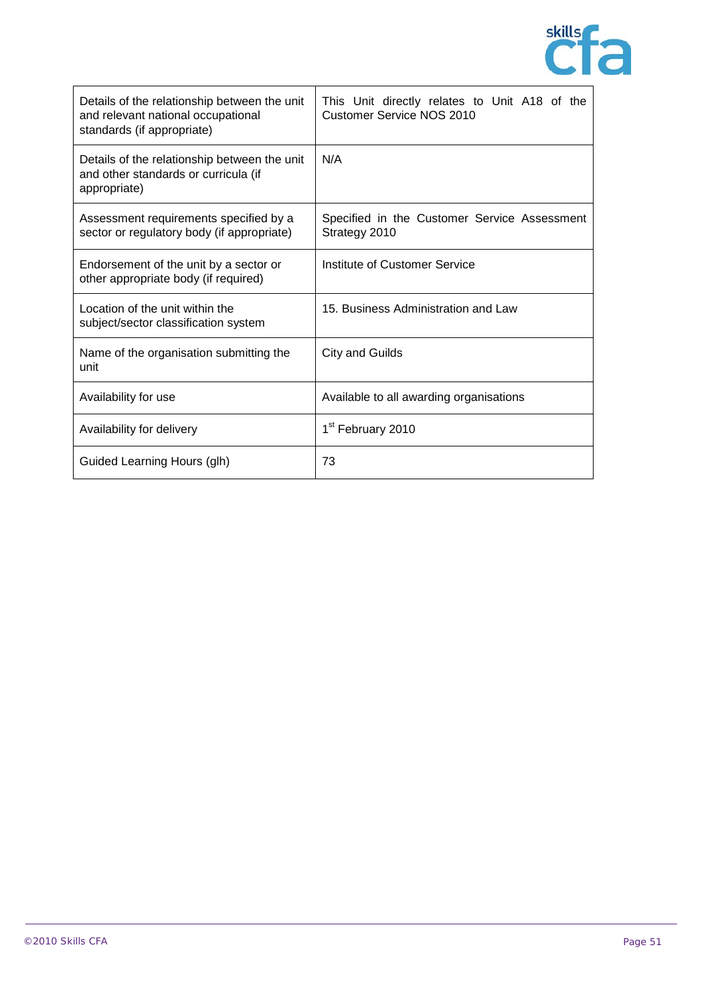

| Details of the relationship between the unit<br>and relevant national occupational<br>standards (if appropriate) | This Unit directly relates to Unit A18 of the<br><b>Customer Service NOS 2010</b> |
|------------------------------------------------------------------------------------------------------------------|-----------------------------------------------------------------------------------|
| Details of the relationship between the unit<br>and other standards or curricula (if<br>appropriate)             | N/A                                                                               |
| Assessment requirements specified by a<br>sector or regulatory body (if appropriate)                             | Specified in the Customer Service Assessment<br>Strategy 2010                     |
| Endorsement of the unit by a sector or<br>other appropriate body (if required)                                   | Institute of Customer Service                                                     |
| Location of the unit within the<br>subject/sector classification system                                          | 15. Business Administration and Law                                               |
| Name of the organisation submitting the<br>unit                                                                  | City and Guilds                                                                   |
| Availability for use                                                                                             | Available to all awarding organisations                                           |
| Availability for delivery                                                                                        | 1 <sup>st</sup> February 2010                                                     |
| Guided Learning Hours (glh)                                                                                      | 73                                                                                |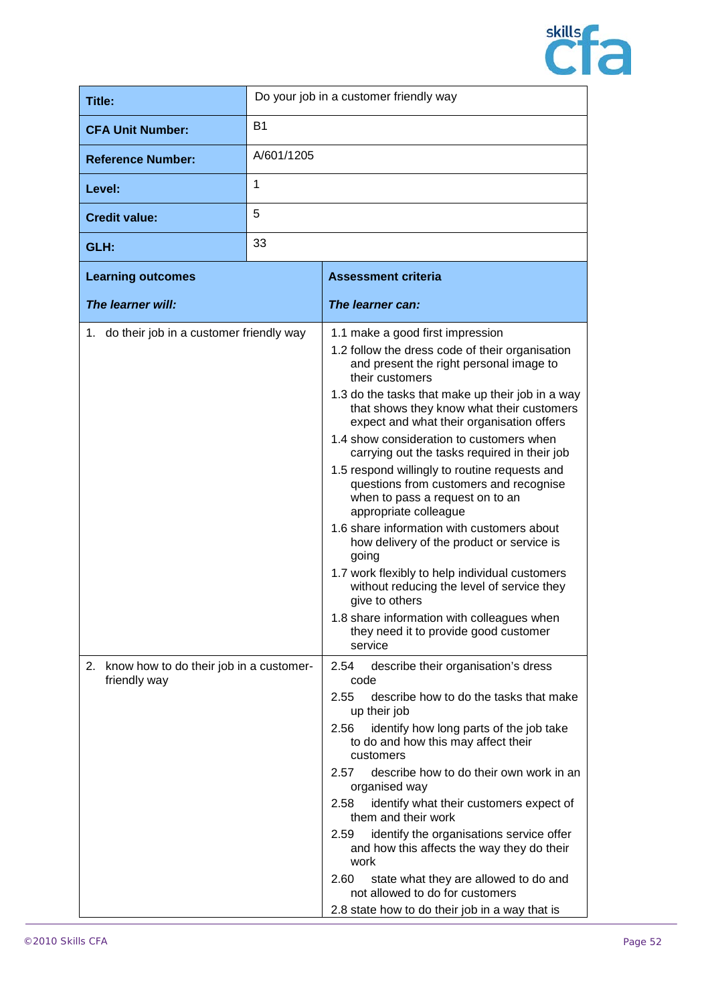

| <b>Title:</b>                                              | Do your job in a customer friendly way |                                                                                                                                                                                                                                                                                                                                                                                                                                                                                                                                                                                                                                                                                                                                                                                                                                                                            |
|------------------------------------------------------------|----------------------------------------|----------------------------------------------------------------------------------------------------------------------------------------------------------------------------------------------------------------------------------------------------------------------------------------------------------------------------------------------------------------------------------------------------------------------------------------------------------------------------------------------------------------------------------------------------------------------------------------------------------------------------------------------------------------------------------------------------------------------------------------------------------------------------------------------------------------------------------------------------------------------------|
| <b>CFA Unit Number:</b>                                    | <b>B1</b>                              |                                                                                                                                                                                                                                                                                                                                                                                                                                                                                                                                                                                                                                                                                                                                                                                                                                                                            |
| <b>Reference Number:</b>                                   | A/601/1205                             |                                                                                                                                                                                                                                                                                                                                                                                                                                                                                                                                                                                                                                                                                                                                                                                                                                                                            |
| Level:                                                     | 1                                      |                                                                                                                                                                                                                                                                                                                                                                                                                                                                                                                                                                                                                                                                                                                                                                                                                                                                            |
| <b>Credit value:</b>                                       | 5                                      |                                                                                                                                                                                                                                                                                                                                                                                                                                                                                                                                                                                                                                                                                                                                                                                                                                                                            |
| GLH:                                                       | 33                                     |                                                                                                                                                                                                                                                                                                                                                                                                                                                                                                                                                                                                                                                                                                                                                                                                                                                                            |
| <b>Learning outcomes</b>                                   |                                        | <b>Assessment criteria</b>                                                                                                                                                                                                                                                                                                                                                                                                                                                                                                                                                                                                                                                                                                                                                                                                                                                 |
| The learner will:                                          |                                        | The learner can:                                                                                                                                                                                                                                                                                                                                                                                                                                                                                                                                                                                                                                                                                                                                                                                                                                                           |
| 1. do their job in a customer friendly way                 |                                        | 1.1 make a good first impression<br>1.2 follow the dress code of their organisation<br>and present the right personal image to<br>their customers<br>1.3 do the tasks that make up their job in a way<br>that shows they know what their customers<br>expect and what their organisation offers<br>1.4 show consideration to customers when<br>carrying out the tasks required in their job<br>1.5 respond willingly to routine requests and<br>questions from customers and recognise<br>when to pass a request on to an<br>appropriate colleague<br>1.6 share information with customers about<br>how delivery of the product or service is<br>going<br>1.7 work flexibly to help individual customers<br>without reducing the level of service they<br>give to others<br>1.8 share information with colleagues when<br>they need it to provide good customer<br>service |
| 2. know how to do their job in a customer-<br>friendly way |                                        | 2.54<br>describe their organisation's dress<br>code<br>2.55<br>describe how to do the tasks that make<br>up their job                                                                                                                                                                                                                                                                                                                                                                                                                                                                                                                                                                                                                                                                                                                                                      |
|                                                            |                                        | identify how long parts of the job take<br>2.56<br>to do and how this may affect their<br>customers                                                                                                                                                                                                                                                                                                                                                                                                                                                                                                                                                                                                                                                                                                                                                                        |
|                                                            |                                        | describe how to do their own work in an<br>2.57<br>organised way                                                                                                                                                                                                                                                                                                                                                                                                                                                                                                                                                                                                                                                                                                                                                                                                           |
|                                                            |                                        | identify what their customers expect of<br>2.58<br>them and their work                                                                                                                                                                                                                                                                                                                                                                                                                                                                                                                                                                                                                                                                                                                                                                                                     |
|                                                            |                                        | identify the organisations service offer<br>2.59<br>and how this affects the way they do their<br>work                                                                                                                                                                                                                                                                                                                                                                                                                                                                                                                                                                                                                                                                                                                                                                     |
|                                                            |                                        | state what they are allowed to do and<br>2.60<br>not allowed to do for customers                                                                                                                                                                                                                                                                                                                                                                                                                                                                                                                                                                                                                                                                                                                                                                                           |
|                                                            |                                        | 2.8 state how to do their job in a way that is                                                                                                                                                                                                                                                                                                                                                                                                                                                                                                                                                                                                                                                                                                                                                                                                                             |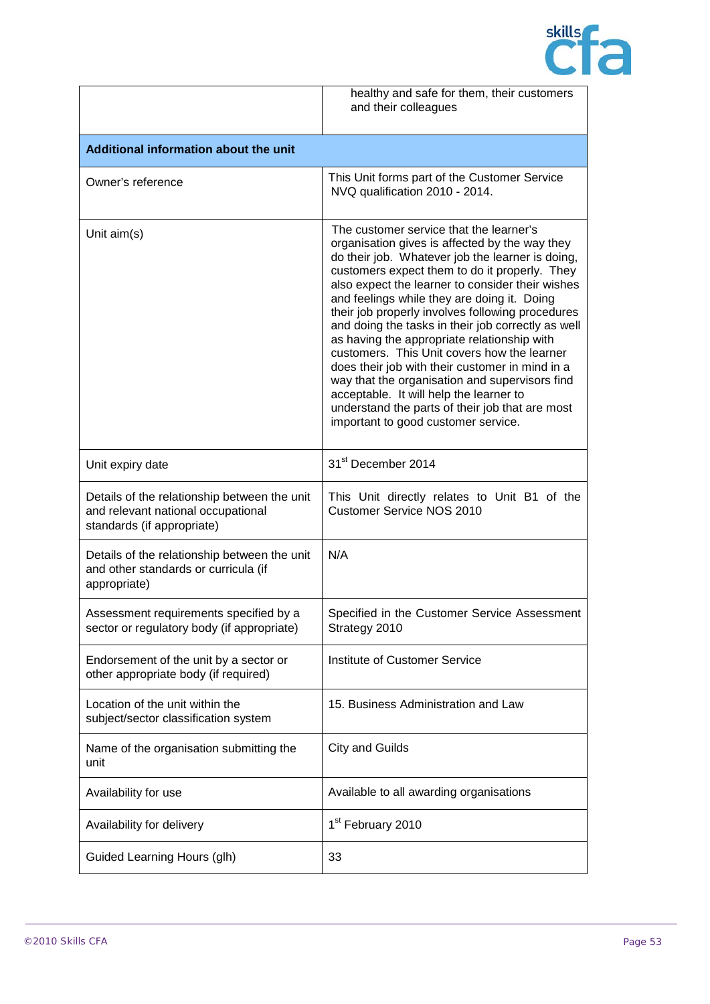

|                                                                                                                  | healthy and safe for them, their customers<br>and their colleagues                                                                                                                                                                                                                                                                                                                                                                                                                                                                                                                                                                                                                                                                                  |
|------------------------------------------------------------------------------------------------------------------|-----------------------------------------------------------------------------------------------------------------------------------------------------------------------------------------------------------------------------------------------------------------------------------------------------------------------------------------------------------------------------------------------------------------------------------------------------------------------------------------------------------------------------------------------------------------------------------------------------------------------------------------------------------------------------------------------------------------------------------------------------|
| Additional information about the unit                                                                            |                                                                                                                                                                                                                                                                                                                                                                                                                                                                                                                                                                                                                                                                                                                                                     |
| Owner's reference                                                                                                | This Unit forms part of the Customer Service<br>NVQ qualification 2010 - 2014.                                                                                                                                                                                                                                                                                                                                                                                                                                                                                                                                                                                                                                                                      |
| Unit aim(s)                                                                                                      | The customer service that the learner's<br>organisation gives is affected by the way they<br>do their job. Whatever job the learner is doing,<br>customers expect them to do it properly. They<br>also expect the learner to consider their wishes<br>and feelings while they are doing it. Doing<br>their job properly involves following procedures<br>and doing the tasks in their job correctly as well<br>as having the appropriate relationship with<br>customers. This Unit covers how the learner<br>does their job with their customer in mind in a<br>way that the organisation and supervisors find<br>acceptable. It will help the learner to<br>understand the parts of their job that are most<br>important to good customer service. |
| Unit expiry date                                                                                                 | 31 <sup>st</sup> December 2014                                                                                                                                                                                                                                                                                                                                                                                                                                                                                                                                                                                                                                                                                                                      |
| Details of the relationship between the unit<br>and relevant national occupational<br>standards (if appropriate) | This Unit directly relates to Unit B1 of the<br><b>Customer Service NOS 2010</b>                                                                                                                                                                                                                                                                                                                                                                                                                                                                                                                                                                                                                                                                    |
| Details of the relationship between the unit<br>and other standards or curricula (if<br>appropriate)             | N/A                                                                                                                                                                                                                                                                                                                                                                                                                                                                                                                                                                                                                                                                                                                                                 |
| Assessment requirements specified by a<br>sector or regulatory body (if appropriate)                             | Specified in the Customer Service Assessment<br>Strategy 2010                                                                                                                                                                                                                                                                                                                                                                                                                                                                                                                                                                                                                                                                                       |
| Endorsement of the unit by a sector or<br>other appropriate body (if required)                                   | Institute of Customer Service                                                                                                                                                                                                                                                                                                                                                                                                                                                                                                                                                                                                                                                                                                                       |
| Location of the unit within the<br>subject/sector classification system                                          | 15. Business Administration and Law                                                                                                                                                                                                                                                                                                                                                                                                                                                                                                                                                                                                                                                                                                                 |
| Name of the organisation submitting the<br>unit                                                                  | <b>City and Guilds</b>                                                                                                                                                                                                                                                                                                                                                                                                                                                                                                                                                                                                                                                                                                                              |
| Availability for use                                                                                             | Available to all awarding organisations                                                                                                                                                                                                                                                                                                                                                                                                                                                                                                                                                                                                                                                                                                             |
| Availability for delivery                                                                                        | 1 <sup>st</sup> February 2010                                                                                                                                                                                                                                                                                                                                                                                                                                                                                                                                                                                                                                                                                                                       |
| Guided Learning Hours (glh)                                                                                      | 33                                                                                                                                                                                                                                                                                                                                                                                                                                                                                                                                                                                                                                                                                                                                                  |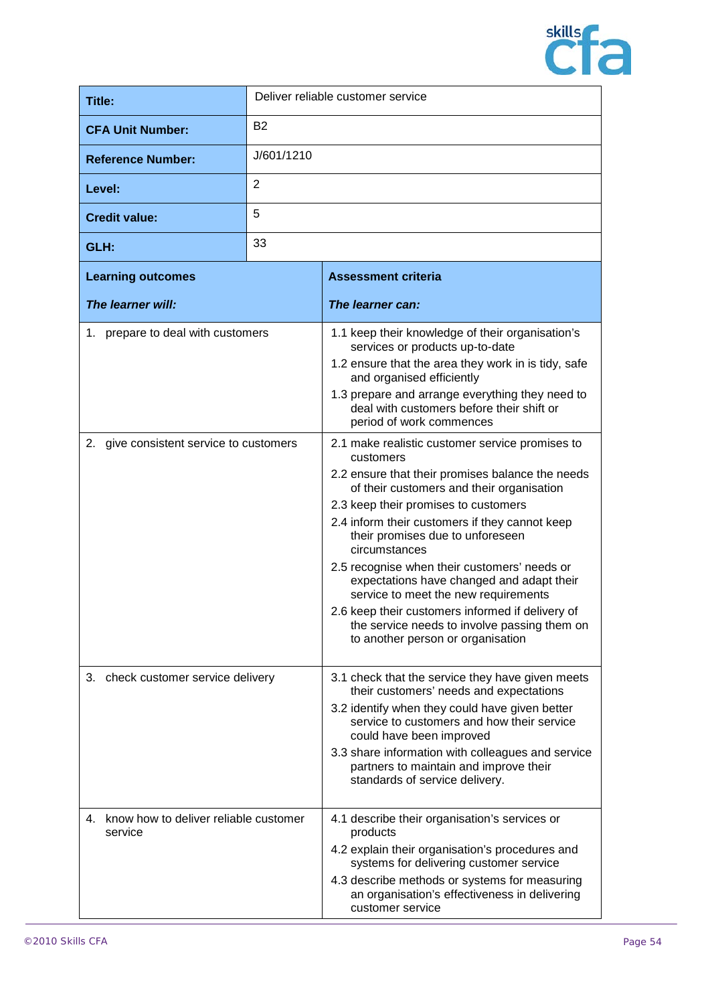

| <b>Title:</b>                                       | Deliver reliable customer service |                                                                                                                                                                                                                                                                                                                                                                                                                                                                                                                                                                                                                        |
|-----------------------------------------------------|-----------------------------------|------------------------------------------------------------------------------------------------------------------------------------------------------------------------------------------------------------------------------------------------------------------------------------------------------------------------------------------------------------------------------------------------------------------------------------------------------------------------------------------------------------------------------------------------------------------------------------------------------------------------|
| <b>CFA Unit Number:</b>                             | <b>B2</b>                         |                                                                                                                                                                                                                                                                                                                                                                                                                                                                                                                                                                                                                        |
| <b>Reference Number:</b>                            | J/601/1210                        |                                                                                                                                                                                                                                                                                                                                                                                                                                                                                                                                                                                                                        |
| Level:                                              | $\overline{2}$                    |                                                                                                                                                                                                                                                                                                                                                                                                                                                                                                                                                                                                                        |
| <b>Credit value:</b>                                | 5                                 |                                                                                                                                                                                                                                                                                                                                                                                                                                                                                                                                                                                                                        |
| GLH:                                                | 33                                |                                                                                                                                                                                                                                                                                                                                                                                                                                                                                                                                                                                                                        |
| <b>Learning outcomes</b>                            | <b>Assessment criteria</b>        |                                                                                                                                                                                                                                                                                                                                                                                                                                                                                                                                                                                                                        |
| The learner will:                                   |                                   | The learner can:                                                                                                                                                                                                                                                                                                                                                                                                                                                                                                                                                                                                       |
| 1. prepare to deal with customers                   |                                   | 1.1 keep their knowledge of their organisation's<br>services or products up-to-date<br>1.2 ensure that the area they work in is tidy, safe<br>and organised efficiently<br>1.3 prepare and arrange everything they need to<br>deal with customers before their shift or                                                                                                                                                                                                                                                                                                                                                |
| 2. give consistent service to customers             |                                   | period of work commences<br>2.1 make realistic customer service promises to<br>customers<br>2.2 ensure that their promises balance the needs<br>of their customers and their organisation<br>2.3 keep their promises to customers<br>2.4 inform their customers if they cannot keep<br>their promises due to unforeseen<br>circumstances<br>2.5 recognise when their customers' needs or<br>expectations have changed and adapt their<br>service to meet the new requirements<br>2.6 keep their customers informed if delivery of<br>the service needs to involve passing them on<br>to another person or organisation |
| 3. check customer service delivery                  |                                   | 3.1 check that the service they have given meets<br>their customers' needs and expectations<br>3.2 identify when they could have given better<br>service to customers and how their service<br>could have been improved<br>3.3 share information with colleagues and service<br>partners to maintain and improve their<br>standards of service delivery.                                                                                                                                                                                                                                                               |
| 4. know how to deliver reliable customer<br>service |                                   | 4.1 describe their organisation's services or<br>products<br>4.2 explain their organisation's procedures and<br>systems for delivering customer service<br>4.3 describe methods or systems for measuring<br>an organisation's effectiveness in delivering<br>customer service                                                                                                                                                                                                                                                                                                                                          |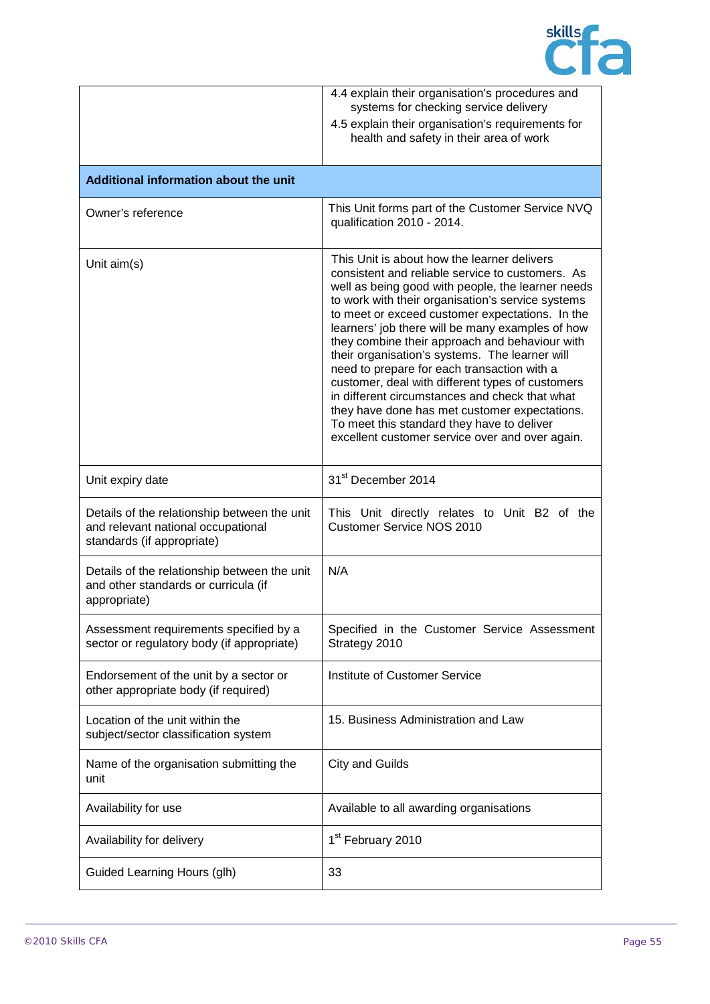

|                                                                                                                  | 4.4 explain their organisation's procedures and<br>systems for checking service delivery<br>4.5 explain their organisation's requirements for<br>health and safety in their area of work                                                                                                                                                                                                                                                                                                                                                                                                                                                                                                                                    |
|------------------------------------------------------------------------------------------------------------------|-----------------------------------------------------------------------------------------------------------------------------------------------------------------------------------------------------------------------------------------------------------------------------------------------------------------------------------------------------------------------------------------------------------------------------------------------------------------------------------------------------------------------------------------------------------------------------------------------------------------------------------------------------------------------------------------------------------------------------|
| Additional information about the unit                                                                            |                                                                                                                                                                                                                                                                                                                                                                                                                                                                                                                                                                                                                                                                                                                             |
| Owner's reference                                                                                                | This Unit forms part of the Customer Service NVQ<br>qualification 2010 - 2014.                                                                                                                                                                                                                                                                                                                                                                                                                                                                                                                                                                                                                                              |
| Unit aim(s)                                                                                                      | This Unit is about how the learner delivers<br>consistent and reliable service to customers. As<br>well as being good with people, the learner needs<br>to work with their organisation's service systems<br>to meet or exceed customer expectations. In the<br>learners' job there will be many examples of how<br>they combine their approach and behaviour with<br>their organisation's systems. The learner will<br>need to prepare for each transaction with a<br>customer, deal with different types of customers<br>in different circumstances and check that what<br>they have done has met customer expectations.<br>To meet this standard they have to deliver<br>excellent customer service over and over again. |
| Unit expiry date                                                                                                 | 31 <sup>st</sup> December 2014                                                                                                                                                                                                                                                                                                                                                                                                                                                                                                                                                                                                                                                                                              |
| Details of the relationship between the unit<br>and relevant national occupational<br>standards (if appropriate) | This Unit directly relates to Unit B2 of the<br><b>Customer Service NOS 2010</b>                                                                                                                                                                                                                                                                                                                                                                                                                                                                                                                                                                                                                                            |
| Details of the relationship between the unit<br>and other standards or curricula (if<br>appropriate)             | N/A                                                                                                                                                                                                                                                                                                                                                                                                                                                                                                                                                                                                                                                                                                                         |
| Assessment requirements specified by a<br>sector or regulatory body (if appropriate)                             | Specified in the Customer Service Assessment<br>Strategy 2010                                                                                                                                                                                                                                                                                                                                                                                                                                                                                                                                                                                                                                                               |
| Endorsement of the unit by a sector or<br>other appropriate body (if required)                                   | Institute of Customer Service                                                                                                                                                                                                                                                                                                                                                                                                                                                                                                                                                                                                                                                                                               |
| Location of the unit within the<br>subject/sector classification system                                          | 15. Business Administration and Law                                                                                                                                                                                                                                                                                                                                                                                                                                                                                                                                                                                                                                                                                         |
| Name of the organisation submitting the<br>unit                                                                  | <b>City and Guilds</b>                                                                                                                                                                                                                                                                                                                                                                                                                                                                                                                                                                                                                                                                                                      |
| Availability for use                                                                                             | Available to all awarding organisations                                                                                                                                                                                                                                                                                                                                                                                                                                                                                                                                                                                                                                                                                     |
| Availability for delivery                                                                                        | 1 <sup>st</sup> February 2010                                                                                                                                                                                                                                                                                                                                                                                                                                                                                                                                                                                                                                                                                               |
| Guided Learning Hours (glh)                                                                                      | 33                                                                                                                                                                                                                                                                                                                                                                                                                                                                                                                                                                                                                                                                                                                          |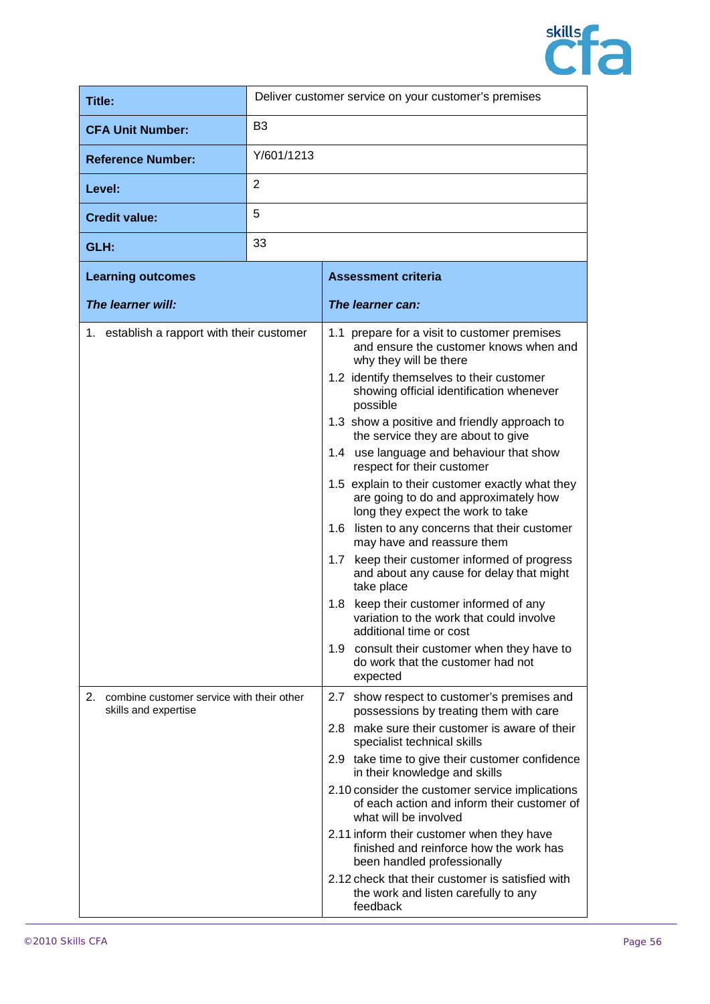

| <b>Title:</b>                                                        | Deliver customer service on your customer's premises |                                                                                                                                                                                                                                                                                                                                                                                                                                                                                                                                                                                                                                                                                                                                                                                                                                                                                                                                     |
|----------------------------------------------------------------------|------------------------------------------------------|-------------------------------------------------------------------------------------------------------------------------------------------------------------------------------------------------------------------------------------------------------------------------------------------------------------------------------------------------------------------------------------------------------------------------------------------------------------------------------------------------------------------------------------------------------------------------------------------------------------------------------------------------------------------------------------------------------------------------------------------------------------------------------------------------------------------------------------------------------------------------------------------------------------------------------------|
| <b>CFA Unit Number:</b>                                              | B <sub>3</sub>                                       |                                                                                                                                                                                                                                                                                                                                                                                                                                                                                                                                                                                                                                                                                                                                                                                                                                                                                                                                     |
| <b>Reference Number:</b>                                             | Y/601/1213                                           |                                                                                                                                                                                                                                                                                                                                                                                                                                                                                                                                                                                                                                                                                                                                                                                                                                                                                                                                     |
| Level:                                                               | $\overline{2}$                                       |                                                                                                                                                                                                                                                                                                                                                                                                                                                                                                                                                                                                                                                                                                                                                                                                                                                                                                                                     |
| <b>Credit value:</b>                                                 | 5                                                    |                                                                                                                                                                                                                                                                                                                                                                                                                                                                                                                                                                                                                                                                                                                                                                                                                                                                                                                                     |
| GLH:                                                                 | 33                                                   |                                                                                                                                                                                                                                                                                                                                                                                                                                                                                                                                                                                                                                                                                                                                                                                                                                                                                                                                     |
| <b>Learning outcomes</b>                                             |                                                      | <b>Assessment criteria</b>                                                                                                                                                                                                                                                                                                                                                                                                                                                                                                                                                                                                                                                                                                                                                                                                                                                                                                          |
| The learner will:                                                    |                                                      | The learner can:                                                                                                                                                                                                                                                                                                                                                                                                                                                                                                                                                                                                                                                                                                                                                                                                                                                                                                                    |
| 1. establish a rapport with their customer                           |                                                      | 1.1 prepare for a visit to customer premises<br>and ensure the customer knows when and<br>why they will be there<br>1.2 identify themselves to their customer<br>showing official identification whenever<br>possible<br>1.3 show a positive and friendly approach to<br>the service they are about to give<br>1.4 use language and behaviour that show<br>respect for their customer<br>1.5 explain to their customer exactly what they<br>are going to do and approximately how<br>long they expect the work to take<br>1.6 listen to any concerns that their customer<br>may have and reassure them<br>1.7 keep their customer informed of progress<br>and about any cause for delay that might<br>take place<br>1.8 keep their customer informed of any<br>variation to the work that could involve<br>additional time or cost<br>1.9 consult their customer when they have to<br>do work that the customer had not<br>expected |
| 2. combine customer service with their other<br>skills and expertise |                                                      | 2.7 show respect to customer's premises and<br>possessions by treating them with care<br>2.8 make sure their customer is aware of their<br>specialist technical skills<br>2.9 take time to give their customer confidence<br>in their knowledge and skills<br>2.10 consider the customer service implications<br>of each action and inform their customer of<br>what will be involved<br>2.11 inform their customer when they have<br>finished and reinforce how the work has<br>been handled professionally<br>2.12 check that their customer is satisfied with                                                                                                                                                                                                                                                                                                                                                                    |

the work and listen carefully to any

feedback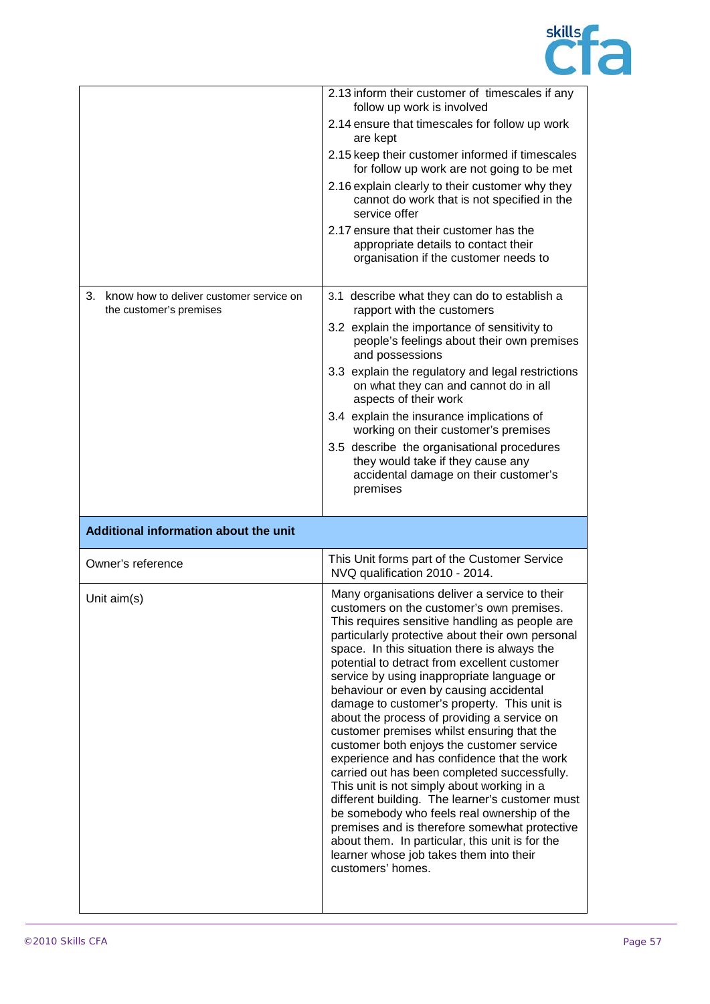

|                                                                       | 2.13 inform their customer of timescales if any<br>follow up work is involved<br>2.14 ensure that timescales for follow up work<br>are kept<br>2.15 keep their customer informed if timescales<br>for follow up work are not going to be met<br>2.16 explain clearly to their customer why they<br>cannot do work that is not specified in the<br>service offer<br>2.17 ensure that their customer has the<br>appropriate details to contact their<br>organisation if the customer needs to                                                                                                                                                                                                                                                                                                                                                                                                                                                                                                           |
|-----------------------------------------------------------------------|-------------------------------------------------------------------------------------------------------------------------------------------------------------------------------------------------------------------------------------------------------------------------------------------------------------------------------------------------------------------------------------------------------------------------------------------------------------------------------------------------------------------------------------------------------------------------------------------------------------------------------------------------------------------------------------------------------------------------------------------------------------------------------------------------------------------------------------------------------------------------------------------------------------------------------------------------------------------------------------------------------|
| 3. know how to deliver customer service on<br>the customer's premises | 3.1 describe what they can do to establish a<br>rapport with the customers<br>3.2 explain the importance of sensitivity to<br>people's feelings about their own premises<br>and possessions<br>3.3 explain the regulatory and legal restrictions<br>on what they can and cannot do in all<br>aspects of their work<br>3.4 explain the insurance implications of<br>working on their customer's premises<br>3.5 describe the organisational procedures<br>they would take if they cause any<br>accidental damage on their customer's<br>premises                                                                                                                                                                                                                                                                                                                                                                                                                                                       |
| Additional information about the unit                                 |                                                                                                                                                                                                                                                                                                                                                                                                                                                                                                                                                                                                                                                                                                                                                                                                                                                                                                                                                                                                       |
| Owner's reference                                                     | This Unit forms part of the Customer Service<br>NVQ qualification 2010 - 2014.                                                                                                                                                                                                                                                                                                                                                                                                                                                                                                                                                                                                                                                                                                                                                                                                                                                                                                                        |
| Unit $aim(s)$                                                         | Many organisations deliver a service to their<br>customers on the customer's own premises.<br>This requires sensitive handling as people are<br>particularly protective about their own personal<br>space. In this situation there is always the<br>potential to detract from excellent customer<br>service by using inappropriate language or<br>behaviour or even by causing accidental<br>damage to customer's property. This unit is<br>about the process of providing a service on<br>customer premises whilst ensuring that the<br>customer both enjoys the customer service<br>experience and has confidence that the work<br>carried out has been completed successfully.<br>This unit is not simply about working in a<br>different building. The learner's customer must<br>be somebody who feels real ownership of the<br>premises and is therefore somewhat protective<br>about them. In particular, this unit is for the<br>learner whose job takes them into their<br>customers' homes. |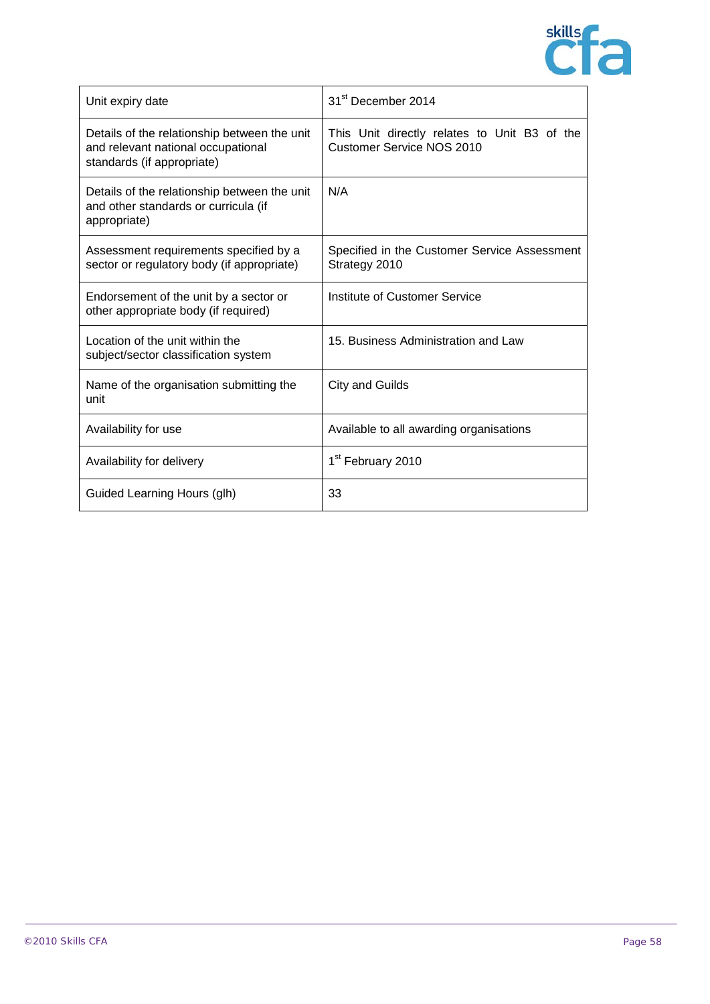

| Unit expiry date                                                                                                 | 31 <sup>st</sup> December 2014                                                   |
|------------------------------------------------------------------------------------------------------------------|----------------------------------------------------------------------------------|
| Details of the relationship between the unit<br>and relevant national occupational<br>standards (if appropriate) | This Unit directly relates to Unit B3 of the<br><b>Customer Service NOS 2010</b> |
| Details of the relationship between the unit<br>and other standards or curricula (if<br>appropriate)             | N/A                                                                              |
| Assessment requirements specified by a<br>sector or regulatory body (if appropriate)                             | Specified in the Customer Service Assessment<br>Strategy 2010                    |
| Endorsement of the unit by a sector or<br>other appropriate body (if required)                                   | Institute of Customer Service                                                    |
| Location of the unit within the<br>subject/sector classification system                                          | 15. Business Administration and Law                                              |
| Name of the organisation submitting the<br>unit                                                                  | City and Guilds                                                                  |
| Availability for use                                                                                             | Available to all awarding organisations                                          |
| Availability for delivery                                                                                        | 1 <sup>st</sup> February 2010                                                    |
| Guided Learning Hours (glh)                                                                                      | 33                                                                               |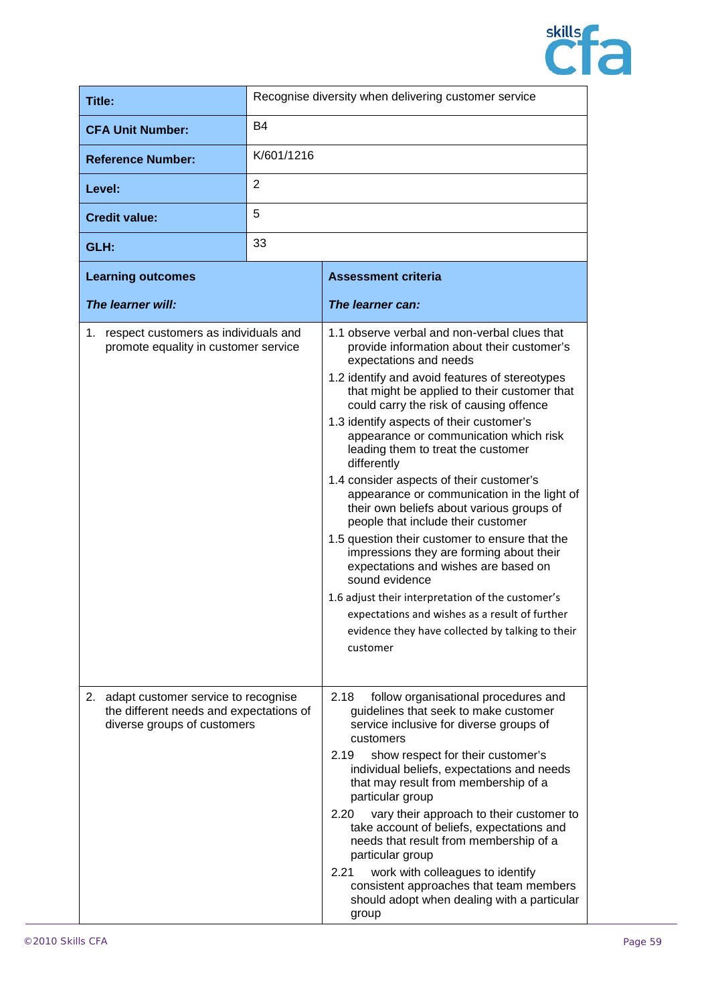

| Title:                                                                                                           |            | Recognise diversity when delivering customer service                                                                                                                                                                                                                                                                                                                                                                                                                                                                                                                                                                                                                                                                                                                                                                                                                                                                      |
|------------------------------------------------------------------------------------------------------------------|------------|---------------------------------------------------------------------------------------------------------------------------------------------------------------------------------------------------------------------------------------------------------------------------------------------------------------------------------------------------------------------------------------------------------------------------------------------------------------------------------------------------------------------------------------------------------------------------------------------------------------------------------------------------------------------------------------------------------------------------------------------------------------------------------------------------------------------------------------------------------------------------------------------------------------------------|
| <b>CFA Unit Number:</b>                                                                                          | <b>B4</b>  |                                                                                                                                                                                                                                                                                                                                                                                                                                                                                                                                                                                                                                                                                                                                                                                                                                                                                                                           |
| <b>Reference Number:</b>                                                                                         | K/601/1216 |                                                                                                                                                                                                                                                                                                                                                                                                                                                                                                                                                                                                                                                                                                                                                                                                                                                                                                                           |
| Level:                                                                                                           | 2          |                                                                                                                                                                                                                                                                                                                                                                                                                                                                                                                                                                                                                                                                                                                                                                                                                                                                                                                           |
| <b>Credit value:</b>                                                                                             | 5          |                                                                                                                                                                                                                                                                                                                                                                                                                                                                                                                                                                                                                                                                                                                                                                                                                                                                                                                           |
| GLH:                                                                                                             | 33         |                                                                                                                                                                                                                                                                                                                                                                                                                                                                                                                                                                                                                                                                                                                                                                                                                                                                                                                           |
| <b>Learning outcomes</b>                                                                                         |            | <b>Assessment criteria</b>                                                                                                                                                                                                                                                                                                                                                                                                                                                                                                                                                                                                                                                                                                                                                                                                                                                                                                |
| The learner will:                                                                                                |            | The learner can:                                                                                                                                                                                                                                                                                                                                                                                                                                                                                                                                                                                                                                                                                                                                                                                                                                                                                                          |
| 1. respect customers as individuals and<br>promote equality in customer service                                  |            | 1.1 observe verbal and non-verbal clues that<br>provide information about their customer's<br>expectations and needs<br>1.2 identify and avoid features of stereotypes<br>that might be applied to their customer that<br>could carry the risk of causing offence<br>1.3 identify aspects of their customer's<br>appearance or communication which risk<br>leading them to treat the customer<br>differently<br>1.4 consider aspects of their customer's<br>appearance or communication in the light of<br>their own beliefs about various groups of<br>people that include their customer<br>1.5 question their customer to ensure that the<br>impressions they are forming about their<br>expectations and wishes are based on<br>sound evidence<br>1.6 adjust their interpretation of the customer's<br>expectations and wishes as a result of further<br>evidence they have collected by talking to their<br>customer |
| 2. adapt customer service to recognise<br>the different needs and expectations of<br>diverse groups of customers |            | 2.18<br>follow organisational procedures and<br>guidelines that seek to make customer<br>service inclusive for diverse groups of<br>customers<br>2.19<br>show respect for their customer's<br>individual beliefs, expectations and needs<br>that may result from membership of a<br>particular group<br>2.20<br>vary their approach to their customer to<br>take account of beliefs, expectations and<br>needs that result from membership of a<br>particular group<br>work with colleagues to identify<br>2.21<br>consistent approaches that team members<br>should adopt when dealing with a particular<br>group                                                                                                                                                                                                                                                                                                        |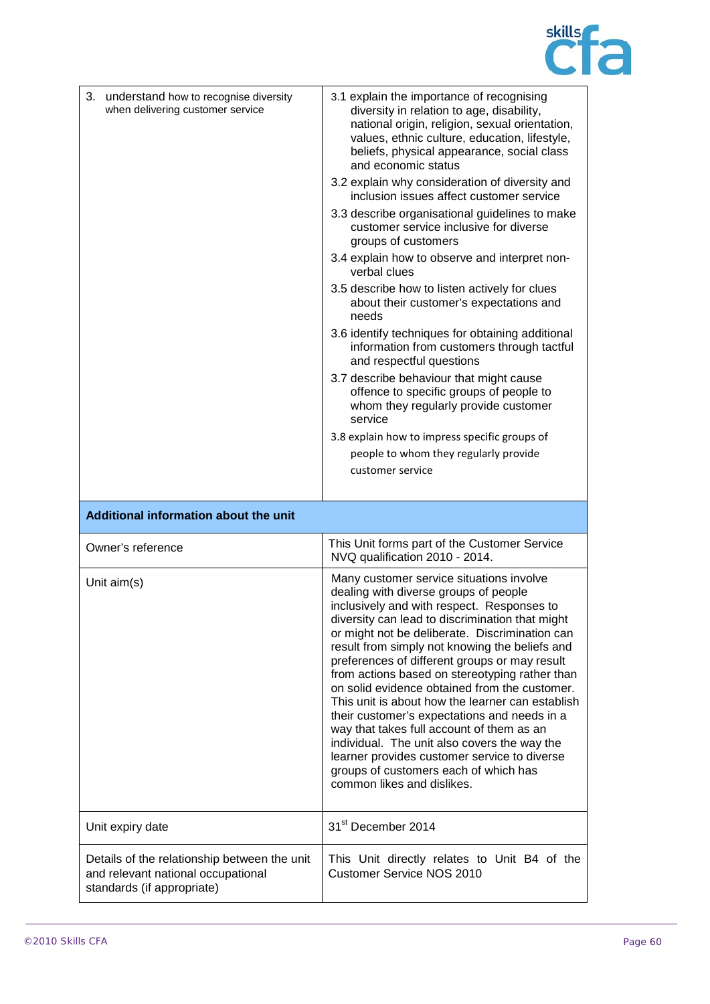

| 3. understand how to recognise diversity<br>when delivering customer service | 3.1 explain the importance of recognising<br>diversity in relation to age, disability,<br>national origin, religion, sexual orientation,<br>values, ethnic culture, education, lifestyle,<br>beliefs, physical appearance, social class<br>and economic status<br>3.2 explain why consideration of diversity and                                                                                                                                                                                                                                                                                                                                                                                                                                                   |
|------------------------------------------------------------------------------|--------------------------------------------------------------------------------------------------------------------------------------------------------------------------------------------------------------------------------------------------------------------------------------------------------------------------------------------------------------------------------------------------------------------------------------------------------------------------------------------------------------------------------------------------------------------------------------------------------------------------------------------------------------------------------------------------------------------------------------------------------------------|
|                                                                              | inclusion issues affect customer service<br>3.3 describe organisational guidelines to make<br>customer service inclusive for diverse                                                                                                                                                                                                                                                                                                                                                                                                                                                                                                                                                                                                                               |
|                                                                              | groups of customers                                                                                                                                                                                                                                                                                                                                                                                                                                                                                                                                                                                                                                                                                                                                                |
|                                                                              | 3.4 explain how to observe and interpret non-<br>verbal clues                                                                                                                                                                                                                                                                                                                                                                                                                                                                                                                                                                                                                                                                                                      |
|                                                                              | 3.5 describe how to listen actively for clues<br>about their customer's expectations and<br>needs                                                                                                                                                                                                                                                                                                                                                                                                                                                                                                                                                                                                                                                                  |
|                                                                              | 3.6 identify techniques for obtaining additional<br>information from customers through tactful<br>and respectful questions                                                                                                                                                                                                                                                                                                                                                                                                                                                                                                                                                                                                                                         |
|                                                                              | 3.7 describe behaviour that might cause<br>offence to specific groups of people to<br>whom they regularly provide customer<br>service                                                                                                                                                                                                                                                                                                                                                                                                                                                                                                                                                                                                                              |
|                                                                              | 3.8 explain how to impress specific groups of                                                                                                                                                                                                                                                                                                                                                                                                                                                                                                                                                                                                                                                                                                                      |
|                                                                              | people to whom they regularly provide                                                                                                                                                                                                                                                                                                                                                                                                                                                                                                                                                                                                                                                                                                                              |
|                                                                              | customer service                                                                                                                                                                                                                                                                                                                                                                                                                                                                                                                                                                                                                                                                                                                                                   |
|                                                                              |                                                                                                                                                                                                                                                                                                                                                                                                                                                                                                                                                                                                                                                                                                                                                                    |
|                                                                              |                                                                                                                                                                                                                                                                                                                                                                                                                                                                                                                                                                                                                                                                                                                                                                    |
| Additional information about the unit                                        |                                                                                                                                                                                                                                                                                                                                                                                                                                                                                                                                                                                                                                                                                                                                                                    |
| Owner's reference                                                            | This Unit forms part of the Customer Service<br>NVQ qualification 2010 - 2014.                                                                                                                                                                                                                                                                                                                                                                                                                                                                                                                                                                                                                                                                                     |
| Unit $aim(s)$                                                                | Many customer service situations involve<br>dealing with diverse groups of people<br>inclusively and with respect. Responses to<br>diversity can lead to discrimination that might<br>or might not be deliberate. Discrimination can<br>result from simply not knowing the beliefs and<br>preferences of different groups or may result<br>from actions based on stereotyping rather than<br>on solid evidence obtained from the customer.<br>This unit is about how the learner can establish<br>their customer's expectations and needs in a<br>way that takes full account of them as an<br>individual. The unit also covers the way the<br>learner provides customer service to diverse<br>groups of customers each of which has<br>common likes and dislikes. |
| Unit expiry date                                                             | 31 <sup>st</sup> December 2014                                                                                                                                                                                                                                                                                                                                                                                                                                                                                                                                                                                                                                                                                                                                     |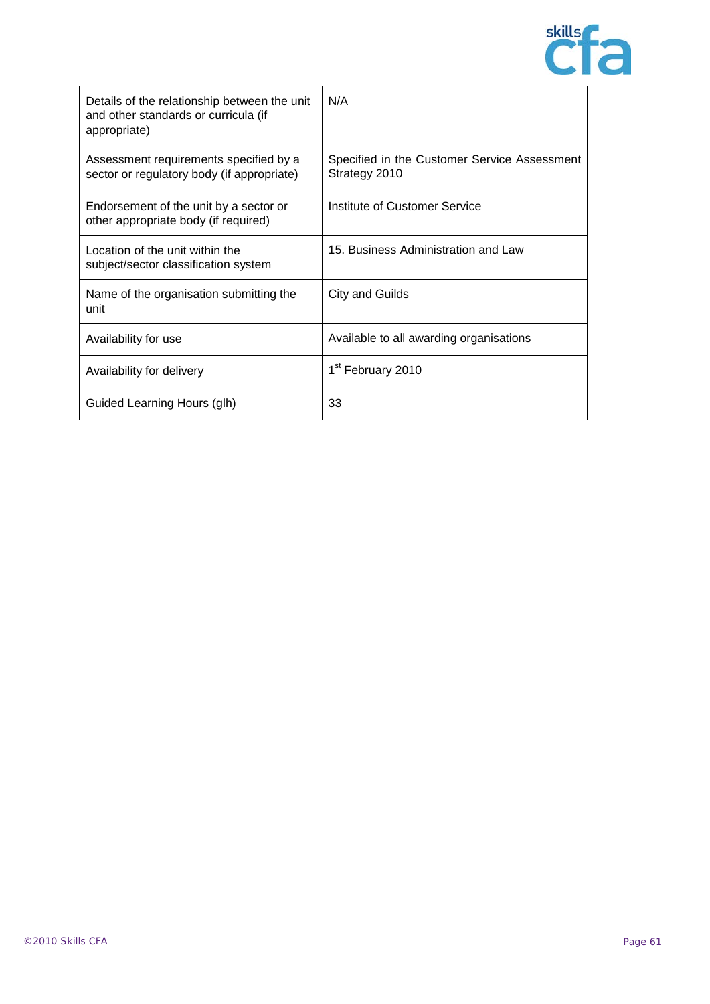

| Details of the relationship between the unit<br>and other standards or curricula (if<br>appropriate) | N/A                                                           |
|------------------------------------------------------------------------------------------------------|---------------------------------------------------------------|
| Assessment requirements specified by a<br>sector or regulatory body (if appropriate)                 | Specified in the Customer Service Assessment<br>Strategy 2010 |
| Endorsement of the unit by a sector or<br>other appropriate body (if required)                       | Institute of Customer Service                                 |
| Location of the unit within the<br>subject/sector classification system                              | 15. Business Administration and Law                           |
| Name of the organisation submitting the<br>unit                                                      | <b>City and Guilds</b>                                        |
| Availability for use                                                                                 | Available to all awarding organisations                       |
| Availability for delivery                                                                            | 1 <sup>st</sup> February 2010                                 |
| Guided Learning Hours (glh)                                                                          | 33                                                            |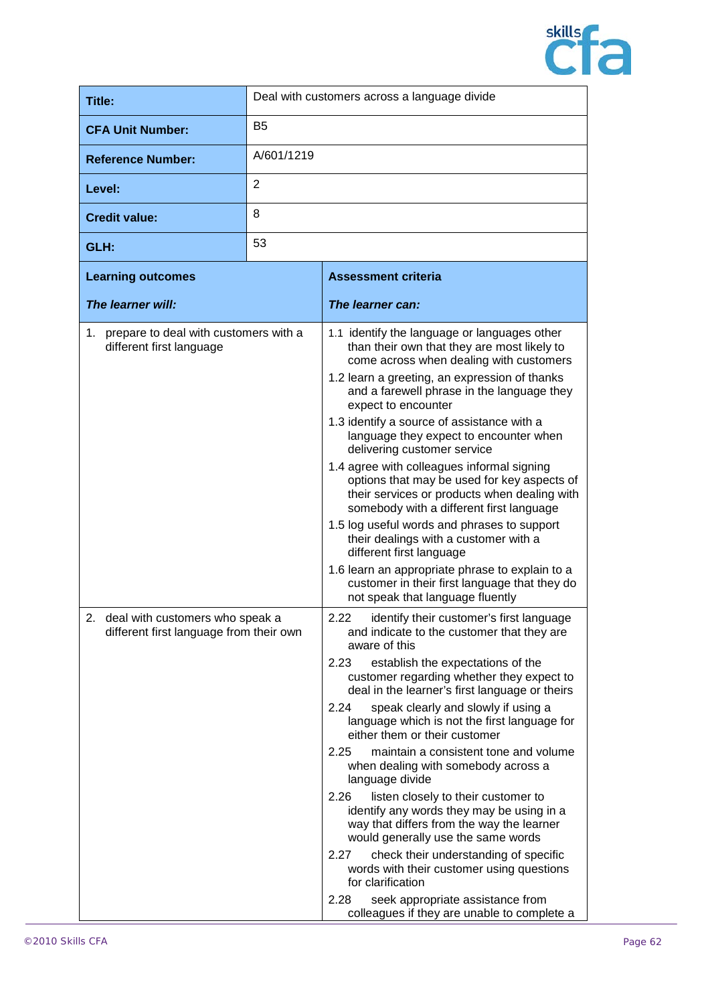

| Title:                                                                           | Deal with customers across a language divide |                                                                                                                                                                                                                                                                                                                                                                                                                                                                                                                                                                                                                                                                                                                                                                                                                                                                                                     |
|----------------------------------------------------------------------------------|----------------------------------------------|-----------------------------------------------------------------------------------------------------------------------------------------------------------------------------------------------------------------------------------------------------------------------------------------------------------------------------------------------------------------------------------------------------------------------------------------------------------------------------------------------------------------------------------------------------------------------------------------------------------------------------------------------------------------------------------------------------------------------------------------------------------------------------------------------------------------------------------------------------------------------------------------------------|
| <b>CFA Unit Number:</b>                                                          | <b>B5</b>                                    |                                                                                                                                                                                                                                                                                                                                                                                                                                                                                                                                                                                                                                                                                                                                                                                                                                                                                                     |
| <b>Reference Number:</b>                                                         | A/601/1219                                   |                                                                                                                                                                                                                                                                                                                                                                                                                                                                                                                                                                                                                                                                                                                                                                                                                                                                                                     |
| Level:                                                                           | 2                                            |                                                                                                                                                                                                                                                                                                                                                                                                                                                                                                                                                                                                                                                                                                                                                                                                                                                                                                     |
| <b>Credit value:</b>                                                             | 8                                            |                                                                                                                                                                                                                                                                                                                                                                                                                                                                                                                                                                                                                                                                                                                                                                                                                                                                                                     |
| GLH:                                                                             | 53                                           |                                                                                                                                                                                                                                                                                                                                                                                                                                                                                                                                                                                                                                                                                                                                                                                                                                                                                                     |
| <b>Learning outcomes</b>                                                         |                                              | <b>Assessment criteria</b>                                                                                                                                                                                                                                                                                                                                                                                                                                                                                                                                                                                                                                                                                                                                                                                                                                                                          |
| The learner will:                                                                |                                              | The learner can:                                                                                                                                                                                                                                                                                                                                                                                                                                                                                                                                                                                                                                                                                                                                                                                                                                                                                    |
| 1. prepare to deal with customers with a<br>different first language             |                                              | 1.1 identify the language or languages other<br>than their own that they are most likely to<br>come across when dealing with customers<br>1.2 learn a greeting, an expression of thanks<br>and a farewell phrase in the language they<br>expect to encounter<br>1.3 identify a source of assistance with a<br>language they expect to encounter when<br>delivering customer service<br>1.4 agree with colleagues informal signing<br>options that may be used for key aspects of<br>their services or products when dealing with<br>somebody with a different first language<br>1.5 log useful words and phrases to support<br>their dealings with a customer with a<br>different first language<br>1.6 learn an appropriate phrase to explain to a<br>customer in their first language that they do<br>not speak that language fluently                                                            |
| 2.<br>deal with customers who speak a<br>different first language from their own |                                              | 2.22<br>identify their customer's first language<br>and indicate to the customer that they are<br>aware of this<br>2.23<br>establish the expectations of the<br>customer regarding whether they expect to<br>deal in the learner's first language or theirs<br>speak clearly and slowly if using a<br>2.24<br>language which is not the first language for<br>either them or their customer<br>maintain a consistent tone and volume<br>2.25<br>when dealing with somebody across a<br>language divide<br>2.26<br>listen closely to their customer to<br>identify any words they may be using in a<br>way that differs from the way the learner<br>would generally use the same words<br>2.27<br>check their understanding of specific<br>words with their customer using questions<br>for clarification<br>2.28<br>seek appropriate assistance from<br>colleagues if they are unable to complete a |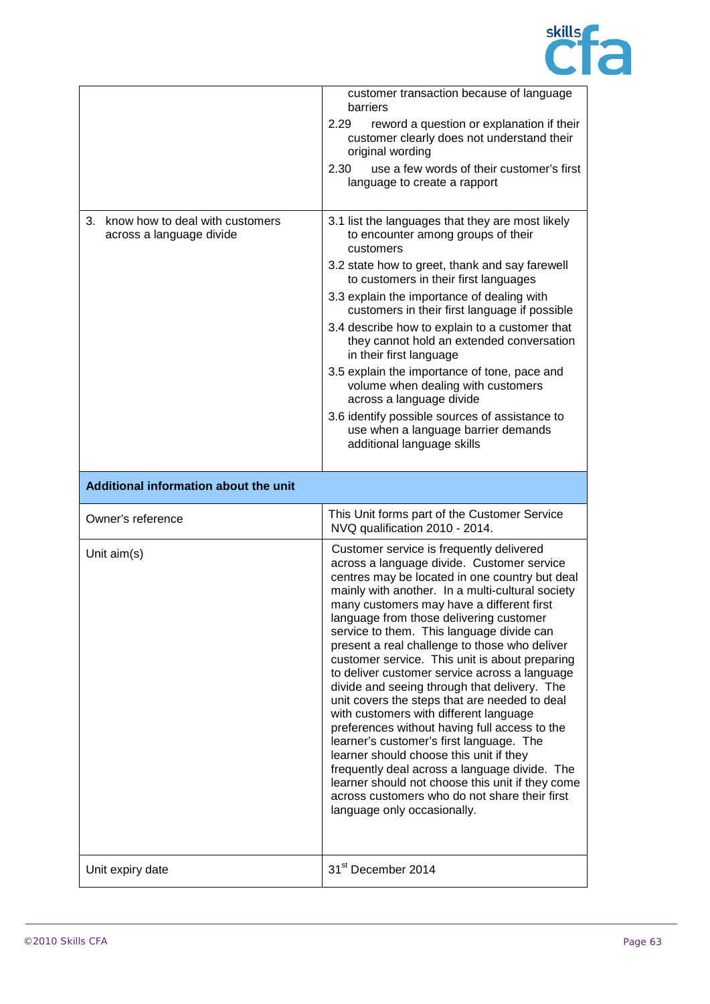

|                                                                   | customer transaction because of language<br>barriers<br>2.29<br>reword a question or explanation if their<br>customer clearly does not understand their<br>original wording                                                                                                                                                                                                                                                                                                                                                                                                                                                                                                                                                                                                                                                                                                                                                                                   |
|-------------------------------------------------------------------|---------------------------------------------------------------------------------------------------------------------------------------------------------------------------------------------------------------------------------------------------------------------------------------------------------------------------------------------------------------------------------------------------------------------------------------------------------------------------------------------------------------------------------------------------------------------------------------------------------------------------------------------------------------------------------------------------------------------------------------------------------------------------------------------------------------------------------------------------------------------------------------------------------------------------------------------------------------|
|                                                                   | use a few words of their customer's first<br>2.30<br>language to create a rapport                                                                                                                                                                                                                                                                                                                                                                                                                                                                                                                                                                                                                                                                                                                                                                                                                                                                             |
| know how to deal with customers<br>3.<br>across a language divide | 3.1 list the languages that they are most likely<br>to encounter among groups of their<br>customers                                                                                                                                                                                                                                                                                                                                                                                                                                                                                                                                                                                                                                                                                                                                                                                                                                                           |
|                                                                   | 3.2 state how to greet, thank and say farewell<br>to customers in their first languages                                                                                                                                                                                                                                                                                                                                                                                                                                                                                                                                                                                                                                                                                                                                                                                                                                                                       |
|                                                                   | 3.3 explain the importance of dealing with<br>customers in their first language if possible                                                                                                                                                                                                                                                                                                                                                                                                                                                                                                                                                                                                                                                                                                                                                                                                                                                                   |
|                                                                   | 3.4 describe how to explain to a customer that<br>they cannot hold an extended conversation<br>in their first language                                                                                                                                                                                                                                                                                                                                                                                                                                                                                                                                                                                                                                                                                                                                                                                                                                        |
|                                                                   | 3.5 explain the importance of tone, pace and<br>volume when dealing with customers<br>across a language divide                                                                                                                                                                                                                                                                                                                                                                                                                                                                                                                                                                                                                                                                                                                                                                                                                                                |
|                                                                   | 3.6 identify possible sources of assistance to<br>use when a language barrier demands<br>additional language skills                                                                                                                                                                                                                                                                                                                                                                                                                                                                                                                                                                                                                                                                                                                                                                                                                                           |
| Additional information about the unit                             |                                                                                                                                                                                                                                                                                                                                                                                                                                                                                                                                                                                                                                                                                                                                                                                                                                                                                                                                                               |
| Owner's reference                                                 | This Unit forms part of the Customer Service<br>NVQ qualification 2010 - 2014.                                                                                                                                                                                                                                                                                                                                                                                                                                                                                                                                                                                                                                                                                                                                                                                                                                                                                |
| Unit aim(s)                                                       | Customer service is frequently delivered<br>across a language divide. Customer service<br>centres may be located in one country but deal<br>mainly with another. In a multi-cultural society<br>many customers may have a different first<br>language from those delivering customer<br>service to them. This language divide can<br>present a real challenge to those who deliver<br>customer service. This unit is about preparing<br>to deliver customer service across a language<br>divide and seeing through that delivery. The<br>unit covers the steps that are needed to deal<br>with customers with different language<br>preferences without having full access to the<br>learner's customer's first language. The<br>learner should choose this unit if they<br>frequently deal across a language divide. The<br>learner should not choose this unit if they come<br>across customers who do not share their first<br>language only occasionally. |
| Unit expiry date                                                  | 31 <sup>st</sup> December 2014                                                                                                                                                                                                                                                                                                                                                                                                                                                                                                                                                                                                                                                                                                                                                                                                                                                                                                                                |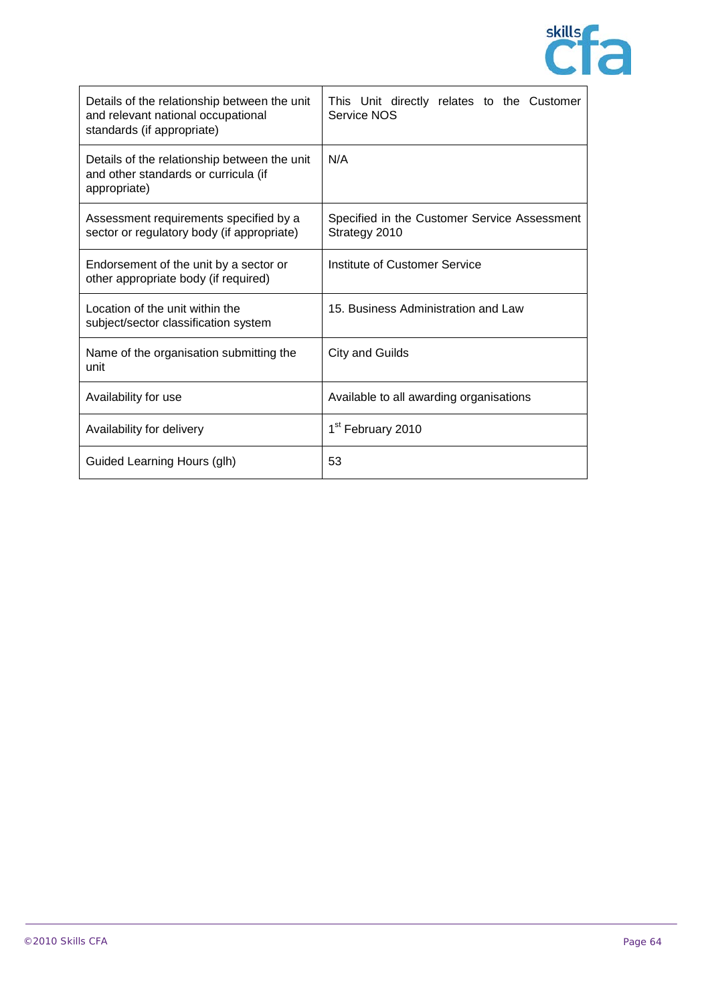

| Details of the relationship between the unit<br>and relevant national occupational<br>standards (if appropriate) | This Unit directly relates to the Customer<br>Service NOS     |
|------------------------------------------------------------------------------------------------------------------|---------------------------------------------------------------|
| Details of the relationship between the unit<br>and other standards or curricula (if<br>appropriate)             | N/A                                                           |
| Assessment requirements specified by a<br>sector or regulatory body (if appropriate)                             | Specified in the Customer Service Assessment<br>Strategy 2010 |
| Endorsement of the unit by a sector or<br>other appropriate body (if required)                                   | Institute of Customer Service                                 |
| Location of the unit within the<br>subject/sector classification system                                          | 15. Business Administration and Law                           |
| Name of the organisation submitting the<br>unit                                                                  | City and Guilds                                               |
| Availability for use                                                                                             | Available to all awarding organisations                       |
| Availability for delivery                                                                                        | 1 <sup>st</sup> February 2010                                 |
| Guided Learning Hours (glh)                                                                                      | 53                                                            |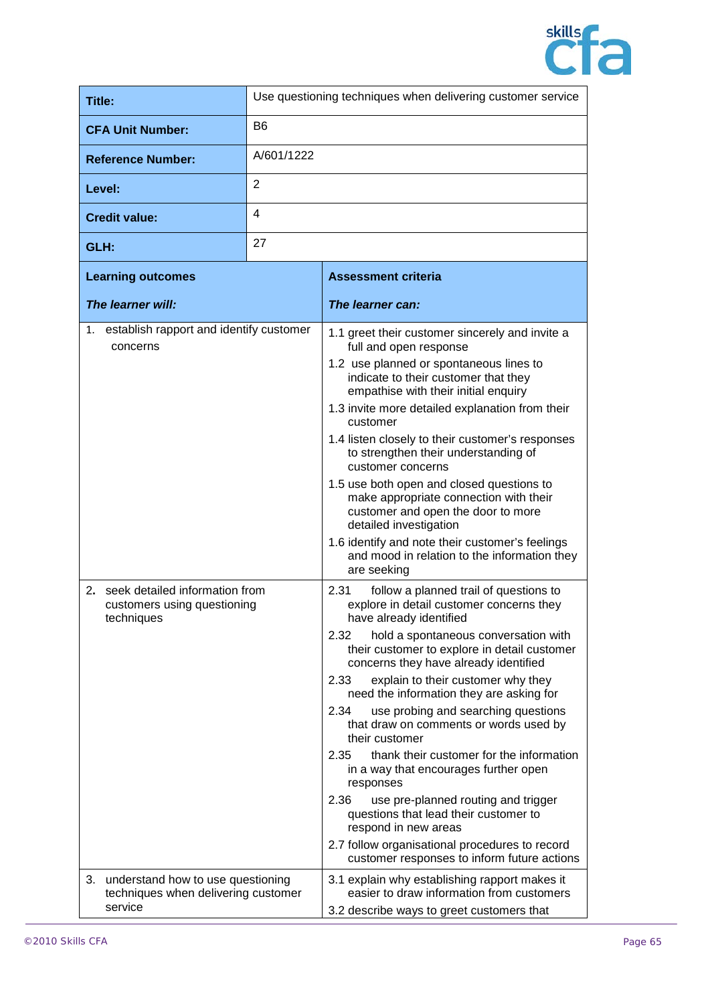

| Title:                                                                                 | Use questioning techniques when delivering customer service |                                                                                                                                                                                                                                                                                                                                                                                                                                                                                                                                                                                                                                                                                                                                                                                                |
|----------------------------------------------------------------------------------------|-------------------------------------------------------------|------------------------------------------------------------------------------------------------------------------------------------------------------------------------------------------------------------------------------------------------------------------------------------------------------------------------------------------------------------------------------------------------------------------------------------------------------------------------------------------------------------------------------------------------------------------------------------------------------------------------------------------------------------------------------------------------------------------------------------------------------------------------------------------------|
| <b>CFA Unit Number:</b>                                                                | B <sub>6</sub>                                              |                                                                                                                                                                                                                                                                                                                                                                                                                                                                                                                                                                                                                                                                                                                                                                                                |
| <b>Reference Number:</b>                                                               | A/601/1222                                                  |                                                                                                                                                                                                                                                                                                                                                                                                                                                                                                                                                                                                                                                                                                                                                                                                |
| Level:                                                                                 | $\overline{2}$                                              |                                                                                                                                                                                                                                                                                                                                                                                                                                                                                                                                                                                                                                                                                                                                                                                                |
| <b>Credit value:</b>                                                                   | 4                                                           |                                                                                                                                                                                                                                                                                                                                                                                                                                                                                                                                                                                                                                                                                                                                                                                                |
| GLH:                                                                                   | 27                                                          |                                                                                                                                                                                                                                                                                                                                                                                                                                                                                                                                                                                                                                                                                                                                                                                                |
| <b>Learning outcomes</b>                                                               |                                                             | <b>Assessment criteria</b>                                                                                                                                                                                                                                                                                                                                                                                                                                                                                                                                                                                                                                                                                                                                                                     |
| The learner will:                                                                      |                                                             | The learner can:                                                                                                                                                                                                                                                                                                                                                                                                                                                                                                                                                                                                                                                                                                                                                                               |
| establish rapport and identify customer<br>1.<br>concerns                              |                                                             | 1.1 greet their customer sincerely and invite a<br>full and open response<br>1.2 use planned or spontaneous lines to<br>indicate to their customer that they<br>empathise with their initial enquiry<br>1.3 invite more detailed explanation from their<br>customer<br>1.4 listen closely to their customer's responses<br>to strengthen their understanding of<br>customer concerns<br>1.5 use both open and closed questions to<br>make appropriate connection with their<br>customer and open the door to more<br>detailed investigation<br>1.6 identify and note their customer's feelings<br>and mood in relation to the information they<br>are seeking                                                                                                                                  |
| 2. seek detailed information from<br>customers using questioning<br>techniques         |                                                             | 2.31<br>follow a planned trail of questions to<br>explore in detail customer concerns they<br>have already identified<br>2.32<br>hold a spontaneous conversation with<br>their customer to explore in detail customer<br>concerns they have already identified<br>explain to their customer why they<br>2.33<br>need the information they are asking for<br>use probing and searching questions<br>2.34<br>that draw on comments or words used by<br>their customer<br>2.35<br>thank their customer for the information<br>in a way that encourages further open<br>responses<br>2.36<br>use pre-planned routing and trigger<br>questions that lead their customer to<br>respond in new areas<br>2.7 follow organisational procedures to record<br>customer responses to inform future actions |
| 3. understand how to use questioning<br>techniques when delivering customer<br>service |                                                             | 3.1 explain why establishing rapport makes it<br>easier to draw information from customers<br>3.2 describe ways to greet customers that                                                                                                                                                                                                                                                                                                                                                                                                                                                                                                                                                                                                                                                        |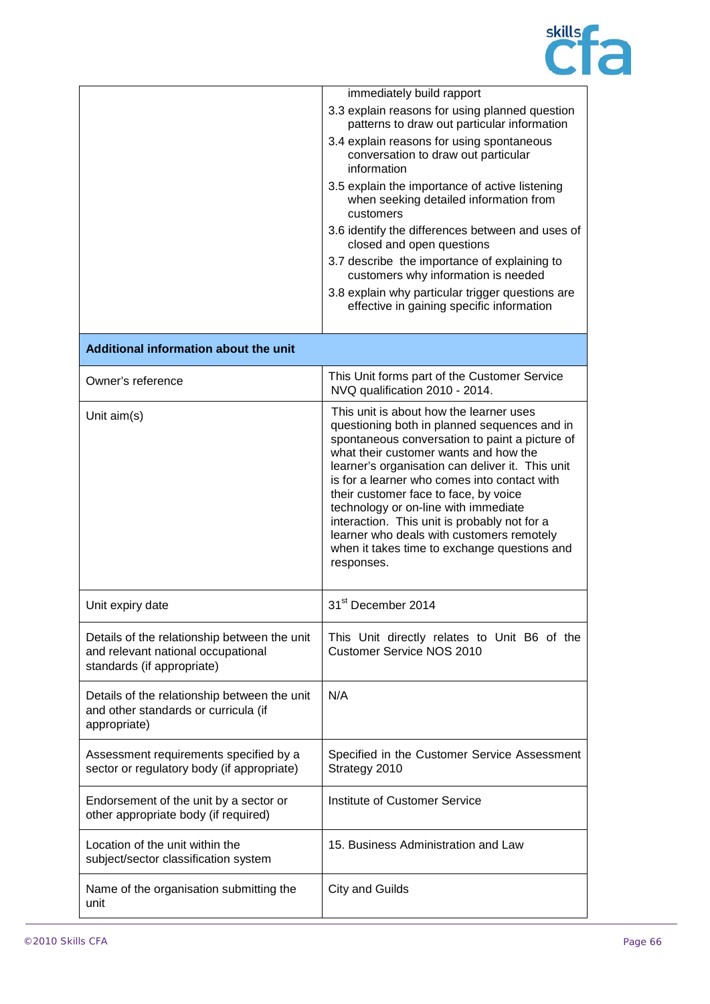

|                                                                                                                  | immediately build rapport                                                                                                                                                                                                                                                                                                                                                                                                                                                                                                          |
|------------------------------------------------------------------------------------------------------------------|------------------------------------------------------------------------------------------------------------------------------------------------------------------------------------------------------------------------------------------------------------------------------------------------------------------------------------------------------------------------------------------------------------------------------------------------------------------------------------------------------------------------------------|
|                                                                                                                  | 3.3 explain reasons for using planned question<br>patterns to draw out particular information                                                                                                                                                                                                                                                                                                                                                                                                                                      |
|                                                                                                                  | 3.4 explain reasons for using spontaneous<br>conversation to draw out particular<br>information                                                                                                                                                                                                                                                                                                                                                                                                                                    |
|                                                                                                                  | 3.5 explain the importance of active listening<br>when seeking detailed information from<br>customers                                                                                                                                                                                                                                                                                                                                                                                                                              |
|                                                                                                                  | 3.6 identify the differences between and uses of<br>closed and open questions                                                                                                                                                                                                                                                                                                                                                                                                                                                      |
|                                                                                                                  | 3.7 describe the importance of explaining to<br>customers why information is needed                                                                                                                                                                                                                                                                                                                                                                                                                                                |
|                                                                                                                  | 3.8 explain why particular trigger questions are<br>effective in gaining specific information                                                                                                                                                                                                                                                                                                                                                                                                                                      |
| Additional information about the unit                                                                            |                                                                                                                                                                                                                                                                                                                                                                                                                                                                                                                                    |
| Owner's reference                                                                                                | This Unit forms part of the Customer Service<br>NVQ qualification 2010 - 2014.                                                                                                                                                                                                                                                                                                                                                                                                                                                     |
| Unit aim(s)                                                                                                      | This unit is about how the learner uses<br>questioning both in planned sequences and in<br>spontaneous conversation to paint a picture of<br>what their customer wants and how the<br>learner's organisation can deliver it. This unit<br>is for a learner who comes into contact with<br>their customer face to face, by voice<br>technology or on-line with immediate<br>interaction. This unit is probably not for a<br>learner who deals with customers remotely<br>when it takes time to exchange questions and<br>responses. |
| Unit expiry date                                                                                                 | 31 <sup>st</sup> December 2014                                                                                                                                                                                                                                                                                                                                                                                                                                                                                                     |
| Details of the relationship between the unit<br>and relevant national occupational<br>standards (if appropriate) | This Unit directly relates to Unit B6 of the<br><b>Customer Service NOS 2010</b>                                                                                                                                                                                                                                                                                                                                                                                                                                                   |
| Details of the relationship between the unit<br>and other standards or curricula (if<br>appropriate)             | N/A                                                                                                                                                                                                                                                                                                                                                                                                                                                                                                                                |
| Assessment requirements specified by a<br>sector or regulatory body (if appropriate)                             | Specified in the Customer Service Assessment<br>Strategy 2010                                                                                                                                                                                                                                                                                                                                                                                                                                                                      |
| Endorsement of the unit by a sector or<br>other appropriate body (if required)                                   | Institute of Customer Service                                                                                                                                                                                                                                                                                                                                                                                                                                                                                                      |
| Location of the unit within the<br>subject/sector classification system                                          | 15. Business Administration and Law                                                                                                                                                                                                                                                                                                                                                                                                                                                                                                |
| Name of the organisation submitting the<br>unit                                                                  | <b>City and Guilds</b>                                                                                                                                                                                                                                                                                                                                                                                                                                                                                                             |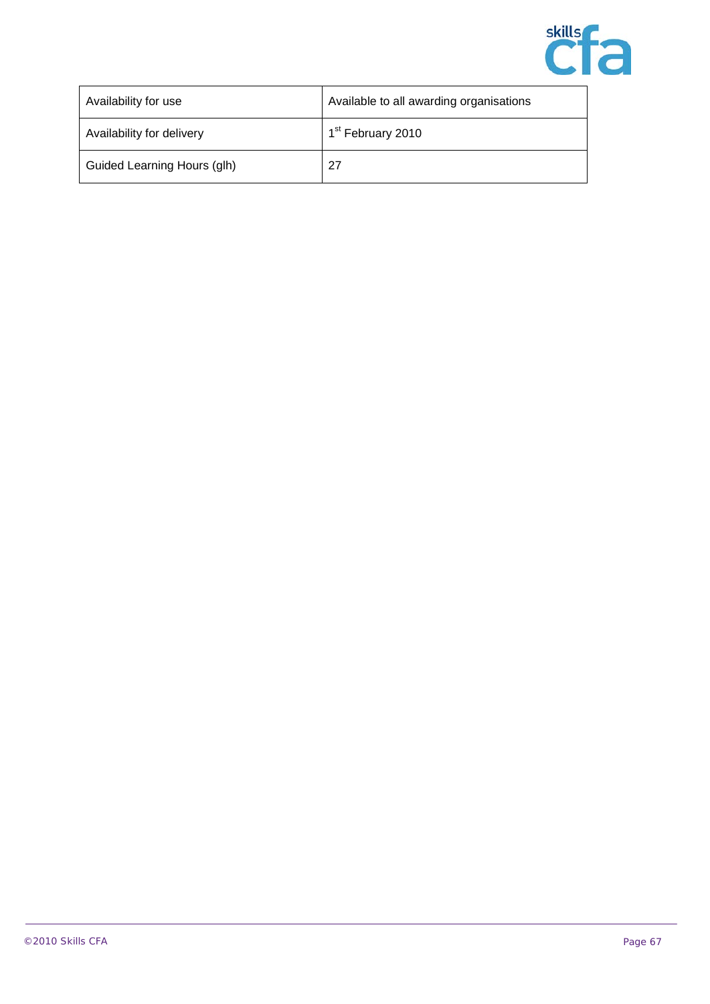

| Availability for use        | Available to all awarding organisations |
|-----------------------------|-----------------------------------------|
| Availability for delivery   | 1 <sup>st</sup> February 2010           |
| Guided Learning Hours (glh) | -27                                     |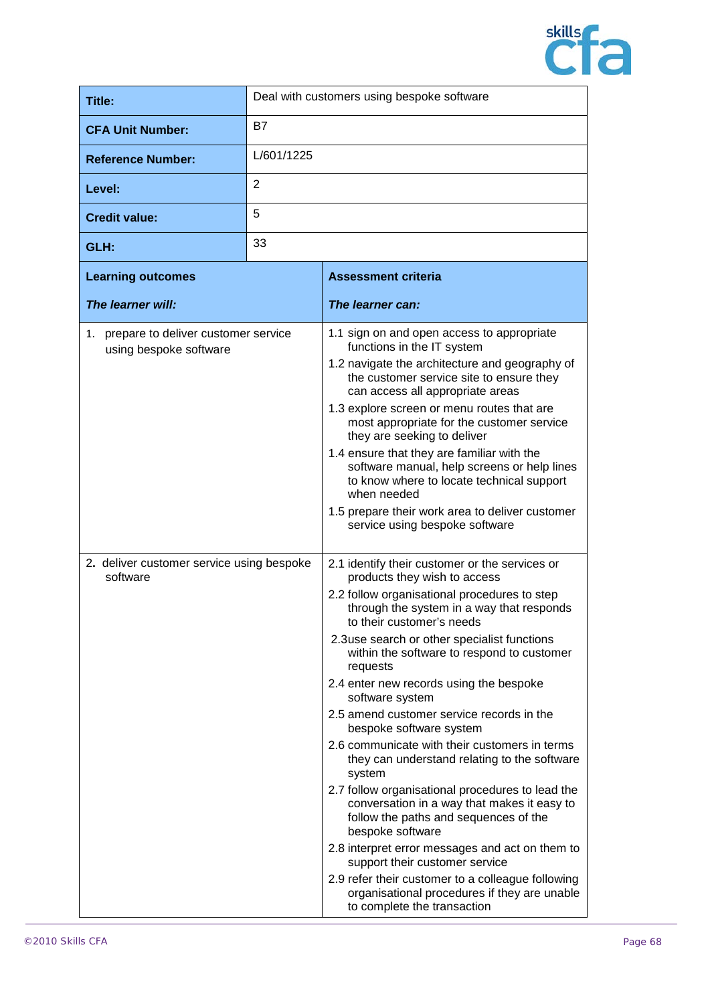

| Title:                                                           | Deal with customers using bespoke software |                                                                                                                                                                                                                                                                                                                                                                                                                                                                                                                                                                                                                                                                                                                                                                                                                                                                                                                                                             |
|------------------------------------------------------------------|--------------------------------------------|-------------------------------------------------------------------------------------------------------------------------------------------------------------------------------------------------------------------------------------------------------------------------------------------------------------------------------------------------------------------------------------------------------------------------------------------------------------------------------------------------------------------------------------------------------------------------------------------------------------------------------------------------------------------------------------------------------------------------------------------------------------------------------------------------------------------------------------------------------------------------------------------------------------------------------------------------------------|
| <b>CFA Unit Number:</b>                                          | B7                                         |                                                                                                                                                                                                                                                                                                                                                                                                                                                                                                                                                                                                                                                                                                                                                                                                                                                                                                                                                             |
| <b>Reference Number:</b>                                         | L/601/1225                                 |                                                                                                                                                                                                                                                                                                                                                                                                                                                                                                                                                                                                                                                                                                                                                                                                                                                                                                                                                             |
| Level:                                                           | 2                                          |                                                                                                                                                                                                                                                                                                                                                                                                                                                                                                                                                                                                                                                                                                                                                                                                                                                                                                                                                             |
| <b>Credit value:</b>                                             | 5                                          |                                                                                                                                                                                                                                                                                                                                                                                                                                                                                                                                                                                                                                                                                                                                                                                                                                                                                                                                                             |
| GLH:                                                             | 33                                         |                                                                                                                                                                                                                                                                                                                                                                                                                                                                                                                                                                                                                                                                                                                                                                                                                                                                                                                                                             |
| <b>Learning outcomes</b>                                         |                                            | <b>Assessment criteria</b>                                                                                                                                                                                                                                                                                                                                                                                                                                                                                                                                                                                                                                                                                                                                                                                                                                                                                                                                  |
| The learner will:                                                |                                            | The learner can:                                                                                                                                                                                                                                                                                                                                                                                                                                                                                                                                                                                                                                                                                                                                                                                                                                                                                                                                            |
| 1. prepare to deliver customer service<br>using bespoke software |                                            | 1.1 sign on and open access to appropriate<br>functions in the IT system<br>1.2 navigate the architecture and geography of<br>the customer service site to ensure they<br>can access all appropriate areas<br>1.3 explore screen or menu routes that are<br>most appropriate for the customer service<br>they are seeking to deliver<br>1.4 ensure that they are familiar with the<br>software manual, help screens or help lines<br>to know where to locate technical support<br>when needed<br>1.5 prepare their work area to deliver customer<br>service using bespoke software                                                                                                                                                                                                                                                                                                                                                                          |
| 2. deliver customer service using bespoke<br>software            |                                            | 2.1 identify their customer or the services or<br>products they wish to access<br>2.2 follow organisational procedures to step<br>through the system in a way that responds<br>to their customer's needs<br>2.3use search or other specialist functions<br>within the software to respond to customer<br>requests<br>2.4 enter new records using the bespoke<br>software system<br>2.5 amend customer service records in the<br>bespoke software system<br>2.6 communicate with their customers in terms<br>they can understand relating to the software<br>system<br>2.7 follow organisational procedures to lead the<br>conversation in a way that makes it easy to<br>follow the paths and sequences of the<br>bespoke software<br>2.8 interpret error messages and act on them to<br>support their customer service<br>2.9 refer their customer to a colleague following<br>organisational procedures if they are unable<br>to complete the transaction |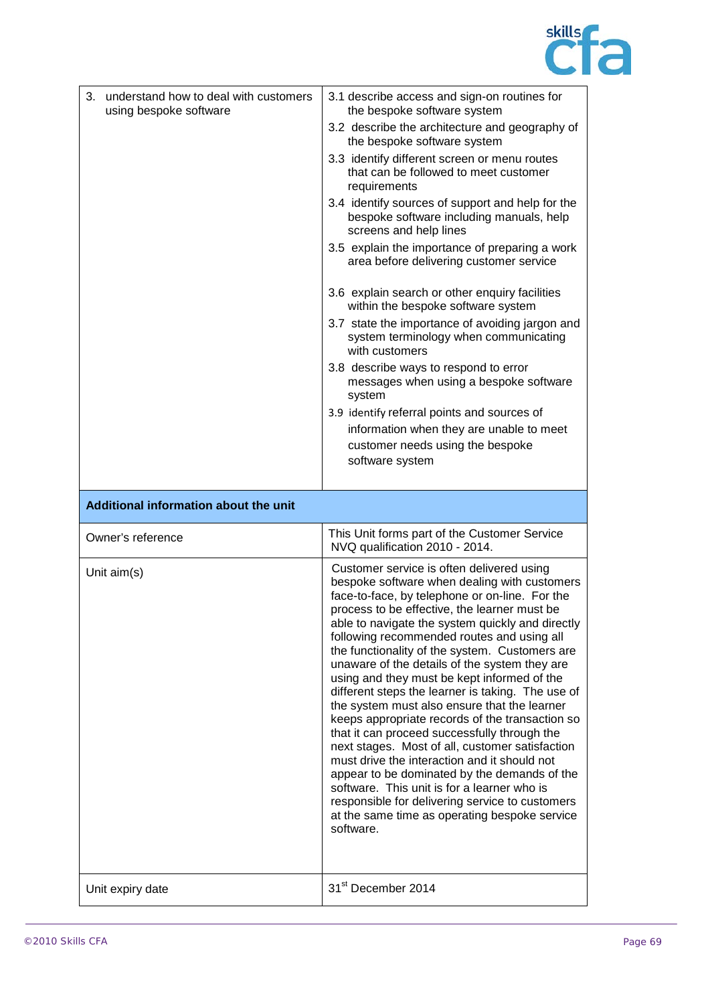

| 3. understand how to deal with customers<br>using bespoke software | 3.1 describe access and sign-on routines for<br>the bespoke software system                                                                                                                                                                                                                                                                                                                                                                                                                                                                                                                                                                                                                                                                                                                                                                                                                                                                                                |
|--------------------------------------------------------------------|----------------------------------------------------------------------------------------------------------------------------------------------------------------------------------------------------------------------------------------------------------------------------------------------------------------------------------------------------------------------------------------------------------------------------------------------------------------------------------------------------------------------------------------------------------------------------------------------------------------------------------------------------------------------------------------------------------------------------------------------------------------------------------------------------------------------------------------------------------------------------------------------------------------------------------------------------------------------------|
|                                                                    | 3.2 describe the architecture and geography of<br>the bespoke software system                                                                                                                                                                                                                                                                                                                                                                                                                                                                                                                                                                                                                                                                                                                                                                                                                                                                                              |
|                                                                    | 3.3 identify different screen or menu routes<br>that can be followed to meet customer<br>requirements                                                                                                                                                                                                                                                                                                                                                                                                                                                                                                                                                                                                                                                                                                                                                                                                                                                                      |
|                                                                    | 3.4 identify sources of support and help for the<br>bespoke software including manuals, help<br>screens and help lines                                                                                                                                                                                                                                                                                                                                                                                                                                                                                                                                                                                                                                                                                                                                                                                                                                                     |
|                                                                    | 3.5 explain the importance of preparing a work<br>area before delivering customer service                                                                                                                                                                                                                                                                                                                                                                                                                                                                                                                                                                                                                                                                                                                                                                                                                                                                                  |
|                                                                    | 3.6 explain search or other enquiry facilities<br>within the bespoke software system                                                                                                                                                                                                                                                                                                                                                                                                                                                                                                                                                                                                                                                                                                                                                                                                                                                                                       |
|                                                                    | 3.7 state the importance of avoiding jargon and<br>system terminology when communicating<br>with customers                                                                                                                                                                                                                                                                                                                                                                                                                                                                                                                                                                                                                                                                                                                                                                                                                                                                 |
|                                                                    | 3.8 describe ways to respond to error<br>messages when using a bespoke software<br>system                                                                                                                                                                                                                                                                                                                                                                                                                                                                                                                                                                                                                                                                                                                                                                                                                                                                                  |
|                                                                    | 3.9 identify referral points and sources of                                                                                                                                                                                                                                                                                                                                                                                                                                                                                                                                                                                                                                                                                                                                                                                                                                                                                                                                |
|                                                                    | information when they are unable to meet                                                                                                                                                                                                                                                                                                                                                                                                                                                                                                                                                                                                                                                                                                                                                                                                                                                                                                                                   |
|                                                                    | customer needs using the bespoke                                                                                                                                                                                                                                                                                                                                                                                                                                                                                                                                                                                                                                                                                                                                                                                                                                                                                                                                           |
|                                                                    | software system                                                                                                                                                                                                                                                                                                                                                                                                                                                                                                                                                                                                                                                                                                                                                                                                                                                                                                                                                            |
|                                                                    |                                                                                                                                                                                                                                                                                                                                                                                                                                                                                                                                                                                                                                                                                                                                                                                                                                                                                                                                                                            |
|                                                                    |                                                                                                                                                                                                                                                                                                                                                                                                                                                                                                                                                                                                                                                                                                                                                                                                                                                                                                                                                                            |
| Additional information about the unit                              |                                                                                                                                                                                                                                                                                                                                                                                                                                                                                                                                                                                                                                                                                                                                                                                                                                                                                                                                                                            |
| Owner's reference                                                  | This Unit forms part of the Customer Service<br>NVQ qualification 2010 - 2014.                                                                                                                                                                                                                                                                                                                                                                                                                                                                                                                                                                                                                                                                                                                                                                                                                                                                                             |
| Unit aim(s)                                                        | Customer service is often delivered using<br>bespoke software when dealing with customers<br>face-to-face, by telephone or on-line. For the<br>process to be effective, the learner must be<br>able to navigate the system quickly and directly<br>following recommended routes and using all<br>the functionality of the system. Customers are<br>unaware of the details of the system they are<br>using and they must be kept informed of the<br>different steps the learner is taking. The use of<br>the system must also ensure that the learner<br>keeps appropriate records of the transaction so<br>that it can proceed successfully through the<br>next stages. Most of all, customer satisfaction<br>must drive the interaction and it should not<br>appear to be dominated by the demands of the<br>software. This unit is for a learner who is<br>responsible for delivering service to customers<br>at the same time as operating bespoke service<br>software. |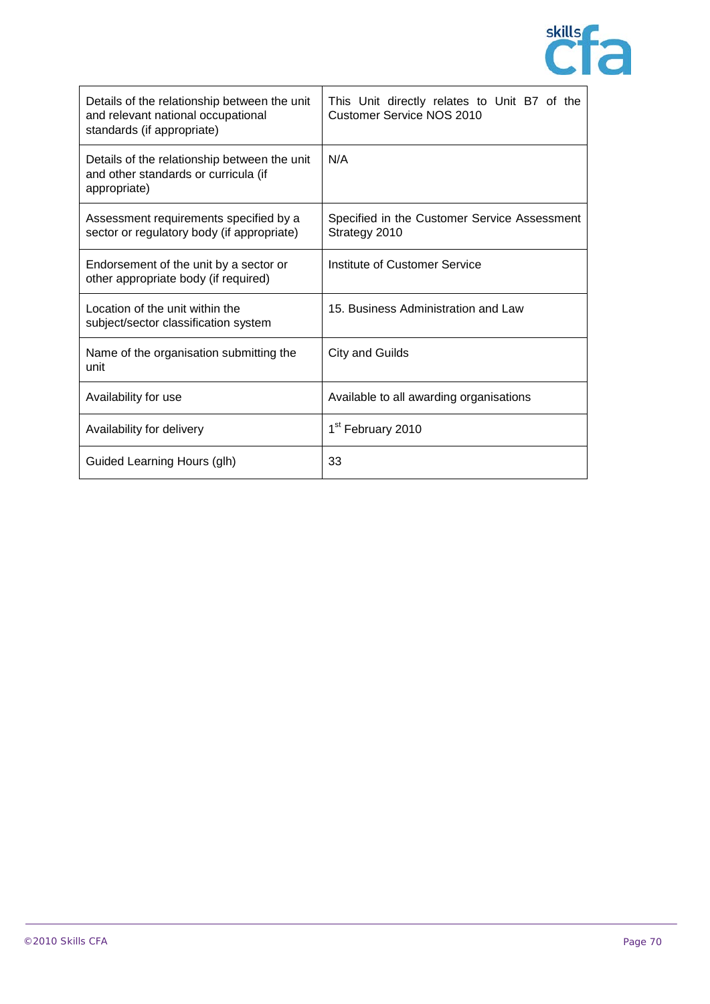

| Details of the relationship between the unit<br>and relevant national occupational<br>standards (if appropriate) | This Unit directly relates to Unit B7 of the<br><b>Customer Service NOS 2010</b> |
|------------------------------------------------------------------------------------------------------------------|----------------------------------------------------------------------------------|
| Details of the relationship between the unit<br>and other standards or curricula (if<br>appropriate)             | N/A                                                                              |
| Assessment requirements specified by a<br>sector or regulatory body (if appropriate)                             | Specified in the Customer Service Assessment<br>Strategy 2010                    |
| Endorsement of the unit by a sector or<br>other appropriate body (if required)                                   | Institute of Customer Service                                                    |
| Location of the unit within the<br>subject/sector classification system                                          | 15. Business Administration and Law                                              |
| Name of the organisation submitting the<br>unit                                                                  | <b>City and Guilds</b>                                                           |
| Availability for use                                                                                             | Available to all awarding organisations                                          |
| Availability for delivery                                                                                        | 1 <sup>st</sup> February 2010                                                    |
| Guided Learning Hours (glh)                                                                                      | 33                                                                               |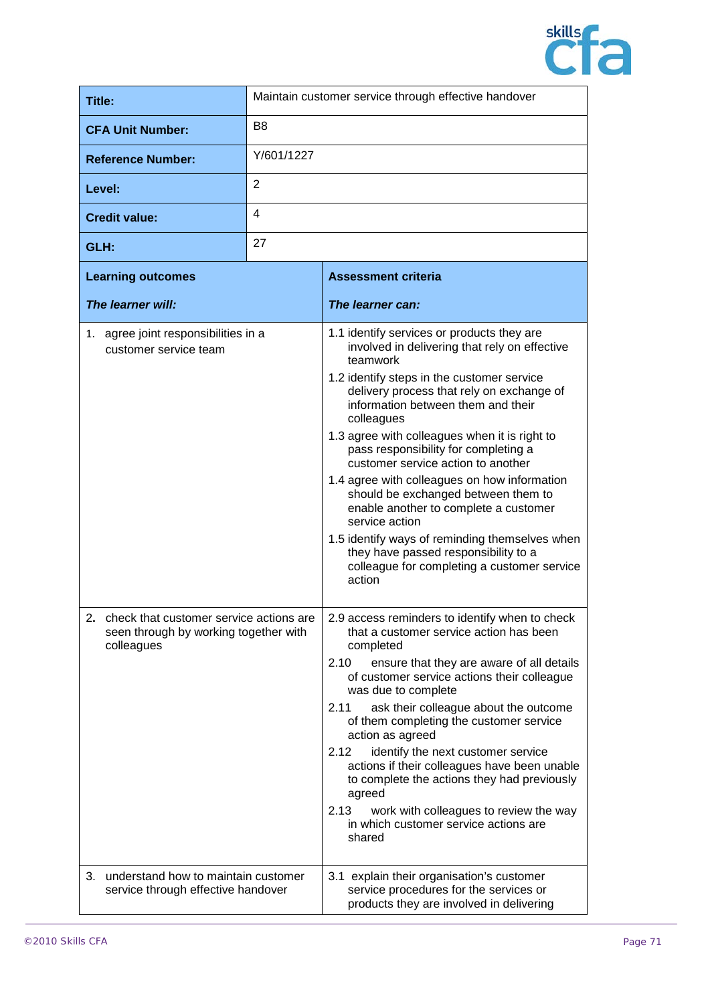

| Title:                                                                                               | Maintain customer service through effective handover |                                                                                                                                                                                                                                                                                                                                                                                                                                                                                                                                                                                                                                                                                            |
|------------------------------------------------------------------------------------------------------|------------------------------------------------------|--------------------------------------------------------------------------------------------------------------------------------------------------------------------------------------------------------------------------------------------------------------------------------------------------------------------------------------------------------------------------------------------------------------------------------------------------------------------------------------------------------------------------------------------------------------------------------------------------------------------------------------------------------------------------------------------|
| <b>CFA Unit Number:</b>                                                                              | B <sub>8</sub>                                       |                                                                                                                                                                                                                                                                                                                                                                                                                                                                                                                                                                                                                                                                                            |
| <b>Reference Number:</b>                                                                             | Y/601/1227                                           |                                                                                                                                                                                                                                                                                                                                                                                                                                                                                                                                                                                                                                                                                            |
| Level:                                                                                               | 2                                                    |                                                                                                                                                                                                                                                                                                                                                                                                                                                                                                                                                                                                                                                                                            |
| <b>Credit value:</b>                                                                                 | $\overline{4}$                                       |                                                                                                                                                                                                                                                                                                                                                                                                                                                                                                                                                                                                                                                                                            |
| GLH:                                                                                                 | 27                                                   |                                                                                                                                                                                                                                                                                                                                                                                                                                                                                                                                                                                                                                                                                            |
| <b>Learning outcomes</b>                                                                             |                                                      | <b>Assessment criteria</b>                                                                                                                                                                                                                                                                                                                                                                                                                                                                                                                                                                                                                                                                 |
| The learner will:                                                                                    |                                                      | The learner can:                                                                                                                                                                                                                                                                                                                                                                                                                                                                                                                                                                                                                                                                           |
| 1. agree joint responsibilities in a<br>customer service team                                        |                                                      | 1.1 identify services or products they are<br>involved in delivering that rely on effective<br>teamwork<br>1.2 identify steps in the customer service<br>delivery process that rely on exchange of<br>information between them and their<br>colleagues<br>1.3 agree with colleagues when it is right to<br>pass responsibility for completing a<br>customer service action to another<br>1.4 agree with colleagues on how information<br>should be exchanged between them to<br>enable another to complete a customer<br>service action<br>1.5 identify ways of reminding themselves when<br>they have passed responsibility to a<br>colleague for completing a customer service<br>action |
| 2.<br>check that customer service actions are<br>seen through by working together with<br>colleagues |                                                      | 2.9 access reminders to identify when to check<br>that a customer service action has been<br>completed<br>2.10<br>ensure that they are aware of all details<br>of customer service actions their colleague<br>was due to complete<br>2.11<br>ask their colleague about the outcome<br>of them completing the customer service<br>action as agreed<br>2.12<br>identify the next customer service<br>actions if their colleagues have been unable<br>to complete the actions they had previously<br>agreed<br>2.13<br>work with colleagues to review the way<br>in which customer service actions are<br>shared                                                                              |
| 3. understand how to maintain customer<br>service through effective handover                         |                                                      | 3.1 explain their organisation's customer<br>service procedures for the services or<br>products they are involved in delivering                                                                                                                                                                                                                                                                                                                                                                                                                                                                                                                                                            |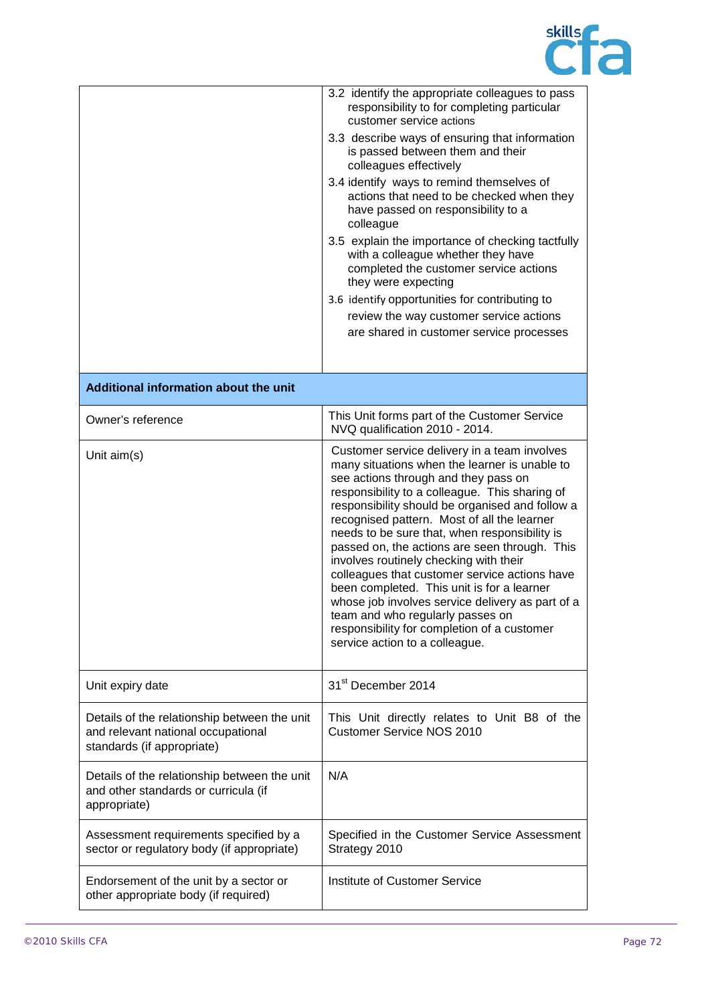

|                                                                                                                  | 3.2 identify the appropriate colleagues to pass<br>responsibility to for completing particular<br>customer service actions                                                                                                                                                                                                                                                                                                                                                                                                                                                                                                                                                                                    |
|------------------------------------------------------------------------------------------------------------------|---------------------------------------------------------------------------------------------------------------------------------------------------------------------------------------------------------------------------------------------------------------------------------------------------------------------------------------------------------------------------------------------------------------------------------------------------------------------------------------------------------------------------------------------------------------------------------------------------------------------------------------------------------------------------------------------------------------|
|                                                                                                                  | 3.3 describe ways of ensuring that information<br>is passed between them and their<br>colleagues effectively                                                                                                                                                                                                                                                                                                                                                                                                                                                                                                                                                                                                  |
|                                                                                                                  | 3.4 identify ways to remind themselves of<br>actions that need to be checked when they<br>have passed on responsibility to a<br>colleague                                                                                                                                                                                                                                                                                                                                                                                                                                                                                                                                                                     |
|                                                                                                                  | 3.5 explain the importance of checking tactfully<br>with a colleague whether they have<br>completed the customer service actions<br>they were expecting                                                                                                                                                                                                                                                                                                                                                                                                                                                                                                                                                       |
|                                                                                                                  | 3.6 identify opportunities for contributing to                                                                                                                                                                                                                                                                                                                                                                                                                                                                                                                                                                                                                                                                |
|                                                                                                                  | review the way customer service actions                                                                                                                                                                                                                                                                                                                                                                                                                                                                                                                                                                                                                                                                       |
|                                                                                                                  | are shared in customer service processes                                                                                                                                                                                                                                                                                                                                                                                                                                                                                                                                                                                                                                                                      |
|                                                                                                                  |                                                                                                                                                                                                                                                                                                                                                                                                                                                                                                                                                                                                                                                                                                               |
| Additional information about the unit                                                                            |                                                                                                                                                                                                                                                                                                                                                                                                                                                                                                                                                                                                                                                                                                               |
| Owner's reference                                                                                                | This Unit forms part of the Customer Service<br>NVQ qualification 2010 - 2014.                                                                                                                                                                                                                                                                                                                                                                                                                                                                                                                                                                                                                                |
| Unit aim(s)                                                                                                      | Customer service delivery in a team involves<br>many situations when the learner is unable to<br>see actions through and they pass on<br>responsibility to a colleague. This sharing of<br>responsibility should be organised and follow a<br>recognised pattern. Most of all the learner<br>needs to be sure that, when responsibility is<br>passed on, the actions are seen through. This<br>involves routinely checking with their<br>colleagues that customer service actions have<br>been completed. This unit is for a learner<br>whose job involves service delivery as part of a<br>team and who regularly passes on<br>responsibility for completion of a customer<br>service action to a colleague. |
| Unit expiry date                                                                                                 | 31 <sup>st</sup> December 2014                                                                                                                                                                                                                                                                                                                                                                                                                                                                                                                                                                                                                                                                                |
| Details of the relationship between the unit<br>and relevant national occupational<br>standards (if appropriate) | This Unit directly relates to Unit B8 of the<br><b>Customer Service NOS 2010</b>                                                                                                                                                                                                                                                                                                                                                                                                                                                                                                                                                                                                                              |
| Details of the relationship between the unit<br>and other standards or curricula (if<br>appropriate)             | N/A                                                                                                                                                                                                                                                                                                                                                                                                                                                                                                                                                                                                                                                                                                           |
| Assessment requirements specified by a<br>sector or regulatory body (if appropriate)                             | Specified in the Customer Service Assessment<br>Strategy 2010                                                                                                                                                                                                                                                                                                                                                                                                                                                                                                                                                                                                                                                 |
| Endorsement of the unit by a sector or<br>other appropriate body (if required)                                   | Institute of Customer Service                                                                                                                                                                                                                                                                                                                                                                                                                                                                                                                                                                                                                                                                                 |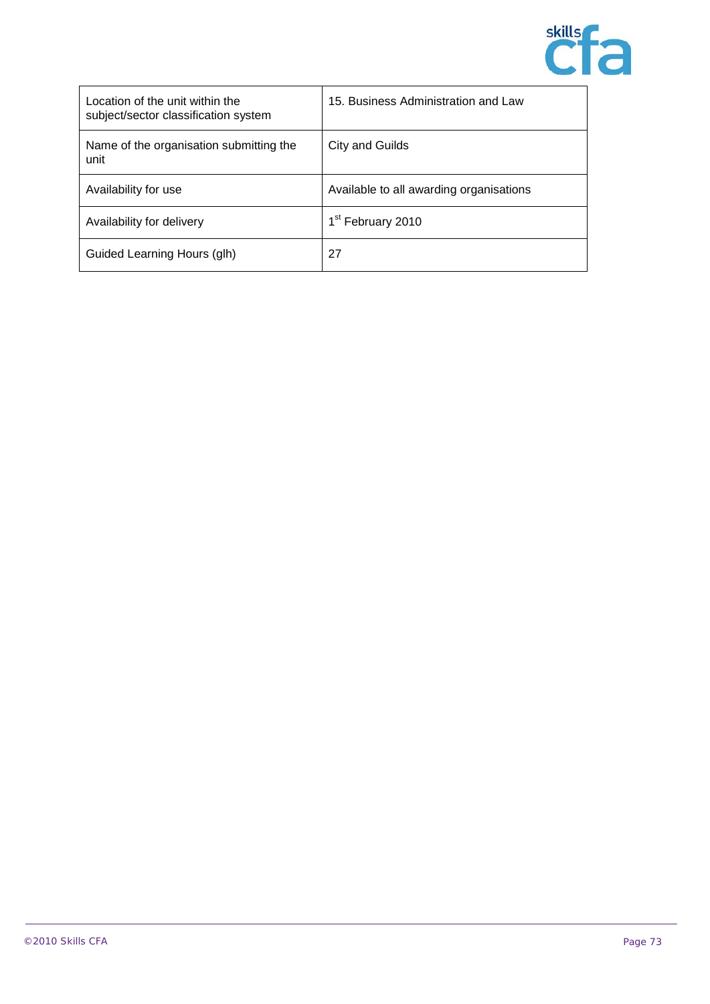

| Location of the unit within the<br>subject/sector classification system | 15. Business Administration and Law     |
|-------------------------------------------------------------------------|-----------------------------------------|
| Name of the organisation submitting the<br>unit                         | City and Guilds                         |
| Availability for use                                                    | Available to all awarding organisations |
| Availability for delivery                                               | 1 <sup>st</sup> February 2010           |
| Guided Learning Hours (glh)                                             | 27                                      |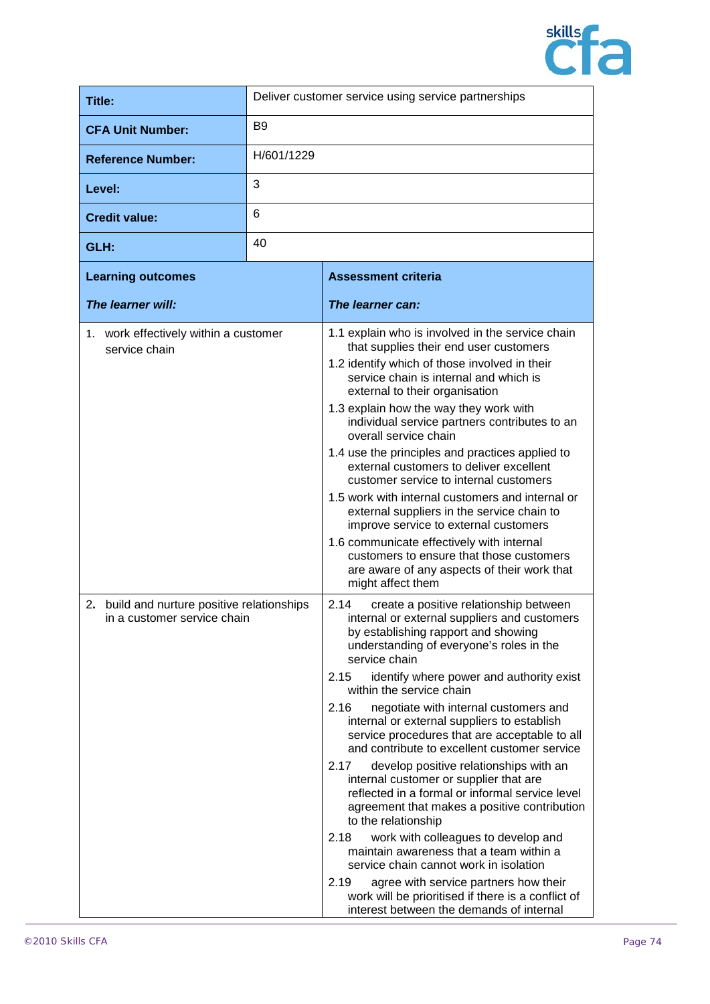

| <b>Title:</b>                                                                 | Deliver customer service using service partnerships |                                                                                                                                                                                                                                                                                                                                                                                                                                                                                                                                                                                                                                                                                                                                                                                             |
|-------------------------------------------------------------------------------|-----------------------------------------------------|---------------------------------------------------------------------------------------------------------------------------------------------------------------------------------------------------------------------------------------------------------------------------------------------------------------------------------------------------------------------------------------------------------------------------------------------------------------------------------------------------------------------------------------------------------------------------------------------------------------------------------------------------------------------------------------------------------------------------------------------------------------------------------------------|
| <b>CFA Unit Number:</b>                                                       | B <sub>9</sub>                                      |                                                                                                                                                                                                                                                                                                                                                                                                                                                                                                                                                                                                                                                                                                                                                                                             |
| <b>Reference Number:</b>                                                      | H/601/1229                                          |                                                                                                                                                                                                                                                                                                                                                                                                                                                                                                                                                                                                                                                                                                                                                                                             |
| Level:                                                                        | 3                                                   |                                                                                                                                                                                                                                                                                                                                                                                                                                                                                                                                                                                                                                                                                                                                                                                             |
| <b>Credit value:</b>                                                          | 6                                                   |                                                                                                                                                                                                                                                                                                                                                                                                                                                                                                                                                                                                                                                                                                                                                                                             |
| GLH:                                                                          | 40                                                  |                                                                                                                                                                                                                                                                                                                                                                                                                                                                                                                                                                                                                                                                                                                                                                                             |
| <b>Learning outcomes</b>                                                      |                                                     | <b>Assessment criteria</b>                                                                                                                                                                                                                                                                                                                                                                                                                                                                                                                                                                                                                                                                                                                                                                  |
| The learner will:                                                             |                                                     | The learner can:                                                                                                                                                                                                                                                                                                                                                                                                                                                                                                                                                                                                                                                                                                                                                                            |
| 1. work effectively within a customer<br>service chain                        |                                                     | 1.1 explain who is involved in the service chain<br>that supplies their end user customers<br>1.2 identify which of those involved in their<br>service chain is internal and which is<br>external to their organisation<br>1.3 explain how the way they work with<br>individual service partners contributes to an<br>overall service chain<br>1.4 use the principles and practices applied to<br>external customers to deliver excellent<br>customer service to internal customers<br>1.5 work with internal customers and internal or<br>external suppliers in the service chain to<br>improve service to external customers<br>1.6 communicate effectively with internal<br>customers to ensure that those customers<br>are aware of any aspects of their work that<br>might affect them |
| 2.<br>build and nurture positive relationships<br>in a customer service chain |                                                     | 2.14<br>create a positive relationship between<br>internal or external suppliers and customers<br>by establishing rapport and showing<br>understanding of everyone's roles in the<br>service chain<br>identify where power and authority exist<br>2.15<br>within the service chain<br>2.16<br>negotiate with internal customers and<br>internal or outernal ounpliers to ostablish                                                                                                                                                                                                                                                                                                                                                                                                          |

|      | internal or external suppliers to establish<br>service procedures that are acceptable to all<br>and contribute to excellent customer service                                                               |
|------|------------------------------------------------------------------------------------------------------------------------------------------------------------------------------------------------------------|
| 2.17 | develop positive relationships with an<br>internal customer or supplier that are<br>reflected in a formal or informal service level<br>agreement that makes a positive contribution<br>to the relationship |
| 2.18 | work with colleagues to develop and<br>maintain awareness that a team within a<br>service chain cannot work in isolation                                                                                   |
| 2.19 | agree with service partners how their                                                                                                                                                                      |

work will be prioritised if there is a conflict of interest between the demands of internal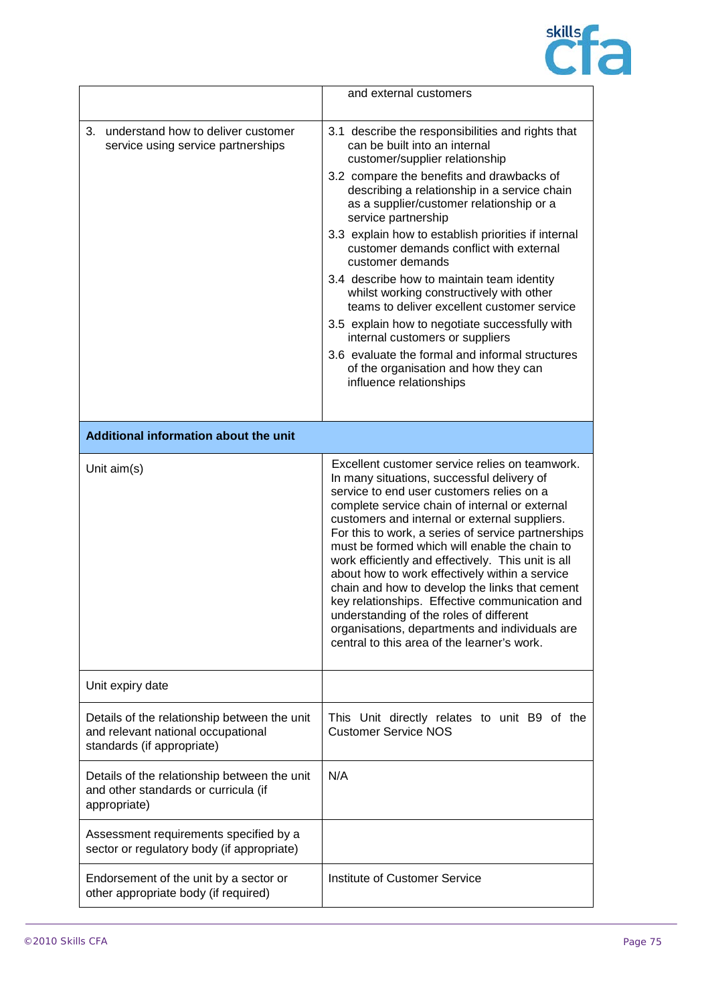

|                                                                                                                  | and external customers                                                                                                                                                                                                                                                                                                                                                                                                                                                                                                                                                                                                                                                                                      |
|------------------------------------------------------------------------------------------------------------------|-------------------------------------------------------------------------------------------------------------------------------------------------------------------------------------------------------------------------------------------------------------------------------------------------------------------------------------------------------------------------------------------------------------------------------------------------------------------------------------------------------------------------------------------------------------------------------------------------------------------------------------------------------------------------------------------------------------|
| understand how to deliver customer<br>3.<br>service using service partnerships                                   | 3.1 describe the responsibilities and rights that<br>can be built into an internal<br>customer/supplier relationship                                                                                                                                                                                                                                                                                                                                                                                                                                                                                                                                                                                        |
|                                                                                                                  | 3.2 compare the benefits and drawbacks of<br>describing a relationship in a service chain<br>as a supplier/customer relationship or a<br>service partnership                                                                                                                                                                                                                                                                                                                                                                                                                                                                                                                                                |
|                                                                                                                  | 3.3 explain how to establish priorities if internal<br>customer demands conflict with external<br>customer demands                                                                                                                                                                                                                                                                                                                                                                                                                                                                                                                                                                                          |
|                                                                                                                  | 3.4 describe how to maintain team identity<br>whilst working constructively with other<br>teams to deliver excellent customer service                                                                                                                                                                                                                                                                                                                                                                                                                                                                                                                                                                       |
|                                                                                                                  | 3.5 explain how to negotiate successfully with<br>internal customers or suppliers                                                                                                                                                                                                                                                                                                                                                                                                                                                                                                                                                                                                                           |
|                                                                                                                  | 3.6 evaluate the formal and informal structures<br>of the organisation and how they can<br>influence relationships                                                                                                                                                                                                                                                                                                                                                                                                                                                                                                                                                                                          |
|                                                                                                                  |                                                                                                                                                                                                                                                                                                                                                                                                                                                                                                                                                                                                                                                                                                             |
| Additional information about the unit                                                                            |                                                                                                                                                                                                                                                                                                                                                                                                                                                                                                                                                                                                                                                                                                             |
| Unit $aim(s)$                                                                                                    | Excellent customer service relies on teamwork.<br>In many situations, successful delivery of<br>service to end user customers relies on a<br>complete service chain of internal or external<br>customers and internal or external suppliers.<br>For this to work, a series of service partnerships<br>must be formed which will enable the chain to<br>work efficiently and effectively. This unit is all<br>about how to work effectively within a service<br>chain and how to develop the links that cement<br>key relationships. Effective communication and<br>understanding of the roles of different<br>organisations, departments and individuals are<br>central to this area of the learner's work. |
| Unit expiry date                                                                                                 |                                                                                                                                                                                                                                                                                                                                                                                                                                                                                                                                                                                                                                                                                                             |
| Details of the relationship between the unit<br>and relevant national occupational<br>standards (if appropriate) | This Unit directly relates to unit B9 of the<br><b>Customer Service NOS</b>                                                                                                                                                                                                                                                                                                                                                                                                                                                                                                                                                                                                                                 |
| Details of the relationship between the unit<br>and other standards or curricula (if<br>appropriate)             | N/A                                                                                                                                                                                                                                                                                                                                                                                                                                                                                                                                                                                                                                                                                                         |
| Assessment requirements specified by a<br>sector or regulatory body (if appropriate)                             |                                                                                                                                                                                                                                                                                                                                                                                                                                                                                                                                                                                                                                                                                                             |
| Endorsement of the unit by a sector or<br>other appropriate body (if required)                                   | Institute of Customer Service                                                                                                                                                                                                                                                                                                                                                                                                                                                                                                                                                                                                                                                                               |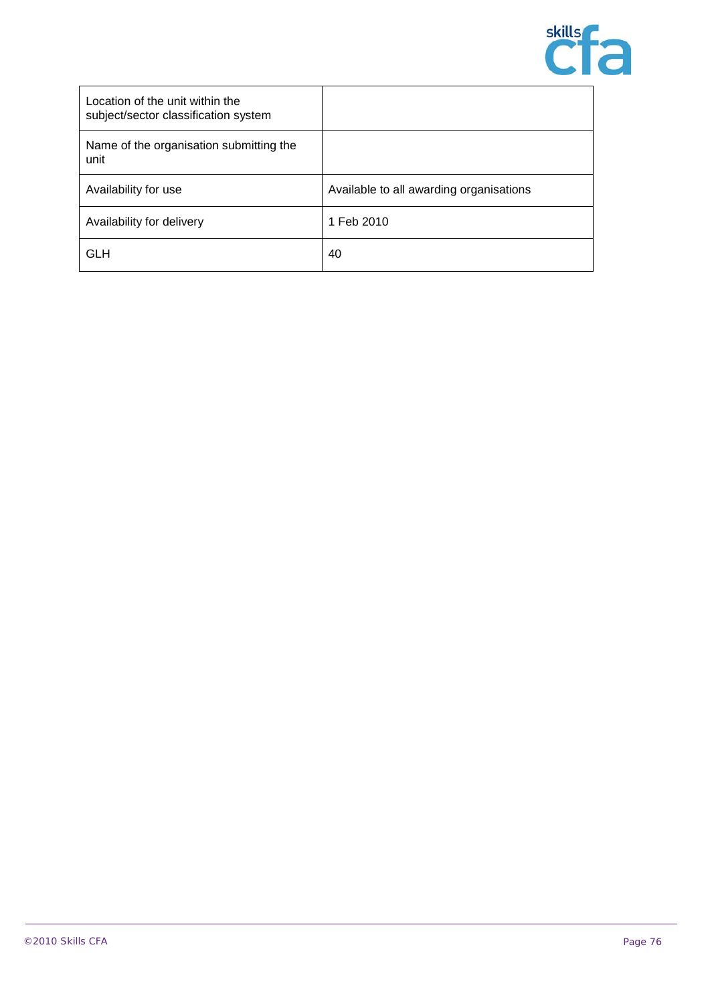

| Location of the unit within the<br>subject/sector classification system |                                         |
|-------------------------------------------------------------------------|-----------------------------------------|
| Name of the organisation submitting the<br>unit                         |                                         |
| Availability for use                                                    | Available to all awarding organisations |
| Availability for delivery                                               | 1 Feb 2010                              |
| GLH                                                                     | 40                                      |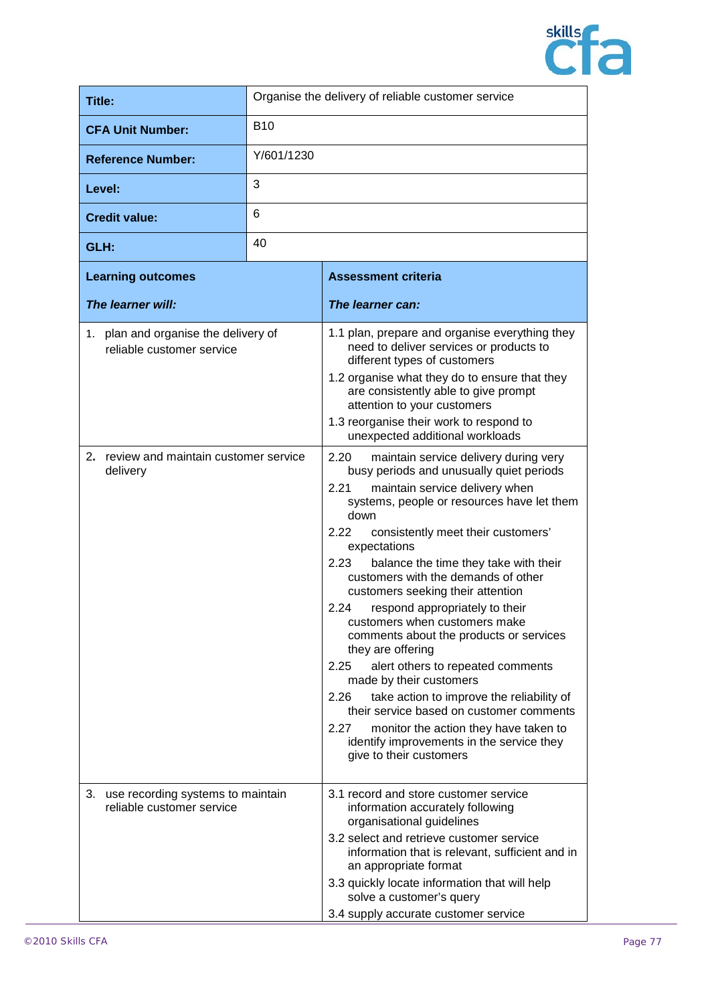

| Title:                                                               | Organise the delivery of reliable customer service |                                                                                                                                                                                                                                                                                                                                                                                                                                                                                                                                                                                                                                                                                                                                                                                                                                   |
|----------------------------------------------------------------------|----------------------------------------------------|-----------------------------------------------------------------------------------------------------------------------------------------------------------------------------------------------------------------------------------------------------------------------------------------------------------------------------------------------------------------------------------------------------------------------------------------------------------------------------------------------------------------------------------------------------------------------------------------------------------------------------------------------------------------------------------------------------------------------------------------------------------------------------------------------------------------------------------|
| <b>CFA Unit Number:</b>                                              | <b>B10</b>                                         |                                                                                                                                                                                                                                                                                                                                                                                                                                                                                                                                                                                                                                                                                                                                                                                                                                   |
| <b>Reference Number:</b>                                             | Y/601/1230                                         |                                                                                                                                                                                                                                                                                                                                                                                                                                                                                                                                                                                                                                                                                                                                                                                                                                   |
| Level:                                                               | 3                                                  |                                                                                                                                                                                                                                                                                                                                                                                                                                                                                                                                                                                                                                                                                                                                                                                                                                   |
| <b>Credit value:</b>                                                 | 6                                                  |                                                                                                                                                                                                                                                                                                                                                                                                                                                                                                                                                                                                                                                                                                                                                                                                                                   |
| GLH:                                                                 | 40                                                 |                                                                                                                                                                                                                                                                                                                                                                                                                                                                                                                                                                                                                                                                                                                                                                                                                                   |
| <b>Learning outcomes</b>                                             | <b>Assessment criteria</b>                         |                                                                                                                                                                                                                                                                                                                                                                                                                                                                                                                                                                                                                                                                                                                                                                                                                                   |
| The learner will:                                                    |                                                    | The learner can:                                                                                                                                                                                                                                                                                                                                                                                                                                                                                                                                                                                                                                                                                                                                                                                                                  |
| 1. plan and organise the delivery of<br>reliable customer service    |                                                    | 1.1 plan, prepare and organise everything they<br>need to deliver services or products to<br>different types of customers<br>1.2 organise what they do to ensure that they<br>are consistently able to give prompt<br>attention to your customers<br>1.3 reorganise their work to respond to<br>unexpected additional workloads                                                                                                                                                                                                                                                                                                                                                                                                                                                                                                   |
| 2. review and maintain customer service<br>delivery                  |                                                    | 2.20<br>maintain service delivery during very<br>busy periods and unusually quiet periods<br>2.21<br>maintain service delivery when<br>systems, people or resources have let them<br>down<br>2.22<br>consistently meet their customers'<br>expectations<br>2.23<br>balance the time they take with their<br>customers with the demands of other<br>customers seeking their attention<br>respond appropriately to their<br>2.24<br>customers when customers make<br>comments about the products or services<br>they are offering<br>2.25<br>alert others to repeated comments<br>made by their customers<br>take action to improve the reliability of<br>2.26<br>their service based on customer comments<br>2.27<br>monitor the action they have taken to<br>identify improvements in the service they<br>give to their customers |
| use recording systems to maintain<br>3.<br>reliable customer service |                                                    | 3.1 record and store customer service<br>information accurately following<br>organisational guidelines<br>3.2 select and retrieve customer service<br>information that is relevant, sufficient and in<br>an appropriate format<br>3.3 quickly locate information that will help<br>solve a customer's query<br>3.4 supply accurate customer service                                                                                                                                                                                                                                                                                                                                                                                                                                                                               |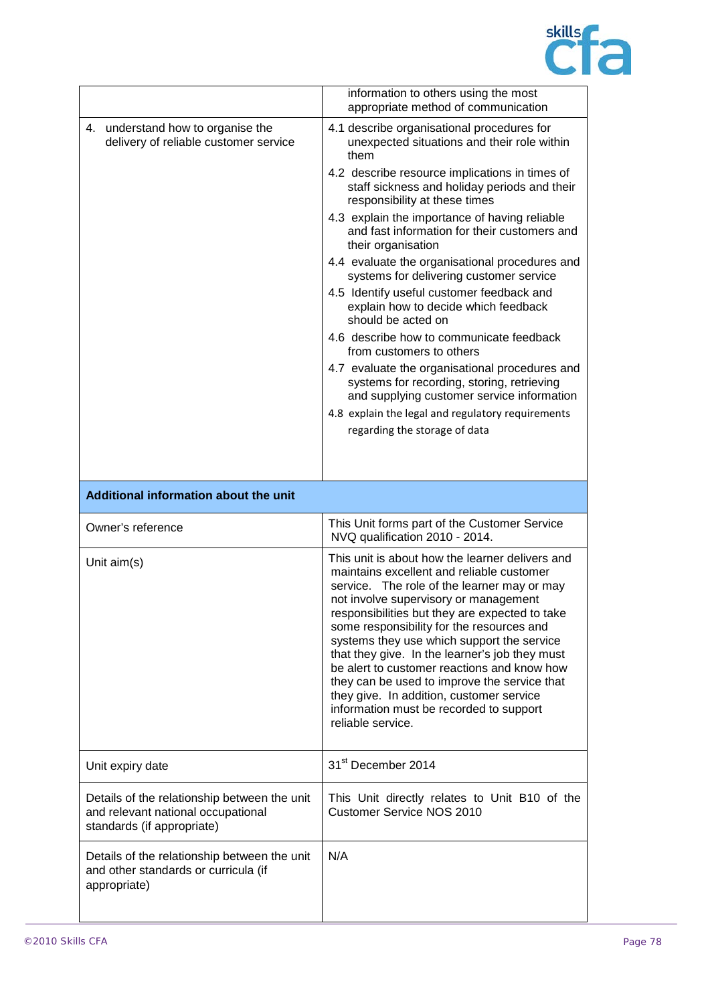

|                                                                                                                  | information to others using the most<br>appropriate method of communication                                                                                                                                                                                                                                                                                                                                                                                                                                                                                                                    |
|------------------------------------------------------------------------------------------------------------------|------------------------------------------------------------------------------------------------------------------------------------------------------------------------------------------------------------------------------------------------------------------------------------------------------------------------------------------------------------------------------------------------------------------------------------------------------------------------------------------------------------------------------------------------------------------------------------------------|
| 4. understand how to organise the<br>delivery of reliable customer service                                       | 4.1 describe organisational procedures for<br>unexpected situations and their role within<br>them                                                                                                                                                                                                                                                                                                                                                                                                                                                                                              |
|                                                                                                                  | 4.2 describe resource implications in times of<br>staff sickness and holiday periods and their<br>responsibility at these times                                                                                                                                                                                                                                                                                                                                                                                                                                                                |
|                                                                                                                  | 4.3 explain the importance of having reliable<br>and fast information for their customers and<br>their organisation                                                                                                                                                                                                                                                                                                                                                                                                                                                                            |
|                                                                                                                  | 4.4 evaluate the organisational procedures and<br>systems for delivering customer service                                                                                                                                                                                                                                                                                                                                                                                                                                                                                                      |
|                                                                                                                  | 4.5 Identify useful customer feedback and<br>explain how to decide which feedback<br>should be acted on                                                                                                                                                                                                                                                                                                                                                                                                                                                                                        |
|                                                                                                                  | 4.6 describe how to communicate feedback<br>from customers to others                                                                                                                                                                                                                                                                                                                                                                                                                                                                                                                           |
|                                                                                                                  | 4.7 evaluate the organisational procedures and<br>systems for recording, storing, retrieving<br>and supplying customer service information                                                                                                                                                                                                                                                                                                                                                                                                                                                     |
|                                                                                                                  | 4.8 explain the legal and regulatory requirements                                                                                                                                                                                                                                                                                                                                                                                                                                                                                                                                              |
|                                                                                                                  | regarding the storage of data                                                                                                                                                                                                                                                                                                                                                                                                                                                                                                                                                                  |
|                                                                                                                  |                                                                                                                                                                                                                                                                                                                                                                                                                                                                                                                                                                                                |
| Additional information about the unit                                                                            |                                                                                                                                                                                                                                                                                                                                                                                                                                                                                                                                                                                                |
|                                                                                                                  |                                                                                                                                                                                                                                                                                                                                                                                                                                                                                                                                                                                                |
| Owner's reference                                                                                                | This Unit forms part of the Customer Service<br>NVQ qualification 2010 - 2014.                                                                                                                                                                                                                                                                                                                                                                                                                                                                                                                 |
| Unit $aim(s)$                                                                                                    | This unit is about how the learner delivers and<br>maintains excellent and reliable customer<br>service. The role of the learner may or may<br>not involve supervisory or management<br>responsibilities but they are expected to take<br>some responsibility for the resources and<br>systems they use which support the service<br>that they give. In the learner's job they must<br>be alert to customer reactions and know how<br>they can be used to improve the service that<br>they give. In addition, customer service<br>information must be recorded to support<br>reliable service. |
| Unit expiry date                                                                                                 | 31 <sup>st</sup> December 2014                                                                                                                                                                                                                                                                                                                                                                                                                                                                                                                                                                 |
| Details of the relationship between the unit<br>and relevant national occupational<br>standards (if appropriate) | This Unit directly relates to Unit B10 of the<br><b>Customer Service NOS 2010</b>                                                                                                                                                                                                                                                                                                                                                                                                                                                                                                              |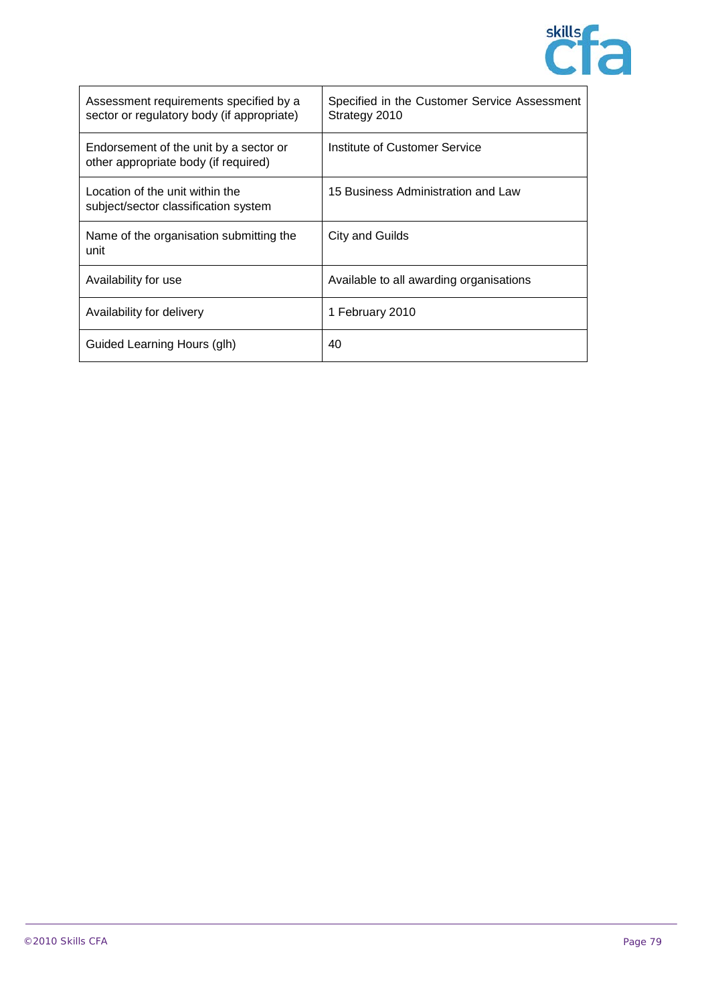

| Assessment requirements specified by a<br>sector or regulatory body (if appropriate) | Specified in the Customer Service Assessment<br>Strategy 2010 |
|--------------------------------------------------------------------------------------|---------------------------------------------------------------|
| Endorsement of the unit by a sector or<br>other appropriate body (if required)       | Institute of Customer Service                                 |
| Location of the unit within the<br>subject/sector classification system              | 15 Business Administration and Law                            |
| Name of the organisation submitting the<br>unit                                      | City and Guilds                                               |
| Availability for use                                                                 | Available to all awarding organisations                       |
| Availability for delivery                                                            | 1 February 2010                                               |
| Guided Learning Hours (glh)                                                          | 40                                                            |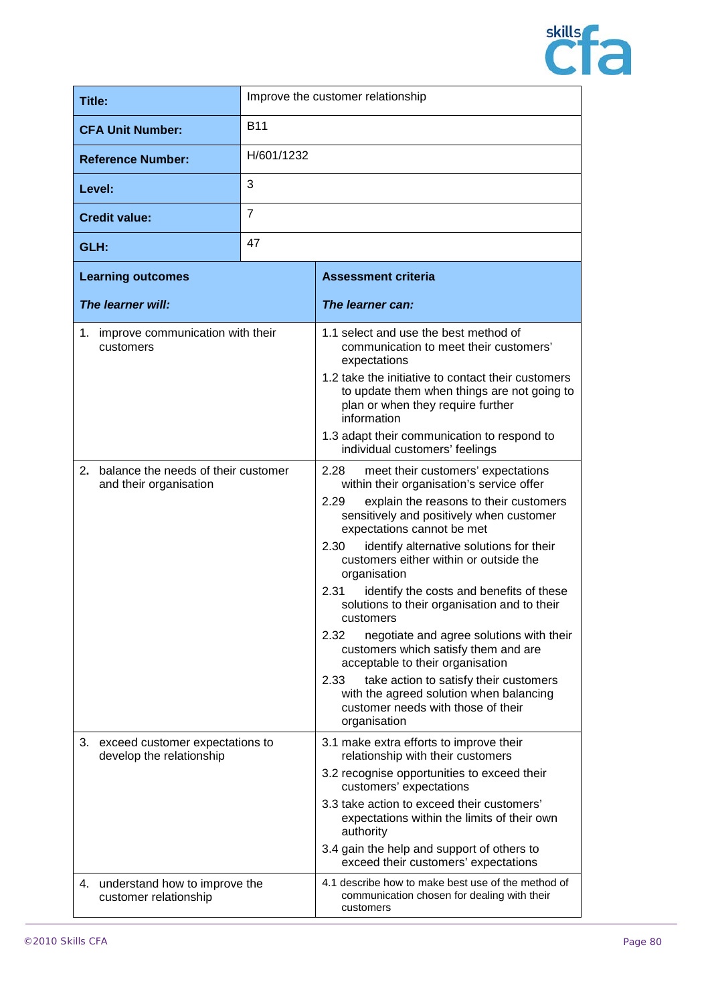

| Title:                             |                | Improve the customer relationship     |
|------------------------------------|----------------|---------------------------------------|
| <b>CFA Unit Number:</b>            | <b>B11</b>     |                                       |
| <b>Reference Number:</b>           | H/601/1232     |                                       |
| Level:                             | 3              |                                       |
| <b>Credit value:</b>               | $\overline{7}$ |                                       |
| GLH:                               | 47             |                                       |
| <b>Learning outcomes</b>           |                | <b>Assessment criteria</b>            |
| The learner will:                  |                | The learner can:                      |
| 1 improve communication with their |                | 1.4 polect and use the best method of |

|    | rne rearner will:                                             | rne reamer can:                                                                                                                                       |
|----|---------------------------------------------------------------|-------------------------------------------------------------------------------------------------------------------------------------------------------|
|    | 1. improve communication with their<br>customers              | 1.1 select and use the best method of<br>communication to meet their customers'<br>expectations                                                       |
|    |                                                               | 1.2 take the initiative to contact their customers<br>to update them when things are not going to<br>plan or when they require further<br>information |
|    |                                                               | 1.3 adapt their communication to respond to<br>individual customers' feelings                                                                         |
| 2. | balance the needs of their customer<br>and their organisation | 2.28<br>meet their customers' expectations<br>within their organisation's service offer                                                               |
|    |                                                               | 2.29<br>explain the reasons to their customers<br>sensitively and positively when customer<br>expectations cannot be met                              |
|    |                                                               | 2.30<br>identify alternative solutions for their<br>customers either within or outside the<br>organisation                                            |
|    |                                                               | 2.31<br>identify the costs and benefits of these<br>solutions to their organisation and to their<br>customers                                         |
|    |                                                               | 2.32<br>negotiate and agree solutions with their<br>customers which satisfy them and are<br>acceptable to their organisation                          |
|    |                                                               | 2.33<br>take action to satisfy their customers<br>with the agreed solution when balancing<br>customer needs with those of their<br>organisation       |
| 3. | exceed customer expectations to<br>develop the relationship   | 3.1 make extra efforts to improve their<br>relationship with their customers                                                                          |
|    |                                                               | 3.2 recognise opportunities to exceed their<br>customers' expectations                                                                                |
|    |                                                               | 3.3 take action to exceed their customers'<br>expectations within the limits of their own<br>authority                                                |
|    |                                                               | 3.4 gain the help and support of others to<br>exceed their customers' expectations                                                                    |
|    | 4. understand how to improve the<br>customer relationship     | 4.1 describe how to make best use of the method of<br>communication chosen for dealing with their<br>customers                                        |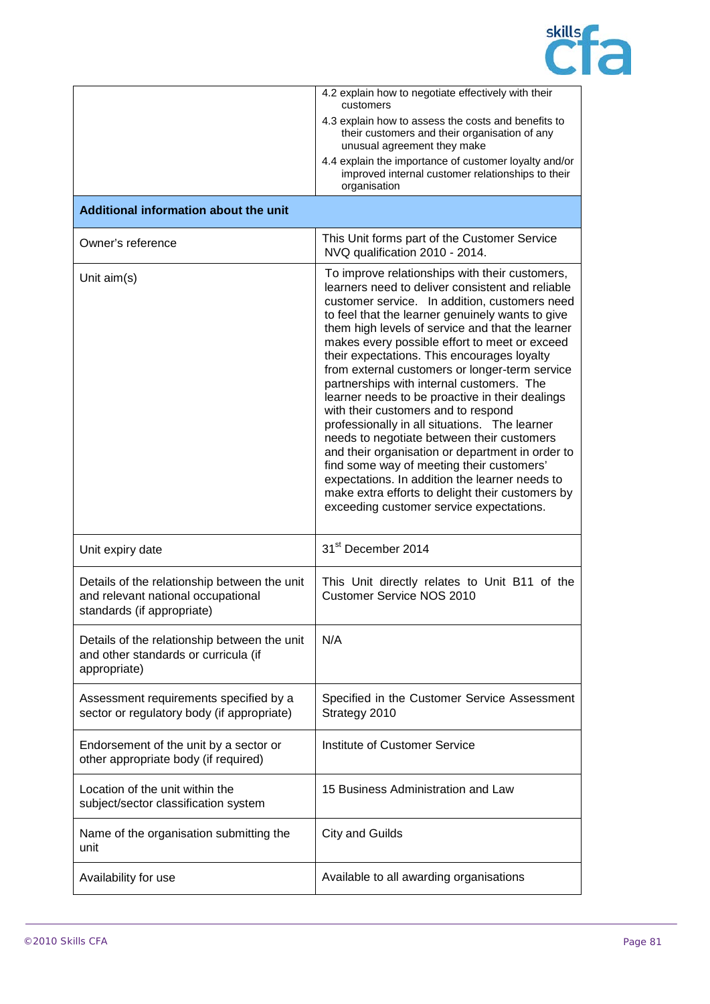

|                                                                                                                  | 4.2 explain how to negotiate effectively with their<br>customers                                                                                                                                                                                                                                                                                                                                                                                                                                                                                                                                                                                                                                                                                                                                                                                                                                       |
|------------------------------------------------------------------------------------------------------------------|--------------------------------------------------------------------------------------------------------------------------------------------------------------------------------------------------------------------------------------------------------------------------------------------------------------------------------------------------------------------------------------------------------------------------------------------------------------------------------------------------------------------------------------------------------------------------------------------------------------------------------------------------------------------------------------------------------------------------------------------------------------------------------------------------------------------------------------------------------------------------------------------------------|
|                                                                                                                  | 4.3 explain how to assess the costs and benefits to<br>their customers and their organisation of any<br>unusual agreement they make                                                                                                                                                                                                                                                                                                                                                                                                                                                                                                                                                                                                                                                                                                                                                                    |
|                                                                                                                  | 4.4 explain the importance of customer loyalty and/or<br>improved internal customer relationships to their<br>organisation                                                                                                                                                                                                                                                                                                                                                                                                                                                                                                                                                                                                                                                                                                                                                                             |
| Additional information about the unit                                                                            |                                                                                                                                                                                                                                                                                                                                                                                                                                                                                                                                                                                                                                                                                                                                                                                                                                                                                                        |
| Owner's reference                                                                                                | This Unit forms part of the Customer Service<br>NVQ qualification 2010 - 2014.                                                                                                                                                                                                                                                                                                                                                                                                                                                                                                                                                                                                                                                                                                                                                                                                                         |
| Unit $aim(s)$                                                                                                    | To improve relationships with their customers,<br>learners need to deliver consistent and reliable<br>customer service. In addition, customers need<br>to feel that the learner genuinely wants to give<br>them high levels of service and that the learner<br>makes every possible effort to meet or exceed<br>their expectations. This encourages loyalty<br>from external customers or longer-term service<br>partnerships with internal customers. The<br>learner needs to be proactive in their dealings<br>with their customers and to respond<br>professionally in all situations. The learner<br>needs to negotiate between their customers<br>and their organisation or department in order to<br>find some way of meeting their customers'<br>expectations. In addition the learner needs to<br>make extra efforts to delight their customers by<br>exceeding customer service expectations. |
| Unit expiry date                                                                                                 | 31 <sup>st</sup> December 2014                                                                                                                                                                                                                                                                                                                                                                                                                                                                                                                                                                                                                                                                                                                                                                                                                                                                         |
| Details of the relationship between the unit<br>and relevant national occupational<br>standards (if appropriate) | This Unit directly relates to Unit B11 of the<br>Customer Service NOS 2010                                                                                                                                                                                                                                                                                                                                                                                                                                                                                                                                                                                                                                                                                                                                                                                                                             |
| Details of the relationship between the unit<br>and other standards or curricula (if<br>appropriate)             | N/A                                                                                                                                                                                                                                                                                                                                                                                                                                                                                                                                                                                                                                                                                                                                                                                                                                                                                                    |
| Assessment requirements specified by a<br>sector or regulatory body (if appropriate)                             | Specified in the Customer Service Assessment<br>Strategy 2010                                                                                                                                                                                                                                                                                                                                                                                                                                                                                                                                                                                                                                                                                                                                                                                                                                          |
| Endorsement of the unit by a sector or<br>other appropriate body (if required)                                   | Institute of Customer Service                                                                                                                                                                                                                                                                                                                                                                                                                                                                                                                                                                                                                                                                                                                                                                                                                                                                          |
| Location of the unit within the<br>subject/sector classification system                                          | 15 Business Administration and Law                                                                                                                                                                                                                                                                                                                                                                                                                                                                                                                                                                                                                                                                                                                                                                                                                                                                     |
| Name of the organisation submitting the<br>unit                                                                  | <b>City and Guilds</b>                                                                                                                                                                                                                                                                                                                                                                                                                                                                                                                                                                                                                                                                                                                                                                                                                                                                                 |
| Availability for use                                                                                             | Available to all awarding organisations                                                                                                                                                                                                                                                                                                                                                                                                                                                                                                                                                                                                                                                                                                                                                                                                                                                                |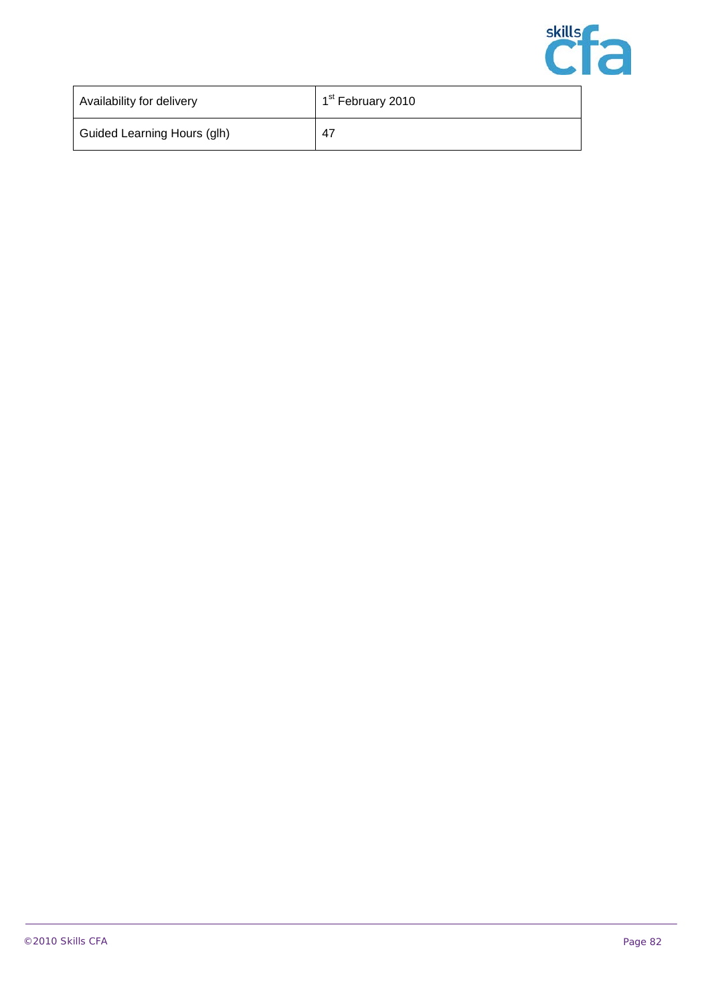

| Availability for delivery   | 1 <sup>st</sup> February 2010 |
|-----------------------------|-------------------------------|
| Guided Learning Hours (glh) | 47                            |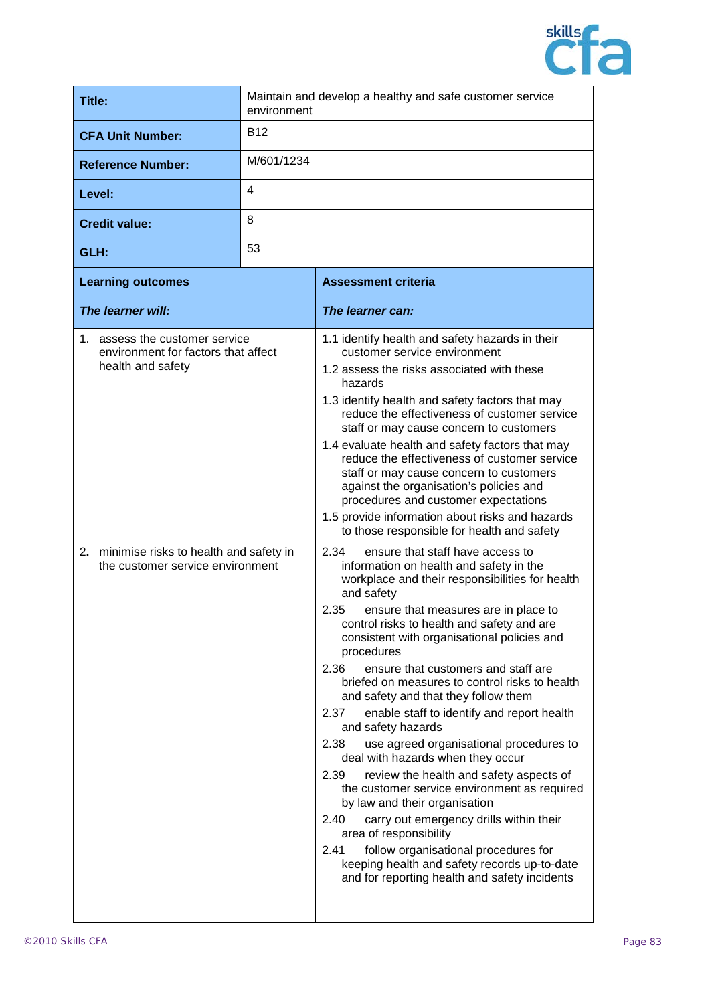

| <b>Title:</b>                                                                                                                                                               | Maintain and develop a healthy and safe customer service<br>environment |                                                                                                                                                                                                                                                                                                                                                                                                                                                                                                                                                                                                                                                                                                                                                                                                                                                                                                                                                                                                                                                                                                                                                                                                                                                                                                                                                                                                                                                                                                                                                                                                                            |
|-----------------------------------------------------------------------------------------------------------------------------------------------------------------------------|-------------------------------------------------------------------------|----------------------------------------------------------------------------------------------------------------------------------------------------------------------------------------------------------------------------------------------------------------------------------------------------------------------------------------------------------------------------------------------------------------------------------------------------------------------------------------------------------------------------------------------------------------------------------------------------------------------------------------------------------------------------------------------------------------------------------------------------------------------------------------------------------------------------------------------------------------------------------------------------------------------------------------------------------------------------------------------------------------------------------------------------------------------------------------------------------------------------------------------------------------------------------------------------------------------------------------------------------------------------------------------------------------------------------------------------------------------------------------------------------------------------------------------------------------------------------------------------------------------------------------------------------------------------------------------------------------------------|
| <b>CFA Unit Number:</b>                                                                                                                                                     | <b>B12</b>                                                              |                                                                                                                                                                                                                                                                                                                                                                                                                                                                                                                                                                                                                                                                                                                                                                                                                                                                                                                                                                                                                                                                                                                                                                                                                                                                                                                                                                                                                                                                                                                                                                                                                            |
| <b>Reference Number:</b>                                                                                                                                                    | M/601/1234                                                              |                                                                                                                                                                                                                                                                                                                                                                                                                                                                                                                                                                                                                                                                                                                                                                                                                                                                                                                                                                                                                                                                                                                                                                                                                                                                                                                                                                                                                                                                                                                                                                                                                            |
| Level:                                                                                                                                                                      | 4                                                                       |                                                                                                                                                                                                                                                                                                                                                                                                                                                                                                                                                                                                                                                                                                                                                                                                                                                                                                                                                                                                                                                                                                                                                                                                                                                                                                                                                                                                                                                                                                                                                                                                                            |
| <b>Credit value:</b>                                                                                                                                                        | 8                                                                       |                                                                                                                                                                                                                                                                                                                                                                                                                                                                                                                                                                                                                                                                                                                                                                                                                                                                                                                                                                                                                                                                                                                                                                                                                                                                                                                                                                                                                                                                                                                                                                                                                            |
| GLH:                                                                                                                                                                        | 53                                                                      |                                                                                                                                                                                                                                                                                                                                                                                                                                                                                                                                                                                                                                                                                                                                                                                                                                                                                                                                                                                                                                                                                                                                                                                                                                                                                                                                                                                                                                                                                                                                                                                                                            |
| <b>Learning outcomes</b>                                                                                                                                                    |                                                                         | <b>Assessment criteria</b>                                                                                                                                                                                                                                                                                                                                                                                                                                                                                                                                                                                                                                                                                                                                                                                                                                                                                                                                                                                                                                                                                                                                                                                                                                                                                                                                                                                                                                                                                                                                                                                                 |
| The learner will:                                                                                                                                                           |                                                                         | The learner can:                                                                                                                                                                                                                                                                                                                                                                                                                                                                                                                                                                                                                                                                                                                                                                                                                                                                                                                                                                                                                                                                                                                                                                                                                                                                                                                                                                                                                                                                                                                                                                                                           |
| 1. assess the customer service<br>environment for factors that affect<br>health and safety<br>2. minimise risks to health and safety in<br>the customer service environment |                                                                         | 1.1 identify health and safety hazards in their<br>customer service environment<br>1.2 assess the risks associated with these<br>hazards<br>1.3 identify health and safety factors that may<br>reduce the effectiveness of customer service<br>staff or may cause concern to customers<br>1.4 evaluate health and safety factors that may<br>reduce the effectiveness of customer service<br>staff or may cause concern to customers<br>against the organisation's policies and<br>procedures and customer expectations<br>1.5 provide information about risks and hazards<br>to those responsible for health and safety<br>2.34<br>ensure that staff have access to<br>information on health and safety in the<br>workplace and their responsibilities for health<br>and safety<br>2.35<br>ensure that measures are in place to<br>control risks to health and safety and are<br>consistent with organisational policies and<br>procedures<br>ensure that customers and staff are<br>2.36<br>briefed on measures to control risks to health<br>and safety and that they follow them<br>2.37<br>enable staff to identify and report health<br>and safety hazards<br>2.38<br>use agreed organisational procedures to<br>deal with hazards when they occur<br>2.39<br>review the health and safety aspects of<br>the customer service environment as required<br>by law and their organisation<br>2.40<br>carry out emergency drills within their<br>area of responsibility<br>follow organisational procedures for<br>2.41<br>keeping health and safety records up-to-date<br>and for reporting health and safety incidents |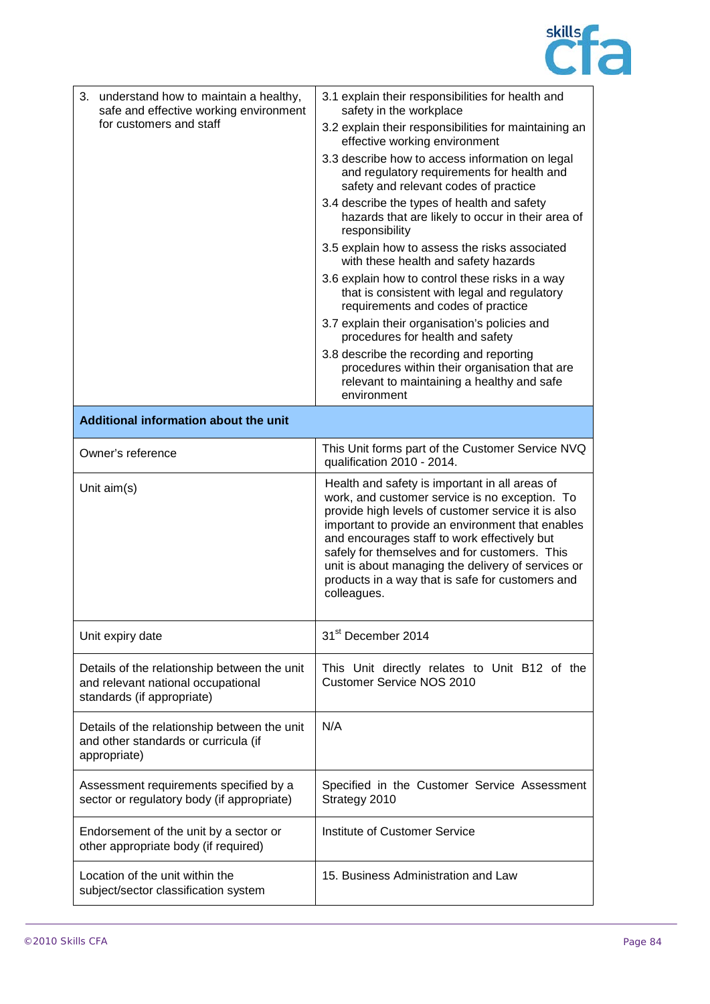

| 3. understand how to maintain a healthy,<br>safe and effective working environment                               | 3.1 explain their responsibilities for health and<br>safety in the workplace                                                                                                                                                                                                                                                                                                                                                         |
|------------------------------------------------------------------------------------------------------------------|--------------------------------------------------------------------------------------------------------------------------------------------------------------------------------------------------------------------------------------------------------------------------------------------------------------------------------------------------------------------------------------------------------------------------------------|
| for customers and staff                                                                                          | 3.2 explain their responsibilities for maintaining an<br>effective working environment                                                                                                                                                                                                                                                                                                                                               |
|                                                                                                                  | 3.3 describe how to access information on legal<br>and regulatory requirements for health and<br>safety and relevant codes of practice                                                                                                                                                                                                                                                                                               |
|                                                                                                                  | 3.4 describe the types of health and safety<br>hazards that are likely to occur in their area of<br>responsibility                                                                                                                                                                                                                                                                                                                   |
|                                                                                                                  | 3.5 explain how to assess the risks associated<br>with these health and safety hazards                                                                                                                                                                                                                                                                                                                                               |
|                                                                                                                  | 3.6 explain how to control these risks in a way<br>that is consistent with legal and regulatory<br>requirements and codes of practice                                                                                                                                                                                                                                                                                                |
|                                                                                                                  | 3.7 explain their organisation's policies and<br>procedures for health and safety                                                                                                                                                                                                                                                                                                                                                    |
|                                                                                                                  | 3.8 describe the recording and reporting<br>procedures within their organisation that are<br>relevant to maintaining a healthy and safe<br>environment                                                                                                                                                                                                                                                                               |
| Additional information about the unit                                                                            |                                                                                                                                                                                                                                                                                                                                                                                                                                      |
| Owner's reference                                                                                                | This Unit forms part of the Customer Service NVQ<br>qualification 2010 - 2014.                                                                                                                                                                                                                                                                                                                                                       |
| Unit aim(s)                                                                                                      | Health and safety is important in all areas of<br>work, and customer service is no exception. To<br>provide high levels of customer service it is also<br>important to provide an environment that enables<br>and encourages staff to work effectively but<br>safely for themselves and for customers. This<br>unit is about managing the delivery of services or<br>products in a way that is safe for customers and<br>colleagues. |
| Unit expiry date                                                                                                 | 31 <sup>st</sup> December 2014                                                                                                                                                                                                                                                                                                                                                                                                       |
| Details of the relationship between the unit<br>and relevant national occupational<br>standards (if appropriate) | This Unit directly relates to Unit B12 of the<br><b>Customer Service NOS 2010</b>                                                                                                                                                                                                                                                                                                                                                    |
| Details of the relationship between the unit<br>and other standards or curricula (if<br>appropriate)             | N/A                                                                                                                                                                                                                                                                                                                                                                                                                                  |
| Assessment requirements specified by a<br>sector or regulatory body (if appropriate)                             | Specified in the Customer Service Assessment<br>Strategy 2010                                                                                                                                                                                                                                                                                                                                                                        |
| Endorsement of the unit by a sector or<br>other appropriate body (if required)                                   | Institute of Customer Service                                                                                                                                                                                                                                                                                                                                                                                                        |
| Location of the unit within the<br>subject/sector classification system                                          | 15. Business Administration and Law                                                                                                                                                                                                                                                                                                                                                                                                  |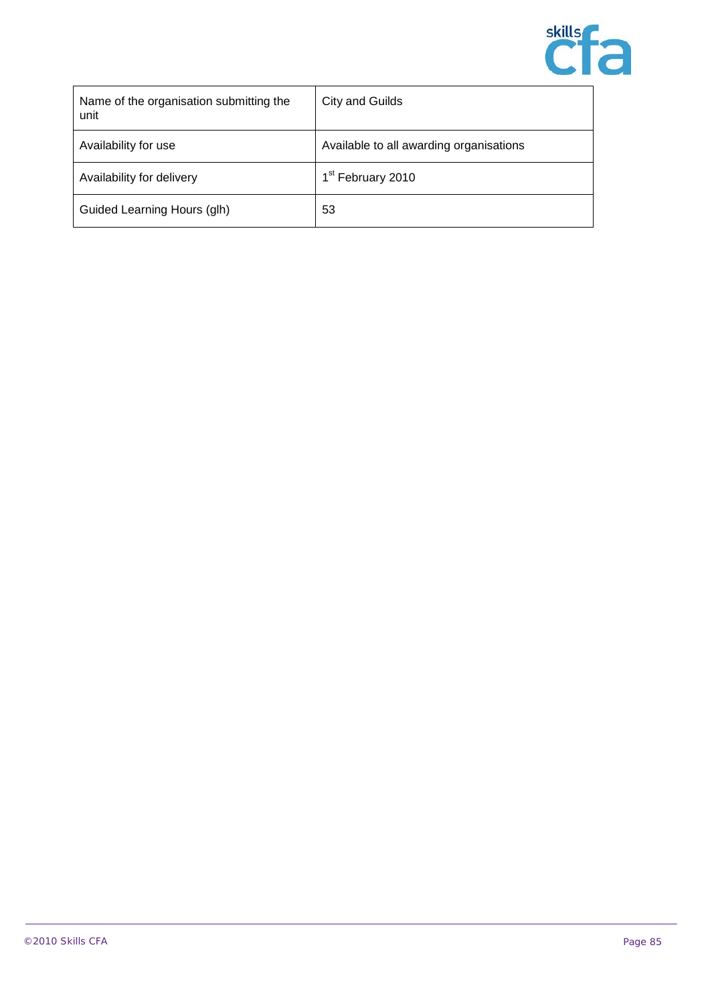

| Name of the organisation submitting the<br>unit | <b>City and Guilds</b>                  |
|-------------------------------------------------|-----------------------------------------|
| Availability for use                            | Available to all awarding organisations |
| Availability for delivery                       | 1 <sup>st</sup> February 2010           |
| Guided Learning Hours (glh)                     | 53                                      |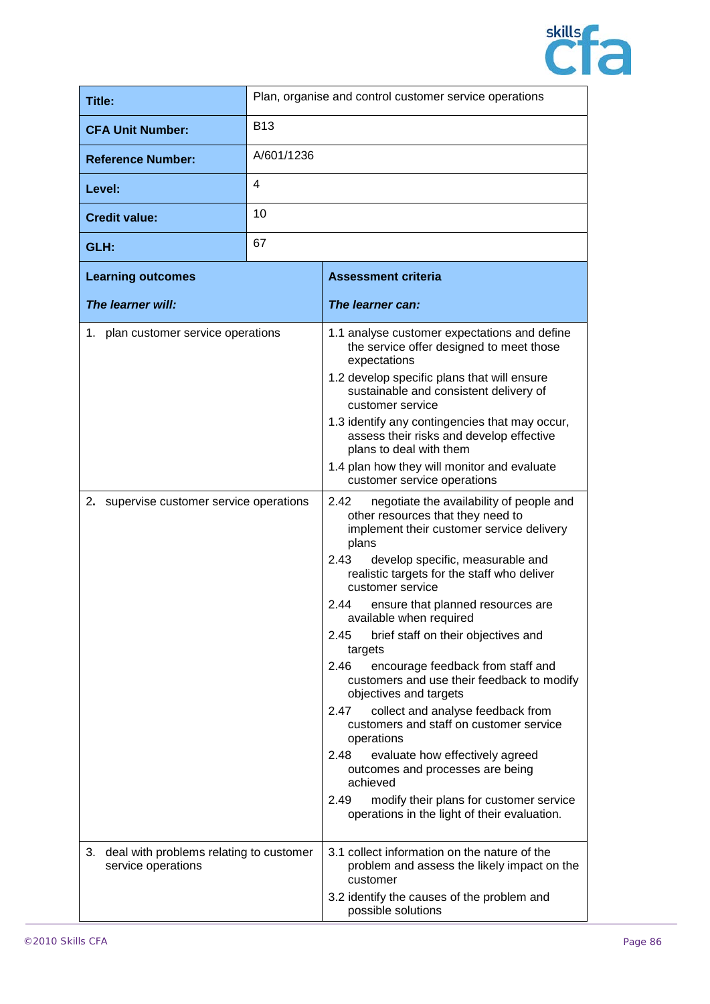

| <b>Title:</b>                                                                   | Plan, organise and control customer service operations |                                                                                                                                                                                                                                                                                                                                                                                                                                                                                                                                                                                                                                                                                            |
|---------------------------------------------------------------------------------|--------------------------------------------------------|--------------------------------------------------------------------------------------------------------------------------------------------------------------------------------------------------------------------------------------------------------------------------------------------------------------------------------------------------------------------------------------------------------------------------------------------------------------------------------------------------------------------------------------------------------------------------------------------------------------------------------------------------------------------------------------------|
| <b>CFA Unit Number:</b>                                                         | <b>B13</b>                                             |                                                                                                                                                                                                                                                                                                                                                                                                                                                                                                                                                                                                                                                                                            |
| <b>Reference Number:</b>                                                        | A/601/1236                                             |                                                                                                                                                                                                                                                                                                                                                                                                                                                                                                                                                                                                                                                                                            |
| Level:                                                                          | 4                                                      |                                                                                                                                                                                                                                                                                                                                                                                                                                                                                                                                                                                                                                                                                            |
| <b>Credit value:</b>                                                            | 10                                                     |                                                                                                                                                                                                                                                                                                                                                                                                                                                                                                                                                                                                                                                                                            |
| GLH:                                                                            | 67                                                     |                                                                                                                                                                                                                                                                                                                                                                                                                                                                                                                                                                                                                                                                                            |
| <b>Learning outcomes</b>                                                        |                                                        | <b>Assessment criteria</b>                                                                                                                                                                                                                                                                                                                                                                                                                                                                                                                                                                                                                                                                 |
| The learner will:                                                               |                                                        | The learner can:                                                                                                                                                                                                                                                                                                                                                                                                                                                                                                                                                                                                                                                                           |
| 1. plan customer service operations<br>2. supervise customer service operations |                                                        | 1.1 analyse customer expectations and define<br>the service offer designed to meet those<br>expectations<br>1.2 develop specific plans that will ensure<br>sustainable and consistent delivery of<br>customer service<br>1.3 identify any contingencies that may occur,<br>assess their risks and develop effective<br>plans to deal with them<br>1.4 plan how they will monitor and evaluate<br>customer service operations<br>2.42<br>negotiate the availability of people and<br>other resources that they need to<br>implement their customer service delivery<br>plans<br>2.43<br>develop specific, measurable and<br>realistic targets for the staff who deliver<br>customer service |
|                                                                                 |                                                        | 2.44<br>ensure that planned resources are<br>available when required<br>2.45<br>brief staff on their objectives and<br>targets<br>encourage feedback from staff and<br>2.46<br>customers and use their feedback to modify<br>objectives and targets<br>2.47<br>collect and analyse feedback from<br>customers and staff on customer service<br>operations<br>2.48<br>evaluate how effectively agreed<br>outcomes and processes are being<br>achieved<br>2.49<br>modify their plans for customer service<br>operations in the light of their evaluation.                                                                                                                                    |
| 3. deal with problems relating to customer<br>service operations                |                                                        | 3.1 collect information on the nature of the<br>problem and assess the likely impact on the<br>customer<br>3.2 identify the causes of the problem and<br>possible solutions                                                                                                                                                                                                                                                                                                                                                                                                                                                                                                                |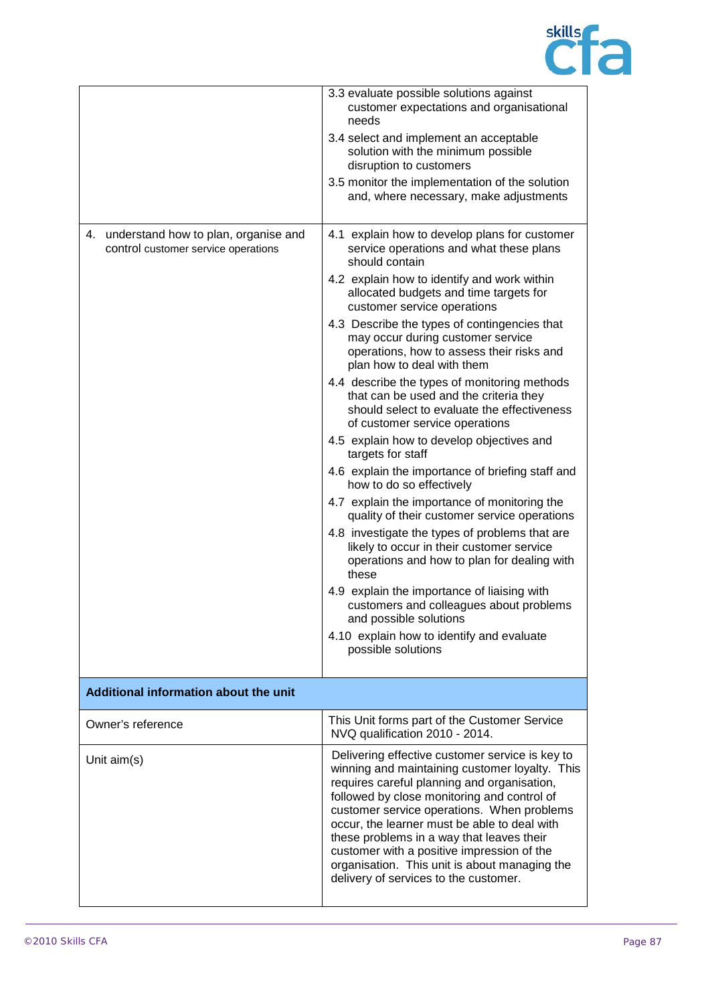

|                                                                                   | 3.3 evaluate possible solutions against<br>customer expectations and organisational<br>needs                                                                                                                                                                                                                                                                                                                                                                                       |
|-----------------------------------------------------------------------------------|------------------------------------------------------------------------------------------------------------------------------------------------------------------------------------------------------------------------------------------------------------------------------------------------------------------------------------------------------------------------------------------------------------------------------------------------------------------------------------|
|                                                                                   | 3.4 select and implement an acceptable<br>solution with the minimum possible<br>disruption to customers                                                                                                                                                                                                                                                                                                                                                                            |
|                                                                                   | 3.5 monitor the implementation of the solution<br>and, where necessary, make adjustments                                                                                                                                                                                                                                                                                                                                                                                           |
| understand how to plan, organise and<br>4.<br>control customer service operations | 4.1 explain how to develop plans for customer<br>service operations and what these plans<br>should contain                                                                                                                                                                                                                                                                                                                                                                         |
|                                                                                   | 4.2 explain how to identify and work within<br>allocated budgets and time targets for<br>customer service operations                                                                                                                                                                                                                                                                                                                                                               |
|                                                                                   | 4.3 Describe the types of contingencies that<br>may occur during customer service<br>operations, how to assess their risks and<br>plan how to deal with them                                                                                                                                                                                                                                                                                                                       |
|                                                                                   | 4.4 describe the types of monitoring methods<br>that can be used and the criteria they<br>should select to evaluate the effectiveness<br>of customer service operations                                                                                                                                                                                                                                                                                                            |
|                                                                                   | 4.5 explain how to develop objectives and<br>targets for staff                                                                                                                                                                                                                                                                                                                                                                                                                     |
|                                                                                   | 4.6 explain the importance of briefing staff and<br>how to do so effectively                                                                                                                                                                                                                                                                                                                                                                                                       |
|                                                                                   | 4.7 explain the importance of monitoring the<br>quality of their customer service operations                                                                                                                                                                                                                                                                                                                                                                                       |
|                                                                                   | 4.8 investigate the types of problems that are<br>likely to occur in their customer service<br>operations and how to plan for dealing with<br>these                                                                                                                                                                                                                                                                                                                                |
|                                                                                   | 4.9 explain the importance of liaising with<br>customers and colleagues about problems<br>and possible solutions                                                                                                                                                                                                                                                                                                                                                                   |
|                                                                                   | 4.10 explain how to identify and evaluate<br>possible solutions                                                                                                                                                                                                                                                                                                                                                                                                                    |
| Additional information about the unit                                             |                                                                                                                                                                                                                                                                                                                                                                                                                                                                                    |
| Owner's reference                                                                 | This Unit forms part of the Customer Service<br>NVQ qualification 2010 - 2014.                                                                                                                                                                                                                                                                                                                                                                                                     |
| Unit $aim(s)$                                                                     | Delivering effective customer service is key to<br>winning and maintaining customer loyalty. This<br>requires careful planning and organisation,<br>followed by close monitoring and control of<br>customer service operations. When problems<br>occur, the learner must be able to deal with<br>these problems in a way that leaves their<br>customer with a positive impression of the<br>organisation. This unit is about managing the<br>delivery of services to the customer. |
|                                                                                   |                                                                                                                                                                                                                                                                                                                                                                                                                                                                                    |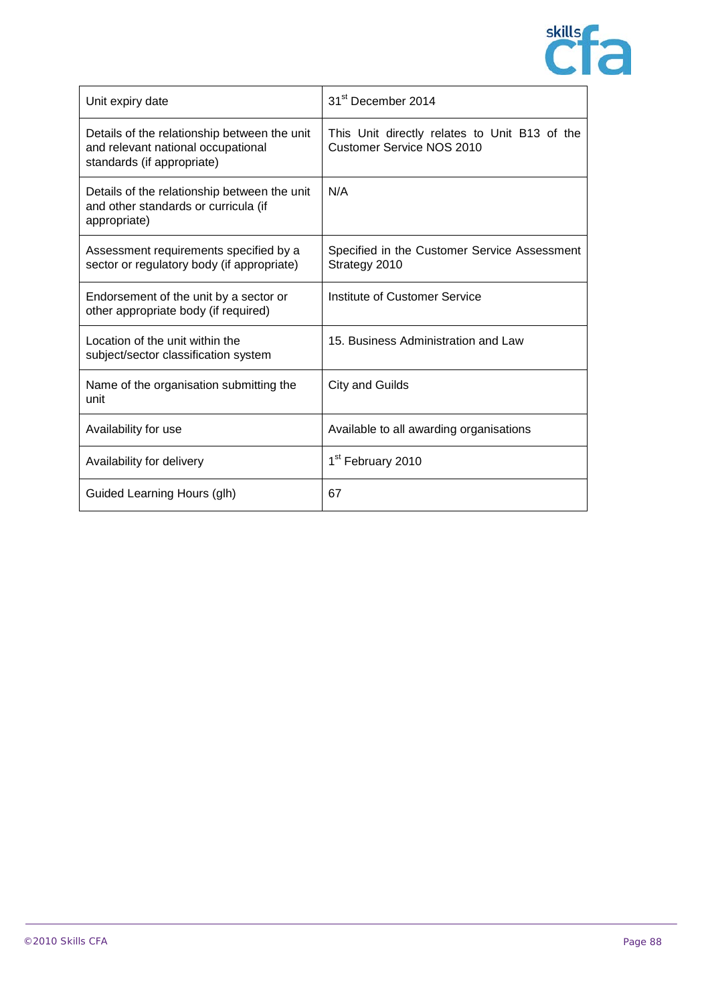

| Unit expiry date                                                                                                 | 31 <sup>st</sup> December 2014                                                    |
|------------------------------------------------------------------------------------------------------------------|-----------------------------------------------------------------------------------|
| Details of the relationship between the unit<br>and relevant national occupational<br>standards (if appropriate) | This Unit directly relates to Unit B13 of the<br><b>Customer Service NOS 2010</b> |
| Details of the relationship between the unit<br>and other standards or curricula (if<br>appropriate)             | N/A                                                                               |
| Assessment requirements specified by a<br>sector or regulatory body (if appropriate)                             | Specified in the Customer Service Assessment<br>Strategy 2010                     |
| Endorsement of the unit by a sector or<br>other appropriate body (if required)                                   | Institute of Customer Service                                                     |
| Location of the unit within the<br>subject/sector classification system                                          | 15. Business Administration and Law                                               |
| Name of the organisation submitting the<br>unit                                                                  | City and Guilds                                                                   |
| Availability for use                                                                                             | Available to all awarding organisations                                           |
| Availability for delivery                                                                                        | 1 <sup>st</sup> February 2010                                                     |
| Guided Learning Hours (glh)                                                                                      | 67                                                                                |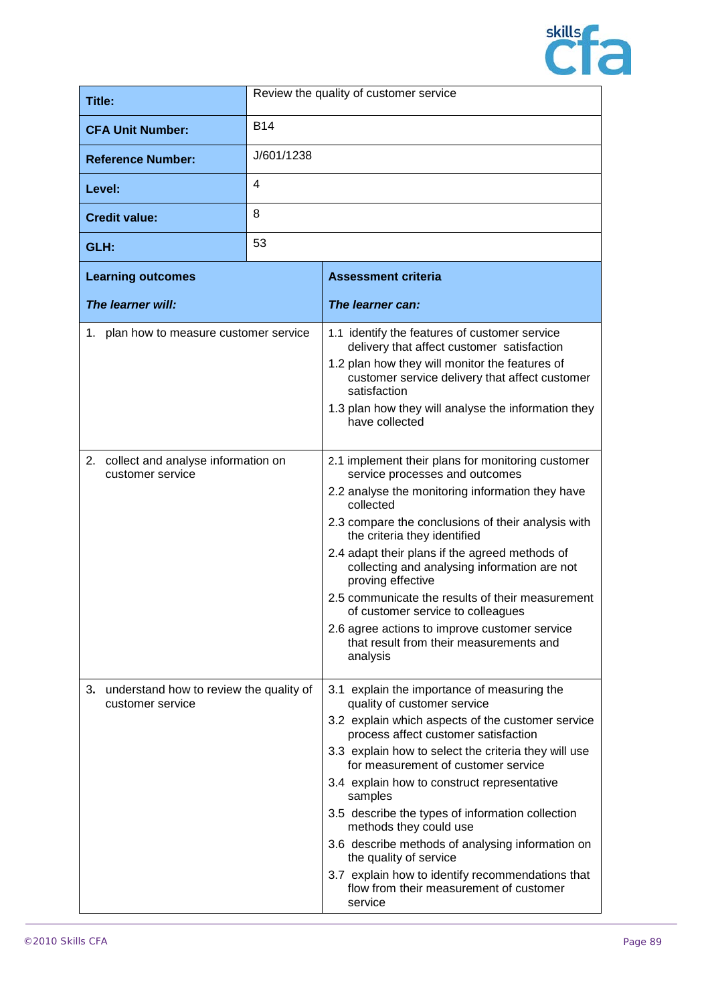

| Title:                                                         | Review the quality of customer service |                                                                                                                                                                                                                                                                                                                                                                                                                                                                                                                                                                                                        |
|----------------------------------------------------------------|----------------------------------------|--------------------------------------------------------------------------------------------------------------------------------------------------------------------------------------------------------------------------------------------------------------------------------------------------------------------------------------------------------------------------------------------------------------------------------------------------------------------------------------------------------------------------------------------------------------------------------------------------------|
| <b>CFA Unit Number:</b>                                        | <b>B14</b>                             |                                                                                                                                                                                                                                                                                                                                                                                                                                                                                                                                                                                                        |
| <b>Reference Number:</b>                                       | J/601/1238                             |                                                                                                                                                                                                                                                                                                                                                                                                                                                                                                                                                                                                        |
| Level:                                                         | 4                                      |                                                                                                                                                                                                                                                                                                                                                                                                                                                                                                                                                                                                        |
| <b>Credit value:</b>                                           | 8                                      |                                                                                                                                                                                                                                                                                                                                                                                                                                                                                                                                                                                                        |
| GLH:                                                           | 53                                     |                                                                                                                                                                                                                                                                                                                                                                                                                                                                                                                                                                                                        |
| <b>Learning outcomes</b>                                       |                                        | <b>Assessment criteria</b>                                                                                                                                                                                                                                                                                                                                                                                                                                                                                                                                                                             |
| The learner will:                                              |                                        | The learner can:                                                                                                                                                                                                                                                                                                                                                                                                                                                                                                                                                                                       |
| 1. plan how to measure customer service                        |                                        | 1.1 identify the features of customer service<br>delivery that affect customer satisfaction<br>1.2 plan how they will monitor the features of<br>customer service delivery that affect customer<br>satisfaction<br>1.3 plan how they will analyse the information they<br>have collected                                                                                                                                                                                                                                                                                                               |
| 2. collect and analyse information on<br>customer service      |                                        | 2.1 implement their plans for monitoring customer<br>service processes and outcomes<br>2.2 analyse the monitoring information they have<br>collected<br>2.3 compare the conclusions of their analysis with<br>the criteria they identified<br>2.4 adapt their plans if the agreed methods of<br>collecting and analysing information are not<br>proving effective<br>2.5 communicate the results of their measurement<br>of customer service to colleagues<br>2.6 agree actions to improve customer service<br>that result from their measurements and<br>analysis                                     |
| 3. understand how to review the quality of<br>customer service |                                        | 3.1 explain the importance of measuring the<br>quality of customer service<br>3.2 explain which aspects of the customer service<br>process affect customer satisfaction<br>3.3 explain how to select the criteria they will use<br>for measurement of customer service<br>3.4 explain how to construct representative<br>samples<br>3.5 describe the types of information collection<br>methods they could use<br>3.6 describe methods of analysing information on<br>the quality of service<br>3.7 explain how to identify recommendations that<br>flow from their measurement of customer<br>service |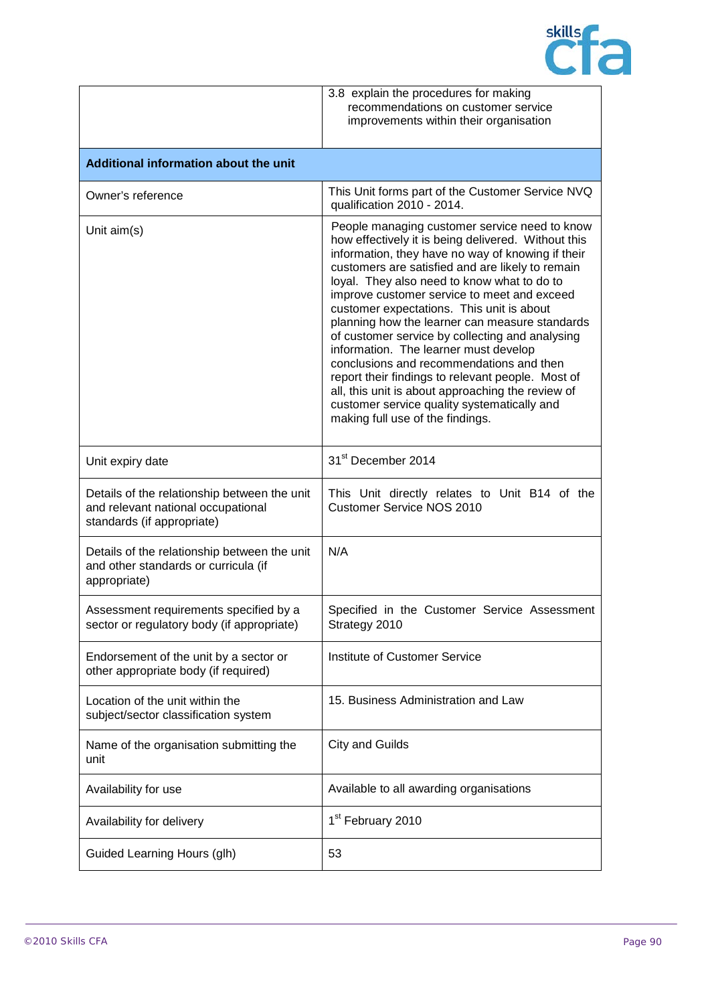

|                                                                                                                  | 3.8 explain the procedures for making<br>recommendations on customer service<br>improvements within their organisation                                                                                                                                                                                                                                                                                                                                                                                                                                                                                                                                                                                                                          |
|------------------------------------------------------------------------------------------------------------------|-------------------------------------------------------------------------------------------------------------------------------------------------------------------------------------------------------------------------------------------------------------------------------------------------------------------------------------------------------------------------------------------------------------------------------------------------------------------------------------------------------------------------------------------------------------------------------------------------------------------------------------------------------------------------------------------------------------------------------------------------|
| Additional information about the unit                                                                            |                                                                                                                                                                                                                                                                                                                                                                                                                                                                                                                                                                                                                                                                                                                                                 |
| Owner's reference                                                                                                | This Unit forms part of the Customer Service NVQ<br>qualification 2010 - 2014.                                                                                                                                                                                                                                                                                                                                                                                                                                                                                                                                                                                                                                                                  |
| Unit aim(s)                                                                                                      | People managing customer service need to know<br>how effectively it is being delivered. Without this<br>information, they have no way of knowing if their<br>customers are satisfied and are likely to remain<br>loyal. They also need to know what to do to<br>improve customer service to meet and exceed<br>customer expectations. This unit is about<br>planning how the learner can measure standards<br>of customer service by collecting and analysing<br>information. The learner must develop<br>conclusions and recommendations and then<br>report their findings to relevant people. Most of<br>all, this unit is about approaching the review of<br>customer service quality systematically and<br>making full use of the findings. |
| Unit expiry date                                                                                                 | 31 <sup>st</sup> December 2014                                                                                                                                                                                                                                                                                                                                                                                                                                                                                                                                                                                                                                                                                                                  |
| Details of the relationship between the unit<br>and relevant national occupational<br>standards (if appropriate) | This Unit directly relates to Unit B14 of the<br><b>Customer Service NOS 2010</b>                                                                                                                                                                                                                                                                                                                                                                                                                                                                                                                                                                                                                                                               |
| Details of the relationship between the unit<br>and other standards or curricula (if<br>appropriate)             | N/A                                                                                                                                                                                                                                                                                                                                                                                                                                                                                                                                                                                                                                                                                                                                             |
| Assessment requirements specified by a<br>sector or regulatory body (if appropriate)                             | Specified in the Customer Service Assessment<br>Strategy 2010                                                                                                                                                                                                                                                                                                                                                                                                                                                                                                                                                                                                                                                                                   |
| Endorsement of the unit by a sector or<br>other appropriate body (if required)                                   | Institute of Customer Service                                                                                                                                                                                                                                                                                                                                                                                                                                                                                                                                                                                                                                                                                                                   |
| Location of the unit within the<br>subject/sector classification system                                          | 15. Business Administration and Law                                                                                                                                                                                                                                                                                                                                                                                                                                                                                                                                                                                                                                                                                                             |
| Name of the organisation submitting the<br>unit                                                                  | <b>City and Guilds</b>                                                                                                                                                                                                                                                                                                                                                                                                                                                                                                                                                                                                                                                                                                                          |
| Availability for use                                                                                             | Available to all awarding organisations                                                                                                                                                                                                                                                                                                                                                                                                                                                                                                                                                                                                                                                                                                         |
| Availability for delivery                                                                                        | 1 <sup>st</sup> February 2010                                                                                                                                                                                                                                                                                                                                                                                                                                                                                                                                                                                                                                                                                                                   |
| Guided Learning Hours (glh)                                                                                      | 53                                                                                                                                                                                                                                                                                                                                                                                                                                                                                                                                                                                                                                                                                                                                              |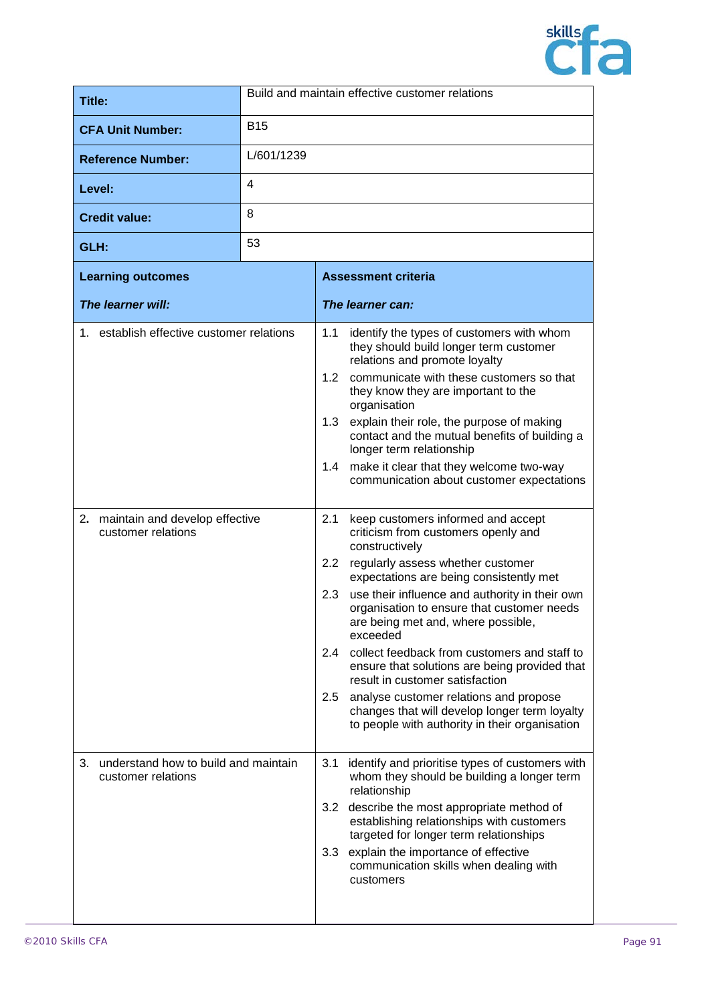

| Title:                   | Build and maintain effective customer relations |  |
|--------------------------|-------------------------------------------------|--|
| <b>CFA Unit Number:</b>  | <b>B15</b>                                      |  |
| <b>Reference Number:</b> | L/601/1239                                      |  |
| Level:                   | 4                                               |  |
| <b>Credit value:</b>     | 8                                               |  |
| GLH:                     | 53                                              |  |

|    | <b>Learning outcomes</b>                                   |                                 | <b>Assessment criteria</b>                                                                                                                                                                                                                                                                                                                                                                                                                                                                                                                                                                                     |
|----|------------------------------------------------------------|---------------------------------|----------------------------------------------------------------------------------------------------------------------------------------------------------------------------------------------------------------------------------------------------------------------------------------------------------------------------------------------------------------------------------------------------------------------------------------------------------------------------------------------------------------------------------------------------------------------------------------------------------------|
|    | The learner will:                                          |                                 | The learner can:                                                                                                                                                                                                                                                                                                                                                                                                                                                                                                                                                                                               |
|    | 1. establish effective customer relations                  | 1.1<br>1.2<br>1.3<br>1.4        | identify the types of customers with whom<br>they should build longer term customer<br>relations and promote loyalty<br>communicate with these customers so that<br>they know they are important to the<br>organisation<br>explain their role, the purpose of making<br>contact and the mutual benefits of building a<br>longer term relationship<br>make it clear that they welcome two-way<br>communication about customer expectations                                                                                                                                                                      |
|    | 2. maintain and develop effective<br>customer relations    | 2.1<br>2.2<br>2.3<br>2.4<br>2.5 | keep customers informed and accept<br>criticism from customers openly and<br>constructively<br>regularly assess whether customer<br>expectations are being consistently met<br>use their influence and authority in their own<br>organisation to ensure that customer needs<br>are being met and, where possible,<br>exceeded<br>collect feedback from customers and staff to<br>ensure that solutions are being provided that<br>result in customer satisfaction<br>analyse customer relations and propose<br>changes that will develop longer term loyalty<br>to people with authority in their organisation |
| 3. | understand how to build and maintain<br>customer relations | 3.1<br>3.2<br>3.3               | identify and prioritise types of customers with<br>whom they should be building a longer term<br>relationship<br>describe the most appropriate method of<br>establishing relationships with customers<br>targeted for longer term relationships<br>explain the importance of effective<br>communication skills when dealing with<br>customers                                                                                                                                                                                                                                                                  |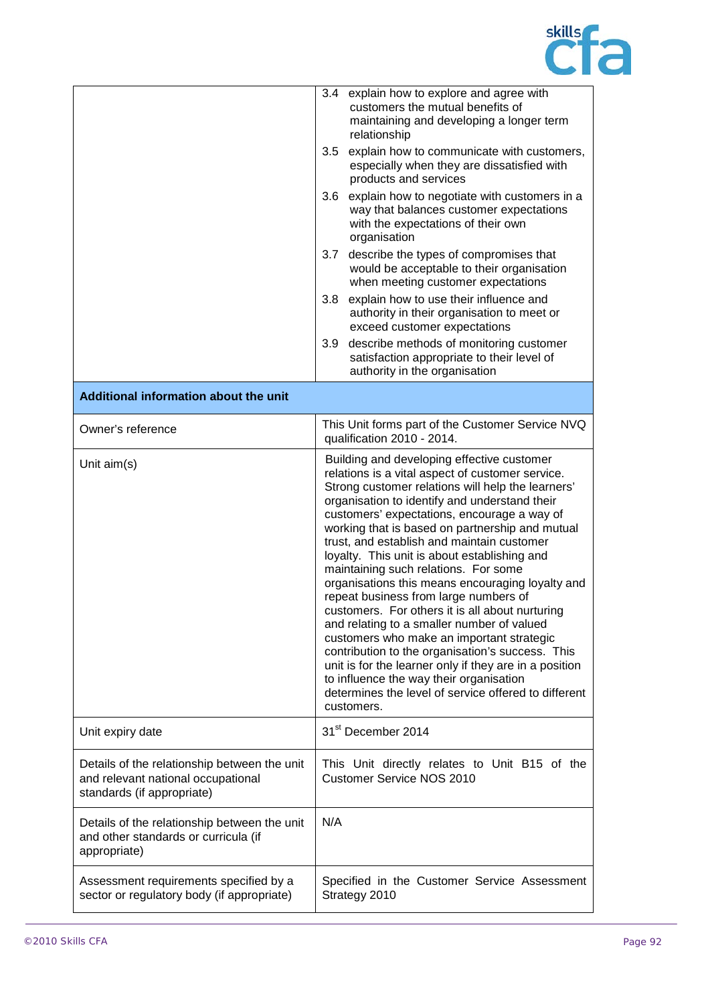

|                                                                                                                  | 3.4 explain how to explore and agree with<br>customers the mutual benefits of<br>maintaining and developing a longer term<br>relationship                                                                                                                                                                                                                                                                                                                                                                                                                                                                                                                                                                                                                                                                                                                                                                              |  |
|------------------------------------------------------------------------------------------------------------------|------------------------------------------------------------------------------------------------------------------------------------------------------------------------------------------------------------------------------------------------------------------------------------------------------------------------------------------------------------------------------------------------------------------------------------------------------------------------------------------------------------------------------------------------------------------------------------------------------------------------------------------------------------------------------------------------------------------------------------------------------------------------------------------------------------------------------------------------------------------------------------------------------------------------|--|
|                                                                                                                  | explain how to communicate with customers,<br>3.5<br>especially when they are dissatisfied with<br>products and services                                                                                                                                                                                                                                                                                                                                                                                                                                                                                                                                                                                                                                                                                                                                                                                               |  |
|                                                                                                                  | 3.6<br>explain how to negotiate with customers in a<br>way that balances customer expectations<br>with the expectations of their own<br>organisation                                                                                                                                                                                                                                                                                                                                                                                                                                                                                                                                                                                                                                                                                                                                                                   |  |
|                                                                                                                  | 3.7 describe the types of compromises that<br>would be acceptable to their organisation<br>when meeting customer expectations                                                                                                                                                                                                                                                                                                                                                                                                                                                                                                                                                                                                                                                                                                                                                                                          |  |
|                                                                                                                  | 3.8 explain how to use their influence and<br>authority in their organisation to meet or<br>exceed customer expectations                                                                                                                                                                                                                                                                                                                                                                                                                                                                                                                                                                                                                                                                                                                                                                                               |  |
|                                                                                                                  | describe methods of monitoring customer<br>3.9<br>satisfaction appropriate to their level of<br>authority in the organisation                                                                                                                                                                                                                                                                                                                                                                                                                                                                                                                                                                                                                                                                                                                                                                                          |  |
| Additional information about the unit                                                                            |                                                                                                                                                                                                                                                                                                                                                                                                                                                                                                                                                                                                                                                                                                                                                                                                                                                                                                                        |  |
| Owner's reference                                                                                                | This Unit forms part of the Customer Service NVQ<br>qualification 2010 - 2014.                                                                                                                                                                                                                                                                                                                                                                                                                                                                                                                                                                                                                                                                                                                                                                                                                                         |  |
| Unit $aim(s)$                                                                                                    | Building and developing effective customer<br>relations is a vital aspect of customer service.<br>Strong customer relations will help the learners'<br>organisation to identify and understand their<br>customers' expectations, encourage a way of<br>working that is based on partnership and mutual<br>trust, and establish and maintain customer<br>loyalty. This unit is about establishing and<br>maintaining such relations. For some<br>organisations this means encouraging loyalty and<br>repeat business from large numbers of<br>customers. For others it is all about nurturing<br>and relating to a smaller number of valued<br>customers who make an important strategic<br>contribution to the organisation's success. This<br>unit is for the learner only if they are in a position<br>to influence the way their organisation<br>determines the level of service offered to different<br>customers. |  |
| Unit expiry date                                                                                                 | 31 <sup>st</sup> December 2014                                                                                                                                                                                                                                                                                                                                                                                                                                                                                                                                                                                                                                                                                                                                                                                                                                                                                         |  |
| Details of the relationship between the unit<br>and relevant national occupational<br>standards (if appropriate) | This Unit directly relates to Unit B15 of the<br><b>Customer Service NOS 2010</b>                                                                                                                                                                                                                                                                                                                                                                                                                                                                                                                                                                                                                                                                                                                                                                                                                                      |  |
| Details of the relationship between the unit<br>and other standards or curricula (if<br>appropriate)             | N/A                                                                                                                                                                                                                                                                                                                                                                                                                                                                                                                                                                                                                                                                                                                                                                                                                                                                                                                    |  |
| Assessment requirements specified by a<br>sector or regulatory body (if appropriate)                             | Specified in the Customer Service Assessment<br>Strategy 2010                                                                                                                                                                                                                                                                                                                                                                                                                                                                                                                                                                                                                                                                                                                                                                                                                                                          |  |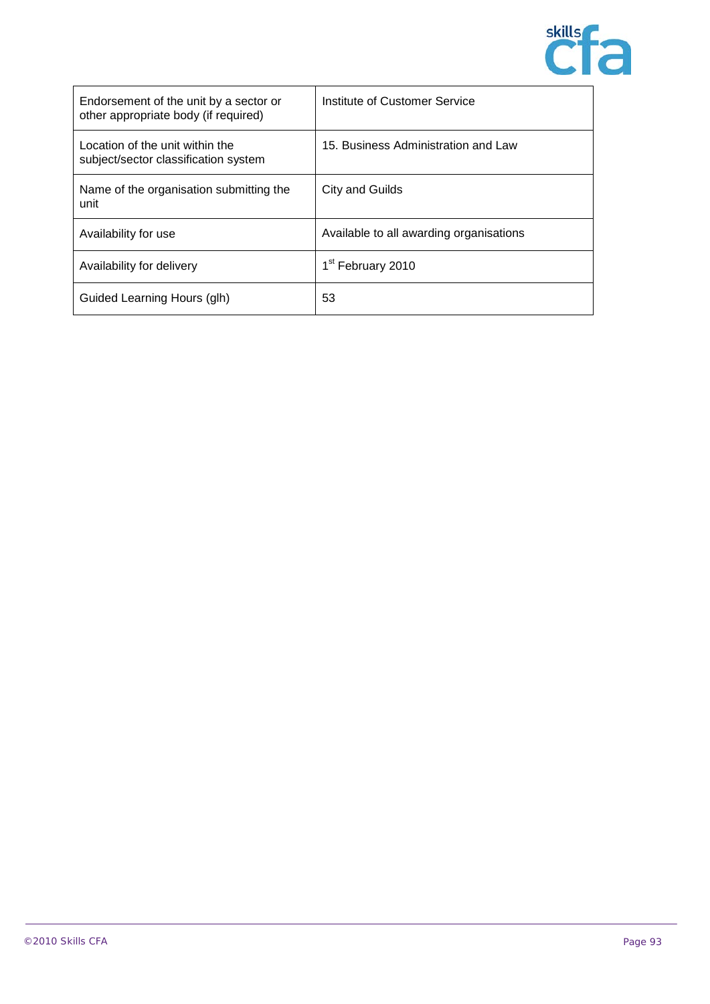

| Endorsement of the unit by a sector or<br>other appropriate body (if required) | Institute of Customer Service           |
|--------------------------------------------------------------------------------|-----------------------------------------|
| Location of the unit within the<br>subject/sector classification system        | 15. Business Administration and Law     |
| Name of the organisation submitting the<br>unit                                | City and Guilds                         |
| Availability for use                                                           | Available to all awarding organisations |
| Availability for delivery                                                      | 1 <sup>st</sup> February 2010           |
| Guided Learning Hours (glh)                                                    | 53                                      |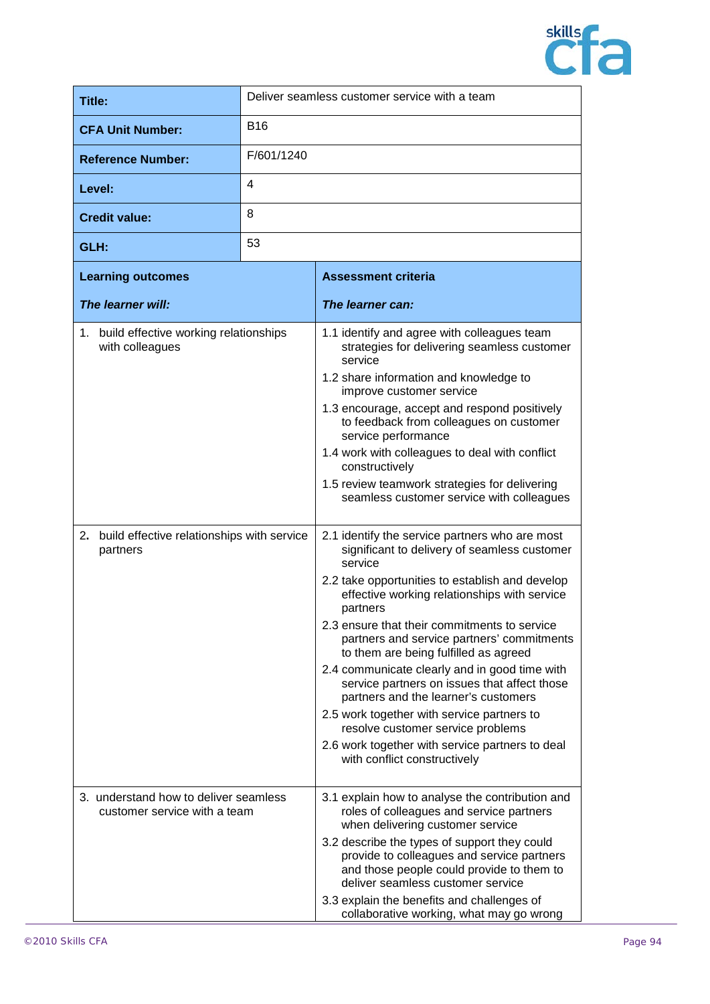

| Title:                              | Deliver seamless customer service with a team   |  |  |
|-------------------------------------|-------------------------------------------------|--|--|
| <b>CFA Unit Number:</b>             | <b>B16</b>                                      |  |  |
| <b>Reference Number:</b>            | F/601/1240                                      |  |  |
| Level:                              | $\overline{4}$                                  |  |  |
| <b>Credit value:</b>                | 8                                               |  |  |
| GLH:                                | 53                                              |  |  |
| the contract of the contract of the | the contract of the contract of the contract of |  |  |

| <b>Learning outcomes</b>                                              |                                               | <b>Assessment criteria</b>                                                                                                                                                   |  |
|-----------------------------------------------------------------------|-----------------------------------------------|------------------------------------------------------------------------------------------------------------------------------------------------------------------------------|--|
| The learner will:                                                     |                                               | The learner can:                                                                                                                                                             |  |
| 1. build effective working relationships<br>with colleagues           |                                               | 1.1 identify and agree with colleagues team<br>strategies for delivering seamless customer<br>service                                                                        |  |
|                                                                       |                                               | 1.2 share information and knowledge to<br>improve customer service                                                                                                           |  |
|                                                                       |                                               | 1.3 encourage, accept and respond positively<br>to feedback from colleagues on customer<br>service performance                                                               |  |
|                                                                       |                                               | 1.4 work with colleagues to deal with conflict<br>constructively                                                                                                             |  |
|                                                                       |                                               | 1.5 review teamwork strategies for delivering<br>seamless customer service with colleagues                                                                                   |  |
| partners                                                              | 2. build effective relationships with service | 2.1 identify the service partners who are most<br>significant to delivery of seamless customer<br>service                                                                    |  |
|                                                                       |                                               | 2.2 take opportunities to establish and develop<br>effective working relationships with service<br>partners                                                                  |  |
|                                                                       |                                               | 2.3 ensure that their commitments to service<br>partners and service partners' commitments<br>to them are being fulfilled as agreed                                          |  |
|                                                                       |                                               | 2.4 communicate clearly and in good time with<br>service partners on issues that affect those<br>partners and the learner's customers                                        |  |
|                                                                       |                                               | 2.5 work together with service partners to<br>resolve customer service problems                                                                                              |  |
|                                                                       |                                               | 2.6 work together with service partners to deal<br>with conflict constructively                                                                                              |  |
| 3. understand how to deliver seamless<br>customer service with a team |                                               | 3.1 explain how to analyse the contribution and<br>roles of colleagues and service partners<br>when delivering customer service                                              |  |
|                                                                       |                                               | 3.2 describe the types of support they could<br>provide to colleagues and service partners<br>and those people could provide to them to<br>deliver seamless customer service |  |
|                                                                       |                                               | 3.3 explain the benefits and challenges of<br>collaborative working, what may go wrong                                                                                       |  |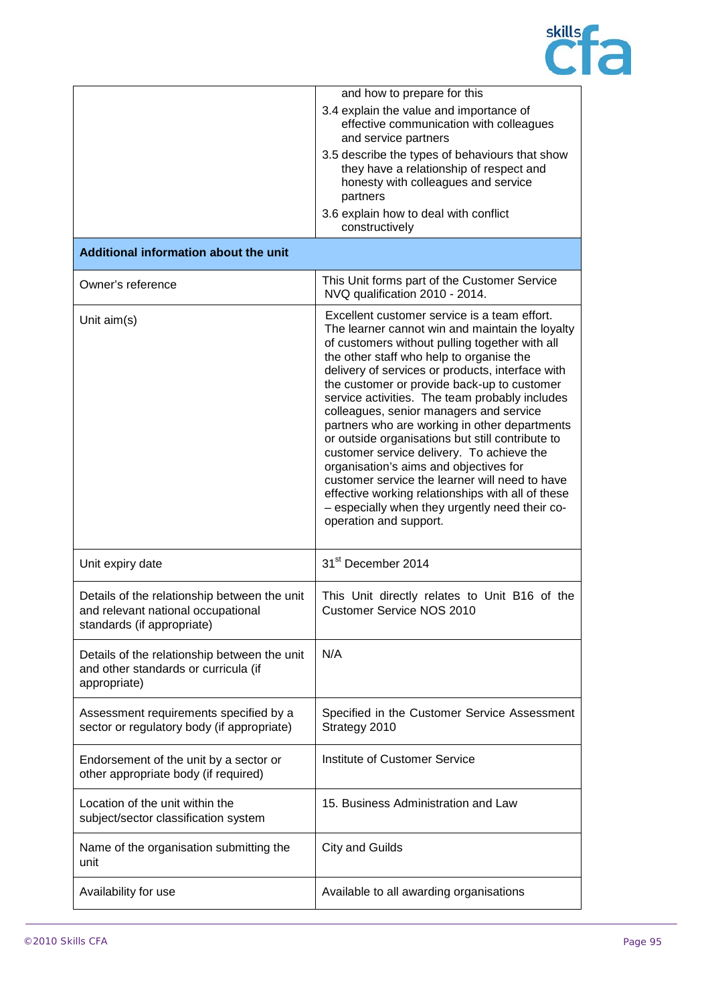

|                                                                                                                  | and how to prepare for this                                                                                                                                                                                                                                                                                                                                                                                                                                                                                                                                                                                                                                                                                                                                                  |
|------------------------------------------------------------------------------------------------------------------|------------------------------------------------------------------------------------------------------------------------------------------------------------------------------------------------------------------------------------------------------------------------------------------------------------------------------------------------------------------------------------------------------------------------------------------------------------------------------------------------------------------------------------------------------------------------------------------------------------------------------------------------------------------------------------------------------------------------------------------------------------------------------|
|                                                                                                                  | 3.4 explain the value and importance of<br>effective communication with colleagues<br>and service partners                                                                                                                                                                                                                                                                                                                                                                                                                                                                                                                                                                                                                                                                   |
|                                                                                                                  | 3.5 describe the types of behaviours that show<br>they have a relationship of respect and<br>honesty with colleagues and service<br>partners                                                                                                                                                                                                                                                                                                                                                                                                                                                                                                                                                                                                                                 |
|                                                                                                                  | 3.6 explain how to deal with conflict<br>constructively                                                                                                                                                                                                                                                                                                                                                                                                                                                                                                                                                                                                                                                                                                                      |
| Additional information about the unit                                                                            |                                                                                                                                                                                                                                                                                                                                                                                                                                                                                                                                                                                                                                                                                                                                                                              |
| Owner's reference                                                                                                | This Unit forms part of the Customer Service<br>NVQ qualification 2010 - 2014.                                                                                                                                                                                                                                                                                                                                                                                                                                                                                                                                                                                                                                                                                               |
| Unit $aim(s)$                                                                                                    | Excellent customer service is a team effort.<br>The learner cannot win and maintain the loyalty<br>of customers without pulling together with all<br>the other staff who help to organise the<br>delivery of services or products, interface with<br>the customer or provide back-up to customer<br>service activities. The team probably includes<br>colleagues, senior managers and service<br>partners who are working in other departments<br>or outside organisations but still contribute to<br>customer service delivery. To achieve the<br>organisation's aims and objectives for<br>customer service the learner will need to have<br>effective working relationships with all of these<br>- especially when they urgently need their co-<br>operation and support. |
| Unit expiry date                                                                                                 | 31 <sup>st</sup> December 2014                                                                                                                                                                                                                                                                                                                                                                                                                                                                                                                                                                                                                                                                                                                                               |
| Details of the relationship between the unit<br>and relevant national occupational<br>standards (if appropriate) | This Unit directly relates to Unit B16 of the<br><b>Customer Service NOS 2010</b>                                                                                                                                                                                                                                                                                                                                                                                                                                                                                                                                                                                                                                                                                            |
| Details of the relationship between the unit<br>and other standards or curricula (if<br>appropriate)             | N/A                                                                                                                                                                                                                                                                                                                                                                                                                                                                                                                                                                                                                                                                                                                                                                          |
| Assessment requirements specified by a<br>sector or regulatory body (if appropriate)                             | Specified in the Customer Service Assessment<br>Strategy 2010                                                                                                                                                                                                                                                                                                                                                                                                                                                                                                                                                                                                                                                                                                                |
| Endorsement of the unit by a sector or<br>other appropriate body (if required)                                   | Institute of Customer Service                                                                                                                                                                                                                                                                                                                                                                                                                                                                                                                                                                                                                                                                                                                                                |
| Location of the unit within the<br>subject/sector classification system                                          | 15. Business Administration and Law                                                                                                                                                                                                                                                                                                                                                                                                                                                                                                                                                                                                                                                                                                                                          |
| Name of the organisation submitting the<br>unit                                                                  | <b>City and Guilds</b>                                                                                                                                                                                                                                                                                                                                                                                                                                                                                                                                                                                                                                                                                                                                                       |
| Availability for use                                                                                             | Available to all awarding organisations                                                                                                                                                                                                                                                                                                                                                                                                                                                                                                                                                                                                                                                                                                                                      |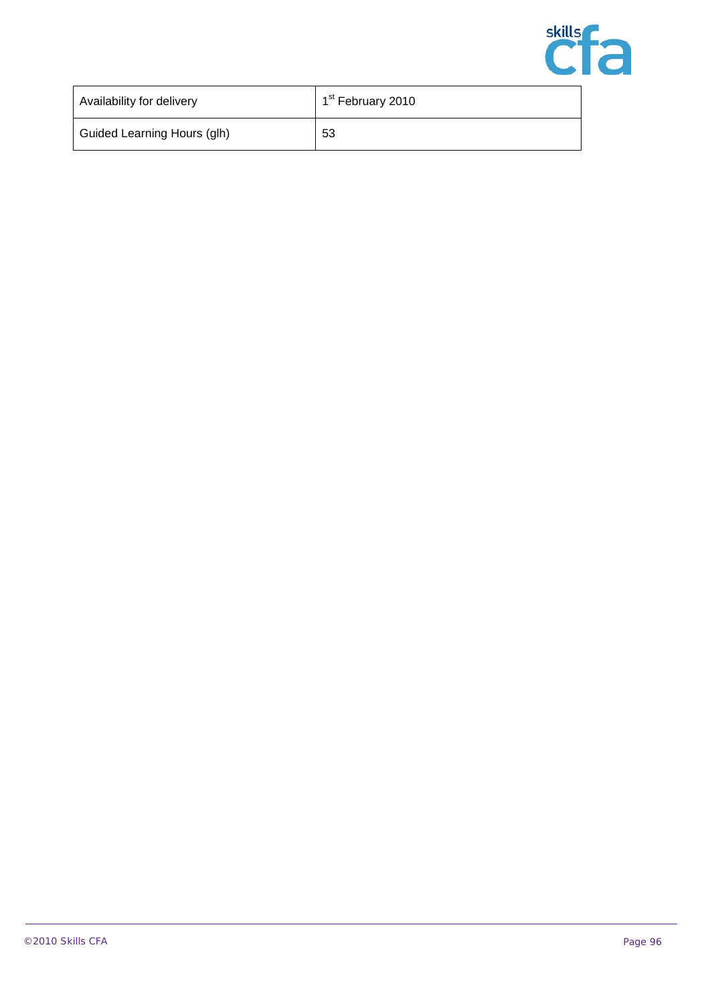

| Availability for delivery   | 1 <sup>st</sup> February 2010 |
|-----------------------------|-------------------------------|
| Guided Learning Hours (glh) | 53                            |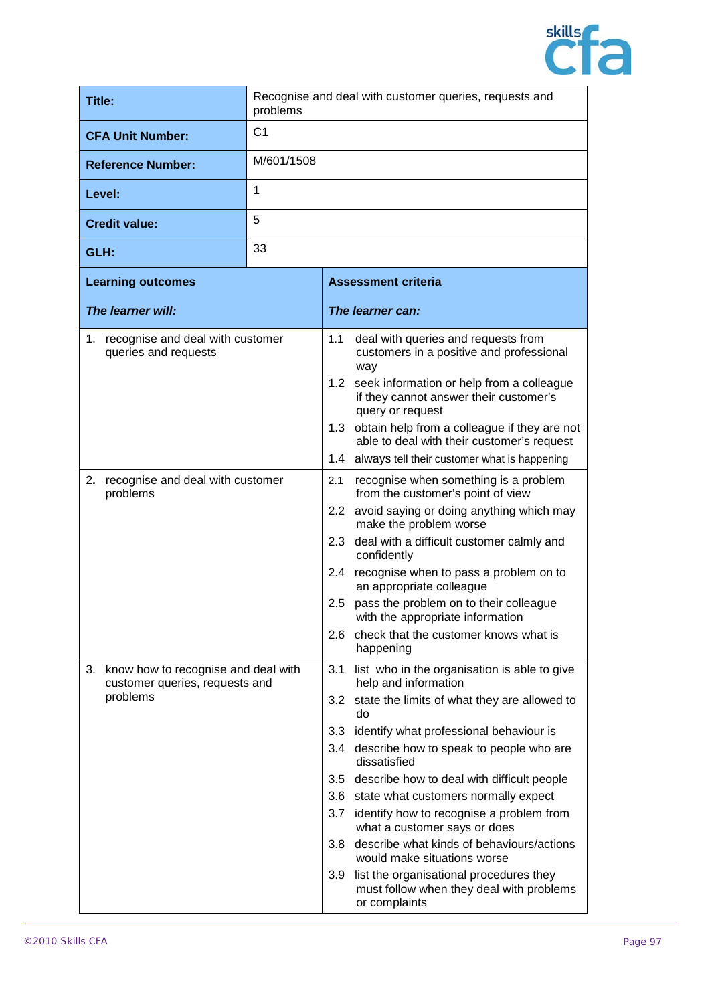

| <b>Title:</b>                                                            | Recognise and deal with customer queries, requests and<br>problems |                  |                                                                                                         |
|--------------------------------------------------------------------------|--------------------------------------------------------------------|------------------|---------------------------------------------------------------------------------------------------------|
| <b>CFA Unit Number:</b>                                                  | C <sub>1</sub>                                                     |                  |                                                                                                         |
| <b>Reference Number:</b>                                                 | M/601/1508                                                         |                  |                                                                                                         |
| Level:                                                                   | 1                                                                  |                  |                                                                                                         |
| <b>Credit value:</b>                                                     | 5                                                                  |                  |                                                                                                         |
| GLH:                                                                     | 33                                                                 |                  |                                                                                                         |
| <b>Learning outcomes</b>                                                 |                                                                    |                  | <b>Assessment criteria</b>                                                                              |
| The learner will:                                                        |                                                                    |                  | The learner can:                                                                                        |
| recognise and deal with customer<br>1.<br>queries and requests           |                                                                    | 1.1              | deal with queries and requests from<br>customers in a positive and professional<br>way                  |
|                                                                          |                                                                    | 1.2              | seek information or help from a colleague<br>if they cannot answer their customer's<br>query or request |
|                                                                          |                                                                    |                  | 1.3 obtain help from a colleague if they are not<br>able to deal with their customer's request          |
|                                                                          |                                                                    | 1.4              | always tell their customer what is happening                                                            |
| 2.<br>recognise and deal with customer<br>problems                       |                                                                    | 2.1              | recognise when something is a problem<br>from the customer's point of view                              |
|                                                                          |                                                                    | 2.2 <sub>2</sub> | avoid saying or doing anything which may<br>make the problem worse                                      |
|                                                                          |                                                                    | 2.3              | deal with a difficult customer calmly and<br>confidently                                                |
|                                                                          |                                                                    |                  | 2.4 recognise when to pass a problem on to<br>an appropriate colleague                                  |
|                                                                          |                                                                    | 2.5              | pass the problem on to their colleague<br>with the appropriate information                              |
|                                                                          |                                                                    |                  | 2.6 check that the customer knows what is<br>happening                                                  |
| 3. know how to recognise and deal with<br>customer queries, requests and |                                                                    | 3.1              | list who in the organisation is able to give<br>help and information                                    |
| problems                                                                 |                                                                    | 3.2              | state the limits of what they are allowed to<br>do                                                      |
|                                                                          |                                                                    | 3.3              | identify what professional behaviour is                                                                 |
|                                                                          |                                                                    | 3.4              | describe how to speak to people who are<br>dissatisfied                                                 |
|                                                                          |                                                                    |                  | 3.5 describe how to deal with difficult people                                                          |
|                                                                          |                                                                    | 3.6              | state what customers normally expect                                                                    |
|                                                                          |                                                                    | 3.7              | identify how to recognise a problem from<br>what a customer says or does                                |
|                                                                          |                                                                    | 3.8              | describe what kinds of behaviours/actions<br>would make situations worse                                |
|                                                                          |                                                                    | 3.9              | list the organisational procedures they<br>must follow when they deal with problems<br>or complaints    |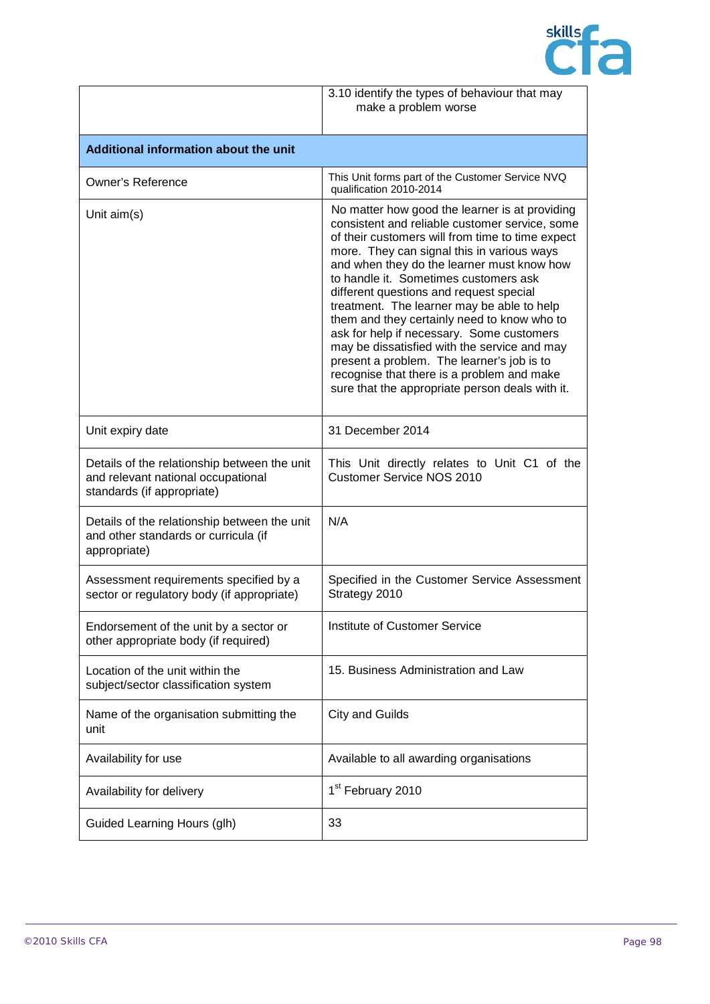

|                                                                                                                  | 3.10 identify the types of behaviour that may<br>make a problem worse                                                                                                                                                                                                                                                                                                                                                                                                                                                                                                                                                                                                         |  |
|------------------------------------------------------------------------------------------------------------------|-------------------------------------------------------------------------------------------------------------------------------------------------------------------------------------------------------------------------------------------------------------------------------------------------------------------------------------------------------------------------------------------------------------------------------------------------------------------------------------------------------------------------------------------------------------------------------------------------------------------------------------------------------------------------------|--|
| Additional information about the unit                                                                            |                                                                                                                                                                                                                                                                                                                                                                                                                                                                                                                                                                                                                                                                               |  |
| <b>Owner's Reference</b>                                                                                         | This Unit forms part of the Customer Service NVQ<br>qualification 2010-2014                                                                                                                                                                                                                                                                                                                                                                                                                                                                                                                                                                                                   |  |
| Unit $aim(s)$                                                                                                    | No matter how good the learner is at providing<br>consistent and reliable customer service, some<br>of their customers will from time to time expect<br>more. They can signal this in various ways<br>and when they do the learner must know how<br>to handle it. Sometimes customers ask<br>different questions and request special<br>treatment. The learner may be able to help<br>them and they certainly need to know who to<br>ask for help if necessary. Some customers<br>may be dissatisfied with the service and may<br>present a problem. The learner's job is to<br>recognise that there is a problem and make<br>sure that the appropriate person deals with it. |  |
| Unit expiry date                                                                                                 | 31 December 2014                                                                                                                                                                                                                                                                                                                                                                                                                                                                                                                                                                                                                                                              |  |
| Details of the relationship between the unit<br>and relevant national occupational<br>standards (if appropriate) | This Unit directly relates to Unit C1 of the<br><b>Customer Service NOS 2010</b>                                                                                                                                                                                                                                                                                                                                                                                                                                                                                                                                                                                              |  |
| Details of the relationship between the unit<br>and other standards or curricula (if<br>appropriate)             | N/A                                                                                                                                                                                                                                                                                                                                                                                                                                                                                                                                                                                                                                                                           |  |
| Assessment requirements specified by a<br>sector or regulatory body (if appropriate)                             | Specified in the Customer Service Assessment<br>Strategy 2010                                                                                                                                                                                                                                                                                                                                                                                                                                                                                                                                                                                                                 |  |
| Endorsement of the unit by a sector or<br>other appropriate body (if required)                                   | <b>Institute of Customer Service</b>                                                                                                                                                                                                                                                                                                                                                                                                                                                                                                                                                                                                                                          |  |
| Location of the unit within the<br>subject/sector classification system                                          | 15. Business Administration and Law                                                                                                                                                                                                                                                                                                                                                                                                                                                                                                                                                                                                                                           |  |
| Name of the organisation submitting the<br>unit                                                                  | <b>City and Guilds</b>                                                                                                                                                                                                                                                                                                                                                                                                                                                                                                                                                                                                                                                        |  |
| Availability for use                                                                                             | Available to all awarding organisations                                                                                                                                                                                                                                                                                                                                                                                                                                                                                                                                                                                                                                       |  |
| Availability for delivery                                                                                        | 1 <sup>st</sup> February 2010                                                                                                                                                                                                                                                                                                                                                                                                                                                                                                                                                                                                                                                 |  |
| Guided Learning Hours (glh)                                                                                      | 33                                                                                                                                                                                                                                                                                                                                                                                                                                                                                                                                                                                                                                                                            |  |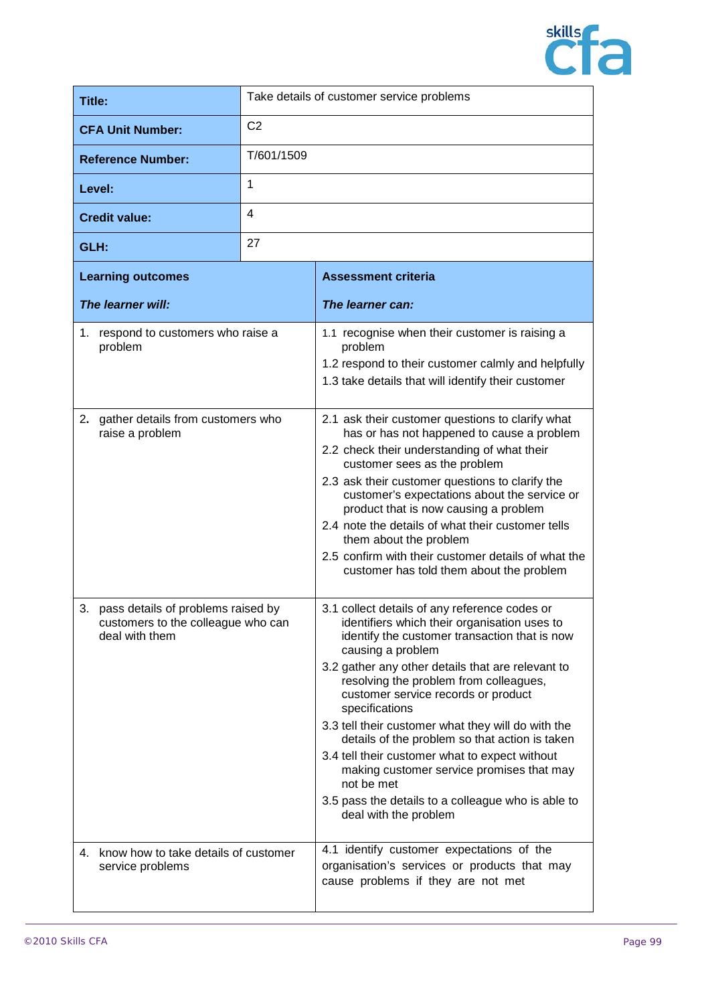

| Title:                                                                                        | Take details of customer service problems |                                                                                                                                                                                                                                                                                                                                                                                                                                                                                                                                                                                                                                 |
|-----------------------------------------------------------------------------------------------|-------------------------------------------|---------------------------------------------------------------------------------------------------------------------------------------------------------------------------------------------------------------------------------------------------------------------------------------------------------------------------------------------------------------------------------------------------------------------------------------------------------------------------------------------------------------------------------------------------------------------------------------------------------------------------------|
| <b>CFA Unit Number:</b>                                                                       | C <sub>2</sub>                            |                                                                                                                                                                                                                                                                                                                                                                                                                                                                                                                                                                                                                                 |
| <b>Reference Number:</b>                                                                      | T/601/1509                                |                                                                                                                                                                                                                                                                                                                                                                                                                                                                                                                                                                                                                                 |
| Level:                                                                                        | 1                                         |                                                                                                                                                                                                                                                                                                                                                                                                                                                                                                                                                                                                                                 |
| <b>Credit value:</b>                                                                          | 4                                         |                                                                                                                                                                                                                                                                                                                                                                                                                                                                                                                                                                                                                                 |
| GLH:                                                                                          | 27                                        |                                                                                                                                                                                                                                                                                                                                                                                                                                                                                                                                                                                                                                 |
| <b>Learning outcomes</b>                                                                      |                                           | <b>Assessment criteria</b>                                                                                                                                                                                                                                                                                                                                                                                                                                                                                                                                                                                                      |
| The learner will:                                                                             |                                           | The learner can:                                                                                                                                                                                                                                                                                                                                                                                                                                                                                                                                                                                                                |
| 1. respond to customers who raise a<br>problem                                                |                                           | 1.1 recognise when their customer is raising a<br>problem<br>1.2 respond to their customer calmly and helpfully<br>1.3 take details that will identify their customer                                                                                                                                                                                                                                                                                                                                                                                                                                                           |
| 2. gather details from customers who<br>raise a problem                                       |                                           | 2.1 ask their customer questions to clarify what<br>has or has not happened to cause a problem<br>2.2 check their understanding of what their<br>customer sees as the problem<br>2.3 ask their customer questions to clarify the<br>customer's expectations about the service or<br>product that is now causing a problem<br>2.4 note the details of what their customer tells<br>them about the problem<br>2.5 confirm with their customer details of what the<br>customer has told them about the problem                                                                                                                     |
| 3. pass details of problems raised by<br>customers to the colleague who can<br>deal with them |                                           | 3.1 collect details of any reference codes or<br>identifiers which their organisation uses to<br>identify the customer transaction that is now<br>causing a problem<br>3.2 gather any other details that are relevant to<br>resolving the problem from colleagues,<br>customer service records or product<br>specifications<br>3.3 tell their customer what they will do with the<br>details of the problem so that action is taken<br>3.4 tell their customer what to expect without<br>making customer service promises that may<br>not be met<br>3.5 pass the details to a colleague who is able to<br>deal with the problem |
| 4. know how to take details of customer<br>service problems                                   |                                           | 4.1 identify customer expectations of the<br>organisation's services or products that may<br>cause problems if they are not met                                                                                                                                                                                                                                                                                                                                                                                                                                                                                                 |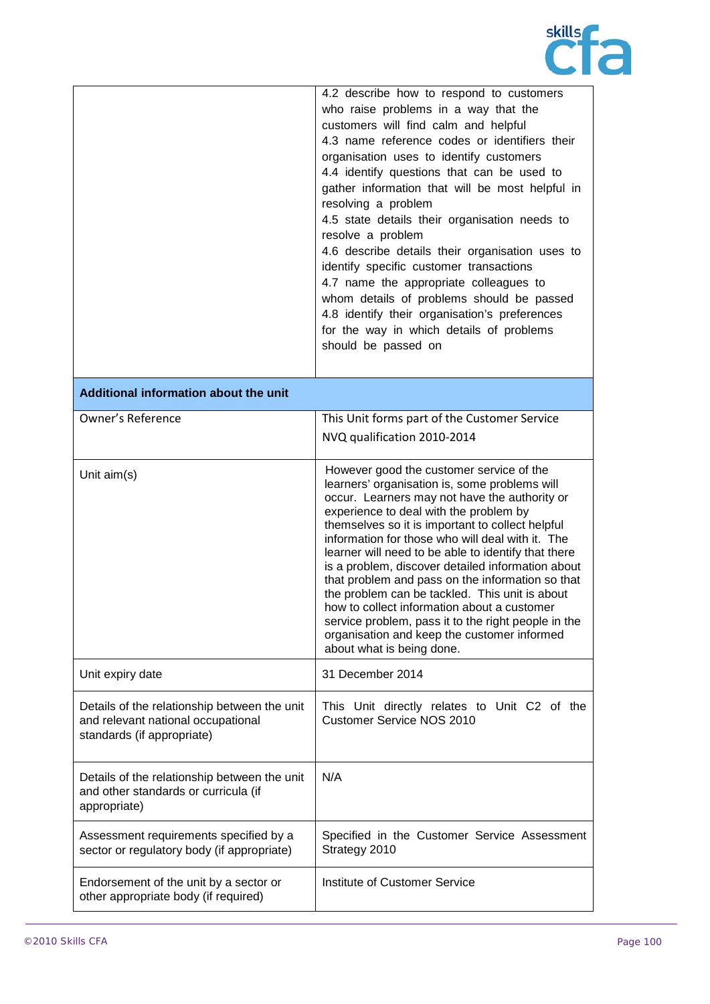

|                                                                                                                  | 4.2 describe how to respond to customers<br>who raise problems in a way that the<br>customers will find calm and helpful<br>4.3 name reference codes or identifiers their<br>organisation uses to identify customers<br>4.4 identify questions that can be used to<br>gather information that will be most helpful in<br>resolving a problem<br>4.5 state details their organisation needs to<br>resolve a problem<br>4.6 describe details their organisation uses to<br>identify specific customer transactions<br>4.7 name the appropriate colleagues to<br>whom details of problems should be passed<br>4.8 identify their organisation's preferences<br>for the way in which details of problems<br>should be passed on |
|------------------------------------------------------------------------------------------------------------------|-----------------------------------------------------------------------------------------------------------------------------------------------------------------------------------------------------------------------------------------------------------------------------------------------------------------------------------------------------------------------------------------------------------------------------------------------------------------------------------------------------------------------------------------------------------------------------------------------------------------------------------------------------------------------------------------------------------------------------|
| Additional information about the unit                                                                            |                                                                                                                                                                                                                                                                                                                                                                                                                                                                                                                                                                                                                                                                                                                             |
| <b>Owner's Reference</b>                                                                                         | This Unit forms part of the Customer Service<br>NVQ qualification 2010-2014                                                                                                                                                                                                                                                                                                                                                                                                                                                                                                                                                                                                                                                 |
| Unit aim(s)                                                                                                      | However good the customer service of the<br>learners' organisation is, some problems will<br>occur. Learners may not have the authority or<br>experience to deal with the problem by<br>themselves so it is important to collect helpful<br>information for those who will deal with it. The<br>learner will need to be able to identify that there<br>is a problem, discover detailed information about<br>that problem and pass on the information so that<br>the problem can be tackled. This unit is about<br>how to collect information about a customer<br>service problem, pass it to the right people in the<br>organisation and keep the customer informed<br>about what is being done.                            |
| Unit expiry date                                                                                                 | 31 December 2014                                                                                                                                                                                                                                                                                                                                                                                                                                                                                                                                                                                                                                                                                                            |
| Details of the relationship between the unit<br>and relevant national occupational<br>standards (if appropriate) | This Unit directly relates to Unit C2 of the<br><b>Customer Service NOS 2010</b>                                                                                                                                                                                                                                                                                                                                                                                                                                                                                                                                                                                                                                            |
| Details of the relationship between the unit<br>and other standards or curricula (if<br>appropriate)             | N/A                                                                                                                                                                                                                                                                                                                                                                                                                                                                                                                                                                                                                                                                                                                         |
| Assessment requirements specified by a<br>sector or regulatory body (if appropriate)                             | Specified in the Customer Service Assessment<br>Strategy 2010                                                                                                                                                                                                                                                                                                                                                                                                                                                                                                                                                                                                                                                               |
| Endorsement of the unit by a sector or<br>other appropriate body (if required)                                   | Institute of Customer Service                                                                                                                                                                                                                                                                                                                                                                                                                                                                                                                                                                                                                                                                                               |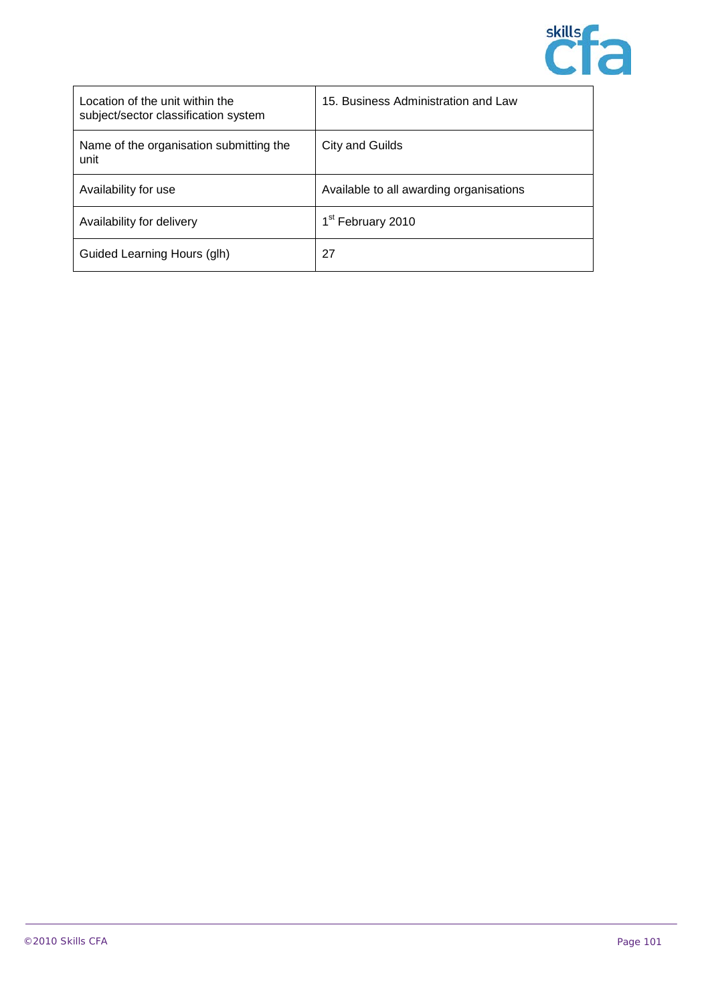

| Location of the unit within the<br>subject/sector classification system | 15. Business Administration and Law     |
|-------------------------------------------------------------------------|-----------------------------------------|
| Name of the organisation submitting the<br>unit                         | City and Guilds                         |
| Availability for use                                                    | Available to all awarding organisations |
| Availability for delivery                                               | 1 <sup>st</sup> February 2010           |
| Guided Learning Hours (glh)                                             | 27                                      |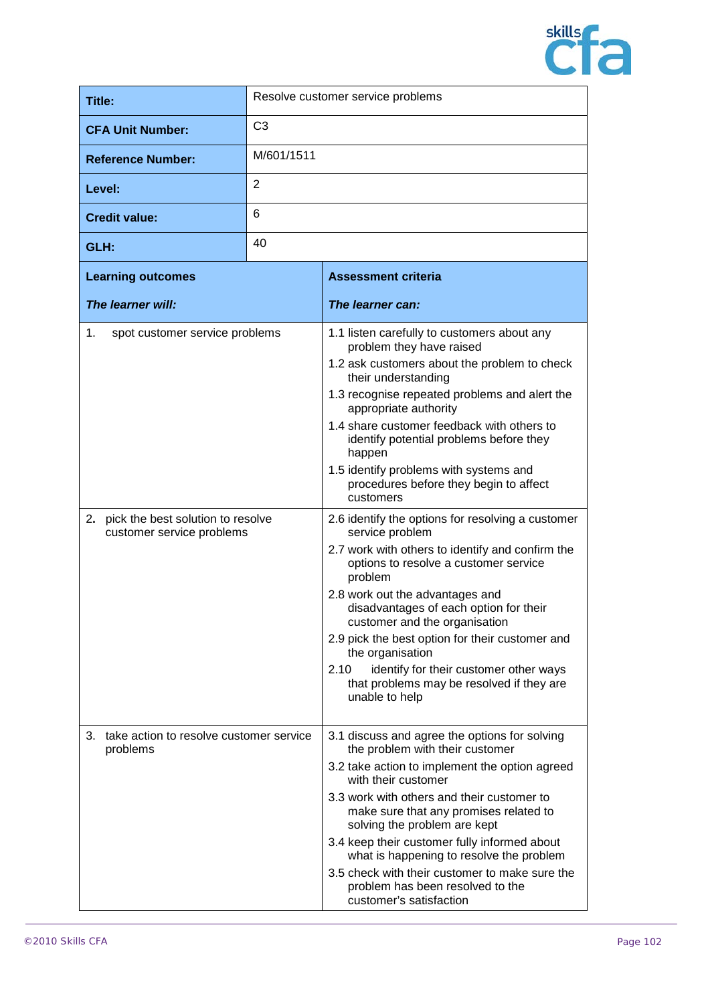

| Title:                                                                                                    |                | Resolve customer service problems                                                                                                                                                                                                                                                                                                                                                                                                                                                                                                                                                                                                                                                                                                                                                                 |
|-----------------------------------------------------------------------------------------------------------|----------------|---------------------------------------------------------------------------------------------------------------------------------------------------------------------------------------------------------------------------------------------------------------------------------------------------------------------------------------------------------------------------------------------------------------------------------------------------------------------------------------------------------------------------------------------------------------------------------------------------------------------------------------------------------------------------------------------------------------------------------------------------------------------------------------------------|
| <b>CFA Unit Number:</b>                                                                                   | C <sub>3</sub> |                                                                                                                                                                                                                                                                                                                                                                                                                                                                                                                                                                                                                                                                                                                                                                                                   |
| <b>Reference Number:</b>                                                                                  | M/601/1511     |                                                                                                                                                                                                                                                                                                                                                                                                                                                                                                                                                                                                                                                                                                                                                                                                   |
| Level:                                                                                                    | 2              |                                                                                                                                                                                                                                                                                                                                                                                                                                                                                                                                                                                                                                                                                                                                                                                                   |
| <b>Credit value:</b>                                                                                      | 6              |                                                                                                                                                                                                                                                                                                                                                                                                                                                                                                                                                                                                                                                                                                                                                                                                   |
| GLH:                                                                                                      | 40             |                                                                                                                                                                                                                                                                                                                                                                                                                                                                                                                                                                                                                                                                                                                                                                                                   |
| <b>Learning outcomes</b>                                                                                  |                | <b>Assessment criteria</b>                                                                                                                                                                                                                                                                                                                                                                                                                                                                                                                                                                                                                                                                                                                                                                        |
| The learner will:                                                                                         |                | The learner can:                                                                                                                                                                                                                                                                                                                                                                                                                                                                                                                                                                                                                                                                                                                                                                                  |
| 1.<br>spot customer service problems<br>2. pick the best solution to resolve<br>customer service problems |                | 1.1 listen carefully to customers about any<br>problem they have raised<br>1.2 ask customers about the problem to check<br>their understanding<br>1.3 recognise repeated problems and alert the<br>appropriate authority<br>1.4 share customer feedback with others to<br>identify potential problems before they<br>happen<br>1.5 identify problems with systems and<br>procedures before they begin to affect<br>customers<br>2.6 identify the options for resolving a customer<br>service problem<br>2.7 work with others to identify and confirm the<br>options to resolve a customer service<br>problem<br>2.8 work out the advantages and<br>disadvantages of each option for their<br>customer and the organisation<br>2.9 pick the best option for their customer and<br>the organisation |
|                                                                                                           |                | 2.10<br>identify for their customer other ways<br>that problems may be resolved if they are<br>unable to help                                                                                                                                                                                                                                                                                                                                                                                                                                                                                                                                                                                                                                                                                     |
| take action to resolve customer service<br>3.<br>problems                                                 |                | 3.1 discuss and agree the options for solving<br>the problem with their customer<br>3.2 take action to implement the option agreed<br>with their customer<br>3.3 work with others and their customer to<br>make sure that any promises related to<br>solving the problem are kept<br>3.4 keep their customer fully informed about<br>what is happening to resolve the problem<br>3.5 check with their customer to make sure the<br>problem has been resolved to the<br>customer's satisfaction                                                                                                                                                                                                                                                                                                    |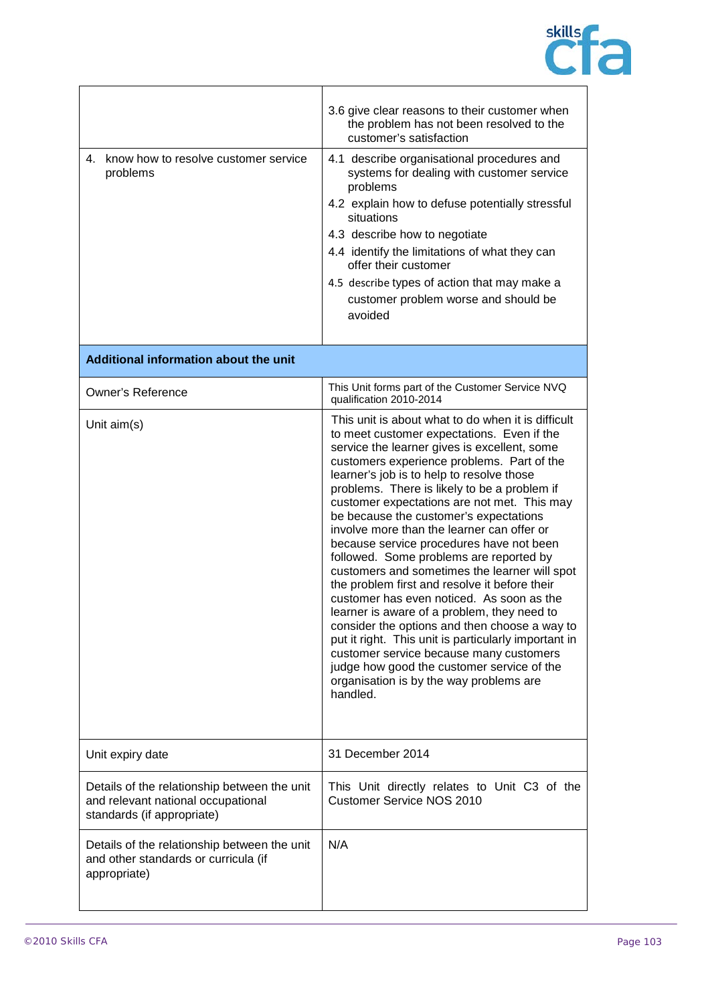

| 4. know how to resolve customer service<br>problems                                                              | 3.6 give clear reasons to their customer when<br>the problem has not been resolved to the<br>customer's satisfaction<br>4.1 describe organisational procedures and<br>systems for dealing with customer service<br>problems<br>4.2 explain how to defuse potentially stressful<br>situations<br>4.3 describe how to negotiate<br>4.4 identify the limitations of what they can<br>offer their customer<br>4.5 describe types of action that may make a<br>customer problem worse and should be<br>avoided                                                                                                                                                                                                                                                                                                                                                                                                                                                                        |
|------------------------------------------------------------------------------------------------------------------|----------------------------------------------------------------------------------------------------------------------------------------------------------------------------------------------------------------------------------------------------------------------------------------------------------------------------------------------------------------------------------------------------------------------------------------------------------------------------------------------------------------------------------------------------------------------------------------------------------------------------------------------------------------------------------------------------------------------------------------------------------------------------------------------------------------------------------------------------------------------------------------------------------------------------------------------------------------------------------|
| Additional information about the unit                                                                            |                                                                                                                                                                                                                                                                                                                                                                                                                                                                                                                                                                                                                                                                                                                                                                                                                                                                                                                                                                                  |
| <b>Owner's Reference</b>                                                                                         | This Unit forms part of the Customer Service NVQ<br>qualification 2010-2014                                                                                                                                                                                                                                                                                                                                                                                                                                                                                                                                                                                                                                                                                                                                                                                                                                                                                                      |
| Unit $aim(s)$                                                                                                    | This unit is about what to do when it is difficult<br>to meet customer expectations. Even if the<br>service the learner gives is excellent, some<br>customers experience problems. Part of the<br>learner's job is to help to resolve those<br>problems. There is likely to be a problem if<br>customer expectations are not met. This may<br>be because the customer's expectations<br>involve more than the learner can offer or<br>because service procedures have not been<br>followed. Some problems are reported by<br>customers and sometimes the learner will spot<br>the problem first and resolve it before their<br>customer has even noticed. As soon as the<br>learner is aware of a problem, they need to<br>consider the options and then choose a way to<br>put it right. This unit is particularly important in<br>customer service because many customers<br>judge how good the customer service of the<br>organisation is by the way problems are<br>handled. |
| Unit expiry date                                                                                                 | 31 December 2014                                                                                                                                                                                                                                                                                                                                                                                                                                                                                                                                                                                                                                                                                                                                                                                                                                                                                                                                                                 |
| Details of the relationship between the unit<br>and relevant national occupational<br>standards (if appropriate) | This Unit directly relates to Unit C3 of the<br><b>Customer Service NOS 2010</b>                                                                                                                                                                                                                                                                                                                                                                                                                                                                                                                                                                                                                                                                                                                                                                                                                                                                                                 |
| Details of the relationship between the unit<br>and other standards or curricula (if<br>appropriate)             | N/A                                                                                                                                                                                                                                                                                                                                                                                                                                                                                                                                                                                                                                                                                                                                                                                                                                                                                                                                                                              |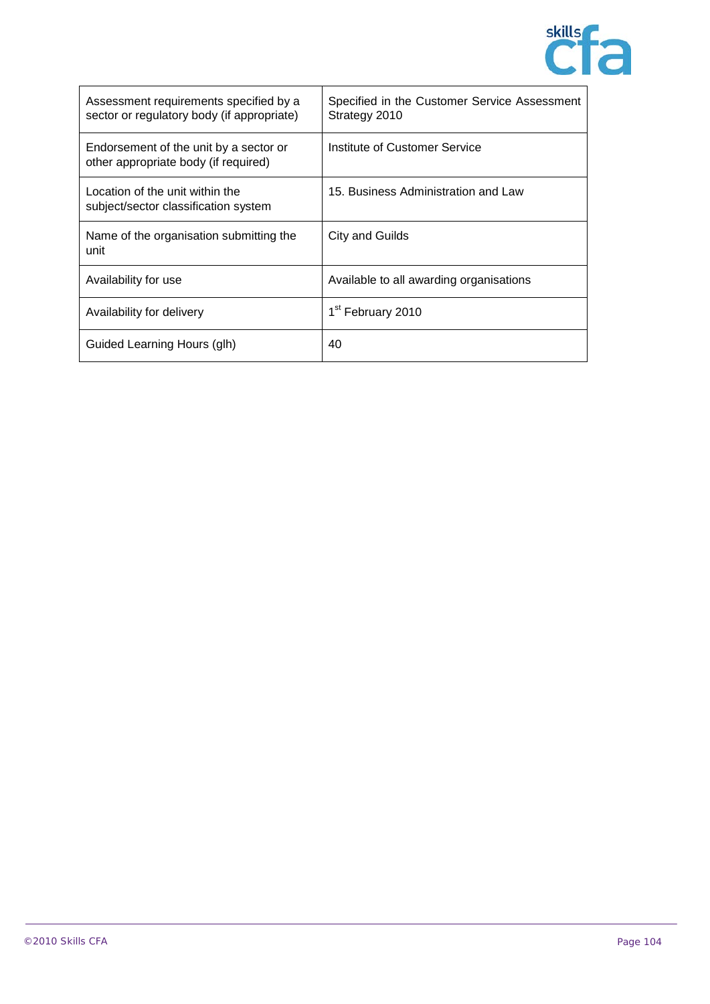

| Assessment requirements specified by a<br>sector or regulatory body (if appropriate) | Specified in the Customer Service Assessment<br>Strategy 2010 |
|--------------------------------------------------------------------------------------|---------------------------------------------------------------|
| Endorsement of the unit by a sector or<br>other appropriate body (if required)       | Institute of Customer Service                                 |
| Location of the unit within the<br>subject/sector classification system              | 15. Business Administration and Law                           |
| Name of the organisation submitting the<br>unit                                      | City and Guilds                                               |
| Availability for use                                                                 | Available to all awarding organisations                       |
| Availability for delivery                                                            | 1 <sup>st</sup> February 2010                                 |
| Guided Learning Hours (glh)                                                          | 40                                                            |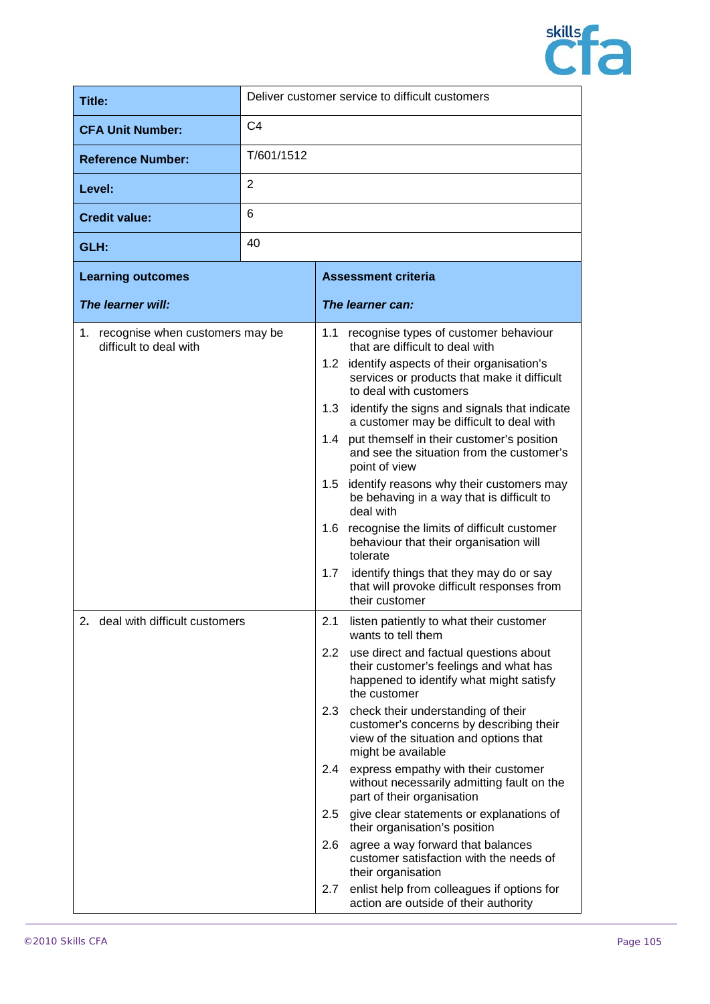

| Title:                                                          |                | Deliver customer service to difficult customers                                                                                 |
|-----------------------------------------------------------------|----------------|---------------------------------------------------------------------------------------------------------------------------------|
| <b>CFA Unit Number:</b>                                         | C <sub>4</sub> |                                                                                                                                 |
| <b>Reference Number:</b>                                        | T/601/1512     |                                                                                                                                 |
| Level:                                                          | $\overline{2}$ |                                                                                                                                 |
| <b>Credit value:</b>                                            | 6              |                                                                                                                                 |
| GLH:                                                            | 40             |                                                                                                                                 |
| <b>Learning outcomes</b>                                        |                | <b>Assessment criteria</b>                                                                                                      |
| The learner will:                                               |                | The learner can:                                                                                                                |
| recognise when customers may be<br>1.<br>difficult to deal with |                | recognise types of customer behaviour<br>1.1<br>that are difficult to deal with<br>1.2 identify aspects of their organisation's |
|                                                                 |                |                                                                                                                                 |

| 1. recognise when customers may be<br>difficult to deal with | 1.1                              | recognise types of customer behaviour<br>that are difficult to deal with                                                                      |                                                                                                                                                 |
|--------------------------------------------------------------|----------------------------------|-----------------------------------------------------------------------------------------------------------------------------------------------|-------------------------------------------------------------------------------------------------------------------------------------------------|
|                                                              |                                  | 1.2 identify aspects of their organisation's<br>services or products that make it difficult<br>to deal with customers                         |                                                                                                                                                 |
|                                                              |                                  |                                                                                                                                               | 1.3 identify the signs and signals that indicate<br>a customer may be difficult to deal with                                                    |
|                                                              |                                  | 1.4                                                                                                                                           | put themself in their customer's position<br>and see the situation from the customer's<br>point of view                                         |
|                                                              |                                  | 1.5                                                                                                                                           | identify reasons why their customers may<br>be behaving in a way that is difficult to<br>deal with                                              |
|                                                              |                                  |                                                                                                                                               | 1.6 recognise the limits of difficult customer<br>behaviour that their organisation will<br>tolerate                                            |
|                                                              |                                  | 1.7                                                                                                                                           | identify things that they may do or say<br>that will provoke difficult responses from<br>their customer                                         |
|                                                              | 2. deal with difficult customers | 2.1                                                                                                                                           | listen patiently to what their customer<br>wants to tell them                                                                                   |
|                                                              |                                  |                                                                                                                                               | 2.2 use direct and factual questions about<br>their customer's feelings and what has<br>happened to identify what might satisfy<br>the customer |
|                                                              | 2.3                              | check their understanding of their<br>customer's concerns by describing their<br>view of the situation and options that<br>might be available |                                                                                                                                                 |
|                                                              |                                  | 2.4                                                                                                                                           | express empathy with their customer<br>without necessarily admitting fault on the<br>part of their organisation                                 |
|                                                              |                                  | $2.5\,$                                                                                                                                       | give clear statements or explanations of<br>their organisation's position                                                                       |
|                                                              |                                  | 2.6                                                                                                                                           | agree a way forward that balances<br>customer satisfaction with the needs of<br>their organisation                                              |
|                                                              |                                  | 2.7                                                                                                                                           | enlist help from colleagues if options for<br>action are outside of their authority                                                             |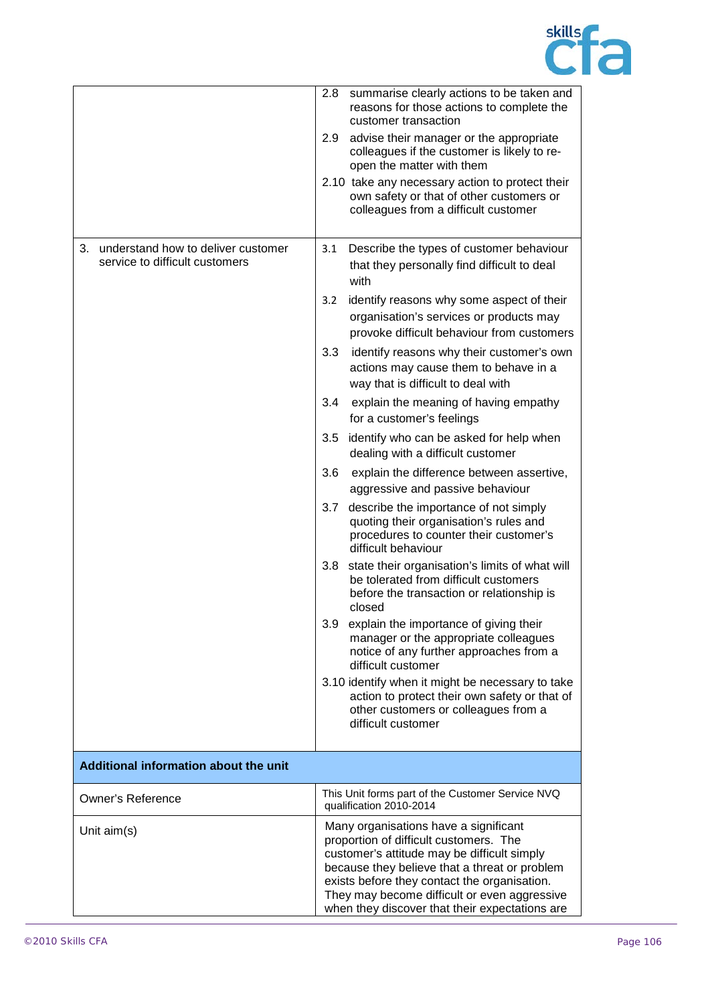

|                                                                            | 2.8<br>summarise clearly actions to be taken and<br>reasons for those actions to complete the<br>customer transaction                                                                                                                                                                                                             |
|----------------------------------------------------------------------------|-----------------------------------------------------------------------------------------------------------------------------------------------------------------------------------------------------------------------------------------------------------------------------------------------------------------------------------|
|                                                                            | 2.9<br>advise their manager or the appropriate<br>colleagues if the customer is likely to re-<br>open the matter with them                                                                                                                                                                                                        |
|                                                                            | 2.10 take any necessary action to protect their<br>own safety or that of other customers or<br>colleagues from a difficult customer                                                                                                                                                                                               |
| understand how to deliver customer<br>3.<br>service to difficult customers | Describe the types of customer behaviour<br>3.1<br>that they personally find difficult to deal<br>with                                                                                                                                                                                                                            |
|                                                                            | identify reasons why some aspect of their<br>3.2<br>organisation's services or products may<br>provoke difficult behaviour from customers                                                                                                                                                                                         |
|                                                                            | identify reasons why their customer's own<br>3.3<br>actions may cause them to behave in a<br>way that is difficult to deal with                                                                                                                                                                                                   |
|                                                                            | 3.4<br>explain the meaning of having empathy<br>for a customer's feelings                                                                                                                                                                                                                                                         |
|                                                                            | 3.5<br>identify who can be asked for help when<br>dealing with a difficult customer                                                                                                                                                                                                                                               |
|                                                                            | 3.6<br>explain the difference between assertive,<br>aggressive and passive behaviour                                                                                                                                                                                                                                              |
|                                                                            | 3.7<br>describe the importance of not simply<br>quoting their organisation's rules and<br>procedures to counter their customer's<br>difficult behaviour                                                                                                                                                                           |
|                                                                            | state their organisation's limits of what will<br>3.8<br>be tolerated from difficult customers<br>before the transaction or relationship is<br>closed                                                                                                                                                                             |
|                                                                            | explain the importance of giving their<br>3.9<br>manager or the appropriate colleagues<br>notice of any further approaches from a<br>difficult customer                                                                                                                                                                           |
|                                                                            | 3.10 identify when it might be necessary to take<br>action to protect their own safety or that of<br>other customers or colleagues from a<br>difficult customer                                                                                                                                                                   |
| Additional information about the unit                                      |                                                                                                                                                                                                                                                                                                                                   |
| <b>Owner's Reference</b>                                                   | This Unit forms part of the Customer Service NVQ<br>qualification 2010-2014                                                                                                                                                                                                                                                       |
| Unit aim(s)                                                                | Many organisations have a significant<br>proportion of difficult customers. The<br>customer's attitude may be difficult simply<br>because they believe that a threat or problem<br>exists before they contact the organisation.<br>They may become difficult or even aggressive<br>when they discover that their expectations are |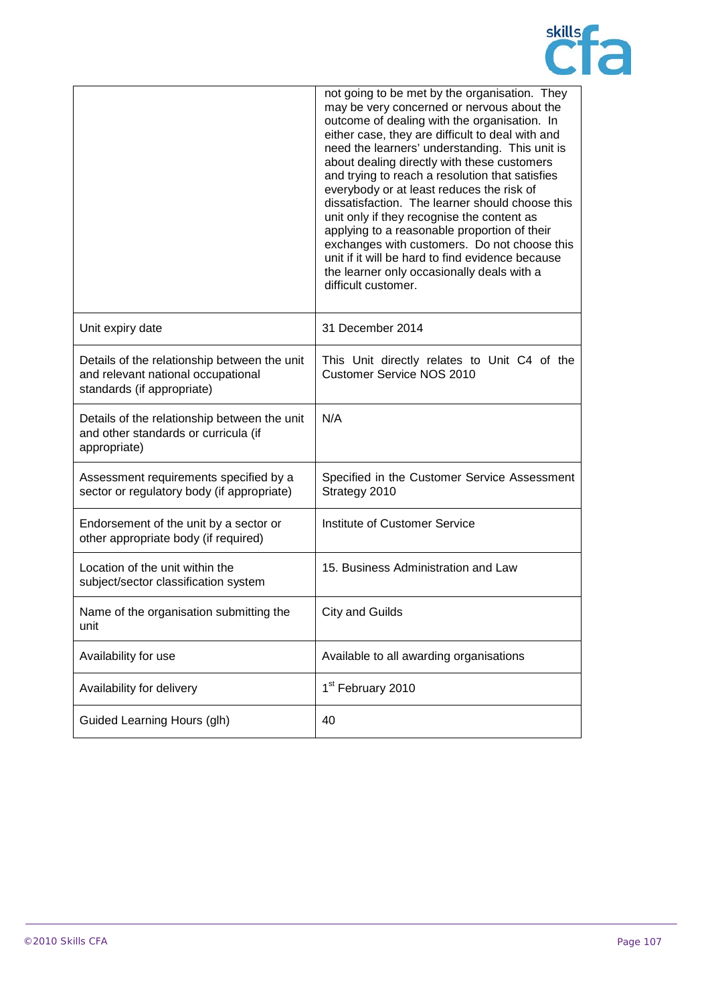

|                                                                                                                  | not going to be met by the organisation. They<br>may be very concerned or nervous about the<br>outcome of dealing with the organisation. In<br>either case, they are difficult to deal with and<br>need the learners' understanding. This unit is<br>about dealing directly with these customers<br>and trying to reach a resolution that satisfies<br>everybody or at least reduces the risk of<br>dissatisfaction. The learner should choose this<br>unit only if they recognise the content as<br>applying to a reasonable proportion of their<br>exchanges with customers. Do not choose this<br>unit if it will be hard to find evidence because<br>the learner only occasionally deals with a<br>difficult customer. |
|------------------------------------------------------------------------------------------------------------------|----------------------------------------------------------------------------------------------------------------------------------------------------------------------------------------------------------------------------------------------------------------------------------------------------------------------------------------------------------------------------------------------------------------------------------------------------------------------------------------------------------------------------------------------------------------------------------------------------------------------------------------------------------------------------------------------------------------------------|
| Unit expiry date                                                                                                 | 31 December 2014                                                                                                                                                                                                                                                                                                                                                                                                                                                                                                                                                                                                                                                                                                           |
| Details of the relationship between the unit<br>and relevant national occupational<br>standards (if appropriate) | This Unit directly relates to Unit C4 of the<br><b>Customer Service NOS 2010</b>                                                                                                                                                                                                                                                                                                                                                                                                                                                                                                                                                                                                                                           |
| Details of the relationship between the unit<br>and other standards or curricula (if<br>appropriate)             | N/A                                                                                                                                                                                                                                                                                                                                                                                                                                                                                                                                                                                                                                                                                                                        |
| Assessment requirements specified by a<br>sector or regulatory body (if appropriate)                             | Specified in the Customer Service Assessment<br>Strategy 2010                                                                                                                                                                                                                                                                                                                                                                                                                                                                                                                                                                                                                                                              |
| Endorsement of the unit by a sector or<br>other appropriate body (if required)                                   | Institute of Customer Service                                                                                                                                                                                                                                                                                                                                                                                                                                                                                                                                                                                                                                                                                              |
| Location of the unit within the<br>subject/sector classification system                                          | 15. Business Administration and Law                                                                                                                                                                                                                                                                                                                                                                                                                                                                                                                                                                                                                                                                                        |
| Name of the organisation submitting the<br>unit                                                                  | <b>City and Guilds</b>                                                                                                                                                                                                                                                                                                                                                                                                                                                                                                                                                                                                                                                                                                     |
| Availability for use                                                                                             | Available to all awarding organisations                                                                                                                                                                                                                                                                                                                                                                                                                                                                                                                                                                                                                                                                                    |
| Availability for delivery                                                                                        | 1 <sup>st</sup> February 2010                                                                                                                                                                                                                                                                                                                                                                                                                                                                                                                                                                                                                                                                                              |
| Guided Learning Hours (glh)                                                                                      | 40                                                                                                                                                                                                                                                                                                                                                                                                                                                                                                                                                                                                                                                                                                                         |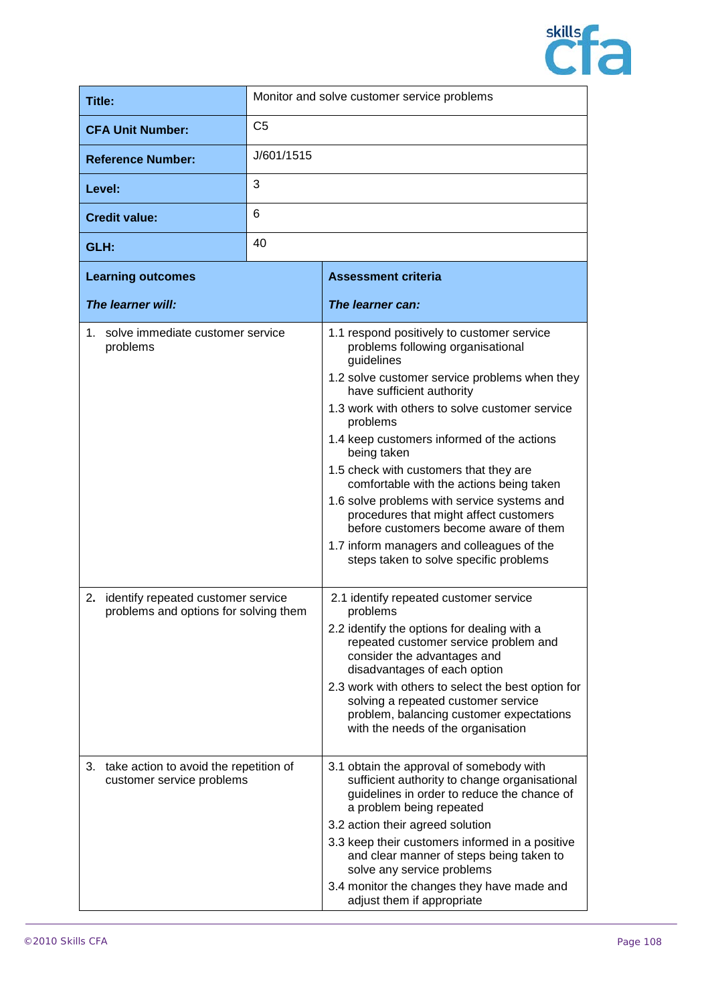

| Title:                                                                         | Monitor and solve customer service problems |                                                                                                                                                                                                                                                                                                                                                                                                                                                                                                                                                                                                                       |
|--------------------------------------------------------------------------------|---------------------------------------------|-----------------------------------------------------------------------------------------------------------------------------------------------------------------------------------------------------------------------------------------------------------------------------------------------------------------------------------------------------------------------------------------------------------------------------------------------------------------------------------------------------------------------------------------------------------------------------------------------------------------------|
| <b>CFA Unit Number:</b>                                                        | C <sub>5</sub>                              |                                                                                                                                                                                                                                                                                                                                                                                                                                                                                                                                                                                                                       |
| <b>Reference Number:</b>                                                       | J/601/1515                                  |                                                                                                                                                                                                                                                                                                                                                                                                                                                                                                                                                                                                                       |
| Level:                                                                         | 3                                           |                                                                                                                                                                                                                                                                                                                                                                                                                                                                                                                                                                                                                       |
| <b>Credit value:</b>                                                           | 6                                           |                                                                                                                                                                                                                                                                                                                                                                                                                                                                                                                                                                                                                       |
| GLH:                                                                           | 40                                          |                                                                                                                                                                                                                                                                                                                                                                                                                                                                                                                                                                                                                       |
| <b>Learning outcomes</b>                                                       |                                             | <b>Assessment criteria</b>                                                                                                                                                                                                                                                                                                                                                                                                                                                                                                                                                                                            |
| The learner will:                                                              |                                             | The learner can:                                                                                                                                                                                                                                                                                                                                                                                                                                                                                                                                                                                                      |
| 1. solve immediate customer service<br>problems                                |                                             | 1.1 respond positively to customer service<br>problems following organisational<br>guidelines<br>1.2 solve customer service problems when they<br>have sufficient authority<br>1.3 work with others to solve customer service<br>problems<br>1.4 keep customers informed of the actions<br>being taken<br>1.5 check with customers that they are<br>comfortable with the actions being taken<br>1.6 solve problems with service systems and<br>procedures that might affect customers<br>before customers become aware of them<br>1.7 inform managers and colleagues of the<br>steps taken to solve specific problems |
| 2. identify repeated customer service<br>problems and options for solving them |                                             | 2.1 identify repeated customer service<br>problems<br>2.2 identify the options for dealing with a<br>repeated customer service problem and<br>consider the advantages and<br>disadvantages of each option<br>2.3 work with others to select the best option for<br>solving a repeated customer service<br>problem, balancing customer expectations<br>with the needs of the organisation                                                                                                                                                                                                                              |
| 3. take action to avoid the repetition of<br>customer service problems         |                                             | 3.1 obtain the approval of somebody with<br>sufficient authority to change organisational<br>guidelines in order to reduce the chance of<br>a problem being repeated<br>3.2 action their agreed solution<br>3.3 keep their customers informed in a positive<br>and clear manner of steps being taken to<br>solve any service problems<br>3.4 monitor the changes they have made and<br>adjust them if appropriate                                                                                                                                                                                                     |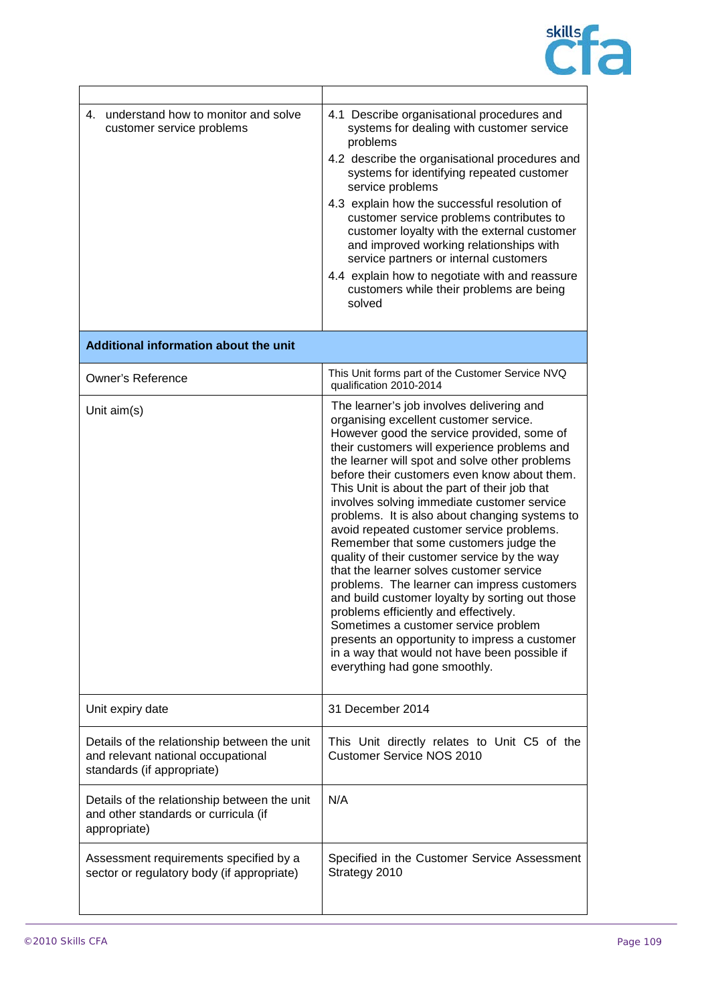

| understand how to monitor and solve<br>4.<br>customer service problems                                           | 4.1 Describe organisational procedures and<br>systems for dealing with customer service<br>problems<br>4.2 describe the organisational procedures and<br>systems for identifying repeated customer<br>service problems<br>4.3 explain how the successful resolution of<br>customer service problems contributes to<br>customer loyalty with the external customer<br>and improved working relationships with<br>service partners or internal customers<br>4.4 explain how to negotiate with and reassure<br>customers while their problems are being<br>solved                                                                                                                                                                                                                                                                                                                                                                                 |
|------------------------------------------------------------------------------------------------------------------|------------------------------------------------------------------------------------------------------------------------------------------------------------------------------------------------------------------------------------------------------------------------------------------------------------------------------------------------------------------------------------------------------------------------------------------------------------------------------------------------------------------------------------------------------------------------------------------------------------------------------------------------------------------------------------------------------------------------------------------------------------------------------------------------------------------------------------------------------------------------------------------------------------------------------------------------|
| Additional information about the unit                                                                            |                                                                                                                                                                                                                                                                                                                                                                                                                                                                                                                                                                                                                                                                                                                                                                                                                                                                                                                                                |
| <b>Owner's Reference</b>                                                                                         | This Unit forms part of the Customer Service NVQ<br>qualification 2010-2014                                                                                                                                                                                                                                                                                                                                                                                                                                                                                                                                                                                                                                                                                                                                                                                                                                                                    |
| Unit aim(s)                                                                                                      | The learner's job involves delivering and<br>organising excellent customer service.<br>However good the service provided, some of<br>their customers will experience problems and<br>the learner will spot and solve other problems<br>before their customers even know about them.<br>This Unit is about the part of their job that<br>involves solving immediate customer service<br>problems. It is also about changing systems to<br>avoid repeated customer service problems.<br>Remember that some customers judge the<br>quality of their customer service by the way<br>that the learner solves customer service<br>problems. The learner can impress customers<br>and build customer loyalty by sorting out those<br>problems efficiently and effectively.<br>Sometimes a customer service problem<br>presents an opportunity to impress a customer<br>in a way that would not have been possible if<br>everything had gone smoothly. |
| Unit expiry date                                                                                                 | 31 December 2014                                                                                                                                                                                                                                                                                                                                                                                                                                                                                                                                                                                                                                                                                                                                                                                                                                                                                                                               |
| Details of the relationship between the unit<br>and relevant national occupational<br>standards (if appropriate) | This Unit directly relates to Unit C5 of the<br><b>Customer Service NOS 2010</b>                                                                                                                                                                                                                                                                                                                                                                                                                                                                                                                                                                                                                                                                                                                                                                                                                                                               |
| Details of the relationship between the unit<br>and other standards or curricula (if<br>appropriate)             | N/A                                                                                                                                                                                                                                                                                                                                                                                                                                                                                                                                                                                                                                                                                                                                                                                                                                                                                                                                            |
| Assessment requirements specified by a<br>sector or regulatory body (if appropriate)                             | Specified in the Customer Service Assessment<br>Strategy 2010                                                                                                                                                                                                                                                                                                                                                                                                                                                                                                                                                                                                                                                                                                                                                                                                                                                                                  |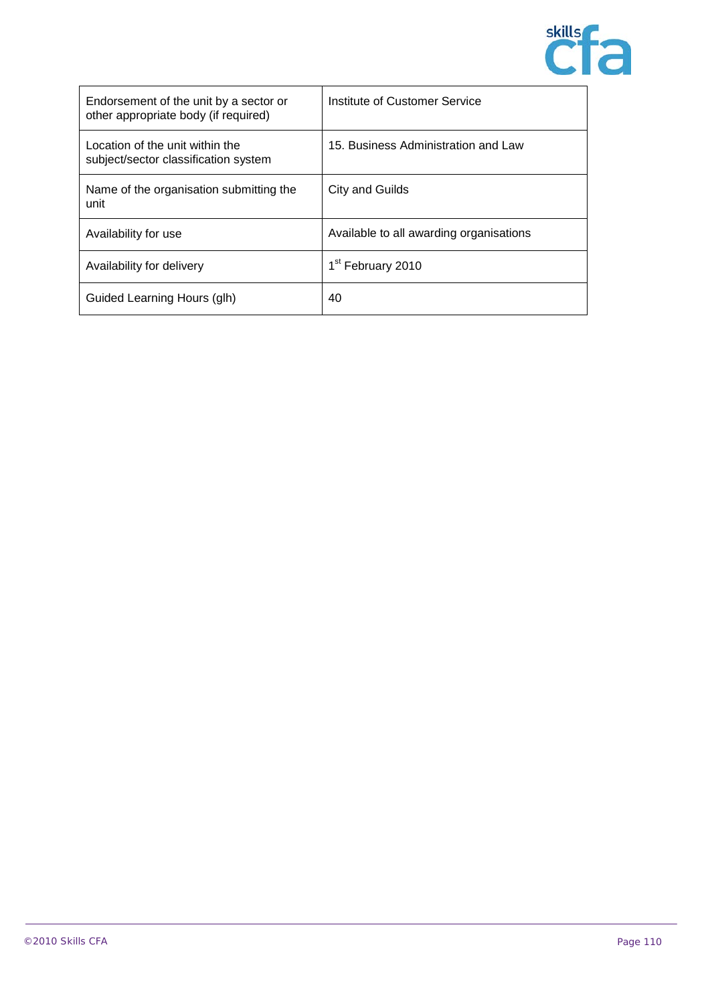

| Endorsement of the unit by a sector or<br>other appropriate body (if required) | Institute of Customer Service           |
|--------------------------------------------------------------------------------|-----------------------------------------|
| Location of the unit within the<br>subject/sector classification system        | 15. Business Administration and Law     |
| Name of the organisation submitting the<br>unit                                | City and Guilds                         |
| Availability for use                                                           | Available to all awarding organisations |
| Availability for delivery                                                      | 1 <sup>st</sup> February 2010           |
| Guided Learning Hours (glh)                                                    | 40                                      |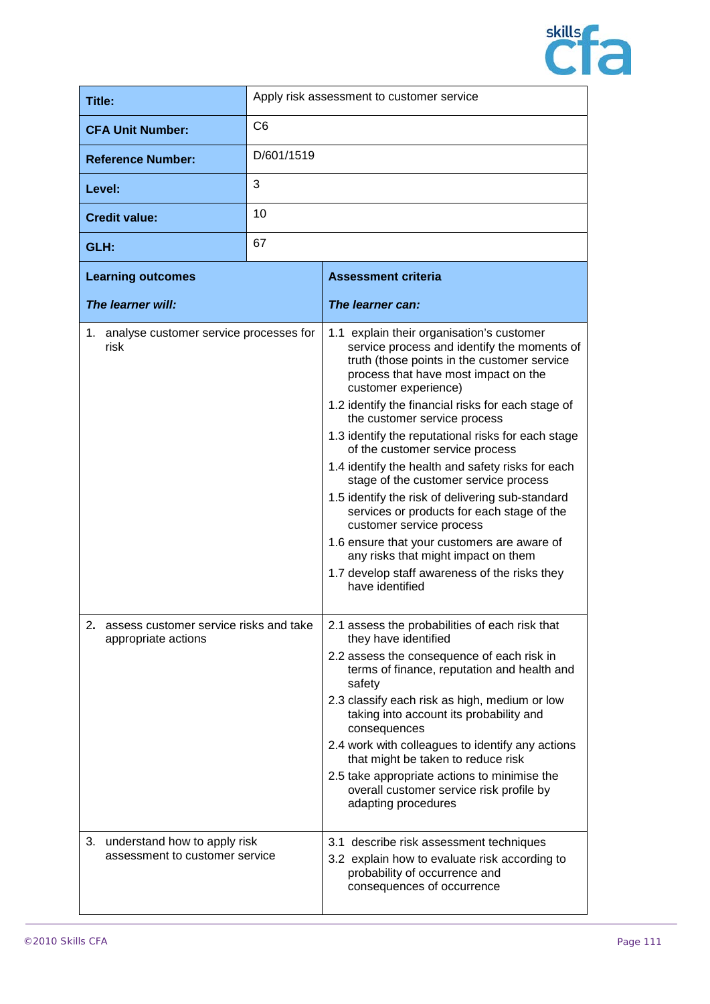

| Title:                                                            | Apply risk assessment to customer service |                                                                                                                                                                                                                                                                                                                                                                                                                                                                                                                                                                                                                                                                                                                                                                              |
|-------------------------------------------------------------------|-------------------------------------------|------------------------------------------------------------------------------------------------------------------------------------------------------------------------------------------------------------------------------------------------------------------------------------------------------------------------------------------------------------------------------------------------------------------------------------------------------------------------------------------------------------------------------------------------------------------------------------------------------------------------------------------------------------------------------------------------------------------------------------------------------------------------------|
| <b>CFA Unit Number:</b>                                           | C <sub>6</sub>                            |                                                                                                                                                                                                                                                                                                                                                                                                                                                                                                                                                                                                                                                                                                                                                                              |
| <b>Reference Number:</b>                                          | D/601/1519                                |                                                                                                                                                                                                                                                                                                                                                                                                                                                                                                                                                                                                                                                                                                                                                                              |
| Level:                                                            | 3                                         |                                                                                                                                                                                                                                                                                                                                                                                                                                                                                                                                                                                                                                                                                                                                                                              |
| <b>Credit value:</b>                                              | 10                                        |                                                                                                                                                                                                                                                                                                                                                                                                                                                                                                                                                                                                                                                                                                                                                                              |
| GLH:                                                              | 67                                        |                                                                                                                                                                                                                                                                                                                                                                                                                                                                                                                                                                                                                                                                                                                                                                              |
| <b>Learning outcomes</b>                                          |                                           | <b>Assessment criteria</b>                                                                                                                                                                                                                                                                                                                                                                                                                                                                                                                                                                                                                                                                                                                                                   |
| The learner will:                                                 |                                           | The learner can:                                                                                                                                                                                                                                                                                                                                                                                                                                                                                                                                                                                                                                                                                                                                                             |
| 1. analyse customer service processes for<br>risk                 |                                           | 1.1 explain their organisation's customer<br>service process and identify the moments of<br>truth (those points in the customer service<br>process that have most impact on the<br>customer experience)<br>1.2 identify the financial risks for each stage of<br>the customer service process<br>1.3 identify the reputational risks for each stage<br>of the customer service process<br>1.4 identify the health and safety risks for each<br>stage of the customer service process<br>1.5 identify the risk of delivering sub-standard<br>services or products for each stage of the<br>customer service process<br>1.6 ensure that your customers are aware of<br>any risks that might impact on them<br>1.7 develop staff awareness of the risks they<br>have identified |
| 2. assess customer service risks and take<br>appropriate actions  |                                           | 2.1 assess the probabilities of each risk that<br>they have identified<br>2.2 assess the consequence of each risk in<br>terms of finance, reputation and health and<br>safety<br>2.3 classify each risk as high, medium or low<br>taking into account its probability and<br>consequences<br>2.4 work with colleagues to identify any actions<br>that might be taken to reduce risk<br>2.5 take appropriate actions to minimise the<br>overall customer service risk profile by<br>adapting procedures                                                                                                                                                                                                                                                                       |
| 3. understand how to apply risk<br>assessment to customer service |                                           | 3.1 describe risk assessment techniques<br>3.2 explain how to evaluate risk according to<br>probability of occurrence and<br>consequences of occurrence                                                                                                                                                                                                                                                                                                                                                                                                                                                                                                                                                                                                                      |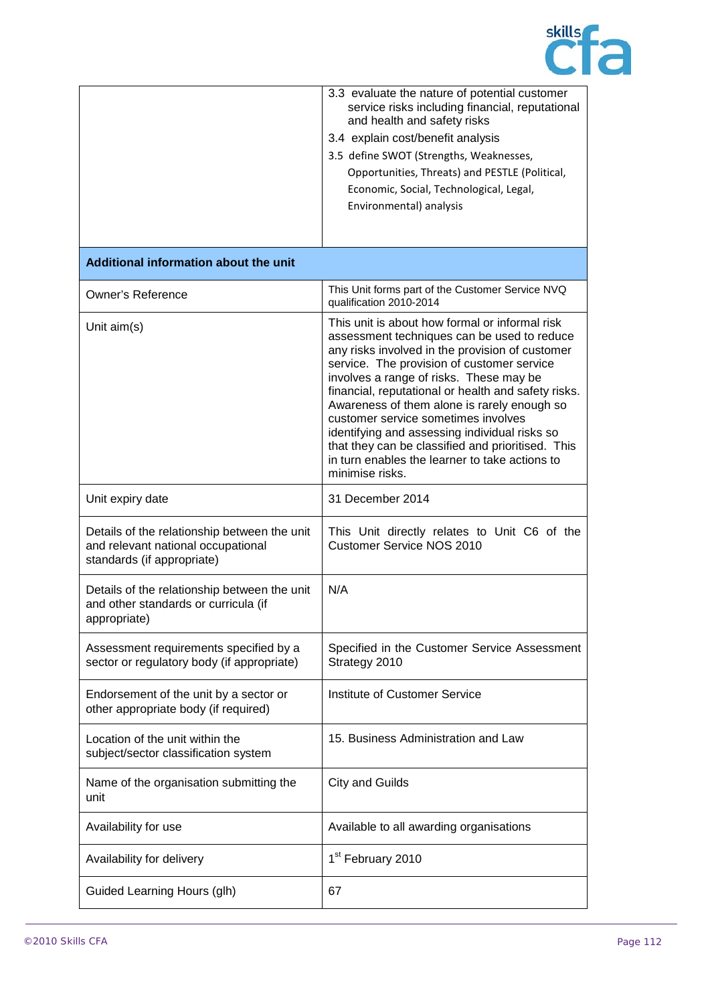

|                                                                                                                  | 3.3 evaluate the nature of potential customer<br>service risks including financial, reputational<br>and health and safety risks<br>3.4 explain cost/benefit analysis<br>3.5 define SWOT (Strengths, Weaknesses,<br>Opportunities, Threats) and PESTLE (Political,<br>Economic, Social, Technological, Legal,<br>Environmental) analysis                                                                                                                                                                                                                           |
|------------------------------------------------------------------------------------------------------------------|-------------------------------------------------------------------------------------------------------------------------------------------------------------------------------------------------------------------------------------------------------------------------------------------------------------------------------------------------------------------------------------------------------------------------------------------------------------------------------------------------------------------------------------------------------------------|
| Additional information about the unit                                                                            |                                                                                                                                                                                                                                                                                                                                                                                                                                                                                                                                                                   |
| <b>Owner's Reference</b>                                                                                         | This Unit forms part of the Customer Service NVQ<br>qualification 2010-2014                                                                                                                                                                                                                                                                                                                                                                                                                                                                                       |
| Unit aim(s)                                                                                                      | This unit is about how formal or informal risk<br>assessment techniques can be used to reduce<br>any risks involved in the provision of customer<br>service. The provision of customer service<br>involves a range of risks. These may be<br>financial, reputational or health and safety risks.<br>Awareness of them alone is rarely enough so<br>customer service sometimes involves<br>identifying and assessing individual risks so<br>that they can be classified and prioritised. This<br>in turn enables the learner to take actions to<br>minimise risks. |
| Unit expiry date                                                                                                 | 31 December 2014                                                                                                                                                                                                                                                                                                                                                                                                                                                                                                                                                  |
| Details of the relationship between the unit<br>and relevant national occupational<br>standards (if appropriate) | This Unit directly relates to Unit C6 of the<br><b>Customer Service NOS 2010</b>                                                                                                                                                                                                                                                                                                                                                                                                                                                                                  |
| Details of the relationship between the unit<br>and other standards or curricula (if<br>appropriate)             | N/A                                                                                                                                                                                                                                                                                                                                                                                                                                                                                                                                                               |
| Assessment requirements specified by a<br>sector or regulatory body (if appropriate)                             | Specified in the Customer Service Assessment<br>Strategy 2010                                                                                                                                                                                                                                                                                                                                                                                                                                                                                                     |
| Endorsement of the unit by a sector or<br>other appropriate body (if required)                                   | Institute of Customer Service                                                                                                                                                                                                                                                                                                                                                                                                                                                                                                                                     |
| Location of the unit within the<br>subject/sector classification system                                          | 15. Business Administration and Law                                                                                                                                                                                                                                                                                                                                                                                                                                                                                                                               |
| Name of the organisation submitting the<br>unit                                                                  | <b>City and Guilds</b>                                                                                                                                                                                                                                                                                                                                                                                                                                                                                                                                            |
| Availability for use                                                                                             | Available to all awarding organisations                                                                                                                                                                                                                                                                                                                                                                                                                                                                                                                           |
| Availability for delivery                                                                                        | 1 <sup>st</sup> February 2010                                                                                                                                                                                                                                                                                                                                                                                                                                                                                                                                     |
| Guided Learning Hours (glh)                                                                                      | 67                                                                                                                                                                                                                                                                                                                                                                                                                                                                                                                                                                |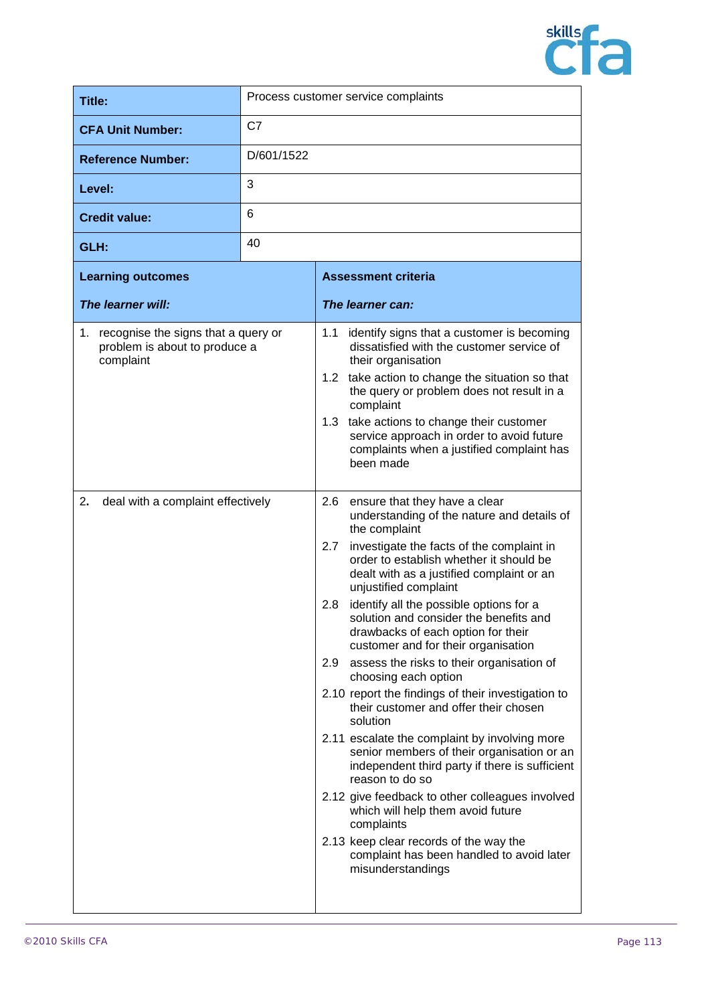

| Title:                                                                                                                          |                | Process customer service complaints                                                                                                                                                                                                                                                                                                                                                                                                                                                                                                                                                                                                                                                                                                                                                                                                                                                                                                                                                                                                                                                                                                                                                                                                                                                                                                                                                                                           |
|---------------------------------------------------------------------------------------------------------------------------------|----------------|-------------------------------------------------------------------------------------------------------------------------------------------------------------------------------------------------------------------------------------------------------------------------------------------------------------------------------------------------------------------------------------------------------------------------------------------------------------------------------------------------------------------------------------------------------------------------------------------------------------------------------------------------------------------------------------------------------------------------------------------------------------------------------------------------------------------------------------------------------------------------------------------------------------------------------------------------------------------------------------------------------------------------------------------------------------------------------------------------------------------------------------------------------------------------------------------------------------------------------------------------------------------------------------------------------------------------------------------------------------------------------------------------------------------------------|
| <b>CFA Unit Number:</b>                                                                                                         | C <sub>7</sub> |                                                                                                                                                                                                                                                                                                                                                                                                                                                                                                                                                                                                                                                                                                                                                                                                                                                                                                                                                                                                                                                                                                                                                                                                                                                                                                                                                                                                                               |
| <b>Reference Number:</b>                                                                                                        | D/601/1522     |                                                                                                                                                                                                                                                                                                                                                                                                                                                                                                                                                                                                                                                                                                                                                                                                                                                                                                                                                                                                                                                                                                                                                                                                                                                                                                                                                                                                                               |
| Level:                                                                                                                          | 3              |                                                                                                                                                                                                                                                                                                                                                                                                                                                                                                                                                                                                                                                                                                                                                                                                                                                                                                                                                                                                                                                                                                                                                                                                                                                                                                                                                                                                                               |
| <b>Credit value:</b>                                                                                                            | 6              |                                                                                                                                                                                                                                                                                                                                                                                                                                                                                                                                                                                                                                                                                                                                                                                                                                                                                                                                                                                                                                                                                                                                                                                                                                                                                                                                                                                                                               |
| GLH:                                                                                                                            | 40             |                                                                                                                                                                                                                                                                                                                                                                                                                                                                                                                                                                                                                                                                                                                                                                                                                                                                                                                                                                                                                                                                                                                                                                                                                                                                                                                                                                                                                               |
| <b>Learning outcomes</b>                                                                                                        |                | <b>Assessment criteria</b>                                                                                                                                                                                                                                                                                                                                                                                                                                                                                                                                                                                                                                                                                                                                                                                                                                                                                                                                                                                                                                                                                                                                                                                                                                                                                                                                                                                                    |
| The learner will:                                                                                                               |                | The learner can:                                                                                                                                                                                                                                                                                                                                                                                                                                                                                                                                                                                                                                                                                                                                                                                                                                                                                                                                                                                                                                                                                                                                                                                                                                                                                                                                                                                                              |
| 1. recognise the signs that a query or<br>problem is about to produce a<br>complaint<br>2.<br>deal with a complaint effectively |                | 1.1<br>identify signs that a customer is becoming<br>dissatisfied with the customer service of<br>their organisation<br>take action to change the situation so that<br>1.2<br>the query or problem does not result in a<br>complaint<br>take actions to change their customer<br>1.3<br>service approach in order to avoid future<br>complaints when a justified complaint has<br>been made<br>2.6<br>ensure that they have a clear<br>understanding of the nature and details of<br>the complaint<br>2.7<br>investigate the facts of the complaint in<br>order to establish whether it should be<br>dealt with as a justified complaint or an<br>unjustified complaint<br>identify all the possible options for a<br>2.8<br>solution and consider the benefits and<br>drawbacks of each option for their<br>customer and for their organisation<br>assess the risks to their organisation of<br>2.9<br>choosing each option<br>2.10 report the findings of their investigation to<br>their customer and offer their chosen<br>solution<br>2.11 escalate the complaint by involving more<br>senior members of their organisation or an<br>independent third party if there is sufficient<br>reason to do so<br>2.12 give feedback to other colleagues involved<br>which will help them avoid future<br>complaints<br>2.13 keep clear records of the way the<br>complaint has been handled to avoid later<br>misunderstandings |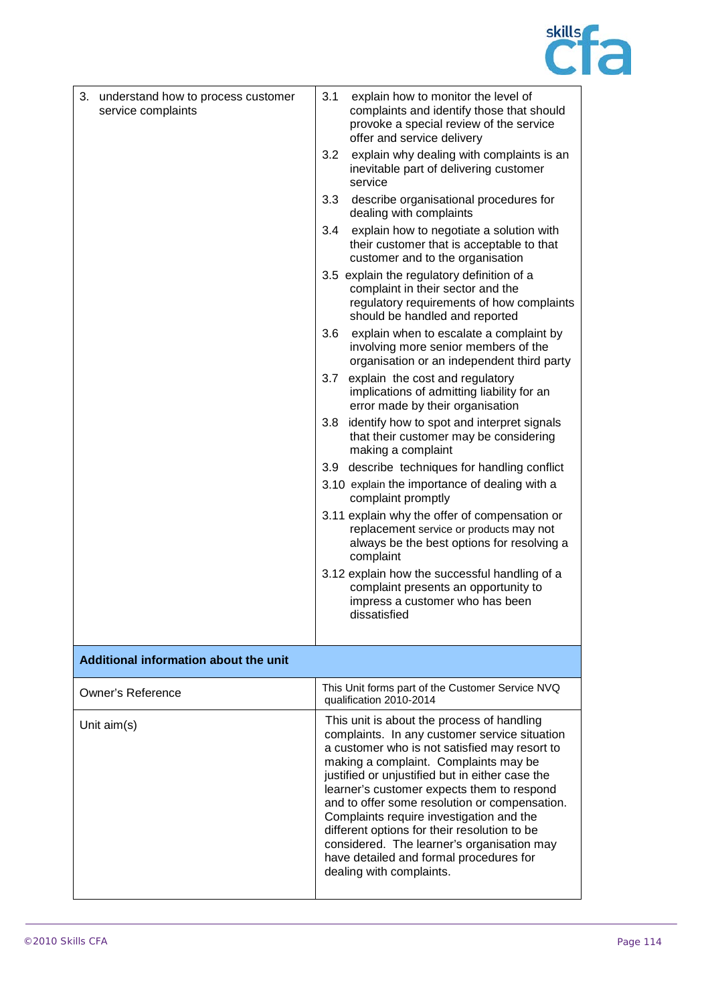

| 3. understand how to process customer<br>service complaints | 3.1<br>explain how to monitor the level of<br>complaints and identify those that should<br>provoke a special review of the service<br>offer and service delivery<br>3.2<br>explain why dealing with complaints is an<br>inevitable part of delivering customer                                                                                                                                                                                                                                                                                           |
|-------------------------------------------------------------|----------------------------------------------------------------------------------------------------------------------------------------------------------------------------------------------------------------------------------------------------------------------------------------------------------------------------------------------------------------------------------------------------------------------------------------------------------------------------------------------------------------------------------------------------------|
|                                                             | service                                                                                                                                                                                                                                                                                                                                                                                                                                                                                                                                                  |
|                                                             | 3.3<br>describe organisational procedures for<br>dealing with complaints                                                                                                                                                                                                                                                                                                                                                                                                                                                                                 |
|                                                             | 3.4<br>explain how to negotiate a solution with<br>their customer that is acceptable to that<br>customer and to the organisation                                                                                                                                                                                                                                                                                                                                                                                                                         |
|                                                             | 3.5 explain the regulatory definition of a<br>complaint in their sector and the<br>regulatory requirements of how complaints<br>should be handled and reported                                                                                                                                                                                                                                                                                                                                                                                           |
|                                                             | 3.6<br>explain when to escalate a complaint by<br>involving more senior members of the<br>organisation or an independent third party                                                                                                                                                                                                                                                                                                                                                                                                                     |
|                                                             | explain the cost and regulatory<br>3.7<br>implications of admitting liability for an<br>error made by their organisation                                                                                                                                                                                                                                                                                                                                                                                                                                 |
|                                                             | identify how to spot and interpret signals<br>3.8<br>that their customer may be considering<br>making a complaint                                                                                                                                                                                                                                                                                                                                                                                                                                        |
|                                                             | 3.9 describe techniques for handling conflict<br>3.10 explain the importance of dealing with a<br>complaint promptly                                                                                                                                                                                                                                                                                                                                                                                                                                     |
|                                                             | 3.11 explain why the offer of compensation or<br>replacement service or products may not<br>always be the best options for resolving a<br>complaint                                                                                                                                                                                                                                                                                                                                                                                                      |
|                                                             | 3.12 explain how the successful handling of a<br>complaint presents an opportunity to<br>impress a customer who has been<br>dissatisfied                                                                                                                                                                                                                                                                                                                                                                                                                 |
| Additional information about the unit                       |                                                                                                                                                                                                                                                                                                                                                                                                                                                                                                                                                          |
|                                                             |                                                                                                                                                                                                                                                                                                                                                                                                                                                                                                                                                          |
| Owner's Reference                                           | This Unit forms part of the Customer Service NVQ<br>qualification 2010-2014                                                                                                                                                                                                                                                                                                                                                                                                                                                                              |
| Unit $aim(s)$                                               | This unit is about the process of handling<br>complaints. In any customer service situation<br>a customer who is not satisfied may resort to<br>making a complaint. Complaints may be<br>justified or unjustified but in either case the<br>learner's customer expects them to respond<br>and to offer some resolution or compensation.<br>Complaints require investigation and the<br>different options for their resolution to be<br>considered. The learner's organisation may<br>have detailed and formal procedures for<br>dealing with complaints. |
|                                                             |                                                                                                                                                                                                                                                                                                                                                                                                                                                                                                                                                          |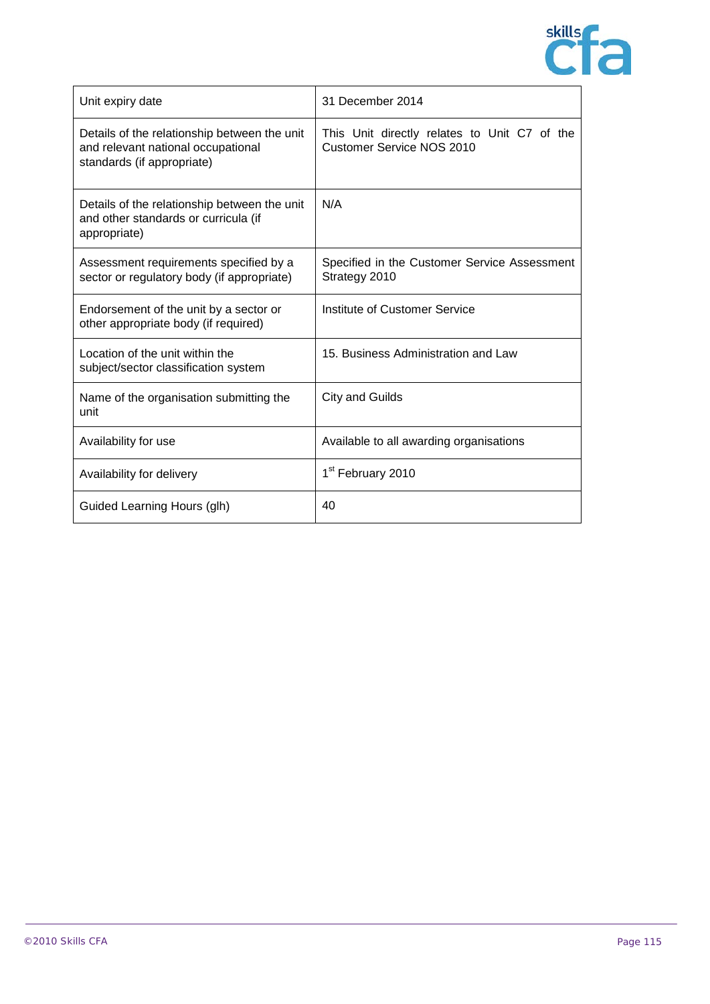

| Unit expiry date                                                                                                 | 31 December 2014                                                                 |
|------------------------------------------------------------------------------------------------------------------|----------------------------------------------------------------------------------|
| Details of the relationship between the unit<br>and relevant national occupational<br>standards (if appropriate) | This Unit directly relates to Unit C7 of the<br><b>Customer Service NOS 2010</b> |
| Details of the relationship between the unit<br>and other standards or curricula (if<br>appropriate)             | N/A                                                                              |
| Assessment requirements specified by a<br>sector or regulatory body (if appropriate)                             | Specified in the Customer Service Assessment<br>Strategy 2010                    |
| Endorsement of the unit by a sector or<br>other appropriate body (if required)                                   | Institute of Customer Service                                                    |
| Location of the unit within the<br>subject/sector classification system                                          | 15. Business Administration and Law                                              |
| Name of the organisation submitting the<br>unit                                                                  | <b>City and Guilds</b>                                                           |
| Availability for use                                                                                             | Available to all awarding organisations                                          |
| Availability for delivery                                                                                        | 1 <sup>st</sup> February 2010                                                    |
| Guided Learning Hours (glh)                                                                                      | 40                                                                               |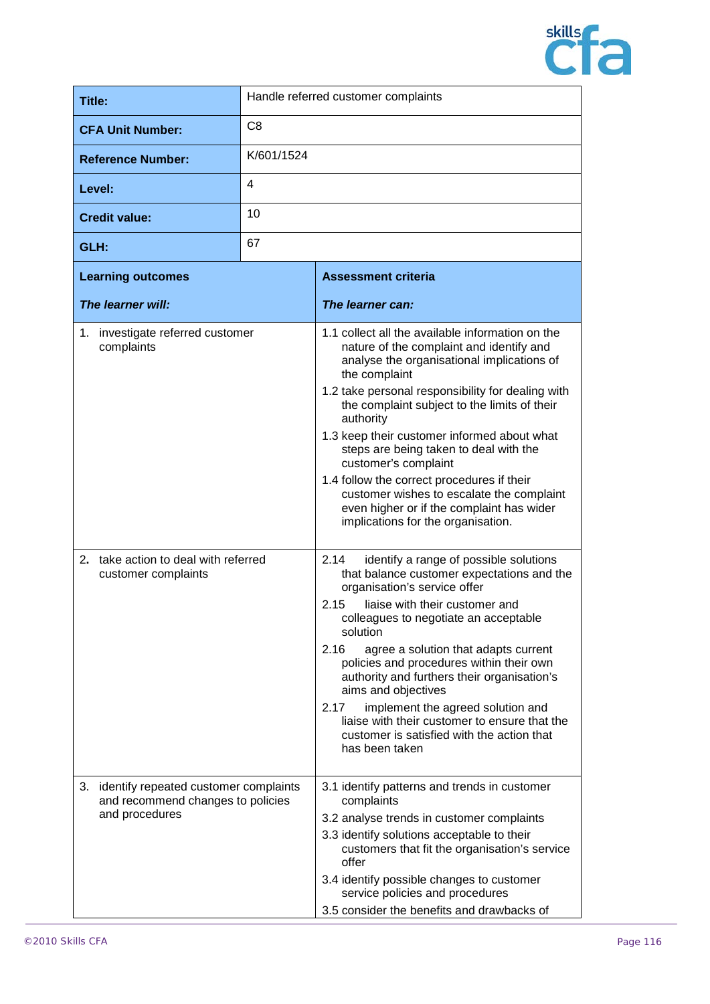

| Title:                   | Handle referred customer complaints |
|--------------------------|-------------------------------------|
| <b>CFA Unit Number:</b>  | C <sub>8</sub>                      |
| <b>Reference Number:</b> | K/601/1524                          |
| Level:                   | 4                                   |
| <b>Credit value:</b>     | 10                                  |
| GLH:                     | 67                                  |

| <b>Learning outcomes</b>                                                      | <b>Assessment criteria</b>                                                                                                                                                 |
|-------------------------------------------------------------------------------|----------------------------------------------------------------------------------------------------------------------------------------------------------------------------|
| The learner will:                                                             | The learner can:                                                                                                                                                           |
| 1. investigate referred customer<br>complaints                                | 1.1 collect all the available information on the<br>nature of the complaint and identify and<br>analyse the organisational implications of<br>the complaint                |
|                                                                               | 1.2 take personal responsibility for dealing with<br>the complaint subject to the limits of their<br>authority                                                             |
|                                                                               | 1.3 keep their customer informed about what<br>steps are being taken to deal with the<br>customer's complaint                                                              |
|                                                                               | 1.4 follow the correct procedures if their<br>customer wishes to escalate the complaint<br>even higher or if the complaint has wider<br>implications for the organisation. |
| 2. take action to deal with referred<br>customer complaints                   | identify a range of possible solutions<br>2.14<br>that balance customer expectations and the<br>organisation's service offer                                               |
|                                                                               | liaise with their customer and<br>2.15<br>colleagues to negotiate an acceptable<br>solution                                                                                |
|                                                                               | 2.16<br>agree a solution that adapts current<br>policies and procedures within their own<br>authority and furthers their organisation's<br>aims and objectives             |
|                                                                               | 2.17<br>implement the agreed solution and<br>liaise with their customer to ensure that the<br>customer is satisfied with the action that<br>has been taken                 |
| 3. identify repeated customer complaints<br>and recommend changes to policies | 3.1 identify patterns and trends in customer<br>complaints                                                                                                                 |
| and procedures                                                                | 3.2 analyse trends in customer complaints                                                                                                                                  |
|                                                                               | 3.3 identify solutions acceptable to their<br>customers that fit the organisation's service<br>offer                                                                       |
|                                                                               | 3.4 identify possible changes to customer<br>service policies and procedures                                                                                               |
|                                                                               | 3.5 consider the benefits and drawbacks of                                                                                                                                 |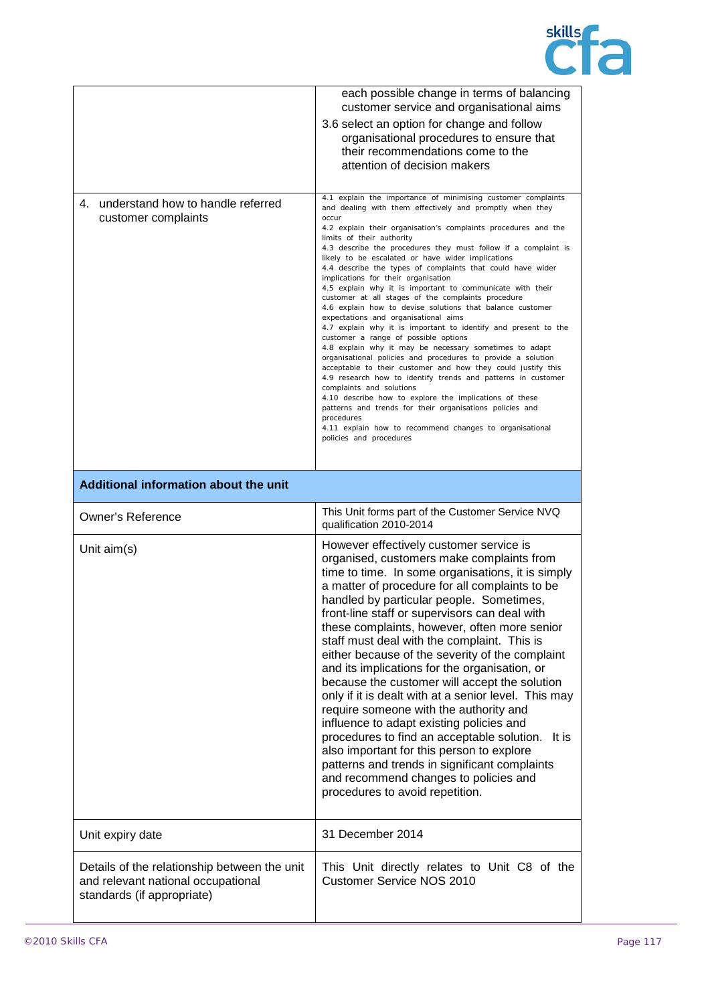

|                                                             | each possible change in terms of balancing<br>customer service and organisational aims<br>3.6 select an option for change and follow<br>organisational procedures to ensure that<br>their recommendations come to the<br>attention of decision makers                                                                                                                                                                                                                                                                                                                                                                                                                                                                                                                                                                                                                                                                                                                                                                                                                                                                                                                                                                                                                                                          |
|-------------------------------------------------------------|----------------------------------------------------------------------------------------------------------------------------------------------------------------------------------------------------------------------------------------------------------------------------------------------------------------------------------------------------------------------------------------------------------------------------------------------------------------------------------------------------------------------------------------------------------------------------------------------------------------------------------------------------------------------------------------------------------------------------------------------------------------------------------------------------------------------------------------------------------------------------------------------------------------------------------------------------------------------------------------------------------------------------------------------------------------------------------------------------------------------------------------------------------------------------------------------------------------------------------------------------------------------------------------------------------------|
| 4. understand how to handle referred<br>customer complaints | 4.1 explain the importance of minimising customer complaints<br>and dealing with them effectively and promptly when they<br>occur<br>4.2 explain their organisation's complaints procedures and the<br>limits of their authority<br>4.3 describe the procedures they must follow if a complaint is<br>likely to be escalated or have wider implications<br>4.4 describe the types of complaints that could have wider<br>implications for their organisation<br>4.5 explain why it is important to communicate with their<br>customer at all stages of the complaints procedure<br>4.6 explain how to devise solutions that balance customer<br>expectations and organisational aims<br>4.7 explain why it is important to identify and present to the<br>customer a range of possible options<br>4.8 explain why it may be necessary sometimes to adapt<br>organisational policies and procedures to provide a solution<br>acceptable to their customer and how they could justify this<br>4.9 research how to identify trends and patterns in customer<br>complaints and solutions<br>4.10 describe how to explore the implications of these<br>patterns and trends for their organisations policies and<br>procedures<br>4.11 explain how to recommend changes to organisational<br>policies and procedures |
| Additional information about the unit                       |                                                                                                                                                                                                                                                                                                                                                                                                                                                                                                                                                                                                                                                                                                                                                                                                                                                                                                                                                                                                                                                                                                                                                                                                                                                                                                                |
| <b>Owner's Reference</b>                                    | This Unit forms part of the Customer Service NVQ<br>qualification 2010-2014                                                                                                                                                                                                                                                                                                                                                                                                                                                                                                                                                                                                                                                                                                                                                                                                                                                                                                                                                                                                                                                                                                                                                                                                                                    |
|                                                             |                                                                                                                                                                                                                                                                                                                                                                                                                                                                                                                                                                                                                                                                                                                                                                                                                                                                                                                                                                                                                                                                                                                                                                                                                                                                                                                |
| Unit $aim(s)$                                               | However effectively customer service is<br>organised, customers make complaints from<br>time to time. In some organisations, it is simply<br>a matter of procedure for all complaints to be<br>handled by particular people. Sometimes,<br>front-line staff or supervisors can deal with<br>these complaints, however, often more senior<br>staff must deal with the complaint. This is<br>either because of the severity of the complaint<br>and its implications for the organisation, or<br>because the customer will accept the solution<br>only if it is dealt with at a senior level. This may<br>require someone with the authority and<br>influence to adapt existing policies and<br>procedures to find an acceptable solution.<br>It is<br>also important for this person to explore<br>patterns and trends in significant complaints<br>and recommend changes to policies and<br>procedures to avoid repetition.                                                                                                                                                                                                                                                                                                                                                                                    |
| Unit expiry date                                            | 31 December 2014                                                                                                                                                                                                                                                                                                                                                                                                                                                                                                                                                                                                                                                                                                                                                                                                                                                                                                                                                                                                                                                                                                                                                                                                                                                                                               |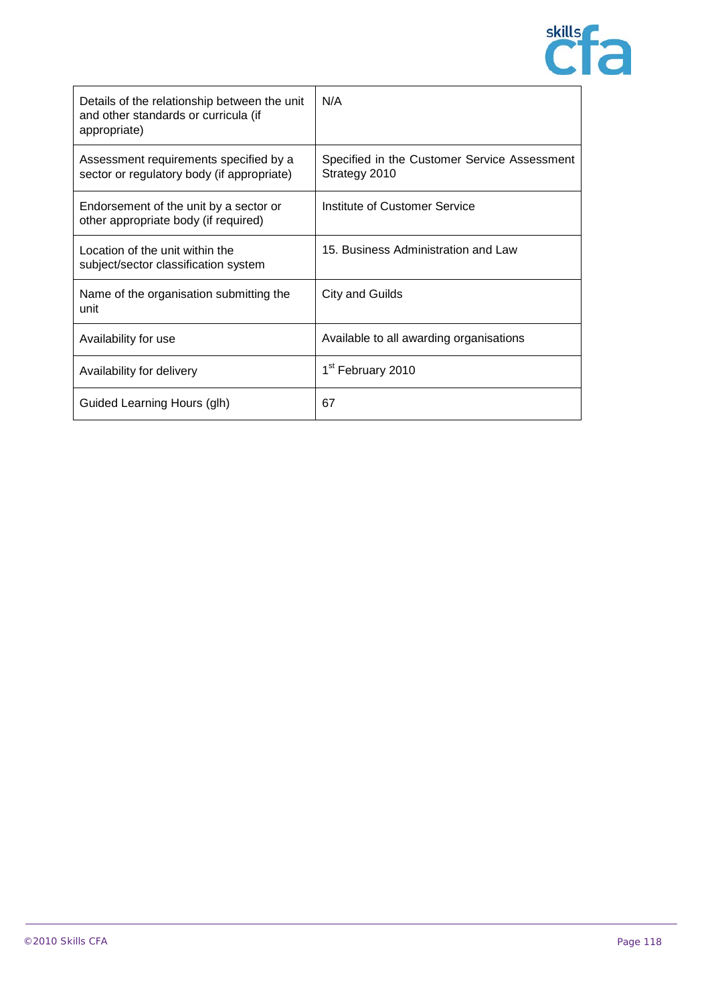

| Details of the relationship between the unit<br>and other standards or curricula (if<br>appropriate) | N/A                                                           |
|------------------------------------------------------------------------------------------------------|---------------------------------------------------------------|
| Assessment requirements specified by a<br>sector or regulatory body (if appropriate)                 | Specified in the Customer Service Assessment<br>Strategy 2010 |
| Endorsement of the unit by a sector or<br>other appropriate body (if required)                       | Institute of Customer Service                                 |
| Location of the unit within the<br>subject/sector classification system                              | 15. Business Administration and Law                           |
| Name of the organisation submitting the<br>unit                                                      | City and Guilds                                               |
| Availability for use                                                                                 | Available to all awarding organisations                       |
| Availability for delivery                                                                            | 1 <sup>st</sup> February 2010                                 |
| Guided Learning Hours (glh)                                                                          | 67                                                            |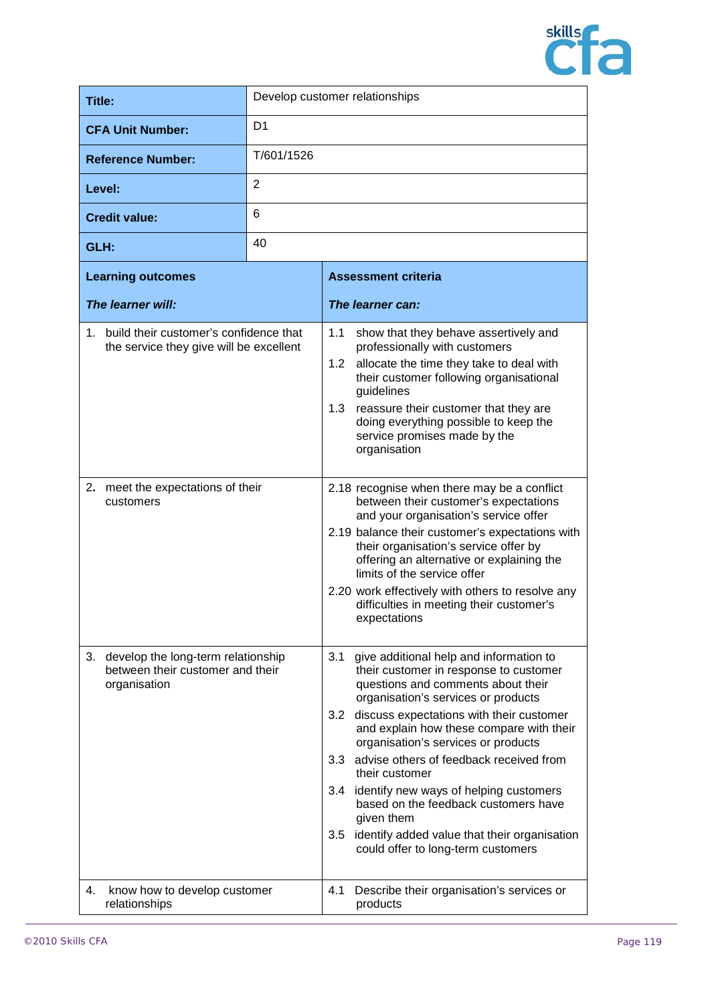

| Title:                                                                                       | Develop customer relationships |                                                                                                                                                                                                                                                                                                                                                                                                                                                                                                                                                                                                  |
|----------------------------------------------------------------------------------------------|--------------------------------|--------------------------------------------------------------------------------------------------------------------------------------------------------------------------------------------------------------------------------------------------------------------------------------------------------------------------------------------------------------------------------------------------------------------------------------------------------------------------------------------------------------------------------------------------------------------------------------------------|
| <b>CFA Unit Number:</b>                                                                      | D <sub>1</sub>                 |                                                                                                                                                                                                                                                                                                                                                                                                                                                                                                                                                                                                  |
| <b>Reference Number:</b>                                                                     | T/601/1526                     |                                                                                                                                                                                                                                                                                                                                                                                                                                                                                                                                                                                                  |
| Level:                                                                                       | 2                              |                                                                                                                                                                                                                                                                                                                                                                                                                                                                                                                                                                                                  |
| <b>Credit value:</b>                                                                         | 6                              |                                                                                                                                                                                                                                                                                                                                                                                                                                                                                                                                                                                                  |
| GLH:                                                                                         | 40                             |                                                                                                                                                                                                                                                                                                                                                                                                                                                                                                                                                                                                  |
| <b>Learning outcomes</b>                                                                     |                                | <b>Assessment criteria</b>                                                                                                                                                                                                                                                                                                                                                                                                                                                                                                                                                                       |
| The learner will:                                                                            |                                | The learner can:                                                                                                                                                                                                                                                                                                                                                                                                                                                                                                                                                                                 |
| 1. build their customer's confidence that<br>the service they give will be excellent         |                                | 1.1<br>show that they behave assertively and<br>professionally with customers<br>allocate the time they take to deal with<br>1.2 <sub>1</sub><br>their customer following organisational<br>guidelines<br>1.3<br>reassure their customer that they are<br>doing everything possible to keep the<br>service promises made by the<br>organisation                                                                                                                                                                                                                                                  |
| meet the expectations of their<br>2.<br>customers                                            |                                | 2.18 recognise when there may be a conflict<br>between their customer's expectations<br>and your organisation's service offer<br>2.19 balance their customer's expectations with<br>their organisation's service offer by<br>offering an alternative or explaining the<br>limits of the service offer<br>2.20 work effectively with others to resolve any<br>difficulties in meeting their customer's<br>expectations                                                                                                                                                                            |
| develop the long-term relationship<br>3.<br>between their customer and their<br>organisation |                                | 3.1<br>give additional help and information to<br>their customer in response to customer<br>questions and comments about their<br>organisation's services or products<br>discuss expectations with their customer<br>3.2<br>and explain how these compare with their<br>organisation's services or products<br>advise others of feedback received from<br>3.3 <sub>1</sub><br>their customer<br>identify new ways of helping customers<br>3.4<br>based on the feedback customers have<br>given them<br>identify added value that their organisation<br>3.5<br>could offer to long-term customers |
| know how to develop customer<br>4.<br>relationships                                          |                                | Describe their organisation's services or<br>4.1<br>products                                                                                                                                                                                                                                                                                                                                                                                                                                                                                                                                     |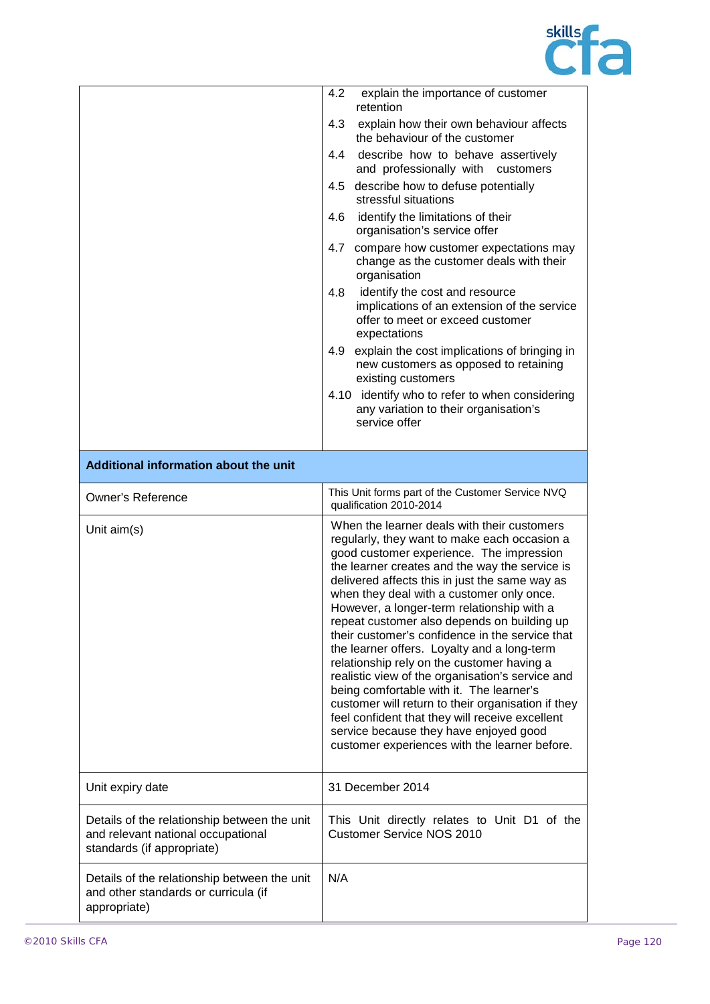

|                                                                                                                  | 4.2<br>explain the importance of customer<br>retention                                                                                                                                                                                                                                                                                                                                                                                                                                                                                                                                                                                                                                                                                                                                                                                    |
|------------------------------------------------------------------------------------------------------------------|-------------------------------------------------------------------------------------------------------------------------------------------------------------------------------------------------------------------------------------------------------------------------------------------------------------------------------------------------------------------------------------------------------------------------------------------------------------------------------------------------------------------------------------------------------------------------------------------------------------------------------------------------------------------------------------------------------------------------------------------------------------------------------------------------------------------------------------------|
|                                                                                                                  | 4.3<br>explain how their own behaviour affects<br>the behaviour of the customer                                                                                                                                                                                                                                                                                                                                                                                                                                                                                                                                                                                                                                                                                                                                                           |
|                                                                                                                  | describe how to behave assertively<br>4.4<br>and professionally with<br>customers                                                                                                                                                                                                                                                                                                                                                                                                                                                                                                                                                                                                                                                                                                                                                         |
|                                                                                                                  | describe how to defuse potentially<br>4.5<br>stressful situations                                                                                                                                                                                                                                                                                                                                                                                                                                                                                                                                                                                                                                                                                                                                                                         |
|                                                                                                                  | 4.6<br>identify the limitations of their<br>organisation's service offer                                                                                                                                                                                                                                                                                                                                                                                                                                                                                                                                                                                                                                                                                                                                                                  |
|                                                                                                                  | 4.7<br>compare how customer expectations may<br>change as the customer deals with their<br>organisation                                                                                                                                                                                                                                                                                                                                                                                                                                                                                                                                                                                                                                                                                                                                   |
|                                                                                                                  | 4.8<br>identify the cost and resource<br>implications of an extension of the service<br>offer to meet or exceed customer<br>expectations                                                                                                                                                                                                                                                                                                                                                                                                                                                                                                                                                                                                                                                                                                  |
|                                                                                                                  | explain the cost implications of bringing in<br>4.9<br>new customers as opposed to retaining<br>existing customers                                                                                                                                                                                                                                                                                                                                                                                                                                                                                                                                                                                                                                                                                                                        |
|                                                                                                                  | 4.10 identify who to refer to when considering<br>any variation to their organisation's<br>service offer                                                                                                                                                                                                                                                                                                                                                                                                                                                                                                                                                                                                                                                                                                                                  |
| Additional information about the unit                                                                            |                                                                                                                                                                                                                                                                                                                                                                                                                                                                                                                                                                                                                                                                                                                                                                                                                                           |
| <b>Owner's Reference</b>                                                                                         | This Unit forms part of the Customer Service NVQ<br>qualification 2010-2014                                                                                                                                                                                                                                                                                                                                                                                                                                                                                                                                                                                                                                                                                                                                                               |
| Unit aim(s)                                                                                                      | When the learner deals with their customers<br>regularly, they want to make each occasion a<br>good customer experience. The impression<br>the learner creates and the way the service is<br>delivered affects this in just the same way as<br>when they deal with a customer only once.<br>However, a longer-term relationship with a<br>repeat customer also depends on building up<br>their customer's confidence in the service that<br>the learner offers. Loyalty and a long-term<br>relationship rely on the customer having a<br>realistic view of the organisation's service and<br>being comfortable with it. The learner's<br>customer will return to their organisation if they<br>feel confident that they will receive excellent<br>service because they have enjoyed good<br>customer experiences with the learner before. |
| Unit expiry date                                                                                                 | 31 December 2014                                                                                                                                                                                                                                                                                                                                                                                                                                                                                                                                                                                                                                                                                                                                                                                                                          |
| Details of the relationship between the unit<br>and relevant national occupational<br>standards (if appropriate) | This Unit directly relates to Unit D1 of the<br><b>Customer Service NOS 2010</b>                                                                                                                                                                                                                                                                                                                                                                                                                                                                                                                                                                                                                                                                                                                                                          |
| Details of the relationship between the unit<br>and other standards or curricula (if<br>appropriate)             | N/A                                                                                                                                                                                                                                                                                                                                                                                                                                                                                                                                                                                                                                                                                                                                                                                                                                       |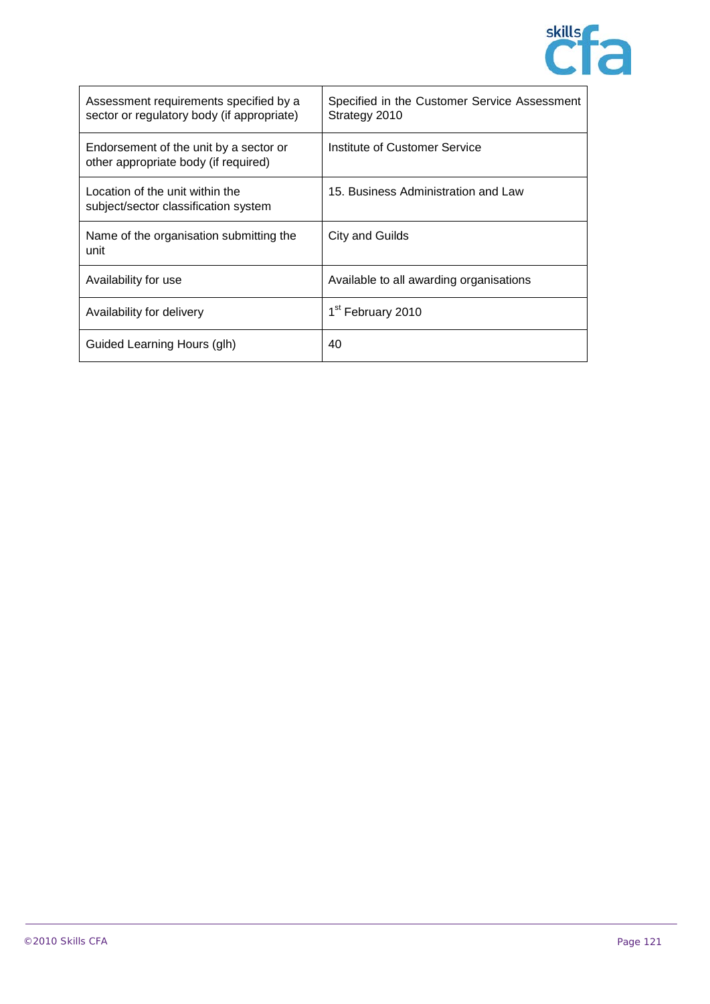

| Assessment requirements specified by a<br>sector or regulatory body (if appropriate) | Specified in the Customer Service Assessment<br>Strategy 2010 |
|--------------------------------------------------------------------------------------|---------------------------------------------------------------|
| Endorsement of the unit by a sector or<br>other appropriate body (if required)       | Institute of Customer Service                                 |
| Location of the unit within the<br>subject/sector classification system              | 15. Business Administration and Law                           |
| Name of the organisation submitting the<br>unit                                      | City and Guilds                                               |
| Availability for use                                                                 | Available to all awarding organisations                       |
| Availability for delivery                                                            | 1 <sup>st</sup> February 2010                                 |
| Guided Learning Hours (glh)                                                          | 40                                                            |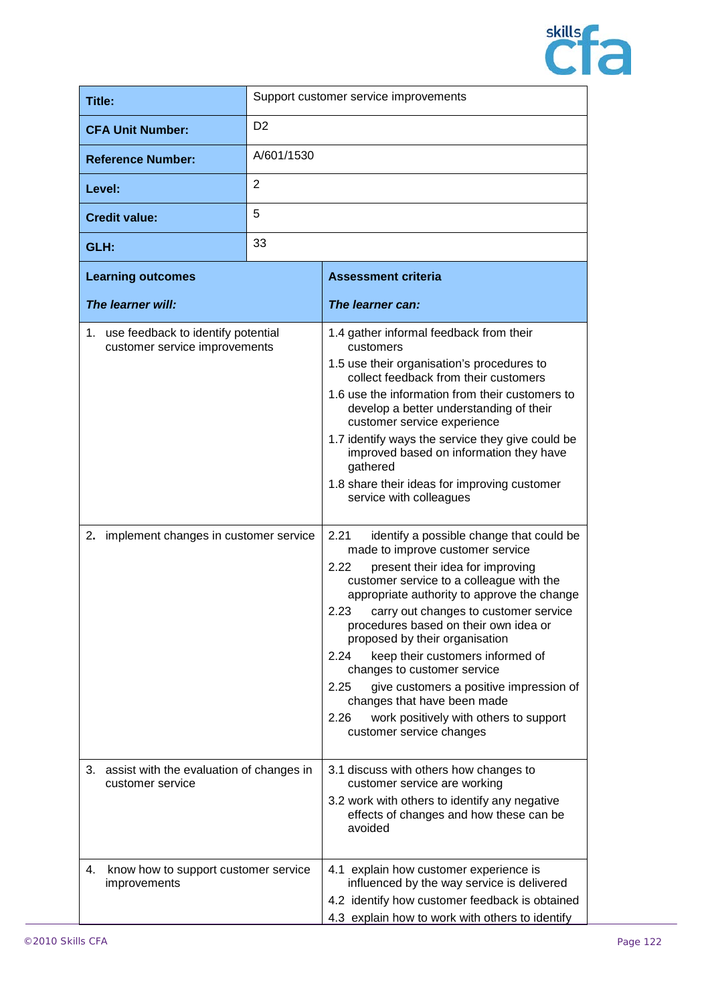

| Title:                                                                                                             |                | Support customer service improvements                                                                                                                                                                                                                                                                                                                                                                                                                                                                                                                                                                                                                                                                                                                                                                                                                                                                                                                                                                                                                                |
|--------------------------------------------------------------------------------------------------------------------|----------------|----------------------------------------------------------------------------------------------------------------------------------------------------------------------------------------------------------------------------------------------------------------------------------------------------------------------------------------------------------------------------------------------------------------------------------------------------------------------------------------------------------------------------------------------------------------------------------------------------------------------------------------------------------------------------------------------------------------------------------------------------------------------------------------------------------------------------------------------------------------------------------------------------------------------------------------------------------------------------------------------------------------------------------------------------------------------|
| <b>CFA Unit Number:</b>                                                                                            | D <sub>2</sub> |                                                                                                                                                                                                                                                                                                                                                                                                                                                                                                                                                                                                                                                                                                                                                                                                                                                                                                                                                                                                                                                                      |
| <b>Reference Number:</b>                                                                                           | A/601/1530     |                                                                                                                                                                                                                                                                                                                                                                                                                                                                                                                                                                                                                                                                                                                                                                                                                                                                                                                                                                                                                                                                      |
| Level:                                                                                                             | 2              |                                                                                                                                                                                                                                                                                                                                                                                                                                                                                                                                                                                                                                                                                                                                                                                                                                                                                                                                                                                                                                                                      |
| <b>Credit value:</b>                                                                                               | 5              |                                                                                                                                                                                                                                                                                                                                                                                                                                                                                                                                                                                                                                                                                                                                                                                                                                                                                                                                                                                                                                                                      |
| GLH:                                                                                                               | 33             |                                                                                                                                                                                                                                                                                                                                                                                                                                                                                                                                                                                                                                                                                                                                                                                                                                                                                                                                                                                                                                                                      |
| <b>Learning outcomes</b>                                                                                           |                | <b>Assessment criteria</b>                                                                                                                                                                                                                                                                                                                                                                                                                                                                                                                                                                                                                                                                                                                                                                                                                                                                                                                                                                                                                                           |
| The learner will:                                                                                                  |                | The learner can:                                                                                                                                                                                                                                                                                                                                                                                                                                                                                                                                                                                                                                                                                                                                                                                                                                                                                                                                                                                                                                                     |
| 1. use feedback to identify potential<br>customer service improvements<br>2. implement changes in customer service |                | 1.4 gather informal feedback from their<br>customers<br>1.5 use their organisation's procedures to<br>collect feedback from their customers<br>1.6 use the information from their customers to<br>develop a better understanding of their<br>customer service experience<br>1.7 identify ways the service they give could be<br>improved based on information they have<br>gathered<br>1.8 share their ideas for improving customer<br>service with colleagues<br>2.21<br>identify a possible change that could be<br>made to improve customer service<br>2.22<br>present their idea for improving<br>customer service to a colleague with the<br>appropriate authority to approve the change<br>2.23<br>carry out changes to customer service<br>procedures based on their own idea or<br>proposed by their organisation<br>2.24<br>keep their customers informed of<br>changes to customer service<br>2.25<br>give customers a positive impression of<br>changes that have been made<br>2.26<br>work positively with others to support<br>customer service changes |
| 3. assist with the evaluation of changes in<br>customer service                                                    |                | 3.1 discuss with others how changes to<br>customer service are working<br>3.2 work with others to identify any negative<br>effects of changes and how these can be<br>avoided                                                                                                                                                                                                                                                                                                                                                                                                                                                                                                                                                                                                                                                                                                                                                                                                                                                                                        |
| 4.<br>know how to support customer service<br>improvements                                                         |                | 4.1 explain how customer experience is<br>influenced by the way service is delivered<br>4.2 identify how customer feedback is obtained<br>4.3 explain how to work with others to identify                                                                                                                                                                                                                                                                                                                                                                                                                                                                                                                                                                                                                                                                                                                                                                                                                                                                            |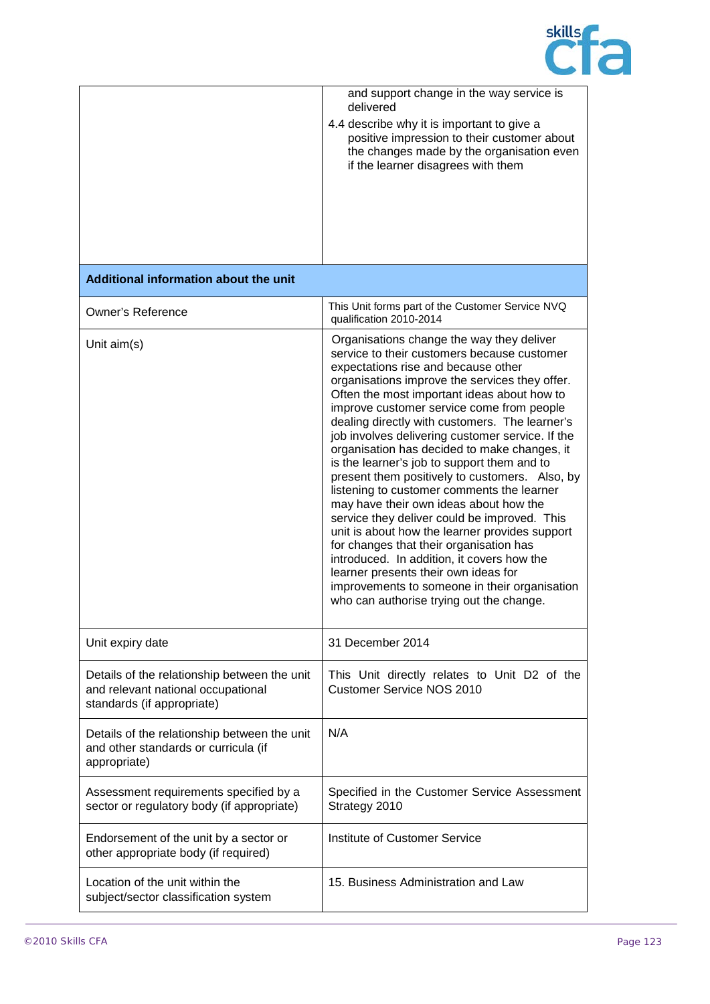

|                                                                                                                  | and support change in the way service is<br>delivered<br>4.4 describe why it is important to give a<br>positive impression to their customer about<br>the changes made by the organisation even<br>if the learner disagrees with them                                                                                                                                                                                                                                                                                                                                                                                                                                                                                                                                                                                                                                                                                                                        |
|------------------------------------------------------------------------------------------------------------------|--------------------------------------------------------------------------------------------------------------------------------------------------------------------------------------------------------------------------------------------------------------------------------------------------------------------------------------------------------------------------------------------------------------------------------------------------------------------------------------------------------------------------------------------------------------------------------------------------------------------------------------------------------------------------------------------------------------------------------------------------------------------------------------------------------------------------------------------------------------------------------------------------------------------------------------------------------------|
| Additional information about the unit                                                                            |                                                                                                                                                                                                                                                                                                                                                                                                                                                                                                                                                                                                                                                                                                                                                                                                                                                                                                                                                              |
| <b>Owner's Reference</b>                                                                                         | This Unit forms part of the Customer Service NVQ<br>qualification 2010-2014                                                                                                                                                                                                                                                                                                                                                                                                                                                                                                                                                                                                                                                                                                                                                                                                                                                                                  |
| Unit aim(s)                                                                                                      | Organisations change the way they deliver<br>service to their customers because customer<br>expectations rise and because other<br>organisations improve the services they offer.<br>Often the most important ideas about how to<br>improve customer service come from people<br>dealing directly with customers. The learner's<br>job involves delivering customer service. If the<br>organisation has decided to make changes, it<br>is the learner's job to support them and to<br>present them positively to customers. Also, by<br>listening to customer comments the learner<br>may have their own ideas about how the<br>service they deliver could be improved. This<br>unit is about how the learner provides support<br>for changes that their organisation has<br>introduced. In addition, it covers how the<br>learner presents their own ideas for<br>improvements to someone in their organisation<br>who can authorise trying out the change. |
| Unit expiry date                                                                                                 | 31 December 2014                                                                                                                                                                                                                                                                                                                                                                                                                                                                                                                                                                                                                                                                                                                                                                                                                                                                                                                                             |
| Details of the relationship between the unit<br>and relevant national occupational<br>standards (if appropriate) | This Unit directly relates to Unit D2 of the<br><b>Customer Service NOS 2010</b>                                                                                                                                                                                                                                                                                                                                                                                                                                                                                                                                                                                                                                                                                                                                                                                                                                                                             |
| Details of the relationship between the unit<br>and other standards or curricula (if<br>appropriate)             | N/A                                                                                                                                                                                                                                                                                                                                                                                                                                                                                                                                                                                                                                                                                                                                                                                                                                                                                                                                                          |
| Assessment requirements specified by a<br>sector or regulatory body (if appropriate)                             | Specified in the Customer Service Assessment<br>Strategy 2010                                                                                                                                                                                                                                                                                                                                                                                                                                                                                                                                                                                                                                                                                                                                                                                                                                                                                                |
| Endorsement of the unit by a sector or<br>other appropriate body (if required)                                   | Institute of Customer Service                                                                                                                                                                                                                                                                                                                                                                                                                                                                                                                                                                                                                                                                                                                                                                                                                                                                                                                                |
| Location of the unit within the<br>subject/sector classification system                                          | 15. Business Administration and Law                                                                                                                                                                                                                                                                                                                                                                                                                                                                                                                                                                                                                                                                                                                                                                                                                                                                                                                          |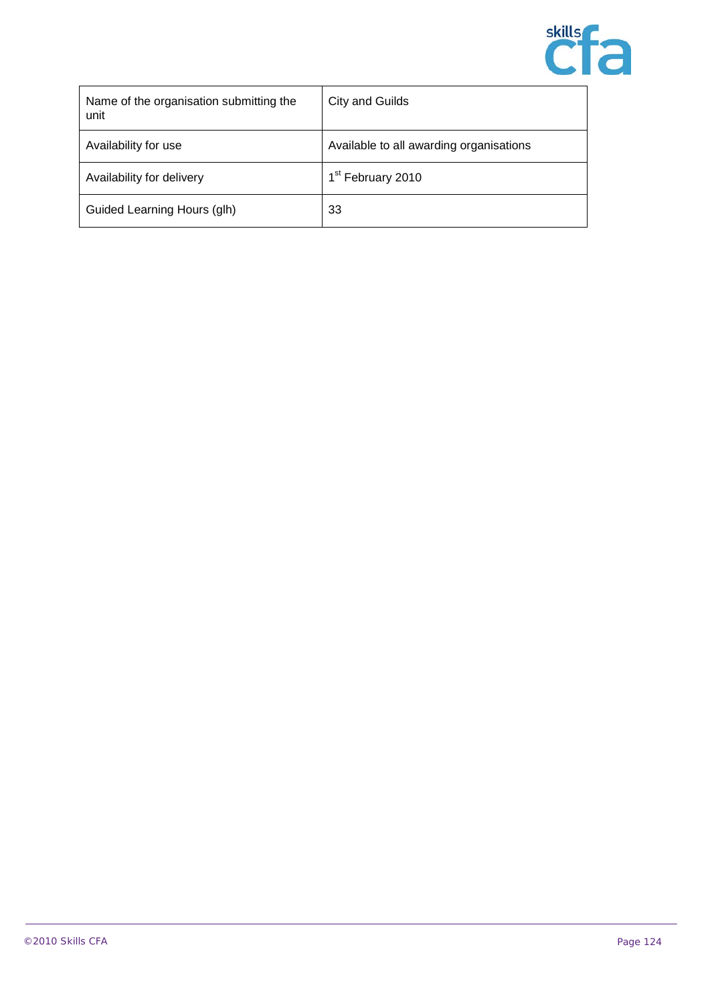

| Name of the organisation submitting the<br>unit | City and Guilds                         |
|-------------------------------------------------|-----------------------------------------|
| Availability for use                            | Available to all awarding organisations |
| Availability for delivery                       | 1 <sup>st</sup> February 2010           |
| Guided Learning Hours (glh)                     | 33                                      |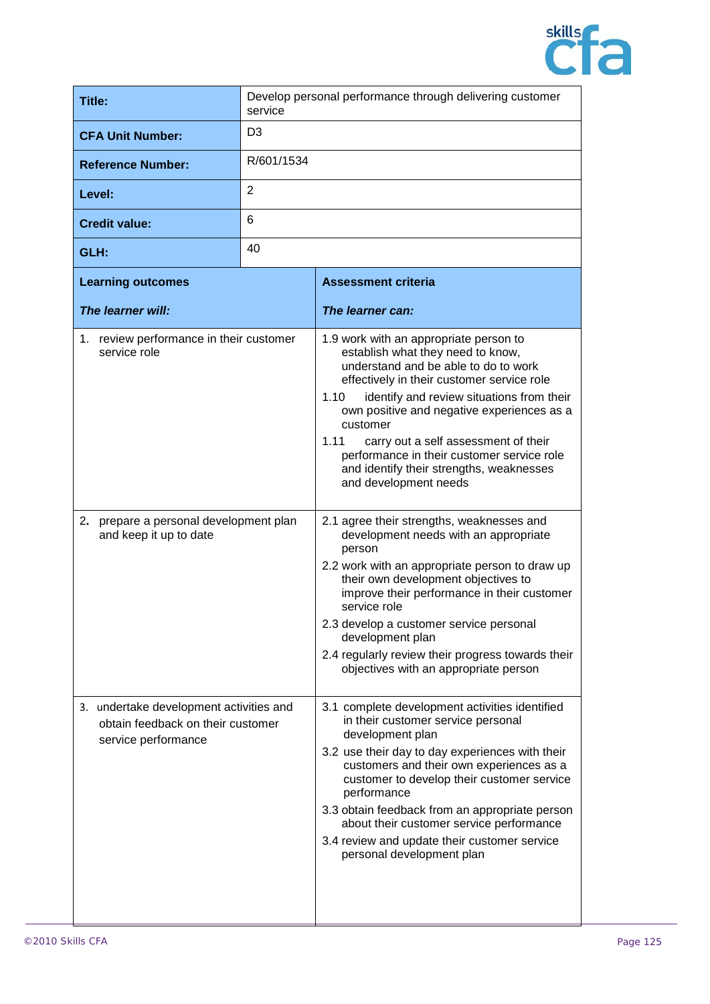

| Title:                                                                                                                      | Develop personal performance through delivering customer<br>service |                                                                                                                                                                                                                                                                                                                                                                                                                                                                                                                                                                                                                                                                                                                                                                                                                                                                          |
|-----------------------------------------------------------------------------------------------------------------------------|---------------------------------------------------------------------|--------------------------------------------------------------------------------------------------------------------------------------------------------------------------------------------------------------------------------------------------------------------------------------------------------------------------------------------------------------------------------------------------------------------------------------------------------------------------------------------------------------------------------------------------------------------------------------------------------------------------------------------------------------------------------------------------------------------------------------------------------------------------------------------------------------------------------------------------------------------------|
| <b>CFA Unit Number:</b>                                                                                                     | D <sub>3</sub>                                                      |                                                                                                                                                                                                                                                                                                                                                                                                                                                                                                                                                                                                                                                                                                                                                                                                                                                                          |
| <b>Reference Number:</b>                                                                                                    | R/601/1534                                                          |                                                                                                                                                                                                                                                                                                                                                                                                                                                                                                                                                                                                                                                                                                                                                                                                                                                                          |
| Level:                                                                                                                      | 2                                                                   |                                                                                                                                                                                                                                                                                                                                                                                                                                                                                                                                                                                                                                                                                                                                                                                                                                                                          |
| <b>Credit value:</b>                                                                                                        | 6                                                                   |                                                                                                                                                                                                                                                                                                                                                                                                                                                                                                                                                                                                                                                                                                                                                                                                                                                                          |
| GLH:                                                                                                                        | 40                                                                  |                                                                                                                                                                                                                                                                                                                                                                                                                                                                                                                                                                                                                                                                                                                                                                                                                                                                          |
| <b>Learning outcomes</b>                                                                                                    |                                                                     | <b>Assessment criteria</b>                                                                                                                                                                                                                                                                                                                                                                                                                                                                                                                                                                                                                                                                                                                                                                                                                                               |
| The learner will:                                                                                                           |                                                                     | The learner can:                                                                                                                                                                                                                                                                                                                                                                                                                                                                                                                                                                                                                                                                                                                                                                                                                                                         |
| 1. review performance in their customer<br>service role<br>2. prepare a personal development plan<br>and keep it up to date |                                                                     | 1.9 work with an appropriate person to<br>establish what they need to know,<br>understand and be able to do to work<br>effectively in their customer service role<br>identify and review situations from their<br>1.10<br>own positive and negative experiences as a<br>customer<br>1.11<br>carry out a self assessment of their<br>performance in their customer service role<br>and identify their strengths, weaknesses<br>and development needs<br>2.1 agree their strengths, weaknesses and<br>development needs with an appropriate<br>person<br>2.2 work with an appropriate person to draw up<br>their own development objectives to<br>improve their performance in their customer<br>service role<br>2.3 develop a customer service personal<br>development plan<br>2.4 regularly review their progress towards their<br>objectives with an appropriate person |
| 3. undertake development activities and<br>obtain feedback on their customer<br>service performance                         |                                                                     | 3.1 complete development activities identified<br>in their customer service personal<br>development plan<br>3.2 use their day to day experiences with their<br>customers and their own experiences as a<br>customer to develop their customer service<br>performance<br>3.3 obtain feedback from an appropriate person<br>about their customer service performance<br>3.4 review and update their customer service<br>personal development plan                                                                                                                                                                                                                                                                                                                                                                                                                          |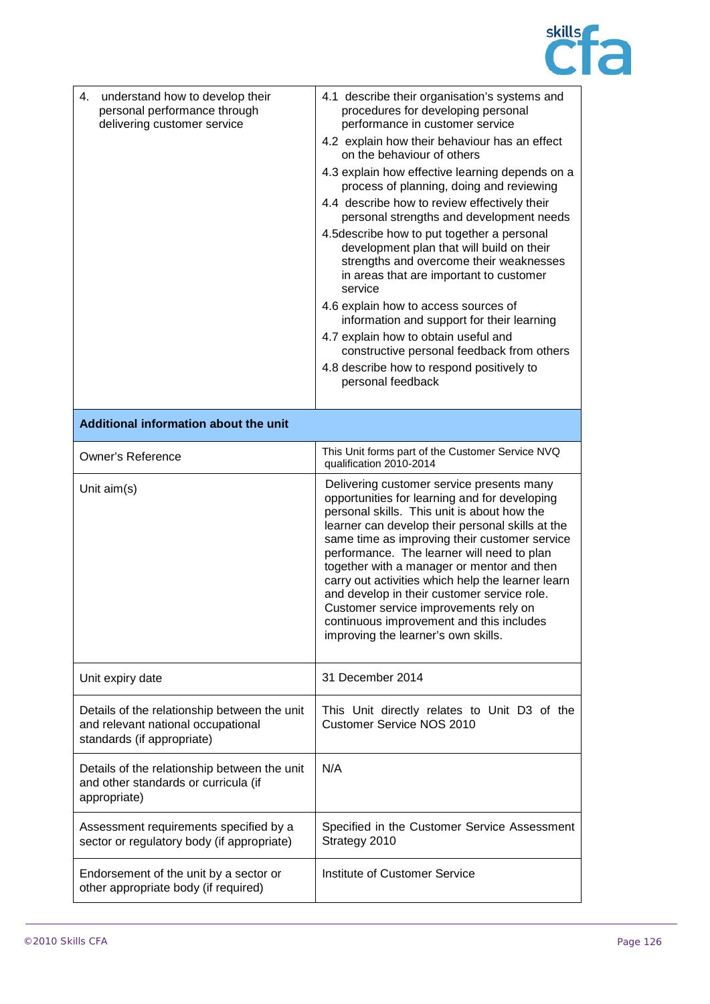

| 4.<br>understand how to develop their<br>personal performance through<br>delivering customer service             | 4.1 describe their organisation's systems and<br>procedures for developing personal<br>performance in customer service<br>4.2 explain how their behaviour has an effect<br>on the behaviour of others<br>4.3 explain how effective learning depends on a<br>process of planning, doing and reviewing<br>4.4 describe how to review effectively their<br>personal strengths and development needs<br>4.5 describe how to put together a personal<br>development plan that will build on their<br>strengths and overcome their weaknesses<br>in areas that are important to customer<br>service<br>4.6 explain how to access sources of<br>information and support for their learning<br>4.7 explain how to obtain useful and<br>constructive personal feedback from others<br>4.8 describe how to respond positively to<br>personal feedback |
|------------------------------------------------------------------------------------------------------------------|---------------------------------------------------------------------------------------------------------------------------------------------------------------------------------------------------------------------------------------------------------------------------------------------------------------------------------------------------------------------------------------------------------------------------------------------------------------------------------------------------------------------------------------------------------------------------------------------------------------------------------------------------------------------------------------------------------------------------------------------------------------------------------------------------------------------------------------------|
| Additional information about the unit                                                                            |                                                                                                                                                                                                                                                                                                                                                                                                                                                                                                                                                                                                                                                                                                                                                                                                                                             |
| <b>Owner's Reference</b>                                                                                         | This Unit forms part of the Customer Service NVQ<br>qualification 2010-2014                                                                                                                                                                                                                                                                                                                                                                                                                                                                                                                                                                                                                                                                                                                                                                 |
| Unit aim(s)                                                                                                      | Delivering customer service presents many<br>opportunities for learning and for developing<br>personal skills. This unit is about how the<br>learner can develop their personal skills at the<br>same time as improving their customer service<br>performance. The learner will need to plan<br>together with a manager or mentor and then<br>carry out activities which help the learner learn<br>and develop in their customer service role.<br>Customer service improvements rely on<br>continuous improvement and this includes<br>improving the learner's own skills.                                                                                                                                                                                                                                                                  |
| Unit expiry date                                                                                                 | 31 December 2014                                                                                                                                                                                                                                                                                                                                                                                                                                                                                                                                                                                                                                                                                                                                                                                                                            |
| Details of the relationship between the unit<br>and relevant national occupational<br>standards (if appropriate) | This Unit directly relates to Unit D3 of the<br><b>Customer Service NOS 2010</b>                                                                                                                                                                                                                                                                                                                                                                                                                                                                                                                                                                                                                                                                                                                                                            |
| Details of the relationship between the unit<br>and other standards or curricula (if<br>appropriate)             | N/A                                                                                                                                                                                                                                                                                                                                                                                                                                                                                                                                                                                                                                                                                                                                                                                                                                         |
| Assessment requirements specified by a<br>sector or regulatory body (if appropriate)                             | Specified in the Customer Service Assessment<br>Strategy 2010                                                                                                                                                                                                                                                                                                                                                                                                                                                                                                                                                                                                                                                                                                                                                                               |
| Endorsement of the unit by a sector or<br>other appropriate body (if required)                                   | Institute of Customer Service                                                                                                                                                                                                                                                                                                                                                                                                                                                                                                                                                                                                                                                                                                                                                                                                               |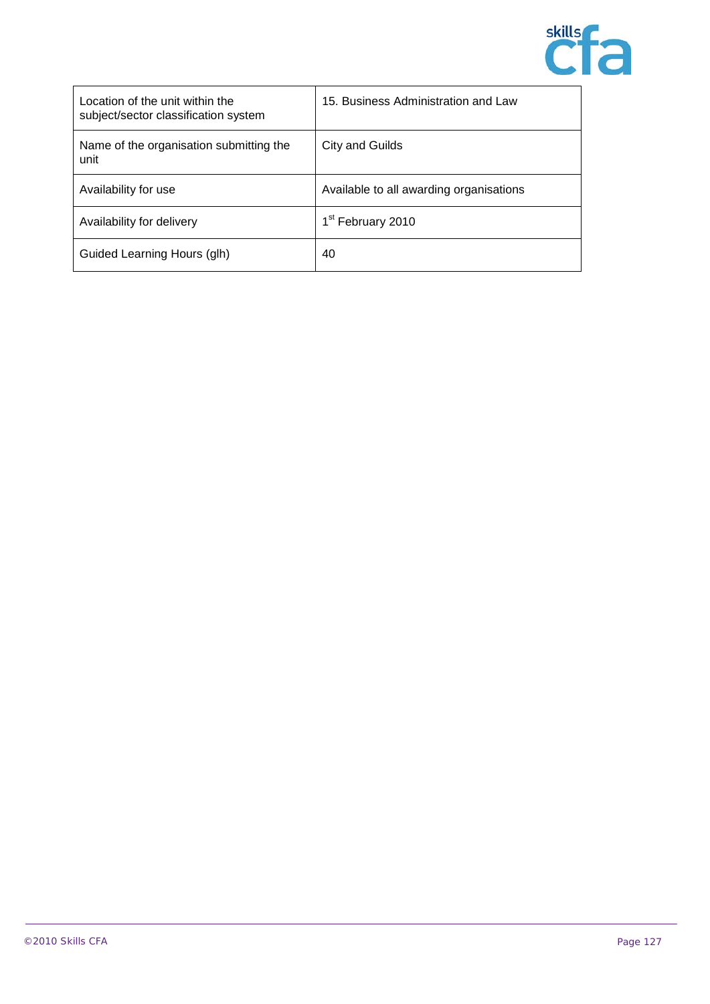

| Location of the unit within the<br>subject/sector classification system | 15. Business Administration and Law     |
|-------------------------------------------------------------------------|-----------------------------------------|
| Name of the organisation submitting the<br>unit                         | City and Guilds                         |
| Availability for use                                                    | Available to all awarding organisations |
| Availability for delivery                                               | 1 <sup>st</sup> February 2010           |
| Guided Learning Hours (glh)                                             | 40                                      |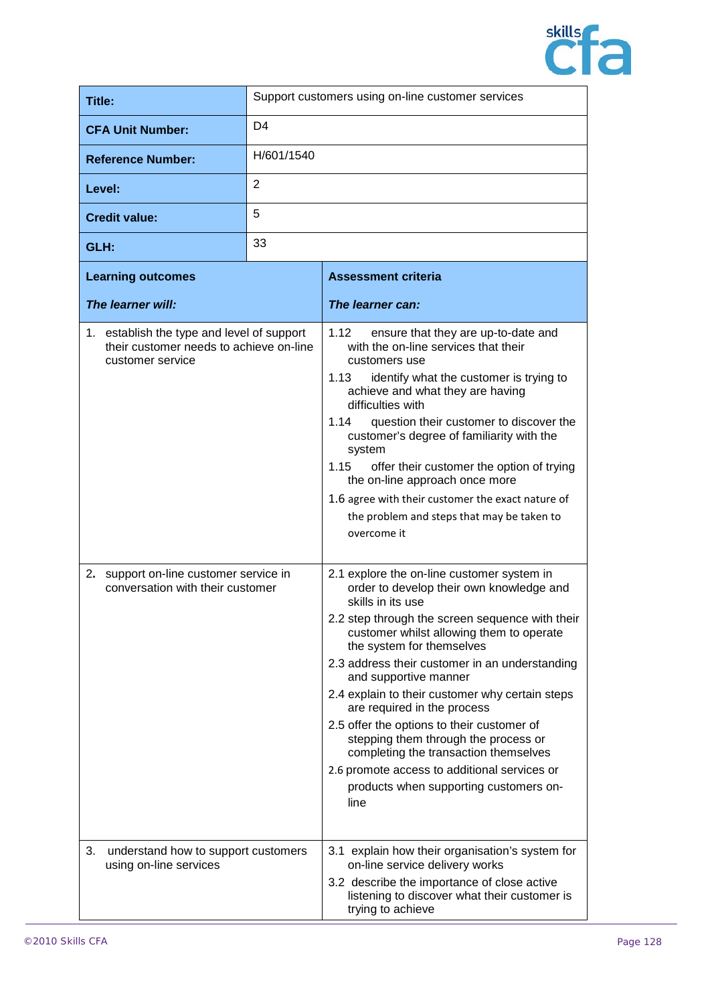

| Title:                                                                                                                                                                                     |                | Support customers using on-line customer services                                                                                                                                                                                                                                                                                                                                                                                                                                                                                                                                                                             |
|--------------------------------------------------------------------------------------------------------------------------------------------------------------------------------------------|----------------|-------------------------------------------------------------------------------------------------------------------------------------------------------------------------------------------------------------------------------------------------------------------------------------------------------------------------------------------------------------------------------------------------------------------------------------------------------------------------------------------------------------------------------------------------------------------------------------------------------------------------------|
| <b>CFA Unit Number:</b>                                                                                                                                                                    | D <sub>4</sub> |                                                                                                                                                                                                                                                                                                                                                                                                                                                                                                                                                                                                                               |
| <b>Reference Number:</b>                                                                                                                                                                   | H/601/1540     |                                                                                                                                                                                                                                                                                                                                                                                                                                                                                                                                                                                                                               |
| Level:                                                                                                                                                                                     | 2              |                                                                                                                                                                                                                                                                                                                                                                                                                                                                                                                                                                                                                               |
| <b>Credit value:</b>                                                                                                                                                                       | 5              |                                                                                                                                                                                                                                                                                                                                                                                                                                                                                                                                                                                                                               |
| GLH:                                                                                                                                                                                       | 33             |                                                                                                                                                                                                                                                                                                                                                                                                                                                                                                                                                                                                                               |
| <b>Learning outcomes</b>                                                                                                                                                                   |                | <b>Assessment criteria</b>                                                                                                                                                                                                                                                                                                                                                                                                                                                                                                                                                                                                    |
| The learner will:                                                                                                                                                                          |                | The learner can:                                                                                                                                                                                                                                                                                                                                                                                                                                                                                                                                                                                                              |
| 1. establish the type and level of support<br>their customer needs to achieve on-line<br>customer service<br>support on-line customer service in<br>2.<br>conversation with their customer |                | 1.12<br>ensure that they are up-to-date and<br>with the on-line services that their<br>customers use<br>1.13<br>identify what the customer is trying to<br>achieve and what they are having<br>difficulties with<br>1.14<br>question their customer to discover the<br>customer's degree of familiarity with the<br>system<br>1.15<br>offer their customer the option of trying<br>the on-line approach once more<br>1.6 agree with their customer the exact nature of<br>the problem and steps that may be taken to<br>overcome it<br>2.1 explore the on-line customer system in<br>order to develop their own knowledge and |
| 3.<br>understand how to support customers                                                                                                                                                  |                | skills in its use<br>2.2 step through the screen sequence with their<br>customer whilst allowing them to operate<br>the system for themselves<br>2.3 address their customer in an understanding<br>and supportive manner<br>2.4 explain to their customer why certain steps<br>are required in the process<br>2.5 offer the options to their customer of<br>stepping them through the process or<br>completing the transaction themselves<br>2.6 promote access to additional services or<br>products when supporting customers on-<br>line<br>3.1 explain how their organisation's system for                                |
| using on-line services                                                                                                                                                                     |                | on-line service delivery works<br>3.2 describe the importance of close active<br>listening to discover what their customer is<br>trying to achieve                                                                                                                                                                                                                                                                                                                                                                                                                                                                            |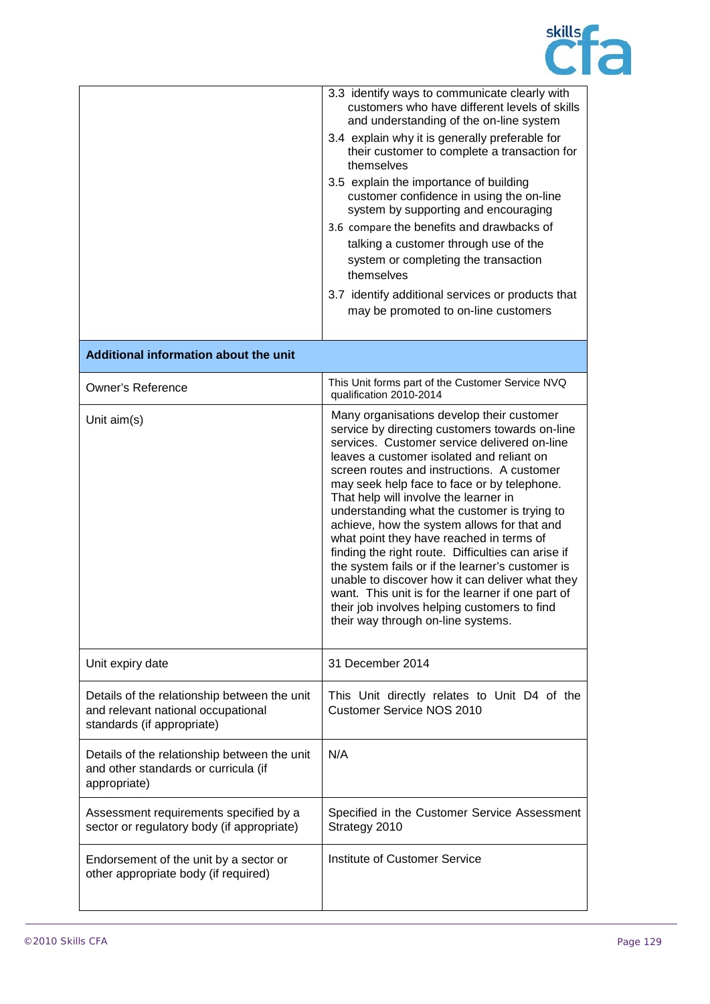

|                                                                                                                  | 3.3 identify ways to communicate clearly with<br>customers who have different levels of skills<br>and understanding of the on-line system<br>3.4 explain why it is generally preferable for<br>their customer to complete a transaction for<br>themselves<br>3.5 explain the importance of building<br>customer confidence in using the on-line<br>system by supporting and encouraging<br>3.6 compare the benefits and drawbacks of<br>talking a customer through use of the<br>system or completing the transaction<br>themselves<br>3.7 identify additional services or products that<br>may be promoted to on-line customers                                                                                                                                                  |
|------------------------------------------------------------------------------------------------------------------|-----------------------------------------------------------------------------------------------------------------------------------------------------------------------------------------------------------------------------------------------------------------------------------------------------------------------------------------------------------------------------------------------------------------------------------------------------------------------------------------------------------------------------------------------------------------------------------------------------------------------------------------------------------------------------------------------------------------------------------------------------------------------------------|
| Additional information about the unit                                                                            |                                                                                                                                                                                                                                                                                                                                                                                                                                                                                                                                                                                                                                                                                                                                                                                   |
| <b>Owner's Reference</b>                                                                                         | This Unit forms part of the Customer Service NVQ<br>qualification 2010-2014                                                                                                                                                                                                                                                                                                                                                                                                                                                                                                                                                                                                                                                                                                       |
| Unit $aim(s)$                                                                                                    | Many organisations develop their customer<br>service by directing customers towards on-line<br>services. Customer service delivered on-line<br>leaves a customer isolated and reliant on<br>screen routes and instructions. A customer<br>may seek help face to face or by telephone.<br>That help will involve the learner in<br>understanding what the customer is trying to<br>achieve, how the system allows for that and<br>what point they have reached in terms of<br>finding the right route. Difficulties can arise if<br>the system fails or if the learner's customer is<br>unable to discover how it can deliver what they<br>want. This unit is for the learner if one part of<br>their job involves helping customers to find<br>their way through on-line systems. |
| Unit expiry date                                                                                                 | 31 December 2014                                                                                                                                                                                                                                                                                                                                                                                                                                                                                                                                                                                                                                                                                                                                                                  |
| Details of the relationship between the unit<br>and relevant national occupational<br>standards (if appropriate) | This Unit directly relates to Unit D4 of the<br><b>Customer Service NOS 2010</b>                                                                                                                                                                                                                                                                                                                                                                                                                                                                                                                                                                                                                                                                                                  |
| Details of the relationship between the unit<br>and other standards or curricula (if<br>appropriate)             | N/A                                                                                                                                                                                                                                                                                                                                                                                                                                                                                                                                                                                                                                                                                                                                                                               |
| Assessment requirements specified by a<br>sector or regulatory body (if appropriate)                             | Specified in the Customer Service Assessment<br>Strategy 2010                                                                                                                                                                                                                                                                                                                                                                                                                                                                                                                                                                                                                                                                                                                     |
| Endorsement of the unit by a sector or<br>other appropriate body (if required)                                   | Institute of Customer Service                                                                                                                                                                                                                                                                                                                                                                                                                                                                                                                                                                                                                                                                                                                                                     |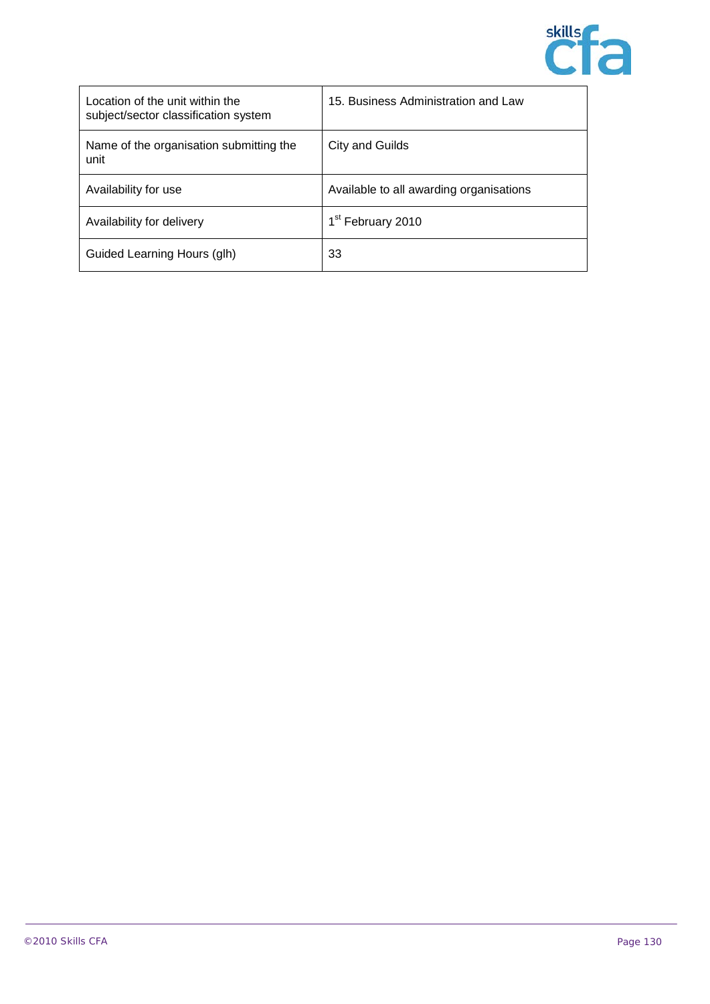

| Location of the unit within the<br>subject/sector classification system | 15. Business Administration and Law     |
|-------------------------------------------------------------------------|-----------------------------------------|
| Name of the organisation submitting the<br>unit                         | City and Guilds                         |
| Availability for use                                                    | Available to all awarding organisations |
| Availability for delivery                                               | 1 <sup>st</sup> February 2010           |
| Guided Learning Hours (glh)                                             | 33                                      |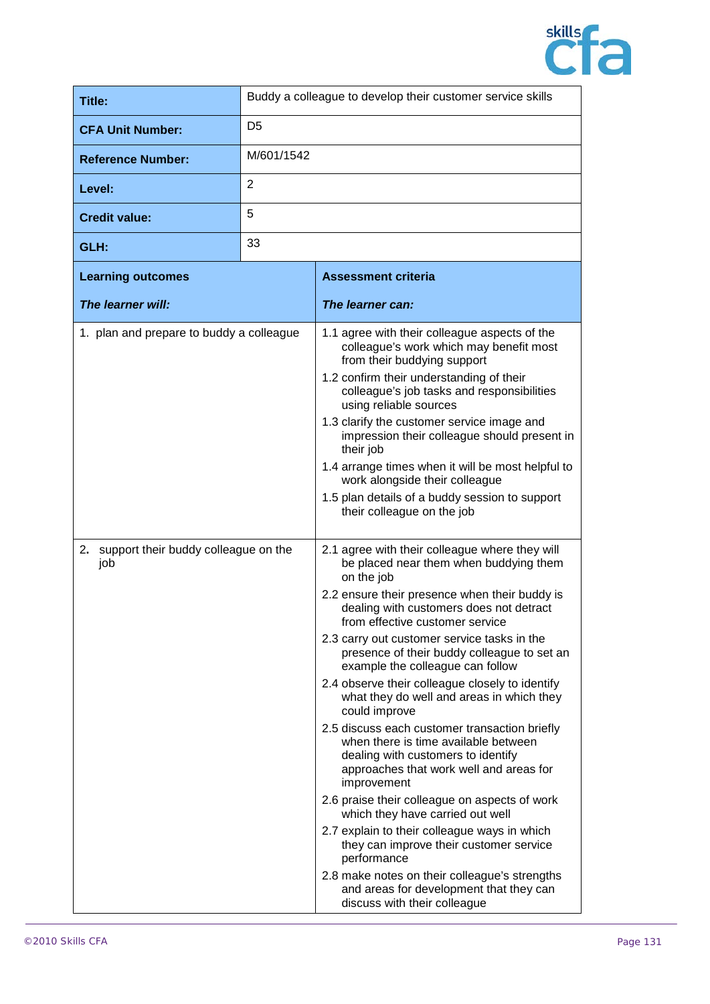

| <b>Title:</b>                                                                       |                | Buddy a colleague to develop their customer service skills                                                                                                                                                                                                                                                                                                                                                                                                                                                                                                                                                                                                                                                                                                                                                                                                                                                       |
|-------------------------------------------------------------------------------------|----------------|------------------------------------------------------------------------------------------------------------------------------------------------------------------------------------------------------------------------------------------------------------------------------------------------------------------------------------------------------------------------------------------------------------------------------------------------------------------------------------------------------------------------------------------------------------------------------------------------------------------------------------------------------------------------------------------------------------------------------------------------------------------------------------------------------------------------------------------------------------------------------------------------------------------|
| <b>CFA Unit Number:</b>                                                             | D <sub>5</sub> |                                                                                                                                                                                                                                                                                                                                                                                                                                                                                                                                                                                                                                                                                                                                                                                                                                                                                                                  |
| <b>Reference Number:</b>                                                            | M/601/1542     |                                                                                                                                                                                                                                                                                                                                                                                                                                                                                                                                                                                                                                                                                                                                                                                                                                                                                                                  |
| Level:                                                                              | $\overline{2}$ |                                                                                                                                                                                                                                                                                                                                                                                                                                                                                                                                                                                                                                                                                                                                                                                                                                                                                                                  |
| <b>Credit value:</b>                                                                | 5              |                                                                                                                                                                                                                                                                                                                                                                                                                                                                                                                                                                                                                                                                                                                                                                                                                                                                                                                  |
| GLH:                                                                                | 33             |                                                                                                                                                                                                                                                                                                                                                                                                                                                                                                                                                                                                                                                                                                                                                                                                                                                                                                                  |
| <b>Learning outcomes</b>                                                            |                | <b>Assessment criteria</b>                                                                                                                                                                                                                                                                                                                                                                                                                                                                                                                                                                                                                                                                                                                                                                                                                                                                                       |
| The learner will:                                                                   |                | The learner can:                                                                                                                                                                                                                                                                                                                                                                                                                                                                                                                                                                                                                                                                                                                                                                                                                                                                                                 |
| 1. plan and prepare to buddy a colleague<br>2. support their buddy colleague on the |                | 1.1 agree with their colleague aspects of the<br>colleague's work which may benefit most<br>from their buddying support<br>1.2 confirm their understanding of their<br>colleague's job tasks and responsibilities<br>using reliable sources<br>1.3 clarify the customer service image and<br>impression their colleague should present in<br>their job<br>1.4 arrange times when it will be most helpful to<br>work alongside their colleague<br>1.5 plan details of a buddy session to support<br>their colleague on the job<br>2.1 agree with their colleague where they will<br>be placed near them when buddying them                                                                                                                                                                                                                                                                                        |
| job                                                                                 |                | on the job<br>2.2 ensure their presence when their buddy is<br>dealing with customers does not detract<br>from effective customer service<br>2.3 carry out customer service tasks in the<br>presence of their buddy colleague to set an<br>example the colleague can follow<br>2.4 observe their colleague closely to identify<br>what they do well and areas in which they<br>could improve<br>2.5 discuss each customer transaction briefly<br>when there is time available between<br>dealing with customers to identify<br>approaches that work well and areas for<br>improvement<br>2.6 praise their colleague on aspects of work<br>which they have carried out well<br>2.7 explain to their colleague ways in which<br>they can improve their customer service<br>performance<br>2.8 make notes on their colleague's strengths<br>and areas for development that they can<br>discuss with their colleague |

 $\mathbf{r}$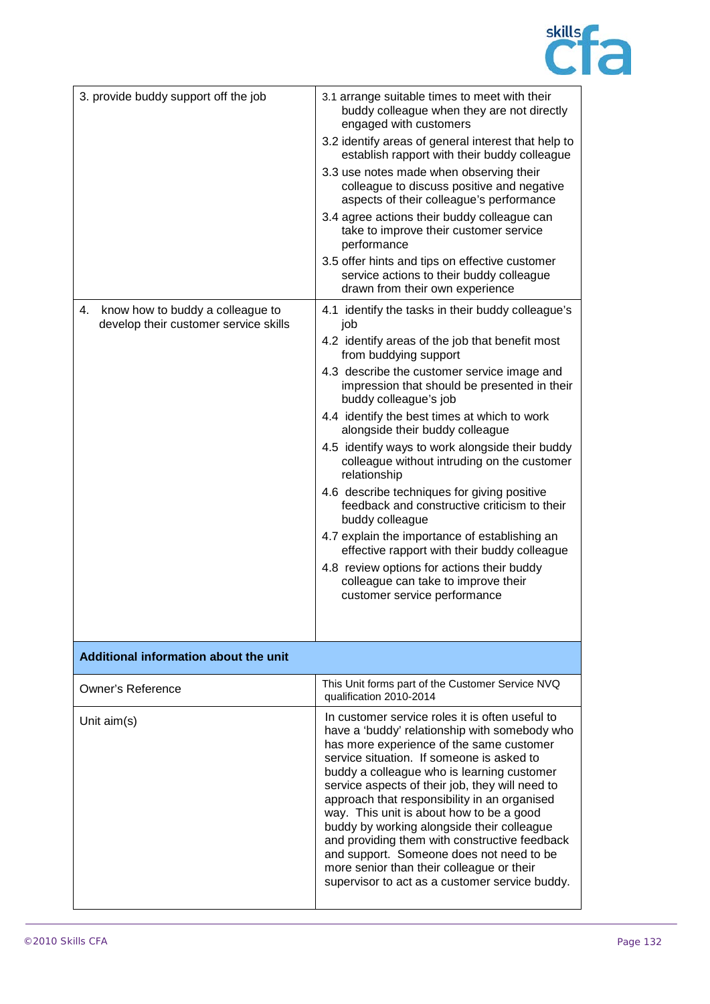

| 3. provide buddy support off the job                                            | 3.1 arrange suitable times to meet with their<br>buddy colleague when they are not directly<br>engaged with customers<br>3.2 identify areas of general interest that help to<br>establish rapport with their buddy colleague<br>3.3 use notes made when observing their<br>colleague to discuss positive and negative<br>aspects of their colleague's performance<br>3.4 agree actions their buddy colleague can<br>take to improve their customer service<br>performance<br>3.5 offer hints and tips on effective customer<br>service actions to their buddy colleague                                                                                                                                                                                                                                   |
|---------------------------------------------------------------------------------|-----------------------------------------------------------------------------------------------------------------------------------------------------------------------------------------------------------------------------------------------------------------------------------------------------------------------------------------------------------------------------------------------------------------------------------------------------------------------------------------------------------------------------------------------------------------------------------------------------------------------------------------------------------------------------------------------------------------------------------------------------------------------------------------------------------|
|                                                                                 | drawn from their own experience                                                                                                                                                                                                                                                                                                                                                                                                                                                                                                                                                                                                                                                                                                                                                                           |
| know how to buddy a colleague to<br>4.<br>develop their customer service skills | 4.1 identify the tasks in their buddy colleague's<br>job<br>4.2 identify areas of the job that benefit most<br>from buddying support<br>4.3 describe the customer service image and<br>impression that should be presented in their<br>buddy colleague's job<br>4.4 identify the best times at which to work<br>alongside their buddy colleague<br>4.5 identify ways to work alongside their buddy<br>colleague without intruding on the customer<br>relationship<br>4.6 describe techniques for giving positive<br>feedback and constructive criticism to their<br>buddy colleague<br>4.7 explain the importance of establishing an<br>effective rapport with their buddy colleague<br>4.8 review options for actions their buddy<br>colleague can take to improve their<br>customer service performance |
| Additional information about the unit                                           |                                                                                                                                                                                                                                                                                                                                                                                                                                                                                                                                                                                                                                                                                                                                                                                                           |
| <b>Owner's Reference</b>                                                        | This Unit forms part of the Customer Service NVQ<br>qualification 2010-2014                                                                                                                                                                                                                                                                                                                                                                                                                                                                                                                                                                                                                                                                                                                               |
| Unit aim(s)                                                                     | In customer service roles it is often useful to<br>have a 'buddy' relationship with somebody who<br>has more experience of the same customer<br>service situation. If someone is asked to<br>buddy a colleague who is learning customer<br>service aspects of their job, they will need to<br>approach that responsibility in an organised<br>way. This unit is about how to be a good<br>buddy by working alongside their colleague<br>and providing them with constructive feedback<br>and support. Someone does not need to be<br>more senior than their colleague or their<br>supervisor to act as a customer service buddy.                                                                                                                                                                          |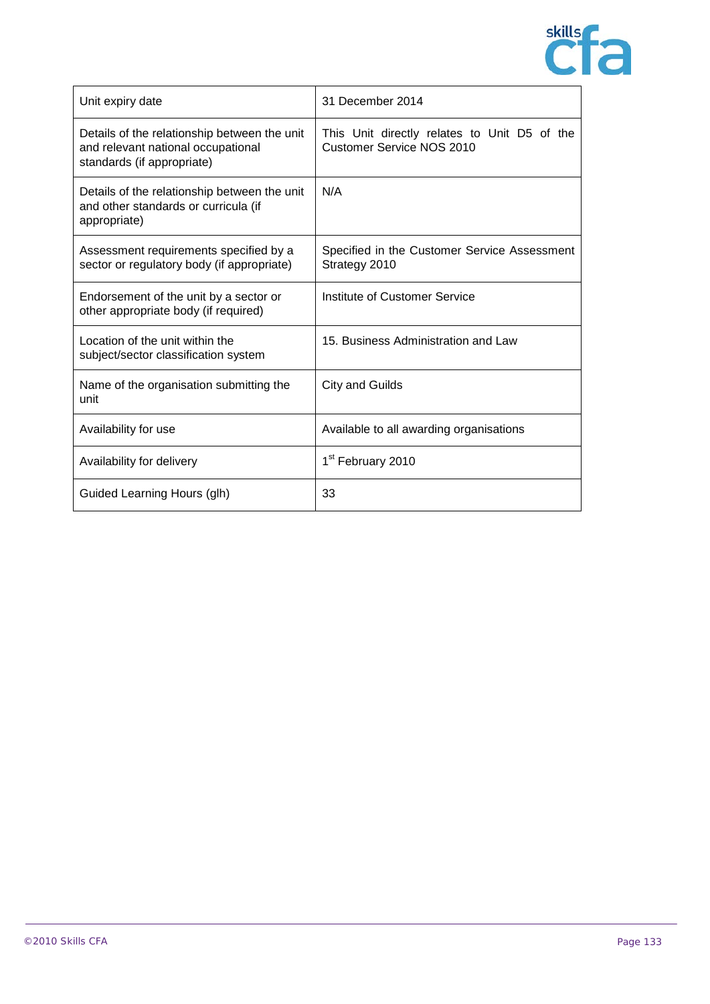

| Unit expiry date                                                                                                 | 31 December 2014                                                                 |
|------------------------------------------------------------------------------------------------------------------|----------------------------------------------------------------------------------|
| Details of the relationship between the unit<br>and relevant national occupational<br>standards (if appropriate) | This Unit directly relates to Unit D5 of the<br><b>Customer Service NOS 2010</b> |
| Details of the relationship between the unit<br>and other standards or curricula (if<br>appropriate)             | N/A                                                                              |
| Assessment requirements specified by a<br>sector or regulatory body (if appropriate)                             | Specified in the Customer Service Assessment<br>Strategy 2010                    |
| Endorsement of the unit by a sector or<br>other appropriate body (if required)                                   | Institute of Customer Service                                                    |
| Location of the unit within the<br>subject/sector classification system                                          | 15. Business Administration and Law                                              |
| Name of the organisation submitting the<br>unit                                                                  | <b>City and Guilds</b>                                                           |
| Availability for use                                                                                             | Available to all awarding organisations                                          |
| Availability for delivery                                                                                        | 1 <sup>st</sup> February 2010                                                    |
| Guided Learning Hours (glh)                                                                                      | 33                                                                               |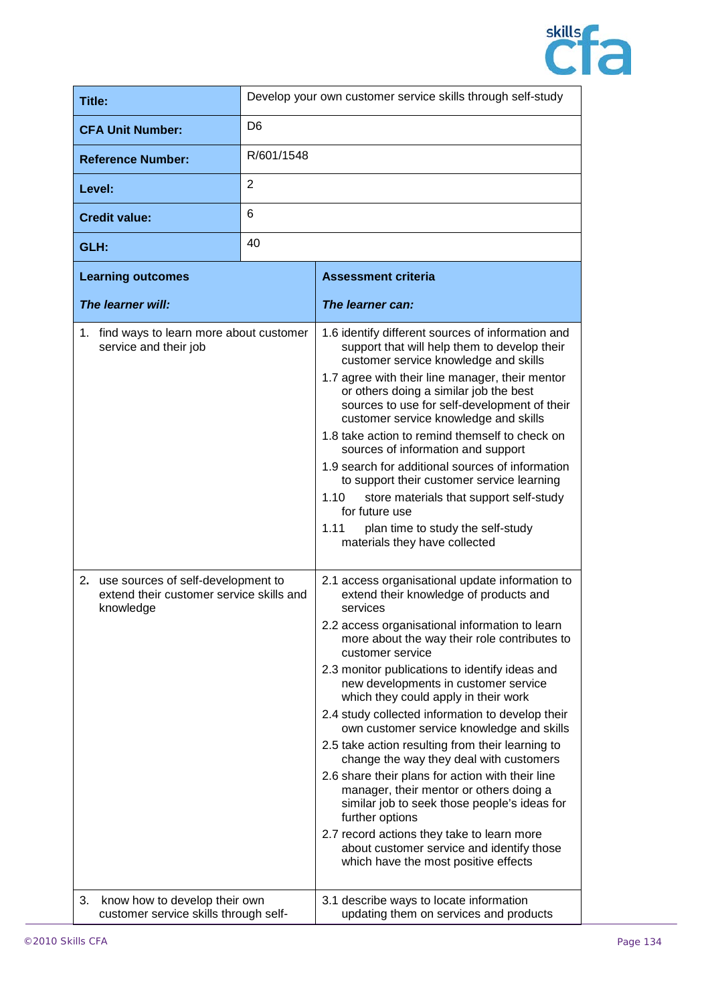

| Title:                                                                                                                                   |                | Develop your own customer service skills through self-study                                                                                                                                                                                                                                                                                                                                                                                                                                                                                                                                                                                                                                                                                                                                                                                                |
|------------------------------------------------------------------------------------------------------------------------------------------|----------------|------------------------------------------------------------------------------------------------------------------------------------------------------------------------------------------------------------------------------------------------------------------------------------------------------------------------------------------------------------------------------------------------------------------------------------------------------------------------------------------------------------------------------------------------------------------------------------------------------------------------------------------------------------------------------------------------------------------------------------------------------------------------------------------------------------------------------------------------------------|
| <b>CFA Unit Number:</b>                                                                                                                  | D <sub>6</sub> |                                                                                                                                                                                                                                                                                                                                                                                                                                                                                                                                                                                                                                                                                                                                                                                                                                                            |
| <b>Reference Number:</b>                                                                                                                 | R/601/1548     |                                                                                                                                                                                                                                                                                                                                                                                                                                                                                                                                                                                                                                                                                                                                                                                                                                                            |
| Level:                                                                                                                                   | $\overline{2}$ |                                                                                                                                                                                                                                                                                                                                                                                                                                                                                                                                                                                                                                                                                                                                                                                                                                                            |
| <b>Credit value:</b>                                                                                                                     | 6              |                                                                                                                                                                                                                                                                                                                                                                                                                                                                                                                                                                                                                                                                                                                                                                                                                                                            |
| GLH:                                                                                                                                     | 40             |                                                                                                                                                                                                                                                                                                                                                                                                                                                                                                                                                                                                                                                                                                                                                                                                                                                            |
| <b>Learning outcomes</b>                                                                                                                 |                | <b>Assessment criteria</b>                                                                                                                                                                                                                                                                                                                                                                                                                                                                                                                                                                                                                                                                                                                                                                                                                                 |
| The learner will:                                                                                                                        |                | The learner can:                                                                                                                                                                                                                                                                                                                                                                                                                                                                                                                                                                                                                                                                                                                                                                                                                                           |
| 1. find ways to learn more about customer<br>service and their job                                                                       |                | 1.6 identify different sources of information and<br>support that will help them to develop their<br>customer service knowledge and skills<br>1.7 agree with their line manager, their mentor<br>or others doing a similar job the best<br>sources to use for self-development of their<br>customer service knowledge and skills<br>1.8 take action to remind themself to check on<br>sources of information and support<br>1.9 search for additional sources of information<br>to support their customer service learning<br>1.10<br>store materials that support self-study<br>for future use<br>1.11<br>plan time to study the self-study<br>materials they have collected<br>2.1 access organisational update information to                                                                                                                           |
| use sources of self-development to<br>2.<br>extend their customer service skills and<br>knowledge<br>know how to develop their own<br>3. |                | extend their knowledge of products and<br>services<br>2.2 access organisational information to learn<br>more about the way their role contributes to<br>customer service<br>2.3 monitor publications to identify ideas and<br>new developments in customer service<br>which they could apply in their work<br>2.4 study collected information to develop their<br>own customer service knowledge and skills<br>2.5 take action resulting from their learning to<br>change the way they deal with customers<br>2.6 share their plans for action with their line<br>manager, their mentor or others doing a<br>similar job to seek those people's ideas for<br>further options<br>2.7 record actions they take to learn more<br>about customer service and identify those<br>which have the most positive effects<br>3.1 describe ways to locate information |
| customer service skills through self-                                                                                                    |                | updating them on services and products                                                                                                                                                                                                                                                                                                                                                                                                                                                                                                                                                                                                                                                                                                                                                                                                                     |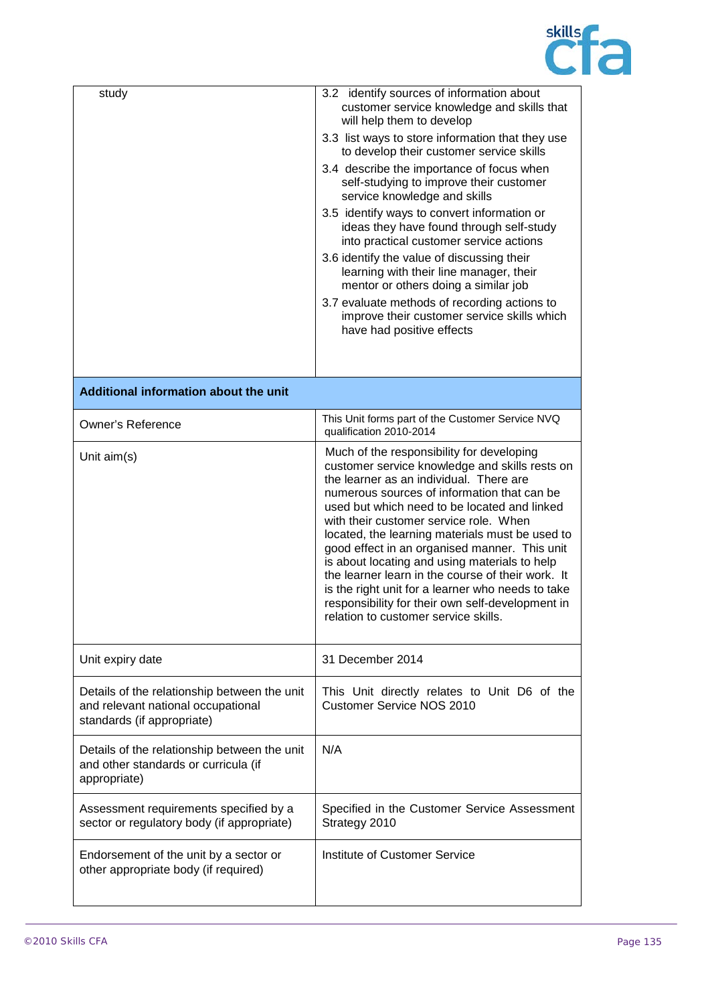

| study                                                                                                            | 3.2 identify sources of information about<br>customer service knowledge and skills that<br>will help them to develop<br>3.3 list ways to store information that they use<br>to develop their customer service skills<br>3.4 describe the importance of focus when<br>self-studying to improve their customer<br>service knowledge and skills<br>3.5 identify ways to convert information or<br>ideas they have found through self-study<br>into practical customer service actions<br>3.6 identify the value of discussing their<br>learning with their line manager, their<br>mentor or others doing a similar job<br>3.7 evaluate methods of recording actions to<br>improve their customer service skills which<br>have had positive effects |
|------------------------------------------------------------------------------------------------------------------|-------------------------------------------------------------------------------------------------------------------------------------------------------------------------------------------------------------------------------------------------------------------------------------------------------------------------------------------------------------------------------------------------------------------------------------------------------------------------------------------------------------------------------------------------------------------------------------------------------------------------------------------------------------------------------------------------------------------------------------------------|
| Additional information about the unit                                                                            |                                                                                                                                                                                                                                                                                                                                                                                                                                                                                                                                                                                                                                                                                                                                                 |
| <b>Owner's Reference</b>                                                                                         | This Unit forms part of the Customer Service NVQ<br>qualification 2010-2014                                                                                                                                                                                                                                                                                                                                                                                                                                                                                                                                                                                                                                                                     |
| Unit aim(s)                                                                                                      | Much of the responsibility for developing<br>customer service knowledge and skills rests on<br>the learner as an individual. There are<br>numerous sources of information that can be<br>used but which need to be located and linked<br>with their customer service role. When<br>located, the learning materials must be used to<br>good effect in an organised manner. This unit<br>is about locating and using materials to help<br>the learner learn in the course of their work. It<br>is the right unit for a learner who needs to take<br>responsibility for their own self-development in<br>relation to customer service skills.                                                                                                      |
| Unit expiry date                                                                                                 | 31 December 2014                                                                                                                                                                                                                                                                                                                                                                                                                                                                                                                                                                                                                                                                                                                                |
| Details of the relationship between the unit<br>and relevant national occupational<br>standards (if appropriate) | This Unit directly relates to Unit D6 of the<br><b>Customer Service NOS 2010</b>                                                                                                                                                                                                                                                                                                                                                                                                                                                                                                                                                                                                                                                                |
| Details of the relationship between the unit<br>and other standards or curricula (if<br>appropriate)             | N/A                                                                                                                                                                                                                                                                                                                                                                                                                                                                                                                                                                                                                                                                                                                                             |
| Assessment requirements specified by a<br>sector or regulatory body (if appropriate)                             | Specified in the Customer Service Assessment<br>Strategy 2010                                                                                                                                                                                                                                                                                                                                                                                                                                                                                                                                                                                                                                                                                   |
| Endorsement of the unit by a sector or<br>other appropriate body (if required)                                   | Institute of Customer Service                                                                                                                                                                                                                                                                                                                                                                                                                                                                                                                                                                                                                                                                                                                   |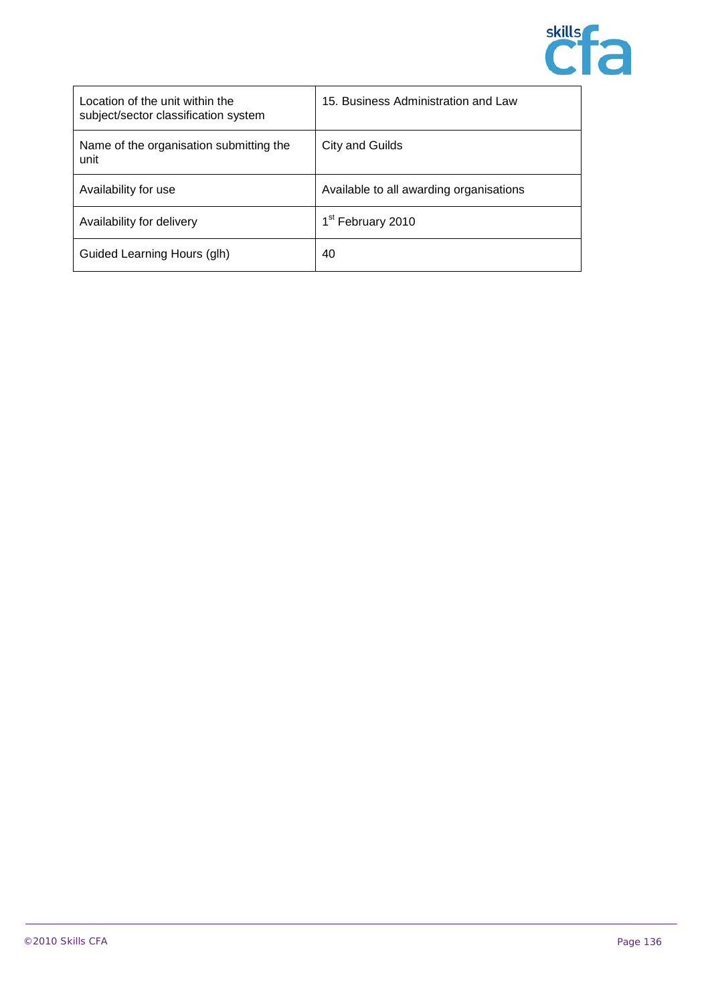

| Location of the unit within the<br>subject/sector classification system | 15. Business Administration and Law     |
|-------------------------------------------------------------------------|-----------------------------------------|
| Name of the organisation submitting the<br>unit                         | City and Guilds                         |
| Availability for use                                                    | Available to all awarding organisations |
| Availability for delivery                                               | 1 <sup>st</sup> February 2010           |
| Guided Learning Hours (glh)                                             | 40                                      |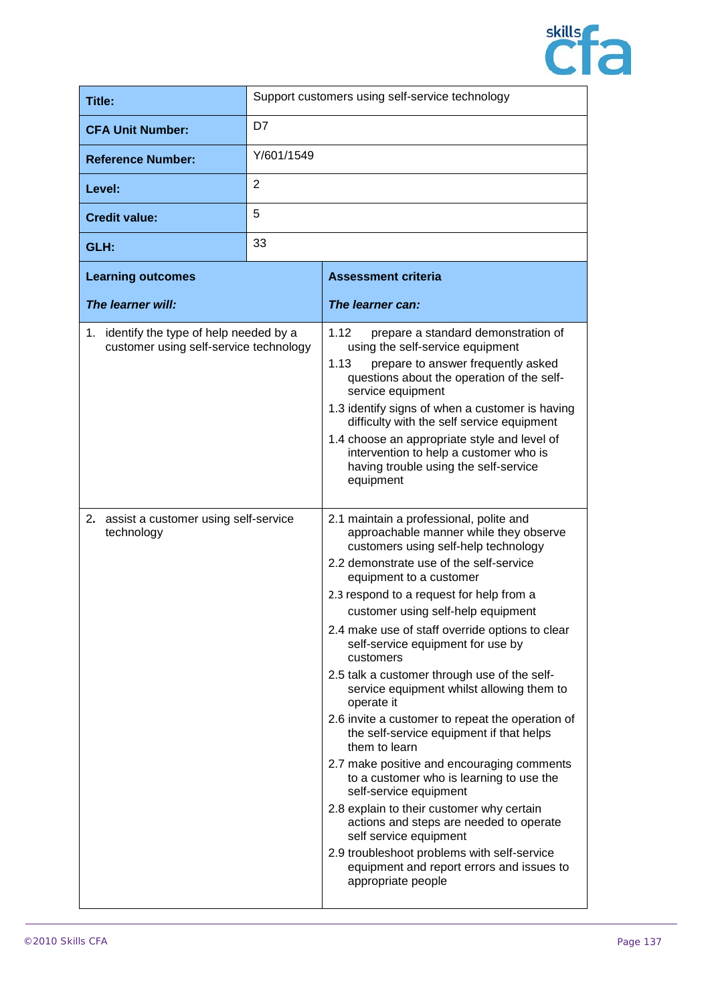

| Title:                                                                             |                | Support customers using self-service technology                                                                                                                                                                                                                                                                                                                                                                                                                                                                                                                                                                                                                                                                                                                                                                                                                                                                                                                            |
|------------------------------------------------------------------------------------|----------------|----------------------------------------------------------------------------------------------------------------------------------------------------------------------------------------------------------------------------------------------------------------------------------------------------------------------------------------------------------------------------------------------------------------------------------------------------------------------------------------------------------------------------------------------------------------------------------------------------------------------------------------------------------------------------------------------------------------------------------------------------------------------------------------------------------------------------------------------------------------------------------------------------------------------------------------------------------------------------|
| <b>CFA Unit Number:</b>                                                            | D7             |                                                                                                                                                                                                                                                                                                                                                                                                                                                                                                                                                                                                                                                                                                                                                                                                                                                                                                                                                                            |
| <b>Reference Number:</b>                                                           | Y/601/1549     |                                                                                                                                                                                                                                                                                                                                                                                                                                                                                                                                                                                                                                                                                                                                                                                                                                                                                                                                                                            |
| Level:                                                                             | $\overline{2}$ |                                                                                                                                                                                                                                                                                                                                                                                                                                                                                                                                                                                                                                                                                                                                                                                                                                                                                                                                                                            |
| <b>Credit value:</b>                                                               | 5              |                                                                                                                                                                                                                                                                                                                                                                                                                                                                                                                                                                                                                                                                                                                                                                                                                                                                                                                                                                            |
| GLH:                                                                               | 33             |                                                                                                                                                                                                                                                                                                                                                                                                                                                                                                                                                                                                                                                                                                                                                                                                                                                                                                                                                                            |
| <b>Learning outcomes</b>                                                           |                | <b>Assessment criteria</b>                                                                                                                                                                                                                                                                                                                                                                                                                                                                                                                                                                                                                                                                                                                                                                                                                                                                                                                                                 |
| The learner will:                                                                  |                | The learner can:                                                                                                                                                                                                                                                                                                                                                                                                                                                                                                                                                                                                                                                                                                                                                                                                                                                                                                                                                           |
| 1. identify the type of help needed by a<br>customer using self-service technology |                | 1.12<br>prepare a standard demonstration of<br>using the self-service equipment<br>1.13<br>prepare to answer frequently asked<br>questions about the operation of the self-<br>service equipment<br>1.3 identify signs of when a customer is having<br>difficulty with the self service equipment<br>1.4 choose an appropriate style and level of<br>intervention to help a customer who is<br>having trouble using the self-service<br>equipment                                                                                                                                                                                                                                                                                                                                                                                                                                                                                                                          |
| 2. assist a customer using self-service<br>technology                              |                | 2.1 maintain a professional, polite and<br>approachable manner while they observe<br>customers using self-help technology<br>2.2 demonstrate use of the self-service<br>equipment to a customer<br>2.3 respond to a request for help from a<br>customer using self-help equipment<br>2.4 make use of staff override options to clear<br>self-service equipment for use by<br>customers<br>2.5 talk a customer through use of the self-<br>service equipment whilst allowing them to<br>operate it<br>2.6 invite a customer to repeat the operation of<br>the self-service equipment if that helps<br>them to learn<br>2.7 make positive and encouraging comments<br>to a customer who is learning to use the<br>self-service equipment<br>2.8 explain to their customer why certain<br>actions and steps are needed to operate<br>self service equipment<br>2.9 troubleshoot problems with self-service<br>equipment and report errors and issues to<br>appropriate people |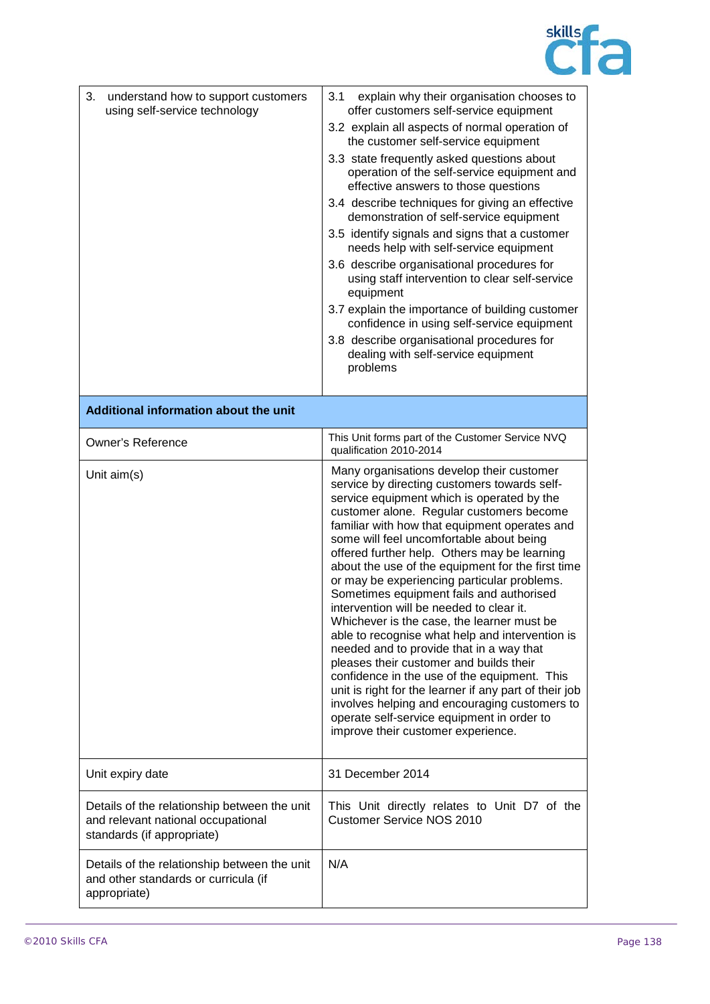

| 3.<br>understand how to support customers<br>using self-service technology                                       | 3.1<br>explain why their organisation chooses to<br>offer customers self-service equipment<br>3.2 explain all aspects of normal operation of<br>the customer self-service equipment<br>3.3 state frequently asked questions about<br>operation of the self-service equipment and<br>effective answers to those questions<br>3.4 describe techniques for giving an effective<br>demonstration of self-service equipment<br>3.5 identify signals and signs that a customer<br>needs help with self-service equipment<br>3.6 describe organisational procedures for<br>using staff intervention to clear self-service<br>equipment<br>3.7 explain the importance of building customer<br>confidence in using self-service equipment<br>3.8 describe organisational procedures for<br>dealing with self-service equipment<br>problems                                                                                                                                   |
|------------------------------------------------------------------------------------------------------------------|---------------------------------------------------------------------------------------------------------------------------------------------------------------------------------------------------------------------------------------------------------------------------------------------------------------------------------------------------------------------------------------------------------------------------------------------------------------------------------------------------------------------------------------------------------------------------------------------------------------------------------------------------------------------------------------------------------------------------------------------------------------------------------------------------------------------------------------------------------------------------------------------------------------------------------------------------------------------|
| Additional information about the unit                                                                            |                                                                                                                                                                                                                                                                                                                                                                                                                                                                                                                                                                                                                                                                                                                                                                                                                                                                                                                                                                     |
| <b>Owner's Reference</b>                                                                                         | This Unit forms part of the Customer Service NVQ<br>qualification 2010-2014                                                                                                                                                                                                                                                                                                                                                                                                                                                                                                                                                                                                                                                                                                                                                                                                                                                                                         |
| Unit aim(s)                                                                                                      | Many organisations develop their customer<br>service by directing customers towards self-<br>service equipment which is operated by the<br>customer alone. Regular customers become<br>familiar with how that equipment operates and<br>some will feel uncomfortable about being<br>offered further help. Others may be learning<br>about the use of the equipment for the first time<br>or may be experiencing particular problems.<br>Sometimes equipment fails and authorised<br>intervention will be needed to clear it.<br>Whichever is the case, the learner must be<br>able to recognise what help and intervention is<br>needed and to provide that in a way that<br>pleases their customer and builds their<br>confidence in the use of the equipment. This<br>unit is right for the learner if any part of their job<br>involves helping and encouraging customers to<br>operate self-service equipment in order to<br>improve their customer experience. |
| Unit expiry date                                                                                                 | 31 December 2014                                                                                                                                                                                                                                                                                                                                                                                                                                                                                                                                                                                                                                                                                                                                                                                                                                                                                                                                                    |
| Details of the relationship between the unit<br>and relevant national occupational<br>standards (if appropriate) | This Unit directly relates to Unit D7 of the<br>Customer Service NOS 2010                                                                                                                                                                                                                                                                                                                                                                                                                                                                                                                                                                                                                                                                                                                                                                                                                                                                                           |
| Details of the relationship between the unit<br>and other standards or curricula (if<br>appropriate)             | N/A                                                                                                                                                                                                                                                                                                                                                                                                                                                                                                                                                                                                                                                                                                                                                                                                                                                                                                                                                                 |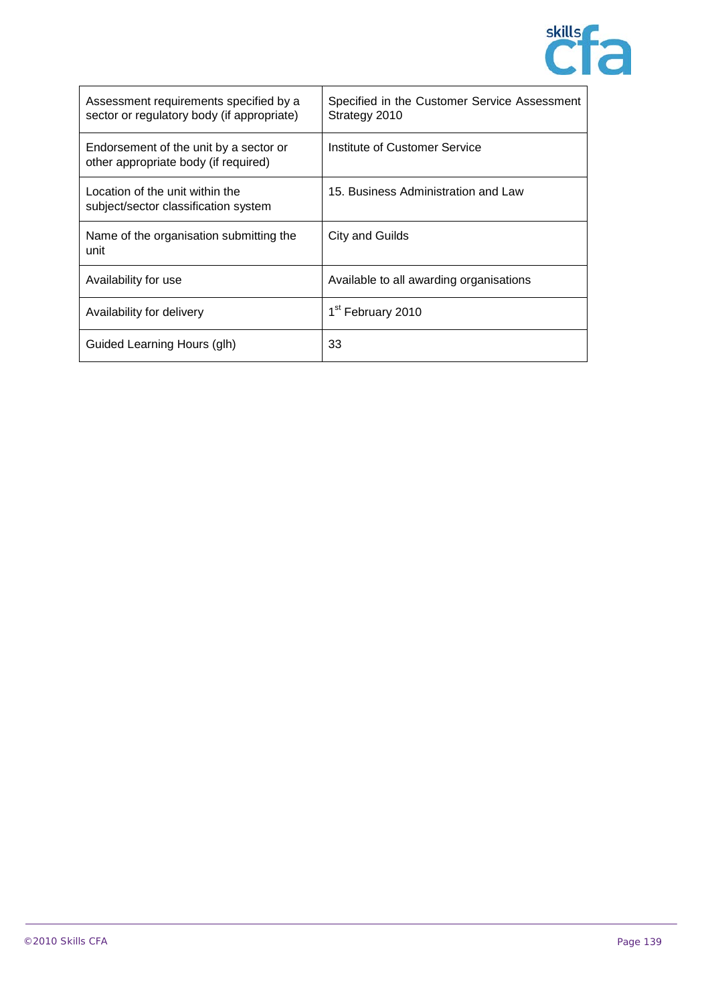

| Assessment requirements specified by a<br>sector or regulatory body (if appropriate) | Specified in the Customer Service Assessment<br>Strategy 2010 |
|--------------------------------------------------------------------------------------|---------------------------------------------------------------|
| Endorsement of the unit by a sector or<br>other appropriate body (if required)       | Institute of Customer Service                                 |
| Location of the unit within the<br>subject/sector classification system              | 15. Business Administration and Law                           |
| Name of the organisation submitting the<br>unit                                      | City and Guilds                                               |
| Availability for use                                                                 | Available to all awarding organisations                       |
| Availability for delivery                                                            | 1 <sup>st</sup> February 2010                                 |
| Guided Learning Hours (glh)                                                          | 33                                                            |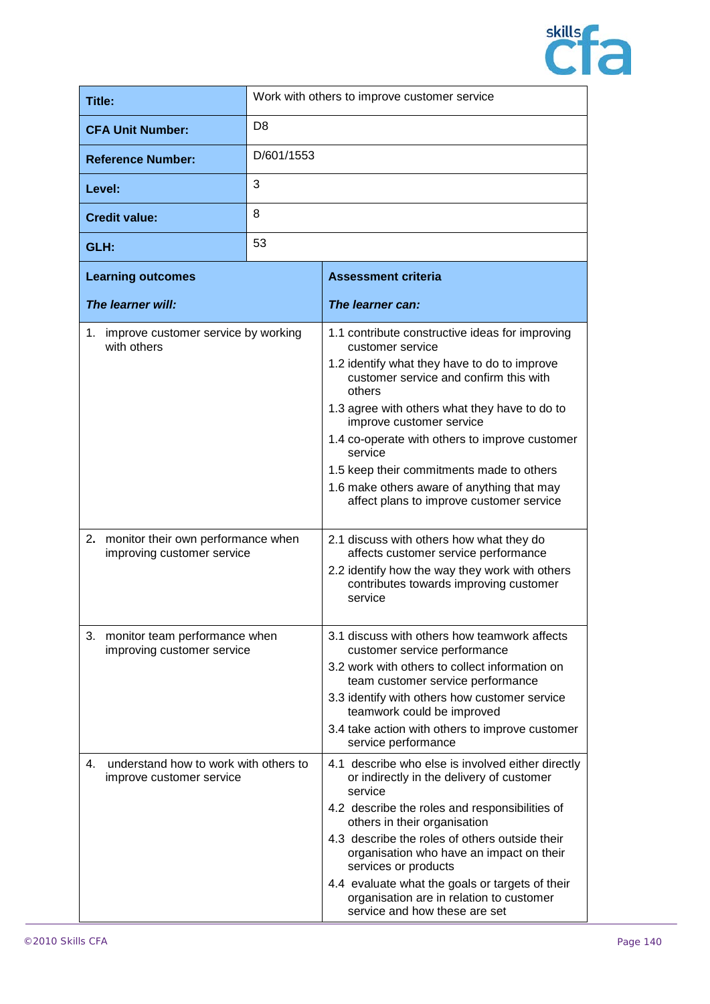

| Title:                                                                                                                                    | Work with others to improve customer service |                                                                                                                                                                                                                                                                                                                                                                                                                                                          |
|-------------------------------------------------------------------------------------------------------------------------------------------|----------------------------------------------|----------------------------------------------------------------------------------------------------------------------------------------------------------------------------------------------------------------------------------------------------------------------------------------------------------------------------------------------------------------------------------------------------------------------------------------------------------|
| <b>CFA Unit Number:</b>                                                                                                                   | D <sub>8</sub>                               |                                                                                                                                                                                                                                                                                                                                                                                                                                                          |
| <b>Reference Number:</b>                                                                                                                  | D/601/1553                                   |                                                                                                                                                                                                                                                                                                                                                                                                                                                          |
| Level:                                                                                                                                    | 3                                            |                                                                                                                                                                                                                                                                                                                                                                                                                                                          |
| <b>Credit value:</b>                                                                                                                      | 8                                            |                                                                                                                                                                                                                                                                                                                                                                                                                                                          |
| GLH:                                                                                                                                      | 53                                           |                                                                                                                                                                                                                                                                                                                                                                                                                                                          |
| <b>Learning outcomes</b>                                                                                                                  |                                              | <b>Assessment criteria</b>                                                                                                                                                                                                                                                                                                                                                                                                                               |
| The learner will:                                                                                                                         |                                              | The learner can:                                                                                                                                                                                                                                                                                                                                                                                                                                         |
| 1. improve customer service by working<br>with others                                                                                     |                                              | 1.1 contribute constructive ideas for improving<br>customer service<br>1.2 identify what they have to do to improve<br>customer service and confirm this with<br>others<br>1.3 agree with others what they have to do to<br>improve customer service<br>1.4 co-operate with others to improve customer<br>service<br>1.5 keep their commitments made to others<br>1.6 make others aware of anything that may<br>affect plans to improve customer service |
| 2. monitor their own performance when<br>improving customer service                                                                       |                                              | 2.1 discuss with others how what they do<br>affects customer service performance<br>2.2 identify how the way they work with others<br>contributes towards improving customer<br>service                                                                                                                                                                                                                                                                  |
| 3. monitor team performance when<br>improving customer service<br>understand how to work with others to<br>4.<br>improve customer service |                                              | 3.1 discuss with others how teamwork affects<br>customer service performance<br>3.2 work with others to collect information on<br>team customer service performance<br>3.3 identify with others how customer service<br>teamwork could be improved<br>3.4 take action with others to improve customer<br>service performance<br>4.1 describe who else is involved either directly<br>or indirectly in the delivery of customer<br>service                |
|                                                                                                                                           |                                              | 4.2 describe the roles and responsibilities of<br>others in their organisation<br>4.3 describe the roles of others outside their<br>organisation who have an impact on their<br>services or products<br>4.4 evaluate what the goals or targets of their<br>organisation are in relation to customer<br>service and how these are set                                                                                                                     |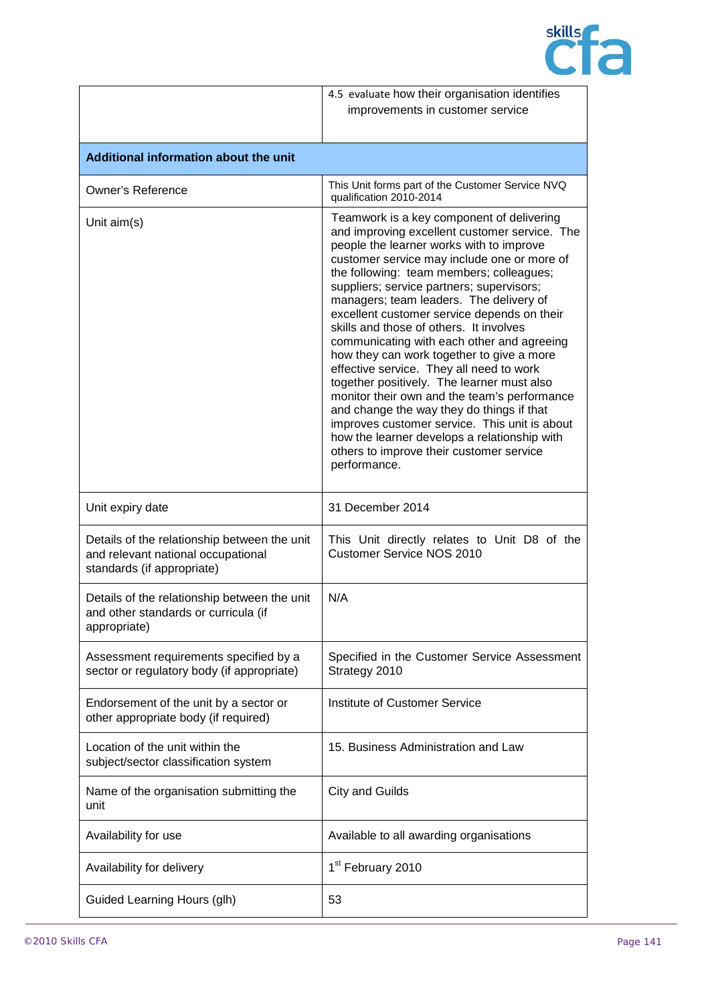

|                                                                                                                  | 4.5 evaluate how their organisation identifies<br>improvements in customer service                                                                                                                                                                                                                                                                                                                                                                                                                                                                                                                                                                                                                                                                                                                                                                                 |
|------------------------------------------------------------------------------------------------------------------|--------------------------------------------------------------------------------------------------------------------------------------------------------------------------------------------------------------------------------------------------------------------------------------------------------------------------------------------------------------------------------------------------------------------------------------------------------------------------------------------------------------------------------------------------------------------------------------------------------------------------------------------------------------------------------------------------------------------------------------------------------------------------------------------------------------------------------------------------------------------|
| Additional information about the unit                                                                            |                                                                                                                                                                                                                                                                                                                                                                                                                                                                                                                                                                                                                                                                                                                                                                                                                                                                    |
| <b>Owner's Reference</b>                                                                                         | This Unit forms part of the Customer Service NVQ<br>qualification 2010-2014                                                                                                                                                                                                                                                                                                                                                                                                                                                                                                                                                                                                                                                                                                                                                                                        |
| Unit aim(s)                                                                                                      | Teamwork is a key component of delivering<br>and improving excellent customer service. The<br>people the learner works with to improve<br>customer service may include one or more of<br>the following: team members; colleagues;<br>suppliers; service partners; supervisors;<br>managers; team leaders. The delivery of<br>excellent customer service depends on their<br>skills and those of others. It involves<br>communicating with each other and agreeing<br>how they can work together to give a more<br>effective service. They all need to work<br>together positively. The learner must also<br>monitor their own and the team's performance<br>and change the way they do things if that<br>improves customer service. This unit is about<br>how the learner develops a relationship with<br>others to improve their customer service<br>performance. |
| Unit expiry date                                                                                                 | 31 December 2014                                                                                                                                                                                                                                                                                                                                                                                                                                                                                                                                                                                                                                                                                                                                                                                                                                                   |
| Details of the relationship between the unit<br>and relevant national occupational<br>standards (if appropriate) | This Unit directly relates to Unit D8 of the<br><b>Customer Service NOS 2010</b>                                                                                                                                                                                                                                                                                                                                                                                                                                                                                                                                                                                                                                                                                                                                                                                   |
| Details of the relationship between the unit<br>and other standards or curricula (if<br>appropriate)             | N/A                                                                                                                                                                                                                                                                                                                                                                                                                                                                                                                                                                                                                                                                                                                                                                                                                                                                |
| Assessment requirements specified by a<br>sector or regulatory body (if appropriate)                             | Specified in the Customer Service Assessment<br>Strategy 2010                                                                                                                                                                                                                                                                                                                                                                                                                                                                                                                                                                                                                                                                                                                                                                                                      |
| Endorsement of the unit by a sector or<br>other appropriate body (if required)                                   | <b>Institute of Customer Service</b>                                                                                                                                                                                                                                                                                                                                                                                                                                                                                                                                                                                                                                                                                                                                                                                                                               |
| Location of the unit within the<br>subject/sector classification system                                          | 15. Business Administration and Law                                                                                                                                                                                                                                                                                                                                                                                                                                                                                                                                                                                                                                                                                                                                                                                                                                |
| Name of the organisation submitting the<br>unit                                                                  | <b>City and Guilds</b>                                                                                                                                                                                                                                                                                                                                                                                                                                                                                                                                                                                                                                                                                                                                                                                                                                             |
| Availability for use                                                                                             | Available to all awarding organisations                                                                                                                                                                                                                                                                                                                                                                                                                                                                                                                                                                                                                                                                                                                                                                                                                            |
| Availability for delivery                                                                                        | 1 <sup>st</sup> February 2010                                                                                                                                                                                                                                                                                                                                                                                                                                                                                                                                                                                                                                                                                                                                                                                                                                      |
| Guided Learning Hours (glh)                                                                                      | 53                                                                                                                                                                                                                                                                                                                                                                                                                                                                                                                                                                                                                                                                                                                                                                                                                                                                 |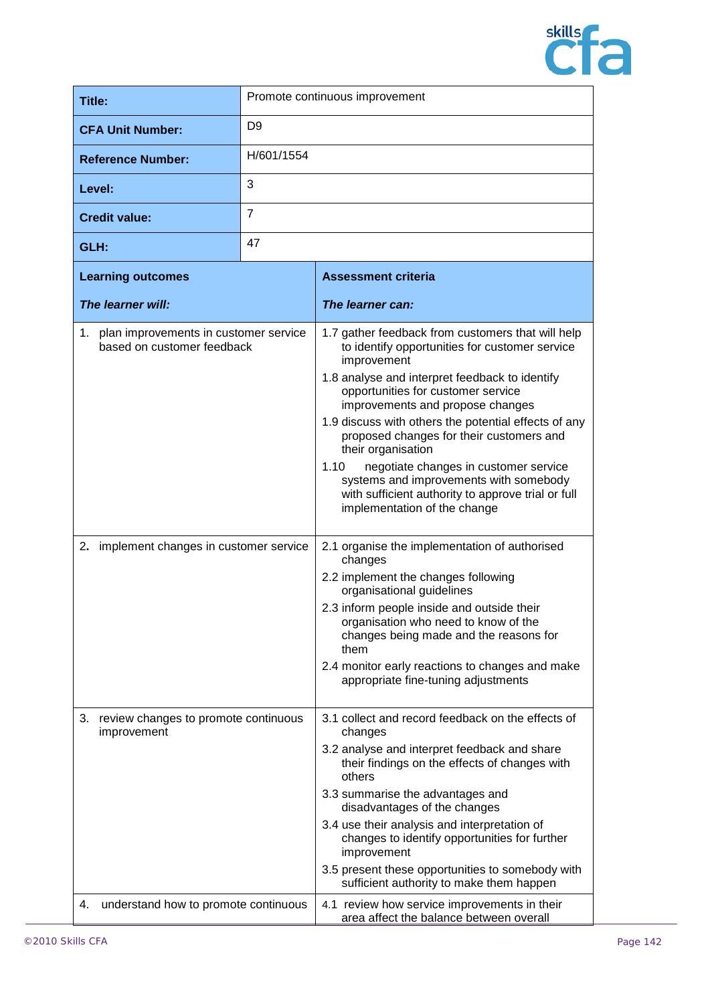

| Title:                                                                                                             |                | Promote continuous improvement                                                                                                                                                                                                                                                                                                                                                                                                                                                                                                                                                                                                                                                                                                                                                                                                                                                       |
|--------------------------------------------------------------------------------------------------------------------|----------------|--------------------------------------------------------------------------------------------------------------------------------------------------------------------------------------------------------------------------------------------------------------------------------------------------------------------------------------------------------------------------------------------------------------------------------------------------------------------------------------------------------------------------------------------------------------------------------------------------------------------------------------------------------------------------------------------------------------------------------------------------------------------------------------------------------------------------------------------------------------------------------------|
| <b>CFA Unit Number:</b>                                                                                            | D <sub>9</sub> |                                                                                                                                                                                                                                                                                                                                                                                                                                                                                                                                                                                                                                                                                                                                                                                                                                                                                      |
| <b>Reference Number:</b>                                                                                           | H/601/1554     |                                                                                                                                                                                                                                                                                                                                                                                                                                                                                                                                                                                                                                                                                                                                                                                                                                                                                      |
| Level:                                                                                                             | 3              |                                                                                                                                                                                                                                                                                                                                                                                                                                                                                                                                                                                                                                                                                                                                                                                                                                                                                      |
| <b>Credit value:</b>                                                                                               | $\overline{7}$ |                                                                                                                                                                                                                                                                                                                                                                                                                                                                                                                                                                                                                                                                                                                                                                                                                                                                                      |
| GLH:                                                                                                               | 47             |                                                                                                                                                                                                                                                                                                                                                                                                                                                                                                                                                                                                                                                                                                                                                                                                                                                                                      |
| <b>Learning outcomes</b>                                                                                           |                | <b>Assessment criteria</b>                                                                                                                                                                                                                                                                                                                                                                                                                                                                                                                                                                                                                                                                                                                                                                                                                                                           |
| The learner will:                                                                                                  |                | The learner can:                                                                                                                                                                                                                                                                                                                                                                                                                                                                                                                                                                                                                                                                                                                                                                                                                                                                     |
| 1. plan improvements in customer service<br>based on customer feedback<br>2. implement changes in customer service |                | 1.7 gather feedback from customers that will help<br>to identify opportunities for customer service<br>improvement<br>1.8 analyse and interpret feedback to identify<br>opportunities for customer service<br>improvements and propose changes<br>1.9 discuss with others the potential effects of any<br>proposed changes for their customers and<br>their organisation<br>negotiate changes in customer service<br>1.10<br>systems and improvements with somebody<br>with sufficient authority to approve trial or full<br>implementation of the change<br>2.1 organise the implementation of authorised<br>changes<br>2.2 implement the changes following<br>organisational guidelines<br>2.3 inform people inside and outside their<br>organisation who need to know of the<br>changes being made and the reasons for<br>them<br>2.4 monitor early reactions to changes and make |
| review changes to promote continuous<br>3.                                                                         |                | appropriate fine-tuning adjustments<br>3.1 collect and record feedback on the effects of                                                                                                                                                                                                                                                                                                                                                                                                                                                                                                                                                                                                                                                                                                                                                                                             |
| improvement                                                                                                        |                | changes<br>3.2 analyse and interpret feedback and share<br>their findings on the effects of changes with<br>others<br>3.3 summarise the advantages and                                                                                                                                                                                                                                                                                                                                                                                                                                                                                                                                                                                                                                                                                                                               |
|                                                                                                                    |                | disadvantages of the changes<br>3.4 use their analysis and interpretation of                                                                                                                                                                                                                                                                                                                                                                                                                                                                                                                                                                                                                                                                                                                                                                                                         |
|                                                                                                                    |                | changes to identify opportunities for further<br>improvement                                                                                                                                                                                                                                                                                                                                                                                                                                                                                                                                                                                                                                                                                                                                                                                                                         |
|                                                                                                                    |                | 3.5 present these opportunities to somebody with<br>sufficient authority to make them happen                                                                                                                                                                                                                                                                                                                                                                                                                                                                                                                                                                                                                                                                                                                                                                                         |
| understand how to promote continuous<br>4.                                                                         |                | 4.1 review how service improvements in their<br>area affect the balance between overall                                                                                                                                                                                                                                                                                                                                                                                                                                                                                                                                                                                                                                                                                                                                                                                              |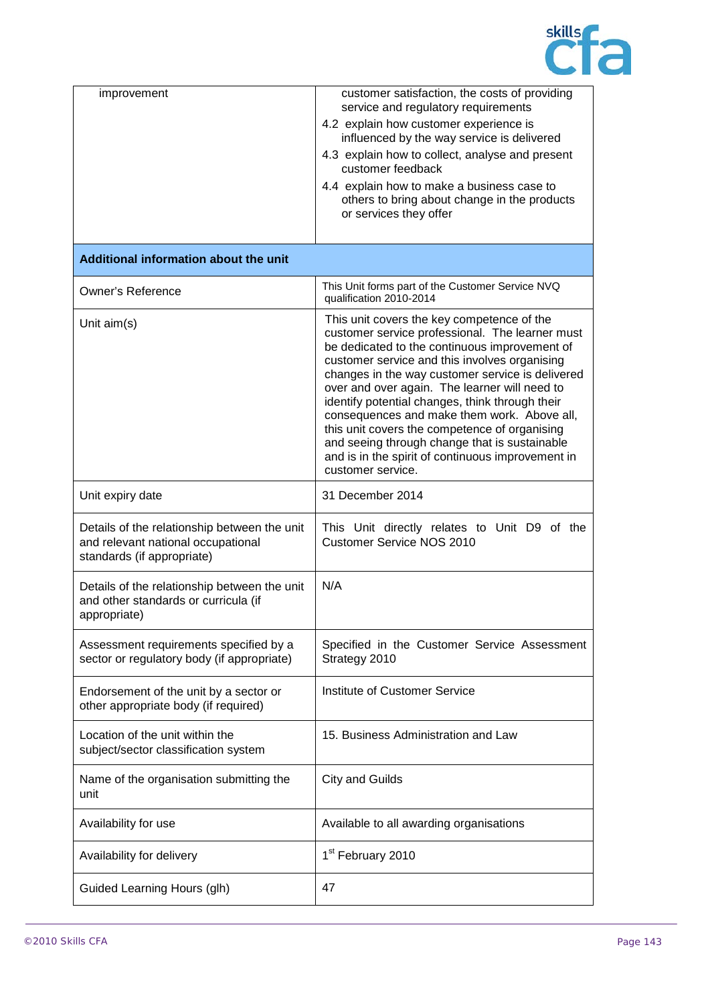

| improvement                                                                                                      | customer satisfaction, the costs of providing<br>service and regulatory requirements<br>4.2 explain how customer experience is<br>influenced by the way service is delivered<br>4.3 explain how to collect, analyse and present<br>customer feedback<br>4.4 explain how to make a business case to<br>others to bring about change in the products<br>or services they offer                                                                                                                                                                                                       |
|------------------------------------------------------------------------------------------------------------------|------------------------------------------------------------------------------------------------------------------------------------------------------------------------------------------------------------------------------------------------------------------------------------------------------------------------------------------------------------------------------------------------------------------------------------------------------------------------------------------------------------------------------------------------------------------------------------|
| Additional information about the unit                                                                            |                                                                                                                                                                                                                                                                                                                                                                                                                                                                                                                                                                                    |
| <b>Owner's Reference</b>                                                                                         | This Unit forms part of the Customer Service NVQ<br>qualification 2010-2014                                                                                                                                                                                                                                                                                                                                                                                                                                                                                                        |
| Unit $aim(s)$                                                                                                    | This unit covers the key competence of the<br>customer service professional. The learner must<br>be dedicated to the continuous improvement of<br>customer service and this involves organising<br>changes in the way customer service is delivered<br>over and over again. The learner will need to<br>identify potential changes, think through their<br>consequences and make them work. Above all,<br>this unit covers the competence of organising<br>and seeing through change that is sustainable<br>and is in the spirit of continuous improvement in<br>customer service. |
| Unit expiry date                                                                                                 | 31 December 2014                                                                                                                                                                                                                                                                                                                                                                                                                                                                                                                                                                   |
| Details of the relationship between the unit<br>and relevant national occupational<br>standards (if appropriate) | This Unit directly relates to Unit D9 of the<br><b>Customer Service NOS 2010</b>                                                                                                                                                                                                                                                                                                                                                                                                                                                                                                   |
| Details of the relationship between the unit<br>and other standards or curricula (if<br>appropriate)             | N/A                                                                                                                                                                                                                                                                                                                                                                                                                                                                                                                                                                                |
| Assessment requirements specified by a<br>sector or regulatory body (if appropriate)                             | Specified in the Customer Service Assessment<br>Strategy 2010                                                                                                                                                                                                                                                                                                                                                                                                                                                                                                                      |
| Endorsement of the unit by a sector or<br>other appropriate body (if required)                                   | Institute of Customer Service                                                                                                                                                                                                                                                                                                                                                                                                                                                                                                                                                      |
| Location of the unit within the<br>subject/sector classification system                                          | 15. Business Administration and Law                                                                                                                                                                                                                                                                                                                                                                                                                                                                                                                                                |
| Name of the organisation submitting the<br>unit                                                                  | <b>City and Guilds</b>                                                                                                                                                                                                                                                                                                                                                                                                                                                                                                                                                             |
| Availability for use                                                                                             | Available to all awarding organisations                                                                                                                                                                                                                                                                                                                                                                                                                                                                                                                                            |
| Availability for delivery                                                                                        | 1 <sup>st</sup> February 2010                                                                                                                                                                                                                                                                                                                                                                                                                                                                                                                                                      |
| Guided Learning Hours (glh)                                                                                      | 47                                                                                                                                                                                                                                                                                                                                                                                                                                                                                                                                                                                 |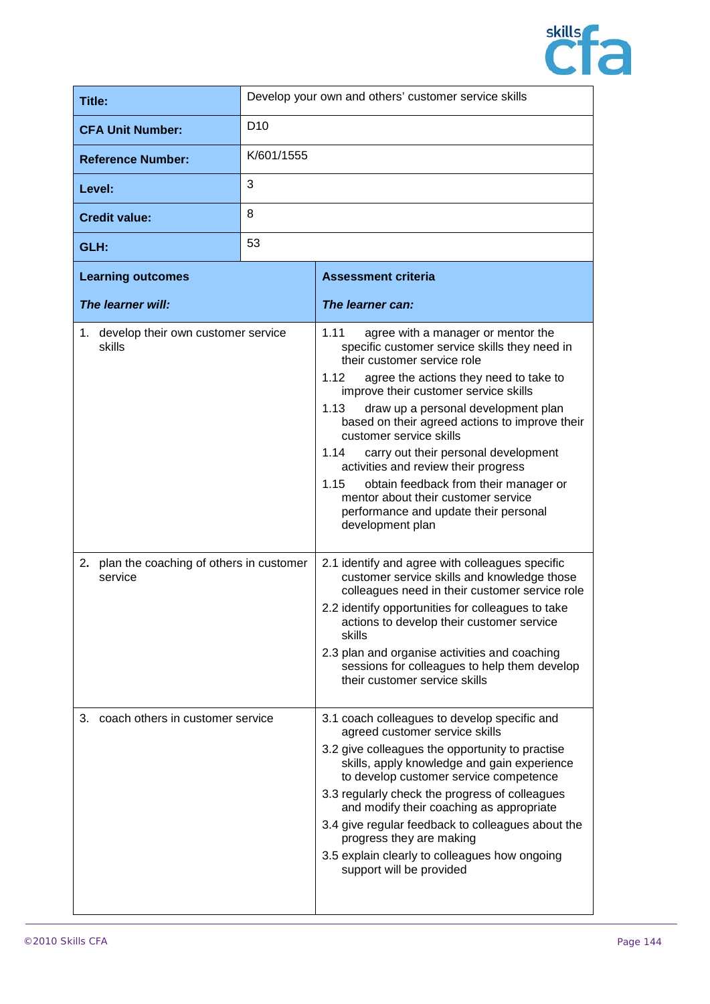

| Title:                                          | Develop your own and others' customer service skills |                                                                                                                                                                                                                                                                                                                                                                                                                                                                                                                                                                                                |
|-------------------------------------------------|------------------------------------------------------|------------------------------------------------------------------------------------------------------------------------------------------------------------------------------------------------------------------------------------------------------------------------------------------------------------------------------------------------------------------------------------------------------------------------------------------------------------------------------------------------------------------------------------------------------------------------------------------------|
| <b>CFA Unit Number:</b>                         | D <sub>10</sub>                                      |                                                                                                                                                                                                                                                                                                                                                                                                                                                                                                                                                                                                |
| <b>Reference Number:</b>                        | K/601/1555                                           |                                                                                                                                                                                                                                                                                                                                                                                                                                                                                                                                                                                                |
| Level:                                          | 3                                                    |                                                                                                                                                                                                                                                                                                                                                                                                                                                                                                                                                                                                |
| <b>Credit value:</b>                            | 8                                                    |                                                                                                                                                                                                                                                                                                                                                                                                                                                                                                                                                                                                |
| GLH:                                            | 53                                                   |                                                                                                                                                                                                                                                                                                                                                                                                                                                                                                                                                                                                |
| <b>Learning outcomes</b>                        |                                                      | <b>Assessment criteria</b>                                                                                                                                                                                                                                                                                                                                                                                                                                                                                                                                                                     |
| The learner will:                               |                                                      | The learner can:                                                                                                                                                                                                                                                                                                                                                                                                                                                                                                                                                                               |
| 1. develop their own customer service<br>skills |                                                      | 1.11<br>agree with a manager or mentor the<br>specific customer service skills they need in<br>their customer service role<br>1.12<br>agree the actions they need to take to<br>improve their customer service skills<br>1.13<br>draw up a personal development plan<br>based on their agreed actions to improve their<br>customer service skills<br>carry out their personal development<br>1.14<br>activities and review their progress<br>1.15<br>obtain feedback from their manager or<br>mentor about their customer service<br>performance and update their personal<br>development plan |

| 2. plan the coaching of others in customer<br>service | 2.1 identify and agree with colleagues specific<br>customer service skills and knowledge those<br>colleagues need in their customer service role |
|-------------------------------------------------------|--------------------------------------------------------------------------------------------------------------------------------------------------|
|                                                       | 2.2 identify opportunities for colleagues to take<br>actions to develop their customer service<br>skills                                         |

|                                     | 2.3 plan and organise activities and coaching<br>sessions for colleagues to help them develop<br>their customer service skills |
|-------------------------------------|--------------------------------------------------------------------------------------------------------------------------------|
| 3. coach others in customer service | 3.1 coach colleagues to develop specific and<br>agreed customer service skills                                                 |
|                                     | 3.2 give collegeuse the opportunity to practise                                                                                |

| 3.2 give colleagues the opportunity to practise |
|-------------------------------------------------|
| skills, apply knowledge and gain experience     |
| to develop customer service competence          |
| 0.0 usaulashi shaak tha propraeo af sallagausa  |

## 3.3 regularly check the progress of colleagues and modify their coaching as appropriate 3.4 give regular feedback to colleagues about the progress they are making

3.5 explain clearly to colleagues how ongoing support will be provided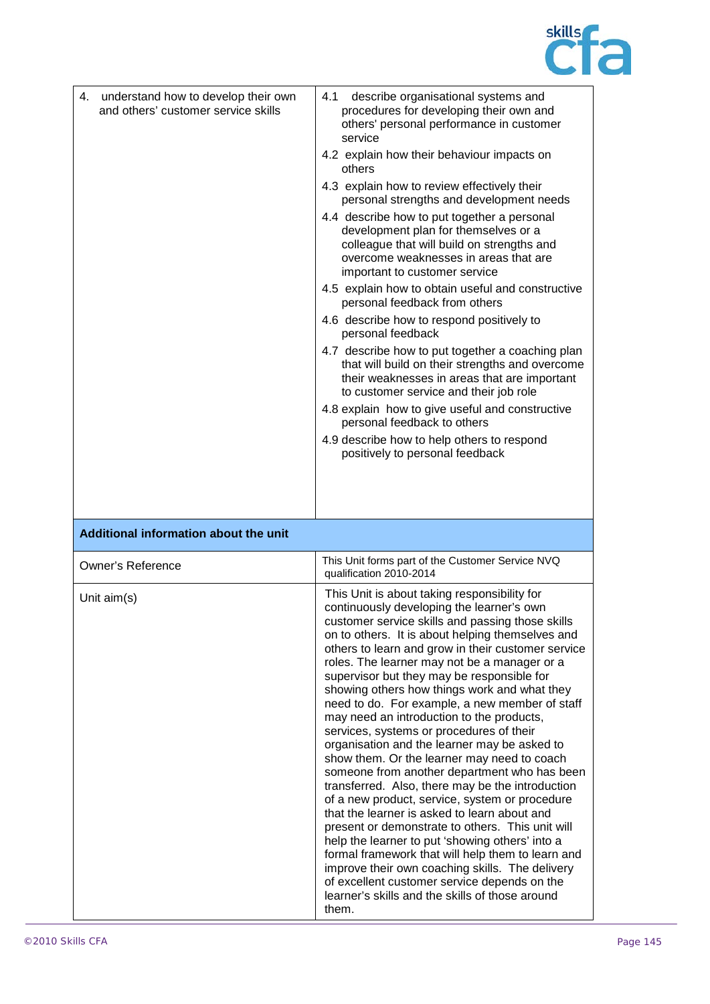

| 4. understand how to develop their own<br>and others' customer service skills | 4.1<br>describe organisational systems and<br>procedures for developing their own and<br>others' personal performance in customer<br>service<br>4.2 explain how their behaviour impacts on<br>others<br>4.3 explain how to review effectively their<br>personal strengths and development needs<br>4.4 describe how to put together a personal<br>development plan for themselves or a<br>colleague that will build on strengths and<br>overcome weaknesses in areas that are<br>important to customer service<br>4.5 explain how to obtain useful and constructive<br>personal feedback from others<br>4.6 describe how to respond positively to<br>personal feedback<br>4.7 describe how to put together a coaching plan<br>that will build on their strengths and overcome<br>their weaknesses in areas that are important<br>to customer service and their job role<br>4.8 explain how to give useful and constructive<br>personal feedback to others<br>4.9 describe how to help others to respond<br>positively to personal feedback                                                                                                                                       |
|-------------------------------------------------------------------------------|----------------------------------------------------------------------------------------------------------------------------------------------------------------------------------------------------------------------------------------------------------------------------------------------------------------------------------------------------------------------------------------------------------------------------------------------------------------------------------------------------------------------------------------------------------------------------------------------------------------------------------------------------------------------------------------------------------------------------------------------------------------------------------------------------------------------------------------------------------------------------------------------------------------------------------------------------------------------------------------------------------------------------------------------------------------------------------------------------------------------------------------------------------------------------------|
|                                                                               |                                                                                                                                                                                                                                                                                                                                                                                                                                                                                                                                                                                                                                                                                                                                                                                                                                                                                                                                                                                                                                                                                                                                                                                  |
| Additional information about the unit                                         |                                                                                                                                                                                                                                                                                                                                                                                                                                                                                                                                                                                                                                                                                                                                                                                                                                                                                                                                                                                                                                                                                                                                                                                  |
| <b>Owner's Reference</b>                                                      | This Unit forms part of the Customer Service NVQ<br>qualification 2010-2014                                                                                                                                                                                                                                                                                                                                                                                                                                                                                                                                                                                                                                                                                                                                                                                                                                                                                                                                                                                                                                                                                                      |
| Unit $aim(s)$                                                                 | This Unit is about taking responsibility for<br>continuously developing the learner's own<br>customer service skills and passing those skills<br>on to others. It is about helping themselves and<br>others to learn and grow in their customer service<br>roles. The learner may not be a manager or a<br>supervisor but they may be responsible for<br>showing others how things work and what they<br>need to do. For example, a new member of staff<br>may need an introduction to the products,<br>services, systems or procedures of their<br>organisation and the learner may be asked to<br>show them. Or the learner may need to coach<br>someone from another department who has been<br>transferred. Also, there may be the introduction<br>of a new product, service, system or procedure<br>that the learner is asked to learn about and<br>present or demonstrate to others. This unit will<br>help the learner to put 'showing others' into a<br>formal framework that will help them to learn and<br>improve their own coaching skills. The delivery<br>of excellent customer service depends on the<br>learner's skills and the skills of those around<br>them. |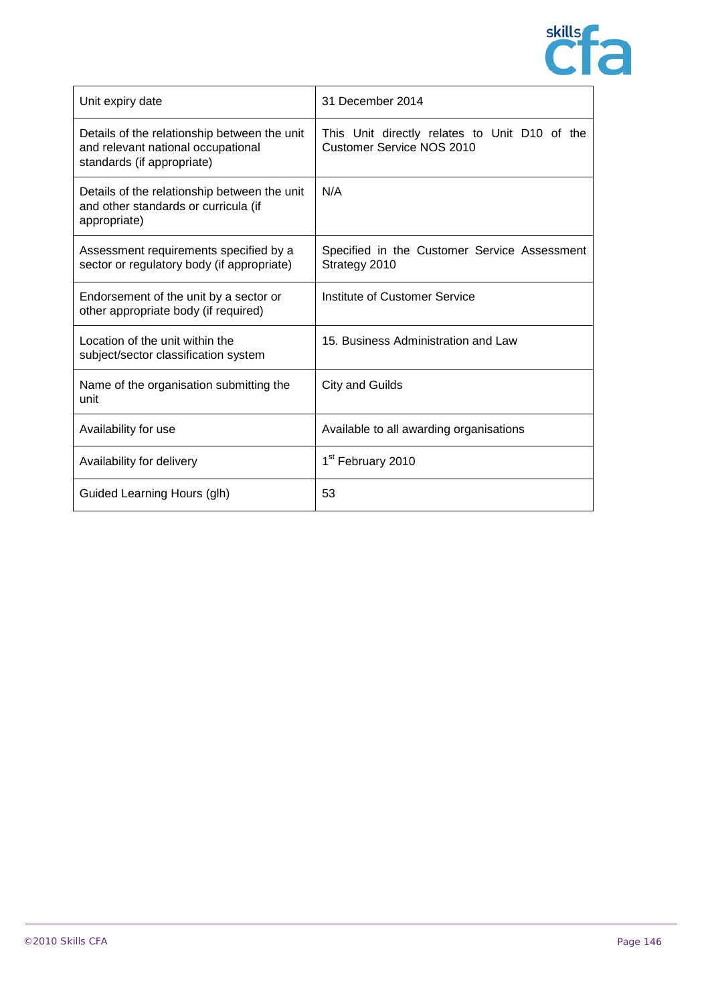

| Unit expiry date                                                                                                 | 31 December 2014                                                           |
|------------------------------------------------------------------------------------------------------------------|----------------------------------------------------------------------------|
| Details of the relationship between the unit<br>and relevant national occupational<br>standards (if appropriate) | This Unit directly relates to Unit D10 of the<br>Customer Service NOS 2010 |
| Details of the relationship between the unit<br>and other standards or curricula (if<br>appropriate)             | N/A                                                                        |
| Assessment requirements specified by a<br>sector or regulatory body (if appropriate)                             | Specified in the Customer Service Assessment<br>Strategy 2010              |
| Endorsement of the unit by a sector or<br>other appropriate body (if required)                                   | Institute of Customer Service                                              |
| Location of the unit within the<br>subject/sector classification system                                          | 15. Business Administration and Law                                        |
| Name of the organisation submitting the<br>unit                                                                  | <b>City and Guilds</b>                                                     |
| Availability for use                                                                                             | Available to all awarding organisations                                    |
| Availability for delivery                                                                                        | 1 <sup>st</sup> February 2010                                              |
| Guided Learning Hours (glh)                                                                                      | 53                                                                         |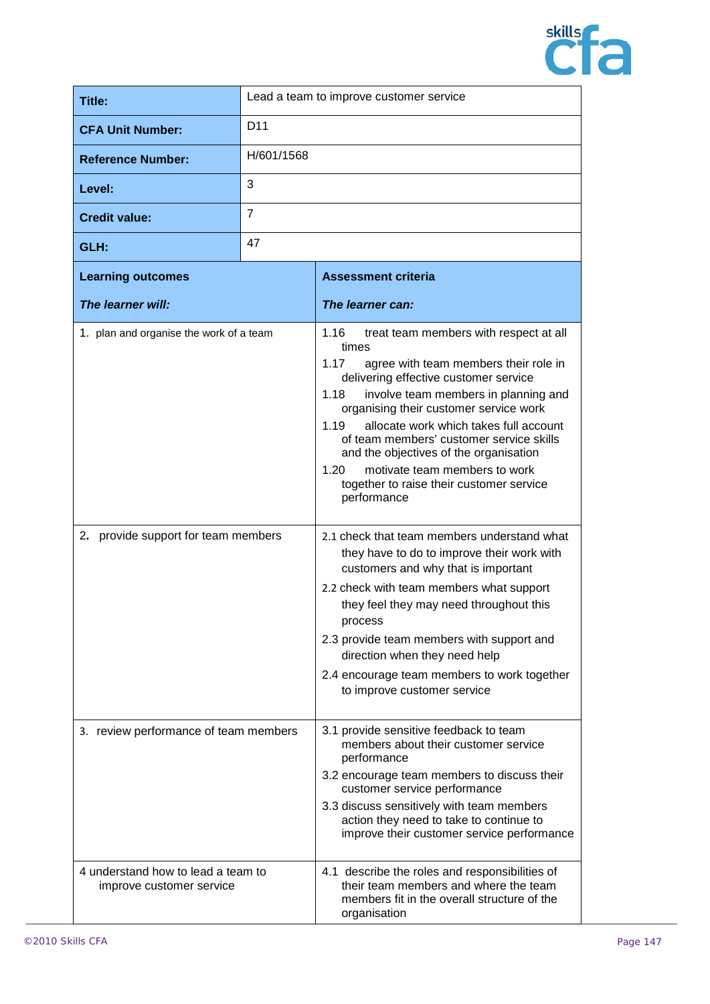

| Title:                   | Lead a team to improve customer service |
|--------------------------|-----------------------------------------|
| <b>CFA Unit Number:</b>  | D <sub>11</sub>                         |
| <b>Reference Number:</b> | H/601/1568                              |
| Level:                   | 3                                       |
| <b>Credit value:</b>     | 7                                       |
| GLH:                     | 47                                      |

| <b>Learning outcomes</b>                                       | <b>Assessment criteria</b>                                                                                                                                                                                                                                                                                                                                                                                                                                                              |
|----------------------------------------------------------------|-----------------------------------------------------------------------------------------------------------------------------------------------------------------------------------------------------------------------------------------------------------------------------------------------------------------------------------------------------------------------------------------------------------------------------------------------------------------------------------------|
| The learner will:                                              | The learner can:                                                                                                                                                                                                                                                                                                                                                                                                                                                                        |
| 1. plan and organise the work of a team                        | 1.16<br>treat team members with respect at all<br>times<br>1.17<br>agree with team members their role in<br>delivering effective customer service<br>involve team members in planning and<br>1.18<br>organising their customer service work<br>allocate work which takes full account<br>1.19<br>of team members' customer service skills<br>and the objectives of the organisation<br>1.20<br>motivate team members to work<br>together to raise their customer service<br>performance |
| 2. provide support for team members                            | 2.1 check that team members understand what<br>they have to do to improve their work with<br>customers and why that is important<br>2.2 check with team members what support<br>they feel they may need throughout this<br>process<br>2.3 provide team members with support and<br>direction when they need help<br>2.4 encourage team members to work together<br>to improve customer service                                                                                          |
| 3. review performance of team members                          | 3.1 provide sensitive feedback to team<br>members about their customer service<br>performance<br>3.2 encourage team members to discuss their<br>customer service performance<br>3.3 discuss sensitively with team members<br>action they need to take to continue to<br>improve their customer service performance                                                                                                                                                                      |
| 4 understand how to lead a team to<br>improve customer service | 4.1 describe the roles and responsibilities of<br>their team members and where the team<br>members fit in the overall structure of the<br>organisation                                                                                                                                                                                                                                                                                                                                  |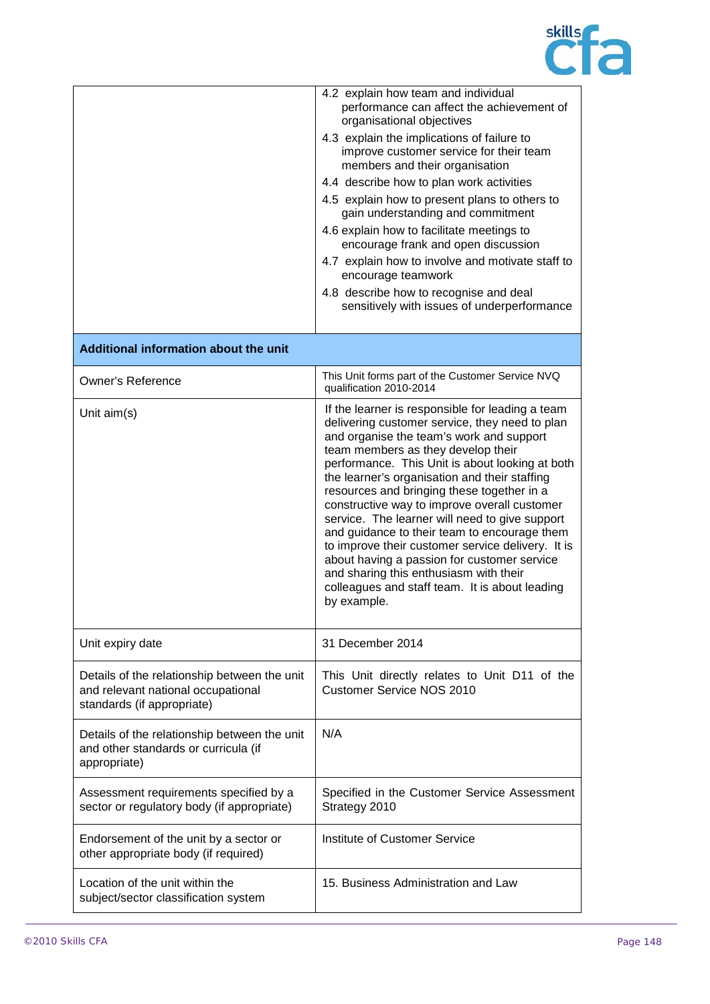

|                                                                                                                  | 4.2 explain how team and individual<br>performance can affect the achievement of<br>organisational objectives                                                                                                                                                                                                                                                                                                                                                                                                                                                                                                                                                                                           |
|------------------------------------------------------------------------------------------------------------------|---------------------------------------------------------------------------------------------------------------------------------------------------------------------------------------------------------------------------------------------------------------------------------------------------------------------------------------------------------------------------------------------------------------------------------------------------------------------------------------------------------------------------------------------------------------------------------------------------------------------------------------------------------------------------------------------------------|
|                                                                                                                  | 4.3 explain the implications of failure to<br>improve customer service for their team<br>members and their organisation                                                                                                                                                                                                                                                                                                                                                                                                                                                                                                                                                                                 |
|                                                                                                                  | 4.4 describe how to plan work activities                                                                                                                                                                                                                                                                                                                                                                                                                                                                                                                                                                                                                                                                |
|                                                                                                                  | 4.5 explain how to present plans to others to<br>gain understanding and commitment                                                                                                                                                                                                                                                                                                                                                                                                                                                                                                                                                                                                                      |
|                                                                                                                  | 4.6 explain how to facilitate meetings to<br>encourage frank and open discussion                                                                                                                                                                                                                                                                                                                                                                                                                                                                                                                                                                                                                        |
|                                                                                                                  | 4.7 explain how to involve and motivate staff to<br>encourage teamwork                                                                                                                                                                                                                                                                                                                                                                                                                                                                                                                                                                                                                                  |
|                                                                                                                  | 4.8 describe how to recognise and deal<br>sensitively with issues of underperformance                                                                                                                                                                                                                                                                                                                                                                                                                                                                                                                                                                                                                   |
| Additional information about the unit                                                                            |                                                                                                                                                                                                                                                                                                                                                                                                                                                                                                                                                                                                                                                                                                         |
| <b>Owner's Reference</b>                                                                                         | This Unit forms part of the Customer Service NVQ<br>qualification 2010-2014                                                                                                                                                                                                                                                                                                                                                                                                                                                                                                                                                                                                                             |
| Unit $aim(s)$                                                                                                    | If the learner is responsible for leading a team<br>delivering customer service, they need to plan<br>and organise the team's work and support<br>team members as they develop their<br>performance. This Unit is about looking at both<br>the learner's organisation and their staffing<br>resources and bringing these together in a<br>constructive way to improve overall customer<br>service. The learner will need to give support<br>and guidance to their team to encourage them<br>to improve their customer service delivery. It is<br>about having a passion for customer service<br>and sharing this enthusiasm with their<br>colleagues and staff team. It is about leading<br>by example. |
| Unit expiry date                                                                                                 | 31 December 2014                                                                                                                                                                                                                                                                                                                                                                                                                                                                                                                                                                                                                                                                                        |
| Details of the relationship between the unit<br>and relevant national occupational<br>standards (if appropriate) | This Unit directly relates to Unit D11 of the<br><b>Customer Service NOS 2010</b>                                                                                                                                                                                                                                                                                                                                                                                                                                                                                                                                                                                                                       |
| Details of the relationship between the unit<br>and other standards or curricula (if<br>appropriate)             | N/A                                                                                                                                                                                                                                                                                                                                                                                                                                                                                                                                                                                                                                                                                                     |
| Assessment requirements specified by a<br>sector or regulatory body (if appropriate)                             | Specified in the Customer Service Assessment<br>Strategy 2010                                                                                                                                                                                                                                                                                                                                                                                                                                                                                                                                                                                                                                           |
| Endorsement of the unit by a sector or<br>other appropriate body (if required)                                   | Institute of Customer Service                                                                                                                                                                                                                                                                                                                                                                                                                                                                                                                                                                                                                                                                           |
| Location of the unit within the<br>subject/sector classification system                                          | 15. Business Administration and Law                                                                                                                                                                                                                                                                                                                                                                                                                                                                                                                                                                                                                                                                     |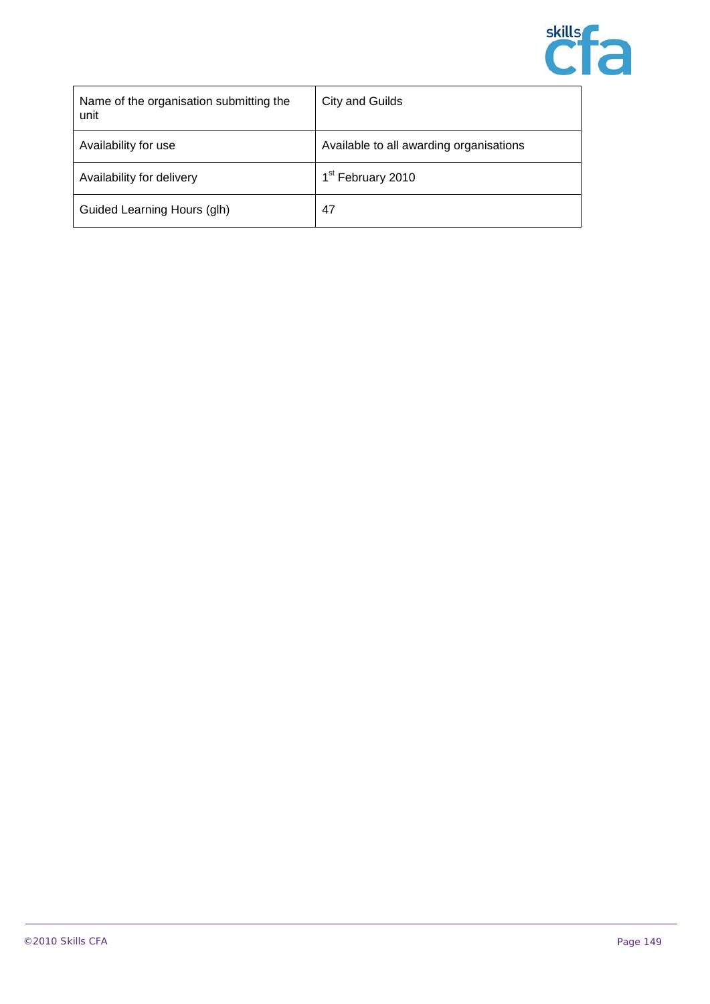

| Name of the organisation submitting the<br>unit | City and Guilds                         |
|-------------------------------------------------|-----------------------------------------|
| Availability for use                            | Available to all awarding organisations |
| Availability for delivery                       | 1 <sup>st</sup> February 2010           |
| Guided Learning Hours (glh)                     | 47                                      |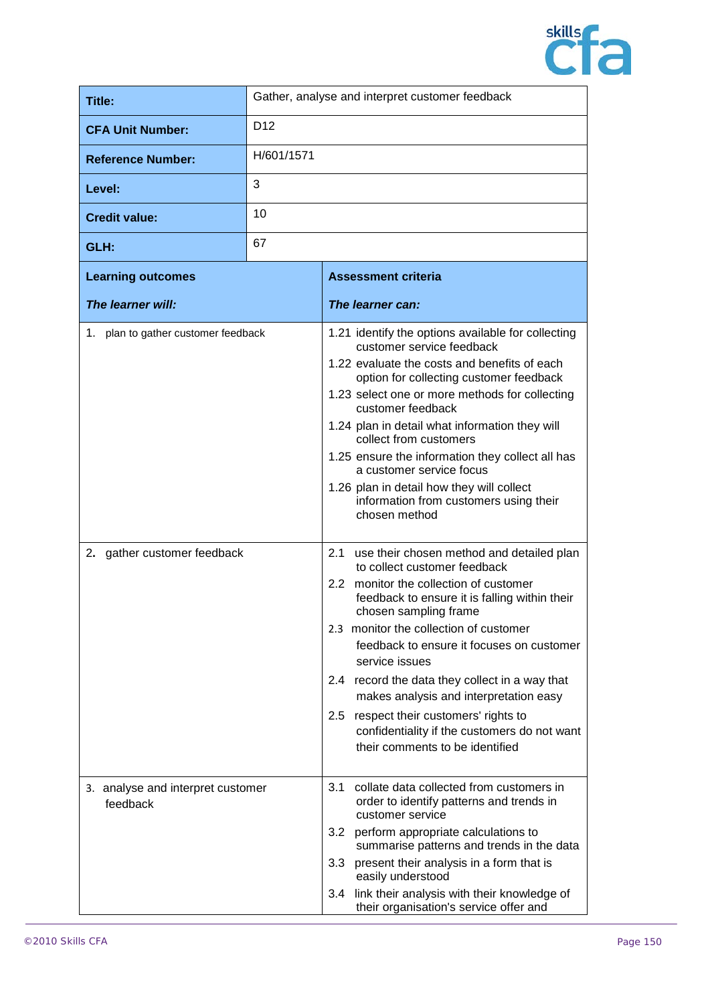

| Title:                                        | Gather, analyse and interpret customer feedback |                                                                                                                                                                                                                                                                                                                                                                                                                                                                                                                                        |
|-----------------------------------------------|-------------------------------------------------|----------------------------------------------------------------------------------------------------------------------------------------------------------------------------------------------------------------------------------------------------------------------------------------------------------------------------------------------------------------------------------------------------------------------------------------------------------------------------------------------------------------------------------------|
| <b>CFA Unit Number:</b>                       | D <sub>12</sub>                                 |                                                                                                                                                                                                                                                                                                                                                                                                                                                                                                                                        |
| <b>Reference Number:</b>                      | H/601/1571                                      |                                                                                                                                                                                                                                                                                                                                                                                                                                                                                                                                        |
| Level:                                        | 3                                               |                                                                                                                                                                                                                                                                                                                                                                                                                                                                                                                                        |
| <b>Credit value:</b>                          | 10                                              |                                                                                                                                                                                                                                                                                                                                                                                                                                                                                                                                        |
| GLH:                                          | 67                                              |                                                                                                                                                                                                                                                                                                                                                                                                                                                                                                                                        |
| <b>Learning outcomes</b>                      |                                                 | <b>Assessment criteria</b>                                                                                                                                                                                                                                                                                                                                                                                                                                                                                                             |
| The learner will:                             |                                                 | The learner can:                                                                                                                                                                                                                                                                                                                                                                                                                                                                                                                       |
| 1. plan to gather customer feedback           |                                                 | 1.21 identify the options available for collecting<br>customer service feedback<br>1.22 evaluate the costs and benefits of each<br>option for collecting customer feedback<br>1.23 select one or more methods for collecting<br>customer feedback<br>1.24 plan in detail what information they will<br>collect from customers<br>1.25 ensure the information they collect all has<br>a customer service focus<br>1.26 plan in detail how they will collect<br>information from customers using their<br>chosen method                  |
| 2. gather customer feedback                   |                                                 | 2.1 use their chosen method and detailed plan<br>to collect customer feedback<br>2.2 monitor the collection of customer<br>feedback to ensure it is falling within their<br>chosen sampling frame<br>2.3 monitor the collection of customer<br>feedback to ensure it focuses on customer<br>service issues<br>2.4 record the data they collect in a way that<br>makes analysis and interpretation easy<br>2.5<br>respect their customers' rights to<br>confidentiality if the customers do not want<br>their comments to be identified |
| 3. analyse and interpret customer<br>feedback |                                                 | 3.1<br>collate data collected from customers in<br>order to identify patterns and trends in<br>customer service<br>3.2<br>perform appropriate calculations to<br>summarise patterns and trends in the data<br>present their analysis in a form that is<br>3.3<br>easily understood<br>link their analysis with their knowledge of<br>3.4<br>their organisation's service offer and                                                                                                                                                     |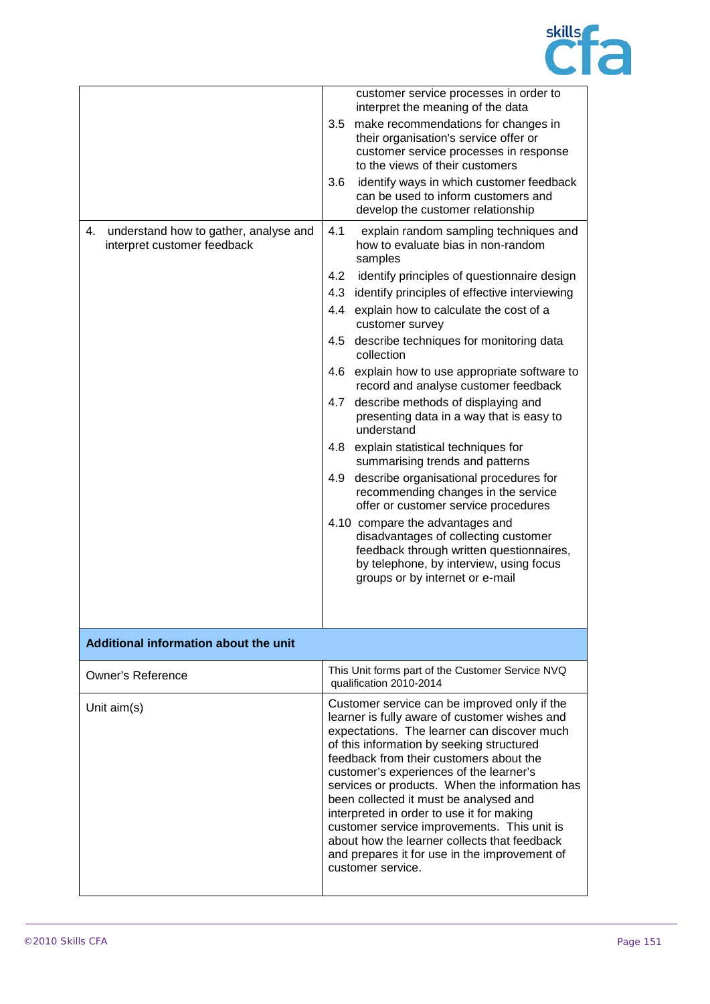

|                                                                            | customer service processes in order to<br>interpret the meaning of the data                                                                                                                                                                                                                                                                                                                                                                                                                                                                                                                   |
|----------------------------------------------------------------------------|-----------------------------------------------------------------------------------------------------------------------------------------------------------------------------------------------------------------------------------------------------------------------------------------------------------------------------------------------------------------------------------------------------------------------------------------------------------------------------------------------------------------------------------------------------------------------------------------------|
|                                                                            | 3.5<br>make recommendations for changes in<br>their organisation's service offer or<br>customer service processes in response<br>to the views of their customers                                                                                                                                                                                                                                                                                                                                                                                                                              |
|                                                                            | identify ways in which customer feedback<br>3.6<br>can be used to inform customers and<br>develop the customer relationship                                                                                                                                                                                                                                                                                                                                                                                                                                                                   |
| 4.<br>understand how to gather, analyse and<br>interpret customer feedback | 4.1<br>explain random sampling techniques and<br>how to evaluate bias in non-random<br>samples                                                                                                                                                                                                                                                                                                                                                                                                                                                                                                |
|                                                                            | identify principles of questionnaire design<br>4.2                                                                                                                                                                                                                                                                                                                                                                                                                                                                                                                                            |
|                                                                            | 4.3 identify principles of effective interviewing                                                                                                                                                                                                                                                                                                                                                                                                                                                                                                                                             |
|                                                                            | 4.4 explain how to calculate the cost of a<br>customer survey                                                                                                                                                                                                                                                                                                                                                                                                                                                                                                                                 |
|                                                                            | describe techniques for monitoring data<br>4.5<br>collection                                                                                                                                                                                                                                                                                                                                                                                                                                                                                                                                  |
|                                                                            | 4.6<br>explain how to use appropriate software to<br>record and analyse customer feedback                                                                                                                                                                                                                                                                                                                                                                                                                                                                                                     |
|                                                                            | describe methods of displaying and<br>4.7<br>presenting data in a way that is easy to<br>understand                                                                                                                                                                                                                                                                                                                                                                                                                                                                                           |
|                                                                            | explain statistical techniques for<br>4.8<br>summarising trends and patterns                                                                                                                                                                                                                                                                                                                                                                                                                                                                                                                  |
|                                                                            | describe organisational procedures for<br>4.9<br>recommending changes in the service<br>offer or customer service procedures                                                                                                                                                                                                                                                                                                                                                                                                                                                                  |
|                                                                            | 4.10 compare the advantages and<br>disadvantages of collecting customer<br>feedback through written questionnaires,<br>by telephone, by interview, using focus<br>groups or by internet or e-mail                                                                                                                                                                                                                                                                                                                                                                                             |
|                                                                            |                                                                                                                                                                                                                                                                                                                                                                                                                                                                                                                                                                                               |
| Additional information about the unit                                      |                                                                                                                                                                                                                                                                                                                                                                                                                                                                                                                                                                                               |
| <b>Owner's Reference</b>                                                   | This Unit forms part of the Customer Service NVQ<br>qualification 2010-2014                                                                                                                                                                                                                                                                                                                                                                                                                                                                                                                   |
| Unit aim(s)                                                                | Customer service can be improved only if the<br>learner is fully aware of customer wishes and<br>expectations. The learner can discover much<br>of this information by seeking structured<br>feedback from their customers about the<br>customer's experiences of the learner's<br>services or products. When the information has<br>been collected it must be analysed and<br>interpreted in order to use it for making<br>customer service improvements. This unit is<br>about how the learner collects that feedback<br>and prepares it for use in the improvement of<br>customer service. |
|                                                                            |                                                                                                                                                                                                                                                                                                                                                                                                                                                                                                                                                                                               |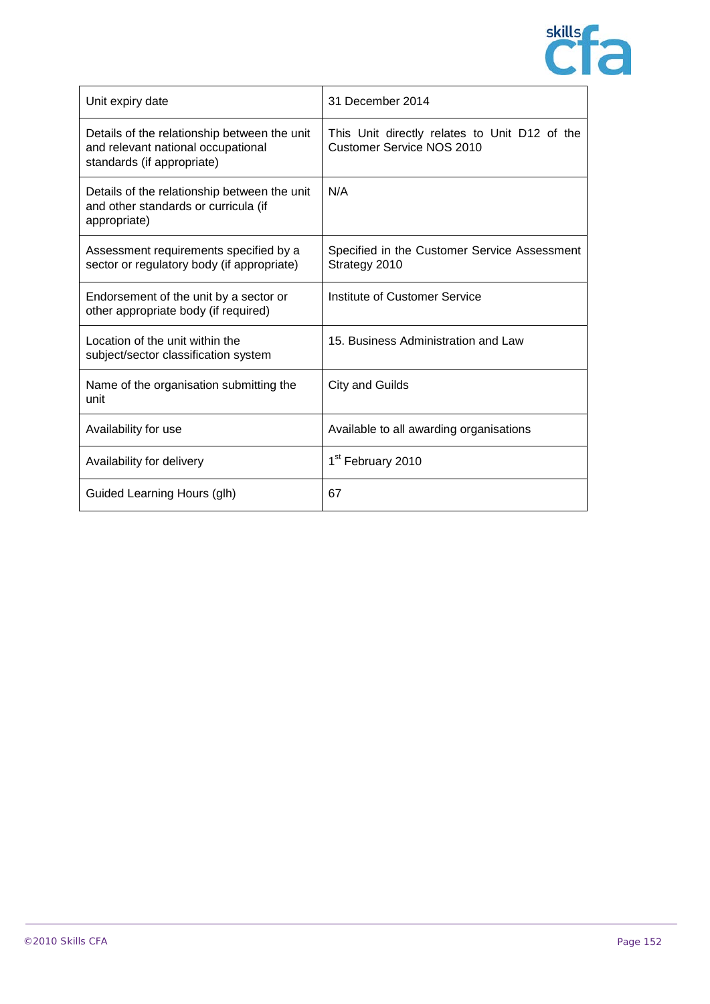

| Unit expiry date                                                                                                 | 31 December 2014                                                                  |
|------------------------------------------------------------------------------------------------------------------|-----------------------------------------------------------------------------------|
| Details of the relationship between the unit<br>and relevant national occupational<br>standards (if appropriate) | This Unit directly relates to Unit D12 of the<br><b>Customer Service NOS 2010</b> |
| Details of the relationship between the unit<br>and other standards or curricula (if<br>appropriate)             | N/A                                                                               |
| Assessment requirements specified by a<br>sector or regulatory body (if appropriate)                             | Specified in the Customer Service Assessment<br>Strategy 2010                     |
| Endorsement of the unit by a sector or<br>other appropriate body (if required)                                   | Institute of Customer Service                                                     |
| Location of the unit within the<br>subject/sector classification system                                          | 15. Business Administration and Law                                               |
| Name of the organisation submitting the<br>unit                                                                  | <b>City and Guilds</b>                                                            |
| Availability for use                                                                                             | Available to all awarding organisations                                           |
| Availability for delivery                                                                                        | 1 <sup>st</sup> February 2010                                                     |
| Guided Learning Hours (glh)                                                                                      | 67                                                                                |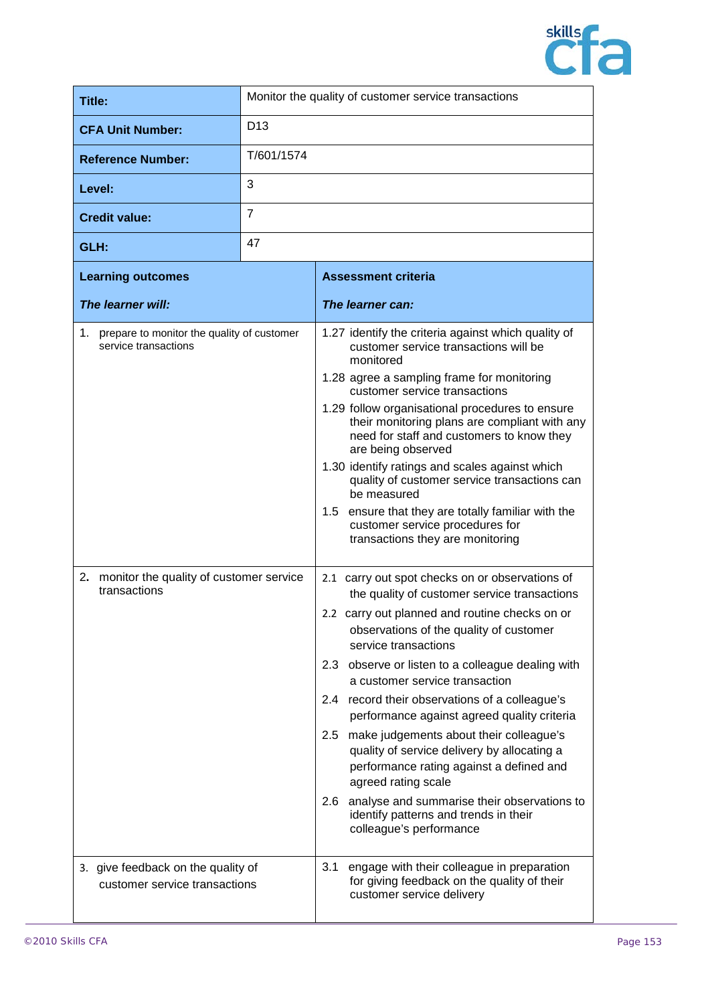

| Title:                   | Monitor the quality of customer service transactions |
|--------------------------|------------------------------------------------------|
| <b>CFA Unit Number:</b>  | D <sub>13</sub>                                      |
| <b>Reference Number:</b> | T/601/1574                                           |
| Level:                   | 3                                                    |
| <b>Credit value:</b>     | 7                                                    |
| GLH:                     | 47                                                   |

| <b>Learning outcomes</b>                                              | <b>Assessment criteria</b>                                                                                                                                           |
|-----------------------------------------------------------------------|----------------------------------------------------------------------------------------------------------------------------------------------------------------------|
| The learner will:                                                     | The learner can:                                                                                                                                                     |
| 1. prepare to monitor the quality of customer<br>service transactions | 1.27 identify the criteria against which quality of<br>customer service transactions will be<br>monitored                                                            |
|                                                                       | 1.28 agree a sampling frame for monitoring<br>customer service transactions                                                                                          |
|                                                                       | 1.29 follow organisational procedures to ensure<br>their monitoring plans are compliant with any<br>need for staff and customers to know they<br>are being observed  |
|                                                                       | 1.30 identify ratings and scales against which<br>quality of customer service transactions can<br>be measured                                                        |
|                                                                       | 1.5 ensure that they are totally familiar with the<br>customer service procedures for<br>transactions they are monitoring                                            |
| 2. monitor the quality of customer service<br>transactions            | 2.1 carry out spot checks on or observations of<br>the quality of customer service transactions                                                                      |
|                                                                       | 2.2 carry out planned and routine checks on or<br>observations of the quality of customer<br>service transactions                                                    |
|                                                                       | 2.3 observe or listen to a colleague dealing with<br>a customer service transaction                                                                                  |
|                                                                       | 2.4 record their observations of a colleague's<br>performance against agreed quality criteria                                                                        |
|                                                                       | make judgements about their colleague's<br>$2.5\,$<br>quality of service delivery by allocating a<br>performance rating against a defined and<br>agreed rating scale |
|                                                                       | 2.6 analyse and summarise their observations to<br>identify patterns and trends in their<br>colleague's performance                                                  |
| 3. give feedback on the quality of<br>customer service transactions   | engage with their colleague in preparation<br>3.1<br>for giving feedback on the quality of their<br>customer service delivery                                        |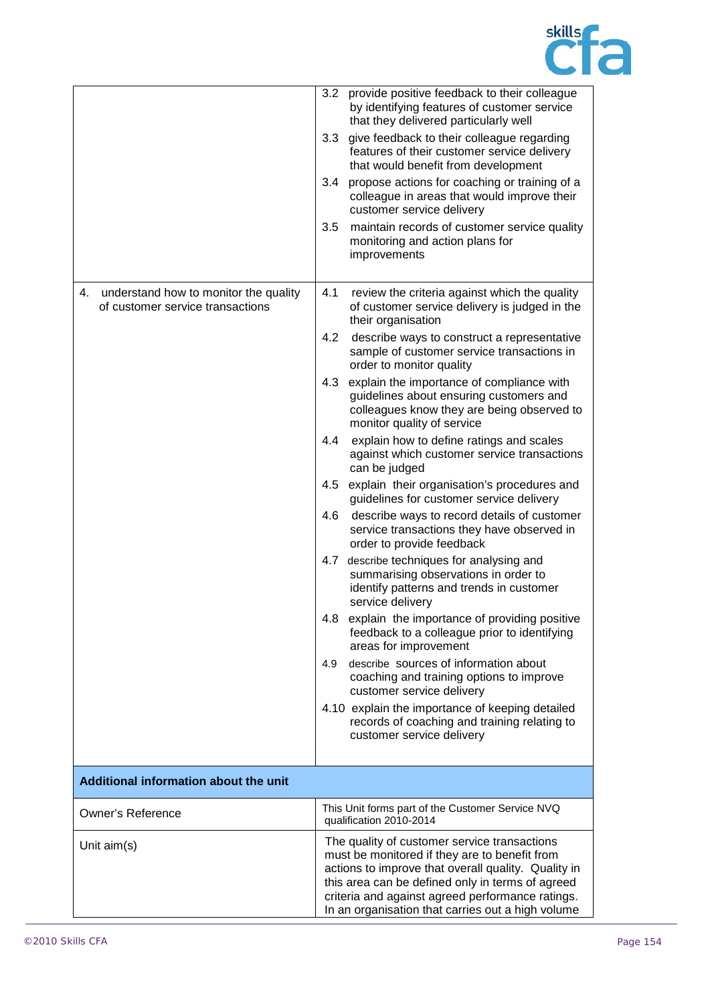

|                                                                                 |               | 3.2 provide positive feedback to their colleague<br>by identifying features of customer service<br>that they delivered particularly well                                                                                                                                                                          |
|---------------------------------------------------------------------------------|---------------|-------------------------------------------------------------------------------------------------------------------------------------------------------------------------------------------------------------------------------------------------------------------------------------------------------------------|
|                                                                                 | 3.3           | give feedback to their colleague regarding<br>features of their customer service delivery<br>that would benefit from development                                                                                                                                                                                  |
|                                                                                 | $3.4^{\circ}$ | propose actions for coaching or training of a<br>colleague in areas that would improve their<br>customer service delivery                                                                                                                                                                                         |
|                                                                                 | 3.5           | maintain records of customer service quality<br>monitoring and action plans for<br>improvements                                                                                                                                                                                                                   |
| understand how to monitor the quality<br>4.<br>of customer service transactions | 4.1           | review the criteria against which the quality<br>of customer service delivery is judged in the<br>their organisation                                                                                                                                                                                              |
|                                                                                 | 4.2           | describe ways to construct a representative<br>sample of customer service transactions in<br>order to monitor quality                                                                                                                                                                                             |
|                                                                                 | 4.3           | explain the importance of compliance with<br>guidelines about ensuring customers and<br>colleagues know they are being observed to<br>monitor quality of service                                                                                                                                                  |
|                                                                                 | 4.4           | explain how to define ratings and scales<br>against which customer service transactions<br>can be judged                                                                                                                                                                                                          |
|                                                                                 | 4.5           | explain their organisation's procedures and<br>guidelines for customer service delivery                                                                                                                                                                                                                           |
|                                                                                 | 4.6           | describe ways to record details of customer<br>service transactions they have observed in<br>order to provide feedback                                                                                                                                                                                            |
|                                                                                 | 4.7           | describe techniques for analysing and<br>summarising observations in order to<br>identify patterns and trends in customer<br>service delivery                                                                                                                                                                     |
|                                                                                 |               | 4.8 explain the importance of providing positive<br>feedback to a colleague prior to identifying<br>areas for improvement                                                                                                                                                                                         |
|                                                                                 | 4.9           | describe sources of information about<br>coaching and training options to improve<br>customer service delivery                                                                                                                                                                                                    |
|                                                                                 |               | 4.10 explain the importance of keeping detailed<br>records of coaching and training relating to<br>customer service delivery                                                                                                                                                                                      |
| Additional information about the unit                                           |               |                                                                                                                                                                                                                                                                                                                   |
| Owner's Reference                                                               |               | This Unit forms part of the Customer Service NVQ<br>qualification 2010-2014                                                                                                                                                                                                                                       |
| Unit $aim(s)$                                                                   |               | The quality of customer service transactions<br>must be monitored if they are to benefit from<br>actions to improve that overall quality. Quality in<br>this area can be defined only in terms of agreed<br>criteria and against agreed performance ratings.<br>In an organisation that carries out a high volume |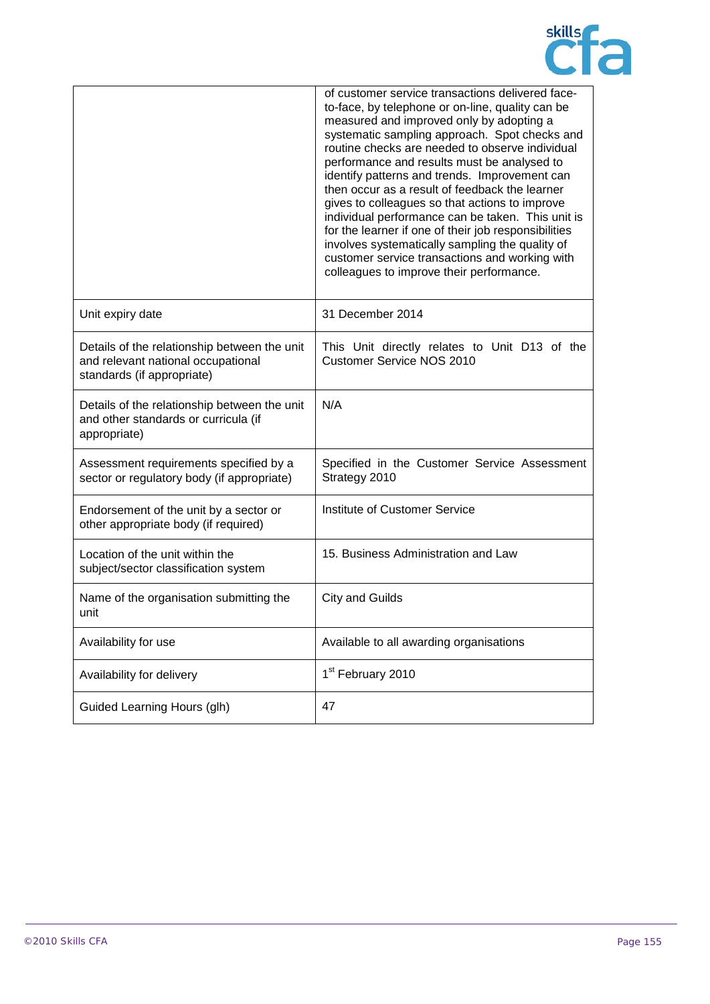

|                                                                                                                  | of customer service transactions delivered face-<br>to-face, by telephone or on-line, quality can be<br>measured and improved only by adopting a<br>systematic sampling approach. Spot checks and<br>routine checks are needed to observe individual<br>performance and results must be analysed to<br>identify patterns and trends. Improvement can<br>then occur as a result of feedback the learner<br>gives to colleagues so that actions to improve<br>individual performance can be taken. This unit is<br>for the learner if one of their job responsibilities<br>involves systematically sampling the quality of<br>customer service transactions and working with<br>colleagues to improve their performance. |
|------------------------------------------------------------------------------------------------------------------|------------------------------------------------------------------------------------------------------------------------------------------------------------------------------------------------------------------------------------------------------------------------------------------------------------------------------------------------------------------------------------------------------------------------------------------------------------------------------------------------------------------------------------------------------------------------------------------------------------------------------------------------------------------------------------------------------------------------|
| Unit expiry date                                                                                                 | 31 December 2014                                                                                                                                                                                                                                                                                                                                                                                                                                                                                                                                                                                                                                                                                                       |
| Details of the relationship between the unit<br>and relevant national occupational<br>standards (if appropriate) | This Unit directly relates to Unit D13 of the<br><b>Customer Service NOS 2010</b>                                                                                                                                                                                                                                                                                                                                                                                                                                                                                                                                                                                                                                      |
| Details of the relationship between the unit<br>and other standards or curricula (if<br>appropriate)             | N/A                                                                                                                                                                                                                                                                                                                                                                                                                                                                                                                                                                                                                                                                                                                    |
| Assessment requirements specified by a<br>sector or regulatory body (if appropriate)                             | Specified in the Customer Service Assessment<br>Strategy 2010                                                                                                                                                                                                                                                                                                                                                                                                                                                                                                                                                                                                                                                          |
| Endorsement of the unit by a sector or<br>other appropriate body (if required)                                   | Institute of Customer Service                                                                                                                                                                                                                                                                                                                                                                                                                                                                                                                                                                                                                                                                                          |
| Location of the unit within the<br>subject/sector classification system                                          | 15. Business Administration and Law                                                                                                                                                                                                                                                                                                                                                                                                                                                                                                                                                                                                                                                                                    |
| Name of the organisation submitting the<br>unit                                                                  | <b>City and Guilds</b>                                                                                                                                                                                                                                                                                                                                                                                                                                                                                                                                                                                                                                                                                                 |
| Availability for use                                                                                             | Available to all awarding organisations                                                                                                                                                                                                                                                                                                                                                                                                                                                                                                                                                                                                                                                                                |
| Availability for delivery                                                                                        | 1 <sup>st</sup> February 2010                                                                                                                                                                                                                                                                                                                                                                                                                                                                                                                                                                                                                                                                                          |
| Guided Learning Hours (glh)                                                                                      | 47                                                                                                                                                                                                                                                                                                                                                                                                                                                                                                                                                                                                                                                                                                                     |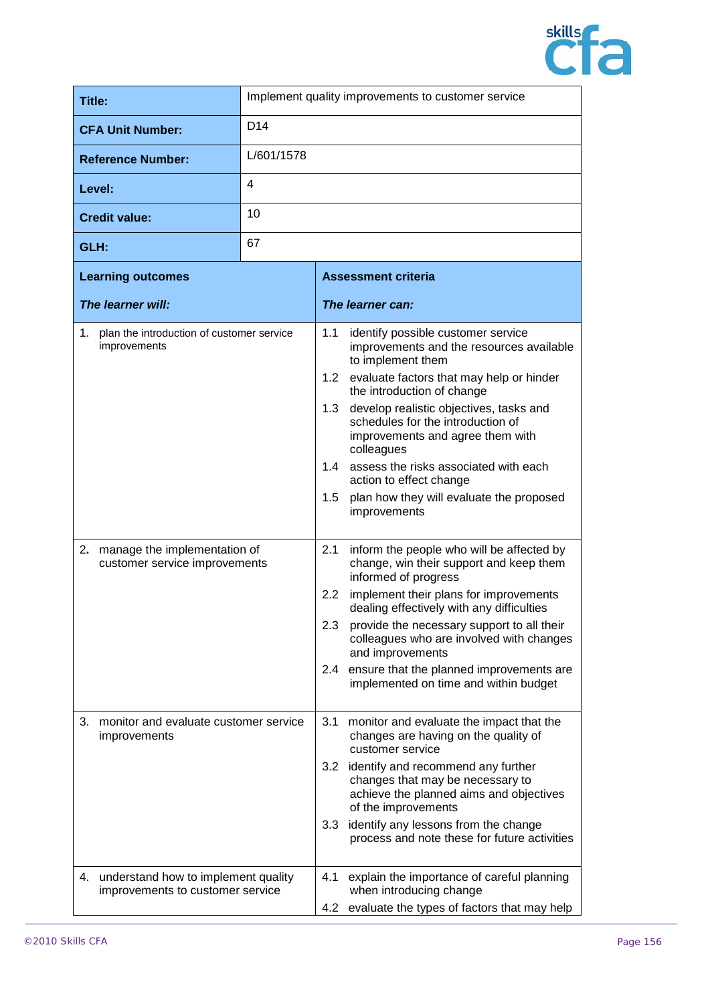

| Title:                   | Implement quality improvements to customer service |
|--------------------------|----------------------------------------------------|
| <b>CFA Unit Number:</b>  | D <sub>14</sub>                                    |
| <b>Reference Number:</b> | L/601/1578                                         |
| Level:                   | 4                                                  |
| <b>Credit value:</b>     | 10                                                 |
| GLH:                     | 67                                                 |

| <b>Learning outcomes</b>                                                      | <b>Assessment criteria</b>                                                                                                                                                                                                                                                                                                                                                                                                                                         |  |
|-------------------------------------------------------------------------------|--------------------------------------------------------------------------------------------------------------------------------------------------------------------------------------------------------------------------------------------------------------------------------------------------------------------------------------------------------------------------------------------------------------------------------------------------------------------|--|
| The learner will:                                                             | The learner can:                                                                                                                                                                                                                                                                                                                                                                                                                                                   |  |
| 1. plan the introduction of customer service<br>improvements                  | 1.1<br>identify possible customer service<br>improvements and the resources available<br>to implement them<br>1.2<br>evaluate factors that may help or hinder<br>the introduction of change<br>develop realistic objectives, tasks and<br>1.3<br>schedules for the introduction of<br>improvements and agree them with<br>colleagues<br>assess the risks associated with each<br>1.4<br>action to effect change<br>plan how they will evaluate the proposed<br>1.5 |  |
|                                                                               | improvements                                                                                                                                                                                                                                                                                                                                                                                                                                                       |  |
| manage the implementation of<br>2.<br>customer service improvements           | 2.1<br>inform the people who will be affected by<br>change, win their support and keep them<br>informed of progress                                                                                                                                                                                                                                                                                                                                                |  |
|                                                                               | implement their plans for improvements<br>2.2<br>dealing effectively with any difficulties                                                                                                                                                                                                                                                                                                                                                                         |  |
|                                                                               | provide the necessary support to all their<br>2.3<br>colleagues who are involved with changes<br>and improvements                                                                                                                                                                                                                                                                                                                                                  |  |
|                                                                               | ensure that the planned improvements are<br>2.4<br>implemented on time and within budget                                                                                                                                                                                                                                                                                                                                                                           |  |
| 3.<br>monitor and evaluate customer service<br>improvements                   | 3.1<br>monitor and evaluate the impact that the<br>changes are having on the quality of<br>customer service                                                                                                                                                                                                                                                                                                                                                        |  |
|                                                                               | identify and recommend any further<br>3.2<br>changes that may be necessary to<br>achieve the planned aims and objectives<br>of the improvements                                                                                                                                                                                                                                                                                                                    |  |
|                                                                               | 3.3<br>identify any lessons from the change<br>process and note these for future activities                                                                                                                                                                                                                                                                                                                                                                        |  |
| understand how to implement quality<br>4.<br>improvements to customer service | 4.1<br>explain the importance of careful planning<br>when introducing change                                                                                                                                                                                                                                                                                                                                                                                       |  |
|                                                                               | evaluate the types of factors that may help<br>4.2                                                                                                                                                                                                                                                                                                                                                                                                                 |  |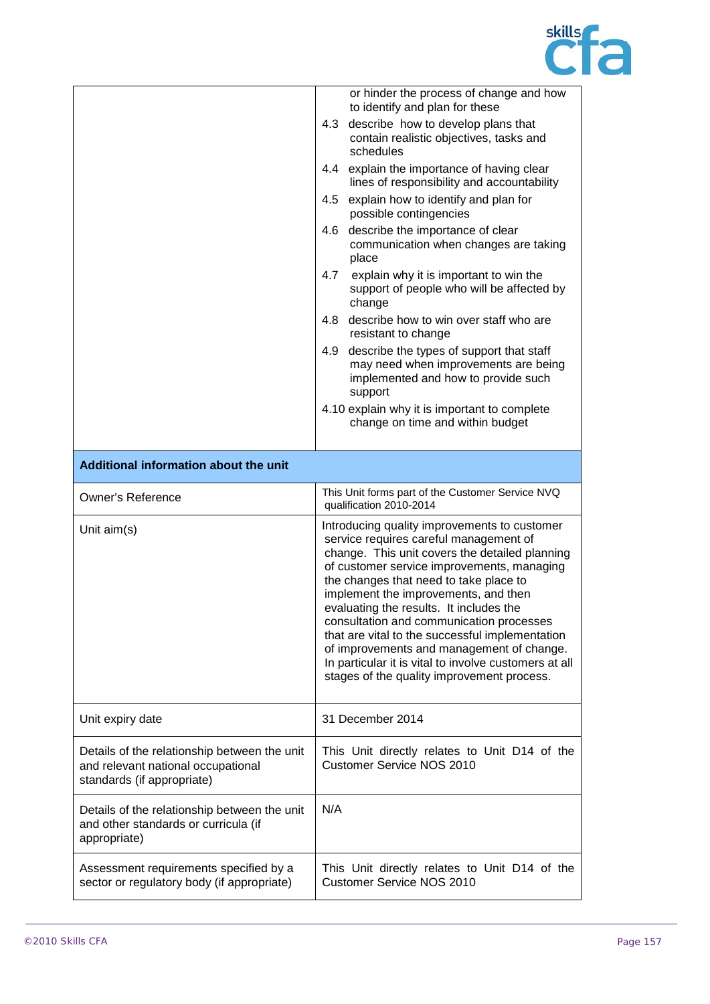

|                                                                                                                  | or hinder the process of change and how<br>to identify and plan for these                                                                                                                                                                                                                                                                                                                                                                                                                                                                                              |
|------------------------------------------------------------------------------------------------------------------|------------------------------------------------------------------------------------------------------------------------------------------------------------------------------------------------------------------------------------------------------------------------------------------------------------------------------------------------------------------------------------------------------------------------------------------------------------------------------------------------------------------------------------------------------------------------|
|                                                                                                                  | 4.3 describe how to develop plans that<br>contain realistic objectives, tasks and<br>schedules                                                                                                                                                                                                                                                                                                                                                                                                                                                                         |
|                                                                                                                  | 4.4 explain the importance of having clear<br>lines of responsibility and accountability                                                                                                                                                                                                                                                                                                                                                                                                                                                                               |
|                                                                                                                  | 4.5 explain how to identify and plan for<br>possible contingencies                                                                                                                                                                                                                                                                                                                                                                                                                                                                                                     |
|                                                                                                                  | 4.6 describe the importance of clear<br>communication when changes are taking<br>place                                                                                                                                                                                                                                                                                                                                                                                                                                                                                 |
|                                                                                                                  | explain why it is important to win the<br>4.7<br>support of people who will be affected by<br>change                                                                                                                                                                                                                                                                                                                                                                                                                                                                   |
|                                                                                                                  | describe how to win over staff who are<br>4.8<br>resistant to change                                                                                                                                                                                                                                                                                                                                                                                                                                                                                                   |
|                                                                                                                  | describe the types of support that staff<br>4.9<br>may need when improvements are being<br>implemented and how to provide such<br>support                                                                                                                                                                                                                                                                                                                                                                                                                              |
|                                                                                                                  | 4.10 explain why it is important to complete<br>change on time and within budget                                                                                                                                                                                                                                                                                                                                                                                                                                                                                       |
| Additional information about the unit                                                                            |                                                                                                                                                                                                                                                                                                                                                                                                                                                                                                                                                                        |
| <b>Owner's Reference</b>                                                                                         | This Unit forms part of the Customer Service NVQ<br>qualification 2010-2014                                                                                                                                                                                                                                                                                                                                                                                                                                                                                            |
| Unit $aim(s)$                                                                                                    | Introducing quality improvements to customer<br>service requires careful management of<br>change. This unit covers the detailed planning<br>of customer service improvements, managing<br>the changes that need to take place to<br>implement the improvements, and then<br>evaluating the results. It includes the<br>consultation and communication processes<br>that are vital to the successful implementation<br>of improvements and management of change.<br>In particular it is vital to involve customers at all<br>stages of the quality improvement process. |
| Unit expiry date                                                                                                 | 31 December 2014                                                                                                                                                                                                                                                                                                                                                                                                                                                                                                                                                       |
| Details of the relationship between the unit<br>and relevant national occupational<br>standards (if appropriate) | This Unit directly relates to Unit D14 of the<br><b>Customer Service NOS 2010</b>                                                                                                                                                                                                                                                                                                                                                                                                                                                                                      |
| Details of the relationship between the unit<br>and other standards or curricula (if<br>appropriate)             | N/A                                                                                                                                                                                                                                                                                                                                                                                                                                                                                                                                                                    |
| Assessment requirements specified by a<br>sector or regulatory body (if appropriate)                             | This Unit directly relates to Unit D14 of the<br>Customer Service NOS 2010                                                                                                                                                                                                                                                                                                                                                                                                                                                                                             |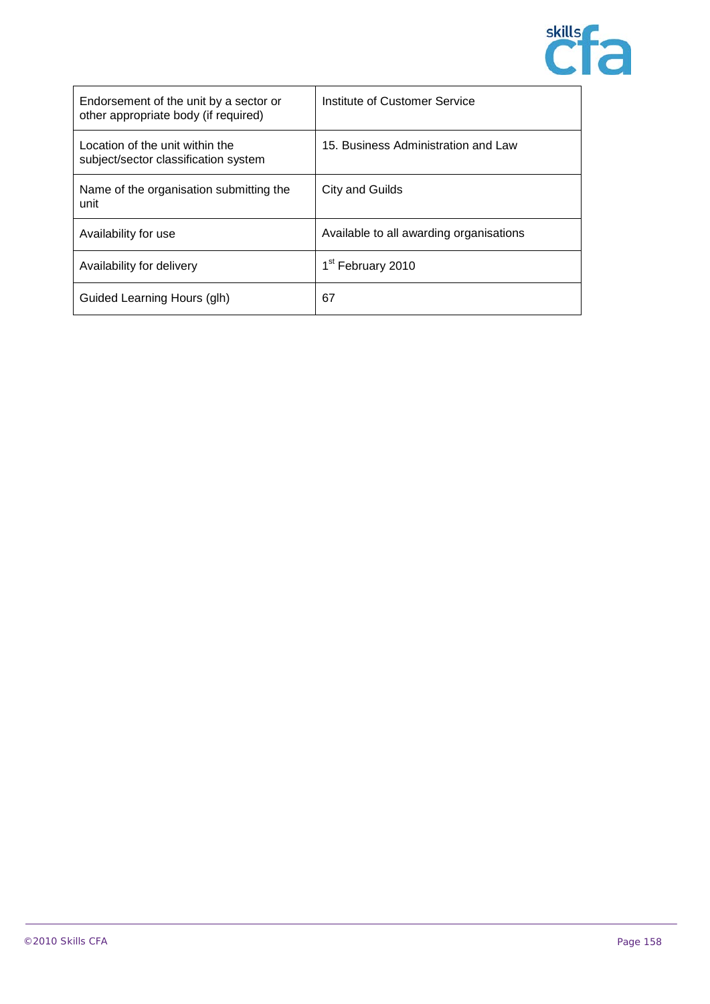

| Endorsement of the unit by a sector or<br>other appropriate body (if required) | Institute of Customer Service           |
|--------------------------------------------------------------------------------|-----------------------------------------|
| Location of the unit within the<br>subject/sector classification system        | 15. Business Administration and Law     |
| Name of the organisation submitting the<br>unit                                | City and Guilds                         |
| Availability for use                                                           | Available to all awarding organisations |
| Availability for delivery                                                      | 1 <sup>st</sup> February 2010           |
| Guided Learning Hours (glh)                                                    | 67                                      |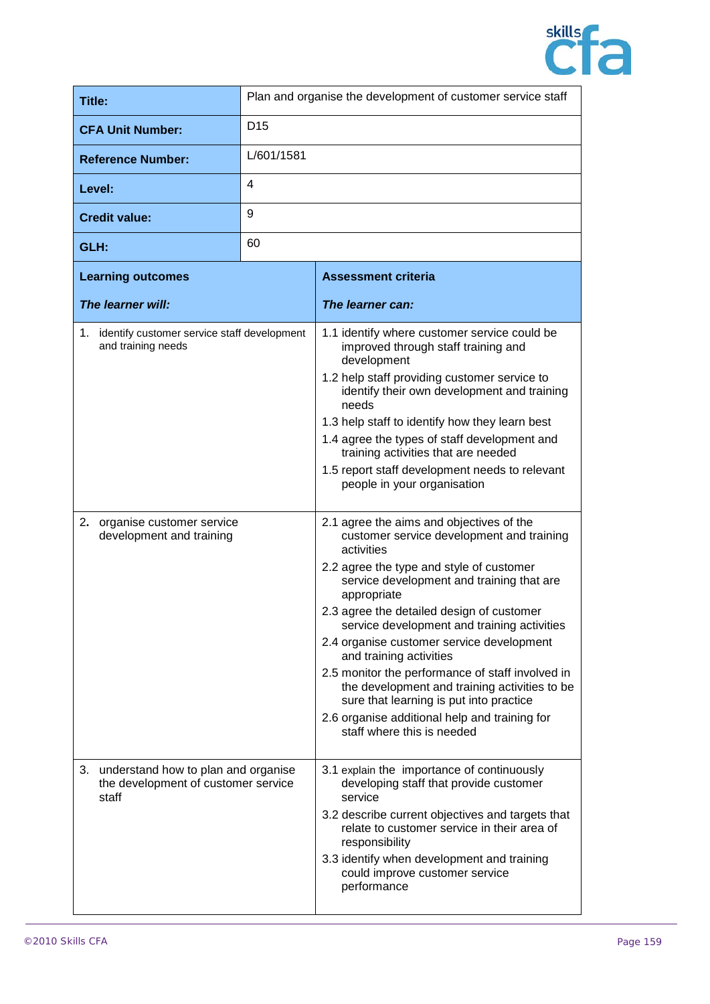

| <b>Title:</b>                                                                             |                 | Plan and organise the development of customer service staff                                                                                                                                                                                                                                                                                                                                                                                                                                                                                                                                                    |
|-------------------------------------------------------------------------------------------|-----------------|----------------------------------------------------------------------------------------------------------------------------------------------------------------------------------------------------------------------------------------------------------------------------------------------------------------------------------------------------------------------------------------------------------------------------------------------------------------------------------------------------------------------------------------------------------------------------------------------------------------|
| <b>CFA Unit Number:</b>                                                                   | D <sub>15</sub> |                                                                                                                                                                                                                                                                                                                                                                                                                                                                                                                                                                                                                |
| <b>Reference Number:</b>                                                                  | L/601/1581      |                                                                                                                                                                                                                                                                                                                                                                                                                                                                                                                                                                                                                |
| Level:                                                                                    | 4               |                                                                                                                                                                                                                                                                                                                                                                                                                                                                                                                                                                                                                |
| <b>Credit value:</b>                                                                      | 9               |                                                                                                                                                                                                                                                                                                                                                                                                                                                                                                                                                                                                                |
| GLH:                                                                                      | 60              |                                                                                                                                                                                                                                                                                                                                                                                                                                                                                                                                                                                                                |
| <b>Learning outcomes</b>                                                                  |                 | <b>Assessment criteria</b>                                                                                                                                                                                                                                                                                                                                                                                                                                                                                                                                                                                     |
| The learner will:                                                                         |                 | The learner can:                                                                                                                                                                                                                                                                                                                                                                                                                                                                                                                                                                                               |
| 1. identify customer service staff development<br>and training needs                      |                 | 1.1 identify where customer service could be<br>improved through staff training and<br>development<br>1.2 help staff providing customer service to<br>identify their own development and training<br>needs<br>1.3 help staff to identify how they learn best<br>1.4 agree the types of staff development and<br>training activities that are needed<br>1.5 report staff development needs to relevant<br>people in your organisation                                                                                                                                                                           |
| organise customer service<br>2.<br>development and training                               |                 | 2.1 agree the aims and objectives of the<br>customer service development and training<br>activities<br>2.2 agree the type and style of customer<br>service development and training that are<br>appropriate<br>2.3 agree the detailed design of customer<br>service development and training activities<br>2.4 organise customer service development<br>and training activities<br>2.5 monitor the performance of staff involved in<br>the development and training activities to be<br>sure that learning is put into practice<br>2.6 organise additional help and training for<br>staff where this is needed |
| understand how to plan and organise<br>З.<br>the development of customer service<br>staff |                 | 3.1 explain the importance of continuously<br>developing staff that provide customer<br>service<br>3.2 describe current objectives and targets that<br>relate to customer service in their area of<br>responsibility<br>3.3 identify when development and training<br>could improve customer service<br>performance                                                                                                                                                                                                                                                                                            |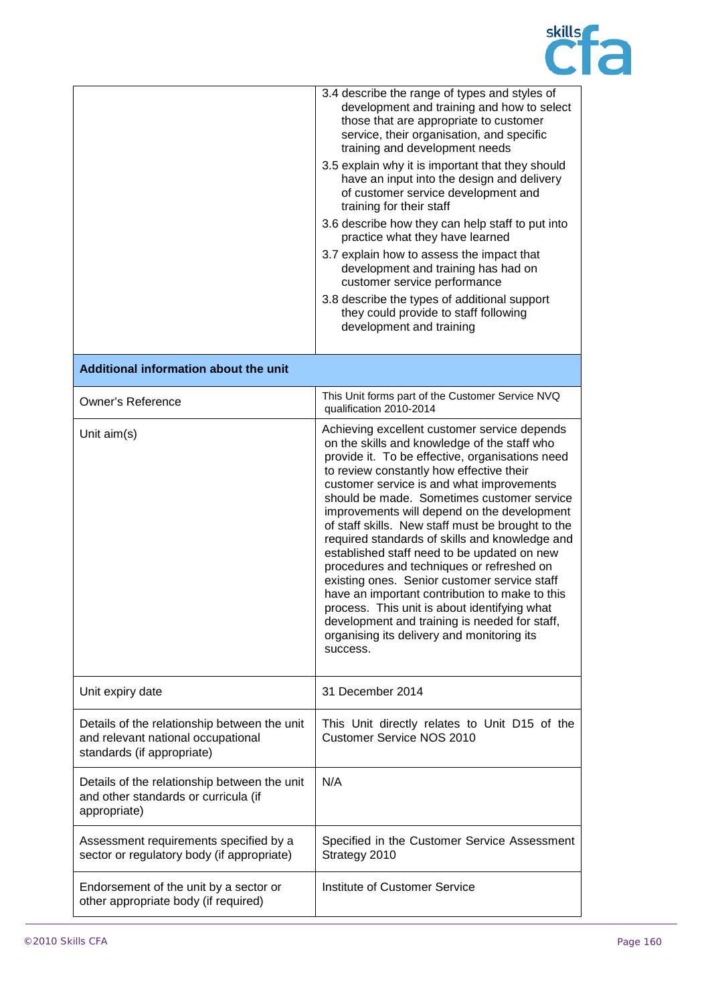

|                                                                                                                  | 3.4 describe the range of types and styles of<br>development and training and how to select<br>those that are appropriate to customer<br>service, their organisation, and specific<br>training and development needs<br>3.5 explain why it is important that they should<br>have an input into the design and delivery<br>of customer service development and<br>training for their staff<br>3.6 describe how they can help staff to put into<br>practice what they have learned<br>3.7 explain how to assess the impact that<br>development and training has had on<br>customer service performance<br>3.8 describe the types of additional support<br>they could provide to staff following<br>development and training                                                                             |
|------------------------------------------------------------------------------------------------------------------|-------------------------------------------------------------------------------------------------------------------------------------------------------------------------------------------------------------------------------------------------------------------------------------------------------------------------------------------------------------------------------------------------------------------------------------------------------------------------------------------------------------------------------------------------------------------------------------------------------------------------------------------------------------------------------------------------------------------------------------------------------------------------------------------------------|
| Additional information about the unit                                                                            |                                                                                                                                                                                                                                                                                                                                                                                                                                                                                                                                                                                                                                                                                                                                                                                                       |
| <b>Owner's Reference</b>                                                                                         | This Unit forms part of the Customer Service NVQ<br>qualification 2010-2014                                                                                                                                                                                                                                                                                                                                                                                                                                                                                                                                                                                                                                                                                                                           |
| Unit aim(s)                                                                                                      | Achieving excellent customer service depends<br>on the skills and knowledge of the staff who<br>provide it. To be effective, organisations need<br>to review constantly how effective their<br>customer service is and what improvements<br>should be made. Sometimes customer service<br>improvements will depend on the development<br>of staff skills. New staff must be brought to the<br>required standards of skills and knowledge and<br>established staff need to be updated on new<br>procedures and techniques or refreshed on<br>existing ones. Senior customer service staff<br>have an important contribution to make to this<br>process. This unit is about identifying what<br>development and training is needed for staff,<br>organising its delivery and monitoring its<br>success. |
| Unit expiry date                                                                                                 | 31 December 2014                                                                                                                                                                                                                                                                                                                                                                                                                                                                                                                                                                                                                                                                                                                                                                                      |
| Details of the relationship between the unit<br>and relevant national occupational<br>standards (if appropriate) | This Unit directly relates to Unit D15 of the<br><b>Customer Service NOS 2010</b>                                                                                                                                                                                                                                                                                                                                                                                                                                                                                                                                                                                                                                                                                                                     |
| Details of the relationship between the unit<br>and other standards or curricula (if<br>appropriate)             | N/A                                                                                                                                                                                                                                                                                                                                                                                                                                                                                                                                                                                                                                                                                                                                                                                                   |
| Assessment requirements specified by a<br>sector or regulatory body (if appropriate)                             | Specified in the Customer Service Assessment<br>Strategy 2010                                                                                                                                                                                                                                                                                                                                                                                                                                                                                                                                                                                                                                                                                                                                         |
| Endorsement of the unit by a sector or<br>other appropriate body (if required)                                   | Institute of Customer Service                                                                                                                                                                                                                                                                                                                                                                                                                                                                                                                                                                                                                                                                                                                                                                         |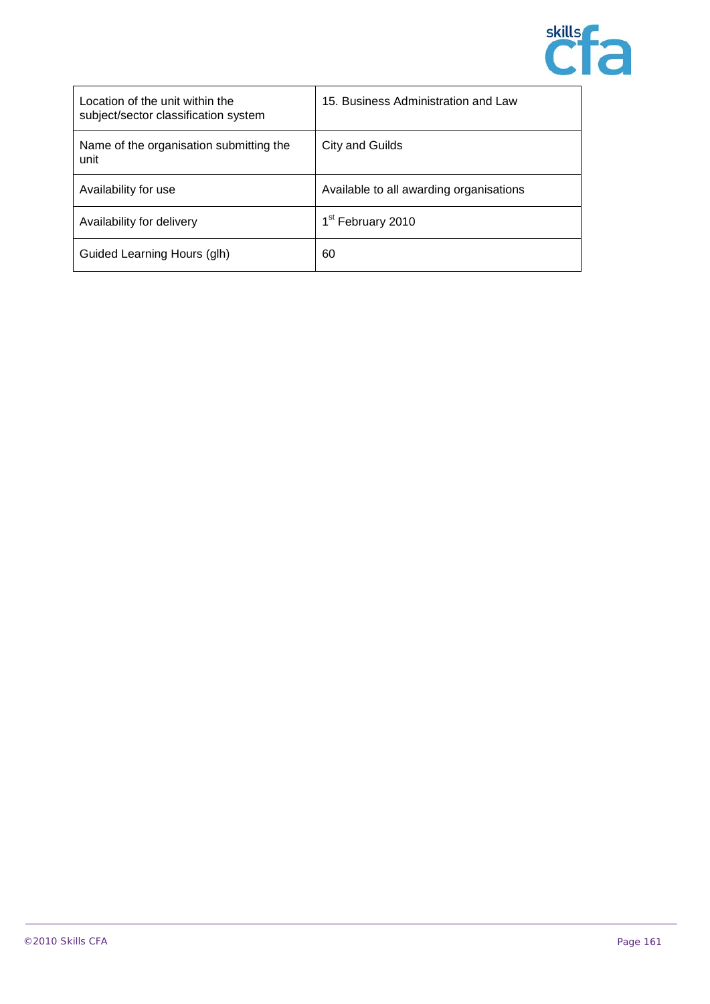

| Location of the unit within the<br>subject/sector classification system | 15. Business Administration and Law     |
|-------------------------------------------------------------------------|-----------------------------------------|
| Name of the organisation submitting the<br>unit                         | City and Guilds                         |
| Availability for use                                                    | Available to all awarding organisations |
| Availability for delivery                                               | 1 <sup>st</sup> February 2010           |
| Guided Learning Hours (glh)                                             | 60                                      |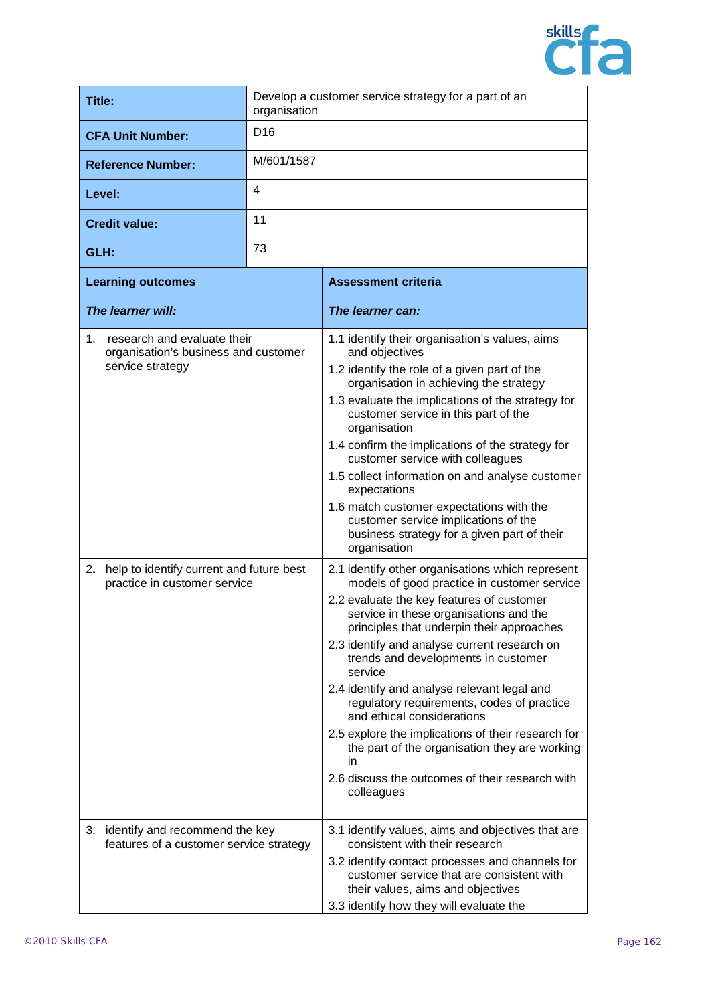

| <b>Title:</b>                                                                                                                                                                | Develop a customer service strategy for a part of an<br>organisation |                                                                                                                                                                                                                                                                                                                                                                                                                                                                                                                                                                                                                                                                                                                                                                                                                                                                                                                                                                                                                                                                                                                                                                                                                                         |
|------------------------------------------------------------------------------------------------------------------------------------------------------------------------------|----------------------------------------------------------------------|-----------------------------------------------------------------------------------------------------------------------------------------------------------------------------------------------------------------------------------------------------------------------------------------------------------------------------------------------------------------------------------------------------------------------------------------------------------------------------------------------------------------------------------------------------------------------------------------------------------------------------------------------------------------------------------------------------------------------------------------------------------------------------------------------------------------------------------------------------------------------------------------------------------------------------------------------------------------------------------------------------------------------------------------------------------------------------------------------------------------------------------------------------------------------------------------------------------------------------------------|
| <b>CFA Unit Number:</b>                                                                                                                                                      | D <sub>16</sub>                                                      |                                                                                                                                                                                                                                                                                                                                                                                                                                                                                                                                                                                                                                                                                                                                                                                                                                                                                                                                                                                                                                                                                                                                                                                                                                         |
| <b>Reference Number:</b>                                                                                                                                                     | M/601/1587                                                           |                                                                                                                                                                                                                                                                                                                                                                                                                                                                                                                                                                                                                                                                                                                                                                                                                                                                                                                                                                                                                                                                                                                                                                                                                                         |
| Level:                                                                                                                                                                       | 4                                                                    |                                                                                                                                                                                                                                                                                                                                                                                                                                                                                                                                                                                                                                                                                                                                                                                                                                                                                                                                                                                                                                                                                                                                                                                                                                         |
| <b>Credit value:</b>                                                                                                                                                         | 11                                                                   |                                                                                                                                                                                                                                                                                                                                                                                                                                                                                                                                                                                                                                                                                                                                                                                                                                                                                                                                                                                                                                                                                                                                                                                                                                         |
| GLH:                                                                                                                                                                         | 73                                                                   |                                                                                                                                                                                                                                                                                                                                                                                                                                                                                                                                                                                                                                                                                                                                                                                                                                                                                                                                                                                                                                                                                                                                                                                                                                         |
| <b>Learning outcomes</b>                                                                                                                                                     |                                                                      | <b>Assessment criteria</b>                                                                                                                                                                                                                                                                                                                                                                                                                                                                                                                                                                                                                                                                                                                                                                                                                                                                                                                                                                                                                                                                                                                                                                                                              |
| The learner will:                                                                                                                                                            |                                                                      | The learner can:                                                                                                                                                                                                                                                                                                                                                                                                                                                                                                                                                                                                                                                                                                                                                                                                                                                                                                                                                                                                                                                                                                                                                                                                                        |
| research and evaluate their<br>1.<br>organisation's business and customer<br>service strategy<br>2. help to identify current and future best<br>practice in customer service |                                                                      | 1.1 identify their organisation's values, aims<br>and objectives<br>1.2 identify the role of a given part of the<br>organisation in achieving the strategy<br>1.3 evaluate the implications of the strategy for<br>customer service in this part of the<br>organisation<br>1.4 confirm the implications of the strategy for<br>customer service with colleagues<br>1.5 collect information on and analyse customer<br>expectations<br>1.6 match customer expectations with the<br>customer service implications of the<br>business strategy for a given part of their<br>organisation<br>2.1 identify other organisations which represent<br>models of good practice in customer service<br>2.2 evaluate the key features of customer<br>service in these organisations and the<br>principles that underpin their approaches<br>2.3 identify and analyse current research on<br>trends and developments in customer<br>service<br>2.4 identify and analyse relevant legal and<br>regulatory requirements, codes of practice<br>and ethical considerations<br>2.5 explore the implications of their research for<br>the part of the organisation they are working<br>in<br>2.6 discuss the outcomes of their research with<br>colleagues |
| 3. identify and recommend the key<br>features of a customer service strategy                                                                                                 |                                                                      | 3.1 identify values, aims and objectives that are<br>consistent with their research<br>3.2 identify contact processes and channels for<br>customer service that are consistent with<br>their values, aims and objectives<br>3.3 identify how they will evaluate the                                                                                                                                                                                                                                                                                                                                                                                                                                                                                                                                                                                                                                                                                                                                                                                                                                                                                                                                                                     |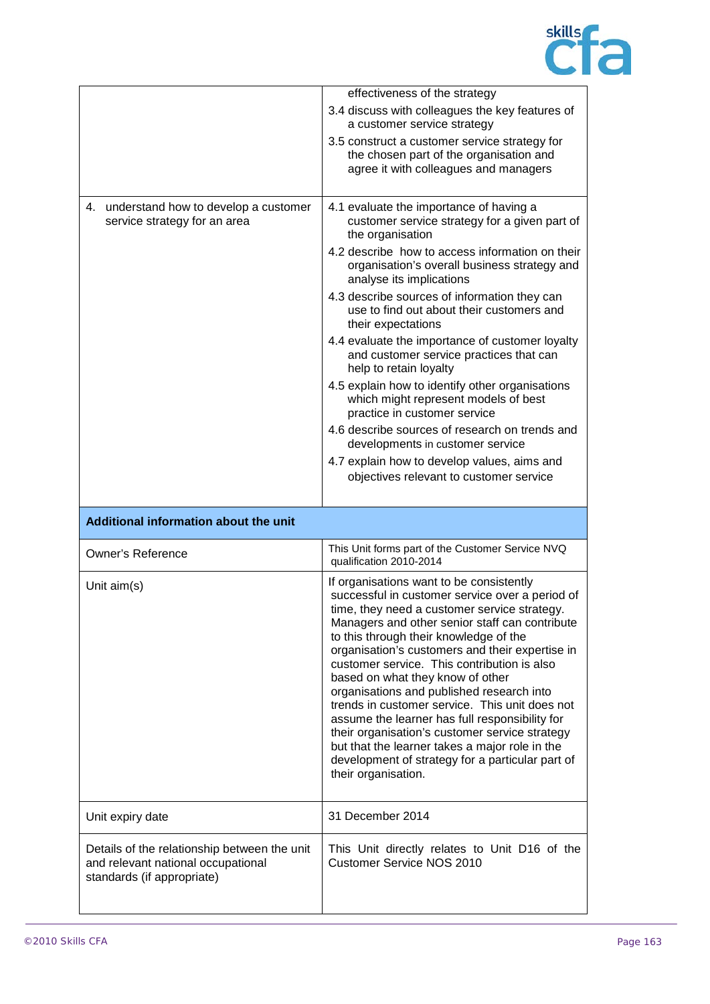

|                                                                         | effectiveness of the strategy                                                                                                                                                                                                                                                                                                                                                                                                                                                                                                                                                                                                                                                                                 |
|-------------------------------------------------------------------------|---------------------------------------------------------------------------------------------------------------------------------------------------------------------------------------------------------------------------------------------------------------------------------------------------------------------------------------------------------------------------------------------------------------------------------------------------------------------------------------------------------------------------------------------------------------------------------------------------------------------------------------------------------------------------------------------------------------|
|                                                                         | 3.4 discuss with colleagues the key features of<br>a customer service strategy                                                                                                                                                                                                                                                                                                                                                                                                                                                                                                                                                                                                                                |
|                                                                         | 3.5 construct a customer service strategy for<br>the chosen part of the organisation and<br>agree it with colleagues and managers                                                                                                                                                                                                                                                                                                                                                                                                                                                                                                                                                                             |
| 4. understand how to develop a customer<br>service strategy for an area | 4.1 evaluate the importance of having a<br>customer service strategy for a given part of<br>the organisation                                                                                                                                                                                                                                                                                                                                                                                                                                                                                                                                                                                                  |
|                                                                         | 4.2 describe how to access information on their<br>organisation's overall business strategy and<br>analyse its implications                                                                                                                                                                                                                                                                                                                                                                                                                                                                                                                                                                                   |
|                                                                         | 4.3 describe sources of information they can<br>use to find out about their customers and<br>their expectations                                                                                                                                                                                                                                                                                                                                                                                                                                                                                                                                                                                               |
|                                                                         | 4.4 evaluate the importance of customer loyalty<br>and customer service practices that can<br>help to retain loyalty                                                                                                                                                                                                                                                                                                                                                                                                                                                                                                                                                                                          |
|                                                                         | 4.5 explain how to identify other organisations<br>which might represent models of best<br>practice in customer service                                                                                                                                                                                                                                                                                                                                                                                                                                                                                                                                                                                       |
|                                                                         | 4.6 describe sources of research on trends and<br>developments in customer service                                                                                                                                                                                                                                                                                                                                                                                                                                                                                                                                                                                                                            |
|                                                                         | 4.7 explain how to develop values, aims and                                                                                                                                                                                                                                                                                                                                                                                                                                                                                                                                                                                                                                                                   |
|                                                                         | objectives relevant to customer service                                                                                                                                                                                                                                                                                                                                                                                                                                                                                                                                                                                                                                                                       |
|                                                                         |                                                                                                                                                                                                                                                                                                                                                                                                                                                                                                                                                                                                                                                                                                               |
| Additional information about the unit                                   |                                                                                                                                                                                                                                                                                                                                                                                                                                                                                                                                                                                                                                                                                                               |
| <b>Owner's Reference</b>                                                | This Unit forms part of the Customer Service NVQ<br>qualification 2010-2014                                                                                                                                                                                                                                                                                                                                                                                                                                                                                                                                                                                                                                   |
| Unit aim(s)                                                             | If organisations want to be consistently<br>successful in customer service over a period of<br>time, they need a customer service strategy.<br>Managers and other senior staff can contribute<br>to this through their knowledge of the<br>organisation's customers and their expertise in<br>customer service. This contribution is also<br>based on what they know of other<br>organisations and published research into<br>trends in customer service. This unit does not<br>assume the learner has full responsibility for<br>their organisation's customer service strategy<br>but that the learner takes a major role in the<br>development of strategy for a particular part of<br>their organisation. |
| Unit expiry date                                                        | 31 December 2014                                                                                                                                                                                                                                                                                                                                                                                                                                                                                                                                                                                                                                                                                              |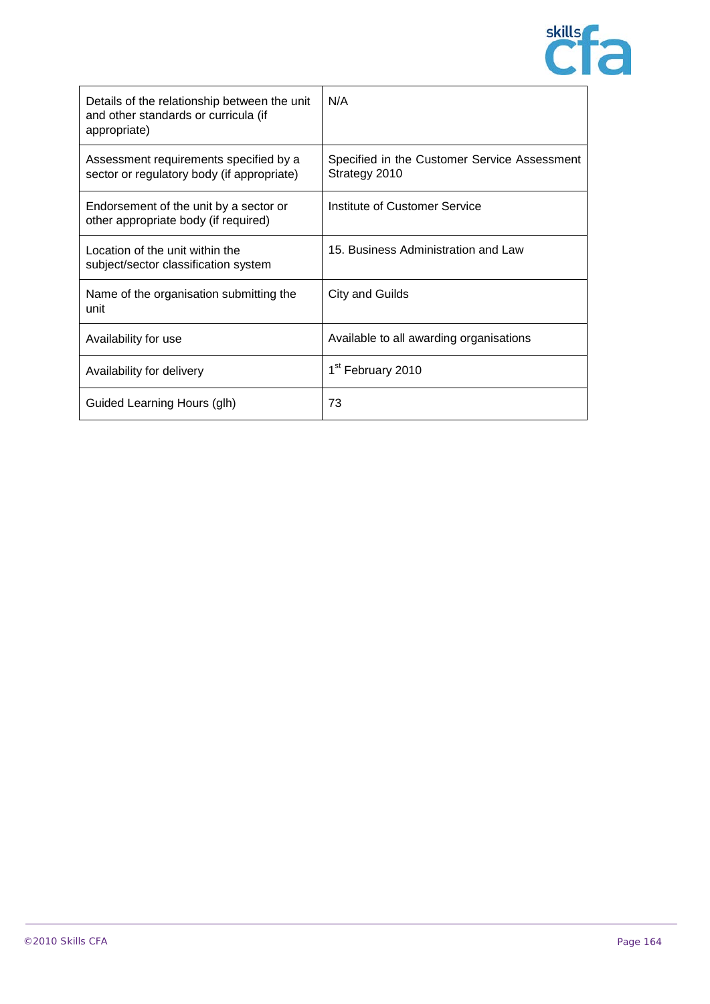

| Details of the relationship between the unit<br>and other standards or curricula (if<br>appropriate) | N/A                                                           |
|------------------------------------------------------------------------------------------------------|---------------------------------------------------------------|
| Assessment requirements specified by a<br>sector or regulatory body (if appropriate)                 | Specified in the Customer Service Assessment<br>Strategy 2010 |
| Endorsement of the unit by a sector or<br>other appropriate body (if required)                       | Institute of Customer Service                                 |
| Location of the unit within the<br>subject/sector classification system                              | 15. Business Administration and Law                           |
| Name of the organisation submitting the<br>unit                                                      | City and Guilds                                               |
| Availability for use                                                                                 | Available to all awarding organisations                       |
| Availability for delivery                                                                            | 1 <sup>st</sup> February 2010                                 |
| Guided Learning Hours (glh)                                                                          | 73                                                            |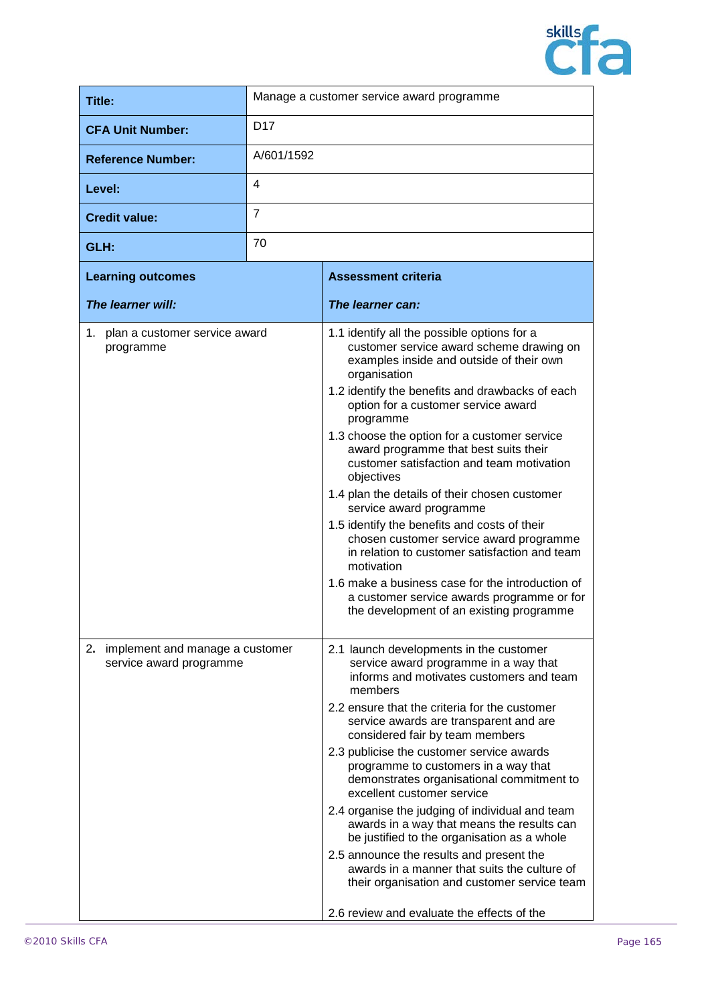

| Title:                   | Manage a customer service award programme |
|--------------------------|-------------------------------------------|
| <b>CFA Unit Number:</b>  | D <sub>17</sub>                           |
| <b>Reference Number:</b> | A/601/1592                                |
| Level:                   | 4                                         |
| <b>Credit value:</b>     | 7                                         |
| GLH:                     | 70                                        |

| <b>Learning outcomes</b>                                         | <b>Assessment criteria</b>                                                                                                                                                                                                                                                                                                                                                                                                                                                                                                                                                                                                                                                                                                                                                                         |
|------------------------------------------------------------------|----------------------------------------------------------------------------------------------------------------------------------------------------------------------------------------------------------------------------------------------------------------------------------------------------------------------------------------------------------------------------------------------------------------------------------------------------------------------------------------------------------------------------------------------------------------------------------------------------------------------------------------------------------------------------------------------------------------------------------------------------------------------------------------------------|
| The learner will:                                                | The learner can:                                                                                                                                                                                                                                                                                                                                                                                                                                                                                                                                                                                                                                                                                                                                                                                   |
| 1. plan a customer service award<br>programme                    | 1.1 identify all the possible options for a<br>customer service award scheme drawing on<br>examples inside and outside of their own<br>organisation<br>1.2 identify the benefits and drawbacks of each<br>option for a customer service award<br>programme<br>1.3 choose the option for a customer service<br>award programme that best suits their<br>customer satisfaction and team motivation<br>objectives<br>1.4 plan the details of their chosen customer<br>service award programme<br>1.5 identify the benefits and costs of their<br>chosen customer service award programme<br>in relation to customer satisfaction and team<br>motivation<br>1.6 make a business case for the introduction of<br>a customer service awards programme or for<br>the development of an existing programme |
| implement and manage a customer<br>2.<br>service award programme | 2.1 launch developments in the customer<br>service award programme in a way that<br>informs and motivates customers and team<br>members<br>2.2 ensure that the criteria for the customer<br>service awards are transparent and are<br>considered fair by team members<br>2.3 publicise the customer service awards<br>programme to customers in a way that<br>demonstrates organisational commitment to<br>excellent customer service<br>2.4 organise the judging of individual and team<br>awards in a way that means the results can<br>be justified to the organisation as a whole<br>2.5 announce the results and present the<br>awards in a manner that suits the culture of<br>their organisation and customer service team<br>2.6 review and evaluate the effects of the                    |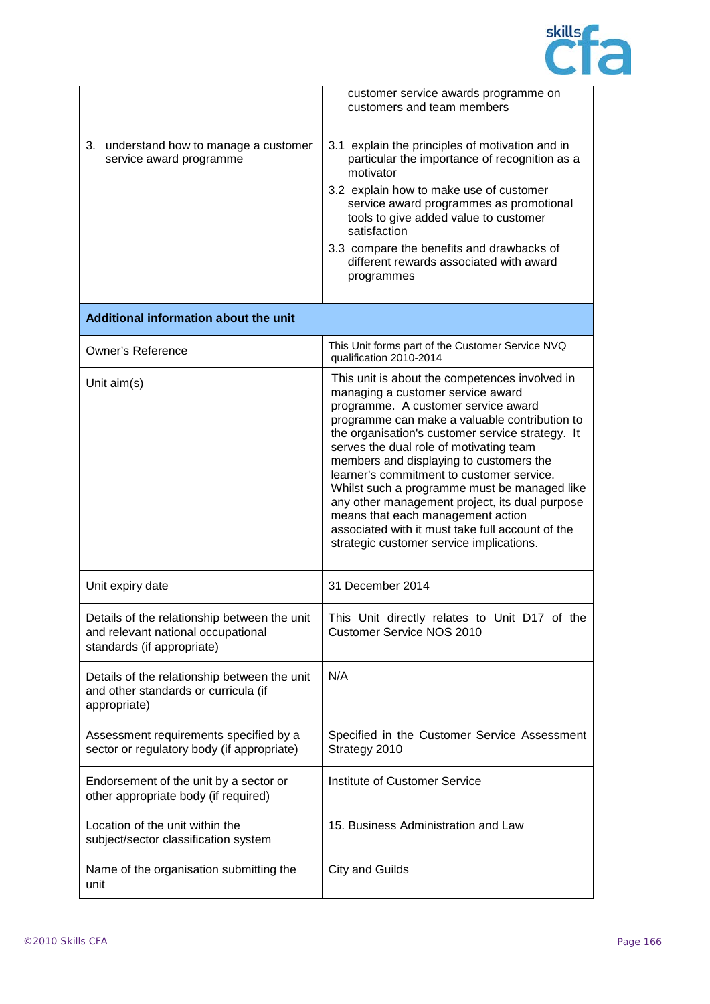

|                                                                                                                  | customer service awards programme on<br>customers and team members                                                                                                                                                                                                                                                                                                                                                                                                                                                                                                                                        |
|------------------------------------------------------------------------------------------------------------------|-----------------------------------------------------------------------------------------------------------------------------------------------------------------------------------------------------------------------------------------------------------------------------------------------------------------------------------------------------------------------------------------------------------------------------------------------------------------------------------------------------------------------------------------------------------------------------------------------------------|
| understand how to manage a customer<br>З.<br>service award programme                                             | 3.1 explain the principles of motivation and in<br>particular the importance of recognition as a<br>motivator<br>3.2 explain how to make use of customer<br>service award programmes as promotional<br>tools to give added value to customer<br>satisfaction<br>3.3 compare the benefits and drawbacks of<br>different rewards associated with award<br>programmes                                                                                                                                                                                                                                        |
| Additional information about the unit                                                                            |                                                                                                                                                                                                                                                                                                                                                                                                                                                                                                                                                                                                           |
| <b>Owner's Reference</b>                                                                                         | This Unit forms part of the Customer Service NVQ<br>qualification 2010-2014                                                                                                                                                                                                                                                                                                                                                                                                                                                                                                                               |
| Unit aim(s)                                                                                                      | This unit is about the competences involved in<br>managing a customer service award<br>programme. A customer service award<br>programme can make a valuable contribution to<br>the organisation's customer service strategy. It<br>serves the dual role of motivating team<br>members and displaying to customers the<br>learner's commitment to customer service.<br>Whilst such a programme must be managed like<br>any other management project, its dual purpose<br>means that each management action<br>associated with it must take full account of the<br>strategic customer service implications. |
| Unit expiry date                                                                                                 | 31 December 2014                                                                                                                                                                                                                                                                                                                                                                                                                                                                                                                                                                                          |
| Details of the relationship between the unit<br>and relevant national occupational<br>standards (if appropriate) | This Unit directly relates to Unit D17 of the<br><b>Customer Service NOS 2010</b>                                                                                                                                                                                                                                                                                                                                                                                                                                                                                                                         |
| Details of the relationship between the unit<br>and other standards or curricula (if<br>appropriate)             | N/A                                                                                                                                                                                                                                                                                                                                                                                                                                                                                                                                                                                                       |
| Assessment requirements specified by a<br>sector or regulatory body (if appropriate)                             | Specified in the Customer Service Assessment<br>Strategy 2010                                                                                                                                                                                                                                                                                                                                                                                                                                                                                                                                             |
| Endorsement of the unit by a sector or<br>other appropriate body (if required)                                   | <b>Institute of Customer Service</b>                                                                                                                                                                                                                                                                                                                                                                                                                                                                                                                                                                      |
| Location of the unit within the<br>subject/sector classification system                                          | 15. Business Administration and Law                                                                                                                                                                                                                                                                                                                                                                                                                                                                                                                                                                       |
| Name of the organisation submitting the<br>unit                                                                  | <b>City and Guilds</b>                                                                                                                                                                                                                                                                                                                                                                                                                                                                                                                                                                                    |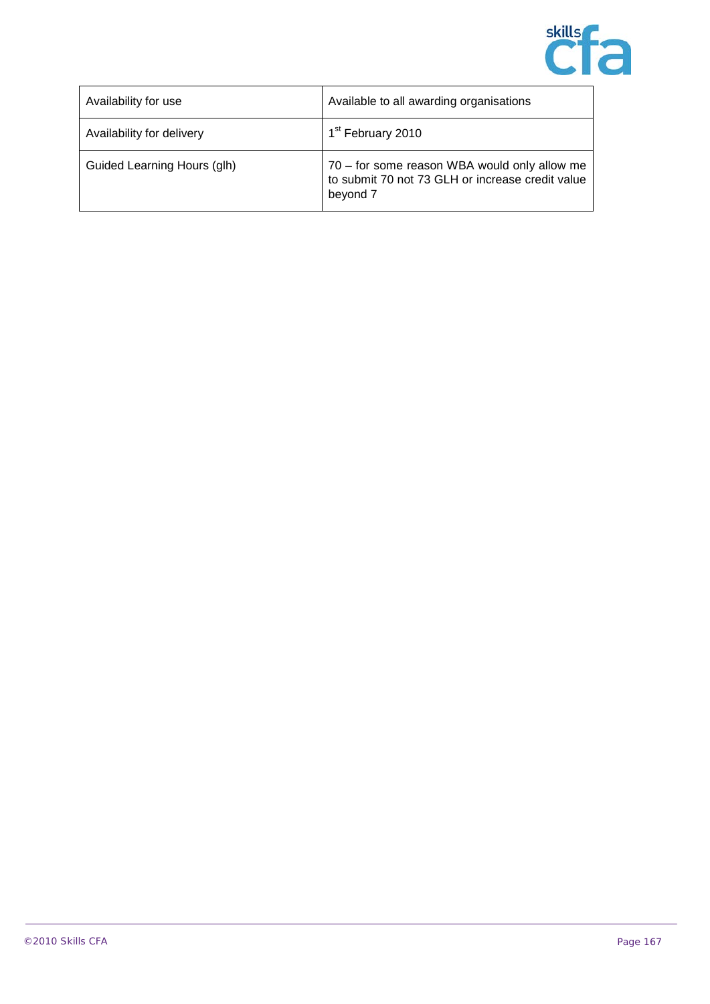

| Availability for use        | Available to all awarding organisations                                                                      |
|-----------------------------|--------------------------------------------------------------------------------------------------------------|
| Availability for delivery   | 1 <sup>st</sup> February 2010                                                                                |
| Guided Learning Hours (glh) | 70 - for some reason WBA would only allow me<br>to submit 70 not 73 GLH or increase credit value<br>beyond 7 |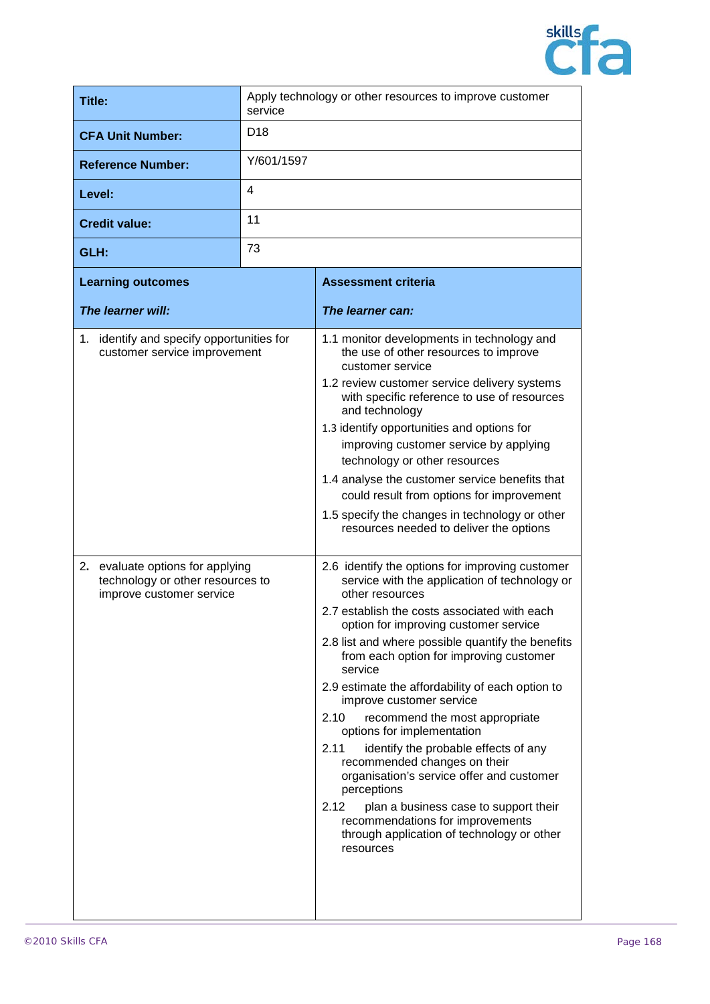

| Title:                                                                                                                                                                        | Apply technology or other resources to improve customer<br>service |                                                                                                                                                                                                                                                                                                                                                                                                                                                                                                                                                                                                                                                                                                                                                                                                                                                                                                                                                                                                                                                                                                                                                                                                                                                                                                                              |
|-------------------------------------------------------------------------------------------------------------------------------------------------------------------------------|--------------------------------------------------------------------|------------------------------------------------------------------------------------------------------------------------------------------------------------------------------------------------------------------------------------------------------------------------------------------------------------------------------------------------------------------------------------------------------------------------------------------------------------------------------------------------------------------------------------------------------------------------------------------------------------------------------------------------------------------------------------------------------------------------------------------------------------------------------------------------------------------------------------------------------------------------------------------------------------------------------------------------------------------------------------------------------------------------------------------------------------------------------------------------------------------------------------------------------------------------------------------------------------------------------------------------------------------------------------------------------------------------------|
| <b>CFA Unit Number:</b>                                                                                                                                                       | D <sub>18</sub>                                                    |                                                                                                                                                                                                                                                                                                                                                                                                                                                                                                                                                                                                                                                                                                                                                                                                                                                                                                                                                                                                                                                                                                                                                                                                                                                                                                                              |
| <b>Reference Number:</b>                                                                                                                                                      | Y/601/1597                                                         |                                                                                                                                                                                                                                                                                                                                                                                                                                                                                                                                                                                                                                                                                                                                                                                                                                                                                                                                                                                                                                                                                                                                                                                                                                                                                                                              |
| Level:                                                                                                                                                                        | 4                                                                  |                                                                                                                                                                                                                                                                                                                                                                                                                                                                                                                                                                                                                                                                                                                                                                                                                                                                                                                                                                                                                                                                                                                                                                                                                                                                                                                              |
| <b>Credit value:</b>                                                                                                                                                          | 11                                                                 |                                                                                                                                                                                                                                                                                                                                                                                                                                                                                                                                                                                                                                                                                                                                                                                                                                                                                                                                                                                                                                                                                                                                                                                                                                                                                                                              |
| GLH:                                                                                                                                                                          | 73                                                                 |                                                                                                                                                                                                                                                                                                                                                                                                                                                                                                                                                                                                                                                                                                                                                                                                                                                                                                                                                                                                                                                                                                                                                                                                                                                                                                                              |
| <b>Learning outcomes</b>                                                                                                                                                      |                                                                    | <b>Assessment criteria</b>                                                                                                                                                                                                                                                                                                                                                                                                                                                                                                                                                                                                                                                                                                                                                                                                                                                                                                                                                                                                                                                                                                                                                                                                                                                                                                   |
| The learner will:                                                                                                                                                             |                                                                    | The learner can:                                                                                                                                                                                                                                                                                                                                                                                                                                                                                                                                                                                                                                                                                                                                                                                                                                                                                                                                                                                                                                                                                                                                                                                                                                                                                                             |
| 1. identify and specify opportunities for<br>customer service improvement<br>2. evaluate options for applying<br>technology or other resources to<br>improve customer service |                                                                    | 1.1 monitor developments in technology and<br>the use of other resources to improve<br>customer service<br>1.2 review customer service delivery systems<br>with specific reference to use of resources<br>and technology<br>1.3 identify opportunities and options for<br>improving customer service by applying<br>technology or other resources<br>1.4 analyse the customer service benefits that<br>could result from options for improvement<br>1.5 specify the changes in technology or other<br>resources needed to deliver the options<br>2.6 identify the options for improving customer<br>service with the application of technology or<br>other resources<br>2.7 establish the costs associated with each<br>option for improving customer service<br>2.8 list and where possible quantify the benefits<br>from each option for improving customer<br>service<br>2.9 estimate the affordability of each option to<br>improve customer service<br>recommend the most appropriate<br>2.10<br>options for implementation<br>2.11<br>identify the probable effects of any<br>recommended changes on their<br>organisation's service offer and customer<br>perceptions<br>2.12<br>plan a business case to support their<br>recommendations for improvements<br>through application of technology or other<br>resources |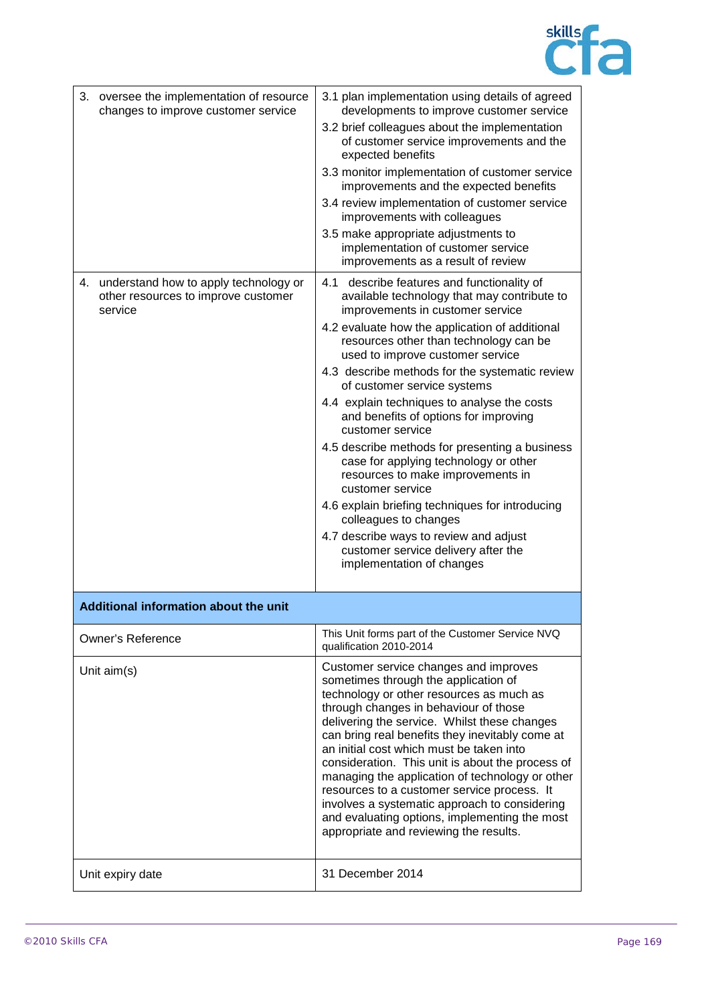

| 3. oversee the implementation of resource<br>changes to improve customer service<br>4. understand how to apply technology or<br>other resources to improve customer | 3.1 plan implementation using details of agreed<br>developments to improve customer service<br>3.2 brief colleagues about the implementation<br>of customer service improvements and the<br>expected benefits<br>3.3 monitor implementation of customer service<br>improvements and the expected benefits<br>3.4 review implementation of customer service<br>improvements with colleagues<br>3.5 make appropriate adjustments to<br>implementation of customer service<br>improvements as a result of review<br>4.1 describe features and functionality of<br>available technology that may contribute to                                                                                                  |
|---------------------------------------------------------------------------------------------------------------------------------------------------------------------|-------------------------------------------------------------------------------------------------------------------------------------------------------------------------------------------------------------------------------------------------------------------------------------------------------------------------------------------------------------------------------------------------------------------------------------------------------------------------------------------------------------------------------------------------------------------------------------------------------------------------------------------------------------------------------------------------------------|
| service                                                                                                                                                             | improvements in customer service<br>4.2 evaluate how the application of additional<br>resources other than technology can be<br>used to improve customer service<br>4.3 describe methods for the systematic review<br>of customer service systems<br>4.4 explain techniques to analyse the costs<br>and benefits of options for improving<br>customer service<br>4.5 describe methods for presenting a business<br>case for applying technology or other<br>resources to make improvements in<br>customer service<br>4.6 explain briefing techniques for introducing<br>colleagues to changes<br>4.7 describe ways to review and adjust<br>customer service delivery after the<br>implementation of changes |
| Additional information about the unit                                                                                                                               |                                                                                                                                                                                                                                                                                                                                                                                                                                                                                                                                                                                                                                                                                                             |
| <b>Owner's Reference</b>                                                                                                                                            | This Unit forms part of the Customer Service NVQ<br>qualification 2010-2014                                                                                                                                                                                                                                                                                                                                                                                                                                                                                                                                                                                                                                 |
| Unit $aim(s)$                                                                                                                                                       | Customer service changes and improves<br>sometimes through the application of<br>technology or other resources as much as<br>through changes in behaviour of those<br>delivering the service. Whilst these changes<br>can bring real benefits they inevitably come at<br>an initial cost which must be taken into<br>consideration. This unit is about the process of<br>managing the application of technology or other<br>resources to a customer service process. It<br>involves a systematic approach to considering<br>and evaluating options, implementing the most<br>appropriate and reviewing the results.                                                                                         |
| Unit expiry date                                                                                                                                                    | 31 December 2014                                                                                                                                                                                                                                                                                                                                                                                                                                                                                                                                                                                                                                                                                            |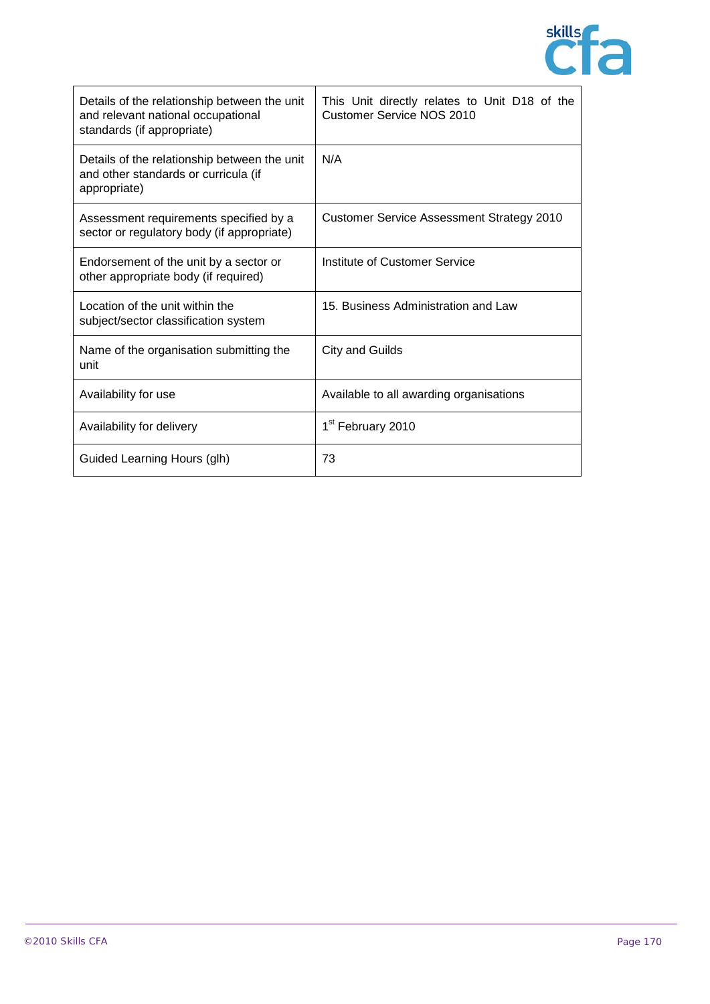

| Details of the relationship between the unit<br>and relevant national occupational<br>standards (if appropriate) | This Unit directly relates to Unit D18 of the<br><b>Customer Service NOS 2010</b> |
|------------------------------------------------------------------------------------------------------------------|-----------------------------------------------------------------------------------|
| Details of the relationship between the unit<br>and other standards or curricula (if<br>appropriate)             | N/A                                                                               |
| Assessment requirements specified by a<br>sector or regulatory body (if appropriate)                             | <b>Customer Service Assessment Strategy 2010</b>                                  |
| Endorsement of the unit by a sector or<br>other appropriate body (if required)                                   | Institute of Customer Service                                                     |
| Location of the unit within the<br>subject/sector classification system                                          | 15. Business Administration and Law                                               |
| Name of the organisation submitting the<br>unit                                                                  | City and Guilds                                                                   |
| Availability for use                                                                                             | Available to all awarding organisations                                           |
| Availability for delivery                                                                                        | 1 <sup>st</sup> February 2010                                                     |
| Guided Learning Hours (glh)                                                                                      | 73                                                                                |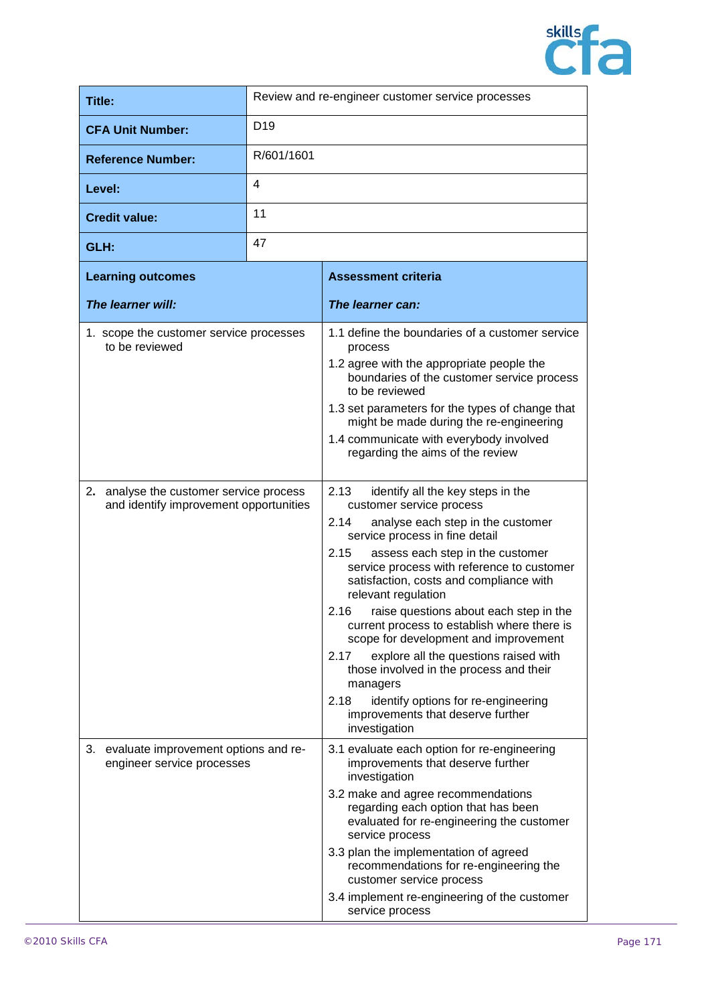

| Title:                                                                            |                 | Review and re-engineer customer service processes                                                                                                                                                                                                                                                                                                                                                                                                                                                                                                                                                                                                                       |
|-----------------------------------------------------------------------------------|-----------------|-------------------------------------------------------------------------------------------------------------------------------------------------------------------------------------------------------------------------------------------------------------------------------------------------------------------------------------------------------------------------------------------------------------------------------------------------------------------------------------------------------------------------------------------------------------------------------------------------------------------------------------------------------------------------|
| <b>CFA Unit Number:</b>                                                           | D <sub>19</sub> |                                                                                                                                                                                                                                                                                                                                                                                                                                                                                                                                                                                                                                                                         |
| <b>Reference Number:</b>                                                          | R/601/1601      |                                                                                                                                                                                                                                                                                                                                                                                                                                                                                                                                                                                                                                                                         |
| Level:                                                                            | 4               |                                                                                                                                                                                                                                                                                                                                                                                                                                                                                                                                                                                                                                                                         |
| <b>Credit value:</b>                                                              | 11              |                                                                                                                                                                                                                                                                                                                                                                                                                                                                                                                                                                                                                                                                         |
| GLH:                                                                              | 47              |                                                                                                                                                                                                                                                                                                                                                                                                                                                                                                                                                                                                                                                                         |
| <b>Learning outcomes</b>                                                          |                 | <b>Assessment criteria</b>                                                                                                                                                                                                                                                                                                                                                                                                                                                                                                                                                                                                                                              |
| The learner will:                                                                 |                 | The learner can:                                                                                                                                                                                                                                                                                                                                                                                                                                                                                                                                                                                                                                                        |
| 1. scope the customer service processes<br>to be reviewed                         |                 | 1.1 define the boundaries of a customer service<br>process<br>1.2 agree with the appropriate people the<br>boundaries of the customer service process<br>to be reviewed<br>1.3 set parameters for the types of change that<br>might be made during the re-engineering<br>1.4 communicate with everybody involved<br>regarding the aims of the review                                                                                                                                                                                                                                                                                                                    |
| 2. analyse the customer service process<br>and identify improvement opportunities |                 | 2.13<br>identify all the key steps in the<br>customer service process<br>analyse each step in the customer<br>2.14<br>service process in fine detail<br>2.15<br>assess each step in the customer<br>service process with reference to customer<br>satisfaction, costs and compliance with<br>relevant regulation<br>2.16<br>raise questions about each step in the<br>current process to establish where there is<br>scope for development and improvement<br>explore all the questions raised with<br>2.17<br>those involved in the process and their<br>managers<br>identify options for re-engineering<br>2.18<br>improvements that deserve further<br>investigation |
| 3. evaluate improvement options and re-<br>engineer service processes             |                 | 3.1 evaluate each option for re-engineering<br>improvements that deserve further<br>investigation<br>3.2 make and agree recommendations<br>regarding each option that has been<br>evaluated for re-engineering the customer<br>service process<br>3.3 plan the implementation of agreed<br>recommendations for re-engineering the<br>customer service process<br>3.4 implement re-engineering of the customer<br>service process                                                                                                                                                                                                                                        |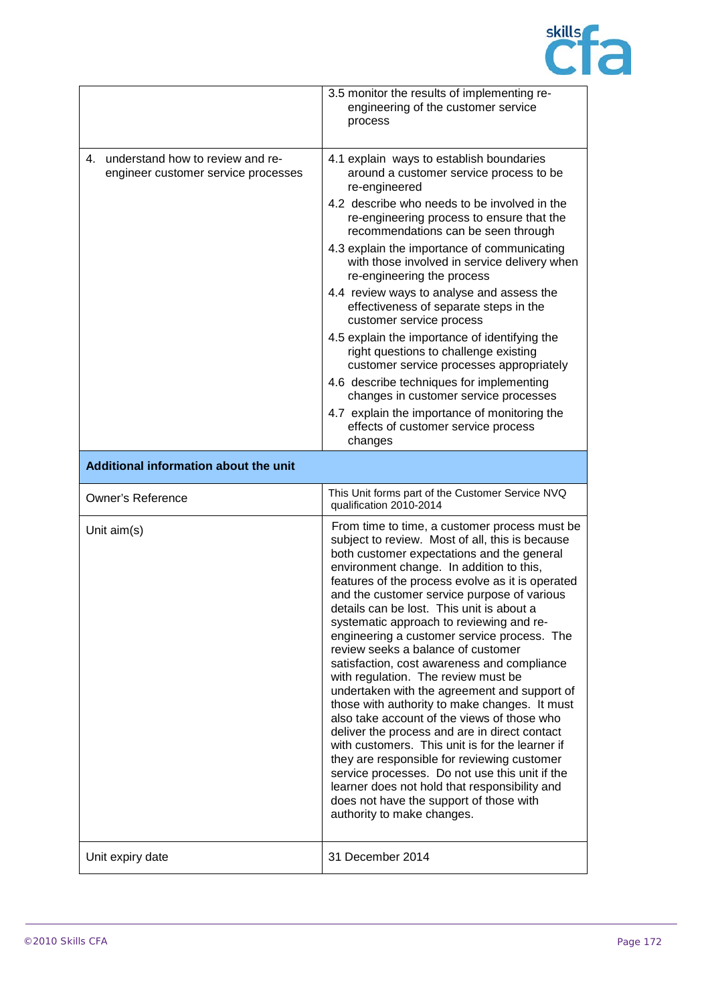

|                                                                            | 3.5 monitor the results of implementing re-<br>engineering of the customer service<br>process                                                                                                                                                                                                                                                                                                                                                                                                                                                                                                                                                                                                                                                                                                                                                                                                                                                                                                                                                    |
|----------------------------------------------------------------------------|--------------------------------------------------------------------------------------------------------------------------------------------------------------------------------------------------------------------------------------------------------------------------------------------------------------------------------------------------------------------------------------------------------------------------------------------------------------------------------------------------------------------------------------------------------------------------------------------------------------------------------------------------------------------------------------------------------------------------------------------------------------------------------------------------------------------------------------------------------------------------------------------------------------------------------------------------------------------------------------------------------------------------------------------------|
| 4. understand how to review and re-<br>engineer customer service processes | 4.1 explain ways to establish boundaries<br>around a customer service process to be<br>re-engineered<br>4.2 describe who needs to be involved in the<br>re-engineering process to ensure that the<br>recommendations can be seen through<br>4.3 explain the importance of communicating<br>with those involved in service delivery when<br>re-engineering the process<br>4.4 review ways to analyse and assess the<br>effectiveness of separate steps in the<br>customer service process<br>4.5 explain the importance of identifying the<br>right questions to challenge existing<br>customer service processes appropriately<br>4.6 describe techniques for implementing<br>changes in customer service processes<br>4.7 explain the importance of monitoring the<br>effects of customer service process                                                                                                                                                                                                                                       |
|                                                                            | changes                                                                                                                                                                                                                                                                                                                                                                                                                                                                                                                                                                                                                                                                                                                                                                                                                                                                                                                                                                                                                                          |
| Additional information about the unit                                      |                                                                                                                                                                                                                                                                                                                                                                                                                                                                                                                                                                                                                                                                                                                                                                                                                                                                                                                                                                                                                                                  |
|                                                                            |                                                                                                                                                                                                                                                                                                                                                                                                                                                                                                                                                                                                                                                                                                                                                                                                                                                                                                                                                                                                                                                  |
| <b>Owner's Reference</b>                                                   | This Unit forms part of the Customer Service NVQ<br>qualification 2010-2014                                                                                                                                                                                                                                                                                                                                                                                                                                                                                                                                                                                                                                                                                                                                                                                                                                                                                                                                                                      |
| Unit aim(s)                                                                | From time to time, a customer process must be<br>subject to review. Most of all, this is because<br>both customer expectations and the general<br>environment change. In addition to this,<br>features of the process evolve as it is operated<br>and the customer service purpose of various<br>details can be lost. This unit is about a<br>systematic approach to reviewing and re-<br>engineering a customer service process. The<br>review seeks a balance of customer<br>satisfaction, cost awareness and compliance<br>with regulation. The review must be<br>undertaken with the agreement and support of<br>those with authority to make changes. It must<br>also take account of the views of those who<br>deliver the process and are in direct contact<br>with customers. This unit is for the learner if<br>they are responsible for reviewing customer<br>service processes. Do not use this unit if the<br>learner does not hold that responsibility and<br>does not have the support of those with<br>authority to make changes. |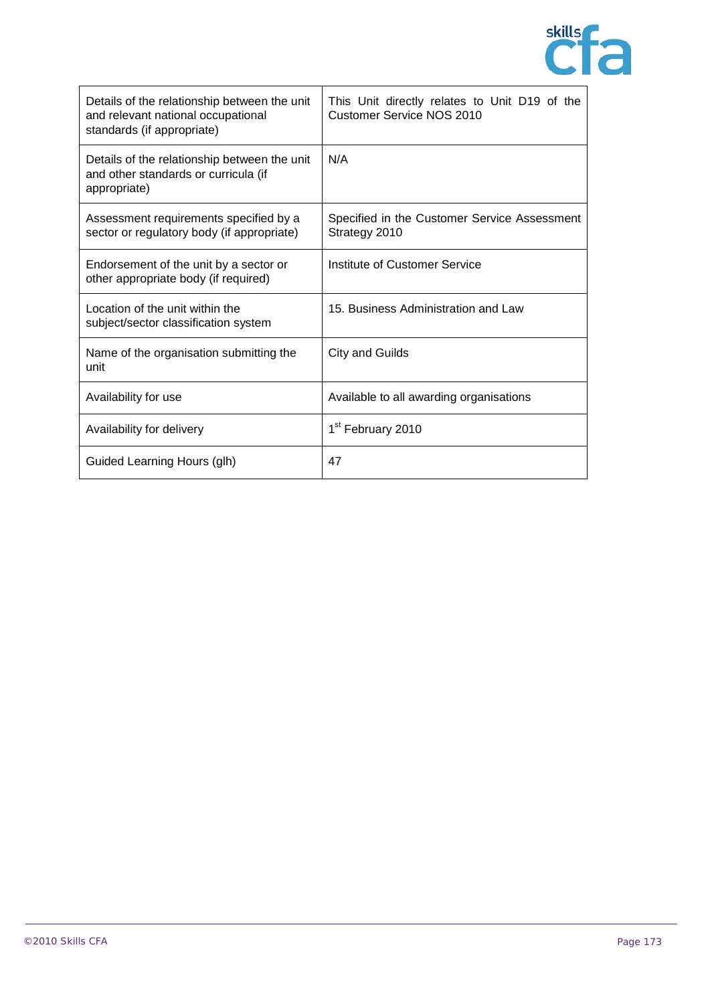

| Details of the relationship between the unit<br>and relevant national occupational<br>standards (if appropriate) | This Unit directly relates to Unit D19 of the<br><b>Customer Service NOS 2010</b> |
|------------------------------------------------------------------------------------------------------------------|-----------------------------------------------------------------------------------|
| Details of the relationship between the unit<br>and other standards or curricula (if<br>appropriate)             | N/A                                                                               |
| Assessment requirements specified by a<br>sector or regulatory body (if appropriate)                             | Specified in the Customer Service Assessment<br>Strategy 2010                     |
| Endorsement of the unit by a sector or<br>other appropriate body (if required)                                   | Institute of Customer Service                                                     |
| Location of the unit within the<br>subject/sector classification system                                          | 15. Business Administration and Law                                               |
| Name of the organisation submitting the<br>unit                                                                  | City and Guilds                                                                   |
| Availability for use                                                                                             | Available to all awarding organisations                                           |
| Availability for delivery                                                                                        | 1 <sup>st</sup> February 2010                                                     |
| Guided Learning Hours (glh)                                                                                      | 47                                                                                |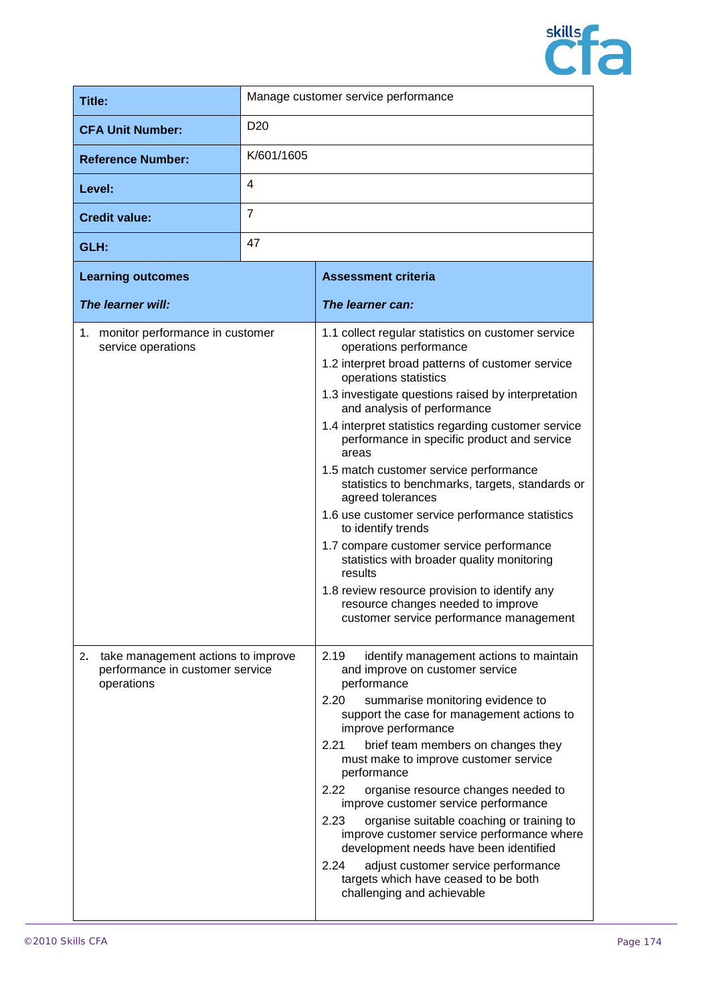

| Title:                   | Manage customer service performance |
|--------------------------|-------------------------------------|
| <b>CFA Unit Number:</b>  | D <sub>20</sub>                     |
| <b>Reference Number:</b> | K/601/1605                          |
| Level:                   | 4                                   |
| <b>Credit value:</b>     | 7                                   |
| GLH:                     | 47                                  |

| <b>Learning outcomes</b>                                                                  | <b>Assessment criteria</b>                                                                                                                                                                                                                                                                                                                                                                                                                                                                                                                                                                                                                                                                                                                                                                      |
|-------------------------------------------------------------------------------------------|-------------------------------------------------------------------------------------------------------------------------------------------------------------------------------------------------------------------------------------------------------------------------------------------------------------------------------------------------------------------------------------------------------------------------------------------------------------------------------------------------------------------------------------------------------------------------------------------------------------------------------------------------------------------------------------------------------------------------------------------------------------------------------------------------|
| The learner will:                                                                         | The learner can:                                                                                                                                                                                                                                                                                                                                                                                                                                                                                                                                                                                                                                                                                                                                                                                |
| 1. monitor performance in customer<br>service operations                                  | 1.1 collect regular statistics on customer service<br>operations performance<br>1.2 interpret broad patterns of customer service<br>operations statistics<br>1.3 investigate questions raised by interpretation<br>and analysis of performance<br>1.4 interpret statistics regarding customer service<br>performance in specific product and service<br>areas<br>1.5 match customer service performance<br>statistics to benchmarks, targets, standards or<br>agreed tolerances<br>1.6 use customer service performance statistics<br>to identify trends<br>1.7 compare customer service performance<br>statistics with broader quality monitoring<br>results<br>1.8 review resource provision to identify any<br>resource changes needed to improve<br>customer service performance management |
| take management actions to improve<br>2.<br>performance in customer service<br>operations | 2.19<br>identify management actions to maintain<br>and improve on customer service<br>performance<br>2.20<br>summarise monitoring evidence to<br>support the case for management actions to<br>improve performance<br>2.21<br>brief team members on changes they<br>must make to improve customer service<br>performance<br>2.22<br>organise resource changes needed to<br>improve customer service performance<br>2.23<br>organise suitable coaching or training to<br>improve customer service performance where<br>development needs have been identified<br>adjust customer service performance<br>2.24<br>targets which have ceased to be both<br>challenging and achievable                                                                                                               |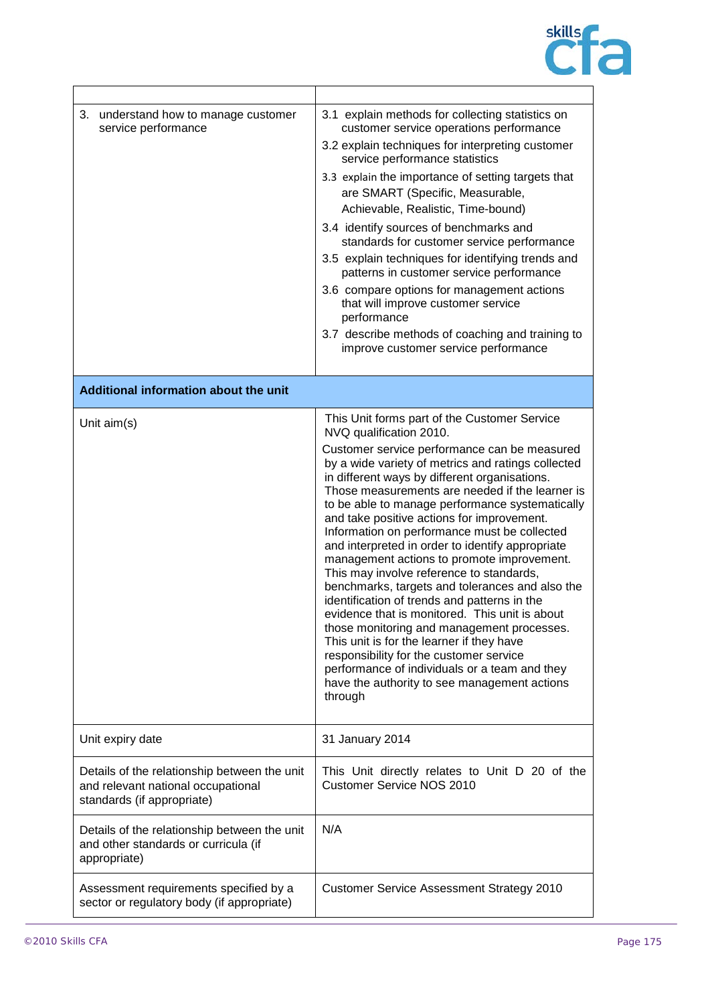

| 3. understand how to manage customer<br>service performance                                                      | 3.1 explain methods for collecting statistics on<br>customer service operations performance<br>3.2 explain techniques for interpreting customer<br>service performance statistics<br>3.3 explain the importance of setting targets that<br>are SMART (Specific, Measurable,<br>Achievable, Realistic, Time-bound)<br>3.4 identify sources of benchmarks and<br>standards for customer service performance<br>3.5 explain techniques for identifying trends and<br>patterns in customer service performance<br>3.6 compare options for management actions<br>that will improve customer service<br>performance<br>3.7 describe methods of coaching and training to<br>improve customer service performance                                                                                                                                                                                                                                                                               |
|------------------------------------------------------------------------------------------------------------------|-----------------------------------------------------------------------------------------------------------------------------------------------------------------------------------------------------------------------------------------------------------------------------------------------------------------------------------------------------------------------------------------------------------------------------------------------------------------------------------------------------------------------------------------------------------------------------------------------------------------------------------------------------------------------------------------------------------------------------------------------------------------------------------------------------------------------------------------------------------------------------------------------------------------------------------------------------------------------------------------|
| Additional information about the unit                                                                            |                                                                                                                                                                                                                                                                                                                                                                                                                                                                                                                                                                                                                                                                                                                                                                                                                                                                                                                                                                                         |
| Unit aim(s)                                                                                                      | This Unit forms part of the Customer Service<br>NVQ qualification 2010.<br>Customer service performance can be measured<br>by a wide variety of metrics and ratings collected<br>in different ways by different organisations.<br>Those measurements are needed if the learner is<br>to be able to manage performance systematically<br>and take positive actions for improvement.<br>Information on performance must be collected<br>and interpreted in order to identify appropriate<br>management actions to promote improvement.<br>This may involve reference to standards,<br>benchmarks, targets and tolerances and also the<br>identification of trends and patterns in the<br>evidence that is monitored. This unit is about<br>those monitoring and management processes.<br>This unit is for the learner if they have<br>responsibility for the customer service<br>performance of individuals or a team and they<br>have the authority to see management actions<br>through |
| Unit expiry date                                                                                                 | 31 January 2014                                                                                                                                                                                                                                                                                                                                                                                                                                                                                                                                                                                                                                                                                                                                                                                                                                                                                                                                                                         |
| Details of the relationship between the unit<br>and relevant national occupational<br>standards (if appropriate) | This Unit directly relates to Unit D 20 of the<br><b>Customer Service NOS 2010</b>                                                                                                                                                                                                                                                                                                                                                                                                                                                                                                                                                                                                                                                                                                                                                                                                                                                                                                      |
| Details of the relationship between the unit<br>and other standards or curricula (if<br>appropriate)             | N/A                                                                                                                                                                                                                                                                                                                                                                                                                                                                                                                                                                                                                                                                                                                                                                                                                                                                                                                                                                                     |
| Assessment requirements specified by a<br>sector or regulatory body (if appropriate)                             | <b>Customer Service Assessment Strategy 2010</b>                                                                                                                                                                                                                                                                                                                                                                                                                                                                                                                                                                                                                                                                                                                                                                                                                                                                                                                                        |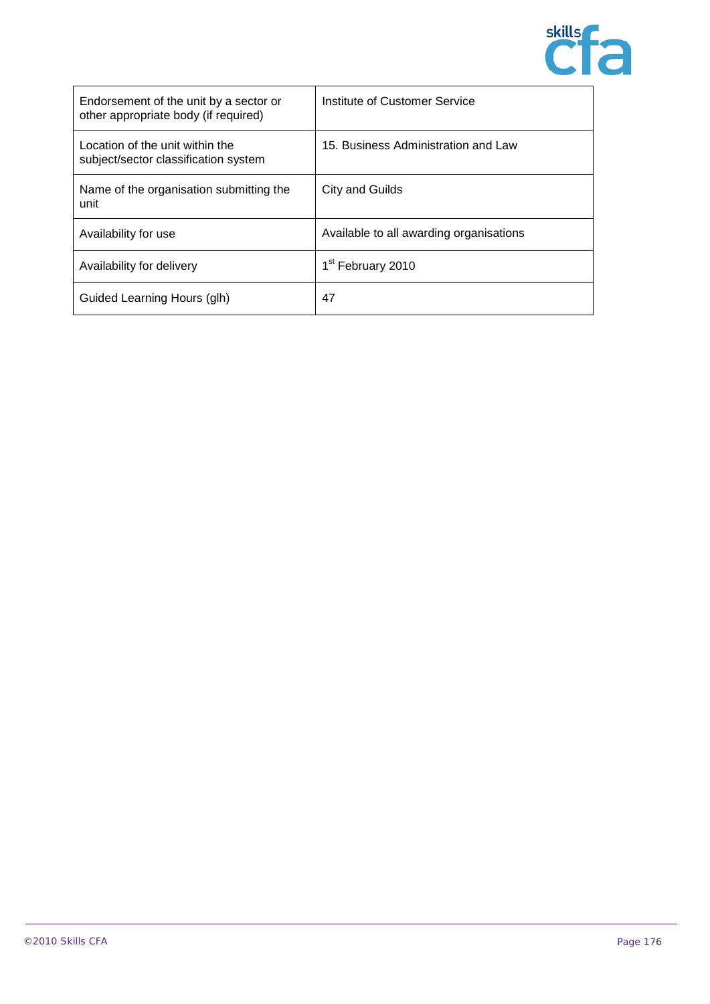

| Endorsement of the unit by a sector or<br>other appropriate body (if required) | Institute of Customer Service           |
|--------------------------------------------------------------------------------|-----------------------------------------|
| Location of the unit within the<br>subject/sector classification system        | 15. Business Administration and Law     |
| Name of the organisation submitting the<br>unit                                | City and Guilds                         |
| Availability for use                                                           | Available to all awarding organisations |
| Availability for delivery                                                      | 1 <sup>st</sup> February 2010           |
| Guided Learning Hours (glh)                                                    | 47                                      |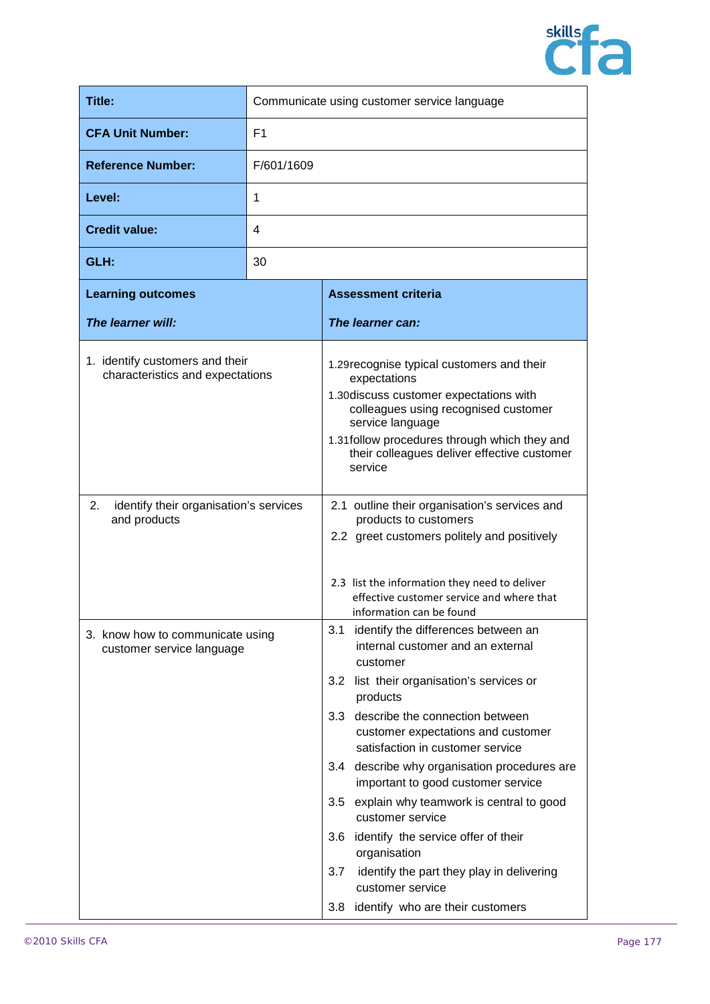

| Title:                                                              | Communicate using customer service language |                                                                                                                                                                                                                                                                                                                                                                                                                                                                                                                                                                                                                 |
|---------------------------------------------------------------------|---------------------------------------------|-----------------------------------------------------------------------------------------------------------------------------------------------------------------------------------------------------------------------------------------------------------------------------------------------------------------------------------------------------------------------------------------------------------------------------------------------------------------------------------------------------------------------------------------------------------------------------------------------------------------|
| <b>CFA Unit Number:</b>                                             | F <sub>1</sub>                              |                                                                                                                                                                                                                                                                                                                                                                                                                                                                                                                                                                                                                 |
| <b>Reference Number:</b>                                            | F/601/1609                                  |                                                                                                                                                                                                                                                                                                                                                                                                                                                                                                                                                                                                                 |
| Level:                                                              | 1                                           |                                                                                                                                                                                                                                                                                                                                                                                                                                                                                                                                                                                                                 |
| <b>Credit value:</b>                                                | 4                                           |                                                                                                                                                                                                                                                                                                                                                                                                                                                                                                                                                                                                                 |
| GLH:                                                                | 30                                          |                                                                                                                                                                                                                                                                                                                                                                                                                                                                                                                                                                                                                 |
| <b>Learning outcomes</b>                                            |                                             | <b>Assessment criteria</b>                                                                                                                                                                                                                                                                                                                                                                                                                                                                                                                                                                                      |
| The learner will:                                                   |                                             | The learner can:                                                                                                                                                                                                                                                                                                                                                                                                                                                                                                                                                                                                |
| 1. identify customers and their<br>characteristics and expectations |                                             | 1.29 recognise typical customers and their<br>expectations<br>1.30 discuss customer expectations with<br>colleagues using recognised customer<br>service language<br>1.31 follow procedures through which they and<br>their colleagues deliver effective customer<br>service                                                                                                                                                                                                                                                                                                                                    |
| 2.<br>identify their organisation's services<br>and products        |                                             | 2.1 outline their organisation's services and<br>products to customers<br>2.2 greet customers politely and positively<br>2.3 list the information they need to deliver<br>effective customer service and where that<br>information can be found                                                                                                                                                                                                                                                                                                                                                                 |
| 3. know how to communicate using<br>customer service language       |                                             | 3.1<br>identify the differences between an<br>internal customer and an external<br>customer<br>list their organisation's services or<br>3.2<br>products<br>3.3 describe the connection between<br>customer expectations and customer<br>satisfaction in customer service<br>3.4 describe why organisation procedures are<br>important to good customer service<br>3.5<br>explain why teamwork is central to good<br>customer service<br>3.6 identify the service offer of their<br>organisation<br>3.7<br>identify the part they play in delivering<br>customer service<br>3.8 identify who are their customers |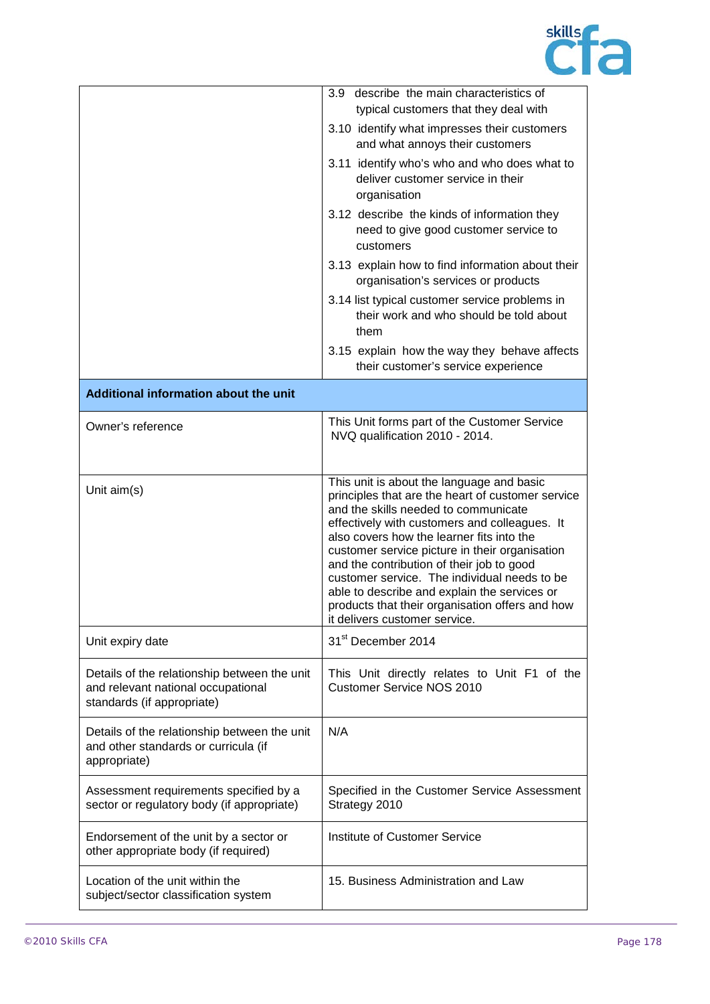

|                                                                                                                  | describe the main characteristics of<br>3.9<br>typical customers that they deal with<br>3.10 identify what impresses their customers<br>and what annoys their customers<br>3.11 identify who's who and who does what to<br>deliver customer service in their<br>organisation<br>3.12 describe the kinds of information they<br>need to give good customer service to<br>customers<br>3.13 explain how to find information about their<br>organisation's services or products                                            |
|------------------------------------------------------------------------------------------------------------------|-------------------------------------------------------------------------------------------------------------------------------------------------------------------------------------------------------------------------------------------------------------------------------------------------------------------------------------------------------------------------------------------------------------------------------------------------------------------------------------------------------------------------|
|                                                                                                                  | 3.14 list typical customer service problems in<br>their work and who should be told about<br>them                                                                                                                                                                                                                                                                                                                                                                                                                       |
|                                                                                                                  | 3.15 explain how the way they behave affects<br>their customer's service experience                                                                                                                                                                                                                                                                                                                                                                                                                                     |
| Additional information about the unit                                                                            |                                                                                                                                                                                                                                                                                                                                                                                                                                                                                                                         |
| Owner's reference                                                                                                | This Unit forms part of the Customer Service<br>NVQ qualification 2010 - 2014.                                                                                                                                                                                                                                                                                                                                                                                                                                          |
| Unit aim(s)                                                                                                      | This unit is about the language and basic<br>principles that are the heart of customer service<br>and the skills needed to communicate<br>effectively with customers and colleagues. It<br>also covers how the learner fits into the<br>customer service picture in their organisation<br>and the contribution of their job to good<br>customer service. The individual needs to be<br>able to describe and explain the services or<br>products that their organisation offers and how<br>it delivers customer service. |
| Unit expiry date                                                                                                 | 31 <sup>st</sup> December 2014                                                                                                                                                                                                                                                                                                                                                                                                                                                                                          |
| Details of the relationship between the unit<br>and relevant national occupational<br>standards (if appropriate) | This Unit directly relates to Unit F1 of the<br><b>Customer Service NOS 2010</b>                                                                                                                                                                                                                                                                                                                                                                                                                                        |
| Details of the relationship between the unit<br>and other standards or curricula (if<br>appropriate)             | N/A                                                                                                                                                                                                                                                                                                                                                                                                                                                                                                                     |
| Assessment requirements specified by a<br>sector or regulatory body (if appropriate)                             | Specified in the Customer Service Assessment<br>Strategy 2010                                                                                                                                                                                                                                                                                                                                                                                                                                                           |
| Endorsement of the unit by a sector or<br>other appropriate body (if required)                                   | Institute of Customer Service                                                                                                                                                                                                                                                                                                                                                                                                                                                                                           |
| Location of the unit within the<br>subject/sector classification system                                          | 15. Business Administration and Law                                                                                                                                                                                                                                                                                                                                                                                                                                                                                     |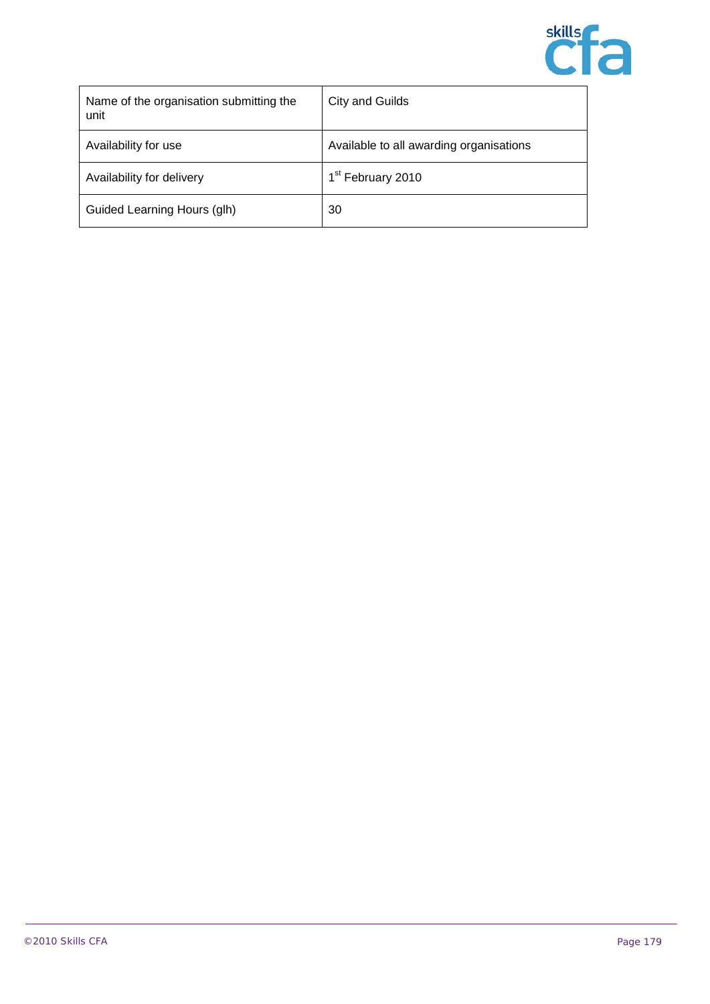

| Name of the organisation submitting the<br>unit | City and Guilds                         |
|-------------------------------------------------|-----------------------------------------|
| Availability for use                            | Available to all awarding organisations |
| Availability for delivery                       | 1 <sup>st</sup> February 2010           |
| Guided Learning Hours (glh)                     | 30                                      |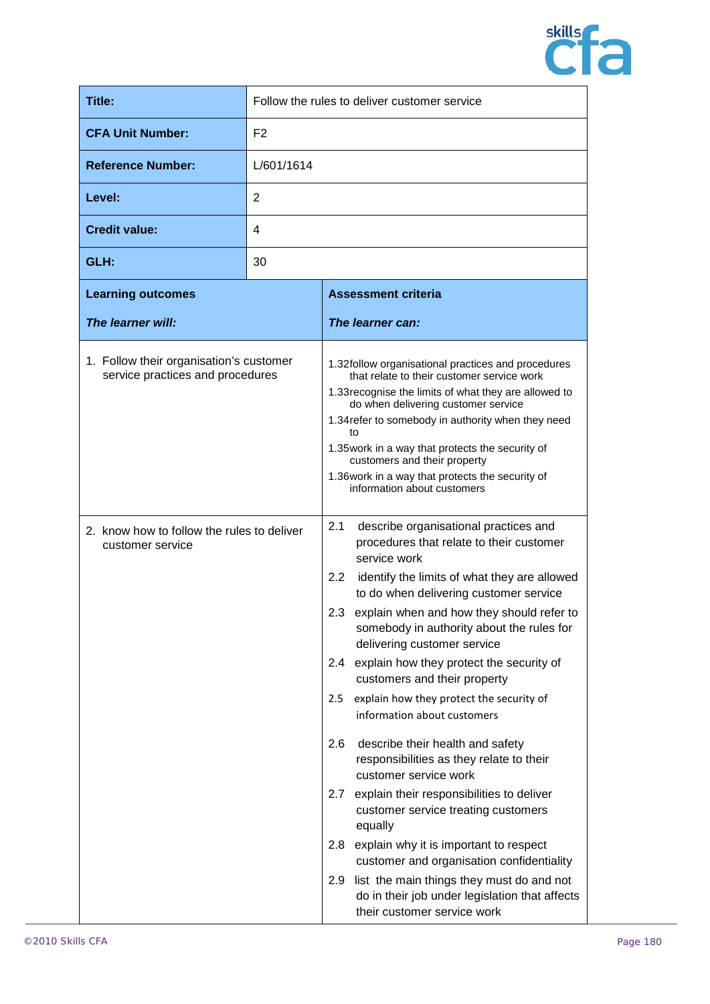

| Title:                                                                      | Follow the rules to deliver customer service |                                                                                                                                                                                                                                                                                                                                                                                                                                                                                                                                                                                                                                                                                                                                                                                                                                                                                                                                                    |
|-----------------------------------------------------------------------------|----------------------------------------------|----------------------------------------------------------------------------------------------------------------------------------------------------------------------------------------------------------------------------------------------------------------------------------------------------------------------------------------------------------------------------------------------------------------------------------------------------------------------------------------------------------------------------------------------------------------------------------------------------------------------------------------------------------------------------------------------------------------------------------------------------------------------------------------------------------------------------------------------------------------------------------------------------------------------------------------------------|
| <b>CFA Unit Number:</b>                                                     | F <sub>2</sub>                               |                                                                                                                                                                                                                                                                                                                                                                                                                                                                                                                                                                                                                                                                                                                                                                                                                                                                                                                                                    |
| <b>Reference Number:</b>                                                    | L/601/1614                                   |                                                                                                                                                                                                                                                                                                                                                                                                                                                                                                                                                                                                                                                                                                                                                                                                                                                                                                                                                    |
| Level:                                                                      | 2                                            |                                                                                                                                                                                                                                                                                                                                                                                                                                                                                                                                                                                                                                                                                                                                                                                                                                                                                                                                                    |
| <b>Credit value:</b>                                                        | 4                                            |                                                                                                                                                                                                                                                                                                                                                                                                                                                                                                                                                                                                                                                                                                                                                                                                                                                                                                                                                    |
| GLH:                                                                        | 30                                           |                                                                                                                                                                                                                                                                                                                                                                                                                                                                                                                                                                                                                                                                                                                                                                                                                                                                                                                                                    |
| <b>Learning outcomes</b>                                                    |                                              | <b>Assessment criteria</b>                                                                                                                                                                                                                                                                                                                                                                                                                                                                                                                                                                                                                                                                                                                                                                                                                                                                                                                         |
| The learner will:                                                           |                                              | The learner can:                                                                                                                                                                                                                                                                                                                                                                                                                                                                                                                                                                                                                                                                                                                                                                                                                                                                                                                                   |
| 1. Follow their organisation's customer<br>service practices and procedures |                                              | 1.32 follow organisational practices and procedures<br>that relate to their customer service work<br>1.33 recognise the limits of what they are allowed to<br>do when delivering customer service<br>1.34 refer to somebody in authority when they need<br>to<br>1.35 work in a way that protects the security of<br>customers and their property<br>1.36 work in a way that protects the security of<br>information about customers                                                                                                                                                                                                                                                                                                                                                                                                                                                                                                               |
| 2. know how to follow the rules to deliver<br>customer service              |                                              | 2.1<br>describe organisational practices and<br>procedures that relate to their customer<br>service work<br>2.2<br>identify the limits of what they are allowed<br>to do when delivering customer service<br>explain when and how they should refer to<br>2.3<br>somebody in authority about the rules for<br>delivering customer service<br>explain how they protect the security of<br>$2.4^{\circ}$<br>customers and their property<br>explain how they protect the security of<br>2.5<br>information about customers<br>describe their health and safety<br>2.6<br>responsibilities as they relate to their<br>customer service work<br>explain their responsibilities to deliver<br>2.7<br>customer service treating customers<br>equally<br>explain why it is important to respect<br>2.8<br>customer and organisation confidentiality<br>list the main things they must do and not<br>2.9<br>do in their job under legislation that affects |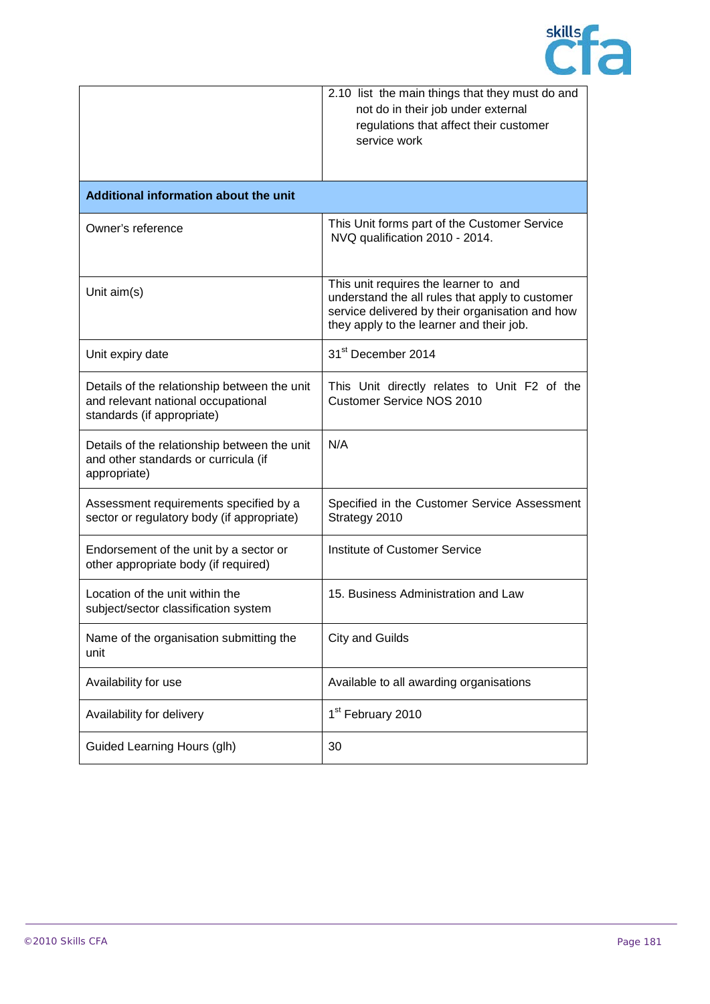

|                                                                                                                  | 2.10 list the main things that they must do and<br>not do in their job under external                                                                                                   |
|------------------------------------------------------------------------------------------------------------------|-----------------------------------------------------------------------------------------------------------------------------------------------------------------------------------------|
|                                                                                                                  | regulations that affect their customer                                                                                                                                                  |
|                                                                                                                  | service work                                                                                                                                                                            |
|                                                                                                                  |                                                                                                                                                                                         |
| Additional information about the unit                                                                            |                                                                                                                                                                                         |
| Owner's reference                                                                                                | This Unit forms part of the Customer Service<br>NVQ qualification 2010 - 2014.                                                                                                          |
| Unit aim(s)                                                                                                      | This unit requires the learner to and<br>understand the all rules that apply to customer<br>service delivered by their organisation and how<br>they apply to the learner and their job. |
| Unit expiry date                                                                                                 | 31 <sup>st</sup> December 2014                                                                                                                                                          |
| Details of the relationship between the unit<br>and relevant national occupational<br>standards (if appropriate) | This Unit directly relates to Unit F2 of the<br><b>Customer Service NOS 2010</b>                                                                                                        |
| Details of the relationship between the unit<br>and other standards or curricula (if<br>appropriate)             | N/A                                                                                                                                                                                     |
| Assessment requirements specified by a<br>sector or regulatory body (if appropriate)                             | Specified in the Customer Service Assessment<br>Strategy 2010                                                                                                                           |
| Endorsement of the unit by a sector or<br>other appropriate body (if required)                                   | Institute of Customer Service                                                                                                                                                           |
| Location of the unit within the<br>subject/sector classification system                                          | 15. Business Administration and Law                                                                                                                                                     |
| Name of the organisation submitting the<br>unit                                                                  | <b>City and Guilds</b>                                                                                                                                                                  |
| Availability for use                                                                                             | Available to all awarding organisations                                                                                                                                                 |
| Availability for delivery                                                                                        | 1 <sup>st</sup> February 2010                                                                                                                                                           |
| Guided Learning Hours (glh)                                                                                      | 30                                                                                                                                                                                      |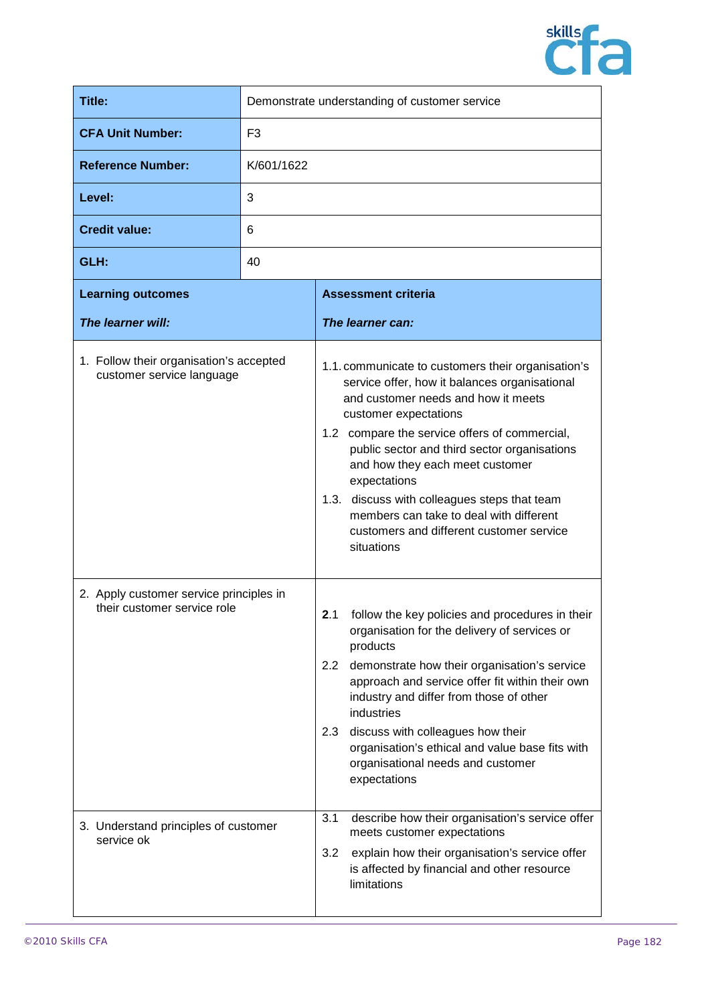

| Title:                                                                                                         | Demonstrate understanding of customer service |                                                                                                                                                                                                                                                                                                                                                                                                                                                                                               |
|----------------------------------------------------------------------------------------------------------------|-----------------------------------------------|-----------------------------------------------------------------------------------------------------------------------------------------------------------------------------------------------------------------------------------------------------------------------------------------------------------------------------------------------------------------------------------------------------------------------------------------------------------------------------------------------|
| <b>CFA Unit Number:</b>                                                                                        | F <sub>3</sub>                                |                                                                                                                                                                                                                                                                                                                                                                                                                                                                                               |
| <b>Reference Number:</b>                                                                                       | K/601/1622                                    |                                                                                                                                                                                                                                                                                                                                                                                                                                                                                               |
| Level:                                                                                                         | 3                                             |                                                                                                                                                                                                                                                                                                                                                                                                                                                                                               |
| <b>Credit value:</b>                                                                                           | 6                                             |                                                                                                                                                                                                                                                                                                                                                                                                                                                                                               |
| GLH:                                                                                                           | 40                                            |                                                                                                                                                                                                                                                                                                                                                                                                                                                                                               |
| <b>Learning outcomes</b>                                                                                       |                                               | <b>Assessment criteria</b>                                                                                                                                                                                                                                                                                                                                                                                                                                                                    |
| The learner will:                                                                                              |                                               | The learner can:                                                                                                                                                                                                                                                                                                                                                                                                                                                                              |
| 1. Follow their organisation's accepted<br>customer service language                                           |                                               | 1.1. communicate to customers their organisation's<br>service offer, how it balances organisational<br>and customer needs and how it meets<br>customer expectations<br>1.2 compare the service offers of commercial,<br>public sector and third sector organisations<br>and how they each meet customer<br>expectations<br>1.3. discuss with colleagues steps that team<br>members can take to deal with different<br>customers and different customer service<br>situations                  |
| 2. Apply customer service principles in<br>their customer service role<br>3. Understand principles of customer |                                               | 2.1<br>follow the key policies and procedures in their<br>organisation for the delivery of services or<br>products<br>2.2 demonstrate how their organisation's service<br>approach and service offer fit within their own<br>industry and differ from those of other<br>industries<br>2.3 discuss with colleagues how their<br>organisation's ethical and value base fits with<br>organisational needs and customer<br>expectations<br>3.1<br>describe how their organisation's service offer |
| service ok                                                                                                     |                                               | meets customer expectations<br>3.2<br>explain how their organisation's service offer<br>is affected by financial and other resource<br>limitations                                                                                                                                                                                                                                                                                                                                            |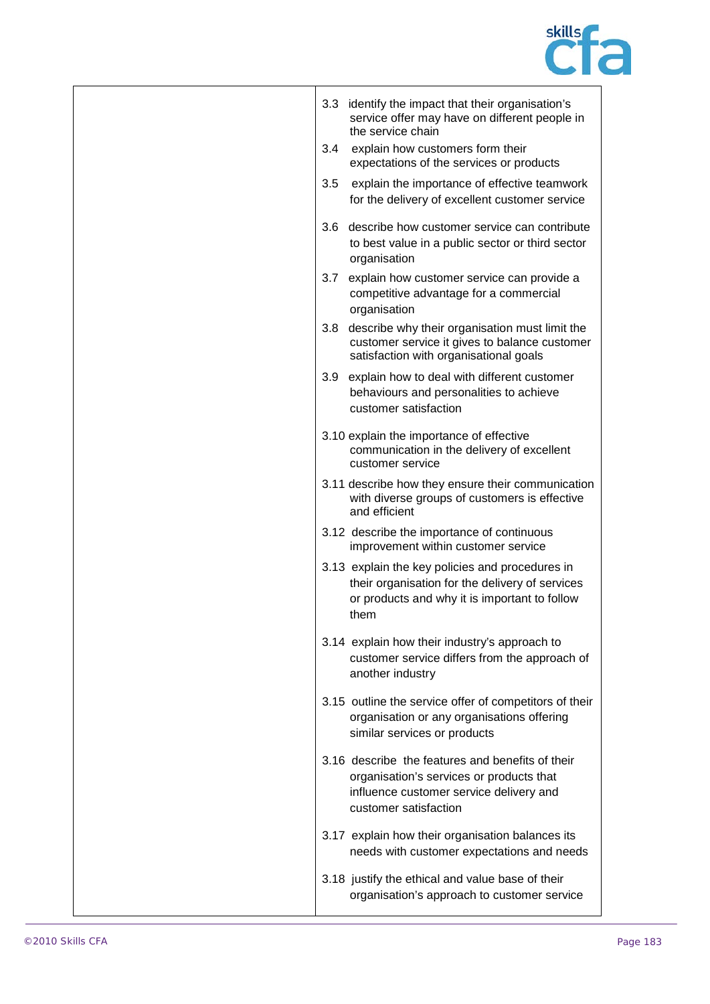

|     | 3.3 identify the impact that their organisation's<br>service offer may have on different people in<br>the service chain                                          |
|-----|------------------------------------------------------------------------------------------------------------------------------------------------------------------|
| 3.4 | explain how customers form their<br>expectations of the services or products                                                                                     |
| 3.5 | explain the importance of effective teamwork<br>for the delivery of excellent customer service                                                                   |
| 3.6 | describe how customer service can contribute<br>to best value in a public sector or third sector<br>organisation                                                 |
| 3.7 | explain how customer service can provide a<br>competitive advantage for a commercial<br>organisation                                                             |
| 3.8 | describe why their organisation must limit the<br>customer service it gives to balance customer<br>satisfaction with organisational goals                        |
| 3.9 | explain how to deal with different customer<br>behaviours and personalities to achieve<br>customer satisfaction                                                  |
|     | 3.10 explain the importance of effective<br>communication in the delivery of excellent<br>customer service                                                       |
|     | 3.11 describe how they ensure their communication<br>with diverse groups of customers is effective<br>and efficient                                              |
|     | 3.12 describe the importance of continuous<br>improvement within customer service                                                                                |
|     | 3.13 explain the key policies and procedures in<br>their organisation for the delivery of services<br>or products and why it is important to follow<br>them      |
|     | 3.14 explain how their industry's approach to<br>customer service differs from the approach of<br>another industry                                               |
|     | 3.15 outline the service offer of competitors of their<br>organisation or any organisations offering<br>similar services or products                             |
|     | 3.16 describe the features and benefits of their<br>organisation's services or products that<br>influence customer service delivery and<br>customer satisfaction |
|     | 3.17 explain how their organisation balances its<br>needs with customer expectations and needs                                                                   |
|     | 3.18 justify the ethical and value base of their<br>organisation's approach to customer service                                                                  |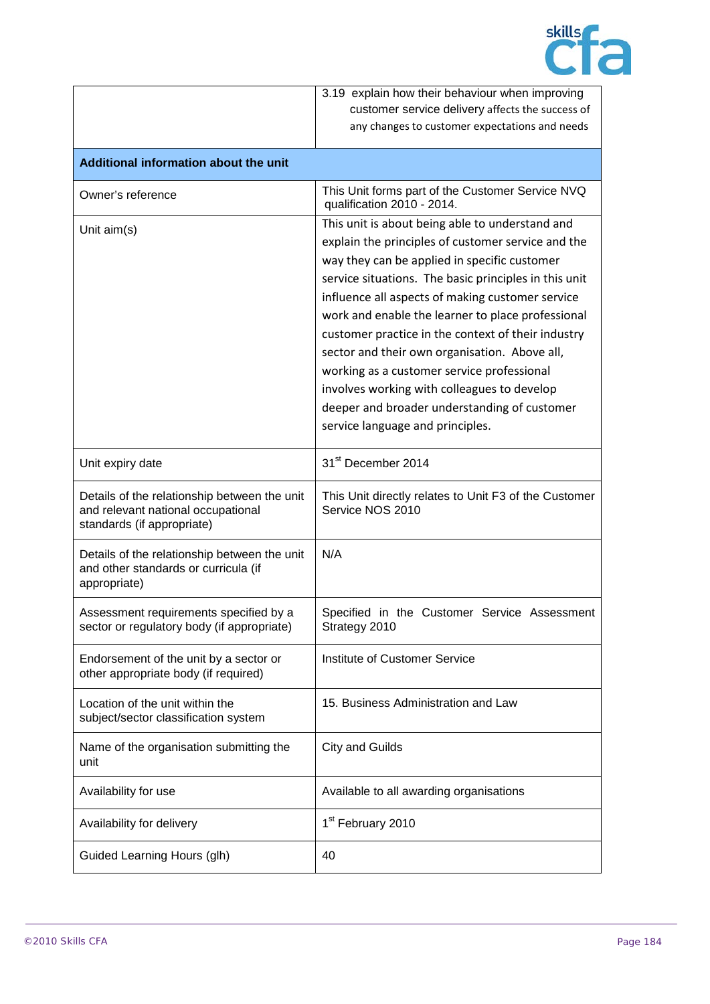

|                                                                                                                  | 3.19 explain how their behaviour when improving                                                                                                                                                                                                                                                                                                                                                                                                                                                                                                                                                                 |
|------------------------------------------------------------------------------------------------------------------|-----------------------------------------------------------------------------------------------------------------------------------------------------------------------------------------------------------------------------------------------------------------------------------------------------------------------------------------------------------------------------------------------------------------------------------------------------------------------------------------------------------------------------------------------------------------------------------------------------------------|
|                                                                                                                  | customer service delivery affects the success of                                                                                                                                                                                                                                                                                                                                                                                                                                                                                                                                                                |
|                                                                                                                  | any changes to customer expectations and needs                                                                                                                                                                                                                                                                                                                                                                                                                                                                                                                                                                  |
| Additional information about the unit                                                                            |                                                                                                                                                                                                                                                                                                                                                                                                                                                                                                                                                                                                                 |
| Owner's reference                                                                                                | This Unit forms part of the Customer Service NVQ<br>qualification 2010 - 2014.                                                                                                                                                                                                                                                                                                                                                                                                                                                                                                                                  |
| Unit aim(s)                                                                                                      | This unit is about being able to understand and<br>explain the principles of customer service and the<br>way they can be applied in specific customer<br>service situations. The basic principles in this unit<br>influence all aspects of making customer service<br>work and enable the learner to place professional<br>customer practice in the context of their industry<br>sector and their own organisation. Above all,<br>working as a customer service professional<br>involves working with colleagues to develop<br>deeper and broader understanding of customer<br>service language and principles. |
| Unit expiry date                                                                                                 | 31 <sup>st</sup> December 2014                                                                                                                                                                                                                                                                                                                                                                                                                                                                                                                                                                                  |
| Details of the relationship between the unit<br>and relevant national occupational<br>standards (if appropriate) | This Unit directly relates to Unit F3 of the Customer<br>Service NOS 2010                                                                                                                                                                                                                                                                                                                                                                                                                                                                                                                                       |
| Details of the relationship between the unit<br>and other standards or curricula (if<br>appropriate)             | N/A                                                                                                                                                                                                                                                                                                                                                                                                                                                                                                                                                                                                             |
| Assessment requirements specified by a<br>sector or regulatory body (if appropriate)                             | Specified in the Customer Service Assessment<br>Strategy 2010                                                                                                                                                                                                                                                                                                                                                                                                                                                                                                                                                   |
| Endorsement of the unit by a sector or<br>other appropriate body (if required)                                   | Institute of Customer Service                                                                                                                                                                                                                                                                                                                                                                                                                                                                                                                                                                                   |
| Location of the unit within the<br>subject/sector classification system                                          | 15. Business Administration and Law                                                                                                                                                                                                                                                                                                                                                                                                                                                                                                                                                                             |
| Name of the organisation submitting the<br>unit                                                                  | <b>City and Guilds</b>                                                                                                                                                                                                                                                                                                                                                                                                                                                                                                                                                                                          |
| Availability for use                                                                                             | Available to all awarding organisations                                                                                                                                                                                                                                                                                                                                                                                                                                                                                                                                                                         |
| Availability for delivery                                                                                        | 1 <sup>st</sup> February 2010                                                                                                                                                                                                                                                                                                                                                                                                                                                                                                                                                                                   |
| Guided Learning Hours (glh)                                                                                      | 40                                                                                                                                                                                                                                                                                                                                                                                                                                                                                                                                                                                                              |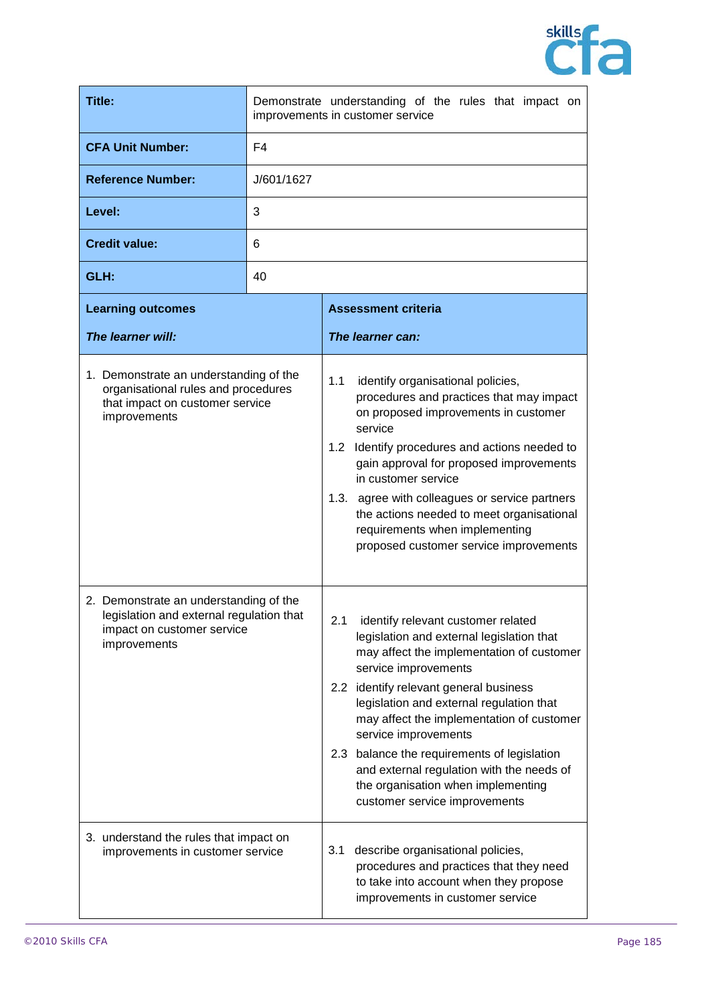

| <b>Title:</b>                                                                                                                    | Demonstrate understanding of the rules that impact on<br>improvements in customer service |                                                                                                                                                                                                                                                                                                                                                                                                                                                                                        |
|----------------------------------------------------------------------------------------------------------------------------------|-------------------------------------------------------------------------------------------|----------------------------------------------------------------------------------------------------------------------------------------------------------------------------------------------------------------------------------------------------------------------------------------------------------------------------------------------------------------------------------------------------------------------------------------------------------------------------------------|
| <b>CFA Unit Number:</b>                                                                                                          | F4                                                                                        |                                                                                                                                                                                                                                                                                                                                                                                                                                                                                        |
| <b>Reference Number:</b>                                                                                                         | J/601/1627                                                                                |                                                                                                                                                                                                                                                                                                                                                                                                                                                                                        |
| Level:                                                                                                                           | 3                                                                                         |                                                                                                                                                                                                                                                                                                                                                                                                                                                                                        |
| <b>Credit value:</b>                                                                                                             | 6                                                                                         |                                                                                                                                                                                                                                                                                                                                                                                                                                                                                        |
| GLH:                                                                                                                             | 40                                                                                        |                                                                                                                                                                                                                                                                                                                                                                                                                                                                                        |
| <b>Learning outcomes</b>                                                                                                         |                                                                                           | <b>Assessment criteria</b>                                                                                                                                                                                                                                                                                                                                                                                                                                                             |
| The learner will:                                                                                                                |                                                                                           | The learner can:                                                                                                                                                                                                                                                                                                                                                                                                                                                                       |
| 1. Demonstrate an understanding of the<br>organisational rules and procedures<br>that impact on customer service<br>improvements |                                                                                           | 1.1<br>identify organisational policies,<br>procedures and practices that may impact<br>on proposed improvements in customer<br>service<br>Identify procedures and actions needed to<br>1.2<br>gain approval for proposed improvements<br>in customer service<br>1.3. agree with colleagues or service partners<br>the actions needed to meet organisational<br>requirements when implementing<br>proposed customer service improvements                                               |
| 2. Demonstrate an understanding of the<br>legislation and external regulation that<br>impact on customer service<br>improvements |                                                                                           | 2.1 identify relevant customer related<br>legislation and external legislation that<br>may affect the implementation of customer<br>service improvements<br>2.2 identify relevant general business<br>legislation and external regulation that<br>may affect the implementation of customer<br>service improvements<br>2.3 balance the requirements of legislation<br>and external regulation with the needs of<br>the organisation when implementing<br>customer service improvements |
| 3. understand the rules that impact on<br>improvements in customer service                                                       |                                                                                           | describe organisational policies,<br>3.1<br>procedures and practices that they need<br>to take into account when they propose<br>improvements in customer service                                                                                                                                                                                                                                                                                                                      |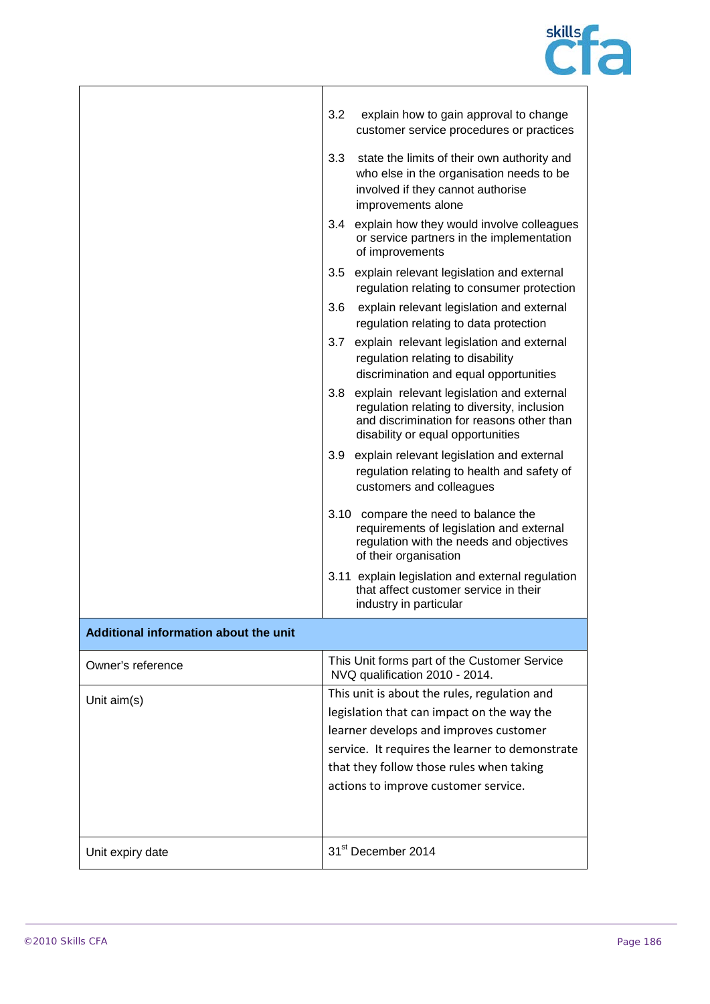

|                                       | 3.2<br>explain how to gain approval to change<br>customer service procedures or practices                                                                                         |  |
|---------------------------------------|-----------------------------------------------------------------------------------------------------------------------------------------------------------------------------------|--|
|                                       | 3.3<br>state the limits of their own authority and<br>who else in the organisation needs to be<br>involved if they cannot authorise<br>improvements alone                         |  |
|                                       | 3.4<br>explain how they would involve colleagues<br>or service partners in the implementation<br>of improvements                                                                  |  |
|                                       | 3.5<br>explain relevant legislation and external<br>regulation relating to consumer protection                                                                                    |  |
|                                       | explain relevant legislation and external<br>3.6<br>regulation relating to data protection                                                                                        |  |
|                                       | 3.7<br>explain relevant legislation and external<br>regulation relating to disability<br>discrimination and equal opportunities                                                   |  |
|                                       | 3.8<br>explain relevant legislation and external<br>regulation relating to diversity, inclusion<br>and discrimination for reasons other than<br>disability or equal opportunities |  |
|                                       | 3.9 explain relevant legislation and external<br>regulation relating to health and safety of<br>customers and colleagues                                                          |  |
|                                       | 3.10 compare the need to balance the<br>requirements of legislation and external<br>regulation with the needs and objectives<br>of their organisation                             |  |
|                                       | 3.11 explain legislation and external regulation<br>that affect customer service in their<br>industry in particular                                                               |  |
| Additional information about the unit |                                                                                                                                                                                   |  |
| Owner's reference                     | This Unit forms part of the Customer Service<br>NVQ qualification 2010 - 2014.                                                                                                    |  |
| Unit $aim(s)$                         | This unit is about the rules, regulation and                                                                                                                                      |  |
|                                       | legislation that can impact on the way the                                                                                                                                        |  |
|                                       | learner develops and improves customer                                                                                                                                            |  |
|                                       | service. It requires the learner to demonstrate                                                                                                                                   |  |
|                                       | that they follow those rules when taking                                                                                                                                          |  |
|                                       | actions to improve customer service.                                                                                                                                              |  |
|                                       |                                                                                                                                                                                   |  |
| Unit expiry date                      | 31 <sup>st</sup> December 2014                                                                                                                                                    |  |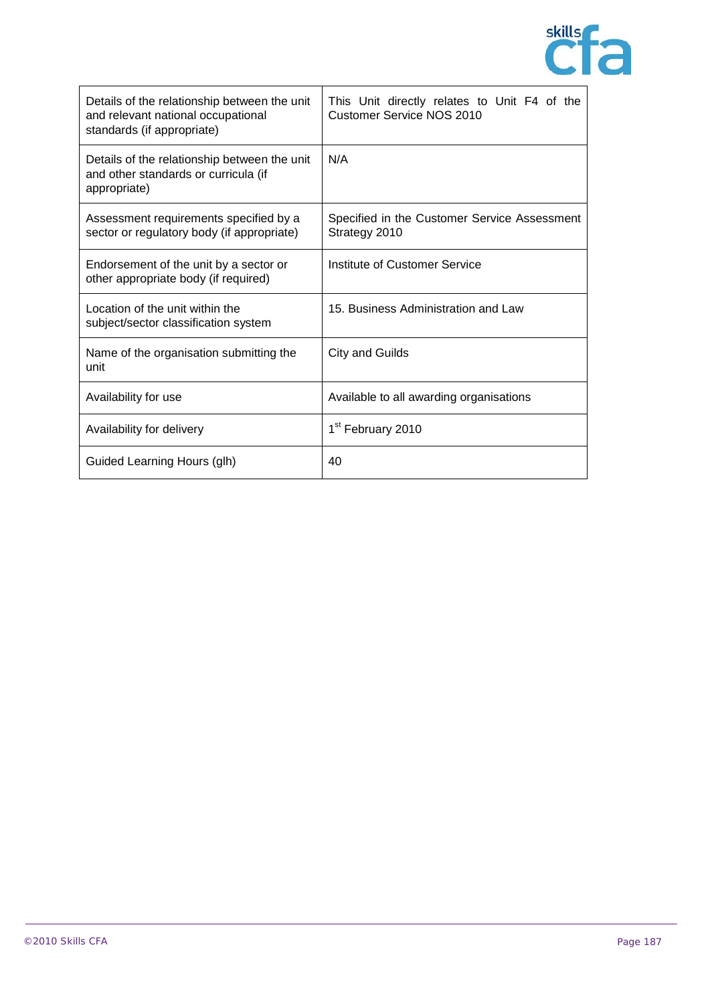

| Details of the relationship between the unit<br>and relevant national occupational<br>standards (if appropriate) | This Unit directly relates to Unit F4 of the<br><b>Customer Service NOS 2010</b> |
|------------------------------------------------------------------------------------------------------------------|----------------------------------------------------------------------------------|
| Details of the relationship between the unit<br>and other standards or curricula (if<br>appropriate)             | N/A                                                                              |
| Assessment requirements specified by a<br>sector or regulatory body (if appropriate)                             | Specified in the Customer Service Assessment<br>Strategy 2010                    |
| Endorsement of the unit by a sector or<br>other appropriate body (if required)                                   | Institute of Customer Service                                                    |
| Location of the unit within the<br>subject/sector classification system                                          | 15. Business Administration and Law                                              |
| Name of the organisation submitting the<br>unit                                                                  | City and Guilds                                                                  |
| Availability for use                                                                                             | Available to all awarding organisations                                          |
| Availability for delivery                                                                                        | 1 <sup>st</sup> February 2010                                                    |
| Guided Learning Hours (glh)                                                                                      | 40                                                                               |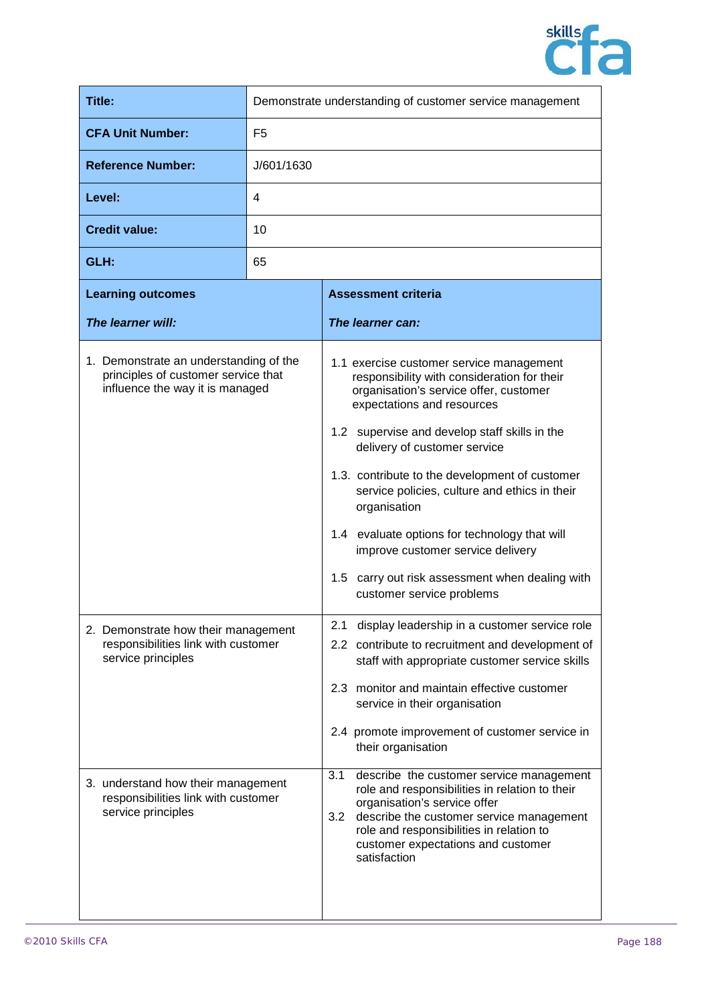

| <b>Title:</b>                                                                                                    | Demonstrate understanding of customer service management |                                                                                                                                                                                                                                                                                                                                                                                                                                                                                                                                           |
|------------------------------------------------------------------------------------------------------------------|----------------------------------------------------------|-------------------------------------------------------------------------------------------------------------------------------------------------------------------------------------------------------------------------------------------------------------------------------------------------------------------------------------------------------------------------------------------------------------------------------------------------------------------------------------------------------------------------------------------|
| <b>CFA Unit Number:</b>                                                                                          | F <sub>5</sub>                                           |                                                                                                                                                                                                                                                                                                                                                                                                                                                                                                                                           |
| <b>Reference Number:</b>                                                                                         | J/601/1630                                               |                                                                                                                                                                                                                                                                                                                                                                                                                                                                                                                                           |
| Level:                                                                                                           | 4                                                        |                                                                                                                                                                                                                                                                                                                                                                                                                                                                                                                                           |
| <b>Credit value:</b>                                                                                             | 10                                                       |                                                                                                                                                                                                                                                                                                                                                                                                                                                                                                                                           |
| GLH:                                                                                                             | 65                                                       |                                                                                                                                                                                                                                                                                                                                                                                                                                                                                                                                           |
| <b>Learning outcomes</b>                                                                                         |                                                          | <b>Assessment criteria</b>                                                                                                                                                                                                                                                                                                                                                                                                                                                                                                                |
| The learner will:                                                                                                |                                                          | The learner can:                                                                                                                                                                                                                                                                                                                                                                                                                                                                                                                          |
| 1. Demonstrate an understanding of the<br>principles of customer service that<br>influence the way it is managed |                                                          | 1.1 exercise customer service management<br>responsibility with consideration for their<br>organisation's service offer, customer<br>expectations and resources<br>1.2 supervise and develop staff skills in the<br>delivery of customer service<br>1.3. contribute to the development of customer<br>service policies, culture and ethics in their<br>organisation<br>1.4 evaluate options for technology that will<br>improve customer service delivery<br>1.5 carry out risk assessment when dealing with<br>customer service problems |
| 2. Demonstrate how their management<br>responsibilities link with customer<br>service principles                 |                                                          | display leadership in a customer service role<br>2.2 contribute to recruitment and development of<br>staff with appropriate customer service skills<br>2.3 monitor and maintain effective customer<br>service in their organisation<br>2.4 promote improvement of customer service in<br>their organisation                                                                                                                                                                                                                               |
| 3. understand how their management<br>responsibilities link with customer<br>service principles                  |                                                          | 3.1<br>describe the customer service management<br>role and responsibilities in relation to their<br>organisation's service offer<br>describe the customer service management<br>3.2<br>role and responsibilities in relation to<br>customer expectations and customer<br>satisfaction                                                                                                                                                                                                                                                    |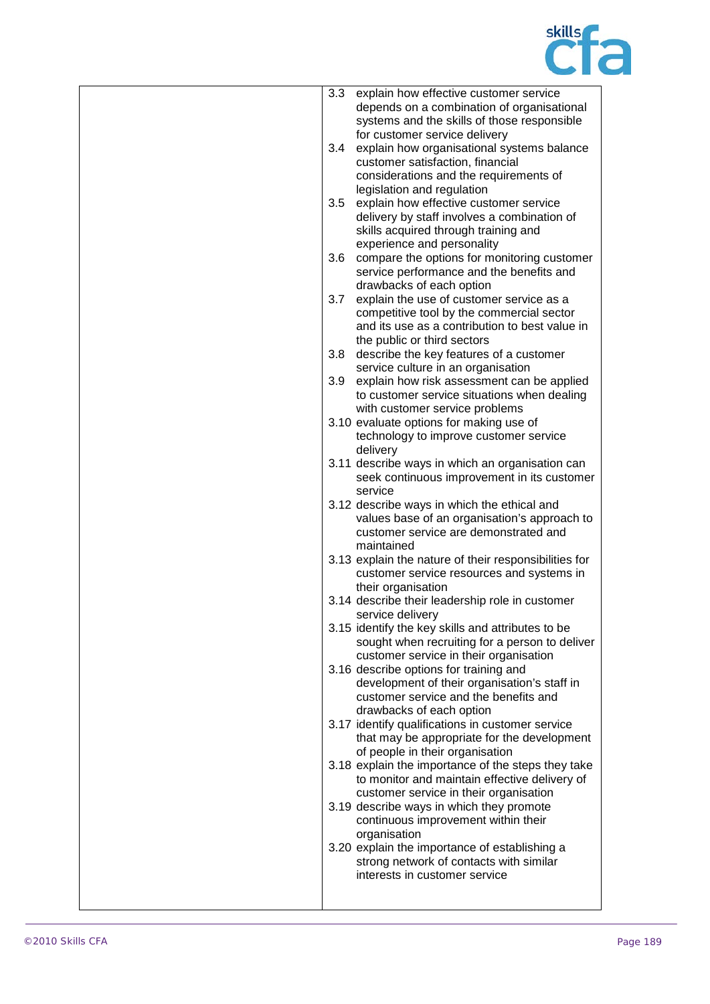

| 3.3 | explain how effective customer service                |
|-----|-------------------------------------------------------|
|     | depends on a combination of organisational            |
|     | systems and the skills of those responsible           |
|     | for customer service delivery                         |
| 3.4 | explain how organisational systems balance            |
|     |                                                       |
|     | customer satisfaction, financial                      |
|     | considerations and the requirements of                |
|     | legislation and regulation                            |
| 3.5 | explain how effective customer service                |
|     | delivery by staff involves a combination of           |
|     | skills acquired through training and                  |
|     |                                                       |
|     | experience and personality                            |
| 3.6 | compare the options for monitoring customer           |
|     | service performance and the benefits and              |
|     | drawbacks of each option                              |
| 3.7 | explain the use of customer service as a              |
|     | competitive tool by the commercial sector             |
|     |                                                       |
|     | and its use as a contribution to best value in        |
|     | the public or third sectors                           |
| 3.8 | describe the key features of a customer               |
|     | service culture in an organisation                    |
| 3.9 | explain how risk assessment can be applied            |
|     | to customer service situations when dealing           |
|     | with customer service problems                        |
|     |                                                       |
|     | 3.10 evaluate options for making use of               |
|     | technology to improve customer service                |
|     | delivery                                              |
|     | 3.11 describe ways in which an organisation can       |
|     | seek continuous improvement in its customer           |
|     | service                                               |
|     | 3.12 describe ways in which the ethical and           |
|     |                                                       |
|     | values base of an organisation's approach to          |
|     | customer service are demonstrated and                 |
|     | maintained                                            |
|     | 3.13 explain the nature of their responsibilities for |
|     | customer service resources and systems in             |
|     | their organisation                                    |
|     | 3.14 describe their leadership role in customer       |
|     | service delivery                                      |
|     |                                                       |
|     | 3.15 identify the key skills and attributes to be     |
|     | sought when recruiting for a person to deliver        |
|     | customer service in their organisation                |
|     | 3.16 describe options for training and                |
|     | development of their organisation's staff in          |
|     | customer service and the benefits and                 |
|     | drawbacks of each option                              |
|     | 3.17 identify qualifications in customer service      |
|     |                                                       |
|     | that may be appropriate for the development           |
|     | of people in their organisation                       |
|     | 3.18 explain the importance of the steps they take    |
|     | to monitor and maintain effective delivery of         |
|     | customer service in their organisation                |
|     | 3.19 describe ways in which they promote              |
|     | continuous improvement within their                   |
|     |                                                       |
|     | organisation                                          |
|     | 3.20 explain the importance of establishing a         |
|     | strong network of contacts with similar               |
|     | interests in customer service                         |
|     |                                                       |
|     |                                                       |
|     |                                                       |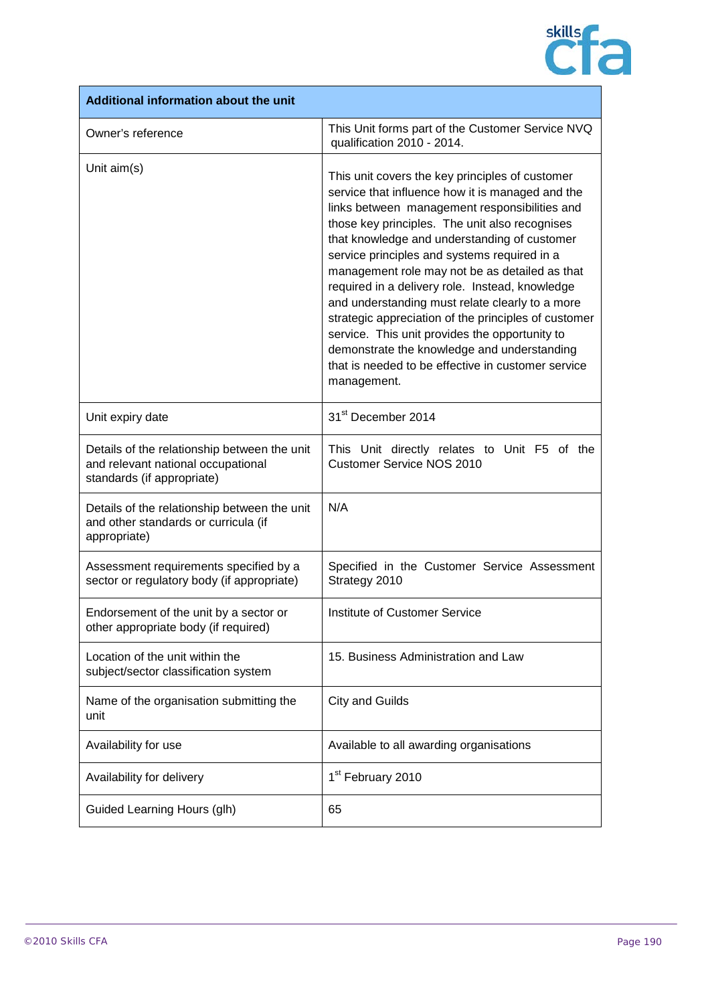

| Additional information about the unit                                                                            |                                                                                                                                                                                                                                                                                                                                                                                                                                                                                                                                                                                                                                                                                              |  |  |  |
|------------------------------------------------------------------------------------------------------------------|----------------------------------------------------------------------------------------------------------------------------------------------------------------------------------------------------------------------------------------------------------------------------------------------------------------------------------------------------------------------------------------------------------------------------------------------------------------------------------------------------------------------------------------------------------------------------------------------------------------------------------------------------------------------------------------------|--|--|--|
| Owner's reference                                                                                                | This Unit forms part of the Customer Service NVQ<br>qualification 2010 - 2014.                                                                                                                                                                                                                                                                                                                                                                                                                                                                                                                                                                                                               |  |  |  |
| Unit aim(s)                                                                                                      | This unit covers the key principles of customer<br>service that influence how it is managed and the<br>links between management responsibilities and<br>those key principles. The unit also recognises<br>that knowledge and understanding of customer<br>service principles and systems required in a<br>management role may not be as detailed as that<br>required in a delivery role. Instead, knowledge<br>and understanding must relate clearly to a more<br>strategic appreciation of the principles of customer<br>service. This unit provides the opportunity to<br>demonstrate the knowledge and understanding<br>that is needed to be effective in customer service<br>management. |  |  |  |
| Unit expiry date                                                                                                 | 31 <sup>st</sup> December 2014                                                                                                                                                                                                                                                                                                                                                                                                                                                                                                                                                                                                                                                               |  |  |  |
| Details of the relationship between the unit<br>and relevant national occupational<br>standards (if appropriate) | This Unit directly relates to Unit F5 of the<br><b>Customer Service NOS 2010</b>                                                                                                                                                                                                                                                                                                                                                                                                                                                                                                                                                                                                             |  |  |  |
| Details of the relationship between the unit<br>and other standards or curricula (if<br>appropriate)             | N/A                                                                                                                                                                                                                                                                                                                                                                                                                                                                                                                                                                                                                                                                                          |  |  |  |
| Assessment requirements specified by a<br>sector or regulatory body (if appropriate)                             | Specified in the Customer Service Assessment<br>Strategy 2010                                                                                                                                                                                                                                                                                                                                                                                                                                                                                                                                                                                                                                |  |  |  |
| Endorsement of the unit by a sector or<br>other appropriate body (if required)                                   | Institute of Customer Service                                                                                                                                                                                                                                                                                                                                                                                                                                                                                                                                                                                                                                                                |  |  |  |
| Location of the unit within the<br>subject/sector classification system                                          | 15. Business Administration and Law                                                                                                                                                                                                                                                                                                                                                                                                                                                                                                                                                                                                                                                          |  |  |  |
| Name of the organisation submitting the<br>unit                                                                  | <b>City and Guilds</b>                                                                                                                                                                                                                                                                                                                                                                                                                                                                                                                                                                                                                                                                       |  |  |  |
| Availability for use                                                                                             | Available to all awarding organisations                                                                                                                                                                                                                                                                                                                                                                                                                                                                                                                                                                                                                                                      |  |  |  |
| Availability for delivery                                                                                        | 1 <sup>st</sup> February 2010                                                                                                                                                                                                                                                                                                                                                                                                                                                                                                                                                                                                                                                                |  |  |  |
| Guided Learning Hours (glh)                                                                                      | 65                                                                                                                                                                                                                                                                                                                                                                                                                                                                                                                                                                                                                                                                                           |  |  |  |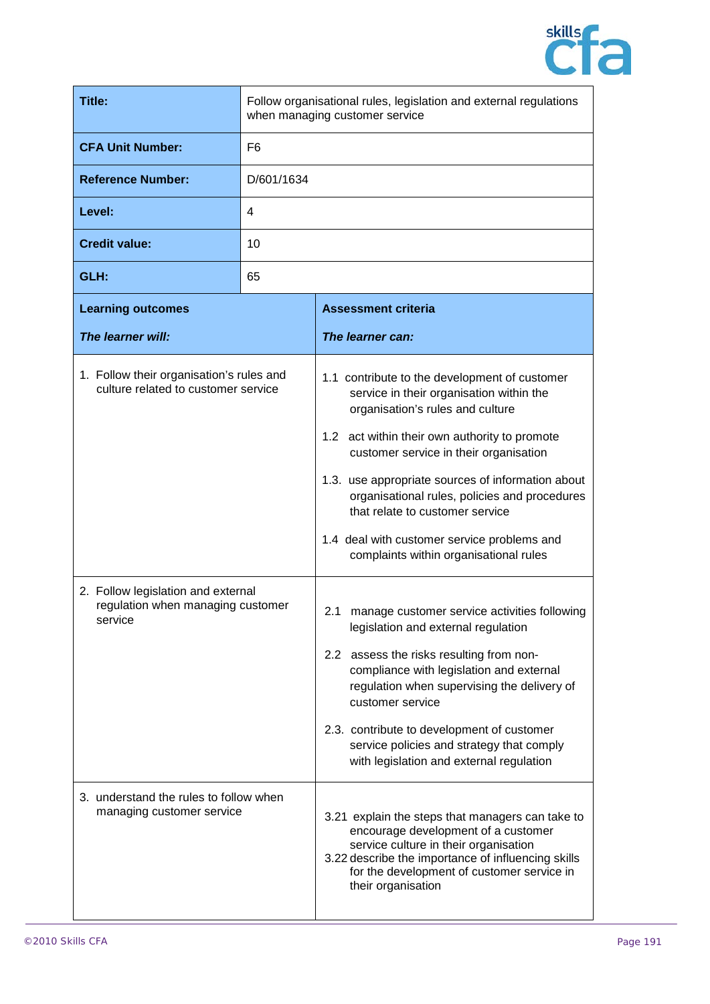

| <b>Title:</b>                                                                                                                                                         |                | Follow organisational rules, legislation and external regulations<br>when managing customer service                                                                                                                                                                                                                                                                                                                                                                                                                                                                                                                                                                                                                                                                                                                                                        |
|-----------------------------------------------------------------------------------------------------------------------------------------------------------------------|----------------|------------------------------------------------------------------------------------------------------------------------------------------------------------------------------------------------------------------------------------------------------------------------------------------------------------------------------------------------------------------------------------------------------------------------------------------------------------------------------------------------------------------------------------------------------------------------------------------------------------------------------------------------------------------------------------------------------------------------------------------------------------------------------------------------------------------------------------------------------------|
| <b>CFA Unit Number:</b>                                                                                                                                               | F <sub>6</sub> |                                                                                                                                                                                                                                                                                                                                                                                                                                                                                                                                                                                                                                                                                                                                                                                                                                                            |
| <b>Reference Number:</b><br>D/601/1634                                                                                                                                |                |                                                                                                                                                                                                                                                                                                                                                                                                                                                                                                                                                                                                                                                                                                                                                                                                                                                            |
| Level:<br>4                                                                                                                                                           |                |                                                                                                                                                                                                                                                                                                                                                                                                                                                                                                                                                                                                                                                                                                                                                                                                                                                            |
| <b>Credit value:</b>                                                                                                                                                  | 10             |                                                                                                                                                                                                                                                                                                                                                                                                                                                                                                                                                                                                                                                                                                                                                                                                                                                            |
| GLH:                                                                                                                                                                  | 65             |                                                                                                                                                                                                                                                                                                                                                                                                                                                                                                                                                                                                                                                                                                                                                                                                                                                            |
| <b>Learning outcomes</b>                                                                                                                                              |                | <b>Assessment criteria</b>                                                                                                                                                                                                                                                                                                                                                                                                                                                                                                                                                                                                                                                                                                                                                                                                                                 |
| The learner will:                                                                                                                                                     |                | The learner can:                                                                                                                                                                                                                                                                                                                                                                                                                                                                                                                                                                                                                                                                                                                                                                                                                                           |
| 1. Follow their organisation's rules and<br>culture related to customer service<br>2. Follow legislation and external<br>regulation when managing customer<br>service |                | 1.1 contribute to the development of customer<br>service in their organisation within the<br>organisation's rules and culture<br>1.2 act within their own authority to promote<br>customer service in their organisation<br>1.3. use appropriate sources of information about<br>organisational rules, policies and procedures<br>that relate to customer service<br>1.4 deal with customer service problems and<br>complaints within organisational rules<br>2.1<br>manage customer service activities following<br>legislation and external regulation<br>2.2 assess the risks resulting from non-<br>compliance with legislation and external<br>regulation when supervising the delivery of<br>customer service<br>2.3. contribute to development of customer<br>service policies and strategy that comply<br>with legislation and external regulation |
| 3. understand the rules to follow when<br>managing customer service                                                                                                   |                | 3.21 explain the steps that managers can take to<br>encourage development of a customer<br>service culture in their organisation<br>3.22 describe the importance of influencing skills<br>for the development of customer service in<br>their organisation                                                                                                                                                                                                                                                                                                                                                                                                                                                                                                                                                                                                 |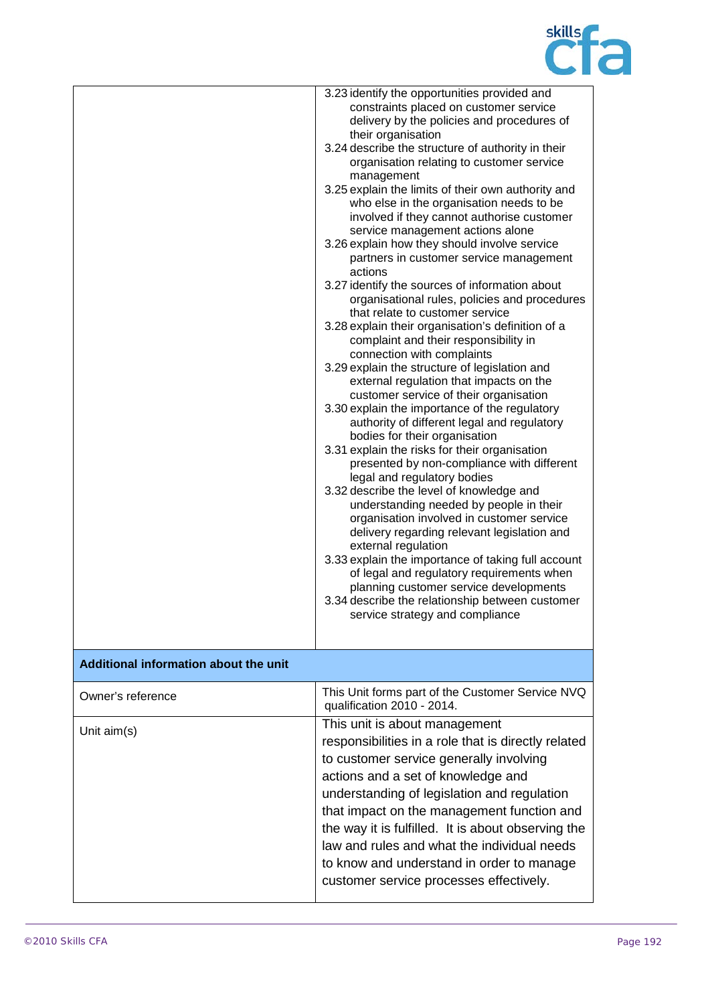

|                                       | 3.23 identify the opportunities provided and<br>constraints placed on customer service<br>delivery by the policies and procedures of<br>their organisation<br>3.24 describe the structure of authority in their<br>organisation relating to customer service<br>management<br>3.25 explain the limits of their own authority and<br>who else in the organisation needs to be<br>involved if they cannot authorise customer<br>service management actions alone<br>3.26 explain how they should involve service<br>partners in customer service management<br>actions<br>3.27 identify the sources of information about<br>organisational rules, policies and procedures<br>that relate to customer service<br>3.28 explain their organisation's definition of a<br>complaint and their responsibility in<br>connection with complaints<br>3.29 explain the structure of legislation and<br>external regulation that impacts on the<br>customer service of their organisation<br>3.30 explain the importance of the regulatory<br>authority of different legal and regulatory<br>bodies for their organisation<br>3.31 explain the risks for their organisation<br>presented by non-compliance with different<br>legal and regulatory bodies<br>3.32 describe the level of knowledge and<br>understanding needed by people in their<br>organisation involved in customer service<br>delivery regarding relevant legislation and<br>external regulation<br>3.33 explain the importance of taking full account<br>of legal and regulatory requirements when<br>planning customer service developments<br>3.34 describe the relationship between customer<br>service strategy and compliance |
|---------------------------------------|------------------------------------------------------------------------------------------------------------------------------------------------------------------------------------------------------------------------------------------------------------------------------------------------------------------------------------------------------------------------------------------------------------------------------------------------------------------------------------------------------------------------------------------------------------------------------------------------------------------------------------------------------------------------------------------------------------------------------------------------------------------------------------------------------------------------------------------------------------------------------------------------------------------------------------------------------------------------------------------------------------------------------------------------------------------------------------------------------------------------------------------------------------------------------------------------------------------------------------------------------------------------------------------------------------------------------------------------------------------------------------------------------------------------------------------------------------------------------------------------------------------------------------------------------------------------------------------------------------------------------------------------------------------------------------------|
| Additional information about the unit |                                                                                                                                                                                                                                                                                                                                                                                                                                                                                                                                                                                                                                                                                                                                                                                                                                                                                                                                                                                                                                                                                                                                                                                                                                                                                                                                                                                                                                                                                                                                                                                                                                                                                          |
| Owner's reference                     | This Unit forms part of the Customer Service NVQ<br>qualification 2010 - 2014.                                                                                                                                                                                                                                                                                                                                                                                                                                                                                                                                                                                                                                                                                                                                                                                                                                                                                                                                                                                                                                                                                                                                                                                                                                                                                                                                                                                                                                                                                                                                                                                                           |
| Unit $aim(s)$                         | This unit is about management<br>responsibilities in a role that is directly related<br>to customer service generally involving<br>actions and a set of knowledge and<br>understanding of legislation and regulation<br>that impact on the management function and<br>the way it is fulfilled. It is about observing the<br>law and rules and what the individual needs<br>to know and understand in order to manage<br>customer service processes effectively.                                                                                                                                                                                                                                                                                                                                                                                                                                                                                                                                                                                                                                                                                                                                                                                                                                                                                                                                                                                                                                                                                                                                                                                                                          |